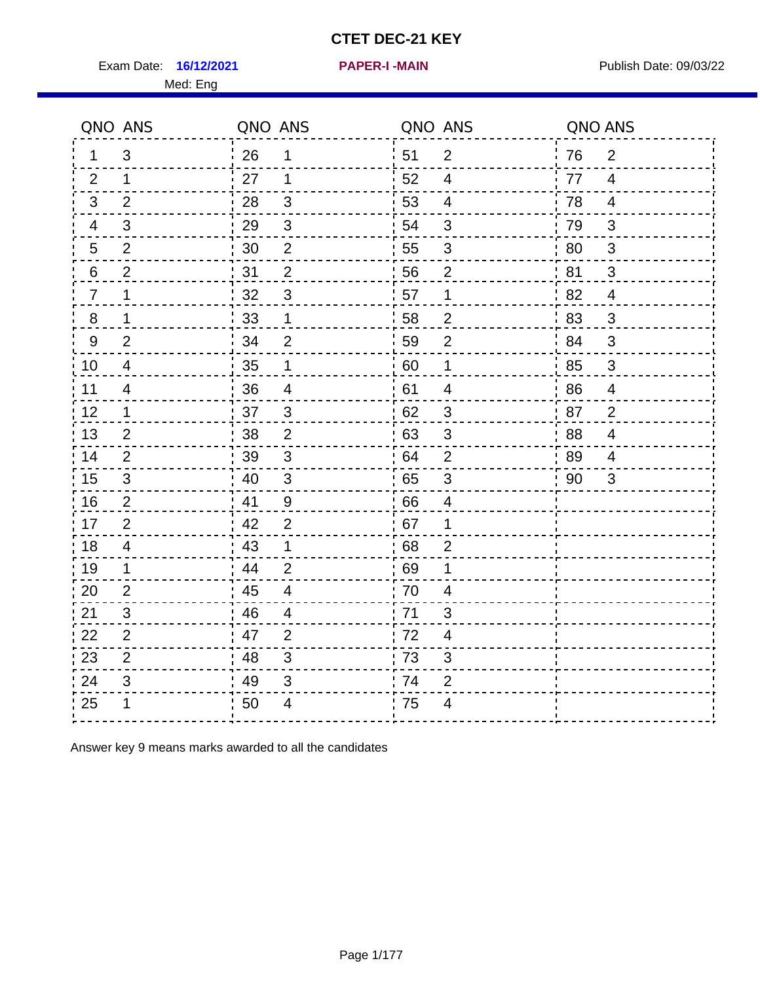Exam Date: 16/12/2021 **PAPER-I-MAIN Exam Date: 09/03/22** 

**16/12/2021 PAPER-I -MAIN**

|                | QNO ANS        | QNO ANS |                         | QNO ANS |                          | QNO ANS |                         |
|----------------|----------------|---------|-------------------------|---------|--------------------------|---------|-------------------------|
| 1.             | 3              | 26      | 1                       | 51      | $\overline{2}$           | 76      | $\overline{2}$          |
| 2              | 1.             | 27      | 1                       | 52      | 4                        | 77      | $\overline{4}$          |
| 3              | 2              | 28      | 3                       | 53      | $\overline{4}$           | 78      | $\overline{4}$          |
| 4              | 3              | 29      | $\mathfrak{S}$          | 54      | 3                        | 79      | 3                       |
| 5              | $\overline{2}$ | 30      | $\mathbf{2}$            | 55      | 3                        | 80      | $\mathfrak{S}$          |
| 6              | $\overline{2}$ | 31      | $\overline{2}$          | 56      | 2                        | 81      | 3                       |
| $\overline{7}$ | 1              | 32      | $\mathbf{3}$            | 57      | 1                        | 82      | $\overline{4}$          |
| 8              | 1              | 33      | 1                       | 58      | $\overline{2}$           | 83      | 3                       |
| 9              | $\overline{2}$ | 34      | $\overline{2}$          | 59      | $\overline{2}$           | 84      | 3                       |
| 10             | 4              | 35      | 1                       | 60      | $\mathbf 1$              | 85      | $\mathbf{3}$            |
| 11             | 4              | 36      | $\overline{\mathbf{4}}$ | 61      | $\overline{\mathcal{A}}$ | 86      | $\overline{\mathbf{4}}$ |
| 12             | 1              | 37      | 3                       | 62      | $\sqrt{3}$               | 87      | $\overline{2}$          |
| 13             | $\overline{2}$ | 38      | $\overline{2}$          | 63      | 3                        | 88      | $\overline{\mathbf{4}}$ |
| 14             | 2              | 39      | 3                       | 64      | $\overline{2}$           | 89      | 4                       |
| 15             | 3              | 40      | $\mathfrak{3}$          | 65      | $\mathsf 3$              | 90      | 3                       |
| 16             | $\overline{2}$ | 41      | $9$                     | 66      | $\overline{4}$           |         |                         |
| 17             | $\overline{2}$ | 42      | 2                       | 67      | 1                        |         |                         |
| 18             | $\overline{4}$ | 43      | 1                       | 68      | $\overline{2}$           |         |                         |
| 19             | $\mathbf 1$    | 44      | $\overline{2}$          | 69      | 1                        |         |                         |
| 20             | $\overline{2}$ | 45      | $\overline{4}$          | 70      | $\overline{4}$           |         |                         |
| 21             | 3              | 46      | 4                       | 71      | 3                        |         |                         |
| 22             | $\overline{2}$ | 47      | $\overline{2}$          | 72      | 4                        |         |                         |
| 23             | $\overline{2}$ | 48      | $\mathfrak{S}$          | 73      | 3                        |         |                         |
| 24             | 3              | 49      | 3                       | 74      | $\overline{2}$           |         |                         |
| 25             | 1              | 50      | 4                       | 75      | 4                        |         |                         |

Answer key 9 means marks awarded to all the candidates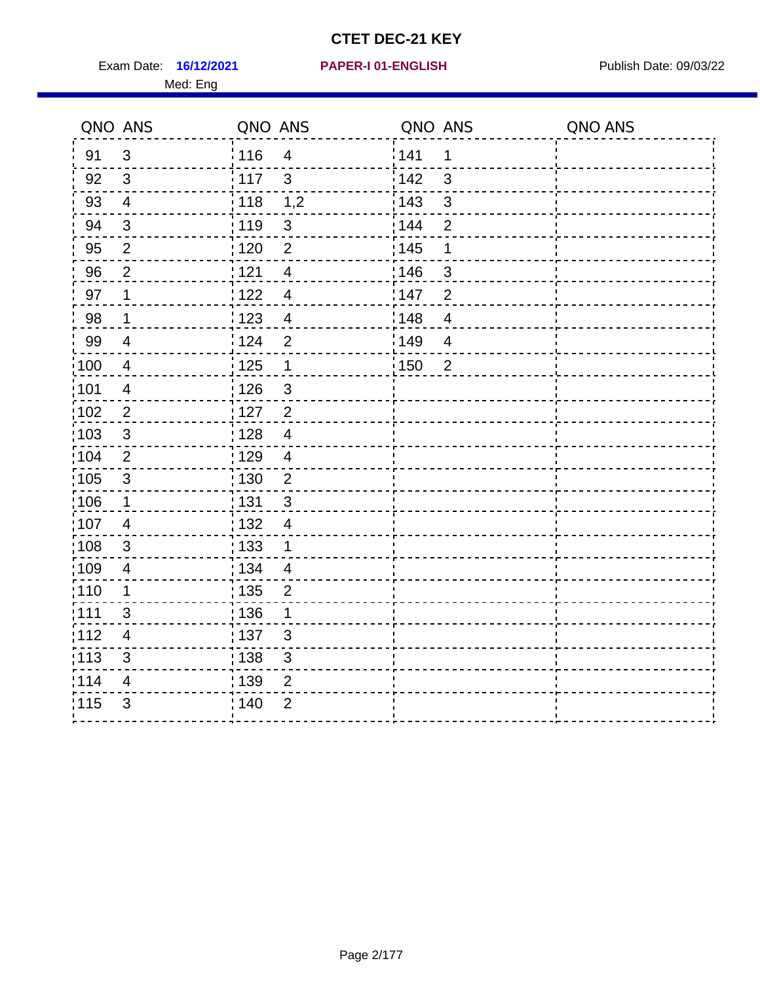Exam Date: 16/12/2021 PAPER-I 01-ENGLISH PREER Publish Date: 09/03/22 Med: Eng

# **16/12/2021 PAPER-I 01-ENGLISH**

|                   | QNO ANS                 | QNO ANS |                | QNO ANS |                | QNO ANS |
|-------------------|-------------------------|---------|----------------|---------|----------------|---------|
| 91                | 3                       | 116     | $\overline{4}$ | 141     | 1              |         |
| 92                | 3                       | 117     | $\mathbf{3}$   | 142     | 3              |         |
| 93                | $\overline{4}$          | 118     | 1,2            | : 143   | $\mathfrak{S}$ |         |
| 94                | $\mathfrak{3}$          | : 119   | $\mathfrak{B}$ | 144     | $\overline{2}$ |         |
| 95                | $\overline{2}$          | : 120   | $\overline{2}$ | : 145   | 1              |         |
| 96                | $\overline{2}$          | 121     | $\overline{4}$ | 146     | 3              |         |
| 97                | $\mathbf 1$             | 122     | $\overline{4}$ | :147    | $\overline{2}$ |         |
| 98                | $\mathbf 1$             | 1123    | $\overline{4}$ | 148     | $\overline{4}$ |         |
| 99                | $\overline{4}$          | i 124   | $\overline{2}$ | 149     | $\overline{4}$ |         |
| 100               | $\overline{4}$          | 125     | 1              | : 150   | $\overline{2}$ |         |
| 101               | $\overline{4}$          | : 126   | $\mathfrak{S}$ |         |                |         |
| $\frac{1}{1}$ 102 | $\overline{2}$          | : 127   | $\overline{2}$ |         |                |         |
| 103               | $\mathbf{3}$            | : 128   | $\overline{4}$ |         |                |         |
| :104              | 2                       | : 129   | $\overline{4}$ |         |                |         |
| $\frac{1}{1}$ 105 | $\mathbf{3}$            | : 130   | $\overline{2}$ |         |                |         |
| 106               | $\mathbf{1}$            | : 131   | $\mathbf{3}$   |         |                |         |
| 107               | 4                       | : 132   | $\overline{4}$ |         |                |         |
| :108              | 3                       | : 133   | 1              |         |                |         |
| :109              | $\overline{\mathbf{4}}$ | : 134   | $\overline{4}$ |         |                |         |
| 110               | 1                       | : 135   | $\overline{2}$ |         |                |         |
| :111              | 3                       | :136    | 1              |         |                |         |
| 112               | $\overline{4}$          | : 137   | 3              |         |                |         |
| $\frac{1}{1}$ 113 | 3                       | : 138   | $\sqrt{3}$     |         |                |         |
| 114               | $\overline{4}$          | 139     | $\overline{2}$ |         |                |         |
| 115               | 3                       | 140     | $\overline{2}$ |         |                |         |
|                   |                         |         |                |         |                |         |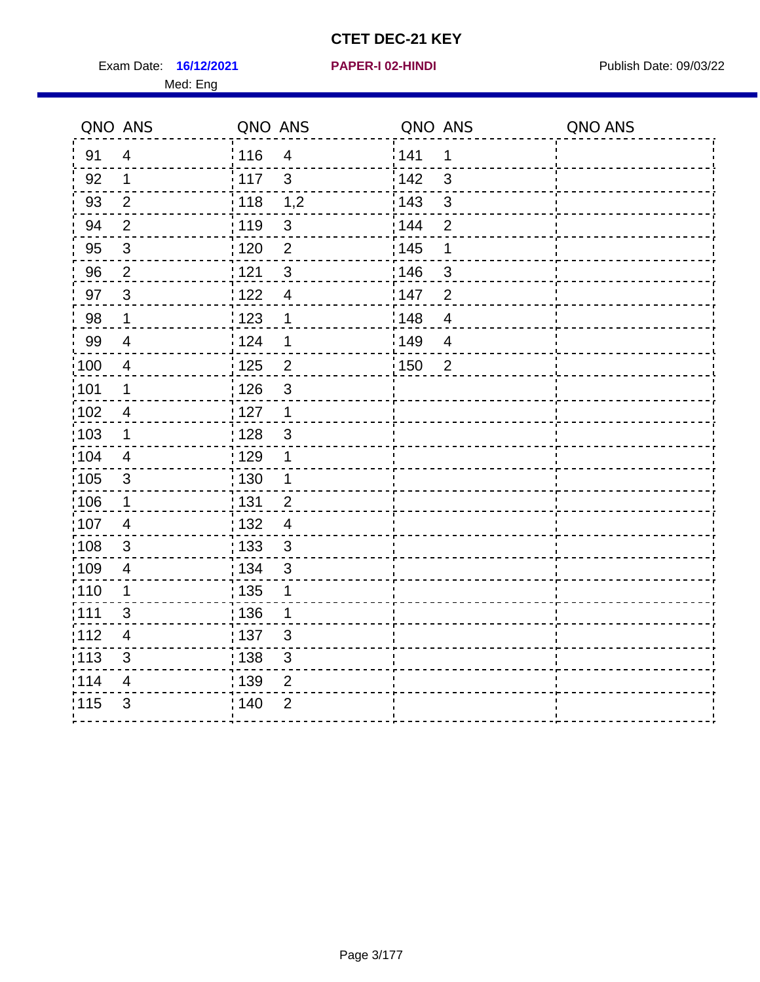Exam Date: 16/12/2021 **PAPER-I 02-HINDI Exam Date: 09/03/22** Med: Eng

### **16/12/2021 PAPER-I 02-HINDI**

|                   | QNO ANS        | QNO ANS |                          | QNO ANS |                | QNO ANS |
|-------------------|----------------|---------|--------------------------|---------|----------------|---------|
| 91                | $\overline{4}$ | 116     | $\overline{4}$           | 141     | 1              |         |
| 92                | $\mathbf 1$    | 117     | $\mathbf{3}$             | 142     | 3              |         |
| 93                | $\overline{2}$ | 118     | 1,2                      | 143     | $\mathbf{3}$   |         |
| 94                | $\overline{2}$ | 119     | $\sqrt{3}$               | 144     | $\overline{2}$ |         |
| 95                | $\mathfrak{S}$ | :120    | $\overline{2}$           | : 145   | 1              |         |
| 96                | $\overline{2}$ | 121     | 3                        | 146     | 3              |         |
| 97                | $\mathbf{3}$   | 122     | $\overline{\mathcal{A}}$ | 147     | $\overline{2}$ |         |
| 98                | $\mathbf 1$    | 123     | 1                        | 148     | $\overline{4}$ |         |
| 99                | $\overline{4}$ | : 124   | 1                        | :149    | $\overline{4}$ |         |
| $\frac{1}{100}$   | $\overline{4}$ | : 125   | $\overline{2}$           | :150    | $\overline{2}$ |         |
| 101               | $\mathbf 1$    | : 126   | $\mathfrak{3}$           |         |                |         |
| 102               | $\overline{4}$ | : 127   | $\mathbf{1}$             |         |                |         |
| 103               | 1              | : 128   | 3                        |         |                |         |
| :104              | $\overline{4}$ | :129    | 1                        |         |                |         |
| $\frac{1}{1}$ 105 | $\mathbf{3}$   | 130     | $\mathbf 1$              |         |                |         |
| $\frac{1}{1}$ 106 | $\mathbf 1$    | : 131   | $\overline{2}$           |         |                |         |
| 107               | $\overline{4}$ | : 132   | $\overline{4}$           |         |                |         |
| 108               | $\mathfrak{S}$ | : 133   | $\mathbf{3}$             |         |                |         |
| 109               | 4              | : 134   | $\mathbf{3}$             |         |                |         |
| : 110             | $\mathbf 1$    | : 135   | 1                        |         |                |         |
| :111              | 3              | : 136   | 1                        |         |                |         |
| :112              | $\overline{4}$ | :137    | $\mathbf{3}$             |         |                |         |
| :113              | 3              | : 138   | $\sqrt{3}$               |         |                |         |
| 114               | 4              | 139     | $\overline{2}$           |         |                |         |
| 115               | 3              | ; 140   | $\overline{2}$           |         |                |         |
|                   |                |         |                          |         |                |         |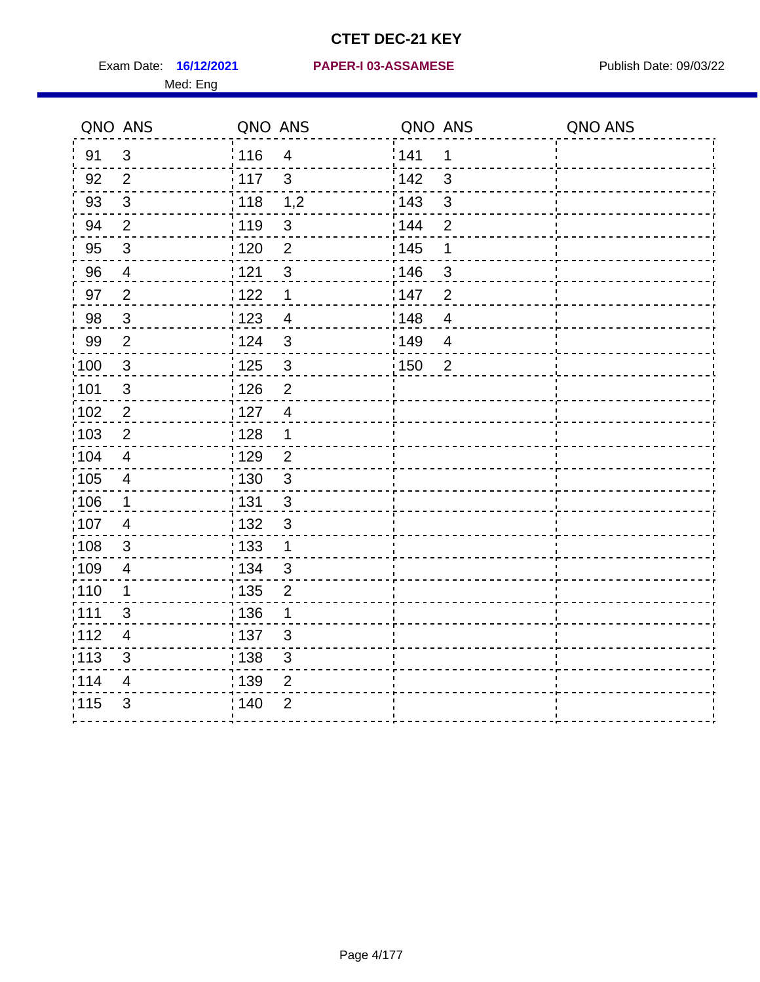Med: Eng

#### **16/12/2021 PAPER-I 03-ASSAMESE** Exam Date: Publish Date: 09/03/22

|                   | QNO ANS                 | QNO ANS           |                | QNO ANS           |                | QNO ANS |
|-------------------|-------------------------|-------------------|----------------|-------------------|----------------|---------|
| 91                | $\mathbf{3}$            | ່ 116             | $\overline{4}$ | 1141              | 1              |         |
| 92                | $\overline{2}$          | 117               | $\mathbf{3}$   | 142               | 3              |         |
| 93                | $\mathfrak{3}$          | 118               | 1,2            | 143               | $\mathfrak{S}$ |         |
| 94                | $\overline{2}$          | : 119             | $\mathbf{3}$   | 144               | $\overline{2}$ |         |
| 95                | $\mathfrak{B}$          | : 120             | $\overline{2}$ | : 145             | 1              |         |
| 96                | $\overline{4}$          | 121               | $\sqrt{3}$     | 146               | 3              |         |
| 97                | $\overline{2}$          | 122               | $\mathbf 1$    | 147               | $\overline{2}$ |         |
| 98                | $\mathbf{3}$            | 123               | $\overline{4}$ | 148               | $\overline{4}$ |         |
| 99                | $\overline{2}$          | 124               | $\mathfrak{S}$ | 149               | $\overline{4}$ |         |
| $\frac{1}{1}$ 100 | $\sqrt{3}$              | $\frac{1}{1}$ 125 | $\mathfrak{S}$ | $\frac{1}{2}$ 150 | $\overline{2}$ |         |
| :101              | $\sqrt{3}$              | : 126             | $\overline{2}$ |                   |                |         |
| 102               | $\overline{2}$          | :127              | $\overline{4}$ |                   |                |         |
| 103               | 2                       | : 128             | $\mathbf{1}$   |                   |                |         |
| 104               | $\overline{4}$          | : 129             | $\overline{2}$ |                   |                |         |
| 105               | $\overline{\mathbf{4}}$ | : 130             | $\mathbf{3}$   |                   |                |         |
| :106              | $\mathbf 1$             | : 131             | 3              |                   |                |         |
| 107               | $\overline{4}$          | : 132             | $\mathbf{3}$   |                   |                |         |
| 108               | $\mathfrak{S}$          | 133               | $\mathbf{1}$   |                   |                |         |
| :109              | $\overline{4}$          | : 134             | $\mathbf{3}$   |                   |                |         |
| :110              | 1                       | 135               | $\overline{2}$ |                   |                |         |
| 111               | 3                       | : 136             | 1              |                   |                |         |
| 112               | 4                       | 137               | $\mathfrak{B}$ |                   |                |         |
| 113               | $\mathfrak{S}$          | 138               | 3              |                   |                |         |
| 114               | 4                       | 139               | 2              |                   |                |         |
| 115               | 3                       | 140               | $\overline{2}$ |                   |                |         |
|                   |                         |                   |                |                   |                |         |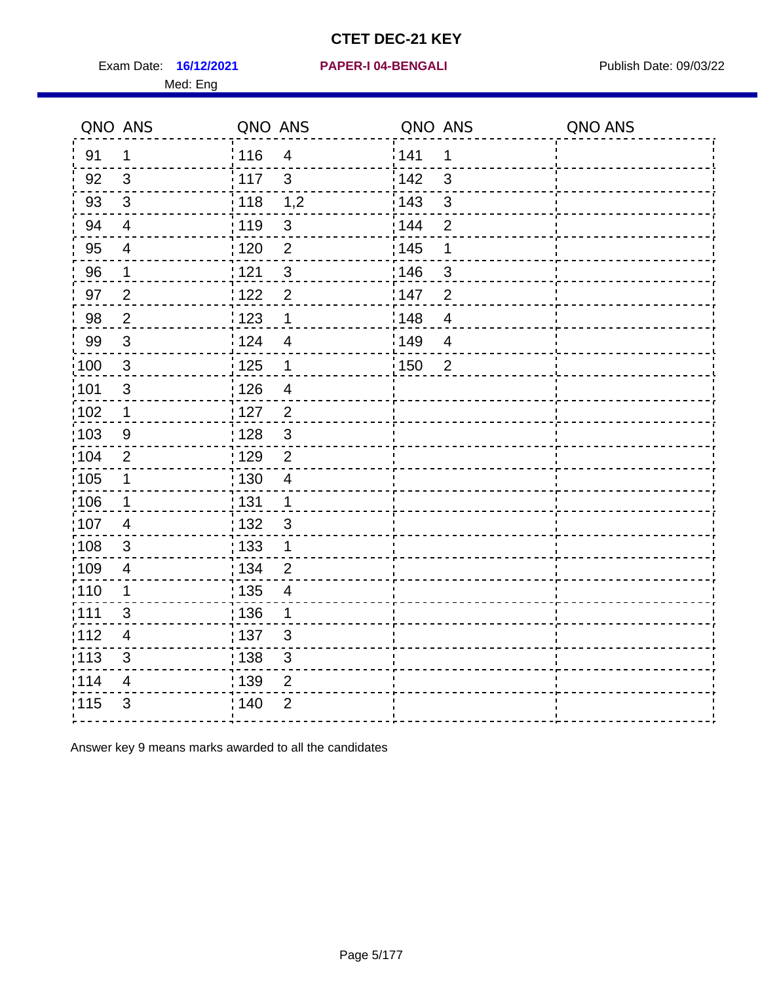Exam Date: 16/12/2021 PAPER-I 04-BENGALI PRERENER Publish Date: 09/03/22 Med: Eng

#### **16/12/2021 PAPER-I 04-BENGALI**

|                   | QNO ANS                   | QNO ANS |                | QNO ANS           |                | QNO ANS |
|-------------------|---------------------------|---------|----------------|-------------------|----------------|---------|
| 91                | $\mathbf 1$               | :116    | $\overline{4}$ | 141               | $\mathbf 1$    |         |
| 92                | 3                         | 117     | $\mathbf{3}$   | 142               | 3              |         |
| 93                | $\mathbf{3}$              | : 118   | 1,2            | 143               | 3              |         |
| 94                | $\overline{4}$            | : 119   | $\sqrt{3}$     | 144               | $\overline{2}$ |         |
| 95                | $\overline{4}$            | : 120   | $\overline{2}$ | : 145             | $\mathbf 1$    |         |
| 96                | $\mathbf{1}$              | 121     | $\mathfrak{3}$ | 146               | 3              |         |
| 97                | $\overline{2}$            | 122     | $\overline{2}$ | 147               | $\overline{2}$ |         |
| 98                | $\sqrt{2}$                | 123     | $\mathbf 1$    | 148               | $\overline{4}$ |         |
| 99                | $\mathbf{3}$              | 124     | $\overline{4}$ | 149               | $\overline{4}$ |         |
| $\frac{1}{1}$ 100 | $\mathbf{3}$              | 125     | $\mathbf{1}$   | $\frac{1}{1}$ 150 | $\overline{2}$ |         |
| 101               | $\ensuremath{\mathsf{3}}$ | : 126   | $\overline{4}$ |                   |                |         |
| :102              | $\mathbf 1$               | : 127   | $\overline{2}$ |                   |                |         |
| 103               | 9                         | : 128   | $\mathbf{3}$   |                   |                |         |
| 104               | $\overline{2}$            | : 129   | $\overline{2}$ |                   |                |         |
| $\frac{1}{1}$ 105 | $\mathbf 1$               | : 130   | $\overline{4}$ |                   |                |         |
| :106              | $\mathbf 1$               | : 131   | $\mathbf{1}$   |                   |                |         |
| 107               | $\overline{4}$            | : 132   | $\mathbf{3}$   |                   |                |         |
| 108               | 3                         | : 133   | $\mathbf{1}$   |                   |                |         |
| 109               | $\overline{4}$            | : 134   | $\overline{2}$ |                   |                |         |
| 110               | 1                         | : 135   | $\overline{4}$ |                   |                |         |
| 111               | 3                         | : 136   | 1              |                   |                |         |
| 112               | $\overline{4}$            | : 137   | $\mathbf{3}$   |                   |                |         |
| $\frac{1}{1}$ 113 | 3                         | : 138   | $\mathfrak{S}$ |                   |                |         |
| 114               | $\overline{\mathbf{4}}$   | 139     | $\overline{2}$ |                   |                |         |
| 115               | 3                         | : 140   | $\overline{2}$ |                   |                |         |
|                   |                           |         |                |                   |                |         |

Answer key 9 means marks awarded to all the candidates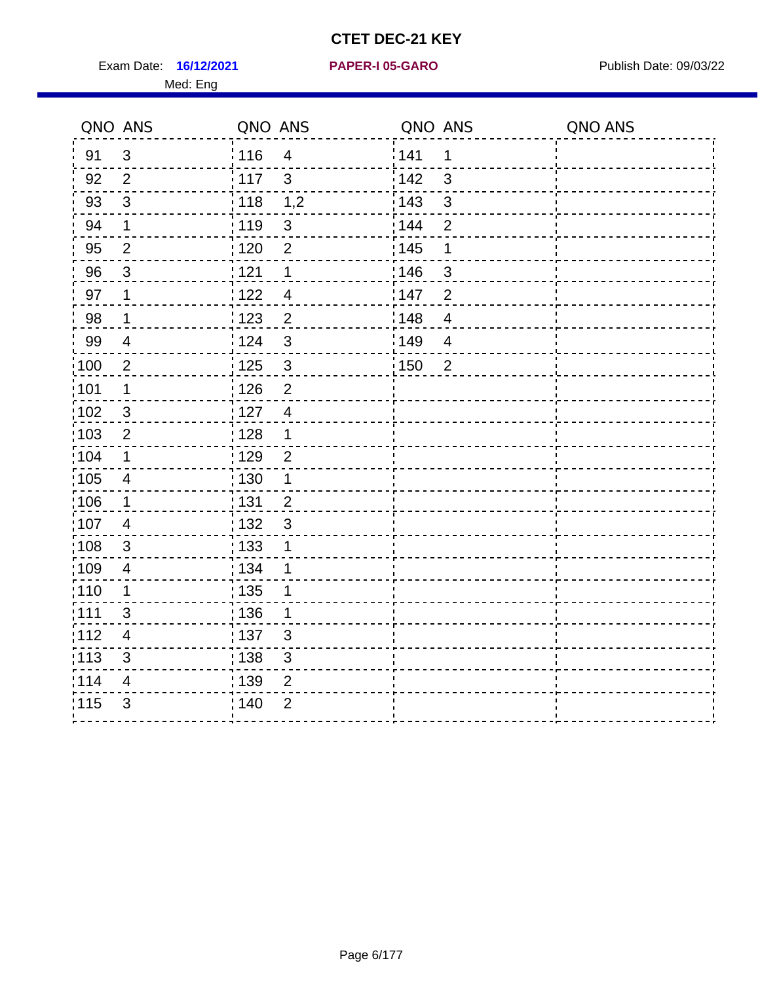Exam Date: 16/12/2021 **PAPER-I 05-GARO** Publish Date: 09/03/22

Med: Eng

**16/12/2021 PAPER-I 05-GARO**

|                   | QNO ANS        | QNO ANS           |                | QNO ANS |                          | QNO ANS |
|-------------------|----------------|-------------------|----------------|---------|--------------------------|---------|
| 91                | 3              | i 116             | 4              | 141     | $\mathbf 1$              |         |
| 92                | 2              | $-117$            | 3              | 142     | 3                        |         |
| 93                | 3              | : 118             | 1,2            | : 143   | $\mathbf{3}$             |         |
| 94                | $\mathbf 1$    | 119               | $\mathbf{3}$   | : 144   | $\overline{2}$           |         |
| 95                | 2              | 120               | $\overline{2}$ | : 145   | 1                        |         |
| 96                | $\mathbf{3}$   | 121               | 1              | 146     | $\mathsf 3$              |         |
| 97                | 1              | 1122              | $\overline{4}$ | 147     | $\overline{2}$           |         |
| 98                | 1              | 123               | $\overline{2}$ | 148     | $\overline{4}$           |         |
| 99                | 4              | $\frac{1}{2}$ 124 | $\mathfrak{3}$ | 149     | $\overline{\mathcal{A}}$ |         |
| $\frac{1}{2}100$  | $\overline{2}$ | : 125             | $\mathbf{3}$   | 150     | $\overline{2}$           |         |
| :101              | 1              | 126               | $\overline{2}$ |         |                          |         |
| 102               | $\mathfrak{B}$ | : 127             | $\overline{4}$ |         |                          |         |
| $\frac{1}{1}$ 103 | $\overline{c}$ | 128               | 1              |         |                          |         |
| 104               | 1              | : 129             | $\overline{2}$ |         |                          |         |
| 105               | $\overline{4}$ | : 130             |                |         |                          |         |
| :106              | 1              | 131               | $\overline{2}$ |         |                          |         |
| 107               | $\overline{4}$ | : 132             | $\mathsf 3$    |         |                          |         |
| :108              | $\sqrt{3}$     | $\frac{1}{1}$ 133 | 1              |         |                          |         |
| :109              | $\overline{4}$ | : 134             |                |         |                          |         |
| :110              | 1              | : 135             |                |         |                          |         |
| :111              | $\mathfrak{S}$ | : 136             | 1              |         |                          |         |
| $\frac{1}{1}$ 112 | $\overline{4}$ | $\frac{1}{1}$ 137 | $\mathsf 3$    |         |                          |         |
| $\frac{1}{1}$ 113 | $\mathfrak{S}$ | 138               | $\mathsf 3$    |         |                          |         |
| 114               | 4              | : 139             | $\overline{2}$ |         |                          |         |
| 115               | $\mathfrak{S}$ | :140              | $\overline{2}$ |         |                          |         |
|                   |                |                   |                |         |                          |         |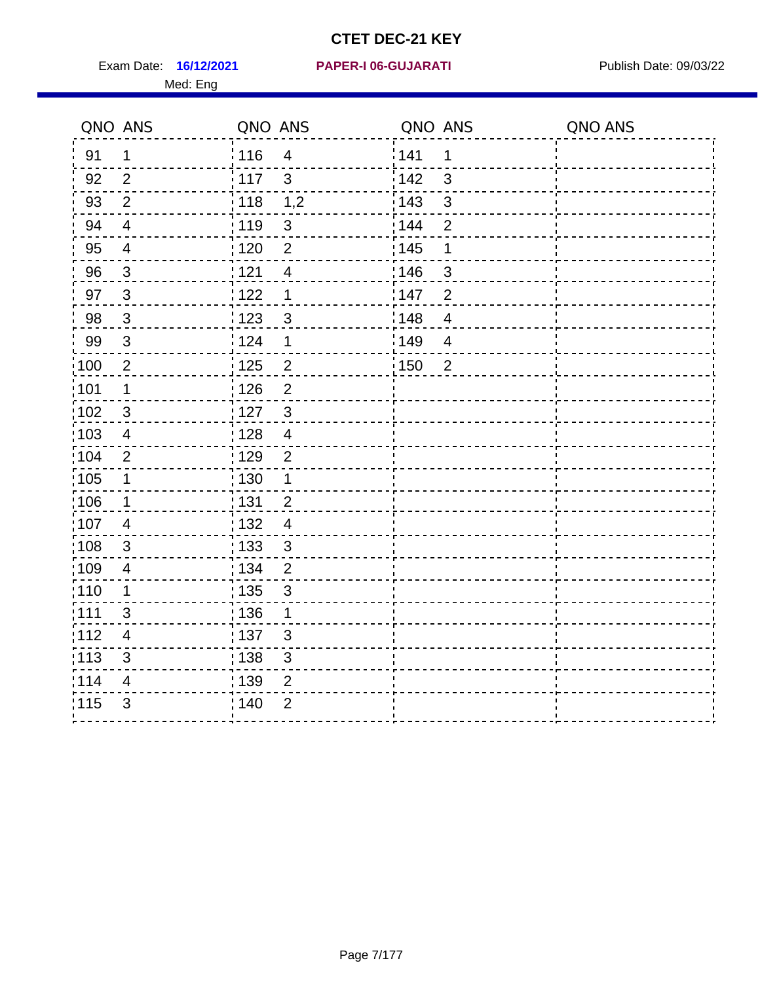Exam Date: 16/12/2021 PAPER-I 06-GUJARATI Publish Date: 09/03/22 Med: Eng

## **16/12/2021 PAPER-I 06-GUJARATI**

| QNO ANS           |                          | QNO ANS           |                         | QNO ANS           |                | QNO ANS |
|-------------------|--------------------------|-------------------|-------------------------|-------------------|----------------|---------|
| 91                | $\mathbf 1$              | 116               | $\overline{4}$          | 141               | $\mathbf 1$    |         |
| 92                | 2                        | $\frac{1}{2}$ 117 | $\mathbf{3}$            | 142               | 3              |         |
| 93                | $\overline{2}$           | : 118             | 1,2                     | 143               | $\mathbf{3}$   |         |
| 94                | $\overline{4}$           | : 119             | $\sqrt{3}$              | : 144             | $\overline{2}$ |         |
| 95                | $\overline{4}$           | : 120             | $\overline{2}$          | : 145             | 1              |         |
| 96                | $\mathbf{3}$             | 121               | $\overline{\mathbf{4}}$ | 146               | $\mathbf{3}$   |         |
| 97                | $\overline{3}$           | 1122              | 1                       | 147               | $\overline{2}$ |         |
| 98                | $\overline{3}$           | 123               | $\sqrt{3}$              | : 148             | $\overline{4}$ |         |
| 99                | 3                        | i 124             | $\mathbf 1$             | 149               | $\overline{4}$ |         |
| $\frac{1}{2}100$  | $\overline{2}$           | : 125             | $\mathbf 2$             | $\frac{1}{1}$ 150 | $\overline{2}$ |         |
| 101               | $\mathbf 1$              | 126               | $\overline{2}$          |                   |                |         |
| $\frac{1}{1}$ 102 | $\mathfrak{3}$           | : 127             | $\mathbf{3}$            |                   |                |         |
| 103               | $\overline{\mathcal{A}}$ | : 128             | $\overline{4}$          |                   |                |         |
| :104              | 2                        | : 129             | $\overline{2}$          |                   |                |         |
| $\frac{1}{1}$ 105 | $\mathbf 1$              | : 130             | $\mathbf 1$             |                   |                |         |
| 106               | $\mathbf 1$              | : 131             | $\overline{2}$          |                   |                |         |
| ,107              | 4                        | : 132             | $\overline{4}$          |                   |                |         |
| 108               | $\mathbf{3}$             | : 133             | $\mathbf{3}$            |                   |                |         |
| :109              | $\overline{4}$           | : 134             | $\overline{2}$          |                   |                |         |
| : 110             | $\mathbf 1$              | : 135             | 3                       |                   |                |         |
| :111              | 3                        | : 136             | 1                       |                   |                |         |
| 112               | $\overline{4}$           | : 137             | $\mathfrak{B}$          |                   |                |         |
| : 113             | 3                        | : 138             | $\mathsf 3$             |                   |                |         |
| 114               | $\overline{\mathbf{4}}$  | : 139             | $\mathbf 2$             |                   |                |         |
| 115               | 3                        | 140               | $\overline{2}$          |                   |                |         |
|                   |                          |                   |                         |                   |                |         |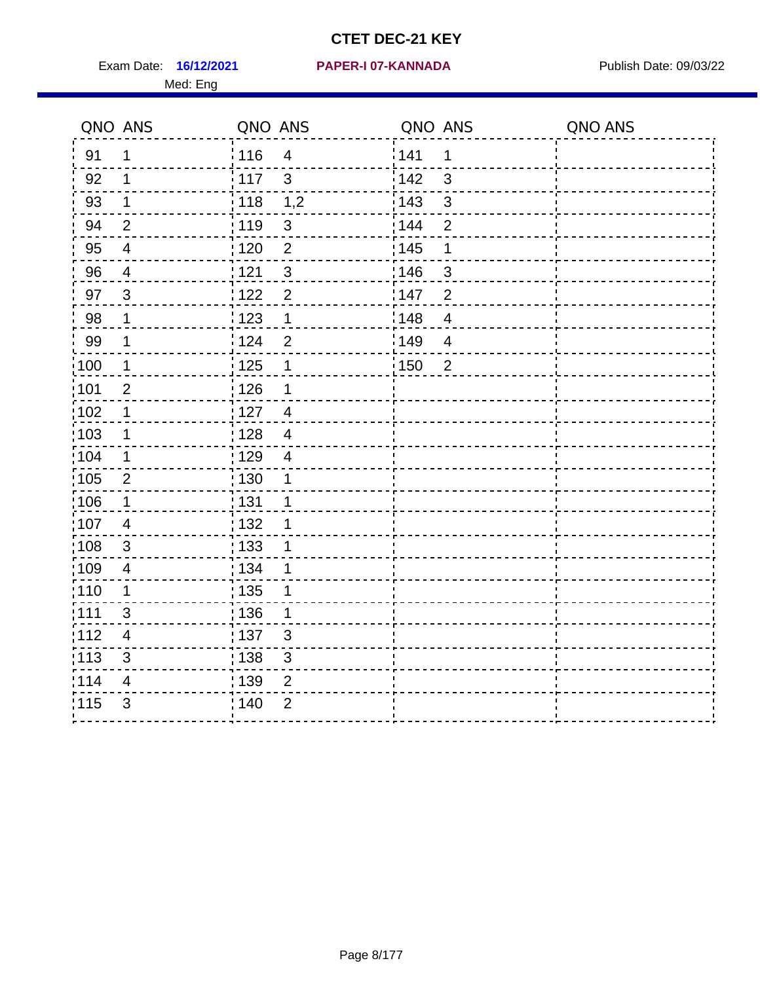Exam Date: 16/12/2021 PAPER-I 07-KANNADA Publish Date: 09/03/22 Med: Eng

## **16/12/2021 PAPER-I 07-KANNADA**

|                   | QNO ANS                  | QNO ANS |                | QNO ANS           |                | QNO ANS |
|-------------------|--------------------------|---------|----------------|-------------------|----------------|---------|
| 91                | 1                        | : 116   | $\overline{4}$ | 141               | 1              |         |
| 92                | $\mathbf 1$              | : 117   | $\mathbf{3}$   | 142               | 3              |         |
| 93                | $\mathbf 1$              | 118     | 1,2            | 143               | $\mathfrak{S}$ |         |
| 94                | $\overline{2}$           | : 119   | $\mathfrak{S}$ | 144               | $\overline{2}$ |         |
| 95                | $\overline{\mathcal{A}}$ | : 120   | $\overline{2}$ | : 145             | 1              |         |
| 96                | 4                        | 121     | $\mathfrak{B}$ | 146               | $\mathfrak{S}$ |         |
| 97                | $\mathbf{3}$             | 122     | $\mathbf 2$    | 147               | $\overline{2}$ |         |
| 98                | $\mathbf 1$              | 123     | $\mathbf 1$    | 148               | $\overline{4}$ |         |
| 99                | $\mathbf 1$              | 124     | $\overline{2}$ | 149               | $\overline{4}$ |         |
| 100               | $\mathbf 1$              | 125     | $\mathbf 1$    | $\frac{1}{1}$ 150 | $\overline{2}$ |         |
| 101               | $\mathbf 2$              | 126     | 1              |                   |                |         |
| $\frac{1}{1}$ 102 | $\mathbf 1$              | 127     | $\overline{4}$ |                   |                |         |
| 103               | 1                        | : 128   | $\overline{4}$ |                   |                |         |
| 104               | $\mathbf 1$              | : 129   | $\overline{4}$ |                   |                |         |
| $\frac{1}{1}$ 105 | $\overline{2}$           | : 130   | 1              |                   |                |         |
| 106               | $\mathbf 1$              | : 131   | 1              |                   |                |         |
| :107              | $\overline{4}$           | : 132   | 1              |                   |                |         |
| 108               | $\mathbf{3}$             | : 133   | 1              |                   |                |         |
| :109              | $\overline{4}$           | : 134   | 1              |                   |                |         |
| : 110             | 1                        | : 135   | 1              |                   |                |         |
| : 111             | 3                        | : 136   | 1              |                   |                |         |
| 112               | 4                        | : 137   | $\sqrt{3}$     |                   |                |         |
| : 113             | $\mathfrak{S}$           | 138     | $\mathsf 3$    |                   |                |         |
| 114               | 4                        | 139     | $\overline{2}$ |                   |                |         |
| 115               | 3                        | 140     | $\overline{2}$ |                   |                |         |
|                   |                          |         |                |                   |                |         |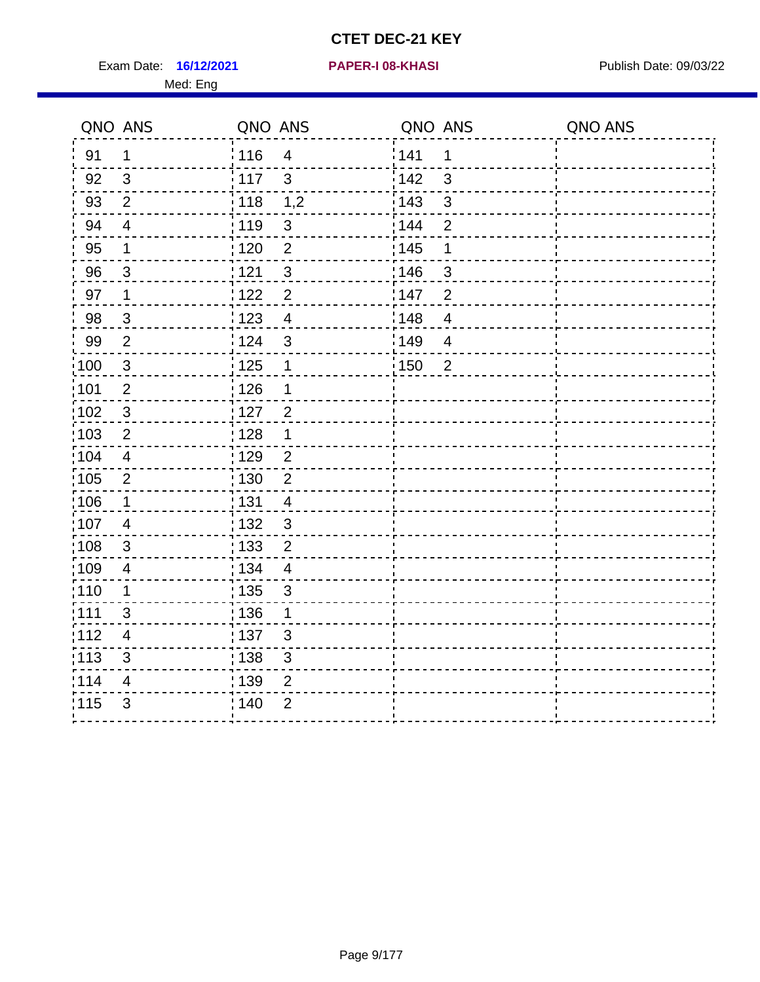Exam Date: 16/12/2021 **PAPER-I 08-KHASI** Publish Date: 09/03/22 Med: Eng

#### **16/12/2021 PAPER-I 08-KHASI**

| 141<br>116<br>91<br>1<br>$\overline{4}$<br>1<br>i 142<br>92<br>117<br>$\mathbf{3}$<br>$\mathfrak{B}$<br>3<br>1,2<br>: 143<br>$\mathbf{3}$<br>93<br>$\overline{2}$<br>118<br>94<br>: 119<br>: 144<br>$\sqrt{3}$<br>$\overline{2}$<br>$\overline{4}$<br>$\overline{2}$<br>: 145<br>95<br>: 120<br>$\mathbf 1$<br>1<br>121<br>96<br>3<br>146<br>$\mathbf{3}$<br>3<br>97<br>1122<br>$\overline{2}$<br>:147<br>$\overline{2}$<br>$\mathbf 1$<br>98<br>1123<br>$\overline{4}$<br>148<br>$\mathbf{3}$<br>$\overline{\mathcal{A}}$<br>149<br>124<br>$\overline{2}$<br>$\mathbf{3}$<br>$\overline{4}$<br>$\frac{1}{2}$ 125<br>:150<br>$\mathbf{3}$<br>$\mathbf 1$<br>$\overline{2}$<br>: 126<br>$\overline{2}$<br>1<br>: 127<br>$\overline{2}$<br>$\mathbf{3}$<br>: 128<br>$\overline{2}$<br>1<br>:129<br>2<br>$\overline{4}$<br>130<br>$\overline{2}$<br>$\overline{2}$<br>: 131<br>$\overline{4}$<br>$\mathbf 1$<br>: 132<br>$\mathbf{3}$<br>$\overline{4}$<br>: 133<br>$\overline{2}$<br>3<br>: 134<br>$\overline{4}$<br>$\overline{4}$<br>: 135<br>$\mathbf 1$<br>$\mathfrak{S}$<br>: 136<br>3<br>1<br>:137<br>$\mathbf{3}$<br>4<br>: 138<br>$\mathfrak{3}$<br>3<br>: 139<br>$\overline{2}$<br>4<br>3<br>; 140<br>$\overline{2}$ | QNO ANS           | QNO ANS | QNO ANS | QNO ANS |
|-----------------------------------------------------------------------------------------------------------------------------------------------------------------------------------------------------------------------------------------------------------------------------------------------------------------------------------------------------------------------------------------------------------------------------------------------------------------------------------------------------------------------------------------------------------------------------------------------------------------------------------------------------------------------------------------------------------------------------------------------------------------------------------------------------------------------------------------------------------------------------------------------------------------------------------------------------------------------------------------------------------------------------------------------------------------------------------------------------------------------------------------------------------------------------------------------------------------------------|-------------------|---------|---------|---------|
|                                                                                                                                                                                                                                                                                                                                                                                                                                                                                                                                                                                                                                                                                                                                                                                                                                                                                                                                                                                                                                                                                                                                                                                                                             |                   |         |         |         |
|                                                                                                                                                                                                                                                                                                                                                                                                                                                                                                                                                                                                                                                                                                                                                                                                                                                                                                                                                                                                                                                                                                                                                                                                                             |                   |         |         |         |
|                                                                                                                                                                                                                                                                                                                                                                                                                                                                                                                                                                                                                                                                                                                                                                                                                                                                                                                                                                                                                                                                                                                                                                                                                             |                   |         |         |         |
|                                                                                                                                                                                                                                                                                                                                                                                                                                                                                                                                                                                                                                                                                                                                                                                                                                                                                                                                                                                                                                                                                                                                                                                                                             |                   |         |         |         |
|                                                                                                                                                                                                                                                                                                                                                                                                                                                                                                                                                                                                                                                                                                                                                                                                                                                                                                                                                                                                                                                                                                                                                                                                                             |                   |         |         |         |
|                                                                                                                                                                                                                                                                                                                                                                                                                                                                                                                                                                                                                                                                                                                                                                                                                                                                                                                                                                                                                                                                                                                                                                                                                             |                   |         |         |         |
|                                                                                                                                                                                                                                                                                                                                                                                                                                                                                                                                                                                                                                                                                                                                                                                                                                                                                                                                                                                                                                                                                                                                                                                                                             |                   |         |         |         |
|                                                                                                                                                                                                                                                                                                                                                                                                                                                                                                                                                                                                                                                                                                                                                                                                                                                                                                                                                                                                                                                                                                                                                                                                                             |                   |         |         |         |
|                                                                                                                                                                                                                                                                                                                                                                                                                                                                                                                                                                                                                                                                                                                                                                                                                                                                                                                                                                                                                                                                                                                                                                                                                             | 99                |         |         |         |
|                                                                                                                                                                                                                                                                                                                                                                                                                                                                                                                                                                                                                                                                                                                                                                                                                                                                                                                                                                                                                                                                                                                                                                                                                             | $\frac{1}{100}$   |         |         |         |
|                                                                                                                                                                                                                                                                                                                                                                                                                                                                                                                                                                                                                                                                                                                                                                                                                                                                                                                                                                                                                                                                                                                                                                                                                             | 101               |         |         |         |
|                                                                                                                                                                                                                                                                                                                                                                                                                                                                                                                                                                                                                                                                                                                                                                                                                                                                                                                                                                                                                                                                                                                                                                                                                             | 102               |         |         |         |
|                                                                                                                                                                                                                                                                                                                                                                                                                                                                                                                                                                                                                                                                                                                                                                                                                                                                                                                                                                                                                                                                                                                                                                                                                             | :103              |         |         |         |
|                                                                                                                                                                                                                                                                                                                                                                                                                                                                                                                                                                                                                                                                                                                                                                                                                                                                                                                                                                                                                                                                                                                                                                                                                             | :104              |         |         |         |
|                                                                                                                                                                                                                                                                                                                                                                                                                                                                                                                                                                                                                                                                                                                                                                                                                                                                                                                                                                                                                                                                                                                                                                                                                             | 105               |         |         |         |
|                                                                                                                                                                                                                                                                                                                                                                                                                                                                                                                                                                                                                                                                                                                                                                                                                                                                                                                                                                                                                                                                                                                                                                                                                             | 106               |         |         |         |
|                                                                                                                                                                                                                                                                                                                                                                                                                                                                                                                                                                                                                                                                                                                                                                                                                                                                                                                                                                                                                                                                                                                                                                                                                             | 107               |         |         |         |
|                                                                                                                                                                                                                                                                                                                                                                                                                                                                                                                                                                                                                                                                                                                                                                                                                                                                                                                                                                                                                                                                                                                                                                                                                             | :108              |         |         |         |
|                                                                                                                                                                                                                                                                                                                                                                                                                                                                                                                                                                                                                                                                                                                                                                                                                                                                                                                                                                                                                                                                                                                                                                                                                             | 109               |         |         |         |
|                                                                                                                                                                                                                                                                                                                                                                                                                                                                                                                                                                                                                                                                                                                                                                                                                                                                                                                                                                                                                                                                                                                                                                                                                             | :110              |         |         |         |
|                                                                                                                                                                                                                                                                                                                                                                                                                                                                                                                                                                                                                                                                                                                                                                                                                                                                                                                                                                                                                                                                                                                                                                                                                             | :111              |         |         |         |
|                                                                                                                                                                                                                                                                                                                                                                                                                                                                                                                                                                                                                                                                                                                                                                                                                                                                                                                                                                                                                                                                                                                                                                                                                             | 112               |         |         |         |
|                                                                                                                                                                                                                                                                                                                                                                                                                                                                                                                                                                                                                                                                                                                                                                                                                                                                                                                                                                                                                                                                                                                                                                                                                             | $\frac{1}{1}$ 113 |         |         |         |
|                                                                                                                                                                                                                                                                                                                                                                                                                                                                                                                                                                                                                                                                                                                                                                                                                                                                                                                                                                                                                                                                                                                                                                                                                             | 114               |         |         |         |
|                                                                                                                                                                                                                                                                                                                                                                                                                                                                                                                                                                                                                                                                                                                                                                                                                                                                                                                                                                                                                                                                                                                                                                                                                             | 115               |         |         |         |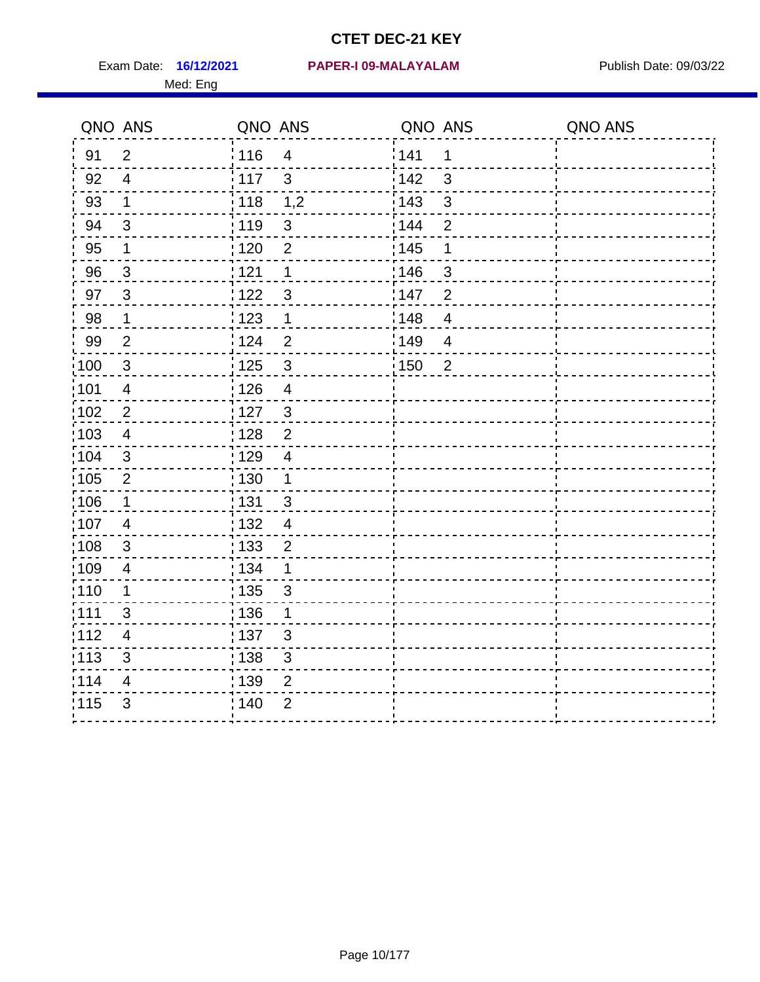Med: Eng

#### **16/12/2021 PAPER-I 09-MALAYALAM** Exam Date: Publish Date: 09/03/22

| QNO ANS           |                           | QNO ANS           |                           | QNO ANS |                         | QNO ANS |
|-------------------|---------------------------|-------------------|---------------------------|---------|-------------------------|---------|
| 91                | 2                         | : 116             | $\overline{\mathcal{A}}$  | 141     | $\mathbf 1$             |         |
| 92                | $\overline{4}$            | $\frac{1}{2}$ 117 | $\mathbf{3}$              | 142     | $\mathbf{3}$            |         |
| 93                | $\mathbf 1$               | 118               | 1,2                       | 143     | $\mathsf 3$             |         |
| 94                | 3                         | : 119             | $\mathfrak{S}$            | : 144   | $\overline{2}$          |         |
| 95                | $\mathbf 1$               | : 120             | $\overline{2}$            | : 145   | 1                       |         |
| 96                | $\mathbf{3}$              | 121               | $\mathbf 1$               | 146     | 3                       |         |
| 97                | $\mathbf{3}$              | 122               | $\mathfrak{B}$            | 147     | $\overline{2}$          |         |
| 98                | $\mathbf 1$               | 1123              | $\mathbf 1$               | 148     | $\overline{4}$          |         |
| 99                | $\overline{2}$            | 124               | $\overline{2}$            | 149     | $\overline{4}$          |         |
| 100               | $\mathbf{3}$              | $\frac{1}{1}$ 125 | $\sqrt{3}$                | 150     | $\overline{\mathbf{2}}$ |         |
| :101              | $\overline{\mathcal{A}}$  | : 126             | $\overline{4}$            |         |                         |         |
| $\frac{1}{1}$ 102 | $\overline{2}$            | : 127             | $\mathbf{3}$              |         |                         |         |
| 103               | 4                         | 128               | $\overline{2}$            |         |                         |         |
| 104               | 3                         | : 129             | $\overline{4}$            |         |                         |         |
| $\frac{1}{1}$ 105 | $\overline{2}$            | : 130             | $\mathbf 1$               |         |                         |         |
| 106               | $\mathbf 1$               | : 131             | 3                         |         |                         |         |
| 107               | $\overline{4}$            | : 132             | $\overline{4}$            |         |                         |         |
| 108               | $\mathbf{3}$              | $\frac{1}{1}$ 133 | $\overline{2}$            |         |                         |         |
| :109              | $\overline{4}$            | : 134             | $\mathbf{1}$              |         |                         |         |
| 110               | $\mathbf 1$               | : 135             | 3                         |         |                         |         |
| : 111             | 3                         | : 136             | 1                         |         |                         |         |
| 112               | 4                         | : 137             | $\mathfrak{S}$            |         |                         |         |
| : 113             | $\ensuremath{\mathsf{3}}$ | : 138             | $\ensuremath{\mathsf{3}}$ |         |                         |         |
| 114               | $\overline{4}$            | : 139             | $\overline{2}$            |         |                         |         |
| 115               | 3                         | : 140             | $\overline{2}$            |         |                         |         |
|                   |                           |                   |                           |         |                         |         |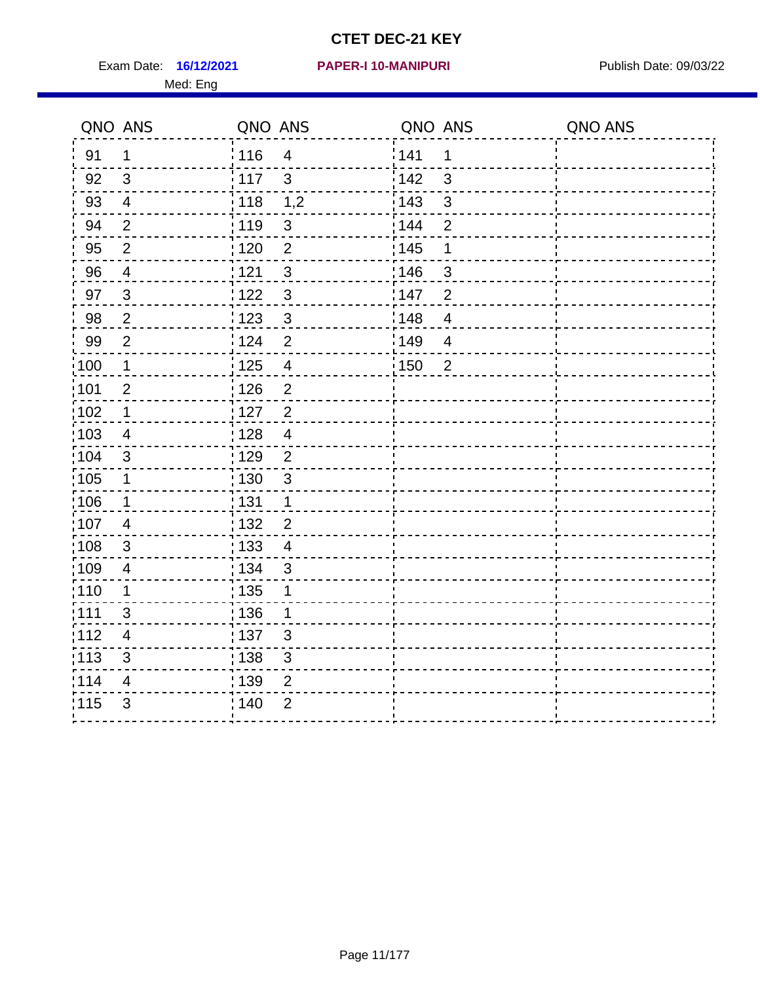Exam Date: 16/12/2021 PAPER-I 10-MANIPURI PREMICLE Publish Date: 09/03/22 Med: Eng

## **16/12/2021 PAPER-I 10-MANIPURI**

|                   | QNO ANS                 | QNO ANS           |                         | QNO ANS |                | QNO ANS |
|-------------------|-------------------------|-------------------|-------------------------|---------|----------------|---------|
| 91                | $\mathbf 1$             | 116               | $\overline{4}$          | 141     | 1              |         |
| 92                | $\mathbf{3}$            | 117               | $\mathbf{3}$            | 142     | $\mathbf{3}$   |         |
| 93                | $\overline{4}$          | : 118             | 1,2                     | 143     | $\mathbf{3}$   |         |
| 94                | $\overline{2}$          | : 119             | $\sqrt{3}$              | 144     | $\overline{2}$ |         |
| 95                | $\sqrt{2}$              | : 120             | $\overline{2}$          | : 145   | 1              |         |
| 96                | 4                       | 121               | 3                       | 146     | $\mathbf{3}$   |         |
| 97                | 3                       | 1122              | $\mathfrak{S}$          | 147     | $\overline{2}$ |         |
| 98                | $\overline{2}$          | 123               | $\mathbf{3}$            | 148     | $\overline{4}$ |         |
| 99                | 2                       | 124               | $\overline{2}$          | 149     | $\overline{4}$ |         |
| :100              | $\mathbf{1}$            | $\frac{1}{2}$ 125 | $\overline{\mathbf{4}}$ | 150     | $\overline{2}$ |         |
| :101              | $\overline{2}$          | : 126             | $\overline{2}$          |         |                |         |
| 102               | $\mathbf 1$             | : 127             | $\overline{2}$          |         |                |         |
| 103               | $\overline{4}$          | : 128             | $\overline{4}$          |         |                |         |
| 104               | $\mathbf{3}$            | : 129             | $\overline{2}$          |         |                |         |
| $\frac{1}{1}$ 105 | $\mathbf 1$             | : 130             | $\sqrt{3}$              |         |                |         |
| :106              | $\mathbf 1$             | : 131             | $\mathbf{1}$            |         |                |         |
| 107               | $\overline{4}$          | : 132             | $\overline{2}$          |         |                |         |
| 108               | $\mathbf{3}$            | : 133             | $\overline{4}$          |         |                |         |
| $\frac{1}{1}$ 109 | $\overline{4}$          | : 134             | $\mathbf{3}$            |         |                |         |
| : 110             | 1                       | : 135             | 1                       |         |                |         |
| :111              | 3                       | :136              | 1                       |         |                |         |
| 112               | $\overline{\mathbf{4}}$ | : 137             | $\sqrt{3}$              |         |                |         |
| : 113             | $\mathfrak{S}$          | : 138             | $\mathsf 3$             |         |                |         |
| 114               | 4                       | 139               | $\overline{2}$          |         |                |         |
| 115               | $\mathfrak{S}$          | : 140             | $\overline{2}$          |         |                |         |
|                   |                         |                   |                         |         |                |         |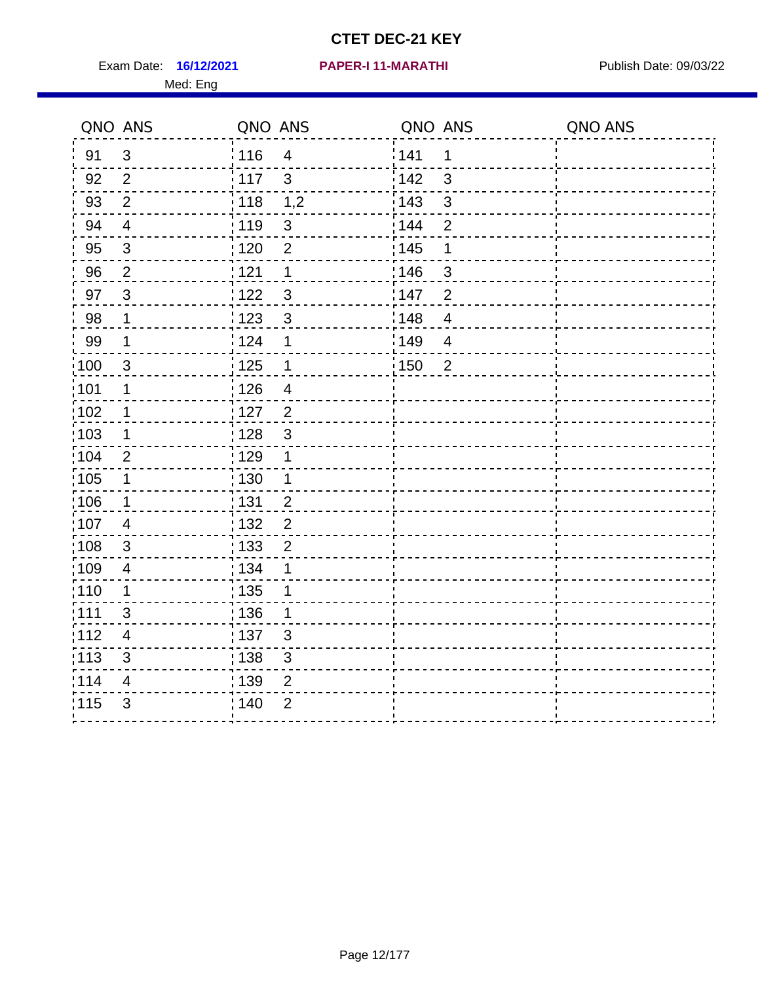Exam Date: 16/12/2021 PAPER-I 11-MARATHI PUBlish Date: 09/03/22 Med: Eng

#### **16/12/2021 PAPER-I 11-MARATHI**

|                   | QNO ANS        | QNO ANS           |                          | QNO ANS |                | QNO ANS |
|-------------------|----------------|-------------------|--------------------------|---------|----------------|---------|
| 91                | $\mathfrak{B}$ | :116              | $\overline{4}$           | 141     | 1              |         |
| 92                | 2              | 117               | $\mathbf{3}$             | 142     | $\mathbf{3}$   |         |
| 93                | $\overline{2}$ | 118               | 1,2                      | 143     | $\mathbf{3}$   |         |
| 94                | $\overline{4}$ | : 119             | $\sqrt{3}$               | 144     | $\overline{2}$ |         |
| 95                | $\sqrt{3}$     | : 120             | $\overline{2}$           | 145     | 1              |         |
| 96                | $\overline{2}$ | 121               | 1                        | 146     | $\mathfrak{S}$ |         |
| 97                | $\mathbf{3}$   | 122               | $\mathfrak{S}$           | 147     | $\overline{2}$ |         |
| 98                | $\mathbf 1$    | $\frac{1}{2}$ 123 | $\mathbf{3}$             | 148     | $\overline{4}$ |         |
| 99                | $\mathbf 1$    | 124               | 1                        | 149     | $\overline{4}$ |         |
| 100               | $\mathbf{3}$   | 125               | $\mathbf 1$              | 150     | $\overline{2}$ |         |
| 101               | $\mathbf 1$    | : 126             | $\overline{\mathcal{A}}$ |         |                |         |
| 102               | $\mathbf 1$    | $127$             | $\overline{2}$           |         |                |         |
| 103               | 1              | : 128             | 3                        |         |                |         |
| $\frac{1}{104}$   | 2              | : 129             | $\mathbf 1$              |         |                |         |
| $\frac{1}{1}$ 105 | $\mathbf 1$    | : 130             | $\mathbf{1}$             |         |                |         |
| :106              | $\mathbf 1$    | : 131             | $\overline{2}$           |         |                |         |
| 107               | $\overline{4}$ | : 132             | $\overline{2}$           |         |                |         |
| $\frac{1}{1}$ 108 | 3              | : 133             | $\overline{2}$           |         |                |         |
| :109              | $\overline{4}$ | : 134             | 1                        |         |                |         |
| : 110             | $\mathbf 1$    | : 135             | 1                        |         |                |         |
| : 111             | 3              | : 136             | 1                        |         |                |         |
| 112               | 4              | : 137             | $\sqrt{3}$               |         |                |         |
| $\frac{1}{1}$ 113 | $\mathfrak{S}$ | : 138             | $\mathfrak{S}$           |         |                |         |
| 114               | 4              | : 139             | 2                        |         |                |         |
| 115               | 3              | 140               | $\overline{2}$           |         |                |         |
|                   |                |                   |                          |         |                |         |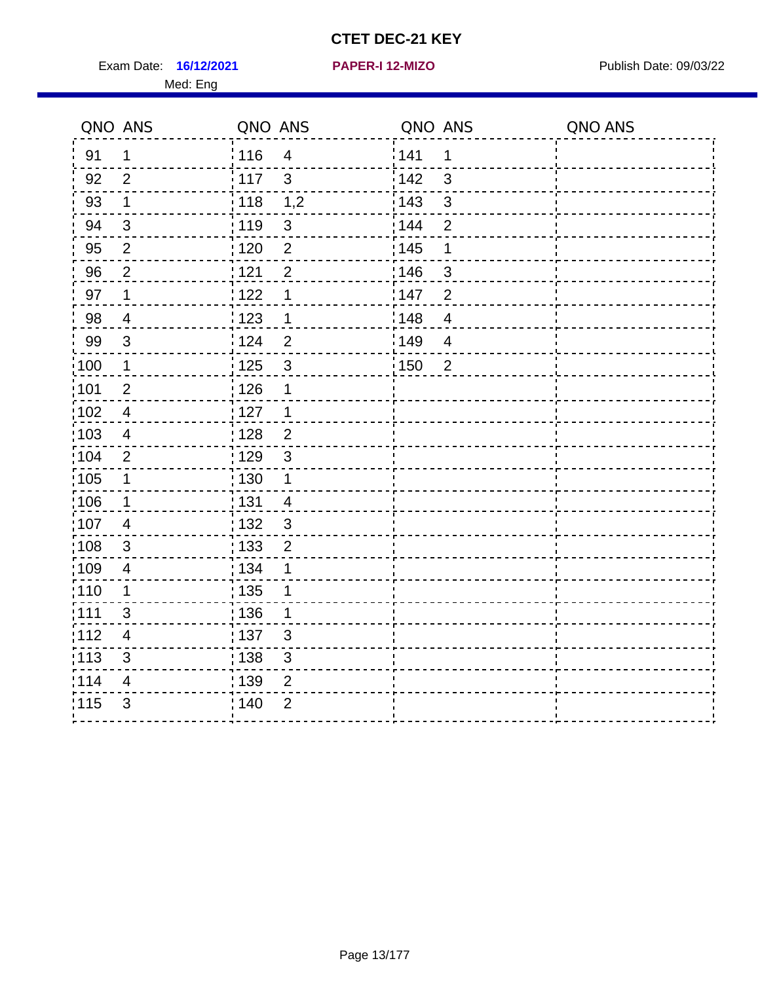Exam Date: 16/12/2021 **PAPER-I 12-MIZO** PUBLISH Date: 09/03/22 Med: Eng

**16/12/2021 PAPER-I 12-MIZO**

| QNO ANS |                         | QNO ANS           |                | QNO ANS |                | QNO ANS |
|---------|-------------------------|-------------------|----------------|---------|----------------|---------|
| 91      | $\mathbf 1$             | : 116             | $\overline{4}$ | 141     | 1              |         |
| 92      | 2                       | : 117             | 3              | 142     | 3              |         |
| 93      | $\mathbf{1}$            | : 118             | 1,2            | 143     | 3              |         |
| 94      | $\mathbf{3}$            | 119               | $\sqrt{3}$     | : 144   | $\overline{2}$ |         |
| 95      | $\overline{2}$          | : 120             | $\overline{2}$ | 145     | 1              |         |
| 96      | $\overline{2}$          | 121               | $\overline{2}$ | 146     | 3              |         |
| 97      | $\mathbf 1$             | 122               | 1              | 147     | $\overline{2}$ |         |
| 98      | $\overline{4}$          | : 123             | 1              | 148     | $\overline{4}$ |         |
| 99      | $\mathfrak{S}$          | 124               | $\overline{2}$ | 149     | $\overline{4}$ |         |
| :100    | $\mathbf 1$             | $\frac{1}{1}$ 125 | $\mathbf{3}$   | 150     | $\overline{2}$ |         |
| :101    | $\overline{2}$          | : 126             | 1              |         |                |         |
| 102     | $\overline{4}$          | : 127             | $\mathbf 1$    |         |                |         |
| 103     | $\overline{4}$          | : 128             | $\overline{2}$ |         |                |         |
| 104     | $\overline{2}$          | : 129             | $\mathbf{3}$   |         |                |         |
| 105     | $\mathbf 1$             | $\frac{1}{1}$ 130 | $\mathbf{1}$   |         |                |         |
| 106     | 1                       | : 131             | $\overline{4}$ |         |                |         |
| :107    | $\overline{4}$          | : 132             | 3              |         |                |         |
| 108     | 3                       | : 133             | $\overline{2}$ |         |                |         |
| :109    | $\overline{4}$          | : 134             | 1              |         |                |         |
| :110    | $\mathbf 1$             | : 135             | 1              |         |                |         |
| : 111   | 3                       | : 136             | 1              |         |                |         |
| 112     | $\overline{4}$          | 137               | 3              |         |                |         |
| : 113   | 3                       | : 138             | $\mathfrak{S}$ |         |                |         |
| 114     | $\overline{\mathbf{4}}$ | : 139             | $\overline{2}$ |         |                |         |
| 115     | 3                       | 140               | $\overline{2}$ |         |                |         |
|         |                         |                   |                |         |                |         |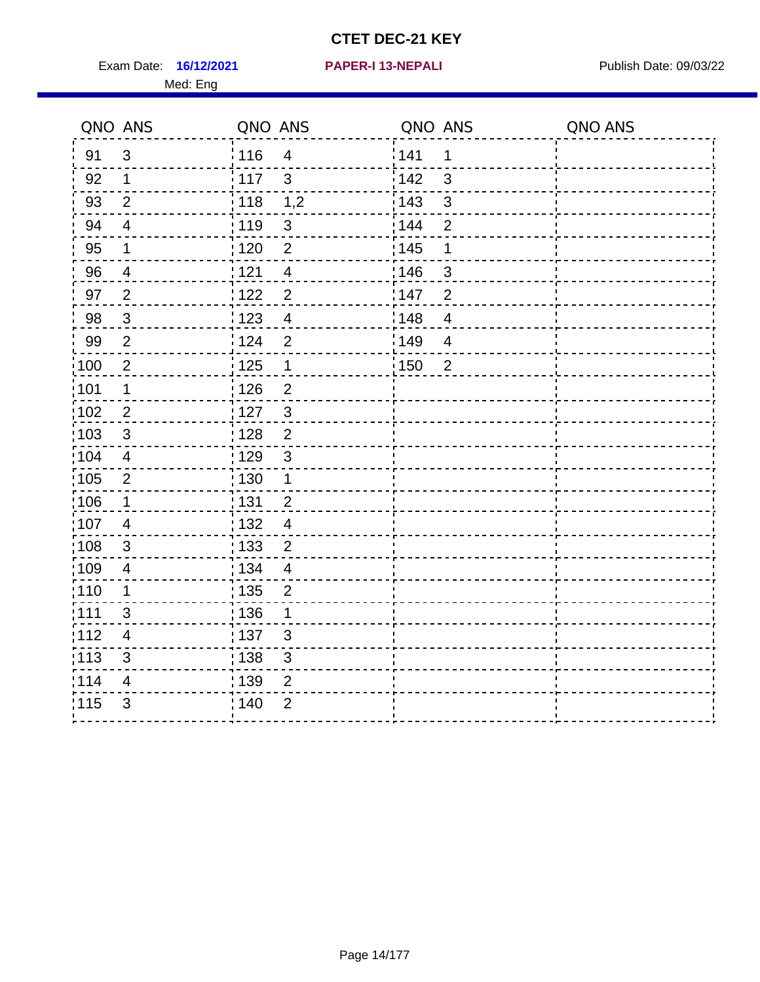Exam Date: 16/12/2021 **PAPER-I 13-NEPALI** Publish Date: 09/03/22 Med: Eng

## **16/12/2021 PAPER-I 13-NEPALI**

|                   | QNO ANS                 | QNO ANS           |                | QNO ANS           |                          | QNO ANS |
|-------------------|-------------------------|-------------------|----------------|-------------------|--------------------------|---------|
| 91                | $\mathfrak{B}$          | :116              | $\overline{4}$ | 141               | 1                        |         |
| 92                | $\mathbf{1}$            | 117               | $\mathbf{3}$   | 142               | 3                        |         |
| 93                | $\overline{2}$          | $\frac{1}{2}$ 118 | 1,2            | 143               | $\mathbf{3}$             |         |
| 94                | $\overline{4}$          | : 119             | $\sqrt{3}$     | 144               | $\overline{2}$           |         |
| 95                | $\mathbf 1$             | $\frac{1}{1}$ 120 | $\overline{2}$ | 145               | 1                        |         |
| 96                | $\overline{4}$          | 121               | $\overline{4}$ | 146               | 3                        |         |
| 97                | $\overline{2}$          | :122              | $\overline{2}$ | 147               | $\overline{2}$           |         |
| 98                | $\mathbf{3}$            | 123               | $\overline{4}$ | $\frac{1}{2}$ 148 | $\overline{4}$           |         |
| 99                | $\overline{2}$          | 124               | $\overline{2}$ | 149               | $\overline{\mathcal{A}}$ |         |
| $\frac{1}{1}$ 100 | $\sqrt{2}$              | 125               | $\mathbf 1$    | $\frac{1}{1}$ 150 | $\overline{2}$           |         |
| :101              | $\mathbf 1$             | 126               | $\overline{2}$ |                   |                          |         |
| :102              | $\overline{2}$          | : 127             | $\mathbf{3}$   |                   |                          |         |
| $\frac{1}{1}$ 103 | 3                       | : 128             | $\overline{2}$ |                   |                          |         |
| 104               | $\overline{4}$          | : 129             | $\mathbf{3}$   |                   |                          |         |
| :105              | $\boldsymbol{2}$        | $\frac{1}{1}$ 130 | $\mathbf{1}$   |                   |                          |         |
| 106               | $\mathbf 1$             | : 131             | $\overline{2}$ |                   |                          |         |
| :107              | $\overline{4}$          | :132              | $\overline{4}$ |                   |                          |         |
| 108               | $\mathbf{3}$            | : 133             | $\overline{2}$ |                   |                          |         |
| :109              | $\overline{4}$          | : 134             | $\overline{4}$ |                   |                          |         |
| : 110             | 1                       | : 135             | $\overline{2}$ |                   |                          |         |
| :111              | 3                       | : 136             | 1              |                   |                          |         |
| 112               | $\overline{\mathbf{4}}$ | : 137             | $\sqrt{3}$     |                   |                          |         |
| : 113             | $\mathfrak{S}$          | : 138             | $\sqrt{3}$     |                   |                          |         |
| 114               | 4                       | 139               | $\overline{2}$ |                   |                          |         |
| 115               | $\mathfrak{B}$          | : 140             | $\overline{2}$ |                   |                          |         |
|                   |                         |                   |                |                   |                          |         |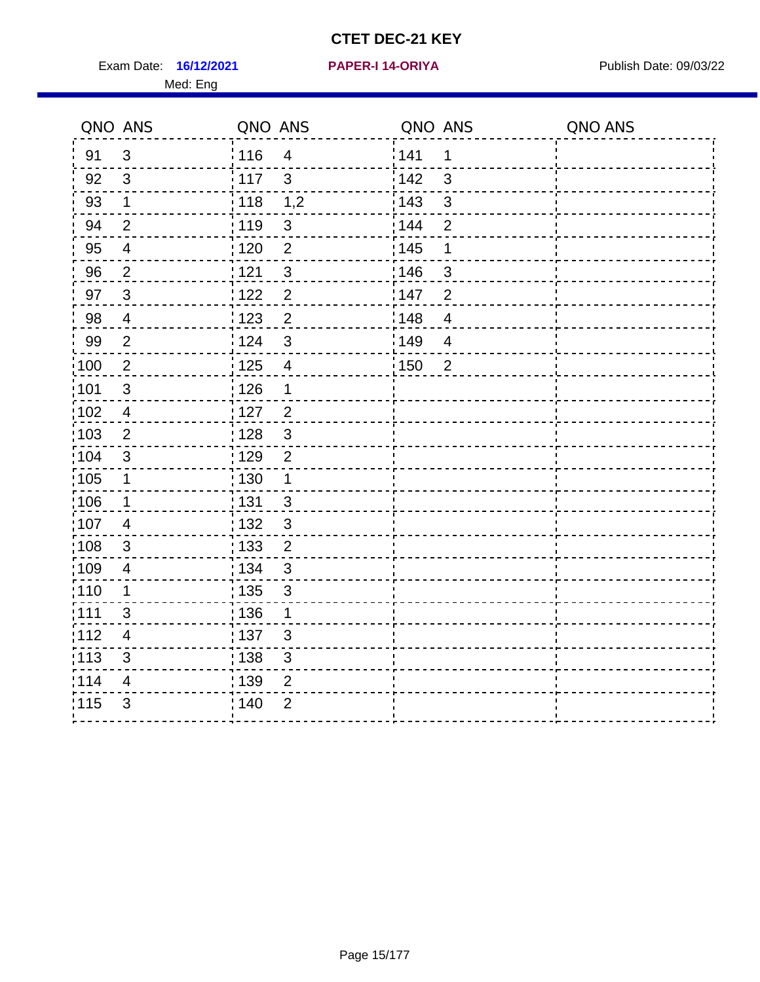Exam Date: 16/12/2021 PAPER-I 14-ORIYA Publish Date: 09/03/22 Med: Eng

### **16/12/2021 PAPER-I 14-ORIYA**

|                   | QNO ANS                  | QNO ANS           |                | QNO ANS           |                | QNO ANS |
|-------------------|--------------------------|-------------------|----------------|-------------------|----------------|---------|
| 91                | 3                        | : 116             | $\overline{4}$ | 1141              | 1              |         |
| 92                | 3                        | : 117             | $\mathbf{3}$   | 142               | 3              |         |
| 93                | $\mathbf 1$              | 118               | 1,2            | 143               | 3              |         |
| 94                | $\overline{2}$           | : 119             | $\mathfrak{S}$ | 144               | $\overline{2}$ |         |
| 95                | $\overline{\mathbf{4}}$  | : 120             | $\overline{2}$ | : 145             | 1              |         |
| 96                | $\overline{2}$           | 1121              | $\mathfrak{S}$ | 146               | 3              |         |
| 97                | $\mathbf{3}$             | 122               | $\overline{2}$ | 147               | $\overline{2}$ |         |
| 98                | $\overline{\mathcal{A}}$ | 123               | $\overline{2}$ | 148               | $\overline{4}$ |         |
| 99                | $\overline{2}$           | 124               | 3              | 149               | $\overline{4}$ |         |
| $\frac{1}{1}$ 100 | $\overline{2}$           | $\frac{1}{1}$ 125 | $\overline{4}$ | $\frac{1}{1}$ 150 | $\overline{2}$ |         |
| 101               | $\mathsf 3$              | : 126             | $\mathbf 1$    |                   |                |         |
| 102               | $\overline{4}$           | : 127             | $\overline{2}$ |                   |                |         |
| :103              | $\overline{2}$           | : 128             | $\mathbf{3}$   |                   |                |         |
| 104               | 3                        | : 129             | $\overline{2}$ |                   |                |         |
| :105              | 1                        | $\frac{1}{1}$ 130 | $\mathbf{1}$   |                   |                |         |
| 106               | $\mathbf 1$              | : 131             | 3              |                   |                |         |
| 107               | 4                        | : 132             | $\mathbf{3}$   |                   |                |         |
| $\frac{1}{1}$ 108 | $\mathfrak{B}$           | 133               | $\overline{2}$ |                   |                |         |
| :109              | $\overline{\mathbf{4}}$  | : 134             | $\mathbf{3}$   |                   |                |         |
| :110              | 1                        | : 135             | 3              |                   |                |         |
| :111              | 3                        | : 136             | $\mathbf{1}$   |                   |                |         |
| 112               | 4                        | : 137             | $\mathfrak{S}$ |                   |                |         |
| : 113             | 3                        | 138               | $\mathfrak{B}$ |                   |                |         |
| 114               | 4                        | 139               | $\overline{2}$ |                   |                |         |
| 115               | 3                        | 140               | $\overline{2}$ |                   |                |         |
|                   |                          |                   |                |                   |                |         |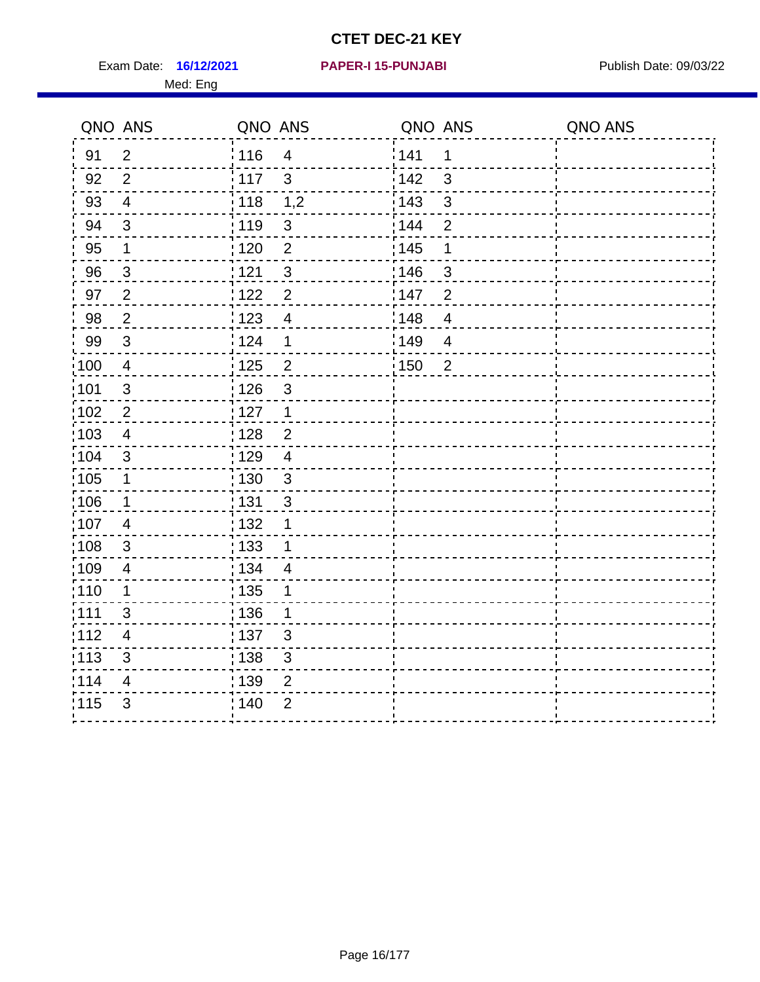Exam Date: 16/12/2021 **PAPER-I 15-PUNJABI** Publish Date: 09/03/22 Med: Eng

## **16/12/2021 PAPER-I 15-PUNJABI**

|                   | QNO ANS                 | QNO ANS                             | QNO ANS                 | QNO ANS |
|-------------------|-------------------------|-------------------------------------|-------------------------|---------|
| 91                | 2                       | 116<br>$\overline{4}$               | 141<br>1                |         |
| 92                | 2                       | 117<br>$\mathbf{3}$                 | 142<br>3                |         |
| 93                | $\overline{4}$          | 118<br>1,2                          | 143<br>3                |         |
| 94                | 3                       | : 119<br>$\sqrt{3}$                 | 144<br>$\overline{2}$   |         |
| 95                | $\mathbf 1$             | $\overline{2}$<br>120               | : 145<br>1              |         |
| 96                | $\mathbf{3}$            | 121<br>3                            | 146<br>3                |         |
| 97                | 2                       | $\overline{2}$<br>1122              | 147<br>$\overline{2}$   |         |
| 98                | $\overline{2}$          | 123<br>$\overline{4}$               | 148<br>$\overline{4}$   |         |
| 99                | 3                       | 124<br>1                            | 149<br>$\overline{4}$   |         |
| $\frac{1}{1}$ 100 | $\overline{4}$          | $\frac{1}{1}$ 125<br>$\overline{c}$ | : 150<br>$\overline{2}$ |         |
| 101               | $\sqrt{3}$              | : 126<br>3                          |                         |         |
| $\frac{1}{1}$ 102 | $\overline{2}$          | : 127<br>$\mathbf{1}$               |                         |         |
| 103               | $\overline{4}$          | : 128<br>$\overline{2}$             |                         |         |
| :104              | 3                       | : 129<br>$\overline{4}$             |                         |         |
| 105               | $\mathbf 1$             | : 130<br>$\mathbf{3}$               |                         |         |
| 106               | $\mathbf 1$             | : 131<br>3                          |                         |         |
| 107               | $\overline{4}$          | : 132<br>1                          |                         |         |
| 108               | 3                       | : 133<br>1                          |                         |         |
| :109              | $\overline{\mathbf{4}}$ | : 134<br>$\overline{4}$             |                         |         |
| : 110             | $\mathbf 1$             | : 135<br>1                          |                         |         |
| :111              | 3                       | : 136<br>1                          |                         |         |
| :112              | $\overline{4}$          | : 137<br>3                          |                         |         |
| $\frac{1}{1}$ 113 | 3                       | : 138<br>$\sqrt{3}$                 |                         |         |
| 114               | 4                       | 139<br>$\overline{2}$               |                         |         |
| 115               | 3                       | : 140<br>$\overline{2}$             |                         |         |
|                   |                         |                                     |                         |         |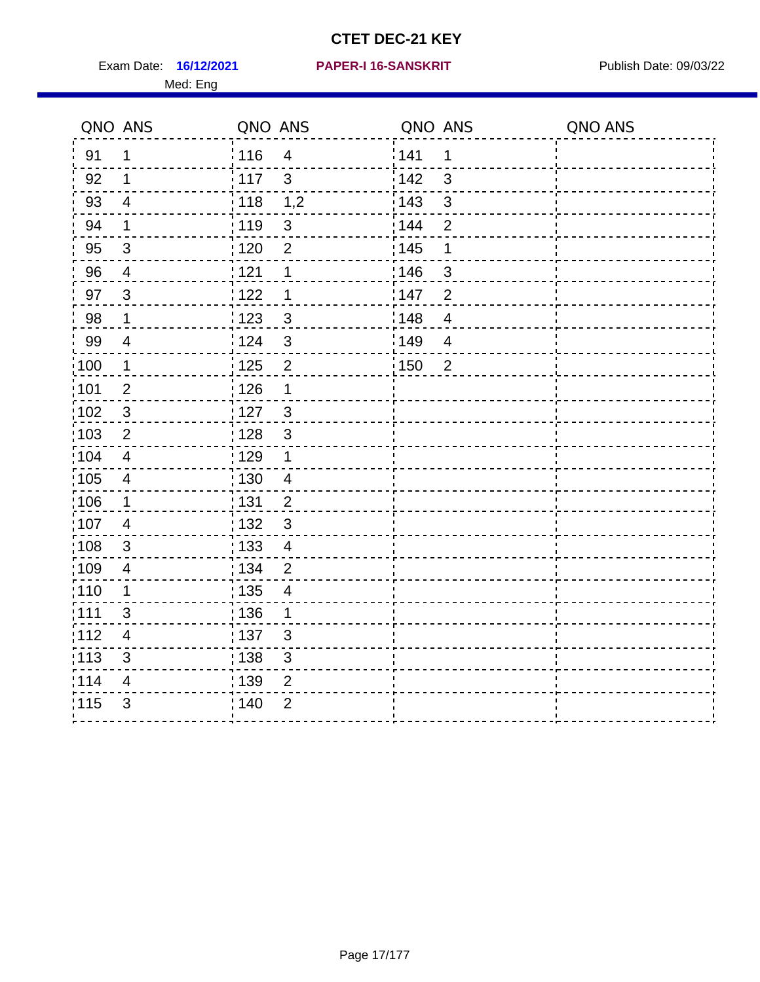Exam Date: 16/12/2021 PAPER-I 16-SANSKRIT Publish Date: 09/03/22 Med: Eng

## **PAPER-I 16-SANSKRIT**

|                   | QNO ANS                  | QNO ANS           |                         | QNO ANS |                | QNO ANS |
|-------------------|--------------------------|-------------------|-------------------------|---------|----------------|---------|
| 91                | 1                        | 116               | $\overline{4}$          | 141     | 1              |         |
| 92                | 1                        | 117               | $\mathbf{3}$            | 142     | 3              |         |
| 93                | $\overline{4}$           | : 118             | 1,2                     | 143     | $\mathfrak{3}$ |         |
| 94                | $\mathbf 1$              | : 119             | $\sqrt{3}$              | 144     | $\overline{2}$ |         |
| 95                | $\sqrt{3}$               | : 120             | $\overline{2}$          | : 145   | 1              |         |
| 96                | $\overline{4}$           | 121               | 1                       | 146     | 3              |         |
| 97                | 3                        | 122               | 1                       | 147     | $\overline{2}$ |         |
| 98                | $\mathbf 1$              | ¦ 123             | $\mathbf{3}$            | 148     | $\overline{4}$ |         |
| 99                | $\overline{4}$           | 124               | 3                       | 149     | $\overline{4}$ |         |
| $\frac{1}{1}$ 100 | $\mathbf 1$              | 125               | $\overline{2}$          | 150     | $\overline{2}$ |         |
| :101              | $\mathbf{2}$             | 126               | $\mathbf 1$             |         |                |         |
| $\frac{1}{1}$ 102 | $\sqrt{3}$               | : 127             | $\mathbf{3}$            |         |                |         |
| 103               | $\overline{2}$           | : 128             | 3                       |         |                |         |
| 104               | $\overline{4}$           | : 129             | $\mathbf 1$             |         |                |         |
| $\frac{1}{1}$ 105 | $\overline{\mathcal{A}}$ | : 130             | $\overline{4}$          |         |                |         |
| 106               | $\mathbf{1}$             | : 131             | $\overline{2}$          |         |                |         |
| 107               | $\overline{4}$           | : 132             | $\mathbf{3}$            |         |                |         |
| 108               | 3                        | : 133             | $\overline{4}$          |         |                |         |
| 109               | $\overline{4}$           | : 134             | $\overline{2}$          |         |                |         |
| 110               | 1                        | $\frac{1}{1}$ 135 | $\overline{\mathbf{4}}$ |         |                |         |
| 111               | 3                        | : 136             | 1                       |         |                |         |
| 112               | $\overline{4}$           | : 137             | 3                       |         |                |         |
| $\frac{1}{1}$ 113 | $\sqrt{3}$               | : 138             | $\mathbf{3}$            |         |                |         |
| 114               | 4                        | : 139             | $\overline{2}$          |         |                |         |
| 115               | $\mathfrak{B}$           | 140               | $\overline{2}$          |         |                |         |
|                   |                          |                   |                         |         |                |         |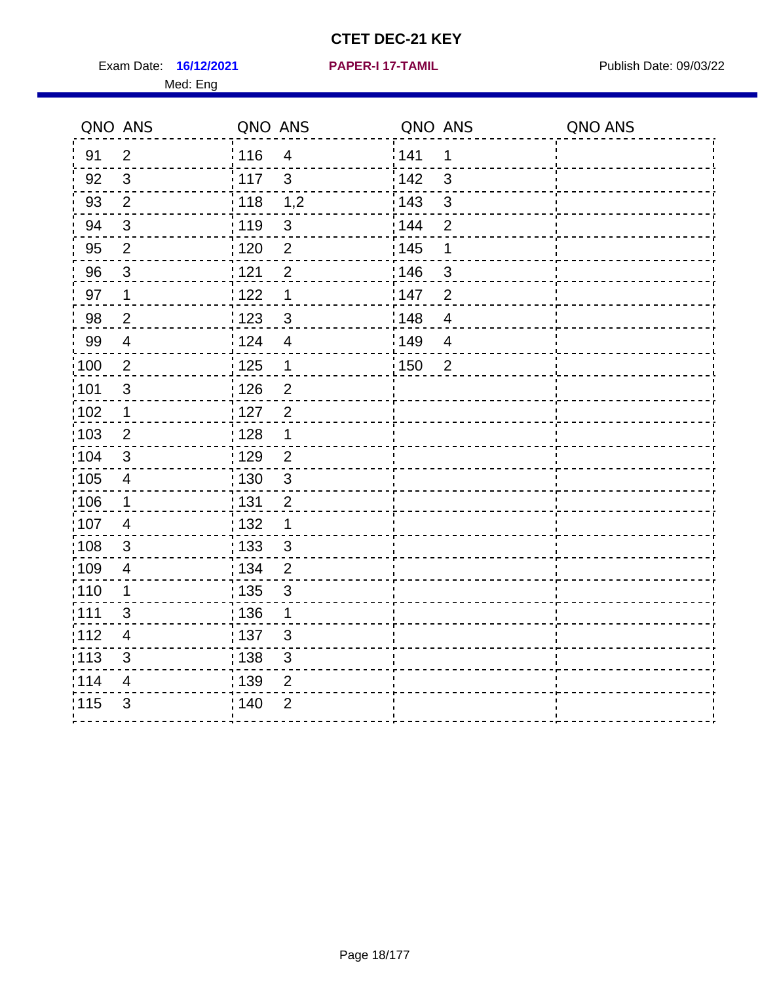**16/12/2021 PAPER-I 17-TAMIL**

Exam Date: 16/12/2021 **PAPER-I 17-TAMIL Exam Date: 09/03/22** Med: Eng

| QNO ANS           |                           | QNO ANS |                         | QNO ANS           |                | QNO ANS |
|-------------------|---------------------------|---------|-------------------------|-------------------|----------------|---------|
| 91                | $\overline{2}$            | 116     | $\overline{\mathbf{4}}$ | 141               | 1              |         |
| 92                | $\mathbf{3}$              | 117     | $\mathfrak{S}$          | 142               | $\mathfrak{S}$ |         |
| 93                | $\overline{2}$            | 118     | 1,2                     | 143               | $\mathfrak{S}$ |         |
| 94                | $\sqrt{3}$                | : 119   | $\sqrt{3}$              | 144               | $\overline{2}$ |         |
| 95                | $\overline{2}$            | : 120   | $\overline{2}$          | : 145             | 1              |         |
| 96                | $\mathbf{3}$              | 1121    | $\overline{2}$          | 146               | 3              |         |
| 97                | $\mathbf 1$               | 122     | $\mathbf 1$             | 147               | $\overline{2}$ |         |
| 98                | $\overline{c}$            | 123     | $\mathbf{3}$            | 148               | $\overline{4}$ |         |
| 99                | $\overline{\mathcal{A}}$  | 124     | $\overline{4}$          | 149               | $\overline{4}$ |         |
| $\frac{1}{1}$ 100 | $\overline{2}$            | 125     | $\mathbf{1}$            | $\frac{1}{1}$ 150 | $\overline{2}$ |         |
| :101              | $\sqrt{3}$                | 126     | $\overline{2}$          |                   |                |         |
| $\frac{1}{1}$ 102 | $\mathbf 1$               | : 127   | $\overline{2}$          |                   |                |         |
| 103               | 2                         | : 128   | $\mathbf 1$             |                   |                |         |
| :104              | 3                         | :129    | $\overline{2}$          |                   |                |         |
| $\frac{1}{1}$ 105 | $\overline{4}$            | 130     | $\mathbf{3}$            |                   |                |         |
| 106               | $\mathbf 1$               | : 131   | $\overline{2}$          |                   |                |         |
| 107               | $\overline{4}$            | : 132   | 1                       |                   |                |         |
| 108               | 3                         | 133     | 3                       |                   |                |         |
| :109              | $\overline{\mathcal{A}}$  | : 134   | $\overline{2}$          |                   |                |         |
| :110              | $\mathbf 1$               | : 135   | 3                       |                   |                |         |
| :111              | 3                         | :136    | $\mathbf 1$             |                   |                |         |
| 112               | $\overline{4}$            | :137    | 3                       |                   |                |         |
| $\frac{1}{1}$ 113 | $\ensuremath{\mathsf{3}}$ | : 138   | $\mathsf 3$             |                   |                |         |
| 114               | 4                         | 139     | $\overline{2}$          |                   |                |         |
| 115               | 3                         | 140     | $\overline{2}$          |                   |                |         |
|                   |                           |         |                         |                   |                |         |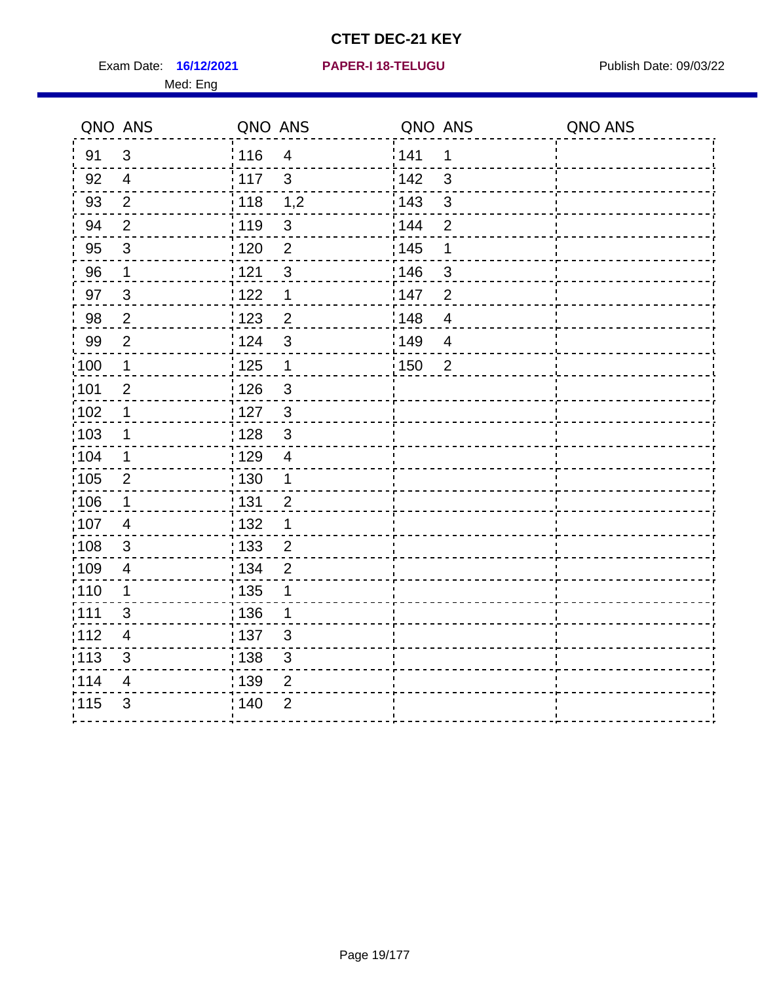**16/12/2021 PAPER-I 18-TELUGU** Exam Date: Publish Date: 09/03/22

# Med: Eng

|  |  |  |  |  |  | <b>PAPER-I 18-TELUGU</b> |  |
|--|--|--|--|--|--|--------------------------|--|
|  |  |  |  |  |  |                          |  |

|                   | QNO ANS                   | QNO ANS                                      | QNO ANS                 | QNO ANS |
|-------------------|---------------------------|----------------------------------------------|-------------------------|---------|
| 91                | $\mathfrak{B}$            | <sup>'</sup> 116<br>$\overline{\mathcal{A}}$ | 141<br>$\mathbf 1$      |         |
| 92                | $\overline{4}$            | 117<br>$\mathfrak{S}$                        | $142$<br>3              |         |
| 93                | $\overline{2}$            | : 118<br>1,2                                 | : 143<br>3              |         |
| 94                | $\overline{2}$            | : 119<br>3                                   | $\overline{2}$<br>: 144 |         |
| 95                | $\mathfrak{B}$            | :120<br>$\overline{2}$                       | : 145<br>$\mathbf 1$    |         |
| 96                | $\mathbf 1$               | 121<br>$\mathfrak{S}$                        | :146<br>$\mathbf{3}$    |         |
| 97                | $\sqrt{3}$                | 122<br>1                                     | 147<br>$\overline{2}$   |         |
| 98                | $\overline{2}$            | $\frac{1}{2}$ 123<br>$\overline{c}$          | 148<br>$\overline{4}$   |         |
| 99                | $\overline{2}$            | i 124<br>$\mathfrak{S}$                      | 149<br>4                |         |
| $\frac{1}{1}$ 100 | $\mathbf 1$               | $\frac{1}{1}$ 125<br>$\mathbf{1}$            | 150<br>$\overline{2}$   |         |
| :101              | $\overline{2}$            | $\frac{1}{126}$<br>$\mathfrak{S}$            |                         |         |
| 102               | 1                         | :127<br>$\sqrt{3}$                           |                         |         |
| :103              | $\mathbf 1$               | $\sqrt{3}$<br>128                            |                         |         |
| :104              | 1                         | $\frac{1}{1}$ 129<br>$\overline{4}$          |                         |         |
| 105               | $\overline{2}$            | : 130                                        |                         |         |
| 106               | 1                         | : 131<br>$\overline{2}$                      |                         |         |
| 107               | $\overline{4}$            | 132<br>1                                     |                         |         |
| $\frac{1}{1}$ 108 | $\ensuremath{\mathsf{3}}$ | $\frac{1}{1}$ 133<br>$\overline{c}$          |                         |         |
| :109              | $\overline{\mathbf{4}}$   | : 134<br>$\overline{2}$                      |                         |         |
| 110               | 1                         | : 135                                        |                         |         |
| 111               | 3                         | : 136<br>1                                   |                         |         |
| 112               | $\overline{\mathcal{A}}$  | $\frac{1}{1}$ 137<br>3                       |                         |         |
| : 113             | $\mathfrak{S}$            | ,138<br>$\mathfrak{S}$                       |                         |         |
| 114               | 4                         | : 139<br>$\overline{2}$                      |                         |         |
| 115               | 3                         | 140<br>$\overline{2}$                        |                         |         |
|                   |                           |                                              |                         |         |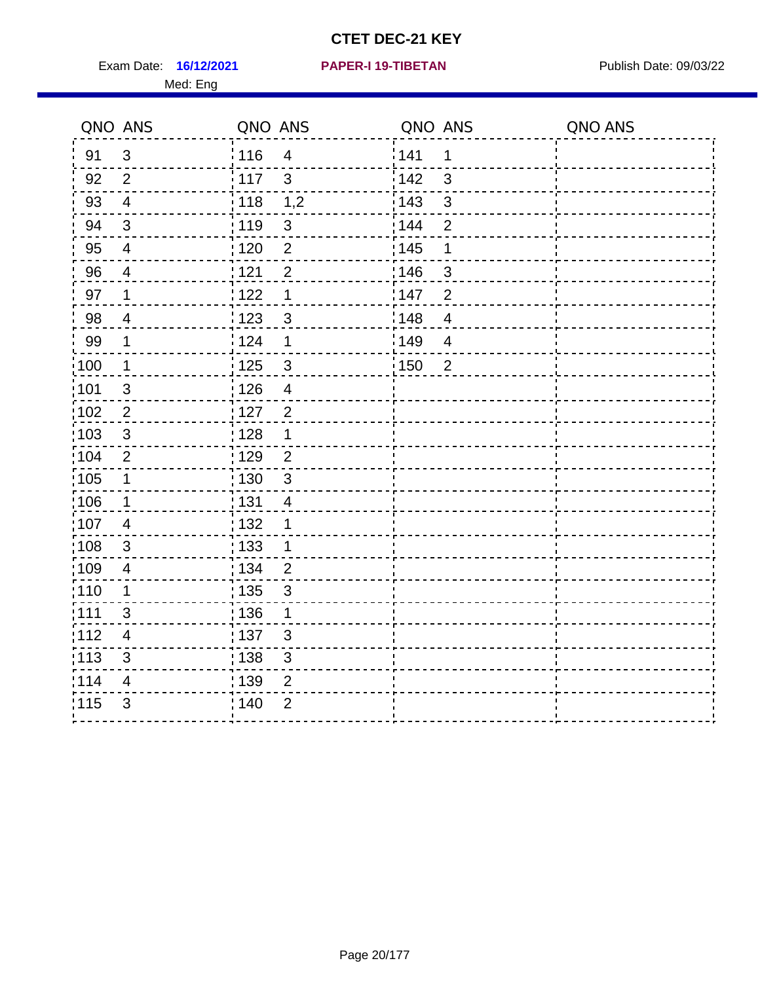Exam Date: 16/12/2021 **PAPER-I 19-TIBETAN** Publish Date: 09/03/22 Med: Eng

## **16/12/2021 PAPER-I 19-TIBETAN**

|                   | QNO ANS        | QNO ANS                 | QNO ANS               | QNO ANS |
|-------------------|----------------|-------------------------|-----------------------|---------|
| 91                | 3              | 116<br>$\overline{4}$   | 141<br>1              |         |
| 92                | $\overline{2}$ | 117<br>$\mathbf{3}$     | 142<br>3              |         |
| 93                | $\overline{4}$ | : 118<br>1,2            | 143<br>$\mathbf{3}$   |         |
| 94                | $\mathfrak{B}$ | 119<br>$\sqrt{3}$       | 144<br>$\overline{2}$ |         |
| 95                | $\overline{4}$ | $\overline{2}$<br>: 120 | : 145<br>1            |         |
| 96                | $\overline{4}$ | 121<br>$\overline{2}$   | 146<br>3              |         |
| 97                | 1              | 1122<br>1               | 147<br>$\overline{2}$ |         |
| 98                | $\overline{4}$ | 123<br>$\sqrt{3}$       | 148<br>$\overline{4}$ |         |
| 99                | $\mathbf 1$    | 124<br>1                | 149<br>$\overline{4}$ |         |
| 100               | $\mathbf 1$    | 125<br>$\mathfrak{S}$   | 150<br>$\overline{2}$ |         |
| 101               | $\mathfrak{S}$ | : 126<br>$\overline{4}$ |                       |         |
| :102              | $\overline{2}$ | $\overline{2}$<br>: 127 |                       |         |
| 103               | 3              | : 128<br>1              |                       |         |
| :104              | $\overline{2}$ | : 129<br>$\overline{2}$ |                       |         |
| $\frac{1}{1}$ 105 | $\mathbf 1$    | $\mathfrak{3}$<br>: 130 |                       |         |
| 106               | $\mathbf 1$    | : 131<br>$\overline{4}$ |                       |         |
| 107               | 4              | : 132<br>1              |                       |         |
| 108               | 3              | : 133<br>1              |                       |         |
| 109               | 4              | : 134<br>$\overline{2}$ |                       |         |
| 110               | $\mathbf 1$    | : 135<br>$\mathsf 3$    |                       |         |
| :111              | 3              | : 136<br>1              |                       |         |
| 112               | $\overline{4}$ | :137<br>$\mathbf{3}$    |                       |         |
| :113              | 3              | : 138<br>$\sqrt{3}$     |                       |         |
| 114               | 4              | 139<br>$\overline{2}$   |                       |         |
| 115               | 3              | ; 140<br>$\overline{2}$ |                       |         |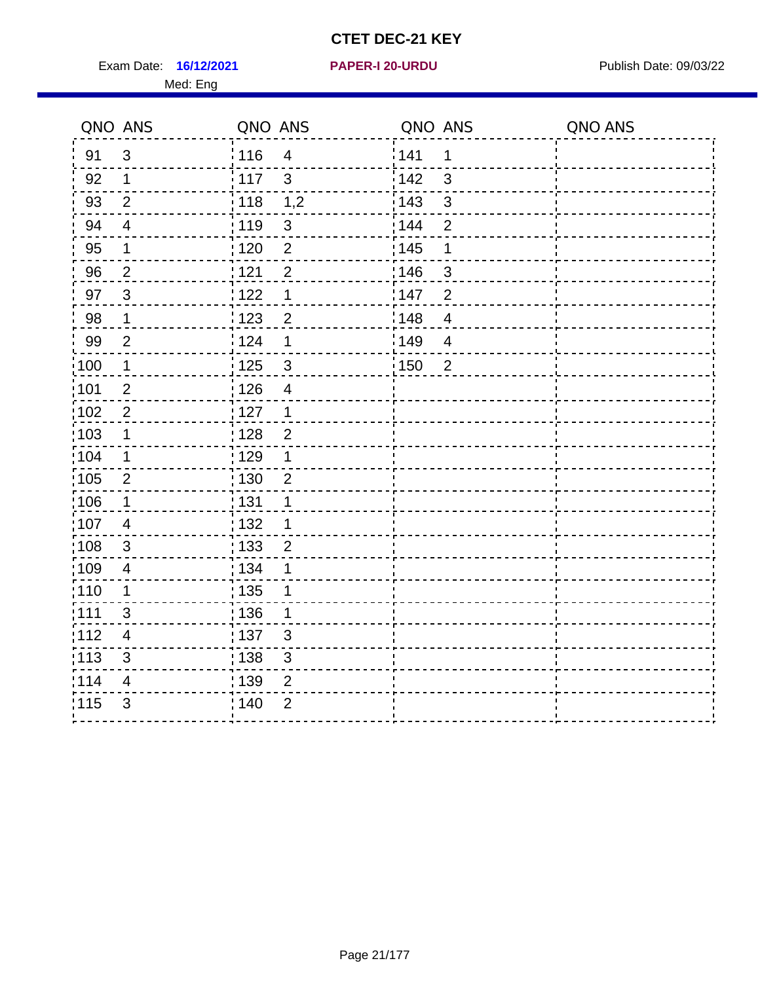Exam Date: 16/12/2021 **PAPER-I 20-URDU** PAPER 120-VERSIVE Publish Date: 09/03/22

## **16/12/2021 PAPER-I 20-URDU**

Med: Eng

|                  | QNO ANS        | QNO ANS           |                | QNO ANS           |                         | QNO ANS |
|------------------|----------------|-------------------|----------------|-------------------|-------------------------|---------|
| 91               | 3              | 116               | $\overline{4}$ | 141               | 1                       |         |
| 92               | $\mathbf 1$    | 117               | $\mathbf{3}$   | 142               | $\mathbf{3}$            |         |
| 93               | 2              | 118               | 1,2            | 143               | $\mathfrak{S}$          |         |
| 94               | $\overline{4}$ | 119               | $\sqrt{3}$     | 144               | $\overline{2}$          |         |
| 95               | $\mathbf 1$    | 120               | $\overline{2}$ | $\frac{1}{1}$ 145 | 1                       |         |
| 96               | $\overline{2}$ | 121               | $\overline{2}$ | 146               | 3                       |         |
| 97               | $\mathbf{3}$   | 122               | 1              | 147               | $\overline{2}$          |         |
| 98               | $\mathbf 1$    | 123               | $\overline{2}$ | 148               | $\overline{\mathbf{4}}$ |         |
| 99               | $\overline{2}$ | 124               | 1              | ¦ 149             | $\overline{\mathbf{4}}$ |         |
| $\frac{1}{2}100$ | $\mathbf 1$    | 125               | $\mathbf{3}$   | $\frac{1}{1}$ 150 | $\overline{2}$          |         |
| 101              | $\sqrt{2}$     | 126               | $\overline{4}$ |                   |                         |         |
| 102              | $\overline{2}$ | :127              | $\mathbf 1$    |                   |                         |         |
| 103              | 1              | $\frac{1}{1}$ 128 | $\overline{2}$ |                   |                         |         |
| 104              | 1              | : 129             | 1              |                   |                         |         |
| ;105             | $\overline{2}$ | : 130             | $\overline{2}$ |                   |                         |         |
| 106              | $\mathbf{1}$   | $\frac{1}{1}$ 131 | 1              |                   |                         |         |
| 107              | 4              | : 132             | 1              |                   |                         |         |
| 108              | 3              | : 133             | 2              |                   |                         |         |
| :109             | 4              | : 134             | 1              |                   |                         |         |
| :110             | 1              | : 135             | 1              |                   |                         |         |
| : 111            | $\mathfrak{S}$ | : 136             | 1              |                   |                         |         |
| 112              | 4              | :137              | 3              |                   |                         |         |
| 113              | 3              | : 138             | 3              |                   |                         |         |
| 114              | $\overline{4}$ | : 139             | $\mathbf 2$    |                   |                         |         |
| 115              | $\mathfrak{S}$ | 140               | $\overline{2}$ |                   |                         |         |
|                  |                |                   |                |                   |                         |         |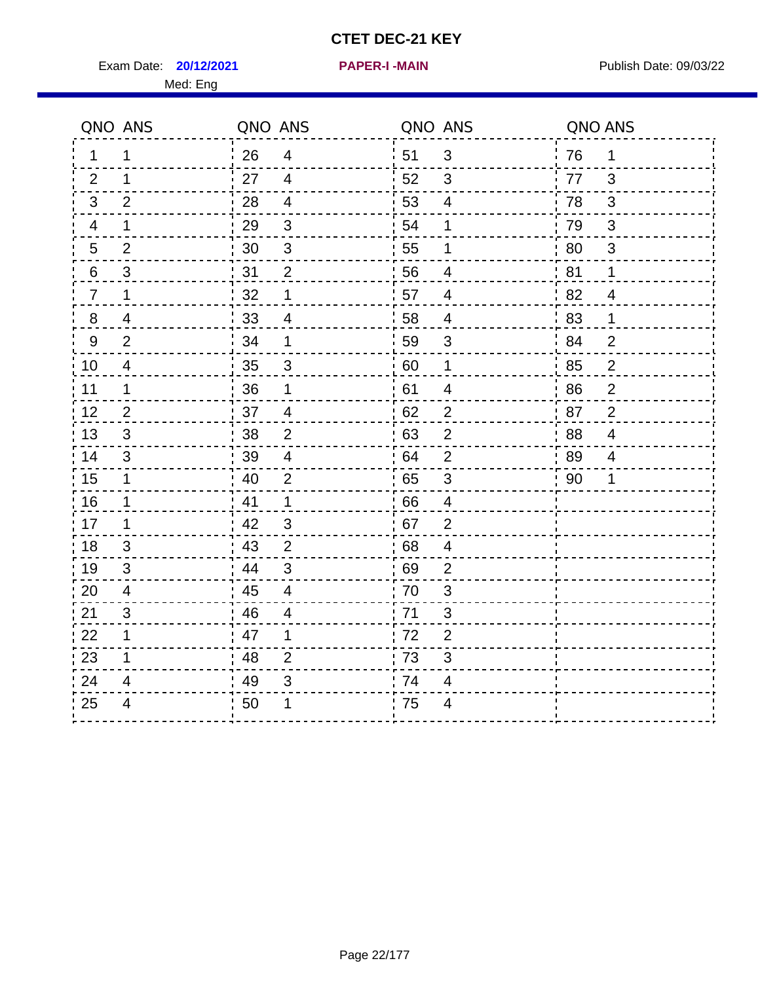Exam Date: **20/12/2021 PAPER-I-MAIN PROVIDED:** Publish Date: 09/03/22 Med: Eng

|                  | QNO ANS                  | QNO ANS |                           | QNO ANS |                          | QNO ANS |                |
|------------------|--------------------------|---------|---------------------------|---------|--------------------------|---------|----------------|
| 1                | 1                        | 26      | $\overline{4}$            | 51      | 3                        | 76      | $\mathbf 1$    |
| 2                | 1                        | 27      | $\overline{4}$            | 52      | 3                        | 77      | 3              |
| 3                | $\overline{2}$           | 28      | $\overline{4}$            | 53      | $\overline{4}$           | 78      | $\mathfrak{B}$ |
| 4                | 1                        | 29      | $\mathfrak{S}$            | 54      | 1                        | 79      | 3              |
| 5                | $\overline{2}$           | 30      | $\ensuremath{\mathsf{3}}$ | 55      | 1                        | 80      | $\sqrt{3}$     |
| 6                | 3                        | 31      | $\overline{2}$            | 56      | 4                        | 81      | 1              |
| $\overline{7}$   | 1                        | 32      | $\mathbf 1$               | 57      | 4                        | 82      | 4              |
| 8                | 4                        | 33      | $\overline{4}$            | 58      | $\overline{4}$           | 83      | 1              |
| $\boldsymbol{9}$ | $\overline{2}$           | 34      | 1                         | 59      | 3                        | 84      | $\overline{2}$ |
| 10               | $\overline{\mathcal{A}}$ | 35      | $\sqrt{3}$                | 60      | $\mathbf 1$              | 85      | $\overline{c}$ |
| 11               | $\mathbf 1$              | 36      | $\mathbf 1$               | 61      | $\overline{\mathcal{A}}$ | 86      | $\mathbf 2$    |
| 12               | $\overline{2}$           | 37      | $\overline{\mathbf{4}}$   | 62      | $\mathbf 2$              | 87      | $\overline{2}$ |
| 13               | 3                        | 38      | $\overline{2}$            | 63      | $\overline{2}$           | 88      | 4              |
| 14               | 3                        | 39      | $\overline{4}$            | 64      | $\overline{2}$           | 89      | 4              |
| 15               | $\mathbf 1$              | 40      | $\overline{2}$            | 65      | $\sqrt{3}$               | 90      | 1              |
| 16               | 1                        | 41      | $\mathbf{1}$              | 66      | $\overline{4}$           |         |                |
| 17               | 1                        | 42      | 3                         | 67      | 2                        |         |                |
| 18               | 3                        | 43      | $\overline{2}$            | 68      | 4                        |         |                |
| 19               | 3                        | 44      | 3                         | 69      | $\overline{2}$           |         |                |
| 20               | $\overline{4}$           | 45      | $\overline{4}$            | 70      | $\mathfrak{S}$           |         |                |
| 21               | 3                        | 46      | 4                         | 71      | 3                        |         |                |
| 22               | $\mathbf 1$              | 47      | $\mathbf 1$               | 72      | $\overline{2}$           |         |                |
| 23               | 1                        | 48      | $\overline{2}$            | 73      | 3                        |         |                |
| 24               | 4                        | 49      | 3                         | 74      | 4                        |         |                |
| 25               | 4                        | 50      | 1                         | 75      | $\overline{4}$           |         |                |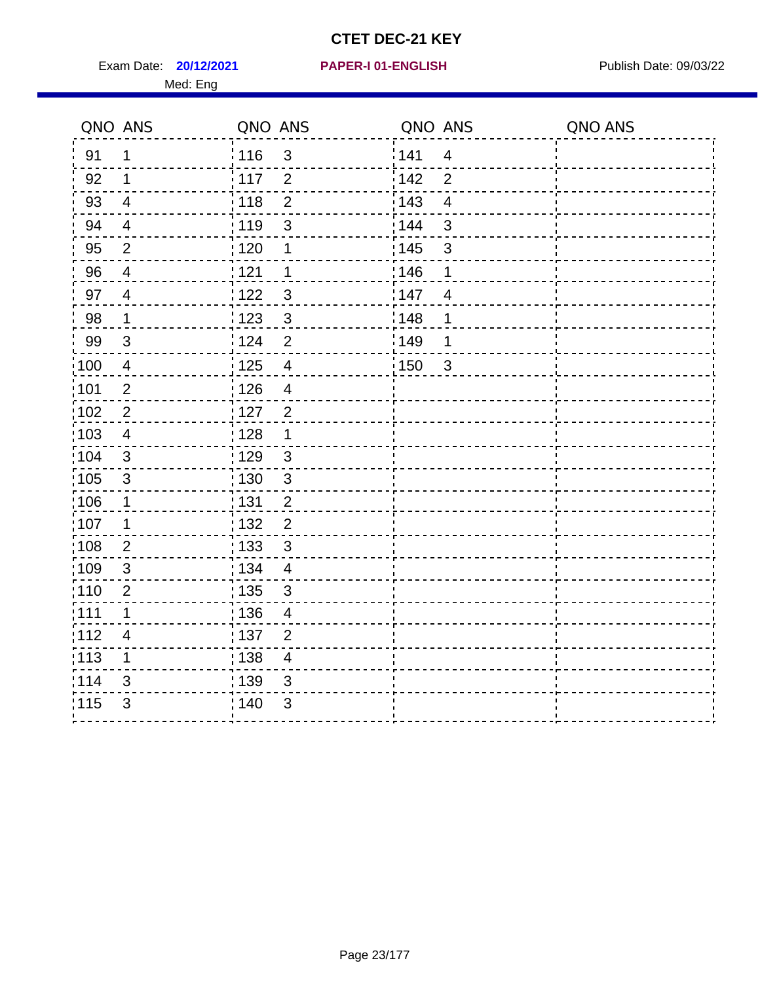Exam Date: **20/12/2021 PAPER-I 01-ENGLISH PROVIDED:** Publish Date: 09/03/22

## **20/12/2021 PAPER-I 01-ENGLISH**

# Med: Eng

|       | QNO ANS                  | QNO ANS           |                          | QNO ANS |                | QNO ANS |
|-------|--------------------------|-------------------|--------------------------|---------|----------------|---------|
| 91    | 1                        | 116               | 3                        | 141     | $\overline{4}$ |         |
| 92    | 1                        | : 117             | $\overline{2}$           | 142     | $\overline{2}$ |         |
| 93    | $\overline{4}$           | 118               | $\overline{2}$           | 143     | $\overline{4}$ |         |
| 94    | $\overline{\mathcal{A}}$ | 119               | 3                        | 144     | $\mathsf 3$    |         |
| 95    | $\overline{2}$           | 120               | 1                        | : 145   | 3              |         |
| 96    | $\overline{4}$           | 121               | $\mathbf 1$              | 146     | 1              |         |
| 97    | $\overline{4}$           | 122               | $\mathbf{3}$             | 147     | $\overline{4}$ |         |
| 98    | $\mathbf 1$              | 123               | $\mathbf{3}$             | 148     | 1              |         |
| 99    | 3                        | i 124             | $\overline{2}$           | 149     | 1              |         |
| 100   | 4                        | $\frac{1}{2}$ 125 | $\overline{4}$           | 150     | $\overline{3}$ |         |
| :101  | $\overline{2}$           | 126               | $\overline{4}$           |         |                |         |
| :102  | $\mathbf 2$              | 127               | $\overline{c}$           |         |                |         |
| :103  | $\overline{\mathbf{4}}$  | 128               | 1                        |         |                |         |
| 104   | $\sqrt{3}$               | : 129             | $\mathbf{3}$             |         |                |         |
| 105   | $\mathfrak{S}$           | : 130             | 3                        |         |                |         |
| 106   | 1                        | : 131             | $\overline{2}$           |         |                |         |
| ,107  | 1                        | 132               | $\overline{c}$           |         |                |         |
| 108   | $\sqrt{2}$               | : 133             | $\mathfrak{S}$           |         |                |         |
| 109   | $\sqrt{3}$               | : 134             | $\overline{4}$           |         |                |         |
| :110  | $\overline{2}$           | 135               | 3                        |         |                |         |
| :111  | $\mathbf 1$              | : 136             | $\overline{\mathcal{A}}$ |         |                |         |
| :112  | $\overline{\mathcal{A}}$ | $\frac{1}{1}$ 137 | $\overline{2}$           |         |                |         |
| : 113 | 1                        | 138               | $\overline{4}$           |         |                |         |
| 114   | 3                        | 139               | 3                        |         |                |         |
| 115   | $\mathfrak{B}$           | 140               | 3                        |         |                |         |
|       |                          |                   |                          |         |                |         |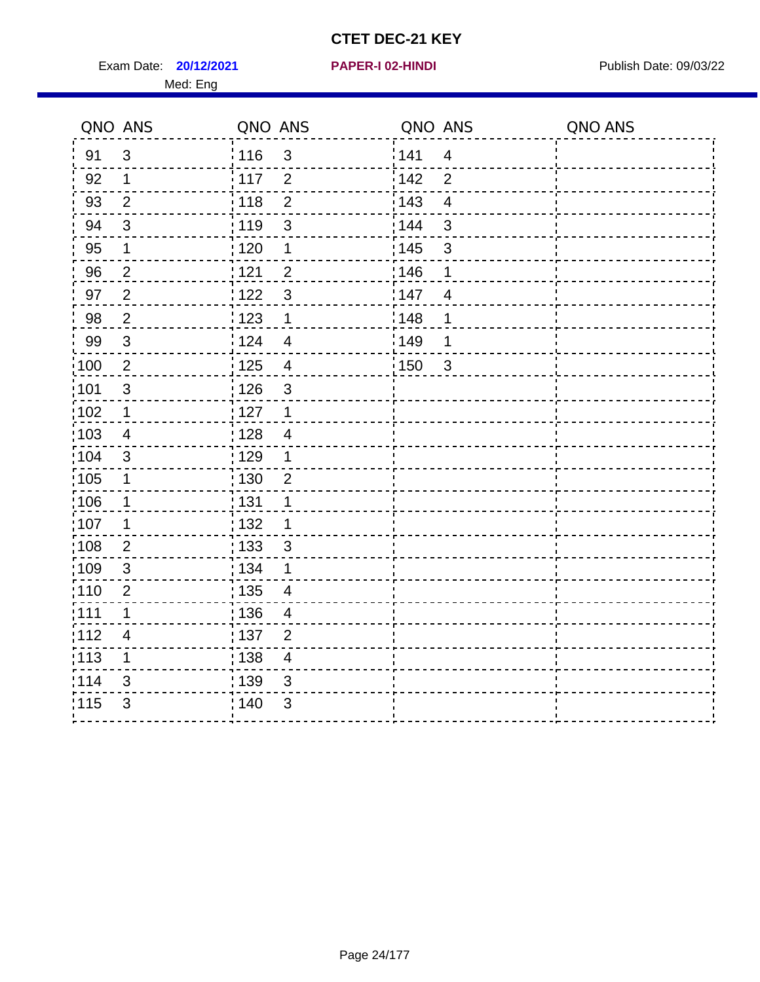Exam Date: **20/12/2021 PAPER-I 02-HINDI Exam Date: 09/03/22** Med: Eng

#### **20/12/2021 PAPER-I 02-HINDI**

|                   | QNO ANS        | QNO ANS                                      | QNO ANS                        | QNO ANS |
|-------------------|----------------|----------------------------------------------|--------------------------------|---------|
| 91                | $\mathfrak{S}$ | 116<br>$\mathfrak{S}$                        | 141<br>$\overline{4}$          |         |
| 92                | $\mathbf 1$    | 117<br>$\overline{2}$                        | 142<br>$\overline{2}$          |         |
| 93                | $\overline{2}$ | 118<br>$\overline{2}$                        | 143<br>$\overline{\mathbf{4}}$ |         |
| 94                | $\mathbf{3}$   | :119<br>$\sqrt{3}$                           | 144<br>$\mathfrak{S}$          |         |
| 95                | $\mathbf 1$    | : 120<br>$\mathbf 1$                         | : 145<br>$\sqrt{3}$            |         |
| 96                | $\overline{2}$ | 121<br>2                                     | 146<br>1                       |         |
| 97                | $\overline{2}$ | 3<br>1122                                    | 147<br>$\overline{4}$          |         |
| 98                | $\overline{2}$ | 123<br>1                                     | 148<br>1                       |         |
| 99                | 3              | 124<br>$\overline{4}$                        | 149<br>1                       |         |
| $\frac{1}{1}$ 100 | $\overline{2}$ | $\frac{1}{2}$ 125<br>$\overline{\mathbf{4}}$ | 150<br>$\mathfrak{3}$          |         |
| :101              | $\sqrt{3}$     | : 126<br>$\mathfrak{S}$                      |                                |         |
| $\frac{1}{1}$ 102 | $\mathbf{1}$   | : 127<br>$\mathbf{1}$                        |                                |         |
| 103               | 4              | : 128<br>$\overline{4}$                      |                                |         |
| :104              | 3              | :129<br>$\mathbf 1$                          |                                |         |
| $\frac{1}{1}$ 105 | $\mathbf 1$    | : 130<br>$\overline{2}$                      |                                |         |
| 106               | $\mathbf 1$    | : 131<br>$\mathbf{1}$                        |                                |         |
| 107               | 1              | : 132<br>1                                   |                                |         |
| 108               | $\overline{2}$ | : 133<br>3                                   |                                |         |
| :109              | $\sqrt{3}$     | : 134<br>$\mathbf 1$                         |                                |         |
| :110              | $\mathbf 2$    | : 135<br>$\overline{4}$                      |                                |         |
| :111              | 1              | : 136<br>$\overline{4}$                      |                                |         |
| 112               | 4              | :137<br>2                                    |                                |         |
| $\frac{1}{1}$ 113 | $\mathbf 1$    | : 138<br>$\overline{\mathbf{4}}$             |                                |         |
| 114               | 3              | : 139<br>$\sqrt{3}$                          |                                |         |
| 115               | $\mathfrak{B}$ | : 140<br>$\mathfrak{B}$                      |                                |         |
|                   |                |                                              |                                |         |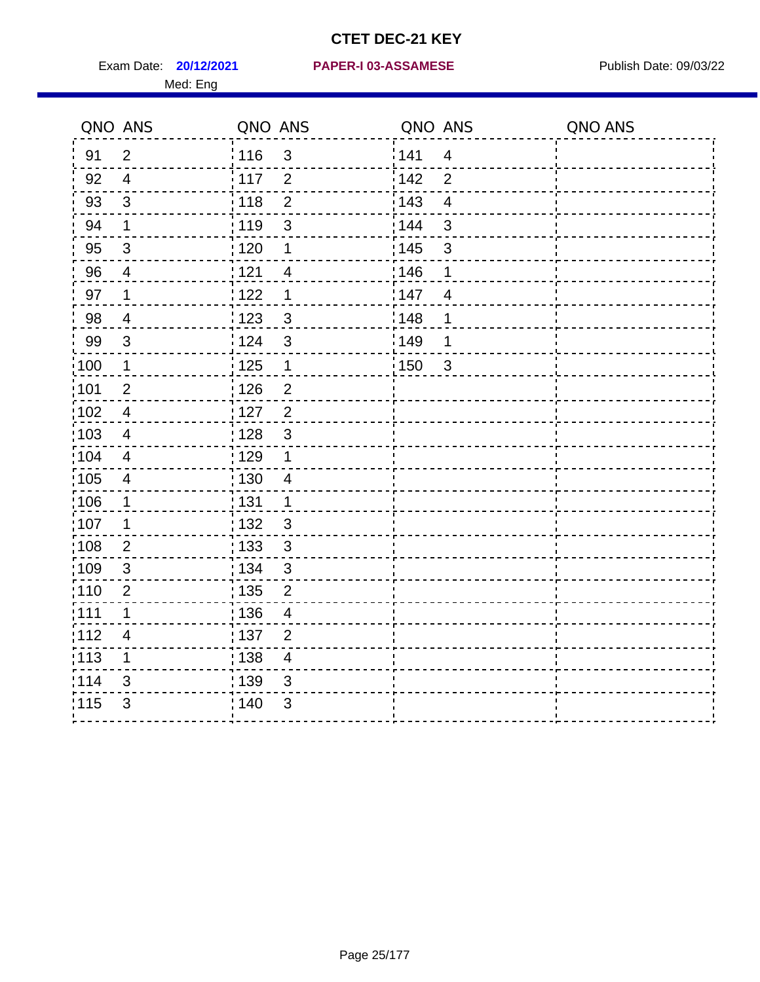Med: Eng

|                   | QNO ANS                  | QNO ANS           |                | QNO ANS           |                | QNO ANS |
|-------------------|--------------------------|-------------------|----------------|-------------------|----------------|---------|
| 91                | $\overline{2}$           | : 116             | $\mathbf{3}$   | 141               | $\overline{4}$ |         |
| 92                | $\overline{4}$           | $\frac{1}{117}$   | $\overline{2}$ | 142               | $\overline{2}$ |         |
| 93                | $\mathfrak{S}$           | 118               | $\mathbf 2$    | 143               | $\overline{4}$ |         |
| 94                | $\mathbf 1$              | : 119             | $\mathbf{3}$   | : 144             | $\mathfrak{S}$ |         |
| 95                | $\mathfrak{B}$           | : 120             | 1              | : 145             | $\mathfrak{S}$ |         |
| 96                | 4                        | 121               | 4              | 146               | 1              |         |
| 97                | 1                        | 1122              | 1              | 147               | 4              |         |
| 98                | $\overline{\mathcal{A}}$ | $\frac{1}{2}$ 123 | $\mathfrak{S}$ | : 148             | 1              |         |
| 99                | $\sqrt{3}$               | 124               | $\mathfrak{S}$ | :149              | 1              |         |
| 100               | $\mathbf 1$              | $\frac{1}{1}$ 125 | $\mathbf{1}$   | $\frac{1}{1}$ 150 | $\mathbf{3}$   |         |
| :101              | $\mathbf 2$              | 126               | $\overline{2}$ |                   |                |         |
| 102               | $\overline{4}$           | : 127             | $\overline{2}$ |                   |                |         |
| 103               | 4                        | : 128             | $\mathfrak{3}$ |                   |                |         |
| 104               | $\overline{4}$           | 129               | $\mathbf 1$    |                   |                |         |
| 105               | $\overline{\mathbf{4}}$  | 130               | $\overline{4}$ |                   |                |         |
| 106               | 1                        | : 131             | $\mathbf 1$    |                   |                |         |
| :107              | 1                        | : 132             | 3              |                   |                |         |
| $\frac{1}{1}$ 108 | $\overline{2}$           | : 133             | $\mathbf{3}$   |                   |                |         |
| 109               | $\mathfrak{S}$           | : 134             | $\mathfrak{3}$ |                   |                |         |
| :110              | $\overline{2}$           | : 135             | $\overline{2}$ |                   |                |         |
| 111               | 1                        | : 136             | $\overline{4}$ |                   |                |         |
| 112               | 4                        | : 137             | $\overline{2}$ |                   |                |         |
| $\frac{1}{1}$ 113 | 1                        | : 138             | $\overline{4}$ |                   |                |         |
| 114               | 3                        | 139               | 3              |                   |                |         |
| 115               | 3                        | : 140             | 3              |                   |                |         |
|                   |                          |                   |                |                   |                |         |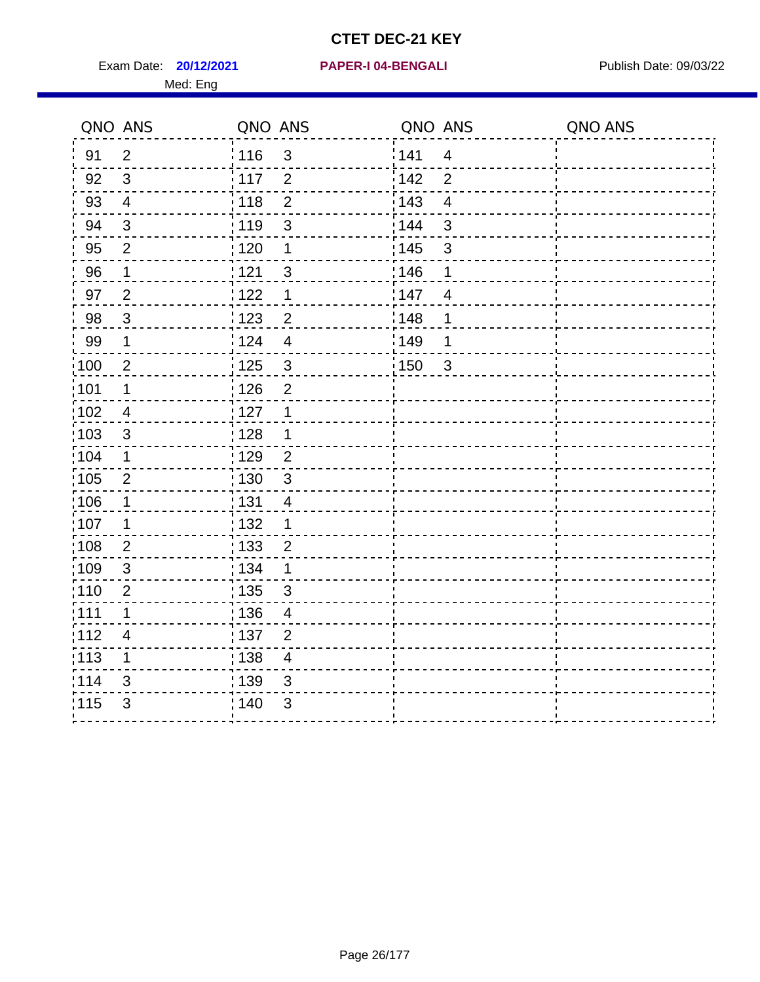Exam Date: **20/12/2021 PAPER-I 04-BENGALI Network by Publish Date: 09/03/22** 

## **20/12/2021 PAPER-I 04-BENGALI**

# Med: Eng

|                   | QNO ANS          | QNO ANS           |                          | QNO ANS |                | QNO ANS |
|-------------------|------------------|-------------------|--------------------------|---------|----------------|---------|
| 91                | $\overline{2}$   | 116               | 3                        | 141     | $\overline{4}$ |         |
| 92                | $\mathbf{3}$     | $-117$            | 2                        | 142     | $\overline{2}$ |         |
| 93                | $\overline{4}$   | 118               | $\overline{2}$           | : 143   | $\overline{4}$ |         |
| 94                | $\sqrt{3}$       | 119               | 3                        | : 144   | 3              |         |
| 95                | $\overline{2}$   | 120               | 1                        | : 145   | 3              |         |
| 96                | $\mathbf{1}$     | 121               | $\sqrt{3}$               | 146     | $\mathbf 1$    |         |
| 97                | $\overline{2}$   | 122               | 1                        | 147     | $\overline{4}$ |         |
| 98                | $\mathbf{3}$     | : 123             | $\overline{2}$           | 148     | 1              |         |
| 99                | 1                | 124               | $\overline{4}$           | 1149    | 1              |         |
| 100               | $\overline{2}$   | : 125             | $\mathbf{3}$             | 150     | $\overline{3}$ |         |
| 101               | 1                | 126               | $\overline{2}$           |         |                |         |
| 102               | 4                | 127               | 1                        |         |                |         |
| :103              | $\mathfrak{S}$   | 128               | 1                        |         |                |         |
| 104               | 1                | : 129             | $\overline{2}$           |         |                |         |
| 105               | $\overline{2}$   | : 130             | $\mathfrak{S}$           |         |                |         |
| 106               | 1                | : 131             | 4                        |         |                |         |
| 107               | 1                | $\frac{1}{1}$ 132 | 1                        |         |                |         |
| :108              | $\boldsymbol{2}$ | : 133             | $\overline{c}$           |         |                |         |
| :109              | 3                | : 134             | 1                        |         |                |         |
| :110              | $\overline{2}$   | : 135             | 3                        |         |                |         |
| 111               | 1                | : 136             | $\overline{\mathcal{A}}$ |         |                |         |
| 112               | $\overline{4}$   | :137              | $\mathbf{2}$             |         |                |         |
| $\frac{1}{1}$ 113 | 1                | 138               | $\overline{\mathcal{A}}$ |         |                |         |
| 114               | 3                | 139               | 3                        |         |                |         |
| 115               | 3                | 140               | 3                        |         |                |         |
|                   |                  |                   |                          |         |                |         |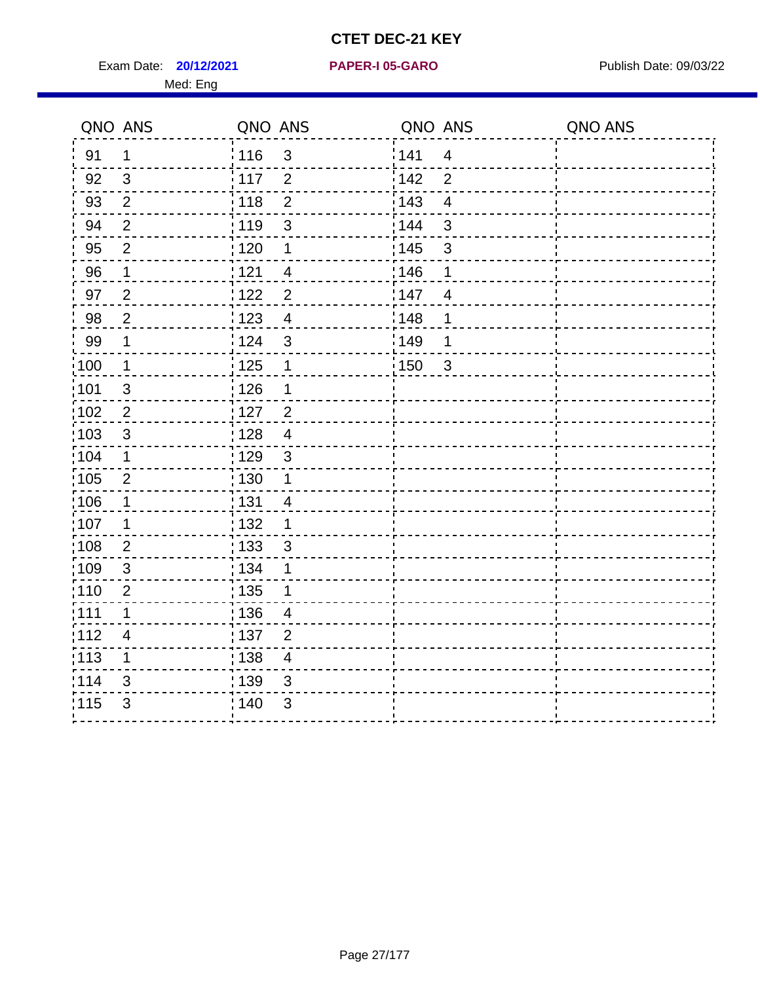Exam Date: **20/12/2021 PAPER-I 05-GARO** Publish Date: 09/03/22 Med: Eng

#### **20/12/2021 PAPER-I 05-GARO**

| 141<br>: 116<br>$\mathfrak{S}$<br>91<br>$\mathbf 1$<br>$\overline{4}$<br>$\mathfrak{S}$<br>117<br>142<br>92<br>$\overline{2}$<br>$\overline{2}$<br>$\overline{2}$<br>143<br>93<br>118<br>$\overline{2}$<br>$\overline{\mathbf{4}}$<br>144<br>119<br>$\mathbf{3}$<br>94<br>$\overline{2}$<br>3 |  |
|-----------------------------------------------------------------------------------------------------------------------------------------------------------------------------------------------------------------------------------------------------------------------------------------------|--|
|                                                                                                                                                                                                                                                                                               |  |
|                                                                                                                                                                                                                                                                                               |  |
|                                                                                                                                                                                                                                                                                               |  |
|                                                                                                                                                                                                                                                                                               |  |
| 145<br>95<br>$\overline{2}$<br>$\frac{1}{1}$ 120<br>$\mathfrak{S}$<br>1                                                                                                                                                                                                                       |  |
| 146<br>96<br>121<br>$\mathbf 1$<br>$\overline{4}$<br>1                                                                                                                                                                                                                                        |  |
| 97<br>$\overline{2}$<br>$\overline{2}$<br>147<br>:122<br>$\overline{4}$                                                                                                                                                                                                                       |  |
| $\sqrt{2}$<br>1148<br>98<br>: 123<br>$\overline{4}$<br>1                                                                                                                                                                                                                                      |  |
| 99<br>$\mathbf 1$<br><sup>'</sup> 124<br>$\mathfrak{3}$<br>:149<br>1                                                                                                                                                                                                                          |  |
| $\mathbf 1$<br>125<br>100<br>150<br>$\mathbf{3}$<br>1                                                                                                                                                                                                                                         |  |
| 126<br>:101<br>$\mathfrak{S}$<br>1                                                                                                                                                                                                                                                            |  |
| 102<br>$\overline{2}$<br>$127$<br>$\overline{2}$                                                                                                                                                                                                                                              |  |
| 103<br>3<br>:128<br>$\overline{4}$                                                                                                                                                                                                                                                            |  |
| 129<br>:104<br>$\mathbf 1$<br>$\mathbf{3}$                                                                                                                                                                                                                                                    |  |
| 105<br>$\overline{2}$<br>$\frac{1}{1}$ 130<br>1                                                                                                                                                                                                                                               |  |
| 106<br>: 131<br>$\mathbf 1$<br>$\overline{4}$                                                                                                                                                                                                                                                 |  |
| 107<br>1<br>:132<br>1                                                                                                                                                                                                                                                                         |  |
| 108<br>$\frac{1}{1}$ 133<br>$\overline{2}$<br>$\sqrt{3}$                                                                                                                                                                                                                                      |  |
| 109<br>3<br>: 134<br>1                                                                                                                                                                                                                                                                        |  |
| :110<br>: 135<br>$\overline{2}$                                                                                                                                                                                                                                                               |  |
| : 111<br>136<br>$\mathbf 1$<br>$\overline{4}$                                                                                                                                                                                                                                                 |  |
| 112<br>: 137<br>$\overline{4}$<br>$\overline{2}$                                                                                                                                                                                                                                              |  |
| $\frac{1}{113}$<br>$\frac{1}{1}$ 138<br>1<br>$\overline{4}$                                                                                                                                                                                                                                   |  |
| 1114<br>139<br>3<br>3                                                                                                                                                                                                                                                                         |  |
| 115<br>3<br>: 140<br>3                                                                                                                                                                                                                                                                        |  |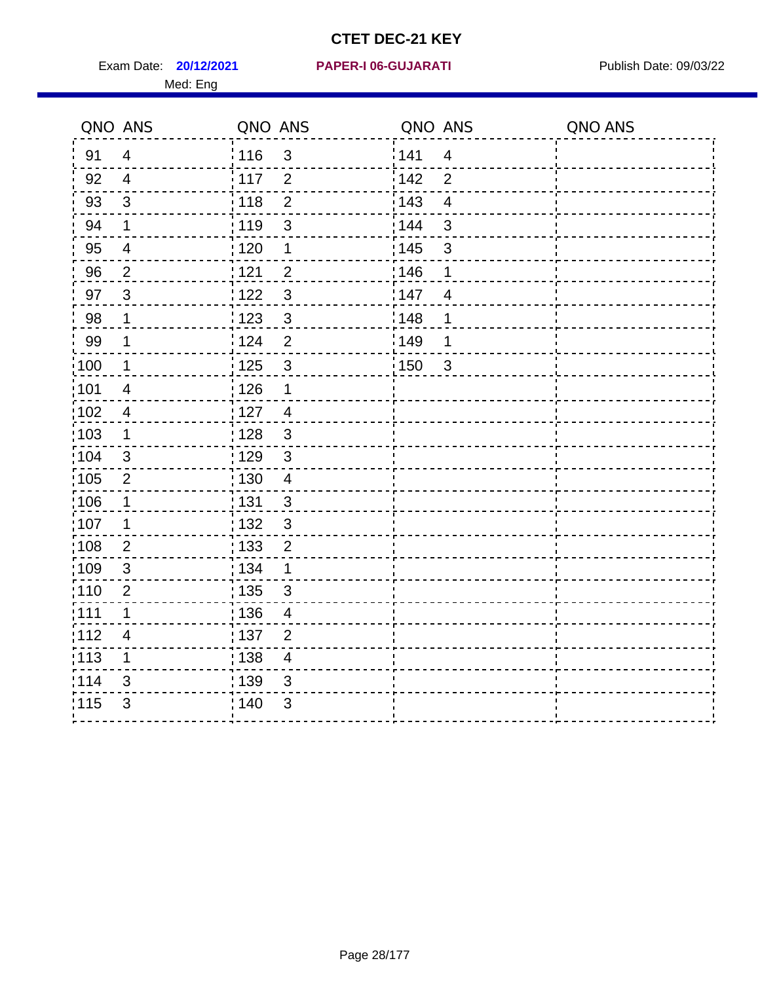**20/12/2021 PAPER-I 06-GUJARATI** Exam Date: Publish Date: 09/03/22 Med: Eng

 $\frac{1115}{3}$  140 3

<u> - - - - - - - - - -</u>

4------

 $\sim$   $\sim$ 

 $-$ 

 $\overline{a}$  $\frac{1}{2}$  $-1$  $-1$ 

 $-1$ 

 $\sim$   $-$ .,  $\sim$   $\sim$ - - 1  $- - -$ 

 $\blacksquare$ 

 $\frac{1}{2}$ 

| QNO ANS |                         | QNO ANS           |                           | QNO ANS           |                         | QNO ANS |
|---------|-------------------------|-------------------|---------------------------|-------------------|-------------------------|---------|
| 91      | $\overline{4}$          | 116               | $\mathfrak{S}$            | 141               | $\overline{4}$          |         |
| 92      | $\overline{4}$          | i 117             | $\overline{2}$            | 142               | $\overline{2}$          |         |
| 93      | $\mathfrak{S}$          | 118               | $\overline{2}$            | 143               | $\overline{4}$          |         |
| 94      | $\mathbf 1$             | : 119             | $\mathfrak{S}$            | 144               | $\mathfrak{S}$          |         |
| 95      | $\overline{4}$          | $\frac{1}{1}$ 120 | $\mathbf 1$               | : 145             | $\mathbf{3}$            |         |
| 96      | $\overline{2}$          | 121               | $\overline{2}$            | 146               | 1                       |         |
| 97      | $\sqrt{3}$              | 122               | $\mathsf 3$               | 147               | $\overline{\mathbf{4}}$ |         |
| 98      | 1                       | :123              | $\mathfrak{S}$            | 148               | $\mathbf 1$             |         |
| 99      | 1                       | 124               | $\overline{2}$            | ¦149              | $\mathbf{1}$            |         |
| 100     | 1                       | : 125             | $\sqrt{3}$                | $\frac{1}{2}$ 150 | $\overline{\mathbf{3}}$ |         |
| 101     | $\overline{\mathbf{4}}$ | 126               | 1                         |                   |                         |         |
| 102     | 4                       | : 127             | $\overline{\mathbf{4}}$   |                   |                         |         |
| 103     | 1                       | : 128             | $\mathfrak{S}$            |                   |                         |         |
| 104     | 3                       | : 129             | $\ensuremath{\mathsf{3}}$ |                   |                         |         |
| 105     | 2                       | $\frac{1}{1}$ 130 | $\overline{4}$            |                   |                         |         |
| 106     | 1                       | : 131             | 3                         |                   |                         |         |
| 107     | $\mathbf 1$             | : 132             | $\mathfrak{S}$            |                   |                         |         |
| 108     | $\overline{2}$          | : 133             | $\overline{2}$            |                   |                         |         |
| 109     | $\mathfrak{S}$          | : 134             | $\mathbf 1$               |                   |                         |         |
| 110     | $\overline{2}$          | : 135             | 3                         |                   |                         |         |
| 111     | 1                       | 136               | $\overline{\mathbf{4}}$   |                   |                         |         |
| 112     | $\overline{\mathbf{4}}$ | $\frac{1}{1}$ 137 | $\overline{2}$            |                   |                         |         |
| 113     | 1                       | $\frac{1}{1}$ 138 | $\overline{\mathbf{4}}$   |                   |                         |         |
| 114     | 3                       | : 139             | 3                         |                   |                         |         |

 $\frac{1}{2}$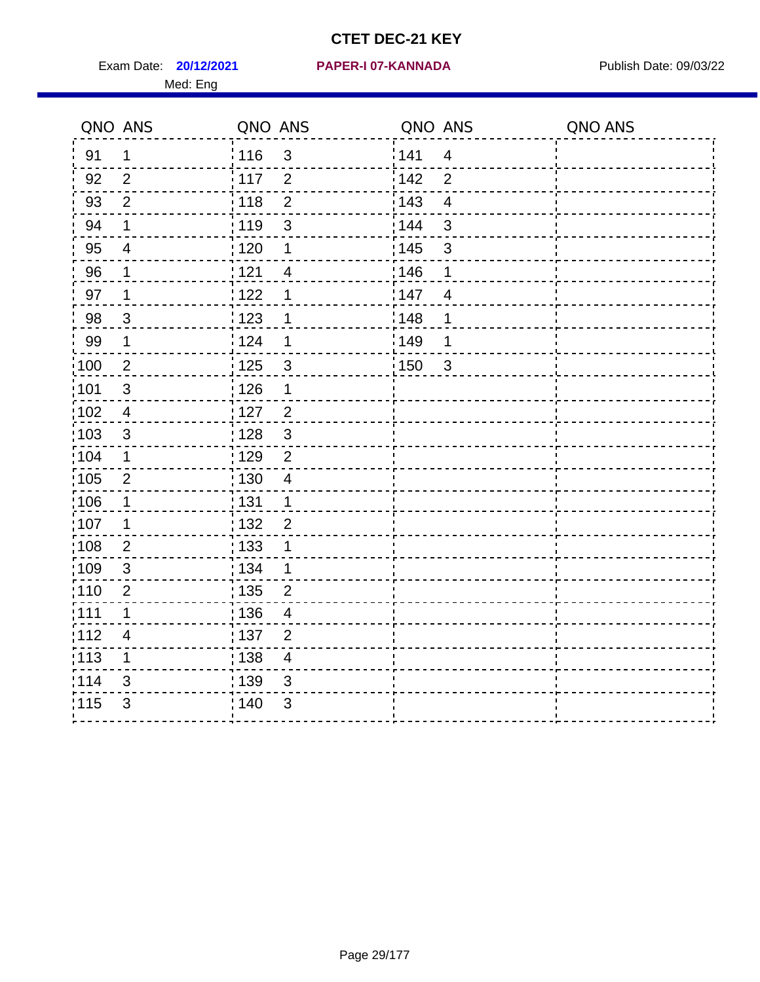Exam Date: **20/12/2021 PAPER-I 07-KANNADA** Publish Date: 09/03/22 Med: Eng

## **20/12/2021 PAPER-I 07-KANNADA**

| QNO ANS           |                          | QNO ANS           |                          | QNO ANS |                         | QNO ANS |
|-------------------|--------------------------|-------------------|--------------------------|---------|-------------------------|---------|
| 91                | $\mathbf 1$              | 116               | $\mathfrak{3}$           | 141     | $\overline{4}$          |         |
| 92                | 2                        | 117               | 2                        | 142     | $\overline{2}$          |         |
| 93                | $\overline{2}$           | 118               | $\overline{2}$           | 143     | $\overline{\mathbf{4}}$ |         |
| 94                | 1                        | 119               | 3                        | 144     | $\mathbf{3}$            |         |
| 95                | $\overline{\mathcal{A}}$ | $\frac{1}{1}$ 120 | 1                        | : 145   | $\mathfrak{S}$          |         |
| 96                | 1                        | 121               | $\overline{4}$           | 146     | 1                       |         |
| 97                | $\mathbf 1$              | 122               | 1                        | 147     | $\overline{4}$          |         |
| 98                | $\mathbf{3}$             | 123               | 1                        | 148     | 1                       |         |
| 99                | $\mathbf 1$              | 124               | $\mathbf 1$              | 149     | 1                       |         |
| 100               | $\overline{2}$           | 125               | $\mathbf{3}$             | 150     | $\mathbf{3}$            |         |
| 101               | $\sqrt{3}$               | 126               | $\mathbf 1$              |         |                         |         |
| 102               | $\overline{\mathcal{A}}$ | : 127             | $\overline{2}$           |         |                         |         |
| 103               | $\mathfrak{B}$           | : 128             | $\mathbf{3}$             |         |                         |         |
| 104               | 1                        | :129              | $\overline{2}$           |         |                         |         |
| 105               | $\overline{2}$           | $\frac{1}{1}$ 130 | $\overline{4}$           |         |                         |         |
| 106               | $\mathbf 1$              | : 131             | $\mathbf 1$              |         |                         |         |
| :107              | 1                        | : 132             | $\overline{2}$           |         |                         |         |
| $\frac{1}{1}$ 108 | $\overline{2}$           | : 133             | $\mathbf 1$              |         |                         |         |
| :109              | $\sqrt{3}$               | : 134             | $\mathbf 1$              |         |                         |         |
| 110               | $\overline{2}$           | : 135             | $\overline{2}$           |         |                         |         |
| : 111             | 1                        | : 136             | $\overline{\mathcal{A}}$ |         |                         |         |
| 112               | 4                        | : 137             | $\overline{2}$           |         |                         |         |
| :113              | $\mathbf 1$              | : 138             | $\overline{\mathcal{A}}$ |         |                         |         |
| 114               | 3                        | 139               | 3                        |         |                         |         |
| 115               | 3                        | 140               | 3                        |         |                         |         |
|                   |                          |                   |                          |         |                         |         |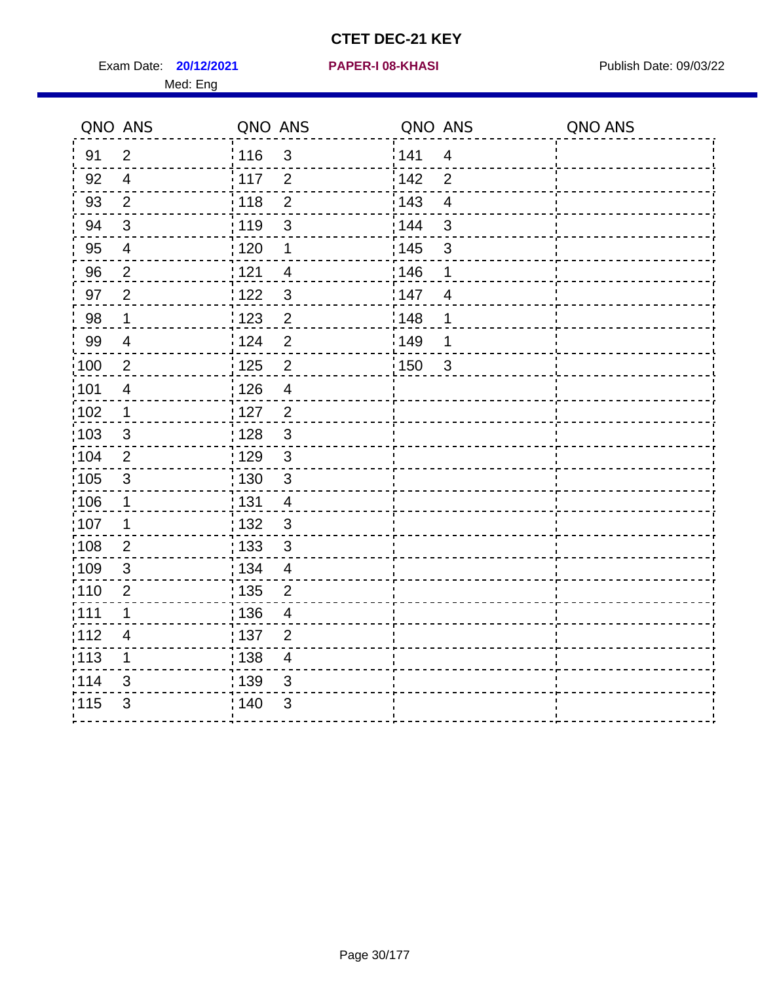Exam Date: **20/12/2021 PAPER-I 08-KHASI PREXALL RESOUNDER 108-KHASI** Publish Date: 09/03/22 Med: Eng

## **20/12/2021 PAPER-I 08-KHASI**

|                   | QNO ANS                  | QNO ANS           |                      | QNO ANS |                | QNO ANS |
|-------------------|--------------------------|-------------------|----------------------|---------|----------------|---------|
| 91                | $\overline{2}$           | : 116             | $\mathfrak{3}$       | 141     | $\overline{4}$ |         |
| 92                | $\overline{4}$           | 117               | 2                    | 142     | $\overline{2}$ |         |
| 93                | 2                        | $\frac{1}{2}$ 118 | $\overline{2}$       | 143     | $\overline{4}$ |         |
| 94                | $\sqrt{3}$               | :119              | $\sqrt{3}$           | 144     | $\mathbf{3}$   |         |
| 95                | $\overline{4}$           | :120              | $\mathbf 1$          | : 145   | $\sqrt{3}$     |         |
| 96                | 2                        | 121               | 4                    | 146     | 1              |         |
| 97                | $\overline{2}$           | 122               | $\sqrt{3}$           | 147     | $\overline{4}$ |         |
| 98                | $\mathbf 1$              | 123               | $\overline{2}$       | 148     | 1              |         |
| 99                | $\overline{\mathbf{4}}$  | 124               | $\overline{2}$       | 149     | 1              |         |
| $\frac{1}{1}$ 100 | $\sqrt{2}$               | $\frac{1}{1}$ 125 | $\mathbf 2$          | 150     | $\mathbf{3}$   |         |
| 101               | $\overline{4}$           | : 126             | $\overline{4}$       |         |                |         |
| 102               | $\mathbf 1$              | : 127             | $\frac{2}{\sqrt{2}}$ |         |                |         |
| 103               | 3                        | : 128             | 3                    |         |                |         |
| 104               | $\overline{2}$           | : 129             | $\mathbf{3}$         |         |                |         |
| $\frac{1}{1}$ 105 | $\sqrt{3}$               | : 130             | $\mathbf{3}$         |         |                |         |
| 106               | $\mathbf 1$              | : 131             | $\overline{4}$       |         |                |         |
| :107              | $\mathbf 1$              | : 132             | $\mathbf{3}$         |         |                |         |
| :108              | $\mathbf{2}$             | : 133             | $\sqrt{3}$           |         |                |         |
| :109              | $\mathfrak{B}$           | : 134             | $\overline{4}$       |         |                |         |
| :110              | $\overline{2}$           | : 135             | $\overline{2}$       |         |                |         |
| 111               | 1                        | : 136             | $\overline{4}$       |         |                |         |
| 112               | $\overline{\mathcal{A}}$ | 137               | $\overline{2}$       |         |                |         |
| $\frac{1}{1}$ 113 | 1                        | : 138             | $\overline{4}$       |         |                |         |
| 114               | 3                        | : 139             | 3                    |         |                |         |
| 115               | 3                        | 140               | 3                    |         |                |         |
|                   |                          |                   |                      |         |                |         |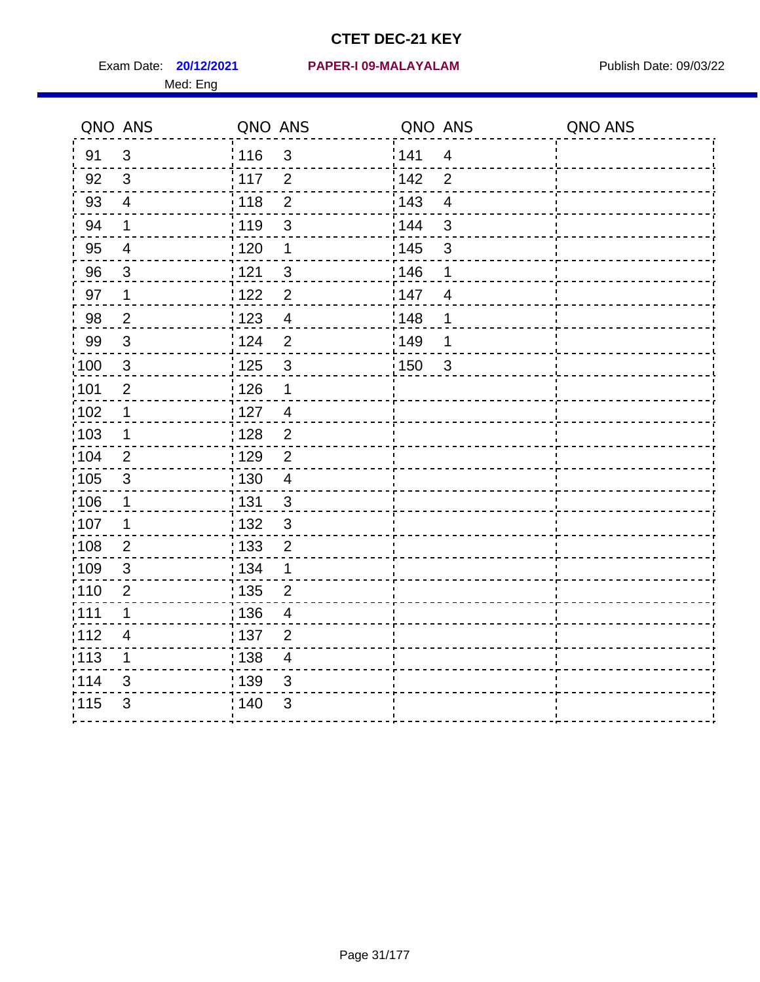Med: Eng

|                   | QNO ANS                  | QNO ANS           |                  | QNO ANS |                | QNO ANS |
|-------------------|--------------------------|-------------------|------------------|---------|----------------|---------|
| 91                | $\mathbf{3}$             | : 116             | $\mathfrak{S}$   | 1141    | $\overline{4}$ |         |
| 92                | 3                        | $\frac{1}{2}$ 117 | $\overline{2}$   | 142     | $\overline{2}$ |         |
| 93                | $\overline{4}$           | 118               | $\overline{2}$   | 143     | $\overline{4}$ |         |
| 94                | 1                        | : 119             | 3                | : 144   | 3              |         |
| 95                | $\overline{4}$           | : 120             | 1                | : 145   | $\mathfrak{S}$ |         |
| 96                | 3                        | : 121             | 3                | 146     | 1              |         |
| 97                | $\mathbf 1$              | 1122              | $\overline{2}$   | 147     | $\overline{4}$ |         |
| 98                | $\overline{2}$           | 1123              | $\overline{4}$   | 148     | 1              |         |
| 99                | $\sqrt{3}$               | 124               | $\overline{2}$   | :149    | 1              |         |
| :100              | $\mathbf{3}$             | 125               | $\mathbf{3}$     | 150     | $\mathbf{3}$   |         |
| :101              | $\overline{2}$           | : 126             | 1                |         |                |         |
| :102              | $\mathbf 1$              | : 127             | $\overline{4}$   |         |                |         |
| :103              | $\mathbf 1$              | :128              | $\overline{2}$   |         |                |         |
| 104               | 2                        | : 129             | $\overline{2}$   |         |                |         |
| 105               | $\sqrt{3}$               | : 130             | $\overline{4}$   |         |                |         |
| 106               | 1                        | : 131             | 3                |         |                |         |
| 107               | 1                        | :132              | 3                |         |                |         |
| :108              | $\overline{2}$           | : 133             | $\boldsymbol{2}$ |         |                |         |
| :109              | $\sqrt{3}$               | : 134             | $\mathbf 1$      |         |                |         |
| :110              | $\overline{2}$           | : 135             | $\overline{2}$   |         |                |         |
| 111               | 1                        | : 136             | $\overline{4}$   |         |                |         |
| 112               | $\overline{\mathcal{A}}$ | : 137             | $\overline{2}$   |         |                |         |
| $\frac{1}{1}$ 113 | 1                        | : 138             | $\overline{4}$   |         |                |         |
| 114               | 3                        | 139               | 3                |         |                |         |
| 115               | 3                        | : 140             | $\mathfrak{B}$   |         |                |         |
|                   |                          |                   |                  |         |                |         |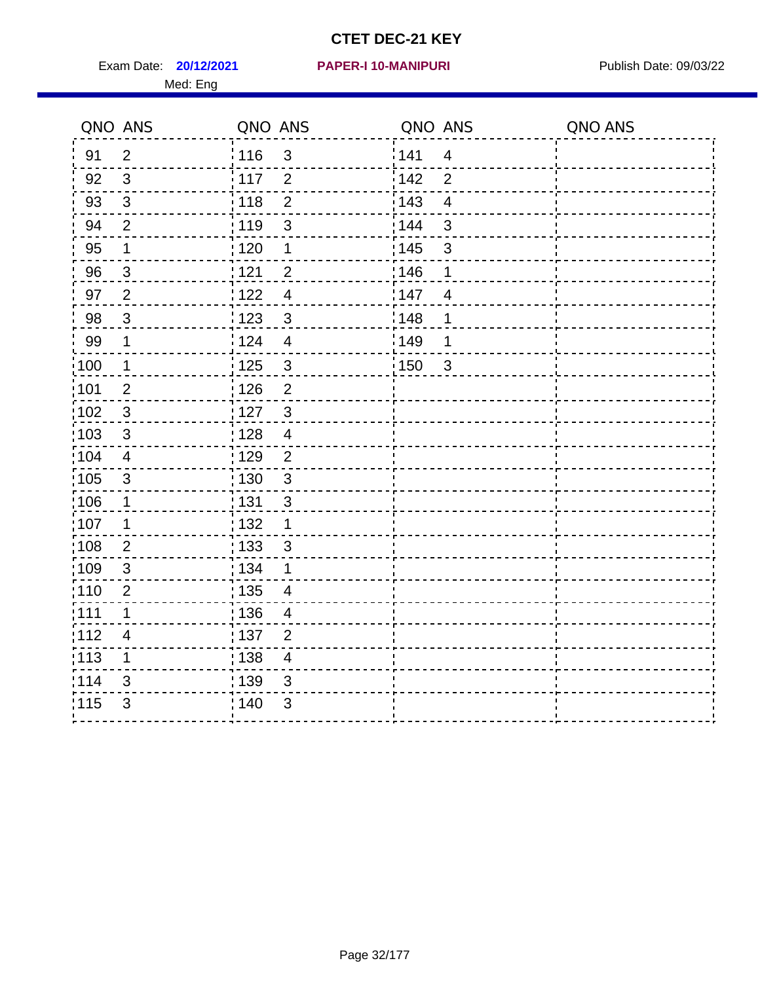Exam Date: **20/12/2021 PAPER-I 10-MANIPURI Proposed Bublish Date: 09/03/22** Med: Eng

## **20/12/2021 PAPER-I 10-MANIPURI**

|                   | QNO ANS        | QNO ANS           |                         | QNO ANS           |                | QNO ANS |
|-------------------|----------------|-------------------|-------------------------|-------------------|----------------|---------|
| 91                | 2              | : 116             | 3                       | 141               | $\overline{4}$ |         |
| 92                | $\mathbf{3}$   | 117               | $\overline{2}$          | 142               | $\overline{2}$ |         |
| 93                | $\mathfrak{S}$ | 118               | $\overline{2}$          | 143               | $\overline{4}$ |         |
| 94                | $\overline{2}$ | : 119             | $\mathfrak{S}$          | 144               | $\mathfrak{S}$ |         |
| 95                | $\mathbf 1$    | : 120             | 1                       | : 145             | $\mathsf 3$    |         |
| 96                | $\mathfrak{S}$ | 121               | $\overline{2}$          | 146               | 1              |         |
| 97                | $\overline{2}$ | 122               | $\overline{\mathbf{4}}$ | 147               | $\overline{4}$ |         |
| 98                | $\mathbf{3}$   | 1123              | $\sqrt{3}$              | 148               | 1              |         |
| 99                | $\mathbf 1$    | 124               | $\overline{\mathbf{4}}$ | 149               | 1              |         |
| 100               | $\mathbf 1$    | $\frac{1}{1}$ 125 | $\mathbf{3}$            | $\frac{1}{1}$ 150 | $\mathbf{3}$   |         |
| 101               | $\mathbf{2}$   | 126               | $\overline{2}$          |                   |                |         |
| $\frac{1}{1}$ 102 | $\mathbf{3}$   | : 127             | $\mathbf{3}$            |                   |                |         |
| 103               | 3              | : 128             | $\overline{4}$          |                   |                |         |
| 104               | $\overline{4}$ | : 129             | $\overline{2}$          |                   |                |         |
| $\frac{1}{1}$ 105 | $\sqrt{3}$     | : 130             | $\mathfrak{S}$          |                   |                |         |
| :106              | $\mathbf 1$    | : 131             | 3                       |                   |                |         |
| :107              | 1              | : 132             | $\mathbf 1$             |                   |                |         |
| 108               | $\overline{2}$ | 133               | $\mathbf{3}$            |                   |                |         |
| :109              | $\sqrt{3}$     | : 134             | 1                       |                   |                |         |
| : 110             | $\overline{2}$ | : 135             | $\overline{4}$          |                   |                |         |
| :111              | 1              | : 136             | 4                       |                   |                |         |
| 112               | $\overline{4}$ | : 137             | $\overline{2}$          |                   |                |         |
| $\frac{1}{1}$ 113 | 1              | : 138             | $\overline{4}$          |                   |                |         |
| 114               | 3              | 139               | 3                       |                   |                |         |
| 115               | 3              | 140               | $\mathfrak{B}$          |                   |                |         |
|                   |                |                   |                         |                   |                |         |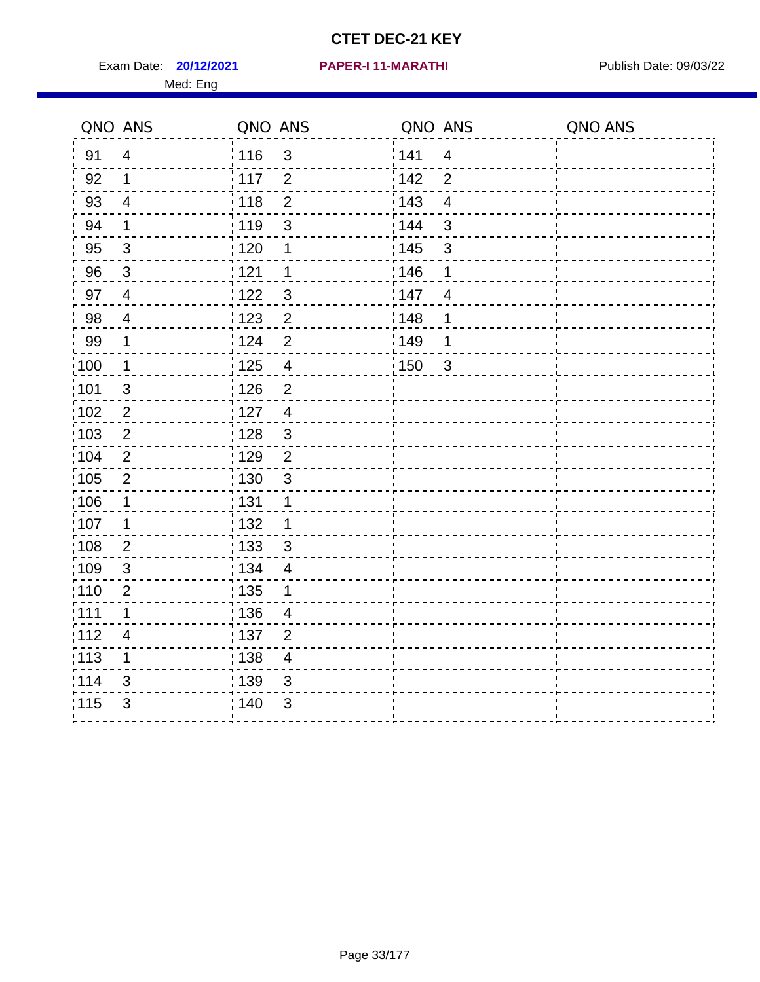Exam Date: **20/12/2021 PAPER-I 11-MARATHI Exam Date: 09/03/22** Med: Eng

#### **20/12/2021 PAPER-I 11-MARATHI**

| QNO ANS |                | QNO ANS           |                          | QNO ANS |                         | QNO ANS |
|---------|----------------|-------------------|--------------------------|---------|-------------------------|---------|
| 91      | $\overline{4}$ | 116               | $\mathfrak{3}$           | 141     | $\overline{4}$          |         |
| 92      | $\mathbf 1$    | 117               | 2                        | 142     | $\overline{2}$          |         |
| 93      | $\overline{4}$ | 118               | $\overline{2}$           | 143     | $\overline{\mathbf{4}}$ |         |
| 94      | 1              | 119               | 3                        | 144     | $\mathbf{3}$            |         |
| 95      | $\mathbf{3}$   | $\frac{1}{1}$ 120 | 1                        | : 145   | $\mathfrak{S}$          |         |
| 96      | 3              | 1121              | 1                        | 146     | 1                       |         |
| 97      | $\overline{4}$ | 122               | 3                        | 147     | $\overline{4}$          |         |
| 98      | $\overline{4}$ | 123               | $\overline{2}$           | 148     | 1                       |         |
| 99      | $\mathbf 1$    | 124               | $\overline{2}$           | 149     | 1                       |         |
| 100     | $\mathbf 1$    | 125               | $\overline{4}$           | 150     | $\mathbf{3}$            |         |
| 101     | $\sqrt{3}$     | 126               | $\overline{2}$           |         |                         |         |
| 102     | $\sqrt{2}$     | : 127             | $\overline{4}$           |         |                         |         |
| 103     | $\overline{2}$ | : 128             | $\mathbf{3}$             |         |                         |         |
| 104     | $\overline{2}$ | :129              | $\overline{2}$           |         |                         |         |
| 105     | $\sqrt{2}$     | $\frac{1}{1}$ 130 | $\mathbf{3}$             |         |                         |         |
| 106     | $\mathbf 1$    | : 131             | 1                        |         |                         |         |
| :107    | 1              | : 132             | 1                        |         |                         |         |
| :108    | $\overline{2}$ | 133               | $\mathbf{3}$             |         |                         |         |
| :109    | $\sqrt{3}$     | : 134             | $\overline{4}$           |         |                         |         |
| 110     | $\overline{2}$ | : 135             | 1                        |         |                         |         |
| : 111   | 1              | : 136             | $\overline{\mathcal{A}}$ |         |                         |         |
| 112     | 4              | : 137             | $\overline{2}$           |         |                         |         |
| :113    | $\mathbf 1$    | : 138             | $\overline{\mathcal{A}}$ |         |                         |         |
| 114     | 3              | 139               | 3                        |         |                         |         |
| 115     | 3              | 140               | 3                        |         |                         |         |
|         |                |                   |                          |         |                         |         |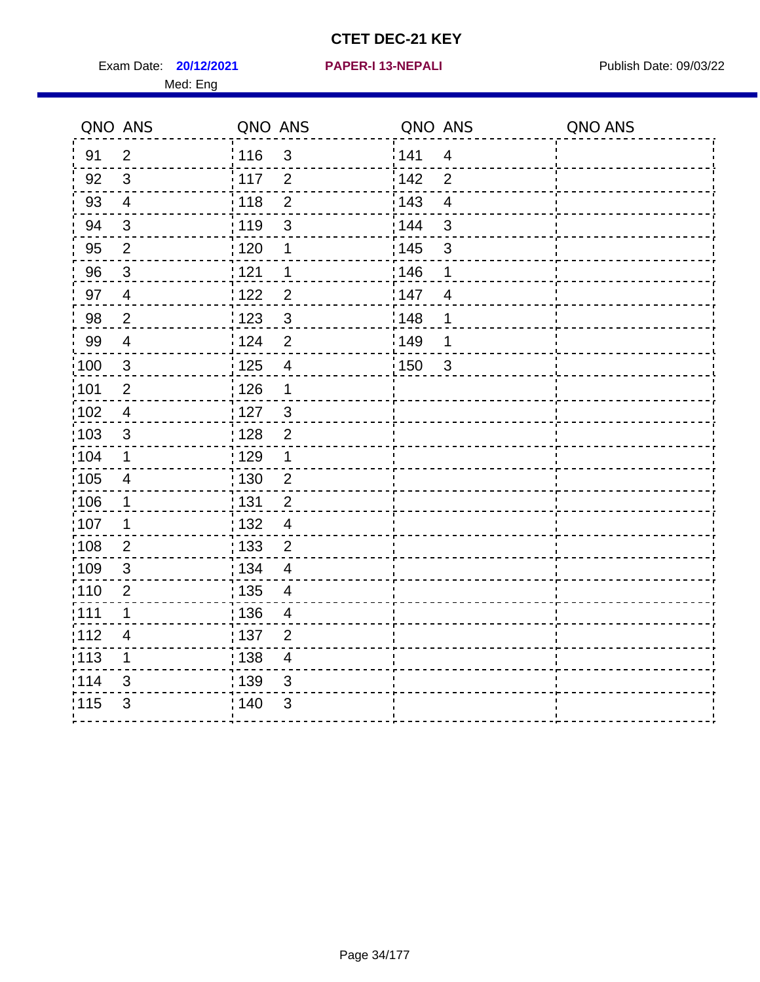Exam Date: **20/12/2021 PAPER-I 13-NEPALI Exam Date: 09/03/22** Med: Eng

## **20/12/2021 PAPER-I 13-NEPALI**

| QNO ANS           |                          | QNO ANS |                         | QNO ANS |                         | QNO ANS |
|-------------------|--------------------------|---------|-------------------------|---------|-------------------------|---------|
| 91                | $\overline{2}$           | 116     | 3                       | 141     | $\overline{4}$          |         |
| 92                | $\mathbf{3}$             | 117     | $\overline{2}$          | 142     | $\overline{2}$          |         |
| 93                | $\overline{4}$           | 118     | $\overline{2}$          | 143     | $\overline{\mathbf{4}}$ |         |
| 94                | $\sqrt{3}$               | : 119   | 3                       | 144     | 3                       |         |
| 95                | $\overline{2}$           | :120    | 1                       | : 145   | $\mathbf{3}$            |         |
| 96                | 3                        | 121     | 1                       | 146     | 1                       |         |
| 97                | $\overline{4}$           | 122     | $\overline{2}$          | 147     | $\overline{4}$          |         |
| 98                | $\overline{2}$           | ¦ 123   | $\mathfrak{S}$          | 148     | 1                       |         |
| 99                | $\overline{\mathbf{4}}$  | 124     | $\overline{2}$          | 149     | 1                       |         |
| 100               | $\sqrt{3}$               | 125     | $\overline{\mathbf{4}}$ | 150     | $\mathbf{3}$            |         |
| 101               | $\overline{2}$           | : 126   | $\mathbf 1$             |         |                         |         |
| :102              | $\overline{\mathcal{A}}$ | : 127   | $\mathbf{3}$            |         |                         |         |
| 103               | 3                        | 128     | $\overline{2}$          |         |                         |         |
| 104               | 1                        | : 129   | 1                       |         |                         |         |
| $\frac{1}{1}$ 105 | $\overline{\mathbf{4}}$  | : 130   | $\overline{2}$          |         |                         |         |
| :106              | $\mathbf 1$              | : 131   | $\overline{2}$          |         |                         |         |
| 107               | 1                        | : 132   | $\overline{4}$          |         |                         |         |
| 108               | $\overline{2}$           | : 133   | $\overline{2}$          |         |                         |         |
| :109              | $\sqrt{3}$               | : 134   | $\overline{4}$          |         |                         |         |
| :110              | $\overline{2}$           | : 135   | $\overline{4}$          |         |                         |         |
| : 111             | 1                        | : 136   | 4                       |         |                         |         |
| 112               | $\overline{\mathbf{4}}$  | : 137   | $\overline{2}$          |         |                         |         |
| : 113             | $\mathbf 1$              | : 138   | $\overline{4}$          |         |                         |         |
| 114               | 3                        | 139     | 3                       |         |                         |         |
| 115               | 3                        | : 140   | $\mathfrak{S}$          |         |                         |         |
|                   |                          |         |                         |         |                         |         |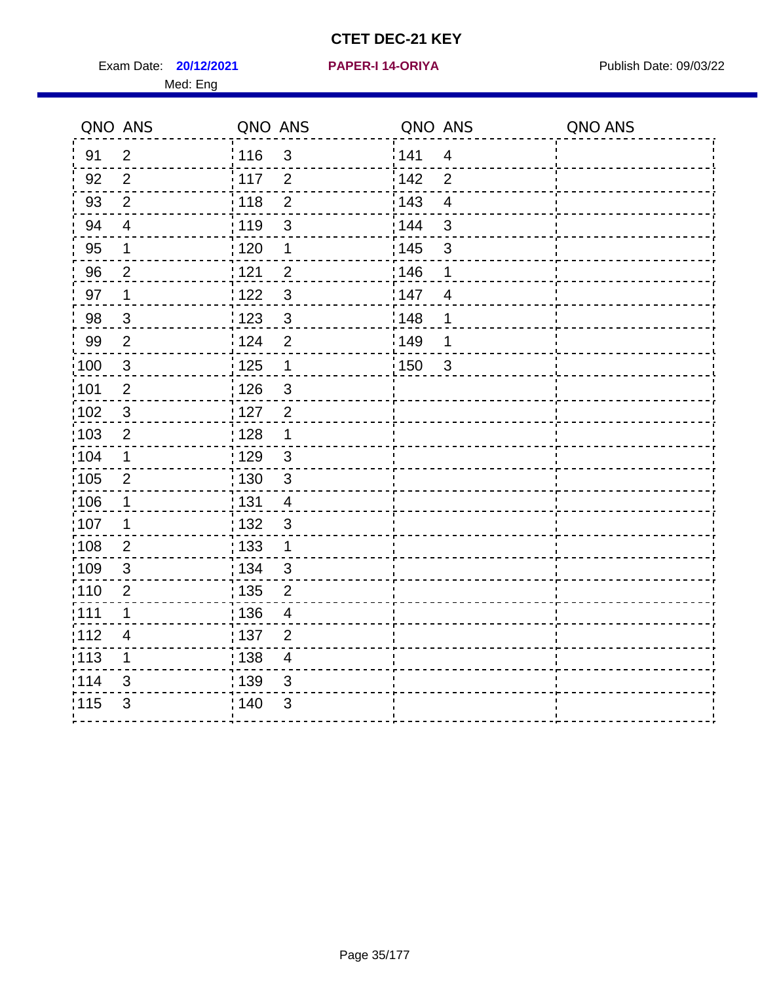Exam Date: **20/12/2021 PAPER-I 14-ORIYA** Publish Date: 09/03/22 Med: Eng

### **20/12/2021 PAPER-I 14-ORIYA**

| QNO ANS           |                | QNO ANS           |                | QNO ANS |                | QNO ANS |
|-------------------|----------------|-------------------|----------------|---------|----------------|---------|
| 91                | $\overline{2}$ | ່ 116             | $\mathfrak{3}$ | 141     | $\overline{4}$ |         |
| 92                | 2              | $\frac{1}{2}$ 117 | $\overline{2}$ | 142     | $\overline{2}$ |         |
| 93                | $\overline{2}$ | 118               | $\mathbf 2$    | 143     | $\overline{4}$ |         |
| 94                | $\overline{4}$ | 119               | 3              | 144     | 3              |         |
| 95                | 1              | : 120             | $\mathbf 1$    | : 145   | $\mathfrak{S}$ |         |
| 96                | $\overline{2}$ | 1121              | $\overline{2}$ | 146     | 1              |         |
| 97                | $\mathbf 1$    | 122               | 3              | 147     | $\overline{4}$ |         |
| 98                | $\mathfrak{S}$ | 123               | $\mathbf{3}$   | 148     | 1              |         |
| 99                | $\overline{2}$ | 124               | $\overline{2}$ | 149     | 1              |         |
| 100               | $\sqrt{3}$     | 125               | $\mathbf 1$    | 150     | $\mathbf{3}$   |         |
| :101              | $\overline{2}$ | 126               | $\mathbf{3}$   |         |                |         |
| 102               | $\mathfrak{3}$ | : 127             | $\overline{2}$ |         |                |         |
| :103              | $\overline{2}$ | : 128             | $\mathbf 1$    |         |                |         |
| $\frac{1}{1}$ 104 | $\mathbf 1$    | : 129             | $\mathbf{3}$   |         |                |         |
| 105               | $\overline{2}$ | : 130             | $\mathbf{3}$   |         |                |         |
| 106               | 1              | : 131             | $\overline{4}$ |         |                |         |
| ;107              | 1              | : 132             | $\mathbf{3}$   |         |                |         |
| :108              | $\overline{2}$ | : 133             | $\mathbf 1$    |         |                |         |
| :109              | $\mathbf{3}$   | : 134             | 3              |         |                |         |
| :110              | $\overline{2}$ | : 135             | $\overline{2}$ |         |                |         |
| :111              | 1              | : 136             | $\overline{4}$ |         |                |         |
| 112               | $\overline{4}$ | : 137             | $\overline{2}$ |         |                |         |
| 113               | 1              | : 138             | 4              |         |                |         |
| 1114              | 3              | 139               | 3              |         |                |         |
| 115               | 3              | 140               | 3              |         |                |         |
|                   |                |                   |                |         |                |         |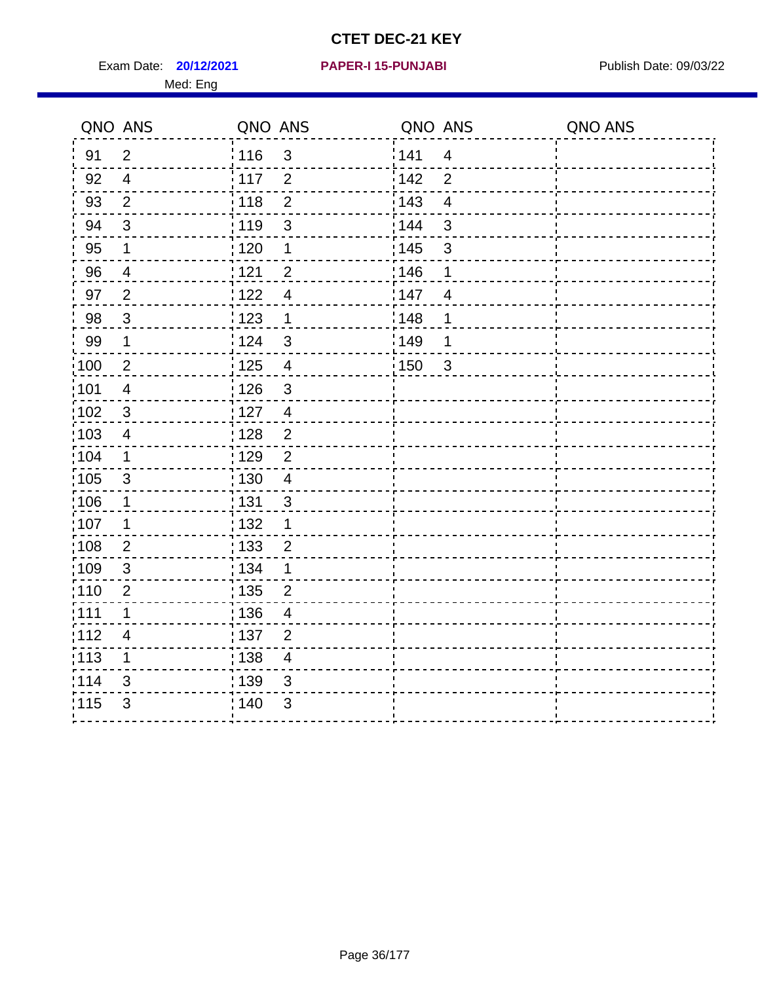Exam Date: **20/12/2021 PAPER-I 15-PUNJABI PRACEL PROPER PUBLISH Date: 09/03/22** Med: Eng

## **20/12/2021 PAPER-I 15-PUNJABI**

|                   | QNO ANS                 | QNO ANS |                | QNO ANS |                | QNO ANS |
|-------------------|-------------------------|---------|----------------|---------|----------------|---------|
| 91                | $\overline{2}$          | : 116   | $\mathbf{3}$   | 141     | $\overline{4}$ |         |
| 92                | $\overline{4}$          | 117     | $\overline{2}$ | 142     | $\overline{2}$ |         |
| 93                | $\overline{2}$          | 118     | $\overline{2}$ | 143     | $\overline{4}$ |         |
| 94                | $\sqrt{3}$              | : 119   | $\mathfrak{S}$ | 144     | 3              |         |
| 95                | 1                       | :120    | 1              | : 145   | $\mathsf 3$    |         |
| 96                | $\overline{4}$          | 1121    | $\overline{2}$ | : 146   | 1              |         |
| 97                | $\overline{2}$          | 1122    | $\overline{4}$ | 147     | $\overline{4}$ |         |
| 98                | $\mathbf{3}$            | 1123    | 1              | 148     | 1              |         |
| 99                | $\mathbf 1$             | 124     | $\mathbf{3}$   | 149     | 1              |         |
| $\frac{1}{100}$   | $\overline{2}$          | 125     | $\overline{4}$ | :150    | 3              |         |
| :101              | $\overline{\mathbf{4}}$ | : 126   | $\mathfrak{S}$ |         |                |         |
| $\frac{1}{1}$ 102 | $\sqrt{3}$              | : 127   | $\overline{4}$ |         |                |         |
| 103               | 4                       | : 128   | $\overline{2}$ |         |                |         |
| :104              | $\mathbf 1$             | : 129   | $\overline{2}$ |         |                |         |
| 105               | 3                       | : 130   | $\overline{4}$ |         |                |         |
| 106               | $\mathbf 1$             | : 131   | $\mathbf{3}$   |         |                |         |
| 107               | 1                       | 132     | 1              |         |                |         |
| 108               | $\overline{2}$          | : 133   | $\overline{2}$ |         |                |         |
| $\frac{1}{1}$ 109 | $\sqrt{3}$              | : 134   | 1              |         |                |         |
| :110              | $\overline{2}$          | 135     | $\overline{2}$ |         |                |         |
| :111              | 1                       | : 136   | $\overline{4}$ |         |                |         |
| :112              | $\overline{4}$          | : 137   | $\overline{2}$ |         |                |         |
| :113              | 1                       | : 138   | $\overline{4}$ |         |                |         |
| 114               | 3                       | 139     | 3              |         |                |         |
| 115               | 3                       | : 140   | 3              |         |                |         |
|                   |                         |         |                |         |                |         |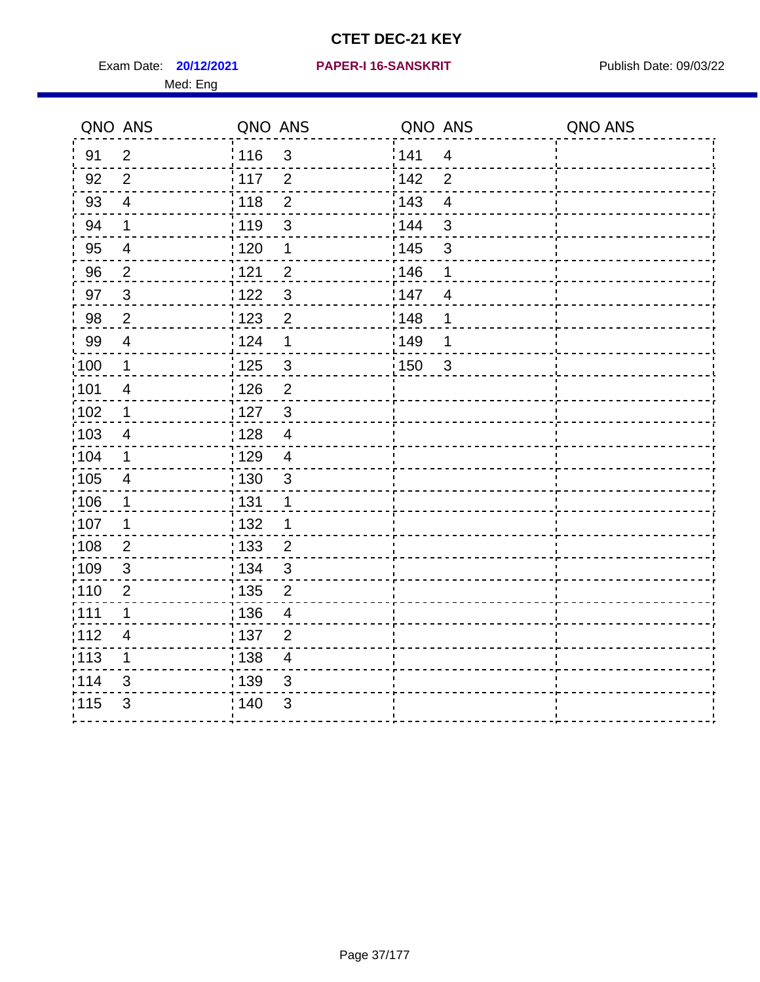Exam Date: **20/12/2021 PAPER-I 16-SANSKRIT** Publish Date: 09/03/22 Med: Eng

#### **20/12/2021 PAPER-I 16-SANSKRIT**

| $\overline{2}$           |                  |                                                                                                                                                                                                                                                       |                                                |                                                                                 |                         |
|--------------------------|------------------|-------------------------------------------------------------------------------------------------------------------------------------------------------------------------------------------------------------------------------------------------------|------------------------------------------------|---------------------------------------------------------------------------------|-------------------------|
|                          | 116              | $\mathbf{3}$                                                                                                                                                                                                                                          | 141                                            | $\overline{4}$                                                                  |                         |
| 2                        |                  | $\overline{2}$                                                                                                                                                                                                                                        |                                                | $\overline{2}$                                                                  |                         |
| $\overline{4}$           |                  | $\overline{2}$                                                                                                                                                                                                                                        |                                                | $\overline{\mathbf{4}}$                                                         |                         |
| $\mathbf 1$              |                  | $\mathbf{3}$                                                                                                                                                                                                                                          |                                                | $\mathbf{3}$                                                                    |                         |
| $\overline{4}$           |                  | 1                                                                                                                                                                                                                                                     |                                                | $\mathfrak{B}$                                                                  |                         |
| $\overline{2}$           |                  | $\overline{2}$                                                                                                                                                                                                                                        |                                                | 1                                                                               |                         |
| $\mathbf{3}$             |                  | $\mathfrak{S}$                                                                                                                                                                                                                                        |                                                | $\overline{4}$                                                                  |                         |
| $\overline{2}$           |                  | $\sqrt{2}$                                                                                                                                                                                                                                            |                                                | 1                                                                               |                         |
| $\overline{4}$           |                  | $\mathbf 1$                                                                                                                                                                                                                                           |                                                | 1                                                                               |                         |
| $\mathbf{1}$             |                  | $\mathsf 3$                                                                                                                                                                                                                                           |                                                |                                                                                 |                         |
| $\overline{\mathcal{A}}$ |                  | $\overline{2}$                                                                                                                                                                                                                                        |                                                |                                                                                 |                         |
| $\mathbf 1$              | 127              | $\mathbf{3}$                                                                                                                                                                                                                                          |                                                |                                                                                 |                         |
| 4                        |                  | $\overline{4}$                                                                                                                                                                                                                                        |                                                |                                                                                 |                         |
| $\mathbf 1$              |                  | $\overline{4}$                                                                                                                                                                                                                                        |                                                |                                                                                 |                         |
| $\overline{\mathcal{A}}$ |                  | $\mathsf 3$                                                                                                                                                                                                                                           |                                                |                                                                                 |                         |
| $\mathbf 1$              |                  | $\mathbf 1$                                                                                                                                                                                                                                           |                                                |                                                                                 |                         |
| $\mathbf 1$              |                  | 1                                                                                                                                                                                                                                                     |                                                |                                                                                 |                         |
| $\overline{2}$           |                  | $\overline{2}$                                                                                                                                                                                                                                        |                                                |                                                                                 |                         |
| $\sqrt{3}$               |                  |                                                                                                                                                                                                                                                       |                                                |                                                                                 |                         |
| $\overline{2}$           |                  |                                                                                                                                                                                                                                                       |                                                |                                                                                 |                         |
| 1                        |                  | 4                                                                                                                                                                                                                                                     |                                                |                                                                                 |                         |
| $\overline{4}$           |                  | $\overline{2}$                                                                                                                                                                                                                                        |                                                |                                                                                 |                         |
|                          |                  | $\overline{\mathbf{4}}$                                                                                                                                                                                                                               |                                                |                                                                                 |                         |
| 3                        |                  | $\mathfrak{S}$                                                                                                                                                                                                                                        |                                                |                                                                                 |                         |
|                          |                  |                                                                                                                                                                                                                                                       |                                                |                                                                                 |                         |
|                          | $\mathbf 1$<br>3 | $\frac{1}{2}$ 117<br>: 118<br>: 119<br>: 120<br>121<br>122<br>$\frac{1}{2}$ 123<br>່ 124<br>: 125<br>$\frac{1}{2}$ 126<br>: 128<br>: 129<br>: 130<br>: 131<br>:132<br>: 133<br>: 134<br>$\frac{1}{1}$ 135<br>: 136<br>:137<br>: 138<br>: 139<br>: 140 | $\sqrt{3}$<br>$\overline{2}$<br>$\mathfrak{S}$ | i 142<br>143<br>: 144<br>: 145<br>146<br>147<br>148<br><sup>'</sup> 149<br>:150 | $\overline{\mathbf{3}}$ |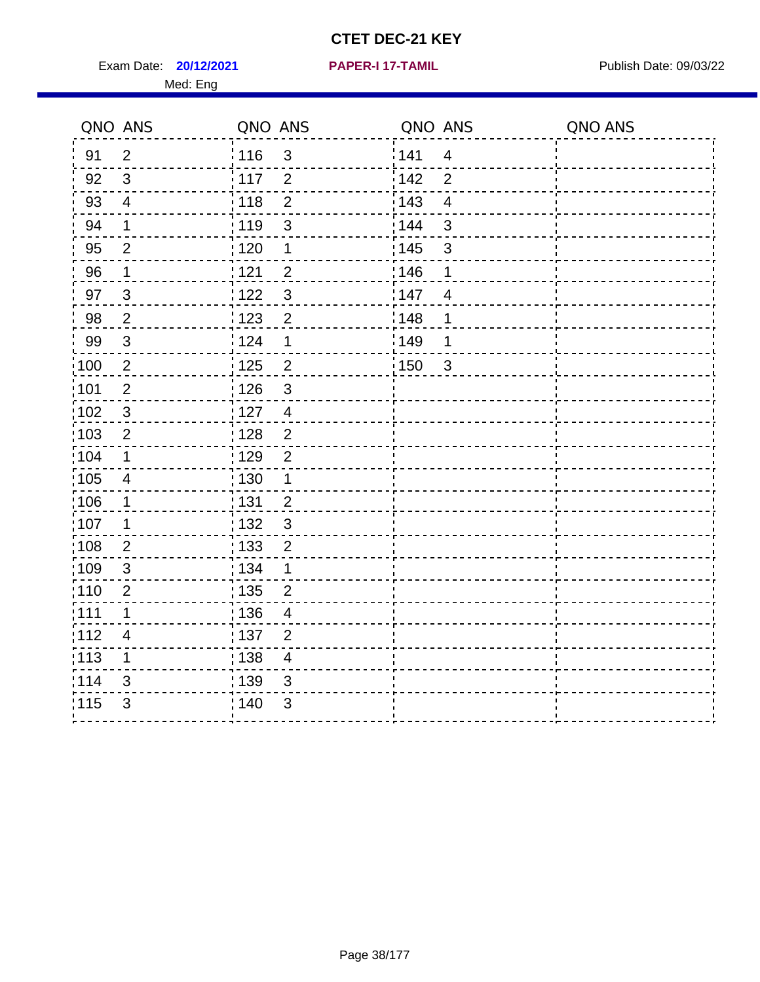Exam Date: **20/12/2021 PAPER-I 17-TAMIL Exam Date: 09/03/22** Med: Eng

#### **20/12/2021 PAPER-I 17-TAMIL**

|                   | QNO ANS                  | QNO ANS |                          | QNO ANS |                | QNO ANS |
|-------------------|--------------------------|---------|--------------------------|---------|----------------|---------|
| 91                | $\overline{2}$           | 116     | $\mathbf{3}$             | 141     | $\overline{4}$ |         |
| 92                | 3                        | 117     | 2                        | 142     | $\overline{2}$ |         |
| 93                | $\overline{4}$           | 118     | $\overline{2}$           | 143     | $\overline{4}$ |         |
| 94                | 1                        | : 119   | 3                        | 144     | $\mathbf{3}$   |         |
| 95                | $\overline{2}$           | : 120   | $\mathbf 1$              | : 145   | $\mathfrak{S}$ |         |
| 96                | $\mathbf 1$              | 121     | $\overline{2}$           | 146     | 1              |         |
| 97                | $\mathbf{3}$             | 122     | $\mathfrak{S}$           | 147     | $\overline{4}$ |         |
| 98                | $\overline{2}$           | ¦ 123   | $\overline{2}$           | 148     | 1              |         |
| 99                | $\mathbf{3}$             | 124     | $\mathbf 1$              | 149     | 1              |         |
| $\frac{1}{1}$ 100 | $\overline{2}$           | 125     | $\overline{2}$           | 150     | $\mathbf{3}$   |         |
| :101              | $\mathbf{2}$             | : 126   | 3                        |         |                |         |
| $\frac{1}{1}$ 102 | $\sqrt{3}$               | : 127   | $\overline{4}$           |         |                |         |
| 103               | 2                        | : 128   | 2                        |         |                |         |
| 104               | $\mathbf{1}$             | : 129   | $\overline{2}$           |         |                |         |
| $\frac{1}{1}$ 105 | $\overline{\mathcal{A}}$ | : 130   | $\mathbf{1}$             |         |                |         |
| 106               | $\mathbf{1}$             | : 131   | $\overline{2}$           |         |                |         |
| 107               | $\mathbf 1$              | : 132   | $\mathbf{3}$             |         |                |         |
| 108               | $\overline{2}$           | : 133   | $\overline{2}$           |         |                |         |
| :109              | $\sqrt{3}$               | : 134   | $\mathbf 1$              |         |                |         |
| 110               | $\overline{2}$           | : 135   | $\overline{2}$           |         |                |         |
| 111               | 1                        | : 136   | 4                        |         |                |         |
| 112               | $\overline{4}$           | : 137   | $\overline{2}$           |         |                |         |
| $\frac{1}{1}$ 113 | $\mathbf 1$              | : 138   | $\overline{\mathcal{A}}$ |         |                |         |
| 114               | 3                        | 139     | 3                        |         |                |         |
| 115               | $\mathfrak{B}$           | 140     | 3                        |         |                |         |
|                   |                          |         |                          |         |                |         |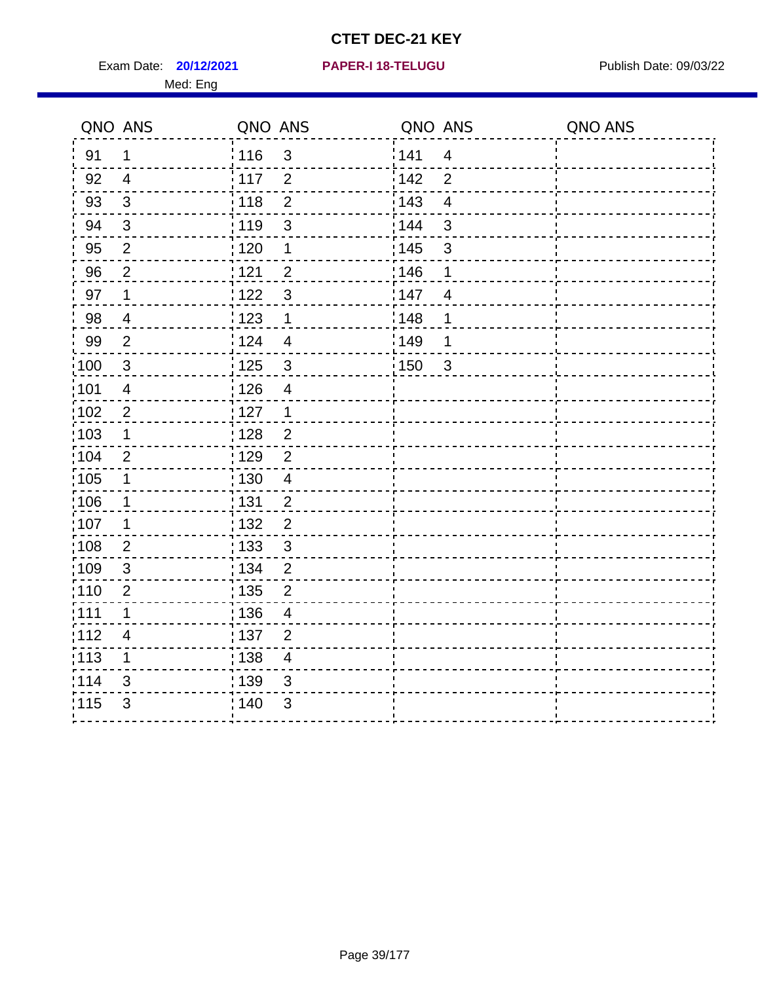**20/12/2021 PAPER-I 18-TELUGU** Exam Date: Publish Date: 09/03/22

|  |  |  | <b>PAPER-I 18-TELUGU</b> |  |
|--|--|--|--------------------------|--|
|  |  |  |                          |  |

|                   | QNO ANS                  | QNO ANS                             | QNO ANS                        | QNO ANS |
|-------------------|--------------------------|-------------------------------------|--------------------------------|---------|
| 91                | 1                        | i 116<br>$\mathfrak{S}$             | 141<br>$\overline{\mathbf{4}}$ |         |
| 92                | 4                        | $\frac{1}{2}$ 117<br>$\overline{2}$ | 142<br>$\overline{2}$          |         |
| 93                | 3                        | : 118<br>$\overline{2}$             | 143<br>$\overline{4}$          |         |
| 94                | $\mathfrak{3}$           | 3<br>: 119                          | 3<br>144                       |         |
| 95                | $\overline{2}$           | 120<br>1                            | : 145<br>3                     |         |
| 96                | $\overline{c}$           | $\overline{c}$<br>: 121             | 146<br>1                       |         |
| 97                | 1                        | 1122<br>3                           | 147<br>4                       |         |
| 98                | $\overline{\mathbf{4}}$  | 1123<br>$\mathbf 1$                 | : 148<br>1                     |         |
| 99                | $\overline{2}$           | i 124<br>$\overline{4}$             | ¦149<br>1                      |         |
| $\frac{1}{1}$ 100 | 3                        | : 125<br>$\mathfrak{S}$             | 150<br>$\mathbf{3}$            |         |
| 101               | $\overline{4}$           | : 126<br>$\overline{4}$             |                                |         |
| 102               | $\overline{c}$           | : 127<br>$\mathbf 1$                |                                |         |
| 103               | $\mathbf 1$              | : 128<br>$\overline{c}$             |                                |         |
| 104               | $\overline{2}$           | $\frac{1}{1}$ 129<br>$\overline{c}$ |                                |         |
| 105               | 1                        | : 130<br>$\overline{4}$             |                                |         |
| :106              | $\mathbf 1$              | <u>¦</u> 131<br>$\overline{c}$      |                                |         |
| $\frac{1}{1}$ 107 | 1                        | : 132<br>$\overline{\mathbf{c}}$    |                                |         |
| :108              | $\mathbf 2$              | : 133<br>$\mathbf{3}$               |                                |         |
| :109              | 3                        | : 134<br>$\overline{2}$             |                                |         |
| :110              | $\overline{2}$           | : 135<br>$\overline{2}$             |                                |         |
| :111              | $\mathbf 1$              | :136<br>$\overline{\mathcal{A}}$    |                                |         |
| 112               | $\overline{\mathcal{A}}$ | : 137<br>$\overline{2}$             |                                |         |
| : 113             | 1                        | : 138<br>$\overline{4}$             |                                |         |
| 114               | 3                        | : 139<br>$\mathfrak{S}$             |                                |         |
| 115               | $\sqrt{3}$               | 140<br>$\sqrt{3}$                   |                                |         |
|                   |                          |                                     |                                |         |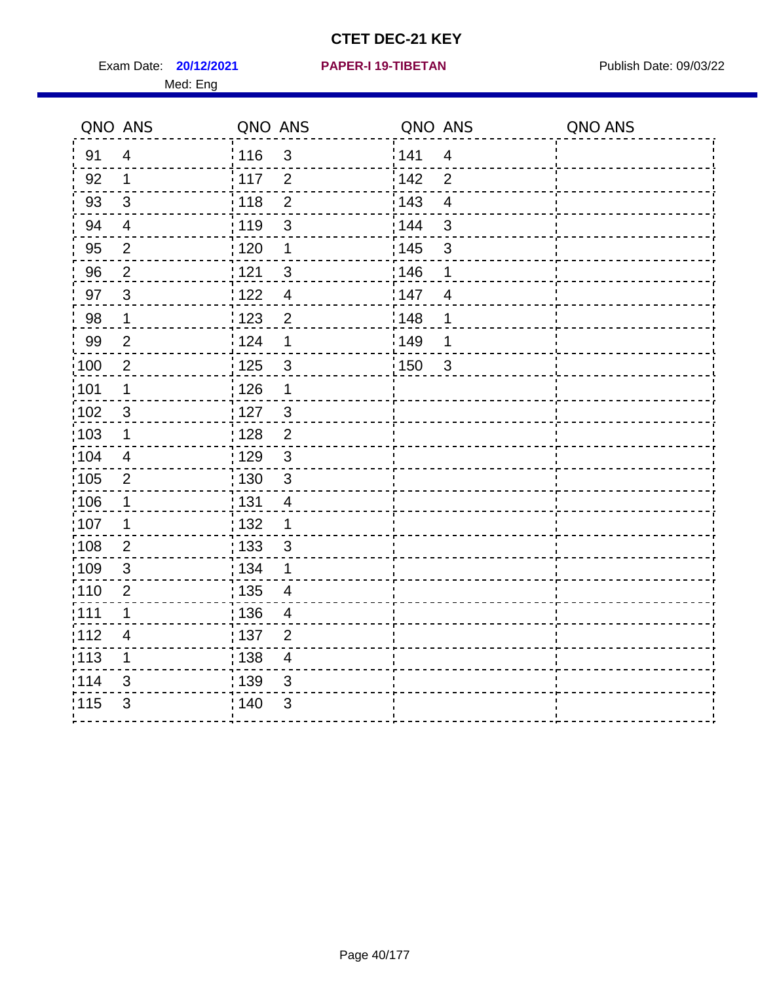Exam Date: **20/12/2021 PAPER-I 19-TIBETAN** Publish Date: 09/03/22 Med: Eng

#### **20/12/2021 PAPER-I 19-TIBETAN**

| QNO ANS           |                | QNO ANS           |                         | QNO ANS           |                         | QNO ANS |
|-------------------|----------------|-------------------|-------------------------|-------------------|-------------------------|---------|
| 91                | $\overline{4}$ | :116              | $\sqrt{3}$              | 141               | $\overline{4}$          |         |
| 92                | $\mathbf{1}$   | : 117             | $\overline{2}$          | 142               | $\overline{2}$          |         |
| 93                | $\mathfrak{S}$ | 118               | $\overline{2}$          | 143               | $\overline{\mathbf{4}}$ |         |
| 94                | $\overline{4}$ | : 119             | $\mathsf 3$             | 144               | $\mathbf{3}$            |         |
| 95                | $\overline{2}$ | :120              | 1                       | $\frac{1}{1}$ 145 | $\sqrt{3}$              |         |
| 96                | 2              | 121               | $\mathfrak{S}$          | 146               | 1                       |         |
| 97                | $\mathbf{3}$   | 122               | $\overline{4}$          | 147               | $\overline{4}$          |         |
| 98                | $\mathbf 1$    | 1123              | $\overline{2}$          | 148               | 1                       |         |
| 99                | $\overline{2}$ | 124               | 1                       | ¦149              | 1                       |         |
| $\frac{1}{1}$ 100 | $\overline{2}$ | $\frac{1}{1}$ 125 | $\mathfrak{S}$          | : 150             | $\mathbf{3}$            |         |
| :101              | $\mathbf 1$    | $\frac{1}{2}$ 126 | 1                       |                   |                         |         |
| 102               | $\mathbf{3}$   | : 127             | $\overline{3}$          |                   |                         |         |
| 103               | 1              | : 128             | $\overline{2}$          |                   |                         |         |
| :104              | $\overline{4}$ | : 129             | $\mathbf{3}$            |                   |                         |         |
| $\frac{1}{1}$ 105 | $\overline{2}$ | : 130             | $\sqrt{3}$              |                   |                         |         |
| 106               | $\mathbf 1$    | : 131             | $\overline{4}$          |                   |                         |         |
| 107               | 1              | : 132             | 1                       |                   |                         |         |
| 108               | $\overline{2}$ | 133               | 3                       |                   |                         |         |
| 109               | $\sqrt{3}$     | : 134             | 1                       |                   |                         |         |
| :110              | $\overline{2}$ | : 135             | $\overline{4}$          |                   |                         |         |
| :111              | 1              | : 136             | 4                       |                   |                         |         |
| 112               | $\overline{4}$ | :137              | $\overline{2}$          |                   |                         |         |
| $\frac{1}{1}$ 113 | $\mathbf 1$    | $\frac{1}{1}$ 138 | $\overline{\mathbf{4}}$ |                   |                         |         |
| 114               | 3              | 139               | $\sqrt{3}$              |                   |                         |         |
| 115               | 3              | ; 140             | $\mathfrak{B}$          |                   |                         |         |
|                   |                |                   |                         |                   |                         |         |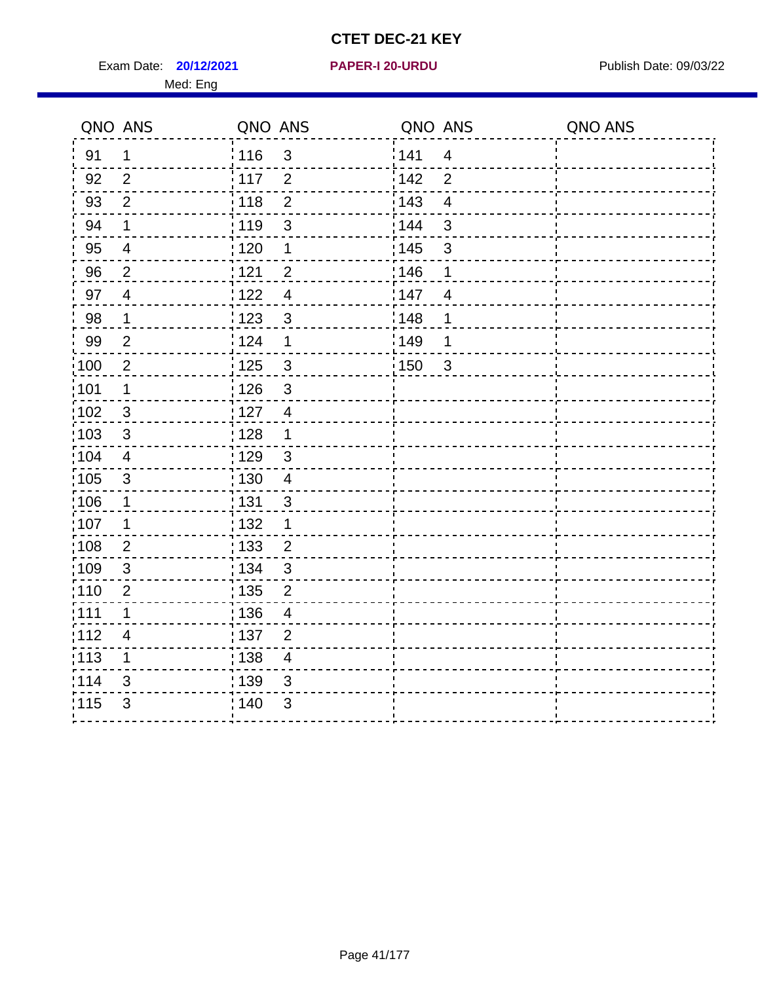Exam Date: **20/12/2021 PAPER-I 20-URDU Product by Publish Date: 09/03/22** Med: Eng

#### **20/12/2021 PAPER-I 20-URDU**

| QNO ANS |                           | QNO ANS           |                | QNO ANS           |                         | QNO ANS |
|---------|---------------------------|-------------------|----------------|-------------------|-------------------------|---------|
| 91      | 1                         | <sup>'</sup> 116  | $\mathfrak{3}$ | 141               | $\overline{4}$          |         |
| 92      | $\overline{2}$            | $\frac{1}{2}$ 117 | 2              | 142               | $\overline{2}$          |         |
| 93      | $\overline{2}$            | 118               | $\overline{2}$ | $\frac{1}{2}$ 143 | $\overline{\mathbf{4}}$ |         |
| 94      | 1                         | : 119             | $\mathfrak{B}$ | : 144             | 3                       |         |
| 95      | 4                         | : 120             | 1              | : 145             | $\mathbf{3}$            |         |
| 96      | $\overline{2}$            | 121               | $\overline{2}$ | 146               | 1                       |         |
| 97      | $\overline{\mathbf{4}}$   | 122               | $\overline{4}$ | 147               | $\overline{4}$          |         |
| 98      | 1                         | 1123              | $\mathbf{3}$   | 148               | 1                       |         |
| 99      | $\overline{2}$            | 124               | $\mathbf{1}$   | :149              | 1                       |         |
| 100     | $\overline{2}$            | : 125             | $\mathbf{3}$   | 150               | $\mathbf{3}$            |         |
| 101     | 1                         | : 126             | $\mathsf 3$    |                   |                         |         |
| 102     | $\mathsf 3$               | $\frac{1}{1}$ 127 | $\overline{4}$ |                   |                         |         |
| 103     | 3                         | : 128             | 1              |                   |                         |         |
| 104     | 4                         | : 129             | 3              |                   |                         |         |
| 105     | $\mathbf{3}$              | : 130             | $\overline{4}$ |                   |                         |         |
| 106     | 1                         | : 131             | $\mathsf 3$    |                   |                         |         |
| 107     | 1                         | 132               | 1              |                   |                         |         |
| 108     | $\overline{2}$            | : 133             | $\overline{2}$ |                   |                         |         |
| 109     | 3                         | : 134             | 3              |                   |                         |         |
| 110     | $\mathbf{2}$              | : 135             | $\overline{2}$ |                   |                         |         |
| 111     | 1                         | : 136             | $\overline{4}$ |                   |                         |         |
| 112     | 4                         | : 137             | $\overline{2}$ |                   |                         |         |
| 113     | 1                         | 138               | $\overline{4}$ |                   |                         |         |
| 114     | $\ensuremath{\mathsf{3}}$ | : 139             | $\mathbf{3}$   |                   |                         |         |
| 115     | 3                         | 140               | $\mathfrak{3}$ |                   |                         |         |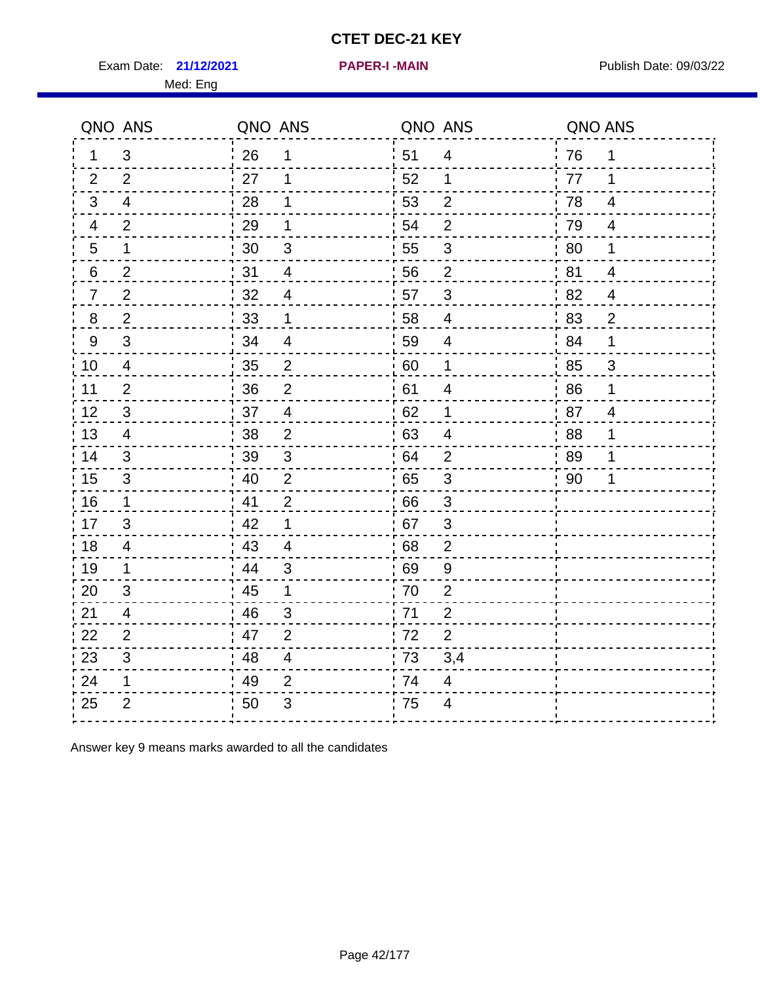Exam Date: 21/12/2021 **PAPER-I-MAIN Exam Date: 09/03/22** 

**21/12/2021 PAPER-I -MAIN**

|                | QNO ANS        | QNO ANS |                | QNO ANS |                         | QNO ANS              |
|----------------|----------------|---------|----------------|---------|-------------------------|----------------------|
| 1.             | 3              | 26      | 1              | 51      | 4                       | 76<br>1              |
| 2              | 2              | 27      | 1              | 52      | 1                       | 77<br>1              |
| 3              | $\overline{4}$ | 28      | 1              | 53      | $\overline{2}$          | 78<br>4              |
| 4              | 2              | 29      | 1              | 54      | $\overline{2}$          | 79<br>4              |
| 5              | 1              | 30      | $\sqrt{3}$     | 55      | 3                       | 80<br>1              |
| 6              | $\overline{2}$ | 31      | $\overline{4}$ | 56      | $\overline{2}$          | 81<br>$\overline{4}$ |
| $\overline{7}$ | $\overline{2}$ | 32      | 4              | 57      | 3                       | 82<br>4              |
| 8              | $\overline{2}$ | 33      | 1              | 58      | $\overline{4}$          | 83<br>$\overline{2}$ |
| 9              | 3              | 34      | $\overline{4}$ | 59      | $\overline{4}$          | 84<br>$\mathbf 1$    |
| 10             | $\overline{4}$ | 35      | $\overline{c}$ | 60      | $\mathbf 1$             | 85<br>$\mathbf{3}$   |
| 11             | $\overline{2}$ | 36      | $\overline{2}$ | 61      | $\overline{\mathbf{4}}$ | 86<br>$\mathbf 1$    |
| 12             | $\mathfrak{B}$ | 37      | $\overline{4}$ | 62      | 1                       | 87<br>$\overline{4}$ |
| 13             | $\overline{4}$ | 38      | $\overline{2}$ | 63      | $\overline{4}$          | .88<br>1             |
| 14             | 3              | 39      | 3              | 64      | $\overline{2}$          | 89<br>1              |
| 15             | $\mathfrak{S}$ | 40      | $\overline{2}$ | 65      | $\sqrt{3}$              | 90<br>1              |
| 16             | $\mathbf 1$    | 41      | $\overline{2}$ | 66      | 3                       |                      |
| 17             | 3              | 42      | 1              | 67      | 3                       |                      |
| 18             | 4              | 43      | $\overline{4}$ | 68      | $\mathbf{2}$            |                      |
| 19             | 1              | 44      | 3              | 69      | 9                       |                      |
| 20             | 3              | 45      | 1              | 70      | $\overline{2}$          |                      |
| 21             | 4              | 46      | 3              | -71     | $\overline{2}$          |                      |
| 22             | 2              | 47      | $\overline{2}$ | 72      | $\overline{2}$          |                      |
| 23             | 3              | 48      | $\overline{4}$ | 73      | 3,4                     |                      |
| 24             | 1              | 49      | $\overline{2}$ | 74      | 4                       |                      |
| 25             | $\overline{2}$ | 50      | 3              | 75      | $\overline{4}$          |                      |

Answer key 9 means marks awarded to all the candidates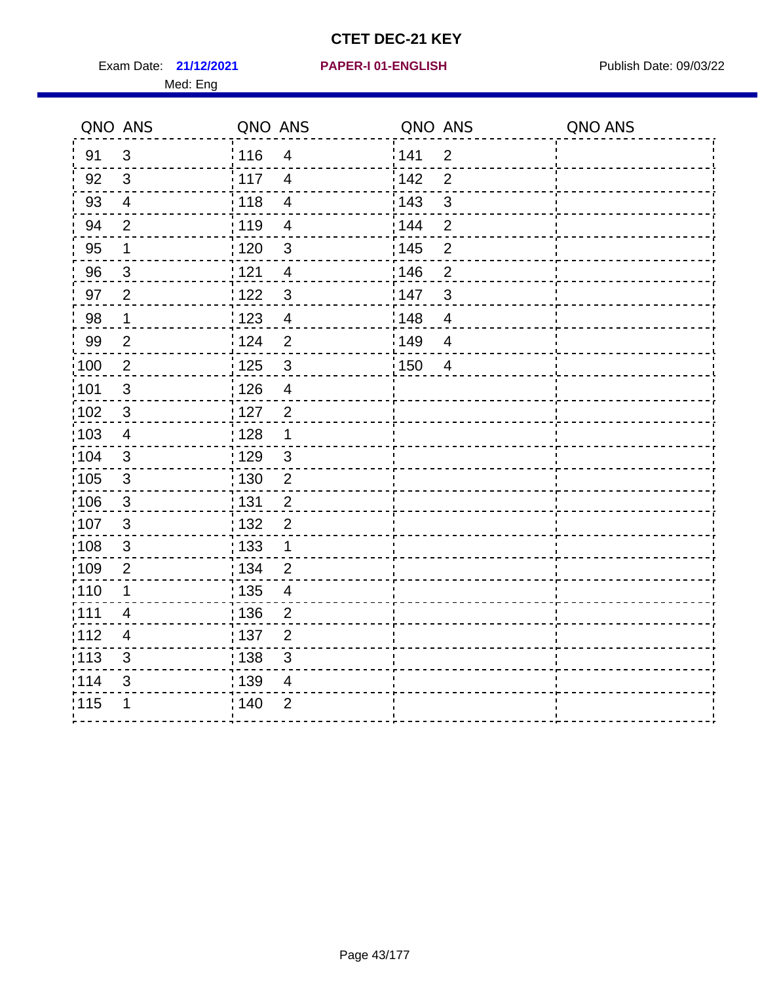Exam Date: 21/12/2021 **PAPER-I 01-ENGLISH Exam Date: 09/03/22** 

#### **21/12/2021 PAPER-I 01-ENGLISH**

|                  | QNO ANS                   | QNO ANS                           | QNO ANS                 | QNO ANS |
|------------------|---------------------------|-----------------------------------|-------------------------|---------|
| 91               | 3                         | : 116<br>$\overline{4}$           | 141<br>$\overline{2}$   |         |
| 92               | 3                         | i 117<br>$\overline{4}$           | $\overline{2}$<br>142   |         |
| 93               | $\overline{4}$            | : 118<br>$\overline{4}$           | 3<br>: 143              |         |
| 94               | $\mathbf{2}$              | :119<br>$\overline{\mathcal{A}}$  | $\overline{c}$<br>: 144 |         |
| 95               | 1                         | : 120<br>3                        | : 145<br>$\overline{2}$ |         |
| 96               | $\mathsf 3$               | 121<br>$\overline{4}$             | 146<br>$\overline{c}$   |         |
| 97               | $\overline{2}$            | 1122<br>$\mathfrak{S}$            | 147<br>3                |         |
| 98               | $\mathbf 1$               | : 123<br>$\overline{4}$           | 148<br>$\overline{4}$   |         |
| 99               | $\overline{2}$            | 124<br>$\overline{2}$             | 149<br>$\overline{4}$   |         |
| $\frac{1}{2}100$ | $\overline{2}$            | : 125<br>$\mathbf{3}$             | 150<br>$\overline{4}$   |         |
| :101             | $\mathfrak{S}$            | : 126<br>$\overline{4}$           |                         |         |
| 102              | $\sqrt{3}$                | : 127<br>$\overline{2}$           |                         |         |
| 103              | $\overline{\mathbf{4}}$   | : 128<br>1                        |                         |         |
| 104              | $\mathsf 3$               | : 129<br>$\mathfrak{S}$           |                         |         |
| 105              | $\mathfrak{S}$            | : 130<br>$\overline{2}$           |                         |         |
| ;106             | $\mathfrak{S}$            | 131<br>$\overline{2}$             |                         |         |
| ,107             | $\sqrt{3}$                | : 132<br>$\overline{c}$           |                         |         |
| :108             | $\ensuremath{\mathsf{3}}$ | 133<br>1                          |                         |         |
| :109             | $\overline{2}$            | : 134<br>$\overline{2}$           |                         |         |
| :110             | 1                         | : 135<br>$\overline{\mathcal{A}}$ |                         |         |
| :111             | $\overline{\mathcal{A}}$  | : 136<br>$\overline{c}$           |                         |         |
| 112              | $\overline{4}$            | : 137<br>$\overline{2}$           |                         |         |
| : 113            | 3                         | 138<br>$\mathfrak{S}$             |                         |         |
| 114              | 3                         | : 139<br>4                        |                         |         |
| 115              | 1                         | 140<br>$\overline{2}$             |                         |         |
|                  |                           |                                   |                         |         |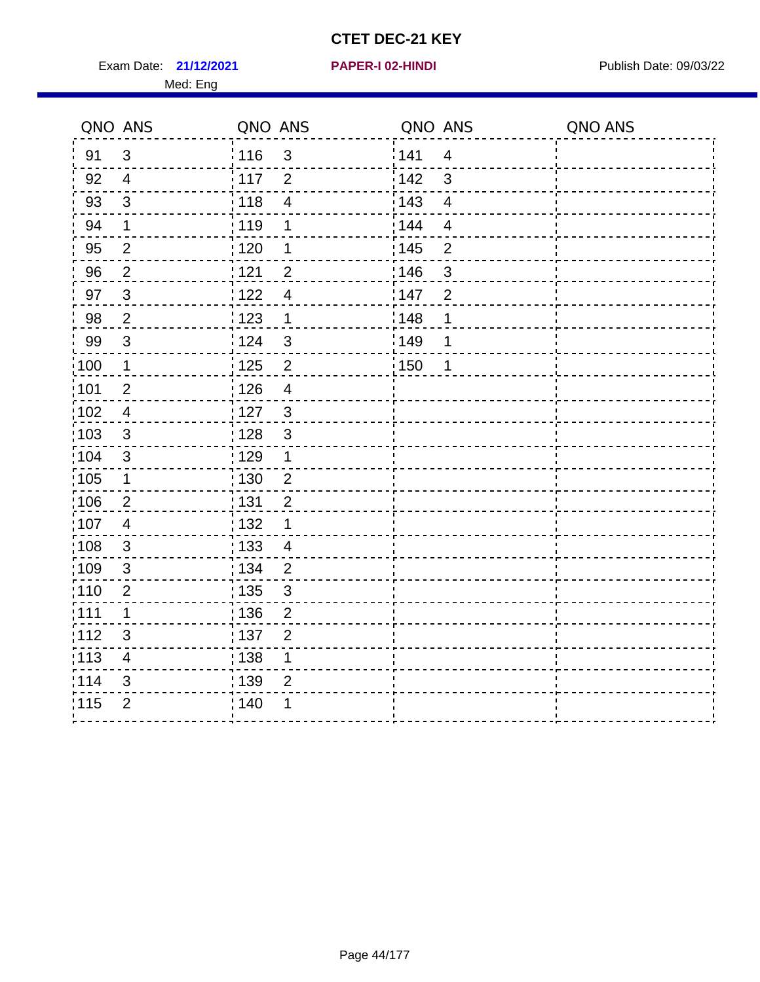Exam Date: 21/12/2021 **PAPER-I 02-HINDI Exam Date: 09/03/22** Med: Eng

**21/12/2021 PAPER-I 02-HINDI**

|        | QNO ANS                 | QNO ANS |                         | QNO ANS           |                | QNO ANS |
|--------|-------------------------|---------|-------------------------|-------------------|----------------|---------|
| 91     | $\mathfrak{3}$          | 116     | $\mathbf{3}$            | 141               | $\overline{4}$ |         |
| 92     | $\overline{4}$          | 117     | $\overline{2}$          | 142               | 3              |         |
| 93     | $\mathbf{3}$            | 118     | $\overline{4}$          | 143               | $\overline{4}$ |         |
| 94     | 1                       | : 119   | 1                       | 144               | 4              |         |
| 95     | $\overline{2}$          | :120    | 1                       | : 145             | $\overline{2}$ |         |
| 96     | $\overline{2}$          | 121     | $\overline{2}$          | 146               | 3              |         |
| 97     | $\mathbf{3}$            | 122     | $\overline{4}$          | 147               | $\overline{2}$ |         |
| $98\,$ | $\overline{2}$          | 123     | $\mathbf{1}$            | $\frac{1}{2}$ 148 | 1              |         |
| 99     | $\mathfrak{S}$          | 124     | $\mathfrak{S}$          | ¦149              | 1              |         |
| 100    | $\mathbf{1}$            | 125     | $\overline{2}$          | 150               | $\mathbf 1$    |         |
| :101   | $\overline{2}$          | 126     | $\overline{\mathbf{4}}$ |                   |                |         |
| 102    | $\overline{4}$          | : 127   | $\mathbf{3}$            |                   |                |         |
| 103    | $\mathbf{3}$            | 128     | $\mathfrak{3}$          |                   |                |         |
| :104   | $\sqrt{3}$              | : 129   | 1                       |                   |                |         |
| 105    | $\mathbf{1}$            | : 130   | $\overline{2}$          |                   |                |         |
| ;106   | $\overline{2}$          | : 131   | $\overline{2}$          |                   |                |         |
| :107   | $\overline{4}$          | : 132   | 1                       |                   |                |         |
| 108    | $\mathbf{3}$            | : 133   | $\overline{4}$          |                   |                |         |
| :109   | $\mathfrak{S}$          | : 134   | $\overline{2}$          |                   |                |         |
| :110   | $\overline{2}$          | : 135   | 3                       |                   |                |         |
| 111    | $\mathbf 1$             | : 136   | $\mathbf{2}$            |                   |                |         |
| 112    | $\mathfrak{S}$          | 137     | $\overline{2}$          |                   |                |         |
| 113    | $\overline{\mathbf{4}}$ | : 138   | 1                       |                   |                |         |
| 114    | 3                       | : 139   | $\overline{2}$          |                   |                |         |
| 115    | $\overline{2}$          | 140     | 1                       |                   |                |         |
|        |                         |         |                         |                   |                |         |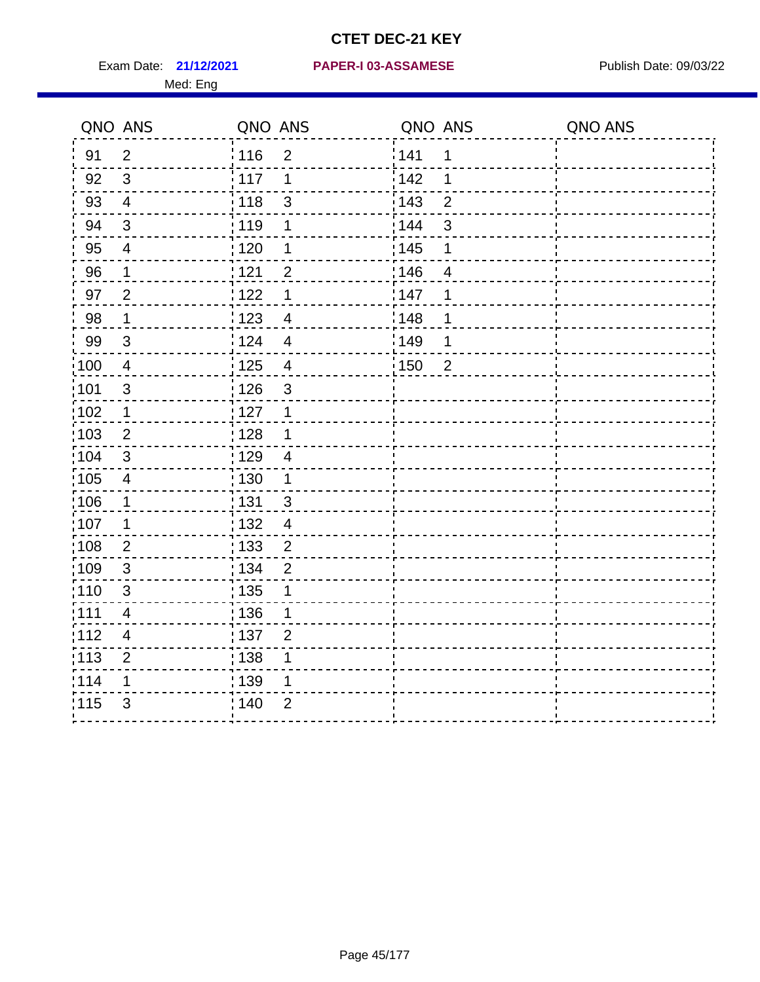|      | QNO ANS        | QNO ANS           |                         | QNO ANS           |                | QNO ANS |
|------|----------------|-------------------|-------------------------|-------------------|----------------|---------|
| 91   | $\overline{2}$ | : 116             | $\overline{2}$          | 141               | 1              |         |
| 92   | $\mathfrak{S}$ | 117               | 1                       | 142               | 1              |         |
| 93   | $\overline{4}$ | 118               | 3                       | 143               | $\overline{2}$ |         |
| 94   | $\sqrt{3}$     | : 119             | 1                       | : 144             | 3              |         |
| 95   | $\overline{4}$ | $\frac{1}{1}$ 120 | 1                       | : 145             | 1              |         |
| 96   | $\mathbf 1$    | 1121              | $\overline{2}$          | 146               | $\overline{4}$ |         |
| 97   | $\overline{2}$ | 122               | 1                       | 147               | 1              |         |
| 98   | $\mathbf{1}$   | $\frac{1}{2}$ 123 | $\overline{4}$          | 148               | 1              |         |
| 99   | $\sqrt{3}$     | 124               | $\overline{4}$          | 149               | 1              |         |
| :100 | $\overline{4}$ | $\frac{1}{1}$ 125 | $\overline{\mathbf{4}}$ | $\frac{1}{1}$ 150 | $\overline{2}$ |         |
| :101 | $\sqrt{3}$     | $\frac{1}{2}$ 126 | 3                       |                   |                |         |
| 102  | $\mathbf 1$    | 127               | 1                       |                   |                |         |
| 103  | 2              | : 128             | $\mathbf 1$             |                   |                |         |
| 104  | $\mathbf{3}$   | :129              | $\overline{4}$          |                   |                |         |
| 105  | $\overline{4}$ | $\frac{1}{1}$ 130 | $\mathbf{1}$            |                   |                |         |
| :106 | $\mathbf 1$    | : 131             | $\mathbf{3}$            |                   |                |         |
| 107  | 1              | : 132             | $\overline{4}$          |                   |                |         |
| 108  | $\overline{2}$ | : 133             | $\overline{2}$          |                   |                |         |
| :109 | $\sqrt{3}$     | : 134             | $\overline{2}$          |                   |                |         |
| :110 | $\mathfrak{S}$ | 135               | 1                       |                   |                |         |
| ;111 | 4              | 136               | 1                       |                   |                |         |
| 112  | $\overline{4}$ | 137               | $\overline{2}$          |                   |                |         |
| 113  | $\overline{2}$ | : 138             | 1                       |                   |                |         |
| 114  | 1              | :139              | 1                       |                   |                |         |
| 115  | 3              | 140               | $\overline{2}$          |                   |                |         |
|      |                |                   |                         |                   |                |         |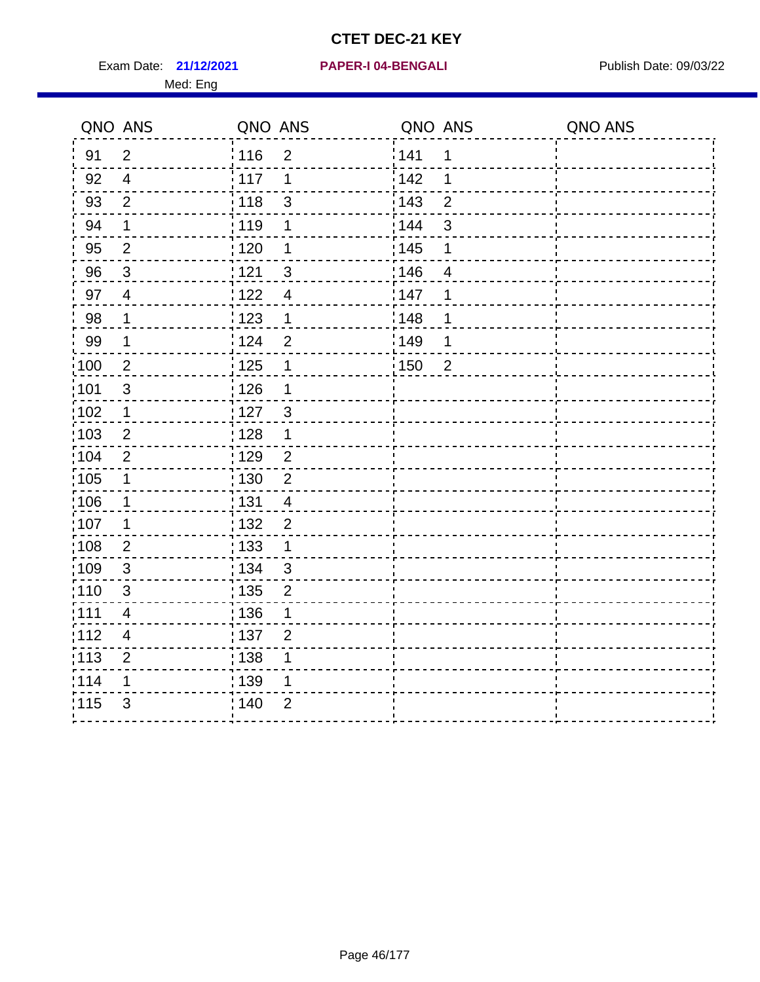Exam Date: 21/12/2021 **PAPER-I 04-BENGALI** PUBLISH Date: 09/03/22

#### **21/12/2021 PAPER-I 04-BENGALI**

|                   | QNO ANS                  | QNO ANS                             | QNO ANS               | QNO ANS |
|-------------------|--------------------------|-------------------------------------|-----------------------|---------|
| 91                | $\overline{2}$           | 116<br>$\overline{2}$               | 141<br>1              |         |
| 92                | $\overline{4}$           | 117<br>1                            | 142<br>1              |         |
| 93                | $\overline{2}$           | $\frac{1}{2}$ 118<br>3              | 143<br>$\overline{2}$ |         |
| 94                | 1                        | : 119<br>1                          | : 144<br>3            |         |
| 95                | $\overline{2}$           | : 120<br>1                          | : 145<br>1            |         |
| 96                | $\mathfrak{S}$           | : 121<br>$\ensuremath{\mathsf{3}}$  | 146<br>$\overline{4}$ |         |
| 97                | $\overline{\mathcal{A}}$ | : 122<br>$\overline{4}$             | 147<br>1              |         |
| 98                | $\mathbf 1$              | 1123<br>$\mathbf{1}$                | 148<br>1              |         |
| 99                | $\mathbf{1}$             | 124<br>$\overline{2}$               | :149<br>1             |         |
| $\frac{1}{1}$ 100 | $\boldsymbol{2}$         | 125<br>$\mathbf 1$                  | 150<br>$\overline{2}$ |         |
| 101               | $\sqrt{3}$               | : 126<br>1                          |                       |         |
| 102               | $\mathbf{1}$             | : 127<br>$\mathbf{3}$               |                       |         |
| :103              | $\overline{2}$           | : 128<br>$\mathbf 1$                |                       |         |
| 104               | $\overline{2}$           | : 129<br>$\overline{c}$             |                       |         |
| $\frac{1}{1}$ 105 | $\mathbf 1$              | $\frac{1}{1}$ 130<br>$\overline{2}$ |                       |         |
| :106              | $\mathbf 1$              | : 131<br>$\overline{4}$             |                       |         |
| :107              | 1                        | : 132<br>$\overline{2}$             |                       |         |
| 108               | $\overline{2}$           | : 133<br>$\mathbf 1$                |                       |         |
| :109              | $\sqrt{3}$               | : 134<br>$\mathbf{3}$               |                       |         |
| :110              | 3                        | 135<br>$\overline{2}$               |                       |         |
| :111              | 4                        | :136<br>1                           |                       |         |
| 112               | $\overline{4}$           | : 137<br>$\overline{2}$             |                       |         |
| 113               | $\mathbf 2$              | : 138<br>1                          |                       |         |
| 114               | 1                        | : 139<br>1                          |                       |         |
| 115               | 3                        | : 140<br>2                          |                       |         |
|                   |                          |                                     |                       |         |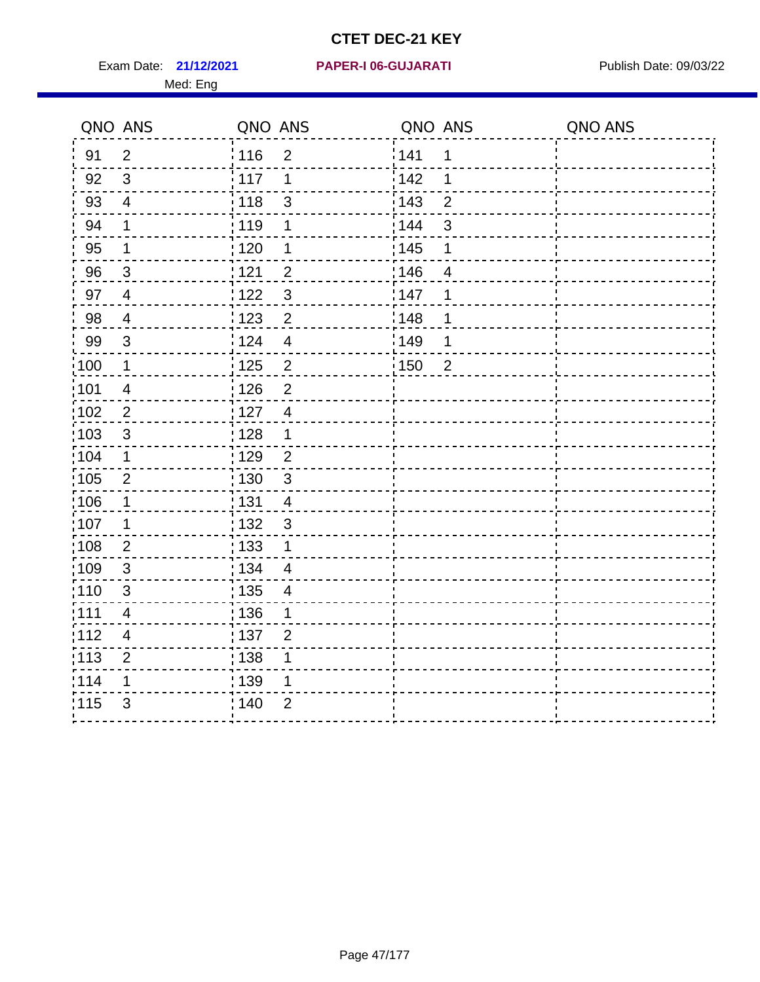Exam Date: 21/12/2021 PAPER-I 06-GUJARATI Publish Date: 09/03/22

#### **21/12/2021 PAPER-I 06-GUJARATI**

|                   | QNO ANS                 | QNO ANS                             | QNO ANS               | QNO ANS |
|-------------------|-------------------------|-------------------------------------|-----------------------|---------|
| 91                | $\overline{2}$          | 116<br>$\overline{2}$               | 141<br>1              |         |
| 92                | $\sqrt{3}$              | 117<br>1                            | 142<br>1              |         |
| 93                | $\overline{\mathbf{4}}$ | 118<br>$\mathfrak{S}$               | 143<br>$\overline{2}$ |         |
| 94                | 1                       | : 119<br>1                          | : 144<br>3            |         |
| 95                | 1                       | :120<br>1                           | : 145<br>1            |         |
| 96                | $\mathbf{3}$            | 121<br>$\overline{2}$               | 146<br>$\overline{4}$ |         |
| 97                | $\overline{4}$          | $\mathfrak{S}$<br>122               | 147<br>1              |         |
| 98                | $\overline{4}$          | $\overline{2}$<br>123               | 148<br>1              |         |
| 99                | $\sqrt{3}$              | :124<br>$\overline{4}$              | 149<br>1              |         |
| :100              | $\mathbf 1$             | $\overline{c}$<br>125               | 150<br>$\overline{2}$ |         |
| :101              | $\overline{4}$          | 126<br>$\overline{2}$               |                       |         |
| 102               | $\overline{2}$          | : 127<br>$\overline{4}$             |                       |         |
| 103               | $\mathbf{3}$            | : 128<br>$\mathbf 1$                |                       |         |
| 104               | $\mathbf 1$             | : 129<br>$\overline{2}$             |                       |         |
| 105               | $\sqrt{2}$              | 130<br>$\mathfrak{S}$               |                       |         |
| 106               | 1                       | $\frac{1}{1}$ 131<br>$\overline{4}$ |                       |         |
| :107              | 1                       | : 132<br>$\mathbf{3}$               |                       |         |
| $\frac{1}{1}$ 108 | $\overline{2}$          | : 133<br>$\mathbf 1$                |                       |         |
| :109              | $\sqrt{3}$              | : 134<br>$\overline{4}$             |                       |         |
| 110               | 3                       | : 135<br>4                          |                       |         |
| :111              | 4                       | : 136<br>1                          |                       |         |
| 112               | $\overline{\mathbf{4}}$ | : 137<br>$\overline{2}$             |                       |         |
| : 113             | $\overline{2}$          | : 138<br>1                          |                       |         |
| 114               | 1                       | : 139<br>1                          |                       |         |
| 115               | 3                       | : 140<br>$\overline{2}$             |                       |         |
|                   |                         |                                     |                       |         |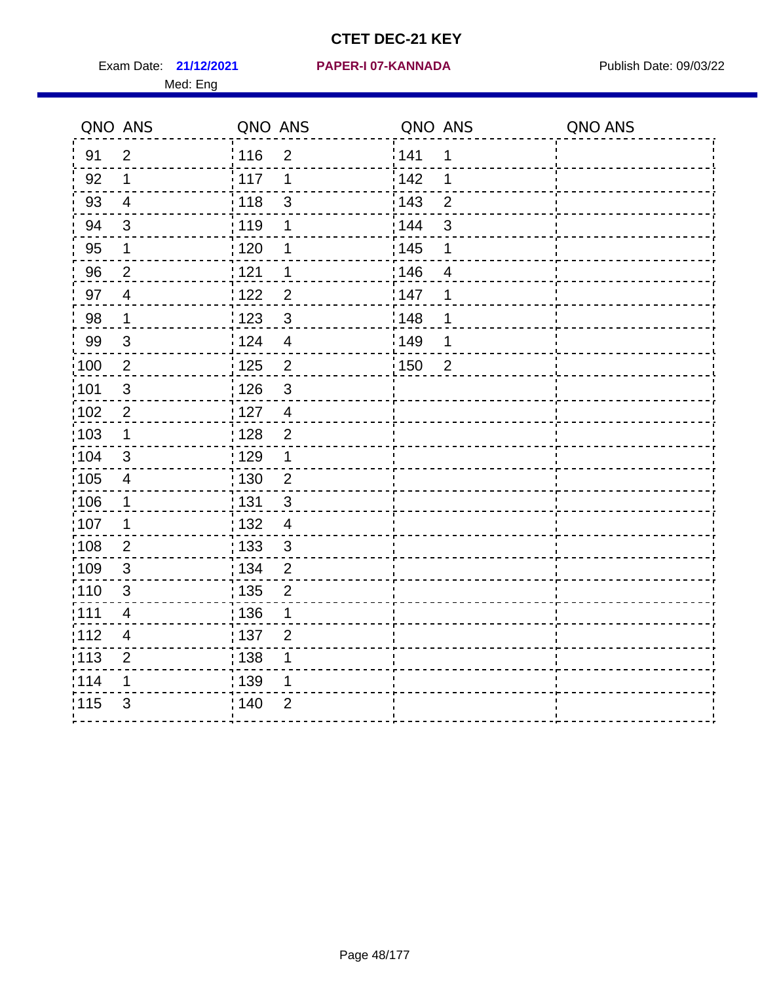Exam Date: 21/12/2021 **PAPER-I 07-KANNADA** Publish Date: 09/03/22

#### **21/12/2021 PAPER-I 07-KANNADA**

|                   | QNO ANS                  | QNO ANS           |                | QNO ANS           |                | QNO ANS |
|-------------------|--------------------------|-------------------|----------------|-------------------|----------------|---------|
| 91                | $\overline{2}$           | 116               | $\overline{2}$ | 141               | 1              |         |
| 92                | 1                        | : 117             | 1              | $\frac{1}{2}$ 142 | 1              |         |
| 93                | $\overline{4}$           | 118               | $\mathfrak{B}$ | $\frac{1}{2}$ 143 | $\overline{2}$ |         |
| 94                | $\sqrt{3}$               | 119               | 1              | : 144             | $\sqrt{3}$     |         |
| 95                | 1                        | : 120             | 1              | : 145             | 1              |         |
| 96                | $\overline{2}$           | 121               | 1              | 146               | 4              |         |
| 97                | $\overline{4}$           | 122               | $\overline{2}$ | 147               | 1              |         |
| 98                | $\mathbf 1$              | 123               | $\mathbf{3}$   | 148               | 1              |         |
| 99                | $\mathbf{3}$             | ¦ 124             | $\overline{4}$ | 149               | 1              |         |
| 100               | $\overline{2}$           | : 125             | $\overline{2}$ | 150               | $\overline{2}$ |         |
| :101              | $\mathfrak{S}$           | 126               | $\mathbf{3}$   |                   |                |         |
| 102               | $\overline{2}$           | 127               | $\overline{4}$ |                   |                |         |
| 103               | $\mathbf{1}$             | $\frac{1}{1}$ 128 | $\overline{2}$ |                   |                |         |
| 104               | $\mathfrak{3}$           | : 129             | $\mathbf 1$    |                   |                |         |
| 105               | $\overline{\mathcal{A}}$ | : 130             | $\overline{2}$ |                   |                |         |
| 106               | 1                        | : 131             | $\mathfrak{S}$ |                   |                |         |
| 107               | 1                        | : 132             | $\overline{4}$ |                   |                |         |
| :108              | $\sqrt{2}$               | : 133             | $\sqrt{3}$     |                   |                |         |
| :109              | $\mathbf{3}$             | : 134             | $\overline{2}$ |                   |                |         |
| :110              | 3                        | $\frac{1}{1}$ 135 | $\overline{2}$ |                   |                |         |
| :111              | 4                        | : 136             | $\mathbf{1}$   |                   |                |         |
| 112               | 4                        | : 137             | $\overline{2}$ |                   |                |         |
| $\frac{1}{1}$ 113 | $\mathbf 2$              | $\frac{1}{1}$ 138 | 1              |                   |                |         |
| 114               | 1                        | : 139             | 1              |                   |                |         |
| 115               | $\mathfrak{S}$           | 140               | $\overline{2}$ |                   |                |         |
|                   |                          |                   |                |                   |                |         |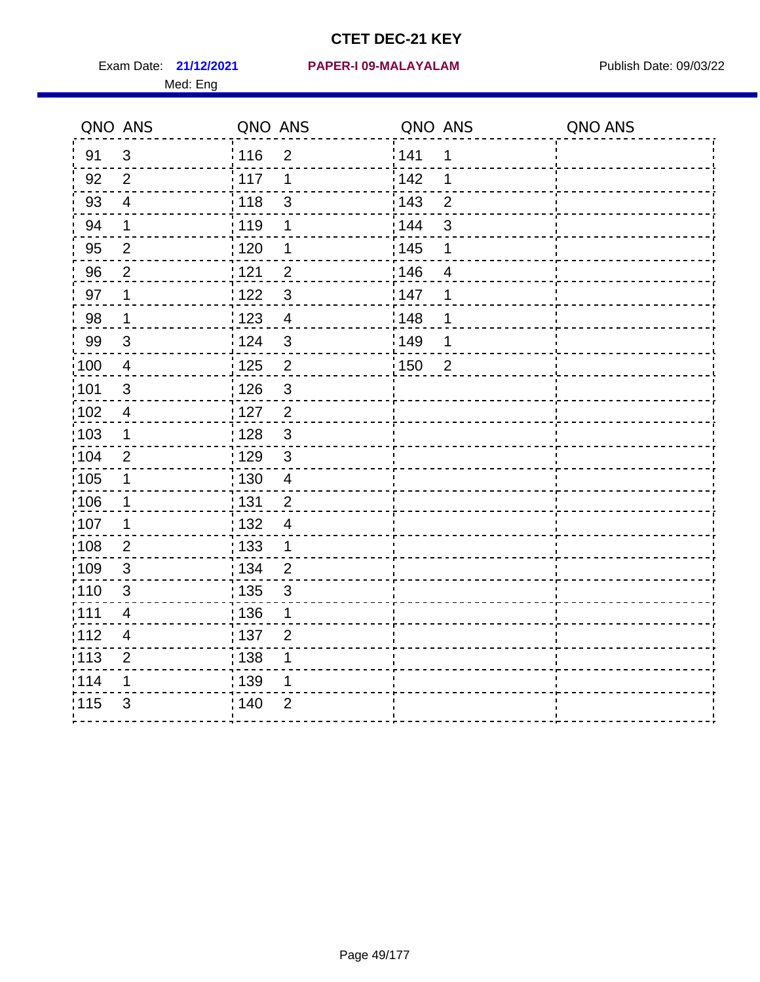#### **21/12/2021 PAPER-I 09-MALAYALAM** Exam Date: Publish Date: 09/03/22

|                   | QNO ANS                  | QNO ANS           |                | QNO ANS           |                | QNO ANS |
|-------------------|--------------------------|-------------------|----------------|-------------------|----------------|---------|
| 91                | 3                        | 116               | $\overline{2}$ | 141               | 1              |         |
| 92                | $\overline{2}$           | 117               | 1              | $\frac{1}{2}$ 142 | 1              |         |
| 93                | $\overline{4}$           | 118               | $\mathbf{3}$   | $\frac{1}{2}$ 143 | $\overline{2}$ |         |
| 94                | $\mathbf 1$              | 119               | 1              | : 144             | $\sqrt{3}$     |         |
| 95                | $\overline{2}$           | : 120             | 1              | : 145             | 1              |         |
| 96                | $\overline{2}$           | 121               | $\overline{c}$ | 146               | 4              |         |
| 97                | 1                        | 122               | $\mathbf{3}$   | 147               | 1              |         |
| 98                | $\mathbf 1$              | 123               | $\overline{4}$ | 148               | 1              |         |
| 99                | $\mathbf{3}$             | i 124             | $\mathbf{3}$   | 149               | 1              |         |
| :100              | $\overline{4}$           | : 125             | $\overline{2}$ | 150               | $\overline{2}$ |         |
| :101              | $\mathbf{3}$             | 126               | $\mathbf{3}$   |                   |                |         |
| 102               | $\overline{\mathcal{A}}$ | 127               | $\overline{2}$ |                   |                |         |
| 103               | 1                        | : 128             | $\mathfrak{S}$ |                   |                |         |
| 104               | $\overline{2}$           | 129               | $\mathfrak{S}$ |                   |                |         |
| 105               | 1                        | : 130             | $\overline{4}$ |                   |                |         |
| 106               | 1                        | : 131             | $\overline{c}$ |                   |                |         |
| 107               | 1                        | : 132             | $\overline{4}$ |                   |                |         |
| :108              | $\sqrt{2}$               | : 133             | $\mathbf{1}$   |                   |                |         |
| :109              | $\mathbf{3}$             | : 134             | $\overline{2}$ |                   |                |         |
| :110              | 3                        | $\frac{1}{1}$ 135 | 3              |                   |                |         |
| :111              | 4                        | : 136             | $\mathbf{1}$   |                   |                |         |
| 112               | 4                        | :137              | $\overline{2}$ |                   |                |         |
| $\frac{1}{1}$ 113 | $\mathbf 2$              | $\frac{1}{1}$ 138 | 1              |                   |                |         |
| 114               | 1                        | : 139             | 1              |                   |                |         |
| 115               | 3                        | 140               | $\overline{2}$ |                   |                |         |
|                   |                          |                   |                |                   |                |         |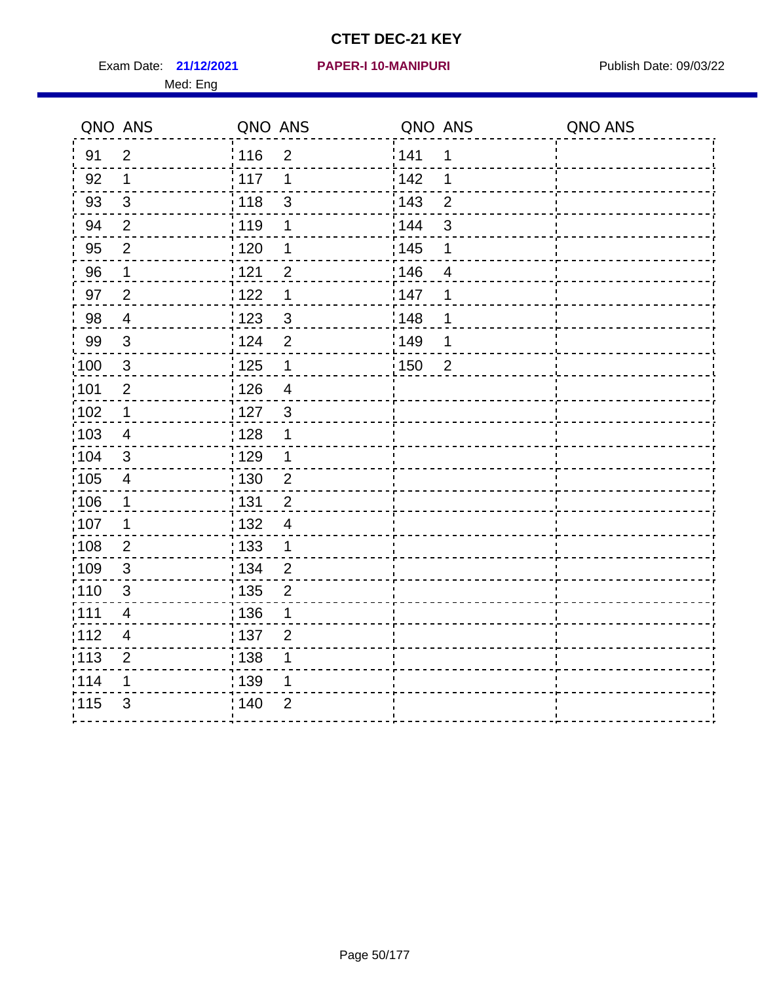Exam Date: 21/12/2021 **PAPER-I 10-MANIPURI** Publish Date: 09/03/22 Med: Eng

#### **21/12/2021 PAPER-I 10-MANIPURI**

|                   | QNO ANS                 | QNO ANS           |                | QNO ANS           |                | QNO ANS |
|-------------------|-------------------------|-------------------|----------------|-------------------|----------------|---------|
| 91                | $\overline{2}$          | 116               | $\overline{2}$ | 141               | $\mathbf 1$    |         |
| 92                | 1                       | 117               | 1              | 142               | 1              |         |
| 93                | $\mathfrak{S}$          | 118               | $\mathsf 3$    | 143               | $\overline{2}$ |         |
| 94                | 2                       | : 119             | 1              | 144               | 3              |         |
| 95                | $\overline{2}$          | : 120             | 1              | : 145             | 1              |         |
| 96                | 1                       | 121               | $\overline{2}$ | 146               | $\overline{4}$ |         |
| 97                | $\overline{2}$          | 122               | $\mathbf 1$    | 147               | 1              |         |
| 98                | $\overline{4}$          | 123               | $\mathbf{3}$   | 148               | 1              |         |
| 99                | $\sqrt{3}$              | 124               | $\overline{2}$ | 149               | 1              |         |
| 100               | $\sqrt{3}$              | $\frac{1}{1}$ 125 | $\mathbf 1$    | $\frac{1}{1}$ 150 | $\overline{2}$ |         |
| 101               | $\overline{2}$          | 126               | $\overline{4}$ |                   |                |         |
| 102               | $\mathbf 1$             | 127               | 3              |                   |                |         |
| 103               | 4                       | : 128             | $\mathbf 1$    |                   |                |         |
| $\frac{1}{104}$   | $\mathbf{3}$            | : 129             | $\mathbf 1$    |                   |                |         |
| $\frac{1}{1}$ 105 | $\overline{\mathbf{4}}$ | : 130             | $\overline{c}$ |                   |                |         |
| 106               | $\mathbf 1$             | : 131             | $\overline{2}$ |                   |                |         |
| 107               | $\mathbf 1$             | : 132             | $\overline{4}$ |                   |                |         |
| $\frac{1}{1}$ 108 | $\overline{2}$          | : 133             | $\mathbf 1$    |                   |                |         |
| 109               | $\sqrt{3}$              | : 134             | $\overline{2}$ |                   |                |         |
| : 110             | 3                       | : 135             | $\overline{2}$ |                   |                |         |
| : 111             | 4                       | : 136             | 1              |                   |                |         |
| 112               | $\overline{\mathbf{4}}$ | : 137             | $\overline{2}$ |                   |                |         |
| : 113             | $\overline{2}$          | : 138             | 1              |                   |                |         |
| 114               | 1                       | : 139             | 1              |                   |                |         |
| 115               | 3                       | 140               | $\overline{2}$ |                   |                |         |
|                   |                         |                   |                |                   |                |         |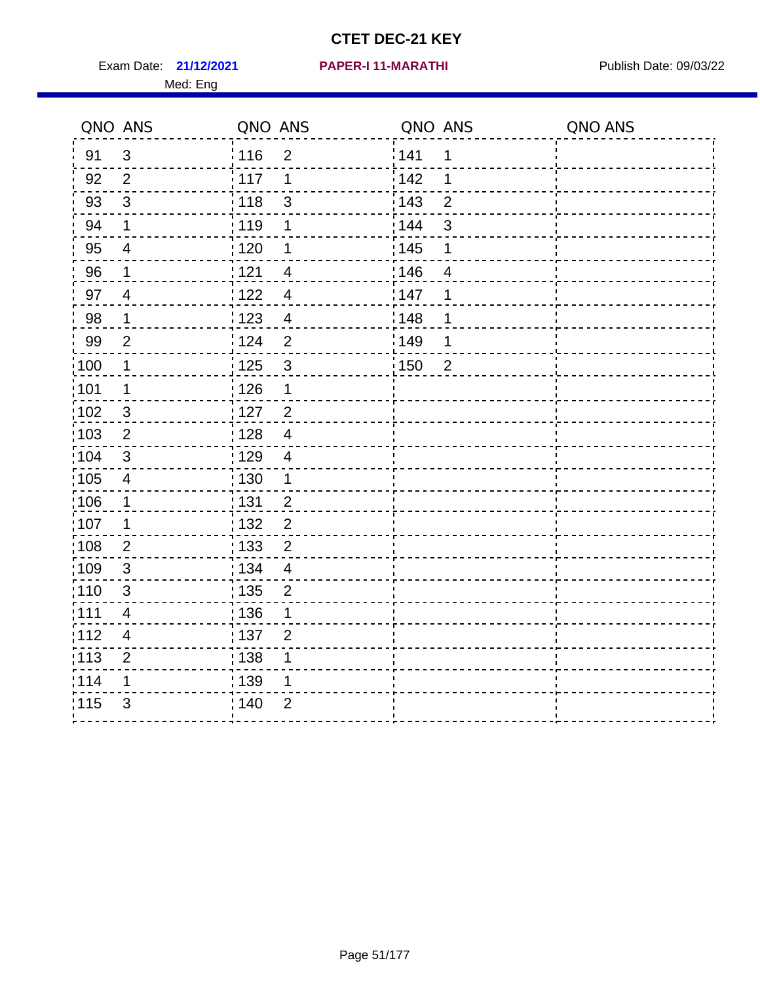Exam Date: 21/12/2021 PAPER-I 11-MARATHI PUBlish Date: 09/03/22 Med: Eng

#### **21/12/2021 PAPER-I 11-MARATHI**

|                   | QNO ANS                 | QNO ANS         |                         | QNO ANS           |                | QNO ANS |
|-------------------|-------------------------|-----------------|-------------------------|-------------------|----------------|---------|
| 91                | $\mathbf{3}$            | 116             | $\overline{2}$          | 141               | $\mathbf 1$    |         |
| 92                | $\overline{2}$          | $\frac{1}{117}$ | 1                       | 142               | 1              |         |
| 93                | $\mathfrak{S}$          | 118             | $\mathsf 3$             | 143               | $\overline{2}$ |         |
| 94                | $\mathbf 1$             | :119            | $\mathbf 1$             | 144               | 3              |         |
| 95                | $\overline{\mathbf{4}}$ | : 120           | 1                       | : 145             | 1              |         |
| 96                | 1                       | 121             | $\overline{4}$          | 146               | $\overline{4}$ |         |
| 97                | $\overline{4}$          | 122             | $\overline{\mathbf{4}}$ | 147               | 1              |         |
| 98                | $\mathbf 1$             | 123             | $\overline{4}$          | 1148              | 1              |         |
| 99                | $\mathbf{2}$            | 124             | $\mathbf 2$             | 149               | 1              |         |
| 100               | 1                       | 125             | $\mathbf{3}$            | $\frac{1}{1}$ 150 | $\overline{2}$ |         |
| 101               | $\mathbf 1$             | 126             | $\mathbf 1$             |                   |                |         |
| $\frac{1}{1}$ 102 | 3                       | $127$           | $\overline{2}$          |                   |                |         |
| 103               | 2                       | : 128           | $\overline{4}$          |                   |                |         |
| 104               | 3                       | : 129           | $\overline{4}$          |                   |                |         |
| $\frac{1}{1}$ 105 | $\overline{\mathbf{4}}$ | : 130           | $\mathbf 1$             |                   |                |         |
| :106              | $\mathbf 1$             | : 131           | $\overline{2}$          |                   |                |         |
| 107               | 1                       | : 132           | $\overline{2}$          |                   |                |         |
| 108               | $\overline{2}$          | : 133           | $\overline{2}$          |                   |                |         |
| :109              | $\sqrt{3}$              | : 134           | $\overline{4}$          |                   |                |         |
| : 110             | 3                       | : 135           | $\overline{2}$          |                   |                |         |
| : 111             | 4                       | : 136           | 1                       |                   |                |         |
| 112               | $\overline{\mathbf{4}}$ | : 137           | $\overline{2}$          |                   |                |         |
| : 113             | $\overline{2}$          | : 138           | 1                       |                   |                |         |
| 114               | 1                       | 139             | 1                       |                   |                |         |
| 115               | $\mathfrak{S}$          | 140             | $\overline{2}$          |                   |                |         |
|                   |                         |                 |                         |                   |                |         |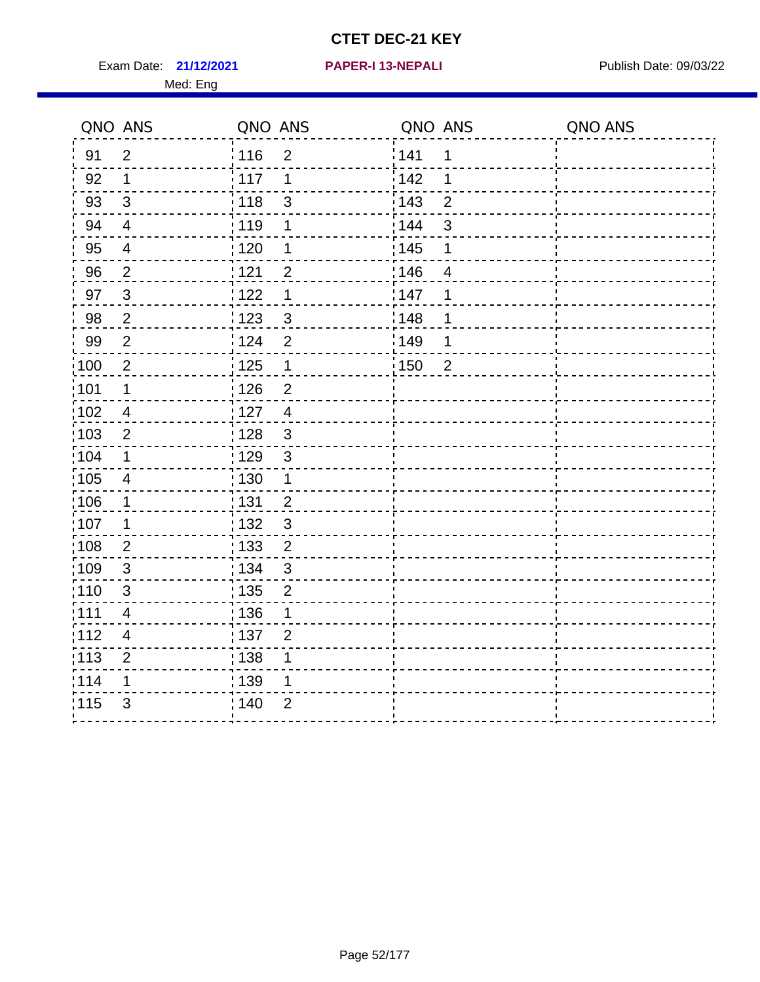Exam Date: 21/12/2021 **PAPER-I 13-NEPALI** Publish Date: 09/03/22

#### **21/12/2021 PAPER-I 13-NEPALI**

|       | QNO ANS                  | QNO ANS           |                | QNO ANS           |                           | QNO ANS |
|-------|--------------------------|-------------------|----------------|-------------------|---------------------------|---------|
| 91    | $\overline{2}$           | 116               | $\overline{2}$ | 141               | 1                         |         |
| 92    | 1                        | 117               | 1              | 142               | 1                         |         |
| 93    | 3                        | 118               | 3              | 143               | $\overline{2}$            |         |
| 94    | $\overline{4}$           | 119               | 1              | 144               | $\ensuremath{\mathsf{3}}$ |         |
| 95    | $\overline{\mathcal{A}}$ | : 120             | 1              | $\frac{1}{1}$ 145 | 1                         |         |
| 96    | $\overline{c}$           | 121               | $\overline{2}$ | 146               | $\overline{4}$            |         |
| 97    | $\mathbf{3}$             | 122               | 1              | 147               | 1                         |         |
| 98    | $\overline{2}$           | 123               | $\mathbf{3}$   | :148              | 1                         |         |
| 99    | $\overline{2}$           | 124               | $\overline{2}$ | ¦149              | 1                         |         |
| 100   | $\overline{2}$           | 125               | $\mathbf 1$    | :150              | $\overline{2}$            |         |
| 101   | 1                        | 126               | $\overline{2}$ |                   |                           |         |
| 102   | $\overline{\mathcal{A}}$ | 127               | $\overline{4}$ |                   |                           |         |
| :103  | $\sqrt{2}$               | : 128             | $\mathbf{3}$   |                   |                           |         |
| 104   | 1                        | : 129             | $\sqrt{3}$     |                   |                           |         |
| 105   | $\overline{\mathcal{A}}$ | : 130             | 1              |                   |                           |         |
| :106  | 1                        | 131               | $\overline{2}$ |                   |                           |         |
| 107   | 1                        | $\frac{1}{1}$ 132 | $\mathbf{3}$   |                   |                           |         |
| 108   | $\mathbf 2$              | 133               | $\overline{c}$ |                   |                           |         |
| 109   | 3                        | : 134             | 3              |                   |                           |         |
| :110  | 3                        | : 135             | $\overline{2}$ |                   |                           |         |
| :111  | $\overline{4}$           | $\frac{1}{1}$ 136 | $\mathbf 1$    |                   |                           |         |
| 112   | $\overline{4}$           | 137               | $\overline{2}$ |                   |                           |         |
| : 113 | $\overline{2}$           | : 138             |                |                   |                           |         |
| 114   | 1                        | : 139             | 1              |                   |                           |         |
| 115   | 3                        | 140               | $\overline{2}$ |                   |                           |         |
|       |                          |                   |                |                   |                           |         |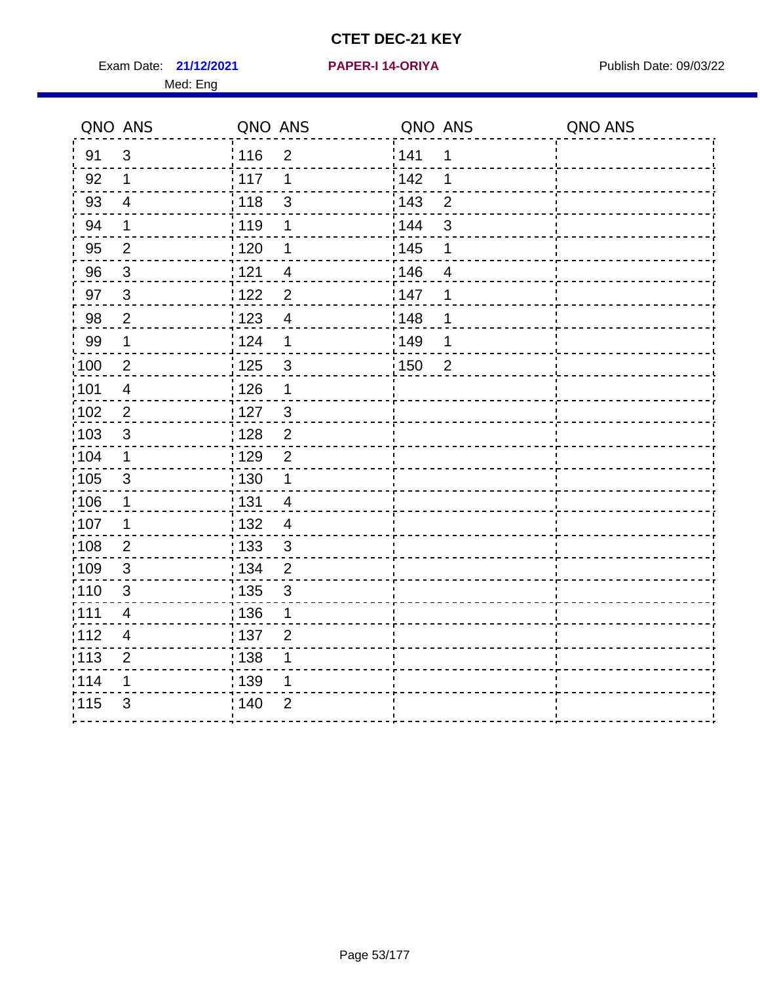Exam Date: 21/12/2021 PAPER-I 14-ORIYA Publish Date: 09/03/22 Med: Eng

#### **21/12/2021 PAPER-I 14-ORIYA**

| QNO ANS           |                          | QNO ANS           |                          | QNO ANS           |                | QNO ANS |
|-------------------|--------------------------|-------------------|--------------------------|-------------------|----------------|---------|
| 91                | 3                        | <sup>'</sup> 116  | $\overline{2}$           | 141               | 1              |         |
| 92                | $\mathbf 1$              | : 117             | 1                        | 142               | 1              |         |
| 93                | $\overline{4}$           | : 118             | $\mathbf{3}$             | <sup>'</sup> 143  | $\overline{2}$ |         |
| 94                | $\mathbf 1$              | : 119             | 1                        | 144               | $\mathfrak{S}$ |         |
| 95                | $\overline{2}$           | : 120             | 1                        | : 145             | 1              |         |
| 96                | $\mathbf{3}$             | 121               | $\overline{\mathcal{A}}$ | 146               | $\overline{4}$ |         |
| 97                | $\mathbf{3}$             | 122               | $\overline{2}$           | 147               | 1              |         |
| 98                | $\overline{2}$           | 123               | $\overline{\mathbf{4}}$  | 148               | 1              |         |
| 99                | $\mathbf 1$              | 124               | $\mathbf 1$              | <sup>'</sup> 149  | $\mathbf 1$    |         |
| $\frac{1}{1}$ 100 | $\overline{2}$           | 125               | $\mathfrak{S}$           | $\frac{1}{1}$ 150 | $\overline{2}$ |         |
| 101               | $\overline{\mathcal{A}}$ | $\frac{1}{2}$ 126 | $\mathbf 1$              |                   |                |         |
| 102               | $\overline{2}$           | $\frac{1}{2}$ 127 | $\mathbf{3}$             |                   |                |         |
| 103               | 3                        | : 128             | $\overline{2}$           |                   |                |         |
| 104               | 1                        | : 129             | $\overline{2}$           |                   |                |         |
| $\frac{1}{1}$ 105 | $\sqrt{3}$               | 130               | $\mathbf 1$              |                   |                |         |
| 106               | $\mathbf 1$              | : 131             | $\overline{4}$           |                   |                |         |
| 107               | 1                        | : 132             | $\overline{4}$           |                   |                |         |
| $\frac{1}{1}$ 108 | $\overline{2}$           | : 133             | $\mathbf{3}$             |                   |                |         |
| :109              | $\sqrt{3}$               | : 134             | $\overline{2}$           |                   |                |         |
| 110               | $\mathfrak{S}$           | $\frac{1}{1}$ 135 | $\sqrt{3}$               |                   |                |         |
| :111              | 4                        | : 136             | 1                        |                   |                |         |
| 112               | $\overline{4}$           | : 137             | $\overline{2}$           |                   |                |         |
| : 113             | $\overline{2}$           | $\frac{1}{1}$ 138 | 1                        |                   |                |         |
| 114               | 1                        | 139               | 1                        |                   |                |         |
| 115               | 3                        | 140               | $\overline{2}$           |                   |                |         |
|                   |                          |                   |                          |                   |                |         |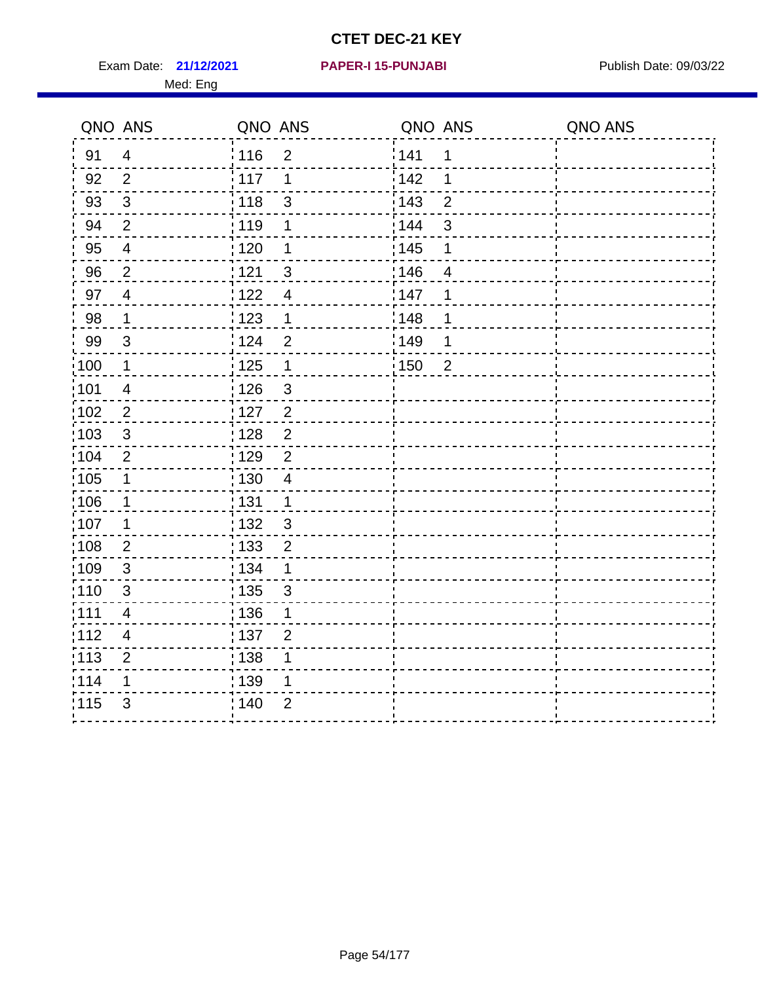Exam Date: 21/12/2021 PAPER-I 15-PUNJABI PUBLISH Date: 09/03/22 Med: Eng

#### **21/12/2021 PAPER-I 15-PUNJABI**

|                   | QNO ANS                 | QNO ANS           |                | QNO ANS |                         | QNO ANS |
|-------------------|-------------------------|-------------------|----------------|---------|-------------------------|---------|
| 91                | $\overline{4}$          | : 116             | $\overline{2}$ | 141     | 1                       |         |
| 92                | $\overline{2}$          | 117               | 1              | 142     | 1                       |         |
| 93                | $\sqrt{3}$              | 118               | 3              | 143     | $\overline{2}$          |         |
| 94                | $\overline{2}$          | : 119             | 1              | 144     | 3                       |         |
| 95                | $\overline{\mathbf{4}}$ | : 120             | 1              | : 145   | 1                       |         |
| 96                | $\overline{2}$          | 1121              | 3              | 146     | $\overline{\mathbf{4}}$ |         |
| 97                | $\overline{4}$          | 1122              | $\overline{4}$ | 147     | 1                       |         |
| 98                | $\mathbf 1$             | 1123              | 1              | 148     | 1                       |         |
| 99                | 3                       | 124               | $\overline{2}$ | 149     | 1                       |         |
| $\frac{1}{100}$   | $\mathbf 1$             | $\frac{1}{1}$ 125 | $\mathbf 1$    | : 150   | $\overline{2}$          |         |
| :101              | $\overline{\mathbf{4}}$ | : 126             | $\mathfrak{S}$ |         |                         |         |
| $\frac{1}{1}$ 102 | $\sqrt{2}$              | $\frac{1}{1}$ 127 | $\overline{2}$ |         |                         |         |
| 103               | 3                       | : 128             | $\overline{2}$ |         |                         |         |
| :104              | $\overline{2}$          | : 129             | $\overline{2}$ |         |                         |         |
| 105               | $\mathbf 1$             | : 130             | $\overline{4}$ |         |                         |         |
| 106               | $\mathbf 1$             | : 131             | $\mathbf 1$    |         |                         |         |
| 107               | 1                       | 132               | $\mathbf{3}$   |         |                         |         |
| 108               | $\overline{2}$          | : 133             | $\overline{2}$ |         |                         |         |
| $\frac{1}{1}$ 109 | $\sqrt{3}$              | : 134             | 1              |         |                         |         |
| :110              | $\sqrt{3}$              | 135               | 3              |         |                         |         |
| :111              | 4                       | : 136             | 1              |         |                         |         |
| :112              | $\overline{4}$          | : 137             | $\overline{2}$ |         |                         |         |
| $\frac{1}{1}$ 113 | $\overline{2}$          | : 138             | 1              |         |                         |         |
| 114               | 1                       | 139               | 1              |         |                         |         |
| 115               | 3                       | 140               | $\overline{2}$ |         |                         |         |
|                   |                         |                   |                |         |                         |         |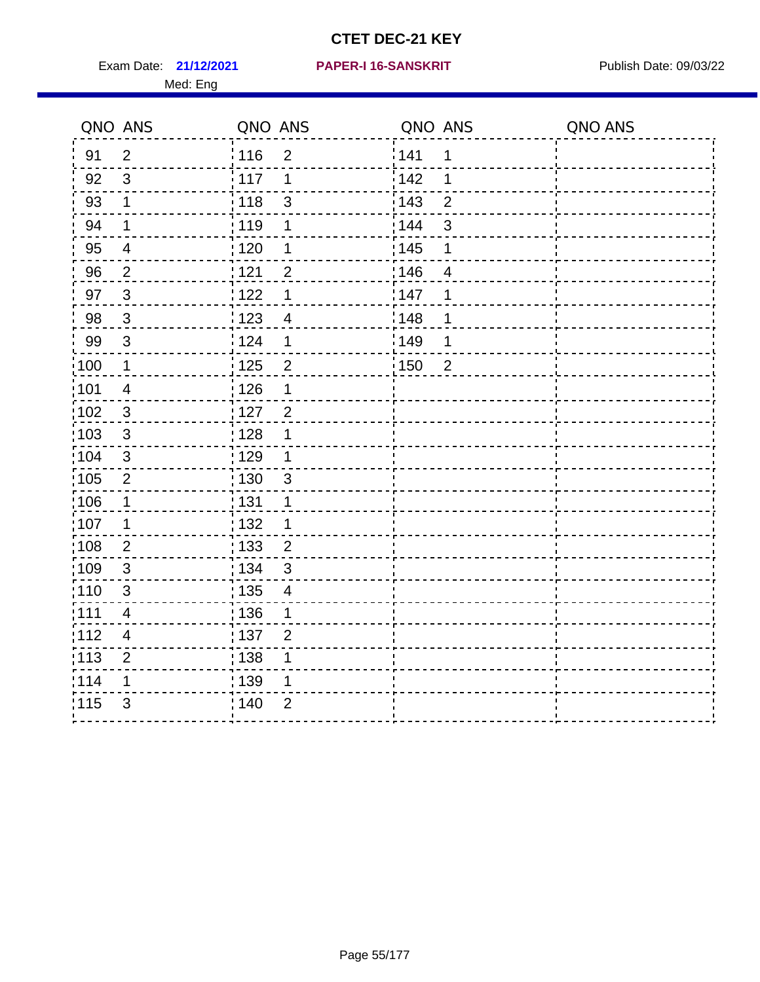Exam Date: 21/12/2021 PAPER-I 16-SANSKRIT Publish Date: 09/03/22

#### **21/12/2021 PAPER-I 16-SANSKRIT**

|       | QNO ANS                  | QNO ANS           |                         | QNO ANS           |                | QNO ANS |
|-------|--------------------------|-------------------|-------------------------|-------------------|----------------|---------|
| 91    | $\overline{2}$           | 116               | $\overline{2}$          | <sup>'</sup> 141  | 1              |         |
| 92    | $\mathbf{3}$             | $\frac{1}{2}$ 117 | $\mathbf 1$             | 142               | 1              |         |
| 93    | 1                        | : 118             | 3                       | 143               | $\overline{2}$ |         |
| 94    | 1                        | 119               | 1                       | 144               | $\mathsf 3$    |         |
| 95    | $\overline{4}$           | : 120             | 1                       | : 145             | 1              |         |
| 96    | $\overline{c}$           | 121               | $\overline{2}$          | 146               | $\overline{4}$ |         |
| 97    | $\mathbf{3}$             | 122               | $\mathbf 1$             | 147               | 1              |         |
| 98    | $\mathbf{3}$             | : 123             | $\overline{4}$          | 148               | 1              |         |
| 99    | $\mathbf{3}$             | : 124             | $\mathbf 1$             | ¦149              | 1              |         |
| 100   | $\mathbf{1}$             | : 125             | $\overline{2}$          | $\frac{1}{2}$ 150 | $\overline{2}$ |         |
| :101  | $\overline{4}$           | : 126             | 1                       |                   |                |         |
| 102   | $\sqrt{3}$               | : 127             | $\overline{2}$          |                   |                |         |
| :103  | $\sqrt{3}$               | : 128             | 1                       |                   |                |         |
| 104   | $\mathsf 3$              | : 129             | 1                       |                   |                |         |
| :105  | $\overline{2}$           | : 130             | 3                       |                   |                |         |
| :106  | $\mathbf 1$              | : 131             | 1                       |                   |                |         |
| :107  | 1                        | 132               | 1                       |                   |                |         |
| 108   | $\mathbf 2$              | $\frac{1}{1}$ 133 | $\overline{\mathbf{c}}$ |                   |                |         |
| :109  | $\mathfrak{S}$           | : 134             | 3                       |                   |                |         |
| : 110 | 3                        | : 135             | 4                       |                   |                |         |
| 111   | $\overline{4}$           | 136               | 1                       |                   |                |         |
| 112   | $\overline{\mathcal{A}}$ | : 137             | $\overline{2}$          |                   |                |         |
| : 113 | $\mathbf{2}$             | 138               | 1                       |                   |                |         |
| 114   | 1                        | : 139             | 1                       |                   |                |         |
| 115   | 3                        | 140               | 2                       |                   |                |         |
|       |                          |                   |                         |                   |                |         |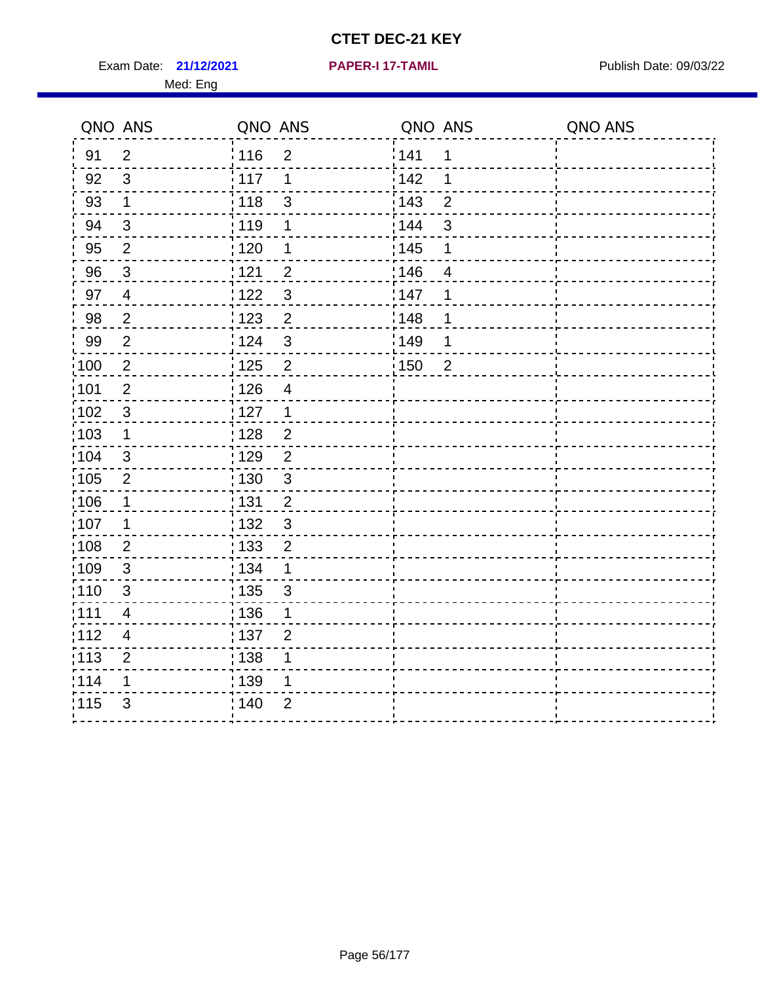Exam Date: 21/12/2021 **PAPER-I 17-TAMIL Exam Date: 09/03/22** 

Med: Eng

**21/12/2021 PAPER-I 17-TAMIL**

|                   | QNO ANS                  | QNO ANS           |                | QNO ANS           |                | QNO ANS |
|-------------------|--------------------------|-------------------|----------------|-------------------|----------------|---------|
| 91                | $\overline{2}$           | : 116             | $\overline{2}$ | 141               | $\mathbf 1$    |         |
| 92                | $\mathbf{3}$             | 117               | 1              | 142               | 1              |         |
| 93                | $\mathbf{1}$             | 118               | $\sqrt{3}$     | 143               | $\overline{2}$ |         |
| 94                | $\sqrt{3}$               | : 119             | 1              | 144               | $\mathbf{3}$   |         |
| 95                | $\overline{2}$           | : 120             | 1              | : 145             | 1              |         |
| 96                | $\sqrt{3}$               | 121               | $\overline{2}$ | 146               | 4              |         |
| 97                | $\overline{\mathcal{A}}$ | 122               | $\mathfrak{S}$ | 147               | 1              |         |
| 98                | $\overline{2}$           | 123               | $\overline{2}$ | 148               | 1              |         |
| 99                | $\mathbf{2}$             | 124               | $\sqrt{3}$     | 149               | 1              |         |
| $\frac{1}{1}$ 100 | $\overline{2}$           | $\frac{1}{1}$ 125 | $\overline{2}$ | $\frac{1}{1}$ 150 | $\overline{2}$ |         |
| :101              | $\boldsymbol{2}$         | : 126             | $\overline{4}$ |                   |                |         |
| 102               | $\mathbf{3}$             | 127               | $\mathbf{1}$   |                   |                |         |
| 103               | $\mathbf 1$              | : 128             | $\overline{2}$ |                   |                |         |
| 104               | 3                        | : 129             | $\overline{2}$ |                   |                |         |
| 105               | $\overline{2}$           | : 130             | $\mathbf{3}$   |                   |                |         |
| :106              | $\mathbf{1}$             | : 131             | $\overline{2}$ |                   |                |         |
| ;107              | $\mathbf{1}$             | 132               | $\mathfrak{3}$ |                   |                |         |
| 108               | $\overline{2}$           | : 133             | $\overline{2}$ |                   |                |         |
| :109              | $\sqrt{3}$               | : 134             | $\mathbf 1$    |                   |                |         |
| :110              | 3                        | : 135             | 3              |                   |                |         |
| 111               | 4                        | : 136             | 1              |                   |                |         |
| 112               | $\overline{4}$           | : 137             | $\overline{2}$ |                   |                |         |
| 113               | $\overline{2}$           | : 138             | 1              |                   |                |         |
| 114               | 1                        | : 139             | 1              |                   |                |         |
| 115               | 3                        | 140               | $\overline{2}$ |                   |                |         |
|                   |                          |                   |                |                   |                |         |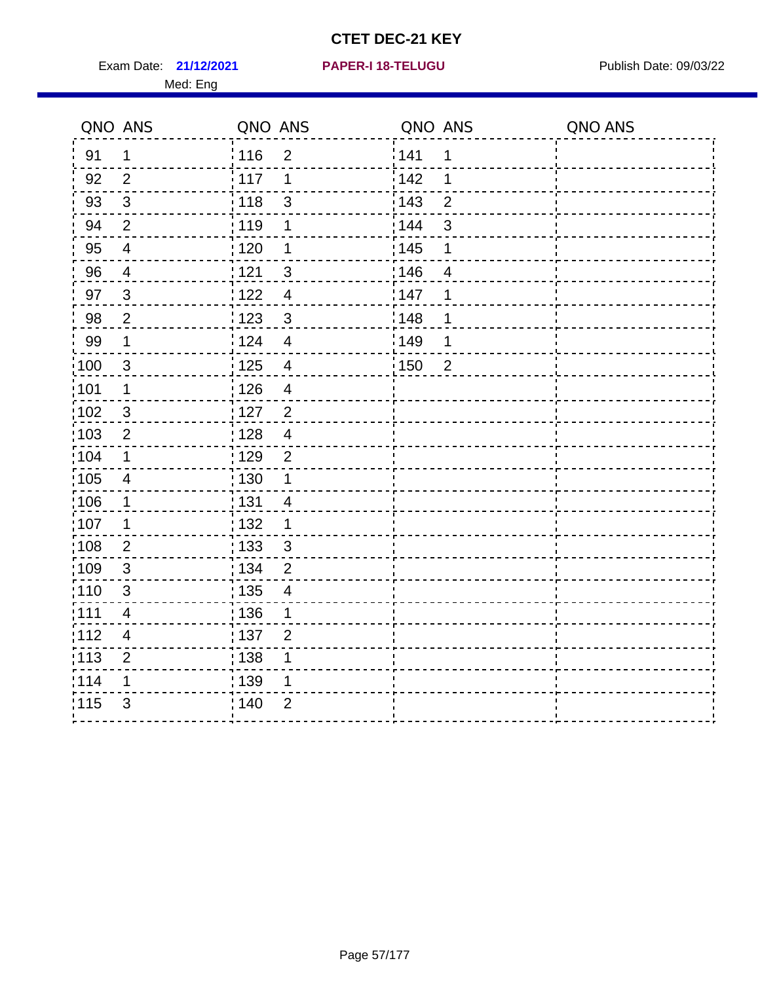**21/12/2021 PAPER-I 18-TELUGU** Exam Date: Publish Date: 09/03/22

|  |  |  |  |  |  | <b>PAPER-I 18-TELUGU</b> |  |
|--|--|--|--|--|--|--------------------------|--|
|  |  |  |  |  |  |                          |  |

|       | QNO ANS                  | QNO ANS                                      | QNO ANS                 | QNO ANS |
|-------|--------------------------|----------------------------------------------|-------------------------|---------|
| 91    | 1                        | i 116<br>$\overline{2}$                      | 141<br>1                |         |
| 92    | $\overline{2}$           | i 117<br>1                                   | 142<br>1                |         |
| 93    | $\mathfrak{B}$           | $\frac{1}{2}$ 118<br>3                       | 143<br>$\overline{2}$   |         |
| 94    | $\overline{2}$           | : 119<br>1                                   | 3<br>144                |         |
| 95    | $\overline{\mathcal{A}}$ | 120<br>1                                     | 145<br>1                |         |
| 96    | $\overline{4}$           | $\overline{3}$<br>, 121                      | 146<br>$\overline{4}$   |         |
| 97    | $\sqrt{3}$               | 122<br>$\overline{4}$                        | 147<br>1                |         |
| 98    | $\overline{2}$           | 123<br>$\sqrt{3}$                            | :148<br>1               |         |
| 99    | 1                        | 124<br>$\overline{\mathbf{4}}$               | 149<br>1                |         |
| :100  | $\mathfrak{B}$           | : 125<br>$\overline{\mathcal{A}}$            | : 150<br>$\overline{2}$ |         |
| :101  | $\mathbf 1$              | : 126<br>$\overline{4}$                      |                         |         |
| 102   | $\sqrt{3}$               | :127<br>$\overline{c}$                       |                         |         |
| 103   | $\overline{c}$           | $\frac{1}{1}$ 128<br>$\overline{\mathbf{4}}$ |                         |         |
| 104   | 1                        | 129<br>$\mathbf{2}$                          |                         |         |
| 105   | $\overline{\mathcal{A}}$ | : 130                                        |                         |         |
| 106   | 1                        | 131<br>4                                     |                         |         |
| 107   | 1                        | $\frac{1}{1}$ 132<br>1                       |                         |         |
| 108   | $\overline{2}$           | 133<br>$\mathsf 3$                           |                         |         |
| :109  | 3                        | : 134<br>$\overline{2}$                      |                         |         |
| :110  | 3                        | : 135<br>4                                   |                         |         |
| :111  | $\overline{\mathbf{4}}$  | 136<br>1                                     |                         |         |
| : 112 | $\overline{4}$           | : 137<br>$\overline{2}$                      |                         |         |
| 113   | $\overline{2}$           | : 138                                        |                         |         |
| 114   | 1                        | 139                                          |                         |         |
| 115   | 3                        | 140<br>$\overline{2}$                        |                         |         |
|       |                          |                                              |                         |         |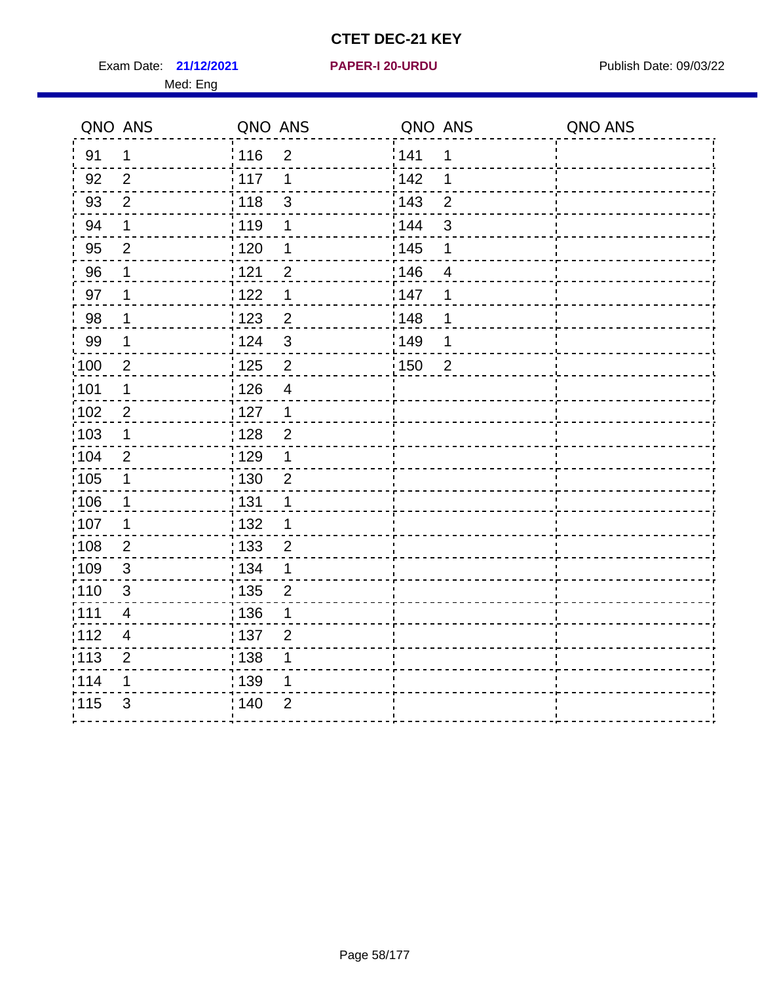**21/12/2021 PAPER-I 20-URDU** Exam Date: Publish Date: 09/03/22

|  |  |  | <b>PAPER-I 20-URDU</b> |  |  |  |
|--|--|--|------------------------|--|--|--|
|  |  |  |                        |  |  |  |

|                   | QNO ANS        | QNO ANS                             | QNO ANS                          | QNO ANS |
|-------------------|----------------|-------------------------------------|----------------------------------|---------|
| 91                | 1              | i 116<br>$\overline{2}$             | 141<br>1                         |         |
| 92                | 2              | 117<br>1                            | $\frac{1}{2}$ 142<br>1           |         |
| 93                | 2              | : 118<br>3                          | : 143<br>$\overline{2}$          |         |
| 94                | $\mathbf 1$    | : 119<br>1                          | 144<br>3                         |         |
| 95                | $\overline{2}$ | :120<br>1                           | : 145<br>1                       |         |
| 96                | 1              | $\overline{2}$<br>121               | :146<br>$\overline{\mathcal{A}}$ |         |
| 97                | 1              | 122<br>1                            | 147<br>1                         |         |
| 98                | 1              | $\frac{1}{2}$ 123<br>$\overline{2}$ | 148<br>1                         |         |
| 99                | 1              | 124<br>$\mathsf 3$                  | $\frac{1}{2}$ 149<br>1           |         |
| $\frac{1}{1}$ 100 | $\overline{2}$ | 125<br>$\overline{2}$               | 150<br>$\overline{2}$            |         |
| :101              | 1              | 126<br>$\overline{4}$               |                                  |         |
| 102               | $\overline{2}$ | :127<br>1                           |                                  |         |
| 103               | 1              | 128<br>$\overline{2}$               |                                  |         |
| 104               | $\mathbf 2$    | : 129<br>1                          |                                  |         |
| 105               | 1              | : 130<br>$\overline{2}$             |                                  |         |
| 106               | 1              | : 131                               |                                  |         |
| 107               | 1              | :132<br>1                           |                                  |         |
| $\frac{1}{1}$ 108 | $\overline{c}$ | : 133<br>$\overline{2}$             |                                  |         |
| 109               | $\sqrt{3}$     | 134<br>1                            |                                  |         |
| :110              | $\mathfrak{B}$ | : 135<br>$\overline{2}$             |                                  |         |
| ;111              | 4              | : 136<br>1                          |                                  |         |
| 112               | $\overline{4}$ | :137<br>$\overline{2}$              |                                  |         |
| : 113             | $\mathbf{2}$   | , 138<br>1                          |                                  |         |
| 114               | 1              | : 139                               |                                  |         |
| 115               | 3              | 140<br>$\overline{2}$               |                                  |         |
|                   |                |                                     |                                  |         |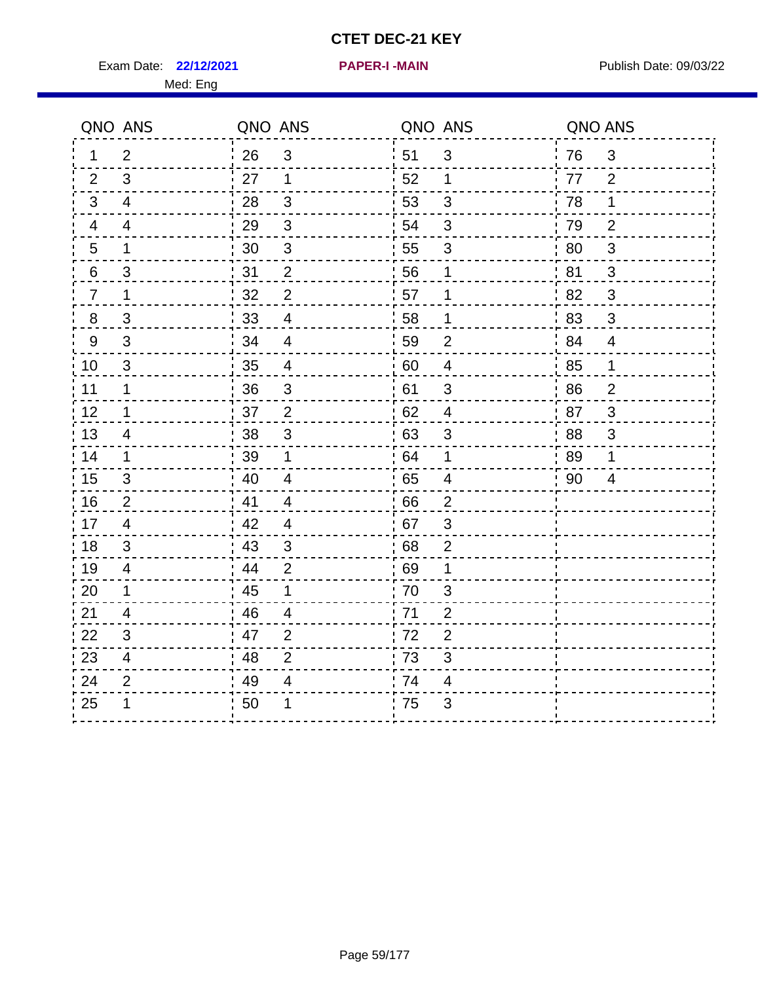Exam Date: 22/12/2021 **PAPER-I-MAIN Proposed All Publish Date: 09/03/22** 

|                  | QNO ANS                   | QNO ANS |                           | QNO ANS |                           | QNO ANS |                           |
|------------------|---------------------------|---------|---------------------------|---------|---------------------------|---------|---------------------------|
| 1                | $\overline{2}$            | 26      | $\sqrt{3}$                | 51      | 3                         | 76      | 3                         |
| $\overline{2}$   | 3                         | 27      | 1                         | 52      | 1                         | 77      | $\overline{2}$            |
| 3                | 4                         | 28      | 3                         | 53      | 3                         | 78      | 1                         |
| 4                | 4                         | 29      | $\sqrt{3}$                | 54      | $\ensuremath{\mathsf{3}}$ | 79      | $\overline{2}$            |
| 5                | $\mathbf 1$               | 30      | $\mathfrak{S}$            | 55      | 3                         | 80      | $\ensuremath{\mathsf{3}}$ |
| $\boldsymbol{6}$ | $\ensuremath{\mathsf{3}}$ | 31      | $\boldsymbol{2}$          | 56      | 1                         | 81      | 3                         |
| $\overline{7}$   | $\mathbf 1$               | 32      | $\overline{2}$            | 57      | 1                         | 82      | 3                         |
| $\frac{8}{1}$    | 3                         | 33      | $\overline{4}$            | 58      | $\mathbf 1$               | 83      | 3                         |
| 9                | 3                         | 34      | $\overline{4}$            | 59      | $\overline{2}$            | 84      | 4                         |
| 10               | 3                         | 35      | 4                         | 60      | $\overline{4}$            | 85      | $\mathbf 1$               |
| 11               | $\mathbf{1}$              | 36      | $\mathfrak{S}$            | 61      | $\mathfrak{S}$            | 86      | $\overline{2}$            |
| 12               | $\mathbf 1$               | 37      | $\overline{2}$            | 62      | $\overline{4}$            | 87      | 3                         |
| 13               | 4                         | 38      | $\ensuremath{\mathsf{3}}$ | 63      | $\ensuremath{\mathsf{3}}$ | 88      | $\ensuremath{\mathsf{3}}$ |
| 14               | 1                         | 39      | 1                         | .64     | 1                         | 89      | 1                         |
| 15               | 3                         | 40      | 4                         | 65      | 4                         | 90      | 4                         |
| 16               | $\overline{2}$            | 41      | 4                         | 66      | $\overline{2}$            |         |                           |
| 17               | $\overline{\mathbf{4}}$   | 42      | $\overline{\mathcal{A}}$  | .67     | $\mathsf 3$               |         |                           |
| 18               | $\mathfrak{S}$            | 43      | $\sqrt{3}$                | 68      | $\overline{c}$            |         |                           |
| 19               | 4                         | 44      | $\overline{2}$            | 69      | 1                         |         |                           |
| 20               | 1                         | 45      | 1                         | 70      | 3                         |         |                           |
| 21               | 4                         | 46      | $\overline{4}$            | 71      | $\overline{2}$            |         |                           |
| 22               | $\sqrt{3}$                | 47      | $\overline{2}$            | 72      | $\overline{2}$            |         |                           |
| 23               | $\overline{\mathcal{A}}$  | 48      | $\mathbf{2}$              | 73      | $\ensuremath{\mathsf{3}}$ |         |                           |
| 24               | $\overline{2}$            | 49      | 4                         | 74      | 4                         |         |                           |
| 25               | 1                         | 50      |                           | 75      | 3                         |         |                           |
|                  |                           |         |                           |         |                           |         |                           |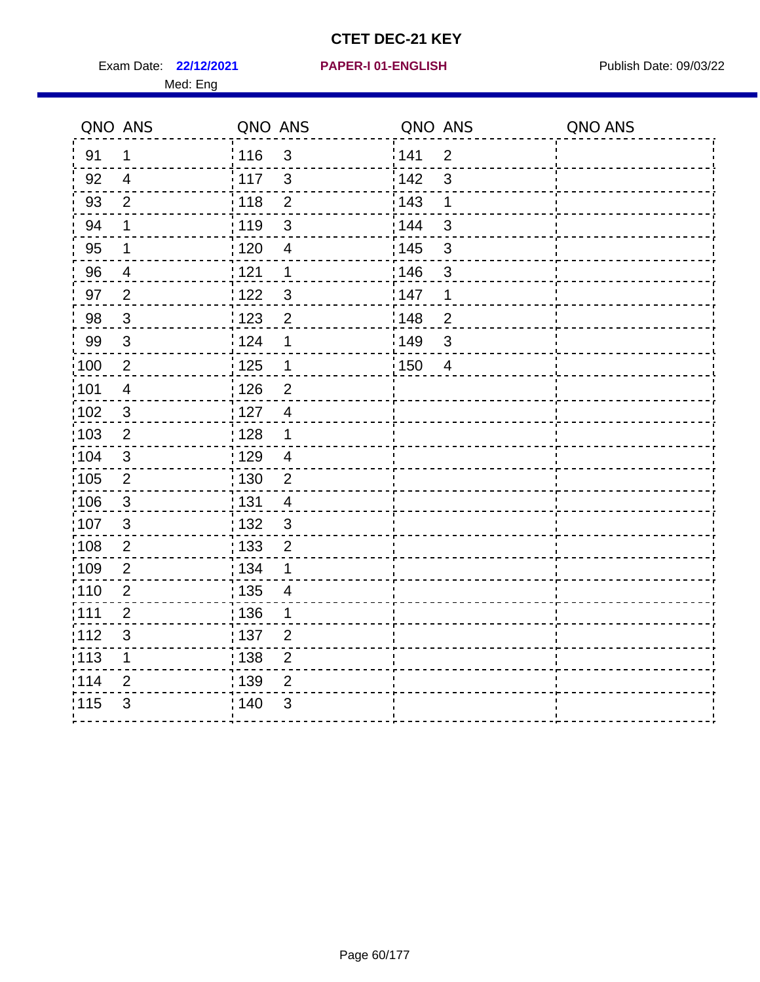Exam Date: 22/12/2021 PAPER-I 01-ENGLISH PARER Publish Date: 09/03/22

#### **22/12/2021 PAPER-I 01-ENGLISH**

|      | QNO ANS                 | QNO ANS                           | QNO ANS                 | QNO ANS |
|------|-------------------------|-----------------------------------|-------------------------|---------|
| 91   | 1                       | 116<br>$\mathfrak{S}$             | 141<br>$\overline{2}$   |         |
| 92   | $\overline{4}$          | 117<br>$\mathfrak{S}$             | 3<br>142                |         |
| 93   | $\overline{2}$          | 118<br>$\overline{2}$             | 143<br>1                |         |
| 94   | $\mathbf 1$             | $\ensuremath{\mathsf{3}}$<br>119  | $\mathfrak{S}$<br>144   |         |
| 95   | 1                       | 120<br>$\overline{4}$             | : 145<br>3              |         |
| 96   | $\overline{\mathbf{4}}$ | 121<br>1                          | 146<br>$\mathfrak{S}$   |         |
| 97   | $\overline{2}$          | 122<br>3                          | 147<br>1                |         |
| 98   | $\mathbf{3}$            | 123<br>$\overline{2}$             | :148<br>$\overline{2}$  |         |
| 99   | $\mathfrak{S}$          | 124<br>1                          | ¦ 149<br>3              |         |
| :100 | $\overline{2}$          | $\frac{1}{2}$ 125<br>$\mathbf 1$  | : 150<br>$\overline{4}$ |         |
| :101 | $\overline{4}$          | 126<br>$\overline{2}$             |                         |         |
| 102  | $\sqrt{3}$              | 127<br>$\overline{\mathbf{4}}$    |                         |         |
| :103 | $\mathbf 2$             | 128<br>1                          |                         |         |
| :104 | $\sqrt{3}$              | : 129<br>$\overline{\mathbf{4}}$  |                         |         |
| :105 | $\overline{2}$          | : 130<br>$\overline{2}$           |                         |         |
| ;106 | $\mathfrak{S}$          | : 131<br>$\overline{\mathcal{A}}$ |                         |         |
| :107 | $\sqrt{3}$              | : 132<br>$\mathsf 3$              |                         |         |
| :108 | $\sqrt{2}$              | ; 133<br>$\overline{\mathbf{c}}$  |                         |         |
| :109 | $\overline{2}$          | : 134<br>1                        |                         |         |
| :110 | $\overline{2}$          | : 135<br>4                        |                         |         |
| :111 | $\overline{2}$          | 136<br>1                          |                         |         |
| 112  | $\mathsf 3$             | 137<br>$\overline{2}$             |                         |         |
| ;113 | 1                       | : 138<br>$\overline{c}$           |                         |         |
| 1114 | $\overline{2}$          | 139<br>$\overline{2}$             |                         |         |
| 115  | $\mathfrak{S}$          | : 140<br>$\mathfrak{S}$           |                         |         |
|      |                         |                                   |                         |         |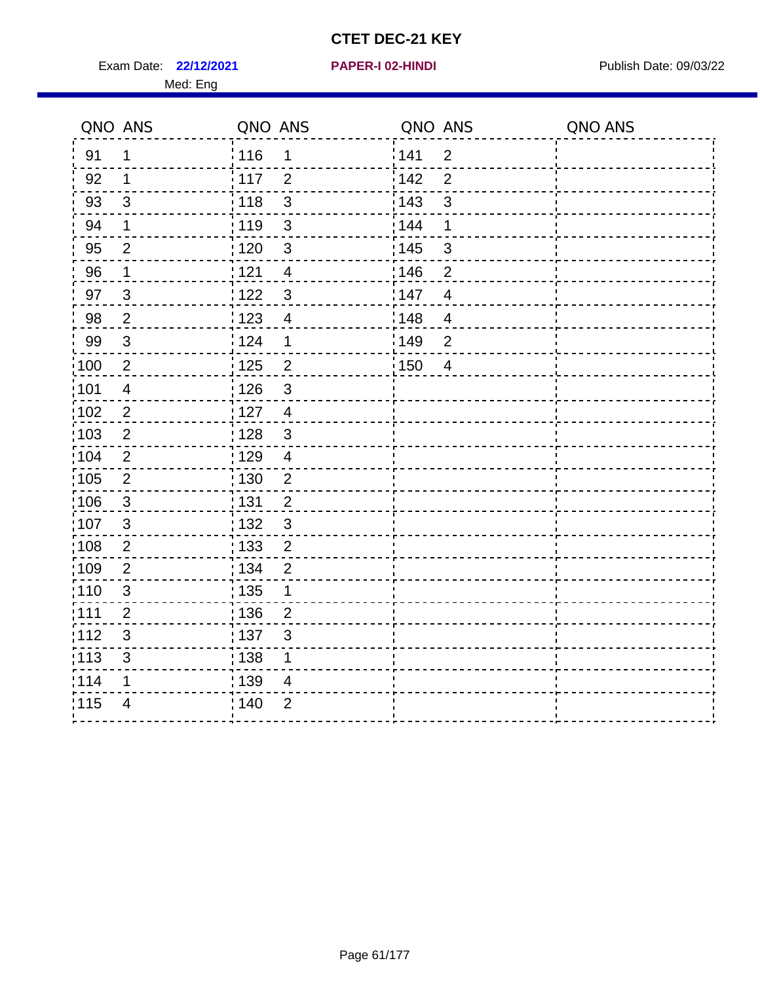Exam Date: 22/12/2021 **PAPER-I 02-HINDI Exam Date: 09/03/22** 

#### Med: Eng

**22/12/2021 PAPER-I 02-HINDI**

|      | QNO ANS                  | QNO ANS                         | QNO ANS |                | QNO ANS |
|------|--------------------------|---------------------------------|---------|----------------|---------|
| 91   | $\mathbf{1}$             | 116<br>$\mathbf 1$              | 141     | $\overline{2}$ |         |
| 92   | $\mathbf 1$              | 117<br>$\overline{2}$           | 142     | $\overline{2}$ |         |
| 93   | $\mathfrak{3}$           | $\mathbf{3}$<br>118             | 143     | 3              |         |
| 94   | 1                        | : 119<br>3                      | 144     | 1              |         |
| 95   | $\overline{2}$           | :120<br>$\mathbf{3}$            | : 145   | 3              |         |
| 96   | $\mathbf 1$              | 121<br>$\overline{4}$           | :146    | $\overline{2}$ |         |
| 97   | $\mathfrak{S}$           | 122<br>$\mathbf{3}$             | 147     | $\overline{4}$ |         |
| 98   | $\sqrt{2}$               | 123<br>$\overline{\mathcal{A}}$ | 148     | $\overline{4}$ |         |
| 99   | $\sqrt{3}$               | : 124<br>$\mathbf 1$            | 149     | $\overline{2}$ |         |
| 100  | $\sqrt{2}$               | $\overline{2}$<br>125           | 150     | $\overline{4}$ |         |
| 101  | $\overline{\mathcal{A}}$ | : 126<br>3                      |         |                |         |
| 102  | $\overline{2}$           | : 127<br>$\overline{4}$         |         |                |         |
| ;103 | $\overline{2}$           | $\mathbf{3}$<br>128             |         |                |         |
| 104  | $\overline{2}$           | : 129<br>$\overline{4}$         |         |                |         |
| 105  | $\sqrt{2}$               | : 130<br>$\overline{2}$         |         |                |         |
| ;106 | $\mathbf{3}$             | : 131<br>$\overline{2}$         |         |                |         |
| :107 | 3                        | $\mathfrak{3}$<br>: 132         |         |                |         |
| 108  | $\sqrt{2}$               | $\overline{2}$<br>: 133         |         |                |         |
| ;109 | $\overline{2}$           | : 134<br>$\overline{2}$         |         |                |         |
| :110 | 3                        | : 135<br>1                      |         |                |         |
| :111 | $\overline{2}$           | : 136<br>$\overline{2}$         |         |                |         |
| 112  | $\sqrt{3}$               | 137<br>$\sqrt{3}$               |         |                |         |
| 113  | $\mathfrak{S}$           | : 138<br>1                      |         |                |         |
| 114  | 1                        | 139<br>4                        |         |                |         |
| 115  | $\overline{4}$           | 140<br>$\overline{2}$           |         |                |         |
|      |                          |                                 |         |                |         |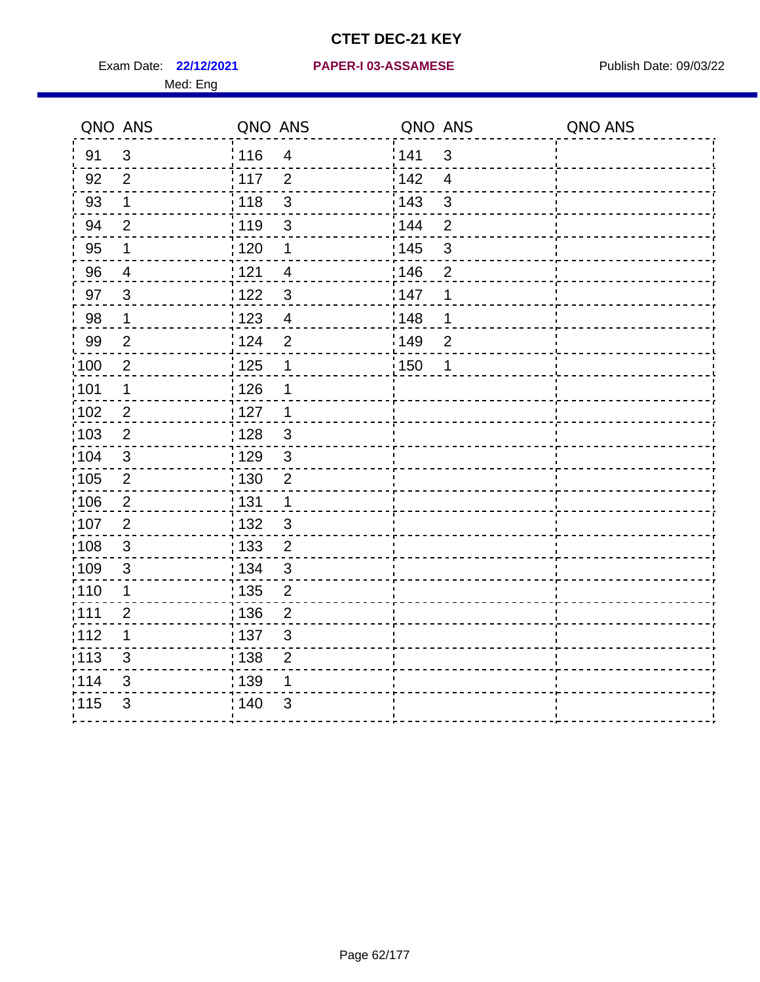Med: Eng

#### **22/12/2021 PAPER-I 03-ASSAMESE** Exam Date: Publish Date: 09/03/22

|                   | QNO ANS        | QNO ANS           |                | QNO ANS |                | QNO ANS |
|-------------------|----------------|-------------------|----------------|---------|----------------|---------|
| 91                | $\mathbf{3}$   | 116               | $\overline{4}$ | 141     | $\mathbf{3}$   |         |
| 92                | $\overline{2}$ | $\frac{1}{117}$   | $\overline{2}$ | 142     | $\overline{4}$ |         |
| 93                | $\mathbf 1$    | 118               | $\mathsf 3$    | 143     | $\mathfrak{S}$ |         |
| 94                | $\overline{2}$ | : 119             | $\mathfrak{S}$ | 144     | $\overline{2}$ |         |
| 95                | $\mathbf 1$    | : 120             | 1              | : 145   | $\sqrt{3}$     |         |
| 96                | 4              | 121               | $\overline{4}$ | 146     | $\overline{2}$ |         |
| 97                | $\mathbf{3}$   | 122               | $\mathbf{3}$   | 147     | 1              |         |
| 98                | $\mathbf 1$    | 123               | $\overline{4}$ | 148     | 1              |         |
| 99                | $\overline{2}$ | 124               | $\mathbf 2$    | 149     | $\overline{2}$ |         |
| 100               | $\overline{2}$ | 125               | $\mathbf 1$    | : 150   | 1              |         |
| 101               | $\mathbf 1$    | 126               | 1              |         |                |         |
| 102               | $\overline{2}$ | :127              | $\mathbf 1$    |         |                |         |
| 103               | 2              | : 128             | $\mathbf{3}$   |         |                |         |
| 104               | $\mathbf{3}$   | : 129             | $\mathbf{3}$   |         |                |         |
| $\frac{1}{1}$ 105 | $\overline{2}$ | $\frac{1}{1}$ 130 | $\mathbf 2$    |         |                |         |
| 106               | $\overline{2}$ | : 131             | $\mathbf 1$    |         |                |         |
| :107              | $\overline{2}$ | : 132             | $\mathbf{3}$   |         |                |         |
| 108               | $\mathbf{3}$   | 133               | $\overline{2}$ |         |                |         |
| :109              | $\sqrt{3}$     | : 134             | $\sqrt{3}$     |         |                |         |
| : 110             | 1              | : 135             | $\overline{2}$ |         |                |         |
| : 111             | $\overline{2}$ | : 136             | $\overline{2}$ |         |                |         |
| 112               | 1              | : 137             | $\sqrt{3}$     |         |                |         |
| : 113             | $\mathfrak{S}$ | : 138             | $\mathbf 2$    |         |                |         |
| 114               | 3              | : 139             | 1              |         |                |         |
| 115               | 3              | : 140             | $\mathfrak{S}$ |         |                |         |
|                   |                |                   |                |         |                |         |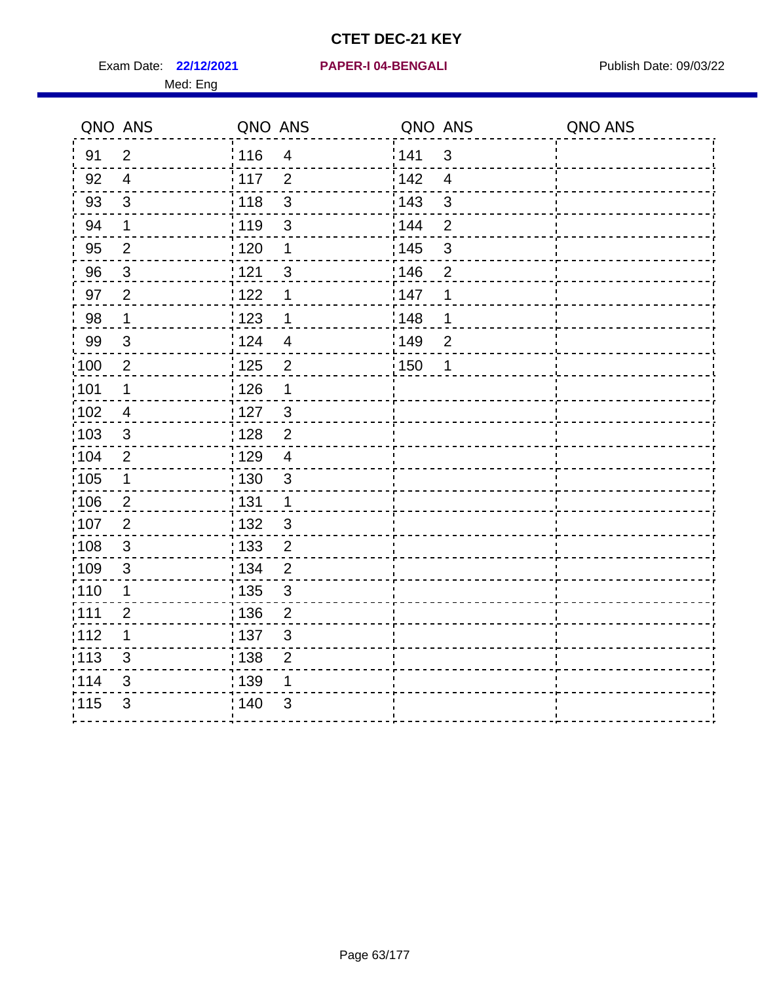Exam Date: 22/12/2021 PAPER-I 04-BENGALI PREREMENT Publish Date: 09/03/22

#### **22/12/2021 PAPER-I 04-BENGALI**

|                   | QNO ANS        | QNO ANS |                         | QNO ANS          |                | QNO ANS |
|-------------------|----------------|---------|-------------------------|------------------|----------------|---------|
| 91                | $\overline{2}$ | 116     | $\overline{4}$          | <sup>'</sup> 141 | 3              |         |
| 92                | $\overline{4}$ | $-117$  | $\overline{2}$          | 142              | $\overline{4}$ |         |
| 93                | 3              | 118     | $\mathbf{3}$            | 143              | $\mathbf{3}$   |         |
| 94                | $\mathbf 1$    | 119     | $\mathfrak{S}$          | 144              | $\mathbf 2$    |         |
| 95                | $\overline{2}$ | : 120   | 1                       | : 145            | $\mathfrak{S}$ |         |
| 96                | $\mathbf{3}$   | 121     | $\mathfrak{S}$          | 146              | $\overline{2}$ |         |
| 97                | $\overline{2}$ | 1122    | 1                       | 147              | 1              |         |
| 98                | $\mathbf 1$    | : 123   | $\mathbf 1$             | :148             | 1              |         |
| 99                | $\mathfrak{B}$ | i 124   | $\overline{4}$          | ¦149             | $\overline{2}$ |         |
| :100              | $\overline{2}$ | : 125   | $\overline{2}$          | :150             | 1              |         |
| :101              | 1              | 126     | $\mathbf 1$             |                  |                |         |
| 102               | 4              | 127     | $\mathbf{3}$            |                  |                |         |
| :103              | $\mathfrak{S}$ | 128     | $\overline{c}$          |                  |                |         |
| 104               | $\overline{2}$ | : 129   | $\overline{\mathbf{4}}$ |                  |                |         |
| 105               | 1              | : 130   | 3                       |                  |                |         |
| 106               | $\overline{2}$ | : 131   | 1                       |                  |                |         |
| 107               | $\overline{2}$ | : 132   | $\mathbf{3}$            |                  |                |         |
| :108              | $\mathsf 3$    | 133     | $\overline{2}$          |                  |                |         |
| 109               | $\mathfrak{B}$ | : 134   | $\overline{2}$          |                  |                |         |
| 110               | 1              | : 135   | 3                       |                  |                |         |
| :111              | $\overline{2}$ | : 136   | $\overline{2}$          |                  |                |         |
| 112               | 1              | : 137   | $\mathsf 3$             |                  |                |         |
| $\frac{1}{1}$ 113 | $\mathsf 3$    | ; 138   | $\overline{2}$          |                  |                |         |
| 114               | 3              | : 139   | 1                       |                  |                |         |
| 115               | $\mathfrak{S}$ | 140     | 3                       |                  |                |         |
|                   |                |         |                         |                  |                |         |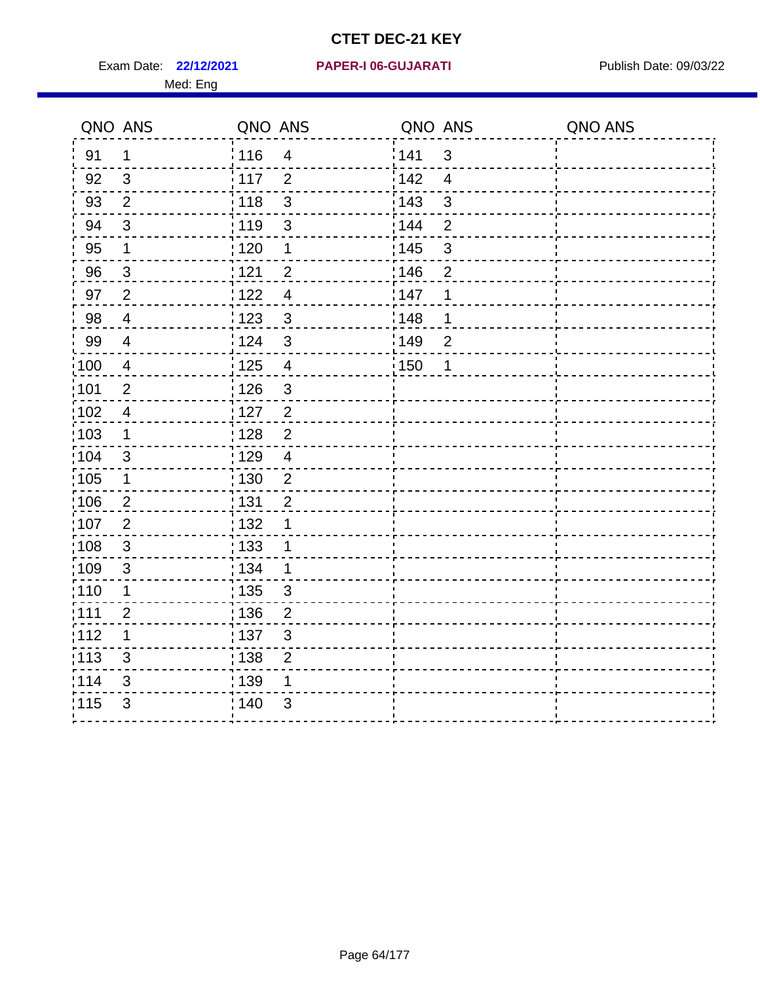Exam Date: 22/12/2021 PAPER-I 06-GUJARATI Publish Date: 09/03/22

#### **22/12/2021 PAPER-I 06-GUJARATI**

|      | QNO ANS                 | QNO ANS |                           | QNO ANS |                | QNO ANS |
|------|-------------------------|---------|---------------------------|---------|----------------|---------|
| 91   | $\mathbf 1$             | : 116   | $\overline{4}$            | 141     | $\mathfrak{S}$ |         |
| 92   | $\overline{\mathbf{3}}$ | 117     | $\overline{2}$            | 142     | $\overline{4}$ |         |
| 93   | $\overline{2}$          | 118     | $\mathbf{3}$              | 143     | 3              |         |
| 94   | $\mathfrak{3}$          | 119     | $\sqrt{3}$                | 144     | $\overline{2}$ |         |
| 95   | $\mathbf 1$             | : 120   | $\mathbf 1$               | : 145   | $\mathfrak{B}$ |         |
| 96   | $\mathbf{3}$            | 121     | $\overline{2}$            | :146    | $\overline{2}$ |         |
| 97   | $\overline{2}$          | 1122    | $\overline{4}$            | 147     | 1              |         |
| 98   | $\overline{4}$          | : 123   | $\mathbf{3}$              | 148     | 1              |         |
| 99   | 4                       | 124     | $\mathbf{3}$              | 149     | $\overline{2}$ |         |
| 100  | 4                       | : 125   | $\overline{4}$            | : 150   | 1              |         |
| 101  | $\overline{2}$          | : 126   | $\mathbf{3}$              |         |                |         |
| 102  | $\overline{4}$          | 127     | $\overline{2}$            |         |                |         |
| 103  | $\mathbf{1}$            | 128     | $\mathbf 2$               |         |                |         |
| 104  | 3                       | : 129   | $\overline{4}$            |         |                |         |
| 105  | 1                       | :130    | $\overline{2}$            |         |                |         |
| ;106 | $\overline{2}$          | : 131   | $\overline{2}$            |         |                |         |
| :107 | $\overline{2}$          | : 132   | 1                         |         |                |         |
| :108 | $\mathbf{3}$            | : 133   | $\mathbf{1}$              |         |                |         |
| :109 | $\mathfrak{3}$          | : 134   | $\mathbf 1$               |         |                |         |
| :110 | 1                       | 135     | 3                         |         |                |         |
| :111 | $\overline{2}$          | : 136   | $\overline{2}$            |         |                |         |
| 112  | 1                       | : 137   | $\ensuremath{\mathsf{3}}$ |         |                |         |
| :113 | $\mathfrak{S}$          | 138     | $\overline{c}$            |         |                |         |
| 114  | 3                       | : 139   | 1                         |         |                |         |
| 115  | 3                       | 140     | 3                         |         |                |         |
|      |                         |         |                           |         |                |         |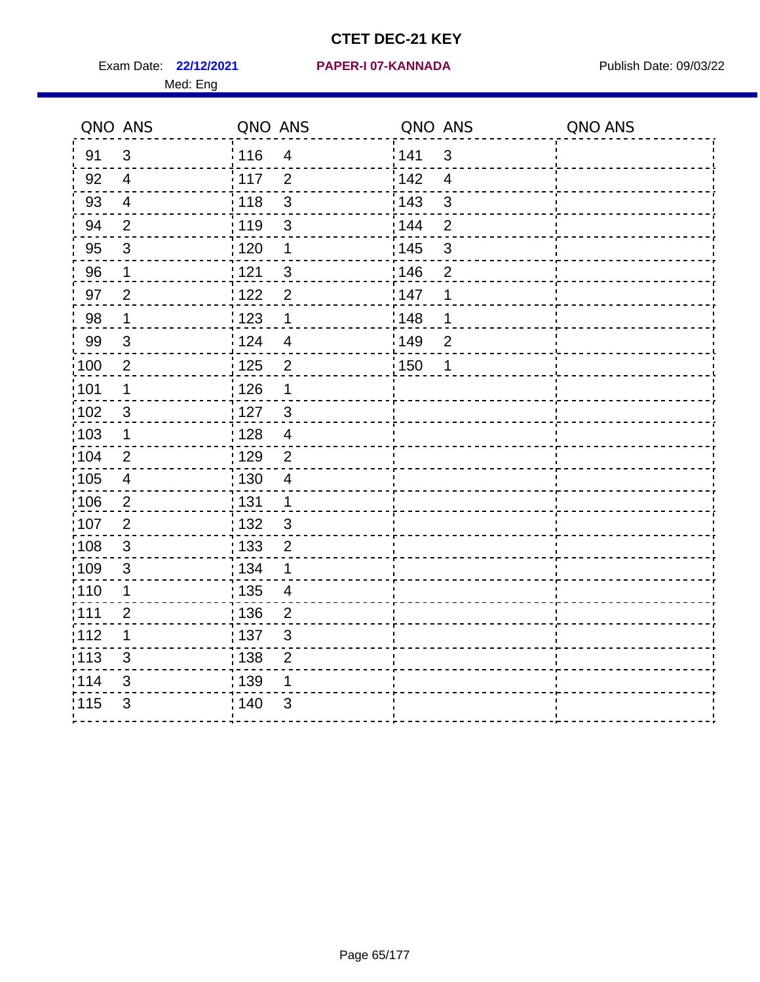Exam Date: 22/12/2021 PAPER-I 07-KANNADA Publish Date: 09/03/22 Med: Eng

#### **22/12/2021 PAPER-I 07-KANNADA**

| QNO ANS           |                         | QNO ANS |                | QNO ANS |                | QNO ANS |
|-------------------|-------------------------|---------|----------------|---------|----------------|---------|
| 91                | 3                       | 116     | $\overline{4}$ | 141     | $\mathfrak{S}$ |         |
| 92                | $\overline{4}$          | : 117   | $\overline{2}$ | 142     | $\overline{4}$ |         |
| 93                | $\overline{4}$          | : 118   | 3              | 143     | 3              |         |
| 94                | $\overline{2}$          | : 119   | 3              | 144     | $\overline{2}$ |         |
| 95                | $\sqrt{3}$              | : 120   | $\mathbf 1$    | : 145   | $\mathbf{3}$   |         |
| 96                | $\mathbf 1$             | 121     | $\mathbf{3}$   | 146     | $\overline{2}$ |         |
| 97                | $\overline{2}$          | 122     | $\overline{2}$ | 147     | 1              |         |
| 98                | $\mathbf{1}$            | 1123    | 1              | :148    | 1              |         |
| 99                | 3                       | 124     | $\overline{4}$ | 149     | $\overline{2}$ |         |
| $\frac{1}{1}$ 100 | $\overline{2}$          | : 125   | $\overline{2}$ | 150     | 1              |         |
| :101              | $\mathbf 1$             | 126     | $\mathbf 1$    |         |                |         |
| 102               | $\mathfrak{3}$          | :127    | $\mathbf{3}$   |         |                |         |
| 103               | $\mathbf 1$             | : 128   | $\overline{4}$ |         |                |         |
| 104               | $\overline{2}$          | : 129   | $\overline{2}$ |         |                |         |
| $\frac{1}{1}$ 105 | $\overline{\mathbf{4}}$ | : 130   | $\overline{4}$ |         |                |         |
| 106               | $\sqrt{2}$              | : 131   | $\mathbf{1}$   |         |                |         |
| 107               | $\overline{2}$          | : 132   | $\mathbf{3}$   |         |                |         |
| $\frac{1}{1}$ 108 | $\mathbf{3}$            | : 133   | $\overline{2}$ |         |                |         |
| :109              | $\mathfrak{S}$          | : 134   | 1              |         |                |         |
| 110               | 1                       | : 135   | $\overline{4}$ |         |                |         |
| :111              | $\overline{2}$          | : 136   | $\overline{2}$ |         |                |         |
| 112               | 1                       | : 137   | $\mathfrak{S}$ |         |                |         |
| : 113             | $\mathfrak{S}$          | 138     | $\overline{2}$ |         |                |         |
| 114               | 3                       | 139     | 1              |         |                |         |
| 115               | 3                       | 140     | 3              |         |                |         |
|                   |                         |         |                |         |                |         |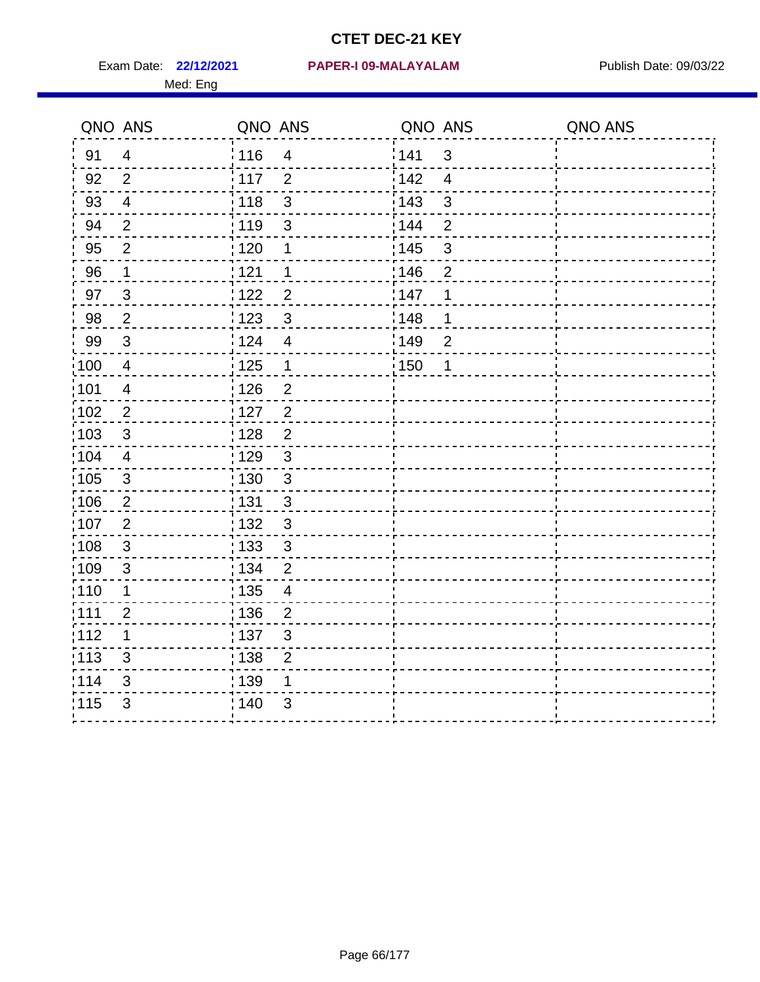Med: Eng

#### **22/12/2021 PAPER-I 09-MALAYALAM** Exam Date: Publish Date: 09/03/22

Tī

| QNO ANS |                           | QNO ANS                             | QNO ANS                          | QNO ANS |
|---------|---------------------------|-------------------------------------|----------------------------------|---------|
| 91      | 4                         | 116<br>$\overline{\mathbf{4}}$      | 1141<br>$\mathbf{3}$             |         |
| 92      | $\overline{2}$            | 117<br>$\overline{2}$               | 142<br>$\overline{4}$            |         |
| 93      | $\overline{\mathbf{4}}$   | 3<br>118                            | 143<br>$\ensuremath{\mathsf{3}}$ |         |
| 94      | $\overline{2}$            | 119<br>3                            | : 144<br>$\overline{2}$          |         |
| 95      | $\overline{2}$            | 120<br>1                            | : 145<br>$\mathfrak{S}$          |         |
| 96      | 1                         | 121<br>1                            | 146<br>$\overline{2}$            |         |
| 97      | $\mathfrak{S}$            | $\overline{2}$<br>122               | 147<br>1                         |         |
| 98      | $\mathbf{2}$              | $\mathfrak{S}$<br>123               | 148<br>1                         |         |
| 99      | 3                         | 124<br>$\overline{4}$               | 149<br>$\overline{2}$            |         |
| 100     | $\overline{\mathbf{4}}$   | 125<br>$\mathbf 1$                  | 150<br>$\mathbf 1$               |         |
| 101     | 4                         | 126<br>$\overline{\mathbf{c}}$      |                                  |         |
| 102     | $\mathbf{2}$              | $\overline{c}$<br>127               |                                  |         |
| 103     | 3                         | $\frac{1}{1}$ 128<br>$\overline{2}$ |                                  |         |
| 104     | $\overline{4}$            | : 129<br>3                          |                                  |         |
| 105     | 3                         | : 130<br>$\mathfrak{S}$             |                                  |         |
| 106     | $\overline{2}$            | : 131<br>$\mathsf 3$                |                                  |         |
| 107     | $\overline{2}$            | : 132<br>$\mathfrak{S}$             |                                  |         |
| 108     | 3                         | : 133<br>3                          |                                  |         |
| 109     | $\mathfrak{B}$            | : 134<br>$\overline{2}$             |                                  |         |
| 110     | 1                         | 135<br>$\overline{\mathbf{4}}$      |                                  |         |
| 111     | $\overline{2}$            | : 136<br>$\overline{c}$             |                                  |         |
| 112     | 1                         | 137<br>$\mathfrak{B}$               |                                  |         |
| 113     | 3                         | : 138<br>$\overline{2}$             |                                  |         |
| 114     | $\ensuremath{\mathsf{3}}$ | 139<br>1                            |                                  |         |
| 115     | 3                         | 3<br>140                            |                                  |         |
|         |                           |                                     |                                  |         |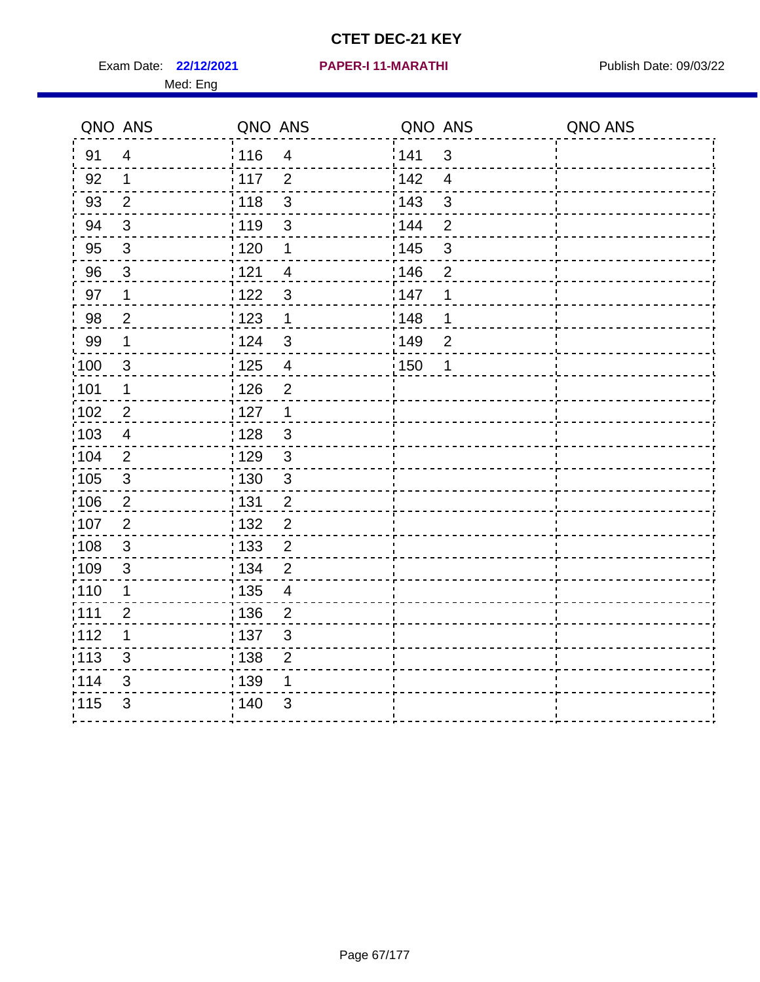Exam Date: 22/12/2021 PAPER-I 11-MARATHI PUBlish Date: 09/03/22 Med: Eng

#### **22/12/2021 PAPER-I 11-MARATHI**

|                   | QNO ANS        | QNO ANS |                           | QNO ANS           |                | QNO ANS |
|-------------------|----------------|---------|---------------------------|-------------------|----------------|---------|
| 91                | $\overline{4}$ | 116     | $\overline{4}$            | 141               | $\mathbf{3}$   |         |
| 92                | $\mathbf{1}$   | 117     | 2                         | 142               | $\overline{4}$ |         |
| 93                | $\overline{2}$ | 118     | $\mathsf 3$               | 143               | $\mathbf{3}$   |         |
| 94                | $\sqrt{3}$     | : 119   | 3                         | 144               | $\overline{2}$ |         |
| 95                | $\mathfrak{S}$ | : 120   | 1                         | : 145             | $\mathsf 3$    |         |
| 96                | 3              | 121     | $\overline{4}$            | 146               | $\overline{2}$ |         |
| 97                | $\mathbf 1$    | 122     | $\mathfrak{S}$            | 147               | 1              |         |
| 98                | $\overline{2}$ | 123     | $\mathbf 1$               | 148               | 1              |         |
| 99                | $\mathbf 1$    | 124     | $\mathfrak{3}$            | :149              | $\overline{2}$ |         |
| 100               | $\mathbf{3}$   | 125     | $\overline{\mathbf{4}}$   | $\frac{1}{1}$ 150 | 1              |         |
| 101               | 1              | 126     | $\overline{2}$            |                   |                |         |
| 102               | 2              | 127     | $\mathbf{1}$              |                   |                |         |
| 103               | 4              | : 128   | $\mathbf{3}$              |                   |                |         |
| $\frac{1}{104}$   | 2              | 129     | $\mathbf{3}$              |                   |                |         |
| $\frac{1}{1}$ 105 | $\sqrt{3}$     | : 130   | $\mathsf 3$               |                   |                |         |
| 106               | 2              | : 131   | $\overline{2}$            |                   |                |         |
| 107               | $\overline{2}$ | : 132   | $\overline{2}$            |                   |                |         |
| $\frac{1}{1}$ 108 | $\sqrt{3}$     | : 133   | $\overline{2}$            |                   |                |         |
| :109              | $\sqrt{3}$     | : 134   | $\overline{2}$            |                   |                |         |
| : 110             | 1              | : 135   | 4                         |                   |                |         |
| : 111             | $\overline{2}$ | : 136   | $\overline{2}$            |                   |                |         |
| 112               | 1              | : 137   | $\ensuremath{\mathsf{3}}$ |                   |                |         |
| : 113             | 3              | : 138   | $\overline{2}$            |                   |                |         |
| 114               | 3              | : 139   | 1                         |                   |                |         |
| 115               | 3              | 140     | 3                         |                   |                |         |
|                   |                |         |                           |                   |                |         |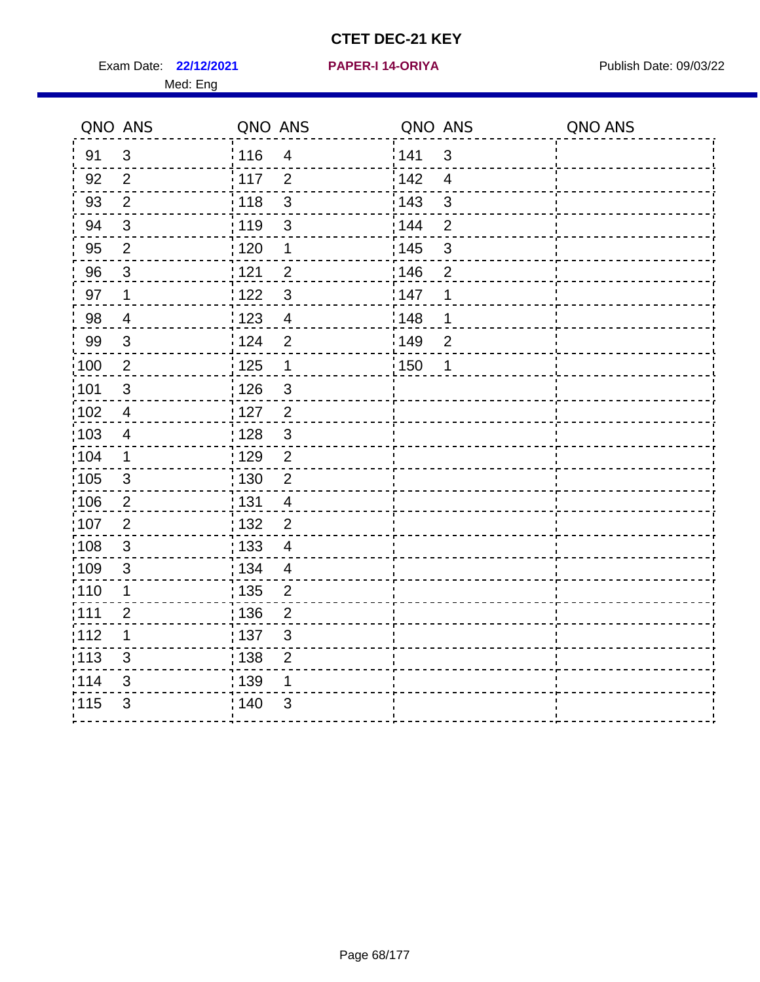Exam Date: 22/12/2021 **PAPER-I 14-ORIYA** Publish Date: 09/03/22 Med: Eng

#### **22/12/2021 PAPER-I 14-ORIYA**

| : 116<br>141<br>$\mathbf{3}$<br>91<br>$\mathfrak{S}$<br>$\overline{4}$<br>142<br>117<br>$\overline{4}$<br>92<br>$\overline{2}$<br>$\overline{2}$<br>3<br>$\overline{2}$<br>143<br>3<br>93<br>118<br>: 119<br>144<br>94<br>$\mathfrak{S}$<br>$\overline{2}$<br>$\mathfrak{S}$<br>: 145<br>$\overline{2}$<br>$\mathsf 3$<br>95<br>: 120<br>$\mathbf 1$<br>146<br>96<br>1121<br>$\mathbf{3}$<br>$\overline{2}$<br>$\overline{2}$ |  |
|-------------------------------------------------------------------------------------------------------------------------------------------------------------------------------------------------------------------------------------------------------------------------------------------------------------------------------------------------------------------------------------------------------------------------------|--|
|                                                                                                                                                                                                                                                                                                                                                                                                                               |  |
|                                                                                                                                                                                                                                                                                                                                                                                                                               |  |
|                                                                                                                                                                                                                                                                                                                                                                                                                               |  |
|                                                                                                                                                                                                                                                                                                                                                                                                                               |  |
|                                                                                                                                                                                                                                                                                                                                                                                                                               |  |
|                                                                                                                                                                                                                                                                                                                                                                                                                               |  |
| 1122<br>$\mathfrak{S}$<br>147<br>1<br>97<br>$\mathbf 1$                                                                                                                                                                                                                                                                                                                                                                       |  |
| 98<br>1123<br>148<br>$\overline{4}$<br>1<br>$\overline{4}$                                                                                                                                                                                                                                                                                                                                                                    |  |
| 99<br>124<br>$\overline{2}$<br>149<br>3<br>$\overline{2}$                                                                                                                                                                                                                                                                                                                                                                     |  |
| $\frac{1}{2}100$<br>$\overline{2}$<br>$\frac{1}{1}$ 125<br>$\mathbf 1$<br>150<br>$\mathbf 1$                                                                                                                                                                                                                                                                                                                                  |  |
| 101<br>: 126<br>$\mathfrak{S}$<br>$\mathfrak{S}$                                                                                                                                                                                                                                                                                                                                                                              |  |
| $\overline{2}$<br>$\frac{1}{1}$ 102<br>: 127<br>$\overline{4}$                                                                                                                                                                                                                                                                                                                                                                |  |
| 103<br>: 128<br>$\mathbf{3}$<br>$\overline{4}$                                                                                                                                                                                                                                                                                                                                                                                |  |
| :104<br>: 129<br>$\overline{2}$<br>$\mathbf 1$                                                                                                                                                                                                                                                                                                                                                                                |  |
| 105<br>: 130<br>$\overline{2}$<br>$\mathbf{3}$                                                                                                                                                                                                                                                                                                                                                                                |  |
| : 131<br>106<br>$\overline{c}$<br>$\overline{4}$                                                                                                                                                                                                                                                                                                                                                                              |  |
| 107<br>$\overline{2}$<br>132<br>$\overline{2}$                                                                                                                                                                                                                                                                                                                                                                                |  |
| :108<br>: 133<br>3<br>$\overline{4}$                                                                                                                                                                                                                                                                                                                                                                                          |  |
| :109<br>3<br>: 134<br>$\overline{4}$                                                                                                                                                                                                                                                                                                                                                                                          |  |
| 110<br>$\frac{1}{1}$ 135<br>$\overline{2}$<br>$\mathbf 1$                                                                                                                                                                                                                                                                                                                                                                     |  |
| :111<br>: 136<br>$\overline{2}$<br>2                                                                                                                                                                                                                                                                                                                                                                                          |  |
| :112<br>$\mathbf 1$<br>: 137<br>3                                                                                                                                                                                                                                                                                                                                                                                             |  |
| :113<br>: 138<br>3<br>$\overline{2}$                                                                                                                                                                                                                                                                                                                                                                                          |  |
| 114<br>139<br>3<br>1                                                                                                                                                                                                                                                                                                                                                                                                          |  |
| 115<br>3<br>: 140<br>3                                                                                                                                                                                                                                                                                                                                                                                                        |  |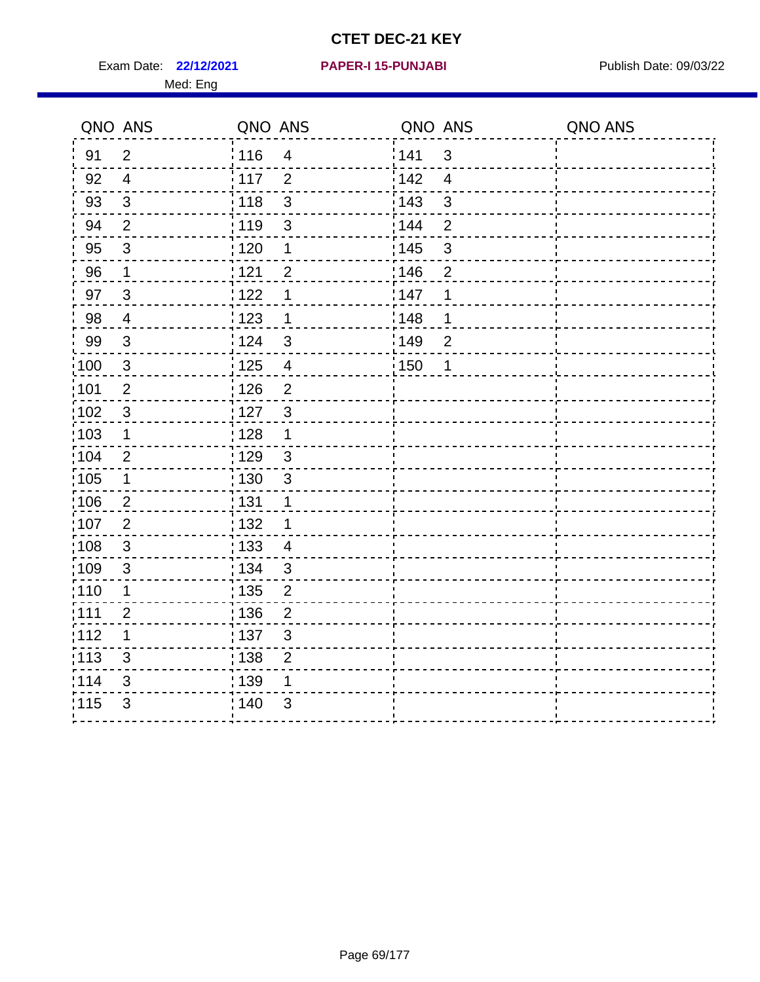Exam Date: 22/12/2021 PAPER-I 15-PUNJABI PUBLISH Date: 09/03/22 Med: Eng

#### **22/12/2021 PAPER-I 15-PUNJABI**

| QNO ANS           |                           | QNO ANS           |                          | QNO ANS           |                | QNO ANS |
|-------------------|---------------------------|-------------------|--------------------------|-------------------|----------------|---------|
| 91                | $\overline{2}$            | : 116             | $\overline{\mathbf{4}}$  | 141               | $\mathfrak{S}$ |         |
| 92                | $\overline{4}$            | $\frac{1}{2}$ 117 | $\overline{2}$           | 142               | $\overline{4}$ |         |
| 93                | $\mathfrak{S}$            | 118               | $\mathsf 3$              | 143               | $\mathfrak{S}$ |         |
| 94                | $\overline{2}$            | : 119             | $\mathfrak{S}$           | 144               | $\overline{2}$ |         |
| 95                | $\sqrt{3}$                | :120              | 1                        | $\frac{1}{1}$ 145 | $\sqrt{3}$     |         |
| 96                | $\mathbf{1}$              | 121               | $\overline{2}$           | 146               | $\overline{2}$ |         |
| 97                | $\mathbf{3}$              | 122               | 1                        | 147               | 1              |         |
| 98                | $\overline{4}$            | 123               | 1                        | 148               | 1              |         |
| 99                | $\mathbf{3}$              | 124               | 3                        | <sup>'</sup> 149  | $\overline{2}$ |         |
| $\frac{1}{1}$ 100 | $\mathbf{3}$              | $\frac{1}{1}$ 125 | $\overline{\mathbf{4}}$  | : 150             | $\mathbf 1$    |         |
| :101              | $\overline{2}$            | 126               | $\overline{2}$           |                   |                |         |
| 102               | $\mathbf 3$               | : 127             | $\mathfrak{3}$           |                   |                |         |
| 103               | 1                         | : 128             | 1                        |                   |                |         |
| :104              | $\overline{2}$            | : 129             | $\mathbf{3}$             |                   |                |         |
| $\frac{1}{1}$ 105 | $\mathbf 1$               | : 130             | $\mathbf{3}$             |                   |                |         |
| 106               | $\overline{2}$            | : 131             | 1                        |                   |                |         |
| 107               | $\overline{2}$            | : 132             | 1                        |                   |                |         |
| :108              | 3                         | 133               | $\overline{\mathcal{A}}$ |                   |                |         |
| 109               | 3                         | : 134             | $\mathfrak{S}$           |                   |                |         |
| :110              | $\mathbf 1$               | : 135             | $\overline{2}$           |                   |                |         |
| :111              | $\overline{2}$            | : 136             | $\overline{2}$           |                   |                |         |
| 112               | $\mathbf 1$               | :137              | $\mathfrak{3}$           |                   |                |         |
| :113              | 3                         | : 138             | $\overline{2}$           |                   |                |         |
| 114               | $\ensuremath{\mathsf{3}}$ | : 139             | 1                        |                   |                |         |
| 115               | 3                         | ; 140             | 3                        |                   |                |         |
|                   |                           |                   |                          |                   |                |         |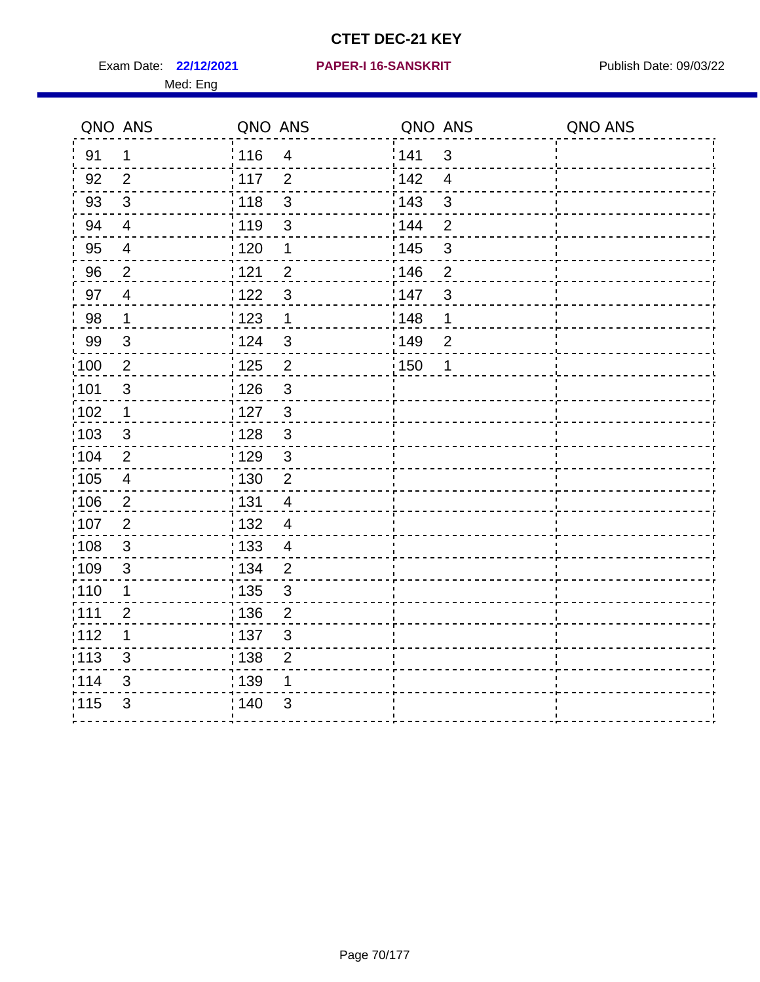Exam Date: 22/12/2021 PAPER-I 16-SANSKRIT Publish Date: 09/03/22 Med: Eng

#### **22/12/2021 PAPER-I 16-SANSKRIT**

| QNO ANS           |                           | QNO ANS           |                          | QNO ANS |                | QNO ANS |
|-------------------|---------------------------|-------------------|--------------------------|---------|----------------|---------|
| 91                | $\mathbf 1$               | : 116             | $\overline{\mathcal{A}}$ | 141     | 3              |         |
| 92                | $\overline{2}$            | $\frac{1}{117}$   | $\overline{2}$           | 142     | $\overline{4}$ |         |
| 93                | $\mathfrak{S}$            | 118               | $\mathsf 3$              | 143     | 3              |         |
| 94                | $\overline{4}$            | : 119             | 3                        | 144     | $\overline{2}$ |         |
| 95                | $\overline{4}$            | : 120             | 1                        | : 145   | $\mathbf{3}$   |         |
| 96                | $\overline{2}$            | 1121              | $\overline{2}$           | 146     | $\overline{2}$ |         |
| 97                | $\overline{4}$            | 122               | $\mathfrak{S}$           | 147     | 3              |         |
| 98                | $\mathbf{1}$              | 123               | $\mathbf{1}$             | 148     | 1              |         |
| 99                | $\sqrt{3}$                | 124               | $\mathbf{3}$             | 149     | $\overline{2}$ |         |
| 100               | $\overline{2}$            | 125               | $\overline{2}$           | : 150   | 1              |         |
| 101               | $\ensuremath{\mathsf{3}}$ | $\frac{1}{2}$ 126 | $\mathbf{3}$             |         |                |         |
| 102               | $\mathbf 1$               | :127              | $\mathbf{3}$             |         |                |         |
| 103               | 3                         | : 128             | 3                        |         |                |         |
| 104               | $\overline{2}$            | : 129             | $\mathfrak{3}$           |         |                |         |
| 105               | $\overline{4}$            | 130               | $\overline{2}$           |         |                |         |
| 106               | $\overline{2}$            | : 131             | $\overline{4}$           |         |                |         |
| :107              | $\overline{2}$            | : 132             | $\overline{4}$           |         |                |         |
| 108               | $\mathbf{3}$              | : 133             | $\overline{4}$           |         |                |         |
| :109              | $\sqrt{3}$                | : 134             | $\overline{2}$           |         |                |         |
| : 110             | 1                         | 135               | 3                        |         |                |         |
| :111              | $\overline{2}$            | : 136             | $\overline{2}$           |         |                |         |
| 112               | $\mathbf 1$               | : 137             | $\mathfrak{S}$           |         |                |         |
| $\frac{1}{1}$ 113 | 3                         | : 138             | $\overline{2}$           |         |                |         |
| 114               | 3                         | 139               | 1                        |         |                |         |
| 115               | 3                         | : 140             | $\mathfrak{S}$           |         |                |         |
|                   |                           |                   |                          |         |                |         |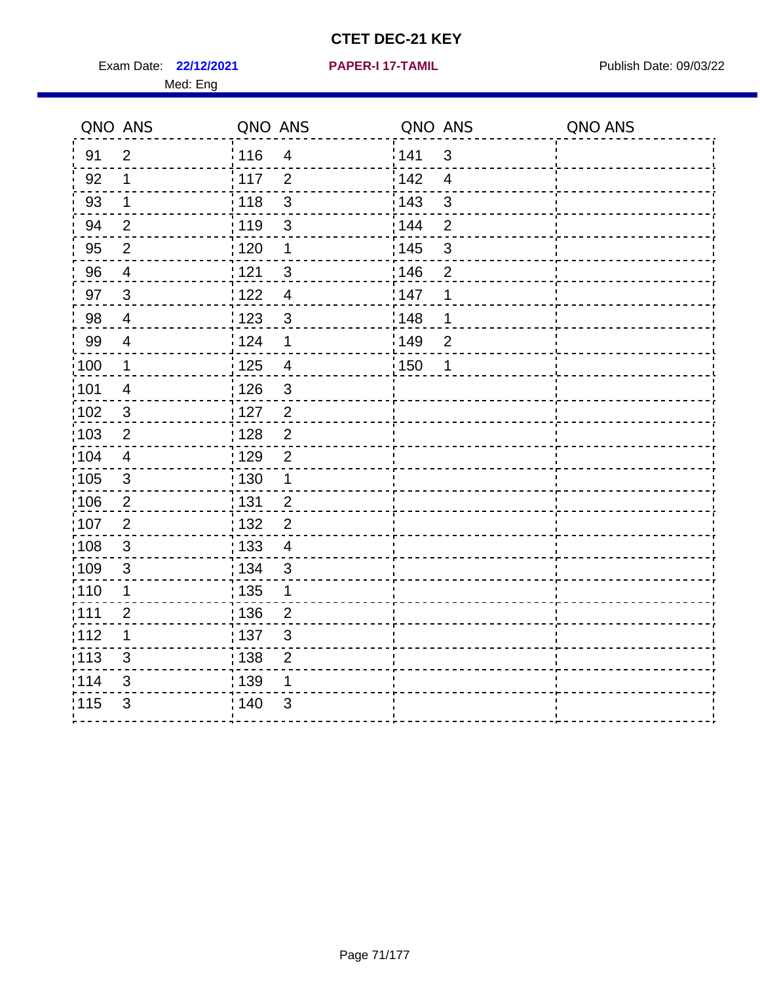Exam Date: 22/12/2021 **PAPER-I 17-TAMIL** Publish Date: 09/03/22 Med: Eng

|       | QNO ANS                 | QNO ANS |                           | QNO ANS |                | QNO ANS |
|-------|-------------------------|---------|---------------------------|---------|----------------|---------|
| 91    | $\overline{2}$          | 116     | $\overline{\mathbf{4}}$   | 141     | $\mathfrak{B}$ |         |
| 92    | 1                       | 117     | $\overline{2}$            | 142     | $\overline{4}$ |         |
| 93    | $\mathbf 1$             | 118     | $\mathbf{3}$              | 143     | $\mathbf{3}$   |         |
| 94    | $\overline{2}$          | : 119   | $\mathfrak{S}$            | 144     | $\overline{2}$ |         |
| 95    | $\overline{2}$          | :120    | 1                         | : 145   | $\mathfrak{S}$ |         |
| 96    | $\overline{4}$          | 121     | $\sqrt{3}$                | 146     | $\overline{2}$ |         |
| 97    | $\mathbf{3}$            | 122     | $\overline{4}$            | :147    | 1              |         |
| 98    | $\overline{4}$          | 123     | $\mathbf{3}$              | 148     | 1              |         |
| 99    | $\overline{4}$          | 124     | $\mathbf 1$               | 149     | $\overline{c}$ |         |
| :100  | $\mathbf{1}$            | 125     | $\overline{4}$            | 150     | 1              |         |
| :101  | $\overline{\mathbf{4}}$ | : 126   | $\ensuremath{\mathsf{3}}$ |         |                |         |
| 102   | $\mathfrak{3}$          | : 127   | 2                         |         |                |         |
| 103   | $\overline{2}$          | :128    | $\overline{2}$            |         |                |         |
| 104   | $\overline{4}$          | : 129   | $\overline{2}$            |         |                |         |
| 105   | $\sqrt{3}$              | 130     | $\mathbf 1$               |         |                |         |
| :106  | $\overline{2}$          | : 131   | $\overline{2}$            |         |                |         |
| ;107  | $\overline{2}$          | : 132   | $\overline{2}$            |         |                |         |
| 108   | $\sqrt{3}$              | : 133   | $\overline{4}$            |         |                |         |
| :109  | $\sqrt{3}$              | : 134   | $\mathbf{3}$              |         |                |         |
| :110  | 1                       | : 135   | 1                         |         |                |         |
| : 111 | $\overline{2}$          | : 136   | $\overline{2}$            |         |                |         |
| 112   | 1                       | : 137   | $\ensuremath{\mathsf{3}}$ |         |                |         |
| 113   | 3                       | : 138   | $\overline{2}$            |         |                |         |
| 114   | 3                       | : 139   | 1                         |         |                |         |
| 115   | 3                       | 140     | 3                         |         |                |         |
|       |                         |         |                           |         |                |         |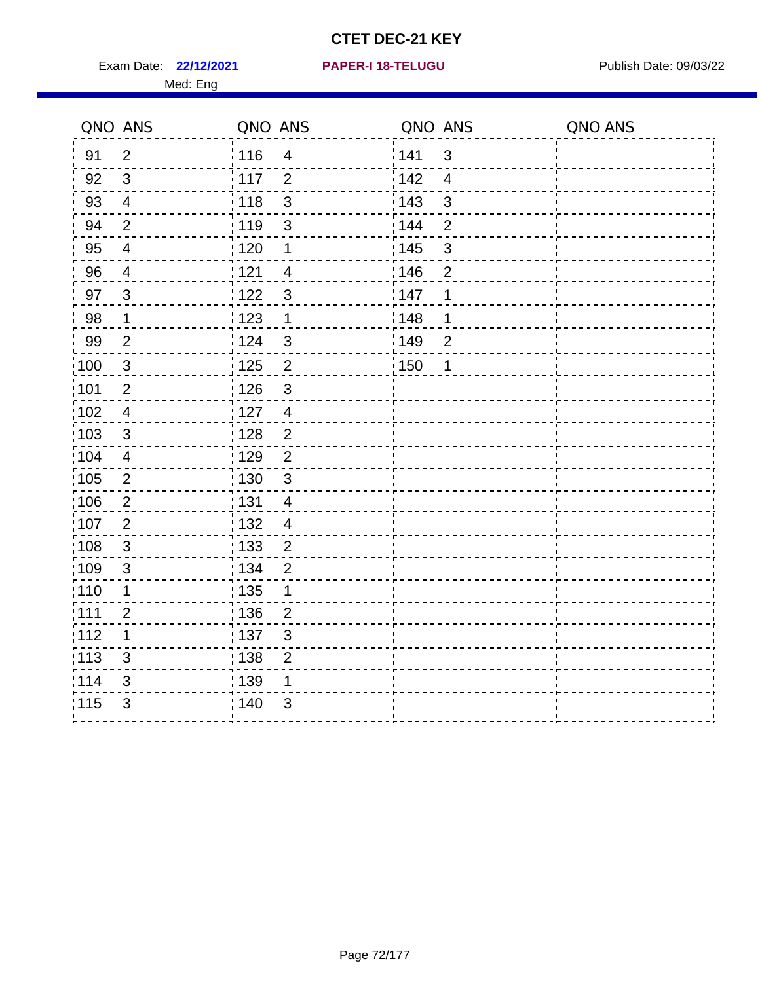**22/12/2021 PAPER-I 18-TELUGU** Exam Date: Publish Date: 09/03/22

| PAPER-I 18-TELUGU |  |
|-------------------|--|
|-------------------|--|

|                  | QNO ANS                   | QNO ANS                            | QNO ANS                 | QNO ANS |
|------------------|---------------------------|------------------------------------|-------------------------|---------|
| 91               | $\overline{2}$            | i 116<br>4                         | 141<br>$\mathfrak{B}$   |         |
| 92               | 3                         | i 117<br>$\overline{2}$            | 142<br>$\overline{4}$   |         |
| 93               | 4                         | $\frac{1}{2}$ 118<br>3             | 143<br>3                |         |
| 94               | $\overline{2}$            | : 119<br>$\sqrt{3}$                | : 144<br>$\overline{2}$ |         |
| 95               | $\overline{\mathcal{A}}$  | 120<br>1                           | 3<br>145                |         |
| 96               | $\overline{4}$            | 121<br>$\overline{\mathbf{4}}$     | 146<br>$\overline{c}$   |         |
| 97               | $\sqrt{3}$                | 1122<br>$\mathfrak{S}$             | 147<br>1                |         |
| 98               | $\mathbf{1}$              | 1123<br>$\mathbf 1$                | : 148<br>1              |         |
| 99               | $\overline{2}$            | 124<br>$\mathfrak{S}$              | 149<br>$\overline{2}$   |         |
| $\frac{1}{2}100$ | $\mathfrak{S}$            | : 125<br>$\overline{2}$            | 150<br>1                |         |
| :101             | $\overline{2}$            | $\mathfrak{S}$<br>: 126            |                         |         |
| 102              | $\overline{\mathcal{A}}$  | :127<br>$\overline{4}$             |                         |         |
| :103             | $\mathsf 3$               | $\overline{c}$<br>128              |                         |         |
| 104              | $\overline{4}$            | 129<br>$\mathbf 2$                 |                         |         |
| 105              | $\overline{2}$            | :130<br>$\mathbf{3}$               |                         |         |
| :106             | $\overline{2}$            | 131<br>$\overline{4}$              |                         |         |
| 107              | $\overline{2}$            | : 132<br>$\overline{4}$            |                         |         |
| :108             | $\ensuremath{\mathsf{3}}$ | : 133<br>$\overline{c}$            |                         |         |
| :109             | $\sqrt{3}$                | : 134<br>$\overline{2}$            |                         |         |
| :110             | 1                         | : 135<br>1                         |                         |         |
| :111             | $\overline{c}$            | : 136<br>$\overline{\mathbf{c}}$   |                         |         |
| $\frac{1}{112}$  | 1                         | : 137<br>$\ensuremath{\mathsf{3}}$ |                         |         |
| : 113            | 3                         | : 138<br>$\overline{2}$            |                         |         |
| 114              | 3                         | : 139                              |                         |         |
| 115              | $\mathfrak{S}$            | : 140<br>3                         |                         |         |
|                  |                           |                                    |                         |         |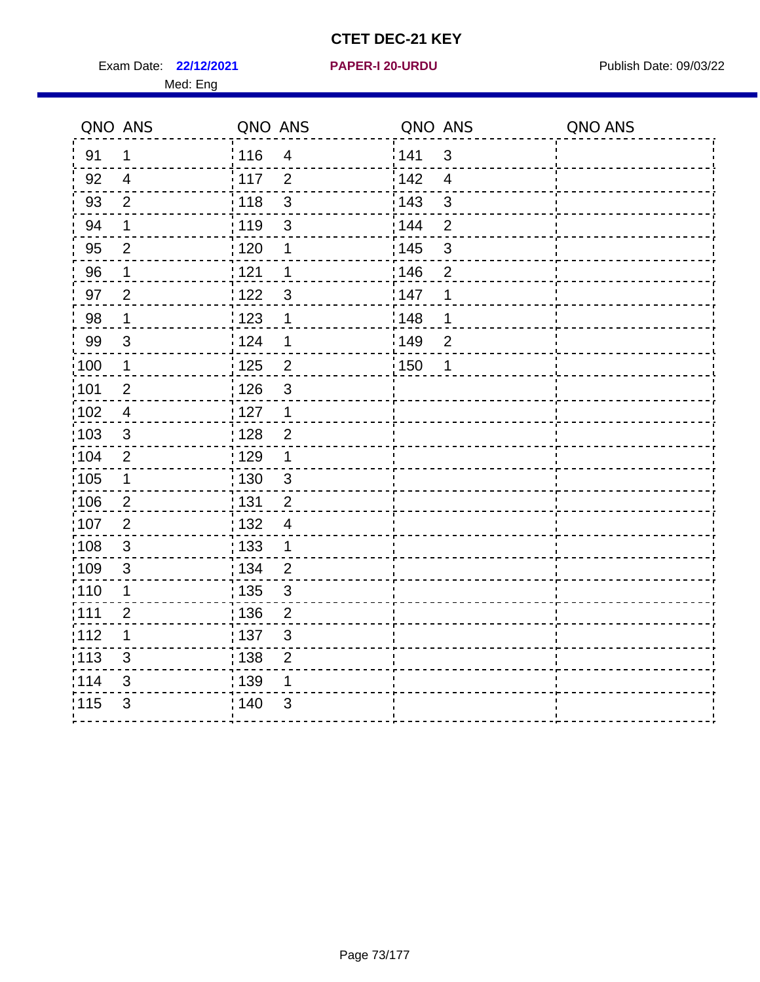Exam Date: 22/12/2021 **PAPER-I 20-URDU** PAPER 120-VIRDU Med: Eng

**22/12/2021 PAPER-I 20-URDU**

|                   | QNO ANS                 | QNO ANS           |                | QNO ANS |                | QNO ANS |
|-------------------|-------------------------|-------------------|----------------|---------|----------------|---------|
| 91                | 1                       | 116               | $\overline{4}$ | 141     | $\mathfrak{S}$ |         |
| 92                | $\overline{4}$          | 117               | 2              | 142     | $\overline{4}$ |         |
| 93                | $\overline{2}$          | : 118             | 3              | 143     | 3              |         |
| 94                | 1                       | : 119             | 3              | 144     | $\overline{2}$ |         |
| 95                | $\overline{2}$          | : 120             | 1              | : 145   | 3              |         |
| 96                | 1                       | : 121             | 1              | 146     | $\overline{2}$ |         |
| 97                | $\overline{2}$          | 122               | 3              | 147     | 1              |         |
| 98                | $\mathbf 1$             | 123               | 1              | 148     | 1              |         |
| 99                | 3                       | 124               | 1              | 149     | $\overline{2}$ |         |
| :100              | $\mathbf 1$             | $\frac{1}{1}$ 125 | $\overline{2}$ | 150     | 1              |         |
| 101               | $\mathbf 2$             | : 126             | $\mathfrak{S}$ |         |                |         |
| $\frac{1}{1}$ 102 | $\overline{\mathbf{4}}$ | : 127             | $\overline{1}$ |         |                |         |
| 103               | 3                       | 128               | $\overline{2}$ |         |                |         |
| 104               | $\overline{2}$          | : 129             | 1              |         |                |         |
| :105              | $\mathbf 1$             | : 130             | $\mathfrak{S}$ |         |                |         |
| $\frac{1}{1}$ 106 | $\overline{2}$          | : 131             | $\overline{2}$ |         |                |         |
| :107              | $\overline{2}$          | : 132             | $\overline{4}$ |         |                |         |
| 108               | $\mathbf{3}$            | : 133             | $\mathbf 1$    |         |                |         |
| :109              | $\sqrt{3}$              | : 134             | $\overline{2}$ |         |                |         |
| :110              | 1                       | : 135             | 3              |         |                |         |
| : 111             | $\overline{2}$          | : 136             | $\overline{2}$ |         |                |         |
| 112               | 1                       | : 137             | 3              |         |                |         |
| $\frac{1}{1}$ 113 | 3                       | : 138             | $\overline{2}$ |         |                |         |
| 114               | 3                       | 139               | 1              |         |                |         |
| 115               | 3                       | 140               | 3              |         |                |         |
|                   |                         |                   |                |         |                |         |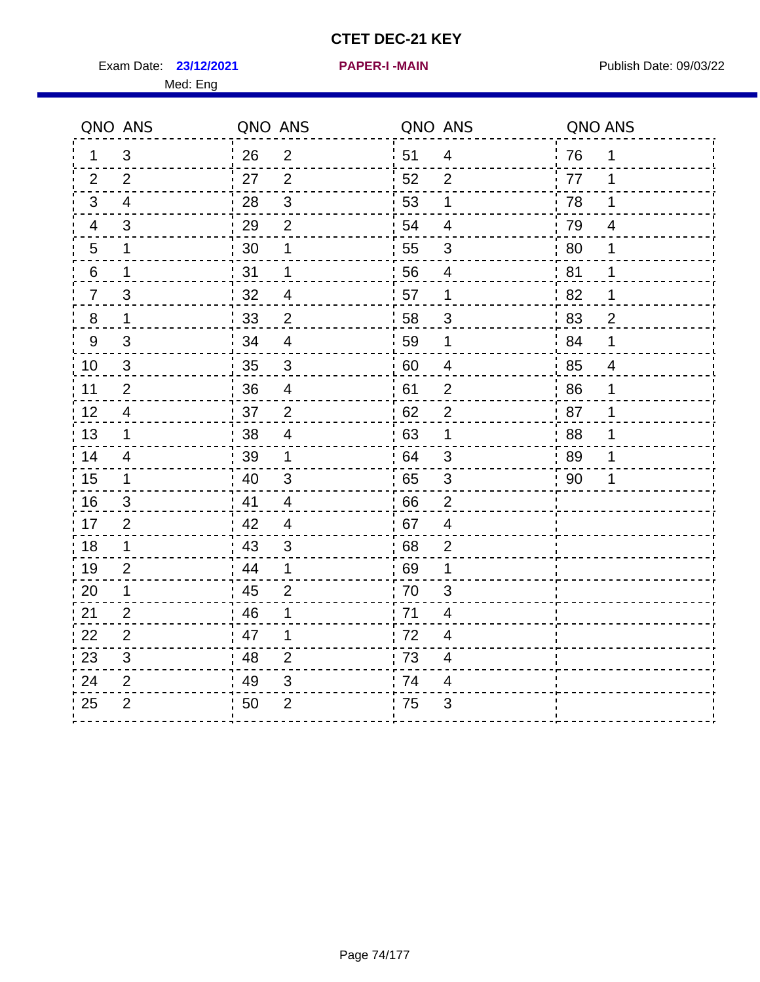Exam Date: 23/12/2021 **PAPER-I-MAIN Proposed All Publish Date: 09/03/22** 

| QNO ANS          |                          | QNO ANS |                           | QNO ANS |                           | QNO ANS |                |
|------------------|--------------------------|---------|---------------------------|---------|---------------------------|---------|----------------|
| $\mathbf 1$      | $\mathfrak{S}$           | 26      | $\mathbf{2}$              | 51      | $\overline{4}$            | 76      | $\mathbf 1$    |
| $\overline{2}$   | $\overline{2}$           | 27      | $\overline{2}$            | 52      | $\overline{2}$            | 77      | 1              |
| $\mathfrak{B}$   | $\overline{4}$           | 28      | 3                         | 53      | 1                         | 78      | 1              |
| $\overline{4}$   | 3                        | 29      | $\overline{2}$            | 54      | $\overline{4}$            | 79      | 4              |
| 5                | 1                        | 30      | 1                         | 55      | 3                         | 80      | 1              |
| $\,6\,$          | $\mathbf 1$              | 31      | $\mathbf 1$               | 56      | $\overline{\mathbf{4}}$   | 81      | $\mathbf 1$    |
| $\overline{7}$   | $\mathsf 3$              | 32      | $\overline{4}$            | 57      | 1                         | 82      | 1              |
| $\bf 8$          | 1                        | 33      | $\overline{2}$            | 58      | $\ensuremath{\mathsf{3}}$ | 83      | $\overline{2}$ |
| $\boldsymbol{9}$ | $\mathsf 3$              | 34      | $\overline{\mathbf{4}}$   | 59      | 1                         | 84      | 1              |
| $10$             | $\mathfrak{S}$           | 35      | $\mathsf 3$               | 60      | $\overline{\mathbf{4}}$   | 85      | $\overline{4}$ |
| 11               | $\overline{2}$           | 36      | $\overline{\mathbf{4}}$   | 61      | $\overline{2}$            | 86      | 1              |
| 12               | 4                        | 37      | $\overline{2}$            | 62      | $\overline{2}$            | 87      | 1              |
| 13               | $\mathbf 1$              | 38      | $\overline{\mathcal{L}}$  | 63      | 1                         | 88      | 1              |
| 14               | $\overline{\mathcal{A}}$ | 39      | 1                         | 64      | $\ensuremath{\mathsf{3}}$ | 89      | 1              |
| 15               | 1                        | 40      | $\sqrt{3}$                | 65      | 3                         | 90      |                |
| 16               | 3                        | 41      | 4                         | 66      | $\overline{2}$            |         |                |
| 17               | $\overline{2}$           | 42      | $\overline{4}$            | 67      | 4                         |         |                |
| 18               | $\mathbf 1$              | 43      | $\ensuremath{\mathsf{3}}$ | 68      | $\mathbf{2}$              |         |                |
| 19               | $\overline{2}$           | 44      | 1                         | 69      | 1                         |         |                |
| 20               | 1                        | 45      | $\overline{2}$            | 70      | 3                         |         |                |
| 21               | $\overline{2}$           | 46      | 1                         | 71      | 4                         |         |                |
| 22               | $\mathbf{2}$             | 47      | 1                         | 72      | $\overline{\mathcal{A}}$  |         |                |
| 23               | $\mathsf 3$              | 48      | $\mathbf{2}$              | 73      | 4                         |         |                |
| 24               | $\overline{2}$           | 49      | 3                         | 74      | 4                         |         |                |
| 25               | $\overline{2}$           | 50      | $\overline{2}$            | 75      | 3                         |         |                |
|                  |                          |         |                           |         |                           |         |                |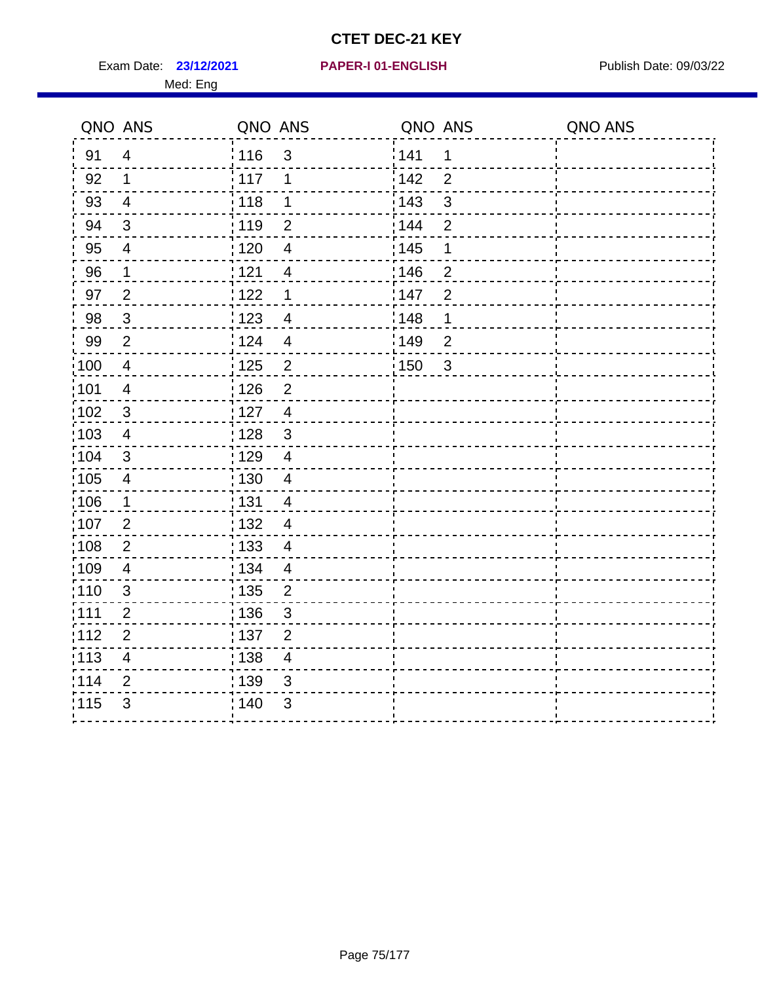Exam Date: 23/12/2021 PAPER-I 01-ENGLISH PREERENT Publish Date: 09/03/22 Med: Eng

#### **23/12/2021 PAPER-I 01-ENGLISH**

| QNO ANS           |                         | QNO ANS           |                           | QNO ANS           |                         | QNO ANS |
|-------------------|-------------------------|-------------------|---------------------------|-------------------|-------------------------|---------|
| 91                | $\overline{4}$          | : 116             | $\mathfrak{S}$            | 141               | 1                       |         |
| 92                | $\mathbf{1}$            | 117               | 1                         | 142               | $\overline{2}$          |         |
| 93                | $\overline{4}$          | 118               | 1                         | : 143             | $\mathfrak{S}$          |         |
| 94                | $\mathbf{3}$            | : 119             | $\overline{2}$            | : 144             | $\overline{2}$          |         |
| 95                | $\overline{4}$          | $\frac{1}{1}$ 120 | $\overline{4}$            | : 145             | 1                       |         |
| 96                | 1                       | 121               | 4                         | 146               | $\overline{2}$          |         |
| 97                | $\overline{2}$          | 122               | $\mathbf 1$               | 147               | $\overline{2}$          |         |
| 98                | $\mathbf{3}$            | 123               | $\overline{4}$            | 148               | 1                       |         |
| 99                | $\overline{2}$          | 124               | $\overline{\mathbf{4}}$   | ¦149              | $\overline{2}$          |         |
| $\frac{1}{1}$ 100 | $\overline{4}$          | $\frac{1}{1}$ 125 | $\overline{c}$            | $\frac{1}{1}$ 150 | $\overline{\mathbf{3}}$ |         |
| :101              | $\overline{4}$          | : 126             | $\overline{2}$            |                   |                         |         |
| $\frac{1}{1}$ 102 | $\mathfrak{3}$          | : 127             | $\overline{4}$            |                   |                         |         |
| 103               | 4                       | : 128             | $\mathbf{3}$              |                   |                         |         |
| $\frac{1}{104}$   | 3                       | : 129             | $\overline{4}$            |                   |                         |         |
| $\frac{1}{1}$ 105 | $\overline{4}$          | 130               | $\overline{4}$            |                   |                         |         |
| 106               | $\mathbf 1$             | : 131             | $\overline{4}$            |                   |                         |         |
| :107              | $\overline{2}$          | : 132             | $\overline{4}$            |                   |                         |         |
| 108               | $\overline{2}$          | $\frac{1}{1}$ 133 | $\overline{4}$            |                   |                         |         |
| :109              | $\overline{4}$          | : 134             | $\overline{4}$            |                   |                         |         |
| :110              | 3                       | : 135             | $\overline{2}$            |                   |                         |         |
| :111              | $\overline{2}$          | : 136             | $\mathfrak{B}$            |                   |                         |         |
| 112               | $\overline{2}$          | : 137             | $\overline{2}$            |                   |                         |         |
| : 113             | $\overline{\mathbf{4}}$ | : 138             | $\overline{4}$            |                   |                         |         |
| 114               | $\overline{2}$          | 139               | 3                         |                   |                         |         |
| 115               | 3                       | 140               | $\ensuremath{\mathsf{3}}$ |                   |                         |         |
|                   |                         |                   |                           |                   |                         |         |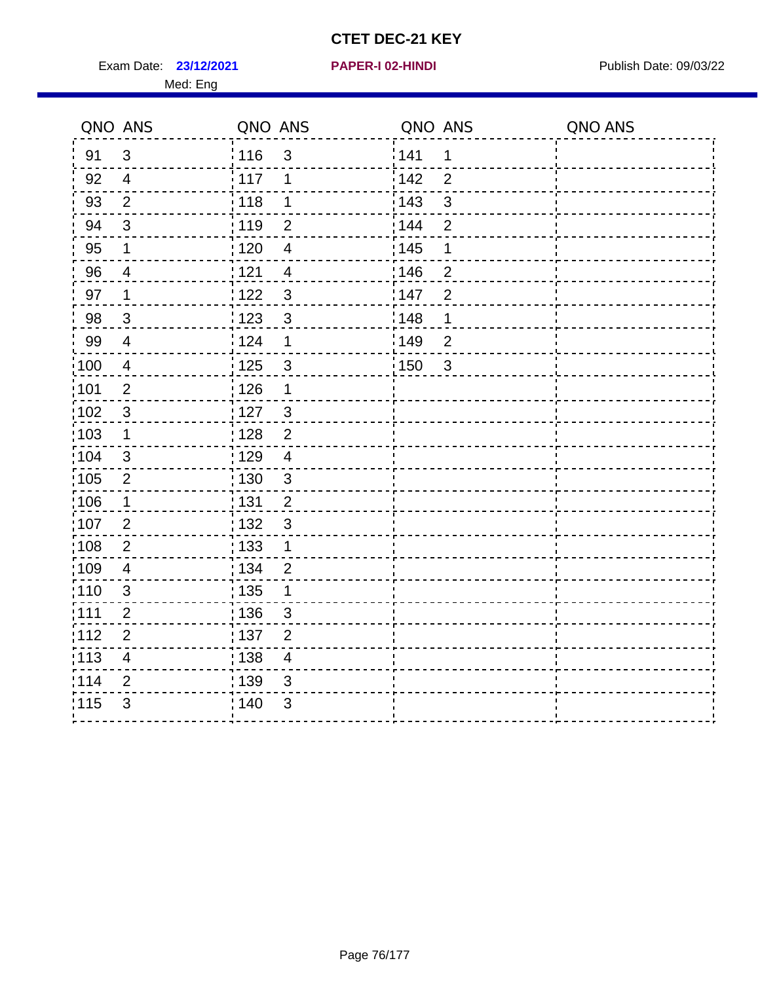**23/12/2021 PAPER-I 02-HINDI**

Exam Date: 23/12/2021 **PAPER-I 02-HINDI Exam Date: 09/03/22** Med: Eng

|                   | QNO ANS                 | QNO ANS           |                         | QNO ANS           |                | QNO ANS |
|-------------------|-------------------------|-------------------|-------------------------|-------------------|----------------|---------|
| 91                | $\mathbf{3}$            | : 116             | $\mathfrak{3}$          | 141               | $\mathbf 1$    |         |
| 92                | $\overline{4}$          | 117               | 1                       | 142               | $\overline{2}$ |         |
| 93                | $\overline{2}$          | 118               | 1                       | 143               | 3              |         |
| 94                | $\mathbf{3}$            | :119              | $\overline{2}$          | 144               | $\overline{2}$ |         |
| 95                | $\mathbf 1$             | 120               | $\overline{4}$          | : 145             | $\mathbf 1$    |         |
| 96                | 4                       | 121               | $\overline{4}$          | 146               | $\overline{2}$ |         |
| 97                | $\mathbf 1$             | 122               | $\mathfrak{3}$          | 147               | $\overline{2}$ |         |
| 98                | $\mathbf{3}$            | 1123              | $\mathbf{3}$            | 148               | $\mathbf 1$    |         |
| 99                | $\overline{4}$          | 124               | 1                       | $\frac{1}{2}$ 149 | $\overline{2}$ |         |
| $\frac{1}{1}$ 100 | $\overline{4}$          | 125               | $\mathbf{3}$            | $\frac{1}{1}$ 150 | 3              |         |
| :101              | $\mathbf{2}$            | : 126             | $\mathbf 1$             |                   |                |         |
| $\frac{1}{1}$ 102 | $\mathsf 3$             | 127               | $\frac{3}{5}$           |                   |                |         |
| 103               | $\mathbf 1$             | : 128             | $\overline{2}$          |                   |                |         |
| 104               | 3                       | 129               | $\overline{4}$          |                   |                |         |
| $\frac{1}{1}$ 105 | $\overline{2}$          | : 130             | $\mathfrak{3}$          |                   |                |         |
| 106               | $\mathbf 1$             | : 131             | $\overline{2}$          |                   |                |         |
| 107               | $\overline{2}$          | : 132             | 3                       |                   |                |         |
| 108               | $\overline{2}$          | : 133             | $\mathbf{1}$            |                   |                |         |
| :109              | $\overline{\mathbf{4}}$ | : 134             | $\overline{2}$          |                   |                |         |
| : 110             | $\mathfrak{S}$          | $\frac{1}{1}$ 135 | 1                       |                   |                |         |
| :111              | $\overline{2}$          | :136              | 3                       |                   |                |         |
| 112               | $\overline{2}$          | :137              | $\overline{2}$          |                   |                |         |
| :113              | $\overline{\mathbf{4}}$ | : 138             | $\overline{\mathbf{4}}$ |                   |                |         |
| 114               | $\overline{2}$          | 139               | $\mathfrak{B}$          |                   |                |         |
| 115               | 3                       | 140               | 3                       |                   |                |         |
|                   |                         |                   |                         |                   |                |         |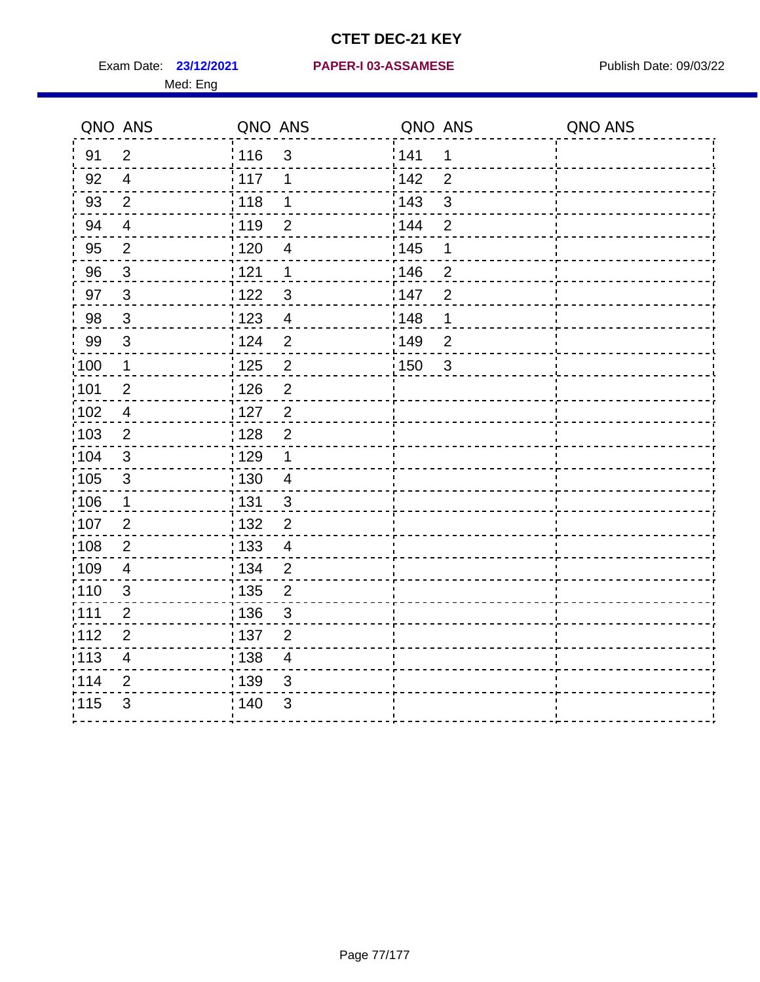Med: Eng

#### **23/12/2021 PAPER-I 03-ASSAMESE** Exam Date: Publish Date: 09/03/22

|      | QNO ANS                 | QNO ANS |                          | QNO ANS |                | QNO ANS |
|------|-------------------------|---------|--------------------------|---------|----------------|---------|
| 91   | $\overline{2}$          | 116     | $\mathfrak{3}$           | 141     | 1              |         |
| 92   | $\overline{4}$          | 117     | 1                        | 142     | $\overline{2}$ |         |
| 93   | $\overline{2}$          | 118     | $\mathbf 1$              | 143     | $\mathsf 3$    |         |
| 94   | $\overline{4}$          | : 119   | $\overline{2}$           | 144     | $\overline{2}$ |         |
| 95   | $\overline{2}$          | :120    | $\overline{\mathcal{A}}$ | : 145   | 1              |         |
| 96   | $\mathfrak{S}$          | 121     | $\mathbf 1$              | 146     | $\overline{2}$ |         |
| 97   | $\mathbf{3}$            | 122     | $\mathfrak{B}$           | 147     | $\overline{2}$ |         |
| 98   | $\mathbf{3}$            | 123     | $\overline{4}$           | 148     | 1              |         |
| 99   | $\mathfrak{S}$          | 124     | $\overline{2}$           | 149     | $\overline{2}$ |         |
| 100  | $\mathbf 1$             | 125     | $\overline{2}$           | 150     | $\overline{3}$ |         |
| 101  | $\overline{2}$          | : 126   | $\overline{2}$           |         |                |         |
| 102  | $\overline{4}$          | : 127   | $\overline{2}$           |         |                |         |
| :103 | 2                       | : 128   | $\overline{2}$           |         |                |         |
| 104  | $\mathbf{3}$            | : 129   | $\mathbf 1$              |         |                |         |
| :105 | $\sqrt{3}$              | : 130   | $\overline{4}$           |         |                |         |
| 106  | $\mathbf 1$             | : 131   | $\mathbf{3}$             |         |                |         |
| :107 | $\overline{2}$          | : 132   | $\overline{2}$           |         |                |         |
| :108 | $\overline{2}$          | : 133   | $\overline{4}$           |         |                |         |
| 109  | $\overline{4}$          | : 134   | $\overline{2}$           |         |                |         |
| :110 | 3                       | 135     | $\overline{2}$           |         |                |         |
| 111  | $\overline{2}$          | : 136   | $\sqrt{3}$               |         |                |         |
| 112  | $\overline{2}$          | : 137   | $\overline{2}$           |         |                |         |
| :113 | $\overline{\mathbf{4}}$ | : 138   | $\overline{4}$           |         |                |         |
| 114  | $\overline{2}$          | 139     | 3                        |         |                |         |
| 115  | 3                       | : 140   | 3                        |         |                |         |
|      |                         |         |                          |         |                |         |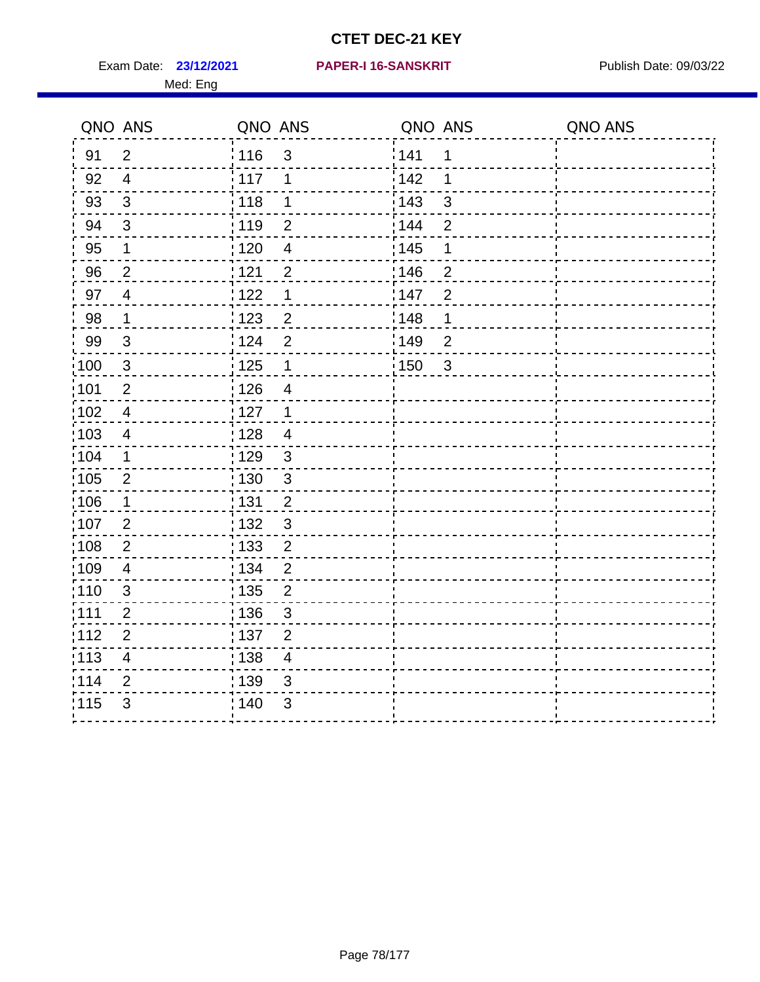Exam Date: 23/12/2021 PAPER-I 16-SANSKRIT Publish Date: 09/03/22 Med: Eng

#### **23/12/2021 PAPER-I 16-SANSKRIT**

| QNO ANS |                          | QNO ANS           |                | QNO ANS           |                | QNO ANS |
|---------|--------------------------|-------------------|----------------|-------------------|----------------|---------|
| 91      | $\overline{2}$           | : 116             | $\mathfrak{B}$ | ¦141              | 1              |         |
| 92      | $\overline{4}$           | : 117             | 1              | i 142             | 1              |         |
| 93      | $\mathfrak{S}$           | : 118             | 1              | 143               | 3              |         |
| 94      | 3                        | 119               | $\overline{2}$ | 144               | $\overline{2}$ |         |
| 95      | $\mathbf 1$              | : 120             | $\overline{4}$ | $\frac{1}{1}$ 145 | 1              |         |
| 96      | $\overline{2}$           | 121               | $\overline{2}$ | 146               | $\overline{2}$ |         |
| 97      | $\overline{4}$           | 122               | $\mathbf 1$    | 147               | $\overline{2}$ |         |
| 98      | $\mathbf 1$              | : 123             | $\overline{2}$ | 148               | 1              |         |
| 99      | $\mathfrak{B}$           | ່ 124             | $\overline{2}$ | ¦149              | $\overline{2}$ |         |
| 100     | $\mathbf{3}$             | 125               | $\mathbf 1$    | : 150             | $\mathbf{3}$   |         |
| :101    | $\overline{2}$           | : 126             | $\overline{4}$ |                   |                |         |
| 102     | $\overline{4}$           | : 127             | $\mathbf 1$    |                   |                |         |
| :103    | $\overline{4}$           | : 128             | $\overline{4}$ |                   |                |         |
| 104     | 1                        | : 129             | 3              |                   |                |         |
| 105     | $\overline{2}$           | $\frac{1}{1}$ 130 | $\mathbf{3}$   |                   |                |         |
| :106    | 1                        | : 131             | $\overline{2}$ |                   |                |         |
| :107    | $\overline{2}$           | : 132             | 3              |                   |                |         |
| 108     | $\overline{2}$           | : 133             | $\overline{2}$ |                   |                |         |
| :109    | $\overline{\mathcal{A}}$ | : 134             | $\overline{2}$ |                   |                |         |
| :110    | $\mathfrak{S}$           | : 135             | $\overline{2}$ |                   |                |         |
| :111    | $\overline{2}$           | :136              | 3              |                   |                |         |
| 112     | $\overline{2}$           | 137               | $\overline{2}$ |                   |                |         |
| :113    | $\overline{4}$           | $\frac{1}{1}$ 138 | $\overline{4}$ |                   |                |         |
| 1114    | $\overline{2}$           | 139               | 3              |                   |                |         |
| 1115    | 3                        | : 140             | 3              |                   |                |         |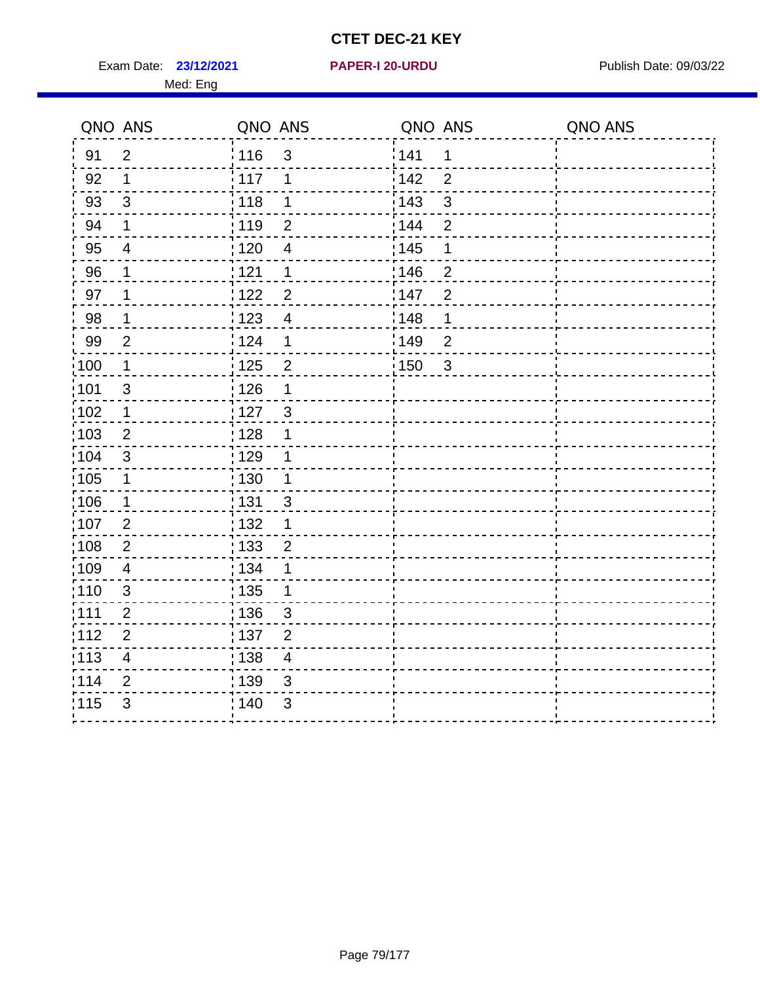Exam Date: 23/12/2021 **PAPER-I 20-URDU** PAPER 120-VIRDU Med: Eng

**23/12/2021 PAPER-I 20-URDU**

|                   | QNO ANS                 | QNO ANS           |                | QNO ANS |                | QNO ANS |
|-------------------|-------------------------|-------------------|----------------|---------|----------------|---------|
| 91                | $\overline{2}$          | :116              | $\mathfrak{S}$ | 141     | 1              |         |
| 92                | 1                       | : 117             | 1              | 142     | $\overline{2}$ |         |
| 93                | 3                       | : 118             | 1              | 143     | 3              |         |
| 94                | $\mathbf 1$             | 119               | $\overline{2}$ | 144     | $\overline{2}$ |         |
| 95                | $\overline{4}$          | $\frac{1}{1}$ 120 | $\overline{4}$ | : 145   | 1              |         |
| 96                | 1                       | 121               | 1              | 146     | $\overline{2}$ |         |
| 97                | 1                       | 122               | $\overline{2}$ | 147     | $\overline{2}$ |         |
| 98                | $\mathbf 1$             | : 123             | $\overline{4}$ | 148     | 1              |         |
| 99                | $\overline{2}$          | 124               | 1              | 149     | $\overline{2}$ |         |
| $\frac{1}{1}$ 100 | $\mathbf 1$             | $\frac{1}{1}$ 125 | $\overline{c}$ | 150     | $\mathbf{3}$   |         |
| :101              | $\mathfrak{S}$          | : 126             | 1              |         |                |         |
| 102               | $\mathbf 1$             | : 127             | 3              |         |                |         |
| 103               | 2                       | : 128             | 1              |         |                |         |
| 104               | $\mathbf{3}$            | : 129             | 1              |         |                |         |
| 105               | $\mathbf 1$             | $\frac{1}{1}$ 130 | 1              |         |                |         |
| 106               | $\mathbf 1$             | : 131             | 3              |         |                |         |
| :107              | $\overline{2}$          | : 132             | 1              |         |                |         |
| 108               | $\overline{2}$          | : 133             | $\overline{2}$ |         |                |         |
| :109              | $\overline{4}$          | : 134             | 1              |         |                |         |
| $\frac{1}{1}$ 110 | 3                       | : 135             | 1              |         |                |         |
| : 111             | $\overline{2}$          | : 136             | $\mathfrak{B}$ |         |                |         |
| 112               | $\overline{2}$          | 137               | $\overline{2}$ |         |                |         |
| : 113             | $\overline{\mathbf{4}}$ | $\frac{1}{1}$ 138 | $\overline{4}$ |         |                |         |
| 114               | $\overline{2}$          | : 139             | $\mathfrak{B}$ |         |                |         |
| 115               | 3                       | 140               | 3              |         |                |         |
|                   |                         |                   |                |         |                |         |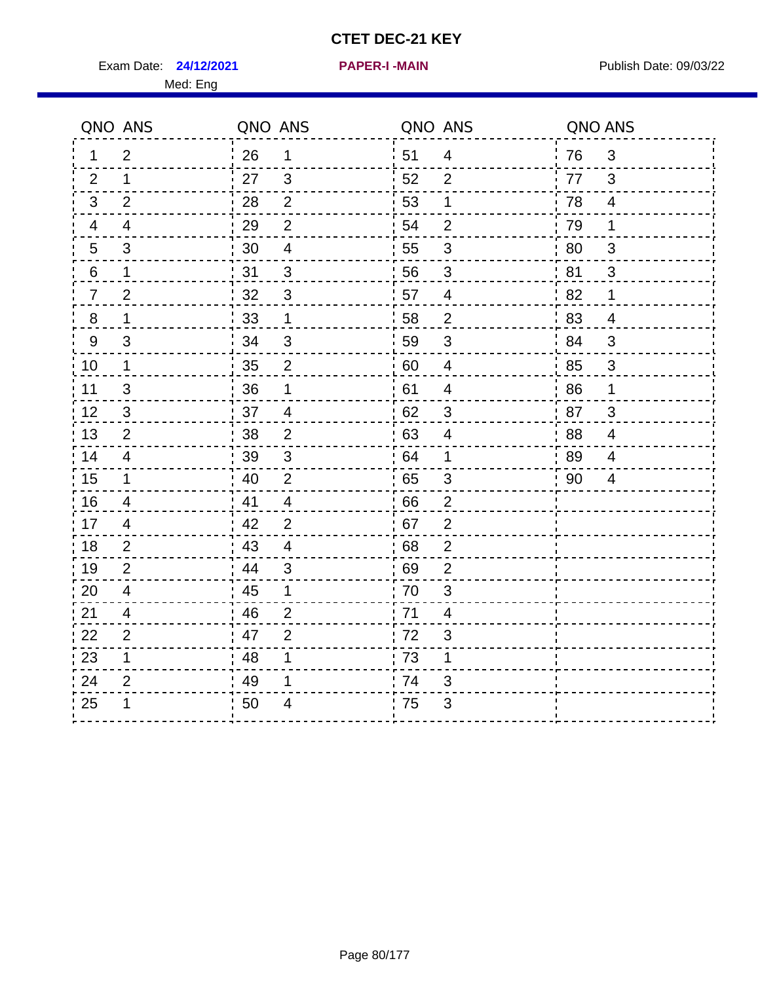Exam Date: 24/12/2021 **PAPER-I-MAIN Exam Date: 09/03/22** Med: Eng

|         | QNO ANS        | QNO ANS |                         | QNO ANS          |                          | QNO ANS |                |
|---------|----------------|---------|-------------------------|------------------|--------------------------|---------|----------------|
| 1.      | $\overline{2}$ | 26      | $\mathbf 1$             | ່ 51             | $\overline{4}$           | 76      | 3              |
| 2       | 1              | 27      | 3                       | 52               | 2                        | 77      | 3              |
| 3       | $\overline{2}$ | 28      | $\overline{2}$          | 53               | 1                        | 78      | $\overline{4}$ |
| 4       | $\overline{4}$ | 29      | $\overline{2}$          | 54               | $\overline{2}$           | 79      | $\mathbf 1$    |
| 5       | 3              | 30      | $\overline{\mathbf{4}}$ | 55               | $\sqrt{3}$               | 80      | $\sqrt{3}$     |
| 6       | 1              | 31      | 3                       | 56               | 3                        | 81      | 3              |
| 7       | $\overline{2}$ | 32      | 3                       | 57               | 4                        | 82      | 1              |
| $\bf 8$ | 1              | 33      | $\mathbf 1$             | 58               | $\overline{2}$           | 83      | $\overline{4}$ |
| $9\,$   | 3              | 34      | 3                       | ¦ 59             | $\mathfrak{B}$           | 84      | $\mathbf{3}$   |
| 10      | $\mathbf 1$    | 35      | $\overline{2}$          | 60               | $\overline{4}$           | 85      | $\mathsf 3$    |
| 11      | $\sqrt{3}$     | 36      | 1                       | 61               | $\overline{\mathcal{A}}$ | 86      | $\mathbf 1$    |
| 12      | 3              | 37      | $\overline{4}$          | 62               | $\mathfrak{B}$           | 87      | 3              |
| 13      | 2              | 38      | $\overline{2}$          | : 63             | 4                        | .88     | 4              |
| 14      | $\overline{4}$ | 39      | 3                       | 64               | 1                        | 89      | 4              |
| 15      | 1              | 40      | $\overline{2}$          | 65               | 3                        | 90      | 4              |
| 16      | $\overline{4}$ | 41      | $\overline{4}$          | 66               | $\overline{2}$           |         |                |
| 17      | 4              | 42      | $\overline{2}$          | .67              | $\overline{2}$           |         |                |
| 18      | 2              | 43      | $\overline{4}$          | 68               | $\overline{2}$           |         |                |
| 19      | $\overline{2}$ | 44      | 3                       | .69              | $\overline{2}$           |         |                |
| 20      | $\overline{4}$ | 45      | 1                       | .70              | 3                        |         |                |
| 21      | 4              | 46      | $\overline{2}$          | .71              | 4                        |         |                |
| 22      | $\overline{2}$ | 47      | $\overline{2}$          | 172              | 3                        |         |                |
| 23      | 1              | 48      | 1                       | $\frac{1}{1}$ 73 | 1                        |         |                |
| 24      | 2              | 49      | 1                       | .74              | 3                        |         |                |
| 25      | 1              | 50      | 4                       | 75               | 3                        |         |                |
|         |                |         |                         |                  |                          |         |                |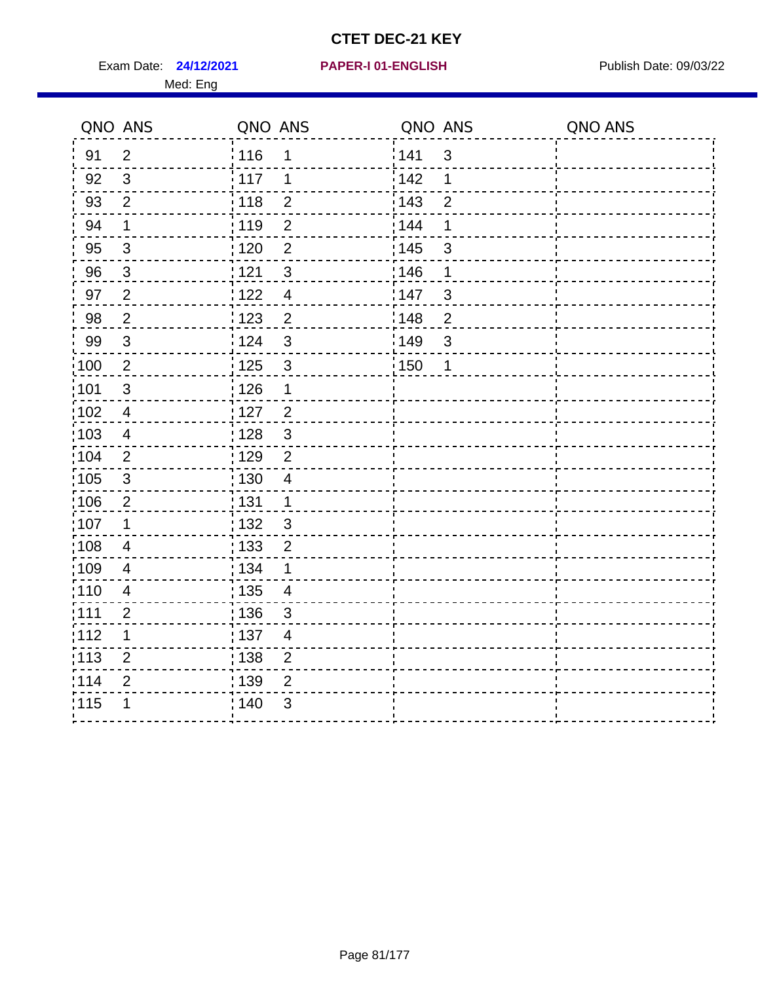Exam Date: 24/12/2021 PAPER-I 01-ENGLISH PREERENT Publish Date: 09/03/22 Med: Eng

#### **24/12/2021 PAPER-I 01-ENGLISH**

| QNO ANS           |                         | QNO ANS                                       | QNO ANS               | QNO ANS |
|-------------------|-------------------------|-----------------------------------------------|-----------------------|---------|
| 91                | 2                       | 116<br>1                                      | 141<br>$\mathbf{3}$   |         |
| 92                | 3                       | 117<br>1                                      | 142<br>1              |         |
| 93                | $\overline{2}$          | $\frac{1}{2}$ 118<br>$\mathbf 2$              | 143<br>$\overline{2}$ |         |
| 94                | 1                       | : 119<br>$\overline{2}$                       | 144<br>1              |         |
| 95                | $\sqrt{3}$              | $\overline{2}$<br>: 120                       | : 145<br>$\mathsf 3$  |         |
| 96                | $\mathbf{3}$            | 121<br>$\mathfrak{S}$                         | 146<br>1              |         |
| 97                | $\overline{2}$          | 1122<br>$\overline{\mathcal{A}}$              | 147<br>3              |         |
| 98                | $\overline{2}$          | 1123<br>$\overline{2}$                        | 148<br>$\overline{2}$ |         |
| 99                | $\mathfrak{3}$          | 124<br>3                                      | ¦149<br>3             |         |
| $\frac{1}{1}$ 100 | $\overline{2}$          | $\mathsf 3$<br>$\frac{1}{1}$ 125              | : 150<br>1            |         |
| 101               | $\mathsf 3$             | : 126<br>1                                    |                       |         |
| $\frac{1}{1}$ 102 | $\overline{4}$          | $\overline{2}$<br>: 127                       |                       |         |
| 103               | $\overline{4}$          | : 128<br>$\sqrt{3}$                           |                       |         |
| :104              | $\overline{2}$          | : 129<br>$\overline{2}$                       |                       |         |
| 105               | $\sqrt{3}$              | : 130<br>$\overline{4}$                       |                       |         |
| 106               | $\overline{c}$          | : 131<br>$\mathbf 1$                          |                       |         |
| 107               | 1                       | : 132<br>$\mathbf{3}$                         |                       |         |
| 108               | 4                       | : 133<br>$\overline{2}$                       |                       |         |
| :109              | 4                       | : 134<br>1                                    |                       |         |
| : 110             | $\overline{\mathbf{4}}$ | $\frac{1}{1}$ 135<br>$\overline{\mathcal{A}}$ |                       |         |
| : 111             | $\overline{2}$          | : 136<br>3                                    |                       |         |
| :112              | $\mathbf 1$             | :137<br>$\overline{4}$                        |                       |         |
| $\frac{1}{1}$ 113 | $\overline{2}$          | : 138<br>$\overline{2}$                       |                       |         |
| 114               | $\overline{2}$          | 139<br>$\overline{2}$                         |                       |         |
| 115               | 1                       | ; 140<br>$\mathfrak{B}$                       |                       |         |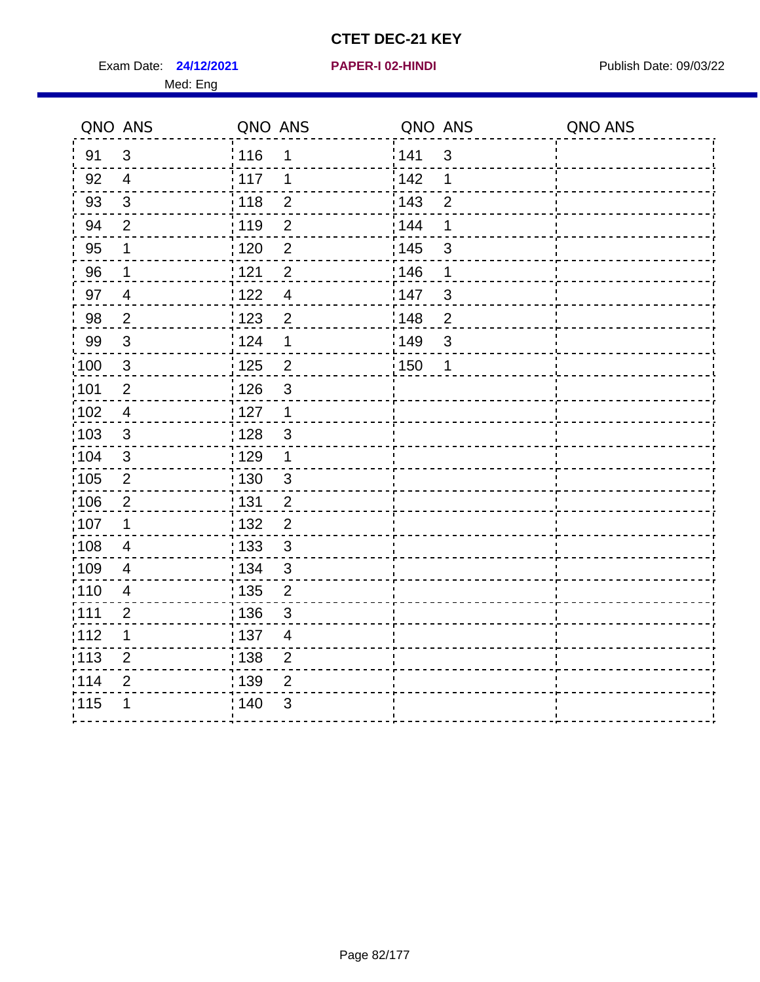Exam Date: **24/12/2021 PAPER-I 02-HINDI Exam Date: 09/03/22** 

Med: Eng

**24/12/2021 PAPER-I 02-HINDI**

|      | QNO ANS        | QNO ANS           |                | QNO ANS |                | QNO ANS |
|------|----------------|-------------------|----------------|---------|----------------|---------|
| 91   | 3              | 116               | 1              | 141     | $\mathbf{3}$   |         |
| 92   | $\overline{4}$ | 117               | 1              | 142     | 1              |         |
| 93   | $\mathfrak{Z}$ | 118               | $\mathbf 2$    | 143     | $\overline{2}$ |         |
| 94   | $\overline{2}$ | : 119             | $\overline{2}$ | : 144   | 1              |         |
| 95   | 1              | $\frac{1}{1}$ 120 | $\overline{2}$ | : 145   | $\mathfrak{S}$ |         |
| 96   | 1              | : 121             | $\overline{2}$ | :146    | 1              |         |
| 97   | $\overline{4}$ | 122               | $\overline{4}$ | 147     | $\sqrt{3}$     |         |
| 98   | $\overline{2}$ | $\frac{1}{2}$ 123 | $\overline{2}$ | 148     | $\overline{2}$ |         |
| 99   | $\sqrt{3}$     | 124               | $\mathbf 1$    | :149    | $\sqrt{3}$     |         |
| 100  | $\mathsf 3$    | $\frac{1}{1}$ 125 | $\overline{2}$ | : 150   | 1              |         |
| :101 | $\mathbf 2$    | : 126             | $\mathfrak{S}$ |         |                |         |
| 102  | $\overline{4}$ | : 127             | $\mathbf{1}$   |         |                |         |
| :103 | 3              | : 128             | $\mathbf{3}$   |         |                |         |
| 104  | $\mathbf{3}$   | $\frac{1}{1}$ 129 | $\mathbf 1$    |         |                |         |
| 105  | $\overline{2}$ | : 130             | $\mathbf{3}$   |         |                |         |
| :106 | $\overline{2}$ | : 131             | $\overline{2}$ |         |                |         |
| ;107 | 1              | 132               | $\overline{2}$ |         |                |         |
| 108  | $\overline{4}$ | : 133             | $\mathbf{3}$   |         |                |         |
| :109 | $\overline{4}$ | : 134             | $\mathfrak{3}$ |         |                |         |
| :110 | $\overline{4}$ | : 135             | $\overline{2}$ |         |                |         |
| :111 | $\overline{2}$ | : 136             | $\sqrt{3}$     |         |                |         |
| 112  | 1              | : 137             | $\overline{4}$ |         |                |         |
| 113  | $\overline{2}$ | : 138             | $\overline{2}$ |         |                |         |
| 114  | 2              | : 139             | 2              |         |                |         |
| 115  | 1              | 140               | $\mathfrak{B}$ |         |                |         |
|      |                |                   |                |         |                |         |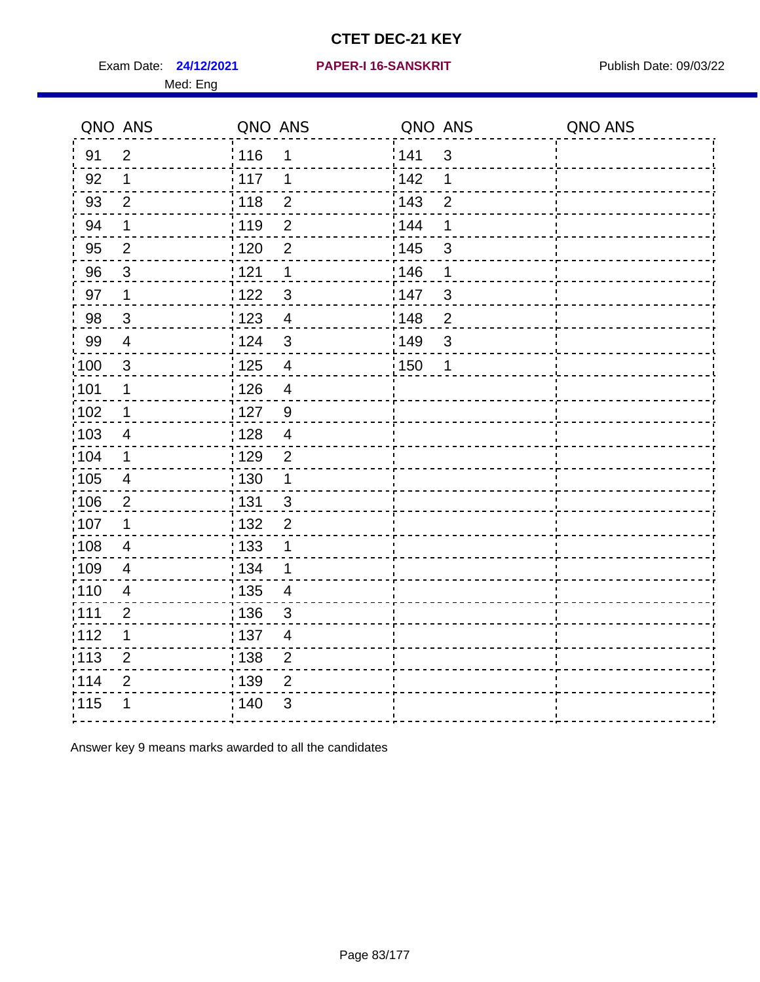Exam Date: 24/12/2021 PAPER-I 16-SANSKRIT Publish Date: 09/03/22 Med: Eng

#### **24/12/2021 PAPER-I 16-SANSKRIT**

|                   | QNO ANS                  | QNO ANS           |                | QNO ANS |                | QNO ANS |
|-------------------|--------------------------|-------------------|----------------|---------|----------------|---------|
| 91                | $\overline{2}$           | : 116             | 1              | 141     | $\mathfrak{3}$ |         |
| 92                | 1                        | : 117             | 1              | 142     | 1              |         |
| 93                | $\overline{2}$           | : 118             | $\overline{2}$ | 143     | $\overline{2}$ |         |
| 94                | 1                        | 119               | $\overline{2}$ | 144     | 1              |         |
| 95                | $\overline{2}$           | : 120             | $\overline{2}$ | : 145   | 3              |         |
| 96                | 3                        | 121               | 1              | 146     | 1              |         |
| 97                | 1                        | 122               | $\mathfrak{S}$ | 147     | $\mathfrak{S}$ |         |
| 98                | $\mathbf{3}$             | : 123             | $\overline{4}$ | 148     | $\overline{2}$ |         |
| 99                | $\overline{4}$           | 124               | $\mathfrak{S}$ | 149     | $\mathfrak{S}$ |         |
| $\frac{1}{1}$ 100 | $\mathfrak{S}$           | $\frac{1}{1}$ 125 | $\overline{4}$ | : 150   | 1              |         |
| :101              | $\mathbf 1$              | : 126             | $\overline{4}$ |         |                |         |
| 102               | $\mathbf 1$              | : 127             | 9              |         |                |         |
| 103               | $\overline{4}$           | : 128             | $\overline{4}$ |         |                |         |
| :104              | 1                        | : 129             | $\overline{2}$ |         |                |         |
| 105               | $\overline{\mathcal{A}}$ | $\frac{1}{1}$ 130 | 1              |         |                |         |
| 106               | $\overline{2}$           | : 131             | 3              |         |                |         |
| :107              | 1                        | : 132             | $\overline{2}$ |         |                |         |
| 108               | $\overline{4}$           | : 133             | 1              |         |                |         |
| :109              | $\overline{4}$           | : 134             | 1              |         |                |         |
| :110              | $\overline{\mathbf{4}}$  | : 135             | $\overline{4}$ |         |                |         |
| : 111             | $\overline{2}$           | : 136             | $\mathfrak{S}$ |         |                |         |
| 112               | $\mathbf 1$              | 137               | $\overline{4}$ |         |                |         |
| $\frac{1}{1}$ 113 | $\overline{2}$           | : 138             | $\overline{2}$ |         |                |         |
| 114               | $\overline{2}$           | 139               | $\overline{2}$ |         |                |         |
| 115               | 1                        | 140               | 3              |         |                |         |
|                   |                          |                   |                |         |                |         |

Answer key 9 means marks awarded to all the candidates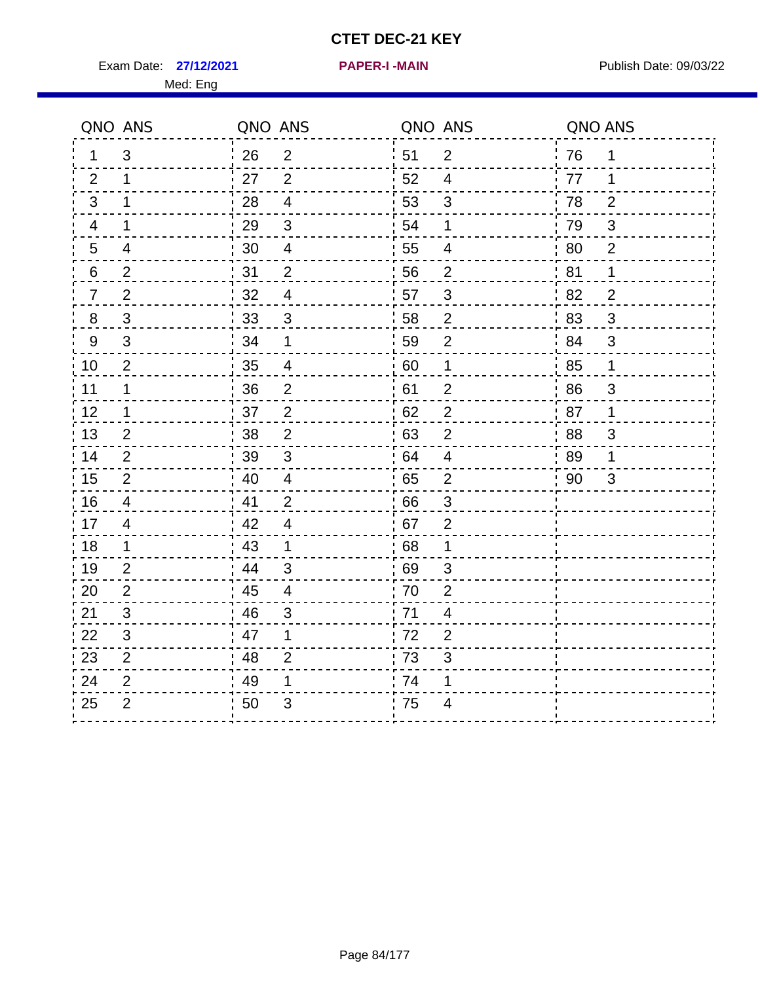Exam Date: 27/12/2021 **PAPER-I-MAIN Proposed All Publish Date: 09/03/22** 

**27/12/2021 PAPER-I -MAIN**

|                | QNO ANS        | QNO ANS          |                          | QNO ANS |                          | QNO ANS |                |
|----------------|----------------|------------------|--------------------------|---------|--------------------------|---------|----------------|
| $\mathbf 1$    | 3              | 26               | $\overline{2}$           | 51      | $\overline{2}$           | 76      | $\mathbf 1$    |
| 2              | $\mathbf 1$    | 27               | $\overline{2}$           | 52      | $\overline{4}$           | 77      | 1              |
| 3              | $\mathbf 1$    | 28               | $\overline{4}$           | 53      | $\mathbf{3}$             | 78      | $\overline{2}$ |
| 4              | $\mathbf 1$    | 29               | $\mathbf{3}$             | 54      | 1                        | 79      | $\sqrt{3}$     |
| 5              | 4              | 30               | $\overline{\mathcal{A}}$ | 55      | 4                        | 80      | $\overline{2}$ |
| 6              | $\overline{2}$ | 31               | $\overline{2}$           | 56      | $\overline{2}$           | 81      | 1              |
| $\overline{7}$ | $\overline{2}$ | 32               | $\overline{4}$           | 57      | $\mathfrak{S}$           | 82      | $\overline{2}$ |
| 8              | 3              | $\frac{1}{2}$ 33 | $\mathbf{3}$             | 58      | $\overline{2}$           | 83      | 3              |
| 9              | 3              | 34               | $\mathbf{1}$             | 59      | $\overline{2}$           | 84      | 3              |
| 10             | 2              | 35               | 4                        | 60      | 1                        | 85      | $\mathbf 1$    |
| 11             | $\mathbf 1$    | 36               | $\overline{2}$           | 61      | $\overline{2}$           | 86      | $\mathfrak{S}$ |
| 12             | $\mathbf 1$    | 37               | $\overline{2}$           | 62      | $\overline{2}$           | 87      | $\mathbf{1}$   |
| 13             | $\overline{2}$ | 38               | $\overline{2}$           | 63      | $\sqrt{2}$               | 88      | 3              |
| 14             | 2              | 39               | $\sqrt{3}$               | 64      | $\overline{4}$           | 89      | 1              |
| 15             | $\overline{2}$ | 40               | $\overline{4}$           | 65      | 2                        | 90      | 3              |
| 16             | 4              | 41               | $\overline{2}$           | 66      | 3                        |         |                |
| 17             | 4              | 42               | $\overline{\mathcal{A}}$ | 67      | $\overline{2}$           |         |                |
| 18             | $\mathbf{1}$   | 43               | $\mathbf 1$              | 68      | 1                        |         |                |
| 19             | $\overline{2}$ | 44               | 3                        | 69      | 3                        |         |                |
| 20             | 2              | 45               | 4                        | 70      | $\overline{2}$           |         |                |
| 21             | 3              | 46               | 3                        | 71      | $\overline{\mathcal{A}}$ |         |                |
| 22             | $\mathfrak{S}$ | 47               | 1                        | 72      | $\overline{2}$           |         |                |
| 23             | $\overline{2}$ | 48               | $\overline{2}$           | 73      | 3                        |         |                |
| 24             | $\overline{2}$ | 49               | 1                        | 74      | 1                        |         |                |
| 25             | $\overline{2}$ | 50               | 3                        | 75      | 4                        |         |                |
|                |                |                  |                          |         |                          |         |                |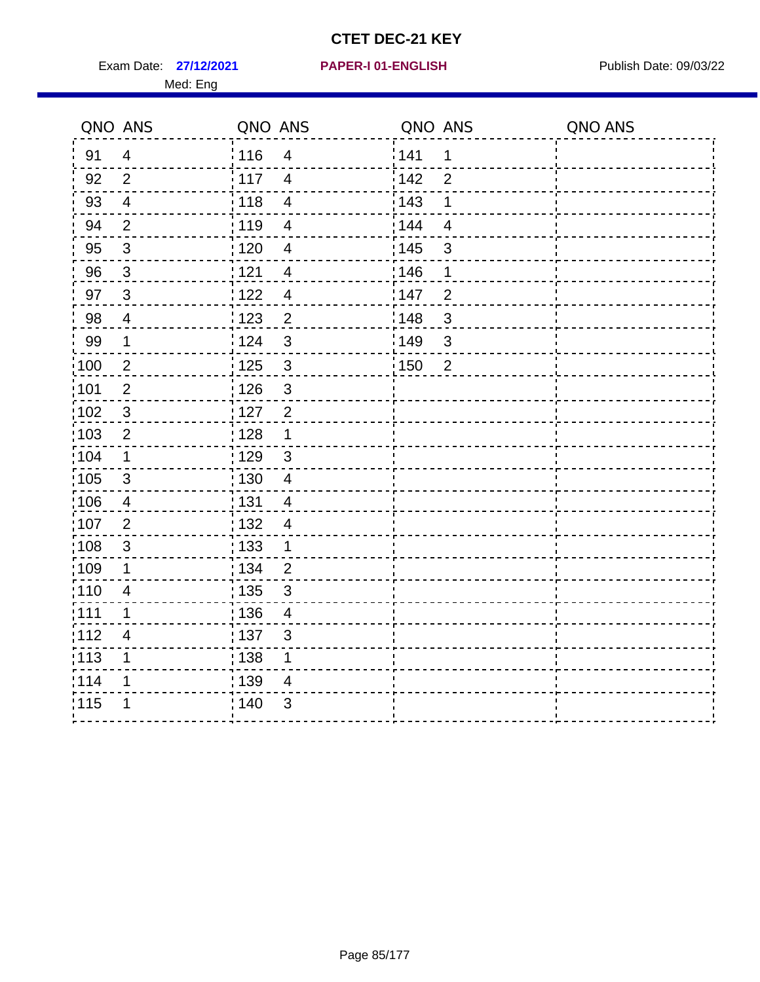Exam Date: 27/12/2021 PAPER-I 01-ENGLISH PARER Publish Date: 09/03/22 Med: Eng

#### **27/12/2021 PAPER-I 01-ENGLISH**

| QNO ANS           |                | QNO ANS           |                         | QNO ANS           |                | QNO ANS |
|-------------------|----------------|-------------------|-------------------------|-------------------|----------------|---------|
| 91                | $\overline{4}$ | : 116             | $\overline{4}$          | 141               | $\mathbf 1$    |         |
| 92                | $\overline{2}$ | : 117             | $\overline{4}$          | 142               | $\overline{2}$ |         |
| 93                | $\overline{4}$ | 118               | $\overline{\mathbf{4}}$ | 143               | 1              |         |
| 94                | $\overline{2}$ | : 119             | $\overline{4}$          | : 144             | $\overline{4}$ |         |
| 95                | $\mathbf{3}$   | : 120             | $\overline{\mathbf{4}}$ | : 145             | 3              |         |
| 96                | $\mathbf{3}$   | 121               | $\overline{4}$          | 146               | 1              |         |
| 97                | $\mathbf{3}$   | 122               | $\overline{\mathbf{4}}$ | 147               | $\overline{2}$ |         |
| 98                | $\overline{4}$ | 1123              | $\overline{2}$          | 148               | $\mathbf{3}$   |         |
| 99                | $\mathbf 1$    | 124               | 3                       | $\frac{1}{2}$ 149 | $\mathsf 3$    |         |
| $\frac{1}{1}$ 100 | $\overline{2}$ | 125               | 3                       | $\frac{1}{1}$ 150 | $\overline{2}$ |         |
| :101              | $\mathbf 2$    | : 126             | 3                       |                   |                |         |
| 102               | $\mathbf{3}$   | : 127             | $\overline{2}$          |                   |                |         |
| 103               | $\overline{2}$ | : 128             | $\mathbf 1$             |                   |                |         |
| 104               | $\mathbf 1$    | : 129             | $\mathbf{3}$            |                   |                |         |
| 105               | $\sqrt{3}$     | : 130             | $\overline{4}$          |                   |                |         |
| 106               | $\overline{4}$ | : 131             | $\overline{4}$          |                   |                |         |
| :107              | $\overline{2}$ | : 132             | $\overline{4}$          |                   |                |         |
| 108               | $\sqrt{3}$     | : 133             | $\mathbf 1$             |                   |                |         |
| :109              | $\mathbf 1$    | : 134             | $\overline{2}$          |                   |                |         |
| :110              | 4              | : 135             | 3                       |                   |                |         |
| :111              | 1              | : 136             | $\overline{4}$          |                   |                |         |
| 112               | 4              | $\frac{1}{1}$ 137 | $\mathfrak{S}$          |                   |                |         |
| : 113             | 1              | : 138             | 1                       |                   |                |         |
| 114               | 1              | 139               | 4                       |                   |                |         |
| 115               | 1              | 140               | 3                       |                   |                |         |
|                   |                |                   |                         |                   |                |         |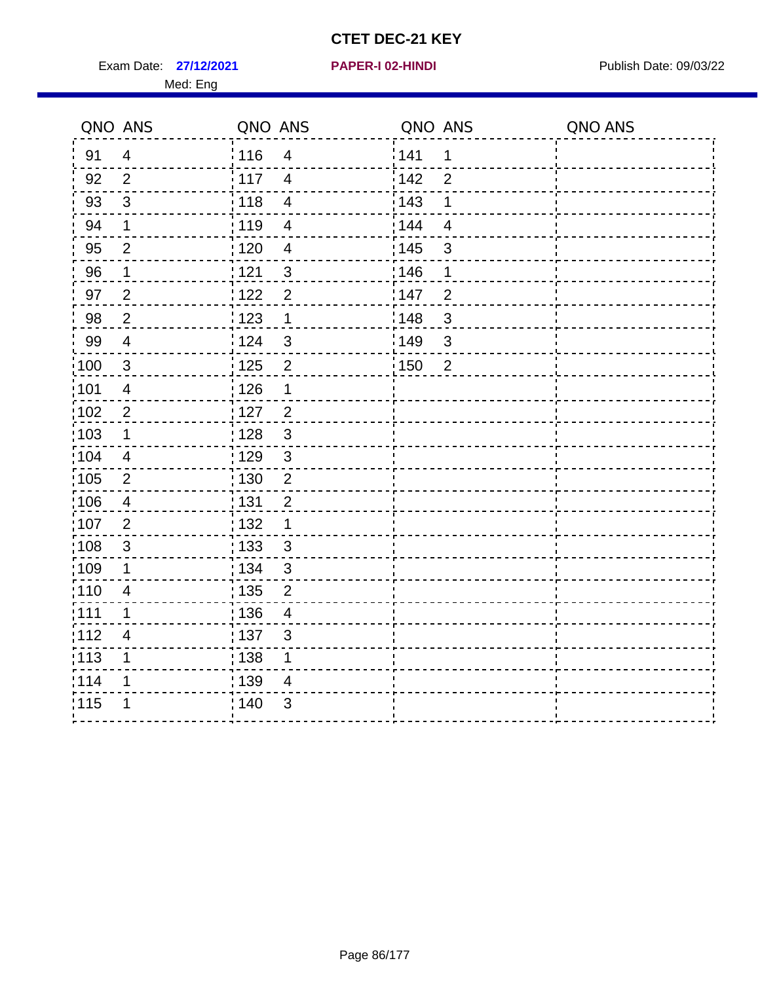Exam Date: 27/12/2021 PAPER-I 02-HINDI PREER 102-HINDI Publish Date: 09/03/22

#### **27/12/2021 PAPER-I 02-HINDI**

| QNO ANS          |                          | QNO ANS           |                         | QNO ANS |                          | QNO ANS |
|------------------|--------------------------|-------------------|-------------------------|---------|--------------------------|---------|
| 91               | $\overline{4}$           | 116               | 4                       | 141     | 1                        |         |
| 92               | $\overline{2}$           | : 117             | $\overline{4}$          | 142     | $\overline{2}$           |         |
| 93               | $\mathbf{3}$             | 118               | $\overline{4}$          | 143     | 1                        |         |
| 94               | $\mathbf 1$              | 119               | $\overline{\mathbf{4}}$ | 144     | $\overline{\mathcal{A}}$ |         |
| 95               | $\overline{2}$           | : 120             | $\overline{4}$          | : 145   | $\sqrt{3}$               |         |
| 96               | $\mathbf{1}$             | 121               | $\mathbf{3}$            | 146     | 1                        |         |
| 97               | $\overline{2}$           | 122               | $\overline{2}$          | 147     | $\overline{2}$           |         |
| 98               | $\overline{2}$           | 123               | $\mathbf 1$             | 148     | $\mathfrak{S}$           |         |
| 99               | $\overline{4}$           | 124               | $\mathbf{3}$            | ¦149    | $\mathfrak{S}$           |         |
| $\frac{1}{2}100$ | $\mathbf{3}$             | : 125             | $\overline{2}$          | 150     | $\overline{2}$           |         |
| :101             | $\overline{\mathcal{A}}$ | 126               | 1                       |         |                          |         |
| 102              | $\mathbf 2$              | $\frac{1}{1}$ 127 | $\overline{c}$          |         |                          |         |
| 103              | 1                        | 128               | $\mathbf{3}$            |         |                          |         |
| 104              | 4                        | : 129             | $\mathbf{3}$            |         |                          |         |
| 105              | $\overline{2}$           | 130               | 2                       |         |                          |         |
| :106             | $\overline{\mathcal{A}}$ | : 131             | $\mathbf 2$             |         |                          |         |
| 107              | $\overline{2}$           | $\frac{1}{1}$ 132 | $\mathbf 1$             |         |                          |         |
| 108              | $\mathfrak{S}$           | : 133             | $\mathbf{3}$            |         |                          |         |
| :109             | 1                        | : 134             | $\mathbf{3}$            |         |                          |         |
| :110             | 4                        | : 135             | $\overline{2}$          |         |                          |         |
| :111             | $\mathbf 1$              | : 136             | $\overline{\mathbf{4}}$ |         |                          |         |
| 112              | 4                        | : 137             | 3                       |         |                          |         |
| : 113            | 1                        | : 138             | 1                       |         |                          |         |
| 114              | 1                        | 139               | 4                       |         |                          |         |
| 115              | 1                        | : 140             | $\mathfrak{S}$          |         |                          |         |
|                  |                          |                   |                         |         |                          |         |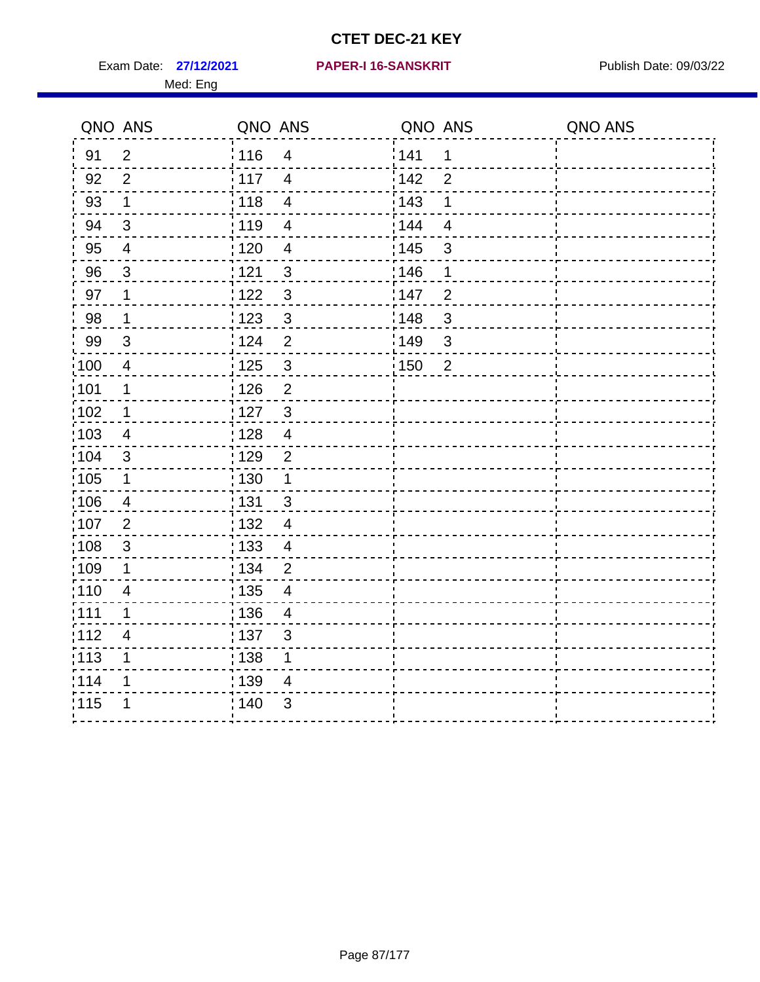Exam Date: 27/12/2021 PAPER-I 16-SANSKRIT Publish Date: 09/03/22 Med: Eng

#### **27/12/2021 PAPER-I 16-SANSKRIT**

|                   | QNO ANS                 | QNO ANS           |                          | QNO ANS           |                | QNO ANS |
|-------------------|-------------------------|-------------------|--------------------------|-------------------|----------------|---------|
| 91                | $\overline{2}$          | : 116             | $\overline{\mathcal{A}}$ | 141               | 1              |         |
| 92                | 2                       | $\frac{1}{117}$   | $\overline{4}$           | 142               | $\overline{2}$ |         |
| 93                | $\mathbf 1$             | 118               | $\overline{\mathbf{4}}$  | 143               | $\mathbf 1$    |         |
| 94                | 3                       | :119              | $\overline{4}$           | 144               | $\overline{4}$ |         |
| 95                | $\overline{4}$          | : 120             | $\overline{4}$           | : 145             | $\mathbf{3}$   |         |
| 96                | 3                       | 1121              | $\mathfrak{S}$           | 146               | 1              |         |
| 97                | 1                       | 122               | $\mathfrak{S}$           | 147               | $\overline{2}$ |         |
| 98                | $\mathbf{1}$            | 123               | $\mathbf{3}$             | 148               | $\mathbf{3}$   |         |
| 99                | $\sqrt{3}$              | 124               | $\overline{2}$           | 149               | $\mathbf{3}$   |         |
| 100               | $\overline{4}$          | $\frac{1}{1}$ 125 | $\mathfrak{S}$           | $\frac{1}{1}$ 150 | $\overline{2}$ |         |
| 101               | $\mathbf 1$             | $\frac{1}{2}$ 126 | $\overline{2}$           |                   |                |         |
| 102               | $\mathbf{1}$            | :127              | $\mathbf{3}$             |                   |                |         |
| 103               | 4                       | : 128             | $\overline{4}$           |                   |                |         |
| 104               | 3                       | : 129             | $\overline{2}$           |                   |                |         |
| 105               | $\mathbf 1$             | $\frac{1}{1}$ 130 | $\mathbf{1}$             |                   |                |         |
| :106              | 4                       | : 131             | $\mathbf{3}$             |                   |                |         |
| 107               | $\overline{2}$          | : 132             | $\overline{4}$           |                   |                |         |
| 108               | $\sqrt{3}$              | 133               | $\overline{4}$           |                   |                |         |
| :109              | 1                       | : 134             | $\overline{2}$           |                   |                |         |
| : 110             | $\overline{4}$          | 135               | $\overline{4}$           |                   |                |         |
| :111              | 1                       | : 136             | $\overline{4}$           |                   |                |         |
| 112               | $\overline{\mathbf{4}}$ | : 137             | $\mathbf{3}$             |                   |                |         |
| $\frac{1}{1}$ 113 | 1                       | : 138             | 1                        |                   |                |         |
| 114               | 1                       | 139               | 4                        |                   |                |         |
| 115               | 1                       | 140               | $\mathfrak{S}$           |                   |                |         |
|                   |                         |                   |                          |                   |                |         |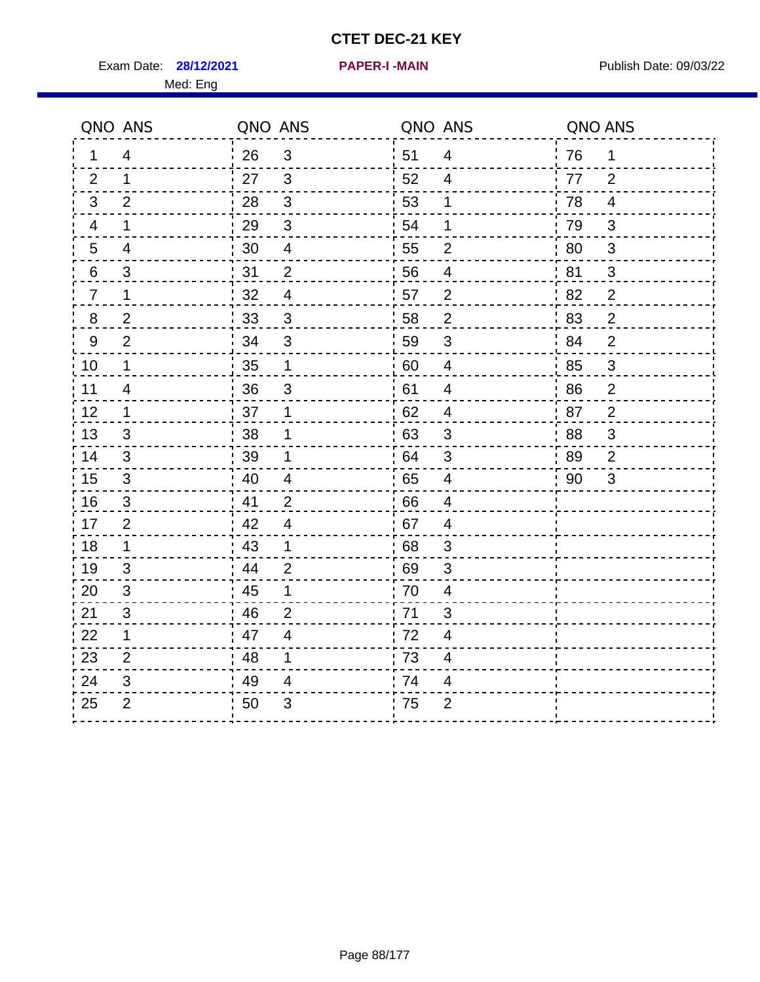Exam Date: 28/12/2021 **PAPER-I-MAIN Exam Date: 09/03/22** 

**28/12/2021 PAPER-I -MAIN**

|                | QNO ANS        | QNO ANS          |                          | QNO ANS          |                | QNO ANS |                |
|----------------|----------------|------------------|--------------------------|------------------|----------------|---------|----------------|
| $\mathbf 1$    | 4              | 26               | $\mathbf{3}$             | 51               | $\overline{4}$ | 76      | $\mathbf 1$    |
| 2              | $\mathbf 1$    | 27               | $\overline{\mathbf{3}}$  | 52               | 4              | 77      | 2              |
| 3              | 2              | 28               | $\mathbf{3}$             | 53               | 1              | 78      | 4              |
| 4              | $\mathbf 1$    | 29               | $\mathbf{3}$             | 54               | 1              | 79      | $\sqrt{3}$     |
| 5              | 4              | 30               | $\overline{\mathcal{A}}$ | 55               | $\overline{2}$ | 80      | 3              |
| 6              | $\mathfrak{S}$ | 31               | $\overline{2}$           | 56               | $\overline{4}$ | 81      | 3              |
| $\overline{7}$ | $\mathbf{1}$   | 32               | 4                        | 57               | $\overline{2}$ | 82      | $\overline{2}$ |
| 8              | 2              | 33               | $\mathbf{3}$             | 58               | $\overline{2}$ | 83      | $\overline{2}$ |
| 9              | $\overline{2}$ | 34               | 3                        | 59               | 3              | 84      | $\overline{2}$ |
| 10             | $\mathbf 1$    | $\frac{1}{2}$ 35 | $\mathbf{1}$             | $\frac{1}{1}$ 60 | $\overline{4}$ | 85      | 3              |
| 11             | 4              | 36               | $\mathbf{3}$             | 61               | $\overline{4}$ | 86      | $\overline{2}$ |
| 12             | $\mathbf 1$    | 37               | $\mathbf 1$              | 62               | $\overline{4}$ | 87      | $\overline{2}$ |
| 13             | 3              | 38               | 1                        | 63               | $\sqrt{3}$     | 88      | $\mathfrak{S}$ |
| 14             | 3              | 39               | 1                        | .64              | $\mathfrak{S}$ | 89      | $\overline{2}$ |
| 15             | 3              | 40               | 4                        | 65               | $\overline{4}$ | 90      | 3              |
| 16             | 3              | 41               | 2                        | 66               | 4              |         |                |
| 17             | $\overline{2}$ | 42               | 4                        | 67               | 4              |         |                |
| 18             | $\mathbf{1}$   | 43               | $\mathbf 1$              | 68               | $\mathbf{3}$   |         |                |
| 19             | 3              | 44               | 2                        | 69               | $\mathfrak{S}$ |         |                |
| 20             | 3              | : 45             | $\mathbf 1$              | 70               | 4              |         |                |
| 21             | 3              | 46               | 2                        | 71               | 3              |         |                |
| 22             | $\mathbf{1}$   | 47               | 4                        | 72               | 4              |         |                |
| 23             | $\overline{2}$ | 48               | 1                        | 73               | 4              |         |                |
| 24             | 3              | 49               | 4                        | 74               | 4              |         |                |
| 25             | $\overline{2}$ | 50               | 3                        | 75               | $\overline{2}$ |         |                |
|                |                |                  |                          |                  |                |         |                |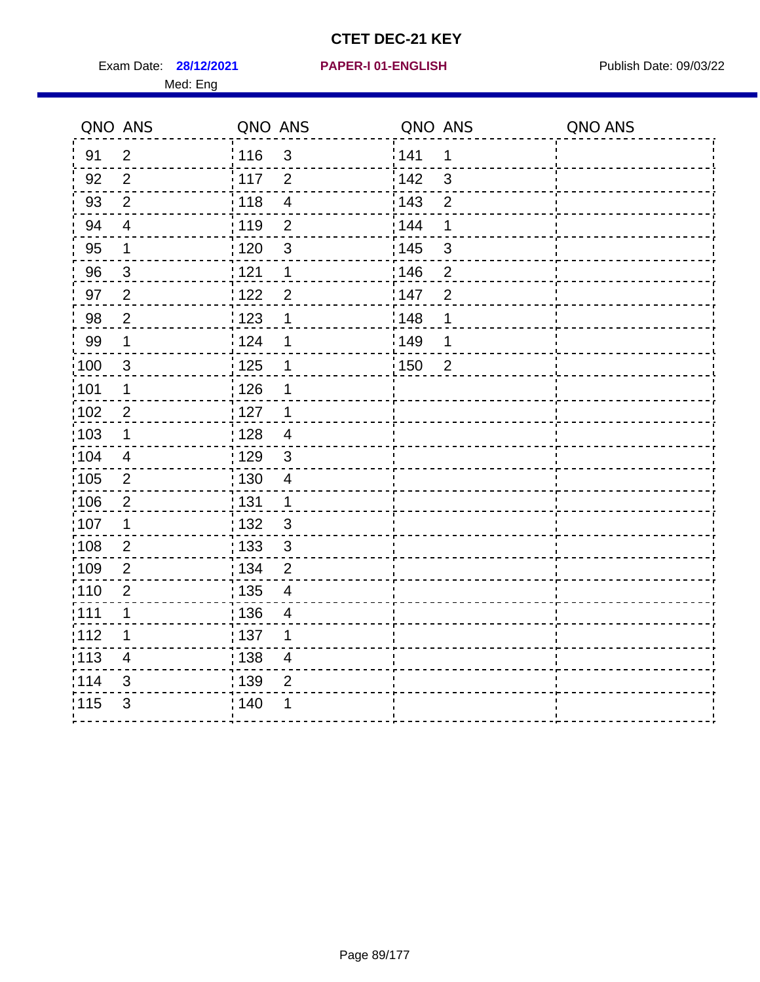Exam Date: 28/12/2021 PAPER-I 01-ENGLISH PREERENT Publish Date: 09/03/22

#### **28/12/2021 PAPER-I 01-ENGLISH**

|                   | QNO ANS          | QNO ANS                                       | QNO ANS                 | QNO ANS |
|-------------------|------------------|-----------------------------------------------|-------------------------|---------|
| 91                | $\overline{2}$   | : 116<br>$\mathfrak{S}$                       | 141<br>1                |         |
| 92                | $\overline{2}$   | i 117<br>$\overline{2}$                       | $\mathbf{3}$<br>i 142   |         |
| 93                | $\overline{2}$   | $\frac{1}{2}$ 118<br>$\overline{\mathcal{A}}$ | : 143<br>$\overline{2}$ |         |
| 94                | $\overline{4}$   | 119<br>$\overline{2}$                         | : 144<br>1              |         |
| 95                | 1                | : 120<br>$\mathfrak{S}$                       | : 145<br>3              |         |
| 96                | $\mathbf 3$      | 121<br>1                                      | 146<br>$\overline{c}$   |         |
| 97                | $\overline{2}$   | 1122<br>$\overline{2}$                        | 147<br>$\overline{2}$   |         |
| 98                | $\overline{2}$   | : 123<br>1                                    | 148<br>1                |         |
| 99                | 1                | 124<br>1                                      | 1149<br>1               |         |
| :100              | 3                | : 125<br>1                                    | 150<br>$\overline{2}$   |         |
| :101              | 1                | : 126<br>1                                    |                         |         |
| 102               | $\overline{2}$   | : 127<br>1                                    |                         |         |
| :103              | $\mathbf 1$      | 128<br>$\overline{\mathcal{A}}$               |                         |         |
| 104               | $\overline{4}$   | : 129<br>$\mathsf 3$                          |                         |         |
| 105               | $\overline{2}$   | : 130<br>$\overline{4}$                       |                         |         |
| :106              | $\overline{2}$   | : 131<br>1                                    |                         |         |
| 107               | $\mathbf 1$      | : 132<br>$\mathsf 3$                          |                         |         |
| :108              | $\sqrt{2}$       | 133 <br>$\mathfrak{S}$                        |                         |         |
| :109              | $\boldsymbol{2}$ | : 134<br>$\overline{2}$                       |                         |         |
| :110              | $\overline{2}$   | : 135<br>4                                    |                         |         |
| :111              | 1                | : 136<br>$\overline{\mathcal{A}}$             |                         |         |
| 112               | 1                | $\frac{1}{1}$ 137<br>1                        |                         |         |
| $\frac{1}{1}$ 113 | $\overline{4}$   | $\frac{1}{1}$ 138<br>$\overline{4}$           |                         |         |
| 114               | 3                | : 139<br>$\overline{2}$                       |                         |         |
| 115               | $\mathfrak{B}$   | 140                                           |                         |         |
|                   |                  |                                               |                         |         |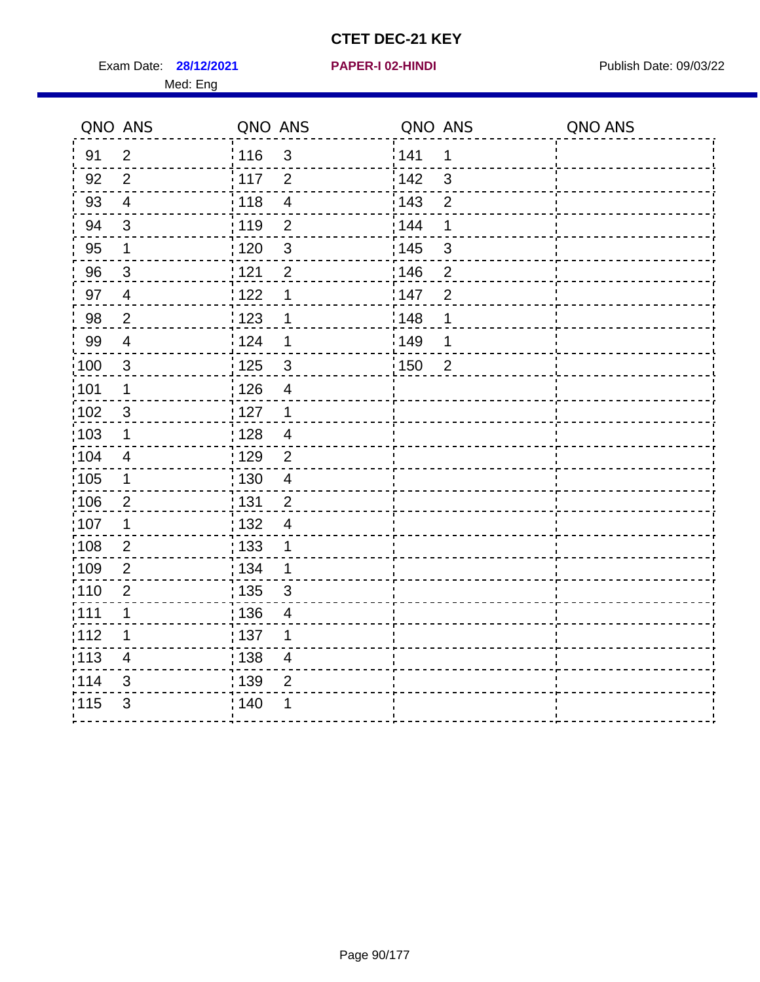Exam Date: 28/12/2021 **PAPER-I 02-HINDI Exam Date: 09/03/22** Med: Eng

#### **28/12/2021 PAPER-I 02-HINDI**

|                   | QNO ANS                 | QNO ANS                             | QNO ANS               | QNO ANS |
|-------------------|-------------------------|-------------------------------------|-----------------------|---------|
| 91                | $\overline{2}$          | 116<br>$\mathfrak{S}$               | 141<br>1              |         |
| 92                | 2                       | 117<br>$\overline{2}$               | 142<br>3              |         |
| 93                | $\overline{\mathbf{4}}$ | 118<br>$\overline{\mathbf{4}}$      | 143<br>$\overline{2}$ |         |
| 94                | 3                       | :119<br>$\overline{2}$              | 144<br>1              |         |
| 95                | $\mathbf 1$             | : 120<br>$\mathbf{3}$               | : 145<br>$\sqrt{3}$   |         |
| 96                | $\mathbf{3}$            | 121<br>$\overline{2}$               | 146<br>$\overline{2}$ |         |
| 97                | $\overline{4}$          | 122<br>1                            | 147<br>$\overline{2}$ |         |
| 98                | $\overline{2}$          | 123<br>1                            | 148<br>1              |         |
| 99                | $\overline{4}$          | 124<br>1                            | 149<br>1              |         |
| $\frac{1}{1}$ 100 | $\mathbf{3}$            | $\frac{1}{2}$ 125<br>$\mathfrak{S}$ | 150<br>$\overline{2}$ |         |
| :101              | $\mathbf 1$             | : 126<br>$\overline{4}$             |                       |         |
| $\frac{1}{1}$ 102 | $\mathbf{3}$            | : 127<br>$\mathbf{1}$               |                       |         |
| 103               | 1                       | : 128<br>$\overline{4}$             |                       |         |
| :104              | $\overline{4}$          | :129<br>2                           |                       |         |
| $\frac{1}{1}$ 105 | $\mathbf 1$             | : 130<br>$\overline{\mathbf{4}}$    |                       |         |
| 106               | $\overline{2}$          | : 131<br>$\overline{2}$             |                       |         |
| 107               | 1                       | : 132<br>$\overline{4}$             |                       |         |
| 108               | $\overline{2}$          | : 133<br>1                          |                       |         |
| :109              | $\overline{2}$          | : 134<br>1                          |                       |         |
| :110              | $\mathbf 2$             | : 135<br>$\mathfrak{S}$             |                       |         |
| 111               | 1                       | : 136<br>$\overline{4}$             |                       |         |
| 112               | 1                       | :137<br>1                           |                       |         |
| $\frac{1}{1}$ 113 | $\overline{4}$          | : 138<br>$\overline{\mathcal{A}}$   |                       |         |
| 114               | 3                       | : 139<br>$\overline{2}$             |                       |         |
| 115               | $\mathfrak{B}$          | ; 140                               |                       |         |
|                   |                         |                                     |                       |         |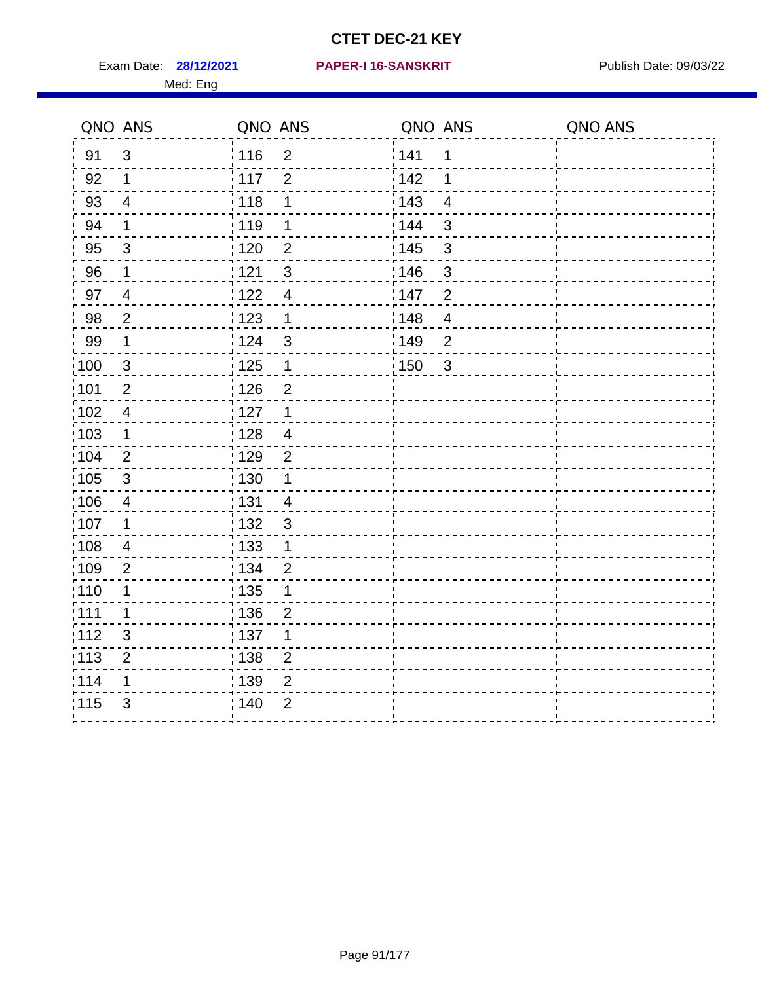Exam Date: **28/12/2021 PAPER-I 16-SANSKRIT** Publish Date: 09/03/22

#### **28/12/2021 PAPER-I 16-SANSKRIT**

|       | QNO ANS                  | QNO ANS           |                | QNO ANS          |                         | QNO ANS |
|-------|--------------------------|-------------------|----------------|------------------|-------------------------|---------|
| 91    | 3                        | 116               | $\overline{2}$ | <sup>'</sup> 141 | 1                       |         |
| 92    | $\mathbf 1$              | 117               | $\overline{2}$ | 142              | 1                       |         |
| 93    | $\overline{4}$           | 118               | 1              | 143              | $\overline{4}$          |         |
| 94    | $\mathbf 1$              | 119               | 1              | 144              | $\sqrt{3}$              |         |
| 95    | $\mathbf{3}$             | : 120             | $\overline{2}$ | : 145            | $\mathsf 3$             |         |
| 96    | $\mathbf 1$              | 121               | $\mathbf{3}$   | 146              | $\mathsf 3$             |         |
| 97    | $\overline{4}$           | 122               | $\overline{4}$ | :147             | $\overline{2}$          |         |
| 98    | $\overline{2}$           | 123               | $\mathbf 1$    | :148             | $\overline{\mathbf{4}}$ |         |
| 99    | $\mathbf 1$              | 124               | $\mathfrak{S}$ | <b>149</b>       | $\overline{2}$          |         |
| 100   | 3                        | : 125             | $\mathbf 1$    | :150             | $\mathbf{3}$            |         |
| 101   | $\overline{2}$           | 126               | $\overline{2}$ |                  |                         |         |
| 102   | $\overline{\mathcal{A}}$ | 127               | $\mathbf 1$    |                  |                         |         |
| :103  | $\mathbf 1$              | $\frac{1}{1}$ 128 | $\overline{4}$ |                  |                         |         |
| 104   | $\overline{2}$           | : 129             | $\overline{2}$ |                  |                         |         |
| 105   | $\mathfrak{S}$           | : 130             | 1              |                  |                         |         |
| :106  | 4                        | <u>¦131</u>       | 4              |                  |                         |         |
| 107   | 1                        | : 132             | $\mathfrak{S}$ |                  |                         |         |
| 108   | $\overline{4}$           | : 133             | $\mathbf 1$    |                  |                         |         |
| 109   | $\overline{2}$           | : 134             | $\overline{2}$ |                  |                         |         |
| :110  | 1                        | : 135             | 1              |                  |                         |         |
| :111  | $\mathbf 1$              | : 136             | $\overline{c}$ |                  |                         |         |
| 112   | $\mathsf 3$              | :137              | 1              |                  |                         |         |
| : 113 | $\overline{c}$           | 138               | $\overline{c}$ |                  |                         |         |
| 114   | 1                        | : 139             | $\overline{2}$ |                  |                         |         |
| 115   | $\mathfrak{S}$           | 140               | $\overline{2}$ |                  |                         |         |
|       |                          |                   |                |                  |                         |         |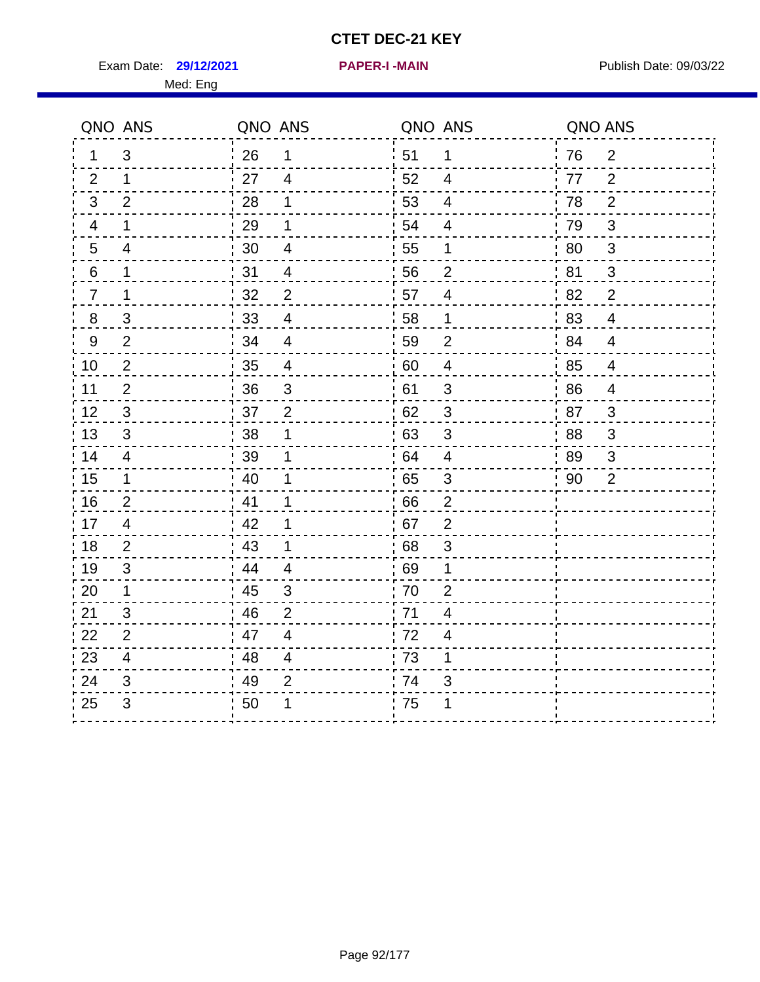**29/12/2021 PAPER-I -MAIN**

Exam Date: 29/12/2021 **PAPER-I-MAIN Property Allows** Publish Date: 09/03/22 Med: Eng

|                | QNO ANS                   | QNO ANS |                          |      | QNO ANS                  | QNO ANS |                |
|----------------|---------------------------|---------|--------------------------|------|--------------------------|---------|----------------|
| 1              | $\mathfrak{B}$            | 26      | 1                        | ¦ 51 | $\mathbf 1$              | 76      | $\overline{2}$ |
| 2              | $\mathbf 1$               | 27      | $\overline{4}$           | 52   | $\overline{4}$           | 77      | $\overline{2}$ |
| 3              | $\overline{2}$            | 28      | 1                        | 53   | $\overline{\mathcal{A}}$ | 78      | $\overline{2}$ |
| $\overline{4}$ | $\mathbf 1$               | 29      | 1                        | 54   | $\overline{\mathcal{A}}$ | 79      | $\sqrt{3}$     |
| 5              | 4                         | 30      | 4                        | 55   | 1                        | 80      | $\mathbf{3}$   |
| 6              | 1                         | 31      | $\overline{4}$           | 56   | $\overline{2}$           | 81      | 3              |
| $\overline{7}$ | 1                         | 32      | $\overline{2}$           | 57   | $\overline{4}$           | 82      | $\overline{2}$ |
| 8              | 3                         | 33      | $\overline{\mathcal{A}}$ | 58   | 1                        | 83      | $\overline{4}$ |
| 9              | $\overline{2}$            | 34      | $\overline{4}$           | 59   | $\overline{2}$           | 84      | $\overline{4}$ |
| 10             | $\overline{2}$            | 35      | $\overline{4}$           | 60   | $\overline{\mathcal{A}}$ | 85      | $\overline{4}$ |
| 11             | $\overline{2}$            | 36      | $\mathsf 3$              | 61   | 3                        | 86      | $\overline{4}$ |
| 12             | $\sqrt{3}$                | 37      | $\overline{2}$           | 62   | $\sqrt{3}$               | 87      | $\mathbf{3}$   |
| 13             | 3                         | 38      | 1                        | 63   | 3                        | 88      | 3              |
| 14             | 4                         | 39      | 1                        | 64   | $\overline{4}$           | 89      | 3              |
| 15             | $\mathbf 1$               | 40      | 1                        | 65   | $\sqrt{3}$               | 90      | $\overline{2}$ |
| 16             | $\overline{2}$            | 41      | 1                        | 66   | $\overline{2}$           |         |                |
| 17             | 4                         | 42      | 1                        | .67  | $\overline{2}$           |         |                |
| 18             | 2                         | 43      | 1                        | 68   | 3                        |         |                |
| 19             | 3                         | 44      | $\overline{\mathcal{A}}$ | 69   | 1                        |         |                |
| 20             | $\mathbf 1$               | 45      | $\mathfrak{S}$           | 70   | $\overline{2}$           |         |                |
| 21             | 3                         | 46      | $\overline{2}$           | 71   | 4                        |         |                |
| 22             | $\overline{2}$            | 47      | $\overline{4}$           | 72   | $\overline{4}$           |         |                |
| 23             | $\overline{4}$            | 48      | 4                        | 73   | 1                        |         |                |
| 24             | 3                         | 49      | $\overline{2}$           | 74   | 3                        |         |                |
| 25             | $\ensuremath{\mathsf{3}}$ | 50      | 1                        | 75   | 1                        |         |                |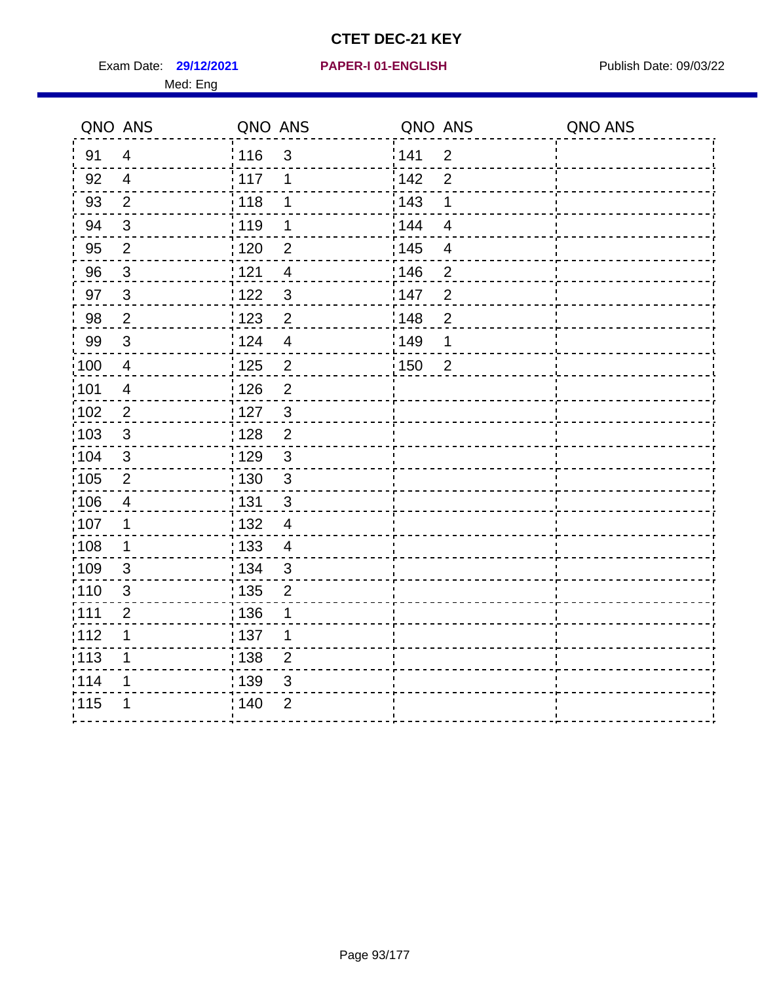Exam Date: 29/12/2021 PAPER-I 01-ENGLISH PUBLISH Publish Date: 09/03/22

#### **29/12/2021 PAPER-I 01-ENGLISH**

| QNO ANS |   | QNO ANS |     | QNO ANS |   | QNO ANS |
|---------|---|---------|-----|---------|---|---------|
| -91     | 4 | 116     | - 3 | 141     | 2 |         |
| 92      | 4 | 117     |     | 142     | 2 |         |
| 93      | 2 | 118     |     | 143     |   |         |
| 94      | 3 | 119     |     | 144     |   |         |
| 95      | റ | 120     | 2   | :145    |   |         |

| 93    | $\overline{2}$ | : 118                               | : 143<br>1                          |  |
|-------|----------------|-------------------------------------|-------------------------------------|--|
| 94    | $\sqrt{3}$     | : 119<br>1                          | 144<br>$\overline{\mathbf{4}}$      |  |
| 95    | $\mathbf{2}$   | 120<br>$\overline{c}$               | 145<br>$\overline{\mathbf{4}}$      |  |
| 96    | $\mathbf{3}$   | 121<br>$\overline{4}$               | 146<br>$\overline{2}$               |  |
| 97    | $\mathbf{3}$   | $\mathfrak{S}$<br>122               | $\overline{c}$<br>147               |  |
| 98    | $\overline{2}$ | 123<br>2                            | $\overline{2}$<br>148               |  |
| 99    | $\sqrt{3}$     | :124<br>$\overline{4}$              | 149<br>1                            |  |
| :100  | $\overline{4}$ | $\overline{c}$<br>$\frac{1}{1}$ 125 | $\overline{2}$<br>$\frac{1}{2}$ 150 |  |
| :101  | $\overline{4}$ | $\overline{2}$<br>: 126             |                                     |  |
| :102  | $\overline{2}$ | $\mathbf{3}$<br>: 127               |                                     |  |
| 103   | $\sqrt{3}$     | $\overline{c}$<br> 128              |                                     |  |
| :104  | $\sqrt{3}$     | $\frac{1}{1}$ 129<br>$\mathfrak{S}$ |                                     |  |
| 105   | $\mathbf{2}$   | 130<br>$\mathsf 3$                  |                                     |  |
| 106   | $\overline{4}$ | : 131<br>$\mathsf 3$                |                                     |  |
| 107   | $\mathbf 1$    | : 132<br>$\overline{4}$             |                                     |  |
| 108   | 1              | $\frac{1}{1}$ 133<br>$\overline{4}$ |                                     |  |
| :109  | $\mathbf{3}$   | $\mathfrak{3}$<br>: 134             |                                     |  |
| 110   | 3              | 135<br>$\overline{2}$               |                                     |  |
| 1111  | 2              | 136<br>$\mathbf 1$                  |                                     |  |
| 112   | 1              | 137<br>1                            |                                     |  |
| : 113 | 1              | 138<br>$\overline{2}$               |                                     |  |
| 1114  | 1              | :139<br>$\mathfrak{S}$              |                                     |  |
| 115   | 1              | $\overline{2}$<br>; 140             |                                     |  |
|       |                |                                     |                                     |  |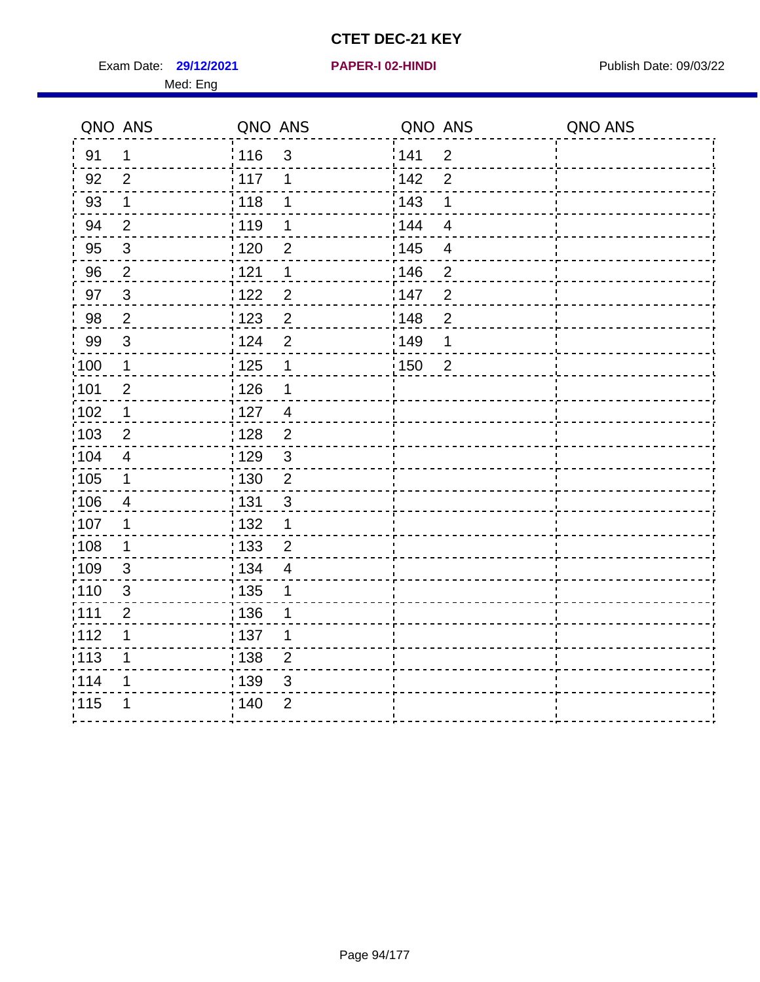Exam Date: 29/12/2021 **PAPER-I 02-HINDI Exam Date: 09/03/22** 

|                   | QNO ANS        | QNO ANS           |                | QNO ANS           |                         | QNO ANS |
|-------------------|----------------|-------------------|----------------|-------------------|-------------------------|---------|
| 91                | 1              | : 116             | $\mathfrak{S}$ | 141               | $\overline{2}$          |         |
| 92                | $\overline{2}$ | 117               | 1              | 142               | $\overline{2}$          |         |
| 93                | $\mathbf 1$    | 118               | 1              | 143               | 1                       |         |
| 94                | $\overline{2}$ | : 119             | 1              | : 144             | $\overline{4}$          |         |
| 95                | $\sqrt{3}$     | $\frac{1}{1}$ 120 | $\overline{2}$ | : 145             | $\overline{\mathbf{4}}$ |         |
| 96                | $\overline{2}$ | : 121             | 1              | :146              | $\overline{2}$          |         |
| 97                | $\mathbf{3}$   | 122               | $\overline{2}$ | 147               | $\overline{2}$          |         |
| 98                | $\overline{2}$ | $\frac{1}{2}$ 123 | $\overline{c}$ | $\frac{1}{2}$ 148 | $\overline{2}$          |         |
| 99                | $\sqrt{3}$     | 124               | $\overline{2}$ | :149              | 1                       |         |
| $\frac{1}{1}$ 100 | $\mathbf 1$    | $\frac{1}{1}$ 125 | $\mathbf 1$    | 150               | $\overline{2}$          |         |
| :101              | $\overline{2}$ | : 126             | 1              |                   |                         |         |
| 102               | $\mathbf{1}$   | : 127             | $\overline{4}$ |                   |                         |         |
| 103               | $\overline{2}$ | : 128             | 2              |                   |                         |         |
| 104               | $\overline{4}$ | $\frac{1}{1}$ 129 | $\mathbf{3}$   |                   |                         |         |
| 105               | $\mathbf 1$    | 130               | $\overline{2}$ |                   |                         |         |
| 106               | $\overline{4}$ | : 131             | $\mathbf{3}$   |                   |                         |         |
| ;107              | 1              | 132               | $\mathbf 1$    |                   |                         |         |
| 108               | $\mathbf 1$    | : 133             | $\overline{2}$ |                   |                         |         |
| :109              | $\mathfrak{S}$ | : 134             | $\overline{4}$ |                   |                         |         |
| :110              | 3              | : 135             | 1              |                   |                         |         |
| 111               | $\overline{2}$ | : 136             | 1              |                   |                         |         |
| 112               | 1              | : 137             | 1              |                   |                         |         |
| 113               | 1              | : 138             | $\overline{c}$ |                   |                         |         |
| 114               | 1              | 139               | 3              |                   |                         |         |
| 115               | 1              | 140               | $\overline{2}$ |                   |                         |         |
|                   |                |                   |                |                   |                         |         |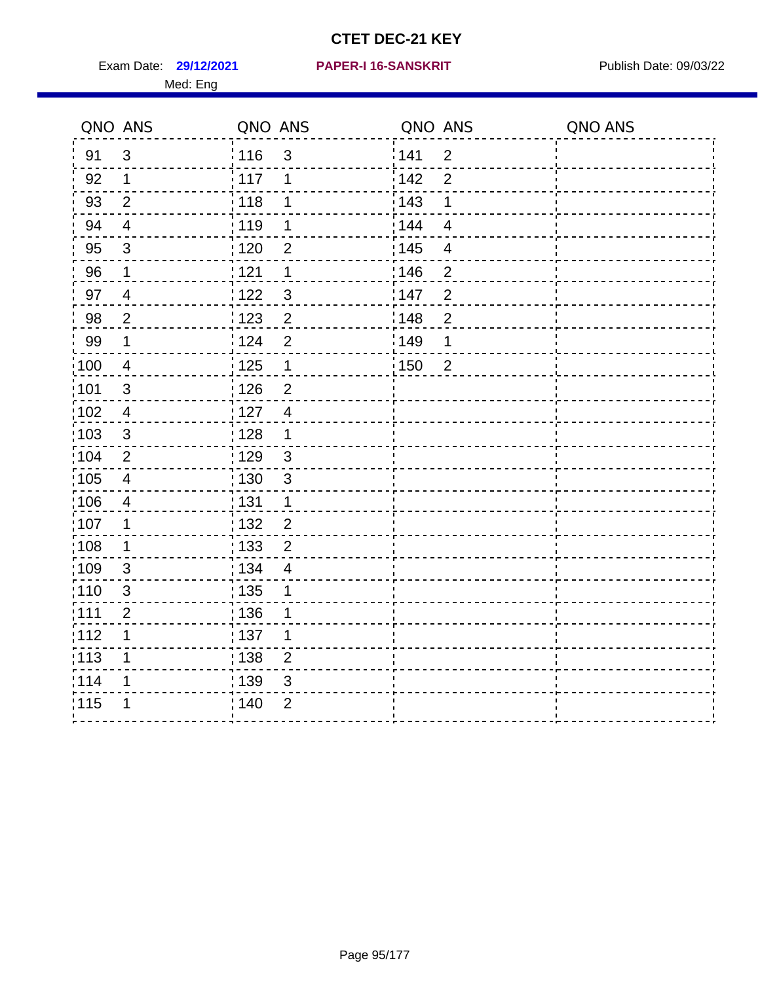Exam Date: 29/12/2021 PAPER-I 16-SANSKRIT Publish Date: 09/03/22

#### **29/12/2021 PAPER-I 16-SANSKRIT**

|                   | QNO ANS                 | QNO ANS           |                         | QNO ANS |                | QNO ANS |
|-------------------|-------------------------|-------------------|-------------------------|---------|----------------|---------|
| 91                | $\mathfrak{S}$          | 116               | $\mathbf{3}$            | 141     | $\overline{2}$ |         |
| 92                | 1                       | 117               | 1                       | 142     | $\overline{2}$ |         |
| 93                | $\overline{2}$          | 118               | 1                       | 143     | 1              |         |
| 94                | $\overline{4}$          | : 119             | 1                       | : 144   | $\overline{4}$ |         |
| 95                | 3                       | : 120             | $\overline{2}$          | : 145   | 4              |         |
| 96                | $\mathbf 1$             | 121               | 1                       | :146    | $\overline{2}$ |         |
| 97                | $\overline{4}$          | 122               | $\mathfrak{S}$          | 147     | $\mathbf{2}$   |         |
| 98                | $\sqrt{2}$              | $\frac{1}{2}$ 123 | $\overline{\mathbf{c}}$ | 148     | $\overline{2}$ |         |
| 99                | $\mathbf 1$             | 124               | $\overline{2}$          | :149    | 1              |         |
| $\frac{1}{1}$ 100 | $\overline{4}$          | 125               | $\mathbf 1$             | 150     | $\overline{2}$ |         |
| :101              | $\mathfrak{S}$          | 126               | $\overline{2}$          |         |                |         |
| 102               | $\overline{4}$          | : 127             | $\overline{4}$          |         |                |         |
| 103               | $\mathbf{3}$            | :128              | 1                       |         |                |         |
| 104               | $\overline{2}$          | : 129             | $\mathbf{3}$            |         |                |         |
| 105               | $\overline{\mathbf{4}}$ | : 130             | $\mathfrak{S}$          |         |                |         |
| 106               | 4                       | : 131             | 1                       |         |                |         |
| :107              | $\mathbf 1$             | :132              | $\overline{2}$          |         |                |         |
| :108              | $\mathbf 1$             | $\frac{1}{1}$ 133 | $\overline{2}$          |         |                |         |
| :109              | $\mathfrak{S}$          | : 134             | $\overline{4}$          |         |                |         |
| :110              | 3                       | : 135             | 1                       |         |                |         |
| 111               | $\mathbf{2}$            | : 136             | 1                       |         |                |         |
| 112               | 1                       | $\frac{1}{1}$ 137 | 1                       |         |                |         |
| $\frac{1}{1}$ 113 | 1                       | : 138             | $\overline{c}$          |         |                |         |
| 114               | 1                       | 139               | 3                       |         |                |         |
| 115               | 1                       | 140               | $\overline{2}$          |         |                |         |
|                   |                         |                   |                         |         |                |         |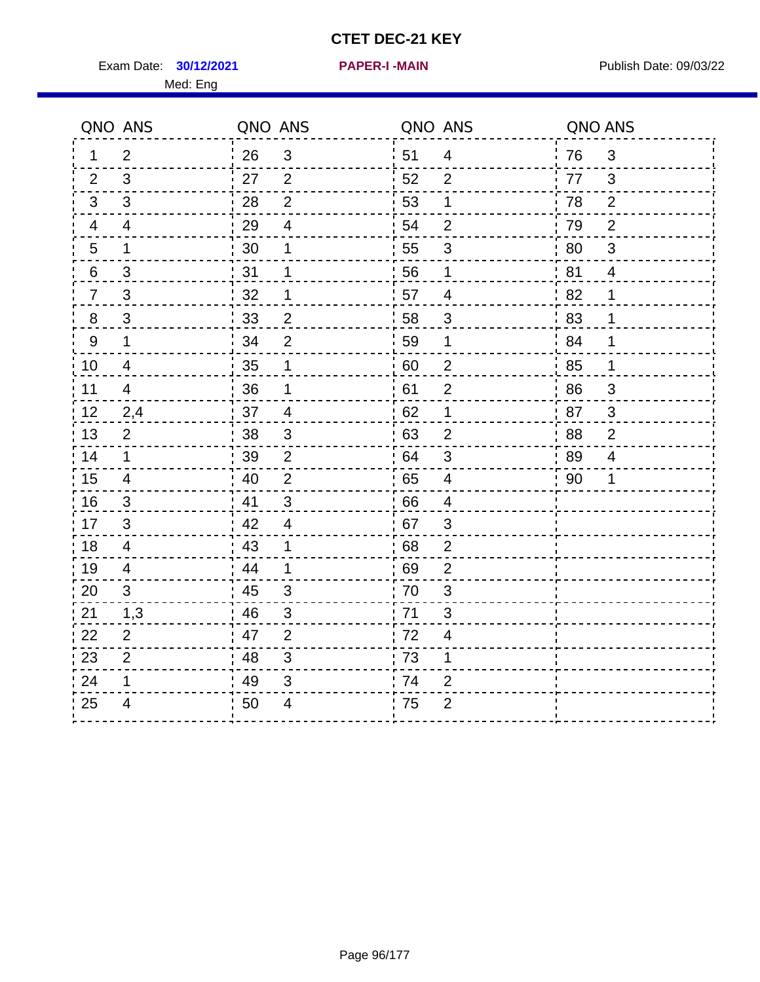Exam Date: **30/12/2021 PAPER-I-MAIN Exam Date: 09/03/22** 

**30/12/2021 PAPER-I -MAIN**

|                | QNO ANS                  | QNO ANS |                | QNO ANS |                          | QNO ANS |                           |
|----------------|--------------------------|---------|----------------|---------|--------------------------|---------|---------------------------|
| 1.             | $\overline{2}$           | 26      | $\mathbf{3}$   | 51      | $\overline{4}$           | 76      | 3                         |
| $\overline{2}$ | $\mathbf{3}$             | 27      | $\overline{2}$ | 52      | 2                        | 77      | 3                         |
| 3              | $\mathbf{3}$             | 28      | $\overline{2}$ | 53      | 1                        | 78      | 2                         |
| 4              | $\overline{4}$           | 29      | $\overline{4}$ | 54      | $\overline{2}$           | 79      | $\overline{2}$            |
| 5              | $\mathbf 1$              | 30      | 1              | 55      | $\mathfrak{S}$           | 80      | $\ensuremath{\mathsf{3}}$ |
| 6              | $\mathfrak{S}$           | 31      | 1              | 56      | 1                        | 81      | $\overline{4}$            |
| $\overline{7}$ | 3                        | 32      | $\mathbf 1$    | 57      | $\overline{4}$           | 82      | $\mathbf 1$               |
| 8              | 3                        | 33      | $\overline{2}$ | 58      | $\mathbf{3}$             | 83      | $\mathbf 1$               |
| 9              | $\mathbf 1$              | 34      | $\overline{2}$ | 59      | 1                        | 84      | 1                         |
| 10             | 4                        | 35      | $\mathbf 1$    | 60      | $\overline{2}$           | 85      | $\mathbf 1$               |
| 11             | 4                        | 36      | $\mathbf 1$    | 61      | $\overline{2}$           | 86      | 3                         |
| 12             | 2,4                      | 37      | $\overline{4}$ | 62      | 1                        | 87      | $\sqrt{3}$                |
| 13             | $\overline{2}$           | 38      | $\mathfrak{S}$ | 63      | $\overline{2}$           | 88      | $\mathbf{2}$              |
| 14             | $\mathbf 1$              | 39      | $\overline{2}$ | 64      | $\mathbf{3}$             | 89      | 4                         |
| 15             | 4                        | 40      | $\overline{2}$ | 65      | $\overline{4}$           | 90      | 1                         |
| 16             | 3                        | 41      | $\mathbf{3}$   | 66      | 4                        |         |                           |
| 17             | 3                        | 42      | $\overline{4}$ | 67      | $\mathfrak{S}$           |         |                           |
| 18             | $\overline{\mathcal{A}}$ | 43      | $\mathbf 1$    | 68      | $\overline{2}$           |         |                           |
| 19             | 4                        | 44      | 1              | 69      | $\overline{2}$           |         |                           |
| 20             | 3                        | 45      | 3              | 70      | 3                        |         |                           |
| 21             | 1,3                      | 46      | 3              | 71      | 3                        |         |                           |
| 22             | $\overline{2}$           | 47      | $\overline{2}$ | 72      | $\overline{\mathcal{A}}$ |         |                           |
| 23             | $\overline{2}$           | 48      | $\sqrt{3}$     | 73      | 1                        |         |                           |
| 24             | 1                        | 49      | 3              | 74      | $\overline{2}$           |         |                           |
| 25             | 4                        | 50      | 4              | 75      | $\overline{2}$           |         |                           |
|                |                          |         |                |         |                          |         |                           |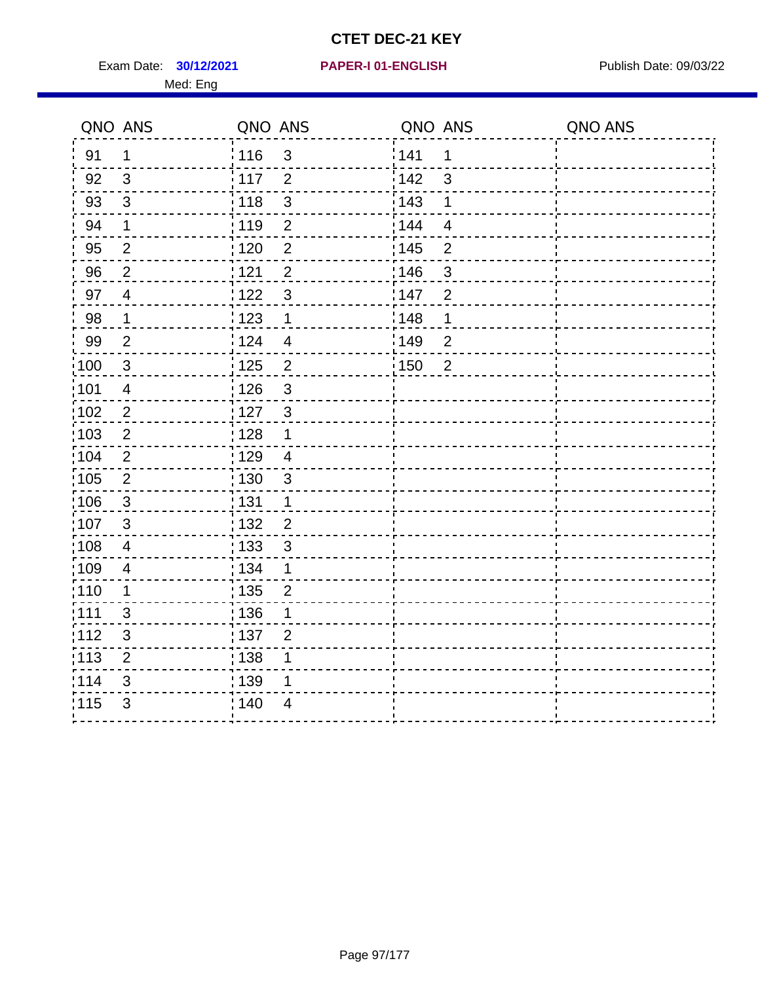Exam Date: **30/12/2021 PAPER-I 01-ENGLISH Propriet Algebra 2014** Publish Date: 09/03/22 Med: Eng

|       | QNO ANS                 | QNO ANS           |                | QNO ANS |                | QNO ANS |
|-------|-------------------------|-------------------|----------------|---------|----------------|---------|
| 91    | 1                       | 116               | $\mathfrak{3}$ | 141     | $\mathbf 1$    |         |
| 92    | 3                       | $\frac{1}{2}$ 117 | $\overline{2}$ | 142     | 3              |         |
| 93    | $\mathfrak{3}$          | 118               | $\mathbf{3}$   | 143     | 1              |         |
| 94    | 1                       | : 119             | $\overline{2}$ | : 144   | $\overline{4}$ |         |
| 95    | $\overline{2}$          | : 120             | $\overline{2}$ | : 145   | $\overline{2}$ |         |
| 96    | $\overline{2}$          | 121               | $\overline{2}$ | 146     | 3              |         |
| 97    | $\overline{4}$          | : 122             | $\mathbf{3}$   | 147     | $\overline{2}$ |         |
| 98    | $\mathbf{1}$            | 123               | $\mathbf{1}$   | 148     | 1              |         |
| 99    | $\overline{2}$          | 124               | $\overline{4}$ | :149    | $\overline{2}$ |         |
| :100  | $\mathbf{3}$            | $\frac{1}{1}$ 125 | $\overline{2}$ | 150     | $\overline{2}$ |         |
| :101  | $\overline{\mathbf{4}}$ | : 126             | $\mathfrak{S}$ |         |                |         |
| 102   | $\overline{2}$          | : 127             | $\mathbf{3}$   |         |                |         |
| 103   | 2                       | :128              | $\mathbf 1$    |         |                |         |
| 104   | $\overline{2}$          | : 129             | $\overline{4}$ |         |                |         |
| 105   | $\sqrt{2}$              | $\frac{1}{1}$ 130 | $\mathbf{3}$   |         |                |         |
| 106   | $\mathbf{3}$            | : 131             | $\mathbf 1$    |         |                |         |
| 107   | 3                       | :132              | $\overline{2}$ |         |                |         |
| 108   | $\overline{4}$          | 133               | $\mathbf{3}$   |         |                |         |
| :109  | $\overline{4}$          | : 134             | $\mathbf 1$    |         |                |         |
| : 110 | 1                       | : 135             | $\overline{2}$ |         |                |         |
| 111   | 3                       | : 136             | 1              |         |                |         |
| 112   | $\sqrt{3}$              | 137               | $\overline{2}$ |         |                |         |
| 113   | $\mathbf 2$             | 138               | 1              |         |                |         |
| 114   | 3                       | 139               | 1              |         |                |         |
| 115   | 3                       | 140               | 4              |         |                |         |
|       |                         |                   |                |         |                |         |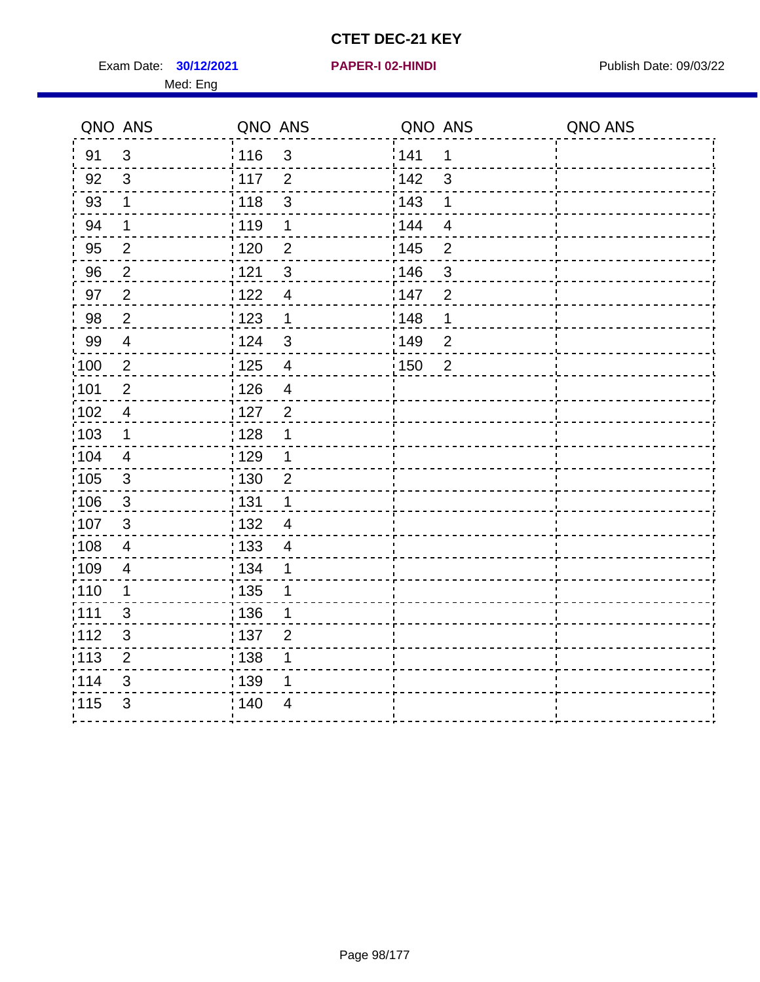Exam Date: **30/12/2021 PAPER-I 02-HINDI Exam Date: 09/03/22** Med: Eng

#### **30/12/2021 PAPER-I 02-HINDI**

|                   | QNO ANS        | QNO ANS                           | QNO ANS                 | QNO ANS |
|-------------------|----------------|-----------------------------------|-------------------------|---------|
| 91                | 3              | : 116<br>$\mathfrak{S}$           | 141<br>1                |         |
| 92                | 3              | $\frac{1}{117}$<br>$\overline{2}$ | 142<br>3                |         |
| 93                | $\mathbf 1$    | $\mathbf{3}$<br>118               | 143<br>1                |         |
| 94                | 1              | 119<br>$\mathbf 1$                | 144<br>$\overline{4}$   |         |
| 95                | $\overline{2}$ | $\overline{2}$<br>:120            | : 145<br>$\overline{2}$ |         |
| 96                | $\overline{2}$ | 121<br>3                          | 146<br>3                |         |
| 97                | $\overline{2}$ | 122<br>$\overline{\mathcal{A}}$   | 147<br>$\overline{2}$   |         |
| 98                | $\overline{2}$ | 123<br>$\mathbf 1$                | 148<br>1                |         |
| 99                | $\overline{4}$ | : 124<br>$\mathbf{3}$             | 149<br>$\overline{2}$   |         |
| $\frac{1}{100}$   | $\overline{2}$ | : 125<br>$\overline{\mathcal{A}}$ | :150<br>$\overline{2}$  |         |
| 101               | $\overline{2}$ | : 126<br>$\overline{4}$           |                         |         |
| 102               | $\overline{4}$ | $\overline{2}$<br>: 127           |                         |         |
| 103               | 1              | : 128<br>1                        |                         |         |
| :104              | $\overline{4}$ | :129<br>1                         |                         |         |
| $\frac{1}{1}$ 105 | $\mathbf{3}$   | 130<br>$\overline{2}$             |                         |         |
| 106               | $\mathbf{3}$   | : 131<br>1                        |                         |         |
| 107               | 3              | : 132<br>$\overline{4}$           |                         |         |
| 108               | $\overline{4}$ | : 133<br>$\overline{\mathcal{A}}$ |                         |         |
| $\frac{1}{1}$ 109 | 4              | : 134<br>1                        |                         |         |
| : 110             | $\mathbf 1$    | : 135<br>1                        |                         |         |
| :111              | 3              | : 136<br>1                        |                         |         |
| :112              | 3              | :137<br>$\overline{2}$            |                         |         |
| :113              | $\overline{2}$ | : 138<br>1                        |                         |         |
| 114               | $\mathfrak{S}$ | : 139<br>1                        |                         |         |
| 115               | $\mathfrak{B}$ | : 140<br>4                        |                         |         |
|                   |                |                                   |                         |         |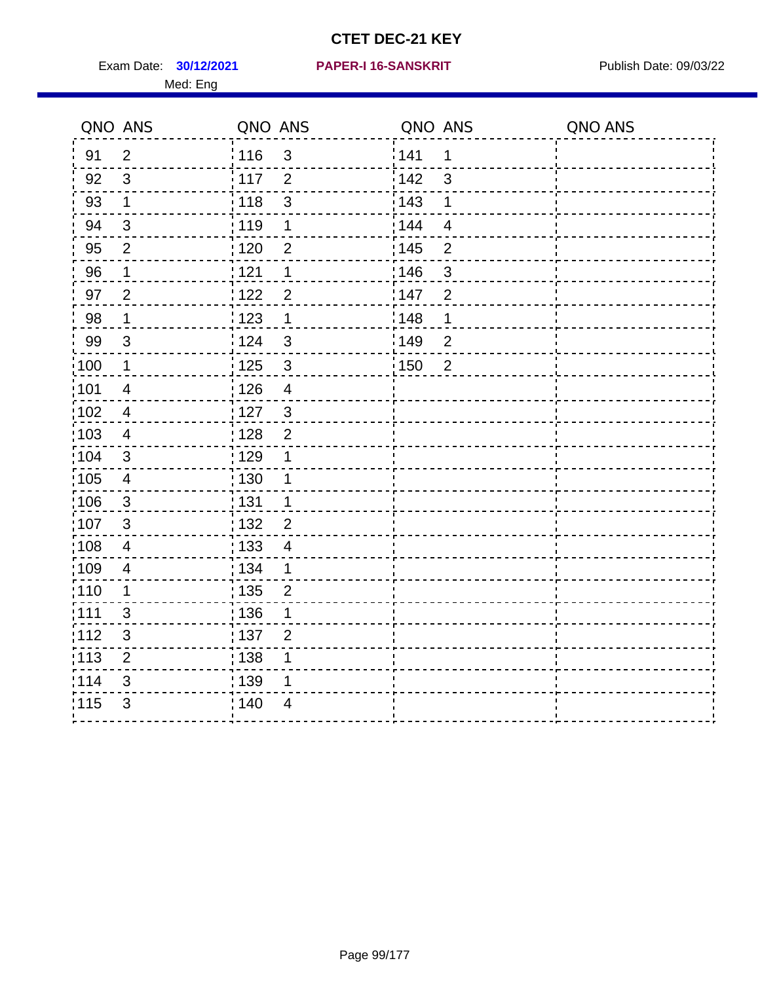Exam Date: **30/12/2021 PAPER-I 16-SANSKRIT** Publish Date: 09/03/22 Med: Eng

#### **30/12/2021 PAPER-I 16-SANSKRIT**

| QNO ANS |                         | QNO ANS |                         | QNO ANS           |                | QNO ANS |
|---------|-------------------------|---------|-------------------------|-------------------|----------------|---------|
| 91      | $\overline{2}$          | 116     | $\mathbf{3}$            | 141               | 1              |         |
| 92      | $\mathbf{3}$            | 117     | $\overline{2}$          | 142               | 3              |         |
| 93      | $\mathbf 1$             | 118     | $\mathbf{3}$            | 143               | 1              |         |
| 94      | $\mathfrak{S}$          | 119     | 1                       | 144               | $\overline{4}$ |         |
| $95\,$  | $\mathbf{2}$            | 120     | $\overline{2}$          | 145               | $\overline{2}$ |         |
| 96      | $\mathbf{1}$            | 121     | $\mathbf 1$             | 146               | $\mathsf 3$    |         |
| 97      | $\overline{2}$          | 122     | $\overline{2}$          | :147              | $\overline{2}$ |         |
| $98\,$  | $\mathbf 1$             | 123     | $\mathbf 1$             | 148               | $\mathbf 1$    |         |
| 99      | $\mathsf 3$             | 124     | $\mathsf 3$             | 149               | $\overline{2}$ |         |
| 100     | $\mathbf 1$             | 125     | $\sqrt{3}$              | $\frac{1}{1}$ 150 | $\overline{2}$ |         |
| 101     | $\overline{\mathbf{4}}$ | 126     | $\overline{\mathbf{4}}$ |                   |                |         |
| 102     | $\overline{\mathbf{4}}$ | 127     | $\mathfrak{3}$          |                   |                |         |
| 103     | $\overline{4}$          | 128     | $\overline{2}$          |                   |                |         |
| 104     | $\mathfrak{B}$          | 129     | $\mathbf 1$             |                   |                |         |
| 105     | $\overline{\mathbf{4}}$ | : 130   | $\mathbf 1$             |                   |                |         |
| 106     | 3                       | 131     | $\mathbf 1$             |                   |                |         |
| 107     | 3                       | : 132   | $\overline{2}$          |                   |                |         |
| 108     | $\overline{\mathbf{4}}$ | 133     | $\overline{\mathbf{4}}$ |                   |                |         |
| 109     | $\overline{\mathbf{4}}$ | : 134   | $\mathbf{1}$            |                   |                |         |
| 110     | 1                       | : 135   | $\mathbf 2$             |                   |                |         |
| 111     | 3                       | 136     | 1                       |                   |                |         |
| 112     | $\sqrt{3}$              | :137    | $\overline{2}$          |                   |                |         |
| 113     | $\overline{2}$          | 138     | 1                       |                   |                |         |
| 114     | 3                       | 139     | 1                       |                   |                |         |
| 115     | 3                       | 140     | $\overline{4}$          |                   |                |         |
|         |                         |         |                         |                   |                |         |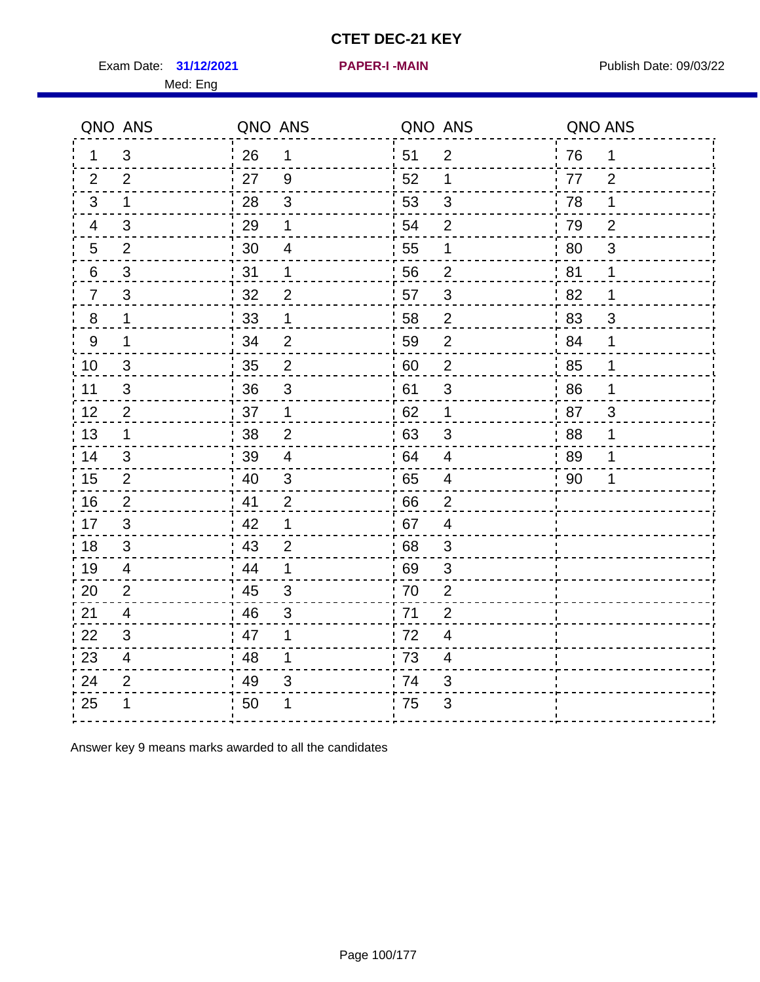Exam Date: 31/12/2021 **PAPER-I-MAIN Exam Date: 09/03/22** 

|                | QNO ANS        | QNO ANS |                          | QNO ANS |                  | QNO ANS |                |
|----------------|----------------|---------|--------------------------|---------|------------------|---------|----------------|
| 1.             | 3              | 26      | 1                        | 51      | $\overline{2}$   | 76      | $\mathbf 1$    |
| 2              | 2              | 27      | 9                        | 52      | 1                | 77      | 2              |
| 3              | 1              | 28      | $\mathfrak{S}$           | 53      | 3                | 78      | 1              |
| 4              | 3              | 29      | 1                        | 54      | $\overline{2}$   | 79      | $\overline{2}$ |
| 5              | $\overline{2}$ | 30      | $\overline{\mathcal{A}}$ | 55      | 1                | 80      | $\mathfrak{S}$ |
| 6              | $\mathfrak{S}$ | 31      | 1                        | 56      | $\overline{2}$   | 81      | 1              |
| $\overline{7}$ | 3              | 32      | $\overline{2}$           | 57      | 3                | 82      | 1              |
| 8              | 1              | 33      | 1                        | 58      | $\overline{2}$   | 83      | $\mathfrak{B}$ |
| 9              | 1              | 34      | $\overline{2}$           | 59      | $\overline{2}$   | 84      | 1              |
| 10             | 3              | 35      | $\mathbf{2}$             | 60      | $\boldsymbol{2}$ | 85      | $\mathbf 1$    |
| 11             | $\mathfrak{B}$ | 36      | $\sqrt{3}$               | 61      | $\mathsf 3$      | 86      | 1              |
| 12             | $\overline{2}$ | 37      | 1                        | 62      | 1                | 87      | 3              |
| 13             | 1              | 38      | $\overline{2}$           | 63      | 3                | 88      | 1              |
| 14             | 3              | 39      | 4                        | 64      | 4                | 89      | 1              |
| 15             | $\overline{2}$ | 40      | $\mathfrak{S}$           | 65      | $\overline{4}$   | 90      | 1              |
| 16             | $\overline{2}$ | 41      | $\overline{2}$           | 66      | $\overline{2}$   |         |                |
| 17             | 3              | 42      | 1                        | 67      | $\overline{4}$   |         |                |
| 18             | 3              | 43      | $\overline{2}$           | 68      | 3                |         |                |
| 19             | 4              | 44      | 1                        | 69      | 3                |         |                |
| 20             | $\overline{2}$ | 45      | 3                        | 70      | $\overline{2}$   |         |                |
| 21             | 4              | 46      | 3                        | 71      | $\overline{2}$   |         |                |
| 22             | 3              | 47      | 1                        | 72      | $\overline{4}$   |         |                |
| 23             | 4              | 48      | 1                        | 73      | 4                |         |                |
| 24             | $\overline{2}$ | 49      | 3                        | 74      | 3                |         |                |
| 25             |                | 50      |                          | 75      | 3                |         |                |

Answer key 9 means marks awarded to all the candidates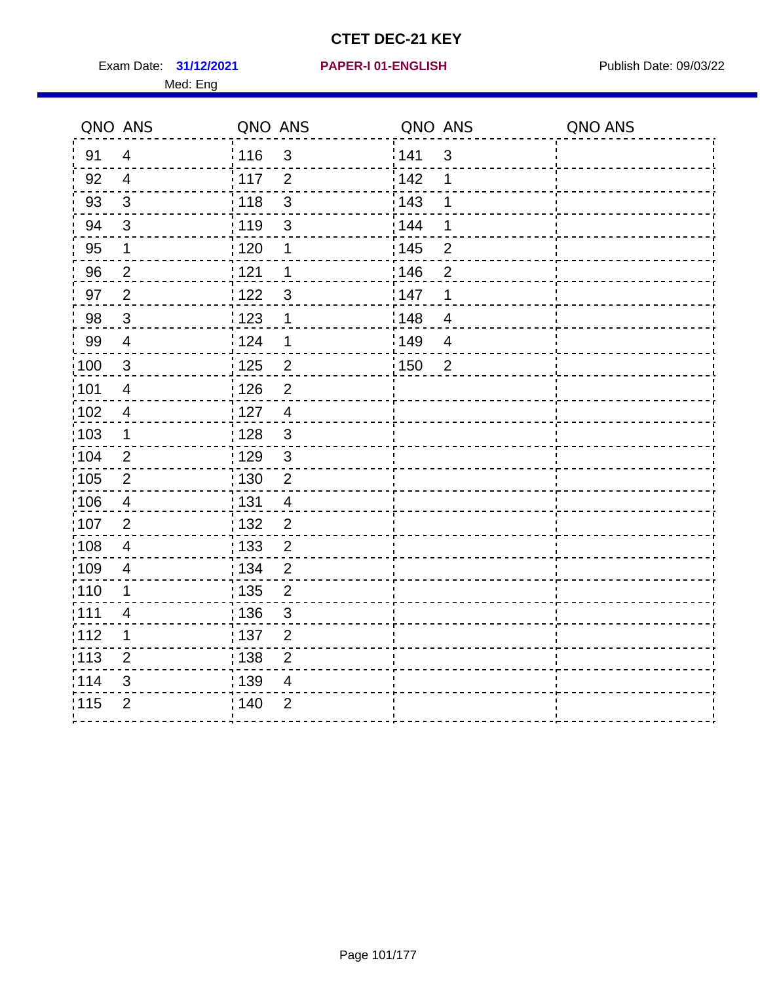Exam Date: 31/12/2021 PAPER-I 01-ENGLISH PREERENT Publish Date: 09/03/22 Med: Eng

#### **31/12/2021 PAPER-I 01-ENGLISH**

| QNO ANS        |                      |                                                                                                                                                                                                |                                                                                       |                                                                 | QNO ANS |
|----------------|----------------------|------------------------------------------------------------------------------------------------------------------------------------------------------------------------------------------------|---------------------------------------------------------------------------------------|-----------------------------------------------------------------|---------|
| $\overline{4}$ |                      |                                                                                                                                                                                                |                                                                                       | $\mathbf{3}$                                                    |         |
| $\overline{4}$ | $\overline{2}$       |                                                                                                                                                                                                | 142                                                                                   | 1                                                               |         |
| $\mathfrak{3}$ | $\mathbf{3}$<br>118  |                                                                                                                                                                                                | 143                                                                                   | 1                                                               |         |
| $\sqrt{3}$     | : 119<br>$\mathsf 3$ |                                                                                                                                                                                                | 144                                                                                   | 1                                                               |         |
| 1              | 1                    |                                                                                                                                                                                                |                                                                                       | $\mathbf 2$                                                     |         |
| $\overline{2}$ | 1                    |                                                                                                                                                                                                |                                                                                       | $\overline{2}$                                                  |         |
| $\overline{2}$ | $\mathbf{3}$         |                                                                                                                                                                                                |                                                                                       | 1                                                               |         |
| $\mathbf{3}$   | 1                    |                                                                                                                                                                                                |                                                                                       | $\overline{4}$                                                  |         |
| $\overline{4}$ | 1                    |                                                                                                                                                                                                |                                                                                       | $\overline{4}$                                                  |         |
| $\mathbf{3}$   |                      |                                                                                                                                                                                                |                                                                                       | $\overline{2}$                                                  |         |
| $\overline{4}$ | $\overline{2}$       |                                                                                                                                                                                                |                                                                                       |                                                                 |         |
| $\overline{4}$ | $\overline{4}$       |                                                                                                                                                                                                |                                                                                       |                                                                 |         |
| 1              | $\mathfrak{3}$       |                                                                                                                                                                                                |                                                                                       |                                                                 |         |
| $\overline{2}$ |                      |                                                                                                                                                                                                |                                                                                       |                                                                 |         |
| $\overline{2}$ | $\overline{2}$       |                                                                                                                                                                                                |                                                                                       |                                                                 |         |
| $\overline{4}$ | $\overline{4}$       |                                                                                                                                                                                                |                                                                                       |                                                                 |         |
| $\overline{2}$ | $\overline{2}$       |                                                                                                                                                                                                |                                                                                       |                                                                 |         |
| 4              | $\overline{2}$       |                                                                                                                                                                                                |                                                                                       |                                                                 |         |
| 4              | $\overline{2}$       |                                                                                                                                                                                                |                                                                                       |                                                                 |         |
| 1              | $\overline{2}$       |                                                                                                                                                                                                |                                                                                       |                                                                 |         |
| 4              |                      |                                                                                                                                                                                                |                                                                                       |                                                                 |         |
| $\mathbf 1$    | $\overline{2}$       |                                                                                                                                                                                                |                                                                                       |                                                                 |         |
| $\overline{2}$ |                      |                                                                                                                                                                                                |                                                                                       |                                                                 |         |
| 3              | $\overline{4}$       |                                                                                                                                                                                                |                                                                                       |                                                                 |         |
| $\overline{2}$ | $\overline{2}$       |                                                                                                                                                                                                |                                                                                       |                                                                 |         |
|                |                      | : 116<br>: 117<br>:120<br>: 121<br>122<br>1123<br>124<br>125<br>: 126<br>: 127<br>: 128<br>: 129<br>: 130<br>: 131<br>: 132<br>: 133<br>: 134<br>135<br>: 136<br>:137<br>: 138<br>139<br>; 140 | QNO ANS<br>$\mathfrak{S}$<br>$\frac{2}{\cdot}$<br>$\mathbf{3}$<br>3<br>$\overline{2}$ | 141<br>: 145<br>146<br>147<br>¦148<br>:149<br>$\frac{1}{1}$ 150 | QNO ANS |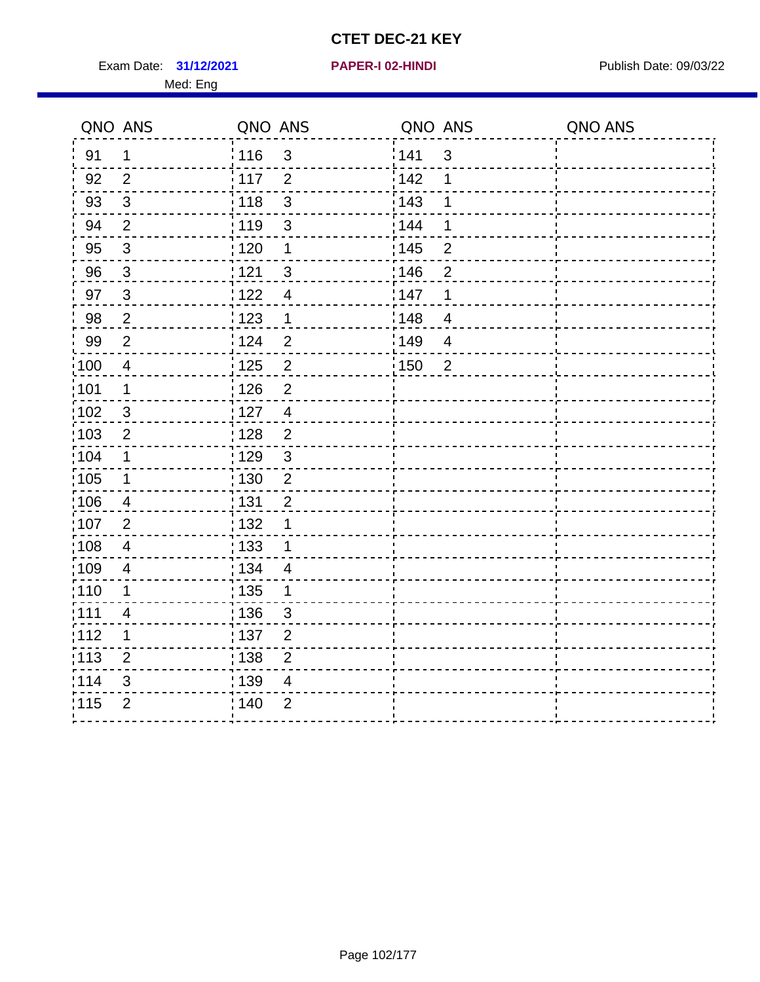Exam Date: 31/12/2021 **PAPER-I 02-HINDI Exam Date: 09/03/22** Med: Eng

# **31/12/2021 PAPER-I 02-HINDI**

|                   | QNO ANS                  | QNO ANS           |                | QNO ANS           |                | QNO ANS |
|-------------------|--------------------------|-------------------|----------------|-------------------|----------------|---------|
| 91                | $\mathbf 1$              | 116               | $\mathfrak{S}$ | 141               | 3              |         |
| 92                | $\overline{2}$           | 117               | $\overline{2}$ | 142               | 1              |         |
| 93                | $\mathfrak{S}$           | 118               | $\mathfrak{S}$ | 143               | 1              |         |
| 94                | $\overline{2}$           | : 119             | $\mathbf{3}$   | 144               | 1              |         |
| 95                | $\sqrt{3}$               | $\frac{1}{1}$ 120 | $\mathbf 1$    | : 145             | $\mathbf 2$    |         |
| 96                | $\mathbf{3}$             | 121               | $\mathbf{3}$   | 146               | $\overline{2}$ |         |
| 97                | $\mathbf{3}$             | 122               | $\overline{4}$ | 147               | 1              |         |
| 98                | $\overline{2}$           | 123               | 1              | 148               | $\overline{4}$ |         |
| 99                | $\overline{2}$           | : 124             | $\overline{2}$ | :149              | $\overline{4}$ |         |
| $\frac{1}{1}$ 100 | $\overline{4}$           | 125               | $\sqrt{2}$     | $\frac{1}{1}$ 150 | $\overline{2}$ |         |
| :101              | $\mathbf 1$              | : 126             | $\overline{2}$ |                   |                |         |
| 102               | $\mathbf{3}$             | : 127             | $\overline{4}$ |                   |                |         |
| 103               | 2                        | : 128             | $\overline{2}$ |                   |                |         |
| 104               | $\mathbf 1$              | : 129             | $\mathbf{3}$   |                   |                |         |
| :105              | $\mathbf 1$              | 130               | $\overline{2}$ |                   |                |         |
| 106               | $\overline{\mathbf{4}}$  | : 131             | $\overline{2}$ |                   |                |         |
| 107               | $\overline{2}$           | : 132             | 1              |                   |                |         |
| 108               | $\overline{\mathbf{4}}$  | 133               | $\mathbf 1$    |                   |                |         |
| $\frac{1}{1}$ 109 | $\overline{\mathcal{A}}$ | : 134             | $\overline{4}$ |                   |                |         |
| 110               | 1                        | : 135             | 1              |                   |                |         |
| : 111             | $\overline{4}$           | : 136             | $\mathfrak{S}$ |                   |                |         |
| 112               | $\mathbf 1$              | : 137             | $\overline{2}$ |                   |                |         |
| $\frac{1}{1}$ 113 | $\overline{2}$           | 138               | $\overline{2}$ |                   |                |         |
| 114               | 3                        | : 139             | $\overline{4}$ |                   |                |         |
| 115               | $\overline{2}$           | : 140             | $\overline{2}$ |                   |                |         |
|                   |                          |                   |                |                   |                |         |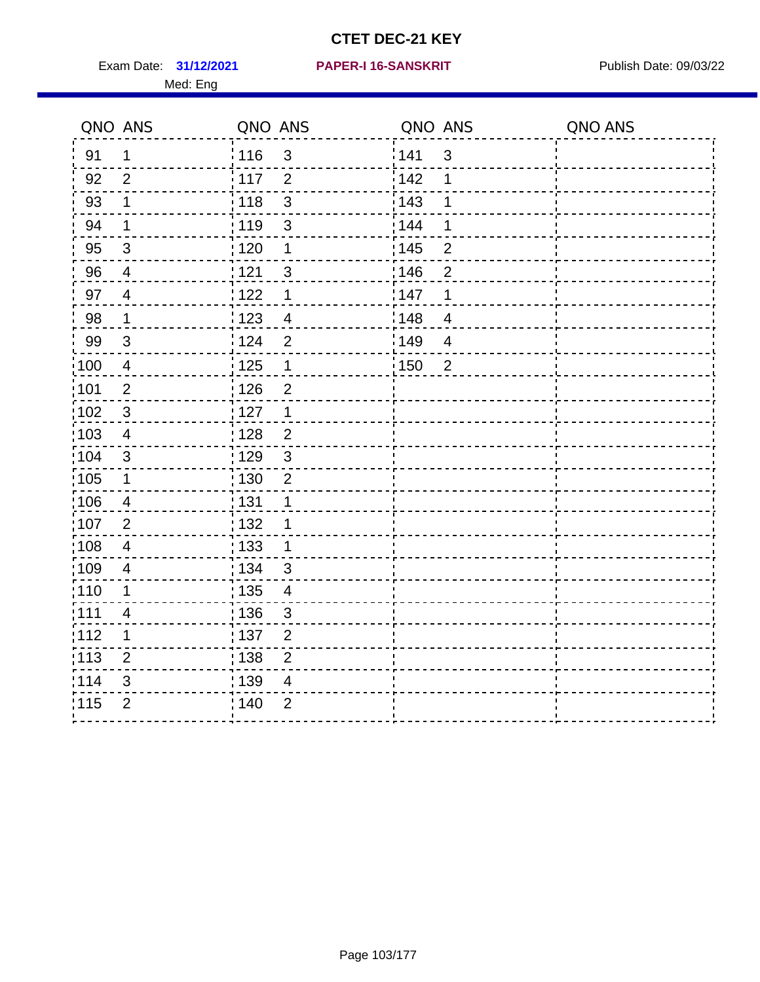Exam Date: 31/12/2021 PAPER-I 16-SANSKRIT Publish Date: 09/03/22 Med: Eng

#### **31/12/2021 PAPER-I 16-SANSKRIT**

| QNO ANS           |                         | QNO ANS           |                | QNO ANS           |                | QNO ANS |
|-------------------|-------------------------|-------------------|----------------|-------------------|----------------|---------|
| 91                | $\mathbf 1$             | : 116             | $\mathbf{3}$   | 141               | 3              |         |
| 92                | $\overline{2}$          | 117               | $\overline{2}$ | 142               | 1              |         |
| 93                | $\mathbf 1$             | 118               | $\mathsf 3$    | 143               | 1              |         |
| 94                | 1                       | 119               | 3              | 144               | 1              |         |
| 95                | $\mathfrak{B}$          | : 120             | $\mathbf 1$    | $\frac{1}{1}$ 145 | $\overline{2}$ |         |
| 96                | $\overline{4}$          | 121               | 3              | 146               | $\overline{2}$ |         |
| 97                | $\overline{4}$          | 122               | $\mathbf 1$    | 147               | $\mathbf 1$    |         |
| 98                | $\mathbf{1}$            | : 123             | $\overline{4}$ | 148               | $\overline{4}$ |         |
| 99                | $\sqrt{3}$              | 124               | $\overline{2}$ | 149               | $\overline{4}$ |         |
| 100               | $\overline{4}$          | 125               | $\mathbf 1$    | $\frac{1}{1}$ 150 | $\overline{2}$ |         |
| :101              | $\overline{2}$          | $\frac{1}{2}$ 126 | $\overline{2}$ |                   |                |         |
| $\frac{1}{1}$ 102 | $\mathbf{3}$            | : 127             | $\mathbf{1}$   |                   |                |         |
| :103              | $\overline{4}$          | : 128             | $\overline{2}$ |                   |                |         |
| 104               | 3                       | : 129             | $\mathbf{3}$   |                   |                |         |
| 105               | $\mathbf 1$             | 130               | $\mathbf 2$    |                   |                |         |
| :106              | 4                       | : 131             | 1              |                   |                |         |
| 107               | $\overline{2}$          | : 132             | 1              |                   |                |         |
| 108               | $\overline{\mathbf{4}}$ | $\frac{1}{1}$ 133 | $\mathbf 1$    |                   |                |         |
| 109               | $\overline{4}$          | : 134             | 3              |                   |                |         |
| :110              | 1                       | : 135             | $\overline{4}$ |                   |                |         |
| ;111              | 4                       | : 136             | $\sqrt{3}$     |                   |                |         |
| 112               | 1                       | : 137             | $\overline{2}$ |                   |                |         |
| 113               | $\overline{2}$          | : 138             | $\overline{2}$ |                   |                |         |
| 114               | 3                       | : 139             | 4              |                   |                |         |
| 115               | $\overline{2}$          | 140               | $\overline{2}$ |                   |                |         |
|                   |                         |                   |                |                   |                |         |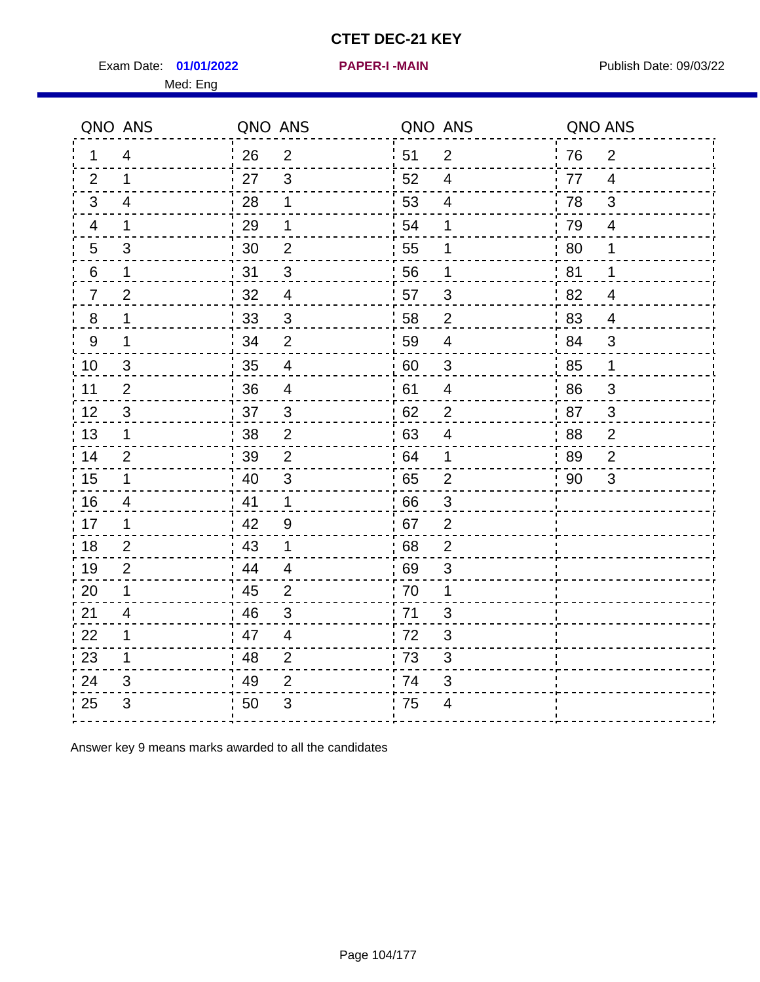Exam Date: 01/01/2022 PAPER-I-MAIN PUblish Date: 09/03/22

ń

Med: Eng

| QNO ANS         |                         | QNO ANS |                           | QNO ANS          |                           | QNO ANS |                |
|-----------------|-------------------------|---------|---------------------------|------------------|---------------------------|---------|----------------|
| 1               | $\overline{4}$          | 26      | $\overline{2}$            | 51               | $\overline{2}$            | 76      | $\overline{2}$ |
| 2               | 1                       | 27      | 3                         | 52               | $\overline{4}$            | 77      | $\overline{4}$ |
| $\mathbf{3}$    | 4                       | 28      | $\mathbf 1$               | 53               | 4                         | 78      | 3              |
| $\overline{4}$  | 1                       | 29      | $\mathbf 1$               | 54               | 1                         | 79      | $\overline{4}$ |
| $\sqrt{5}$      | 3                       | 30      | $\overline{2}$            | 55               | 1                         | 80      | 1              |
| $6\phantom{.}6$ | 1                       | 31      | $\overline{3}$            | 56               | 1                         | 81      | 1              |
| $\overline{7}$  | $\overline{2}$          | 32      | $\overline{\mathcal{A}}$  | 57               | $\mathfrak{S}$            | 82      | $\overline{4}$ |
| 8               | 1                       | 33      | 3                         | 58               | $\overline{2}$            | 83      | $\overline{4}$ |
| 9               | 1                       | 34      | $\overline{2}$            | 59               | $\overline{\mathcal{A}}$  | 84      | $\mathfrak{S}$ |
| 10              | 3                       | 35      | 4                         | $\frac{1}{1}$ 60 | $\mathbf{3}$              | 85      | 1              |
| 11              | $\overline{2}$          | 36      | $\overline{\mathcal{A}}$  | 61               | $\overline{4}$            | 86      | 3              |
| 12              | $\mathfrak{S}$          | 37      | $\sqrt{3}$                | 62               | $\overline{\mathbf{c}}$   | 87      | 3              |
| 13              | 1                       | 38      | $\overline{\mathbf{c}}$   | 63               | $\overline{\mathbf{4}}$   | 88      | $\overline{c}$ |
| 14              | $\overline{2}$          | 39      | $\overline{2}$            | .64              | 1                         | 89      | $\mathbf 2$    |
| 15              | 1                       | 40      | 3                         | : 65             | $\overline{2}$            | 90      | 3              |
| 16              | 4                       | 41      | 1                         | 66               | 3                         |         |                |
| 17              | 1                       | 42      | $\boldsymbol{9}$          | : 67             | $\overline{c}$            |         |                |
| 18              | $\overline{\mathbf{c}}$ | 43      | $\mathbf 1$               | .68              | $\overline{c}$            |         |                |
| 19              | $\overline{2}$          | 44      | 4                         | : 69             | $\ensuremath{\mathsf{3}}$ |         |                |
| 20              | 1                       | 45      | $\overline{2}$            | 70               | 1                         |         |                |
| 21              | 4                       | 46      | $\ensuremath{\mathsf{3}}$ | 71               | $\mathfrak{S}$            |         |                |
| 22              | 1                       | 47      | $\overline{\mathcal{A}}$  | 72               | $\ensuremath{\mathsf{3}}$ |         |                |
| 23              | 1                       | 48      | $\overline{2}$            | 73               | 3                         |         |                |
| 24              | 3                       | 49      | $\overline{2}$            | .74              | 3                         |         |                |
| 25              | 3                       | 50      | 3                         | 75               | 4                         |         |                |
|                 |                         |         |                           |                  |                           |         |                |

Answer key 9 means marks awarded to all the candidates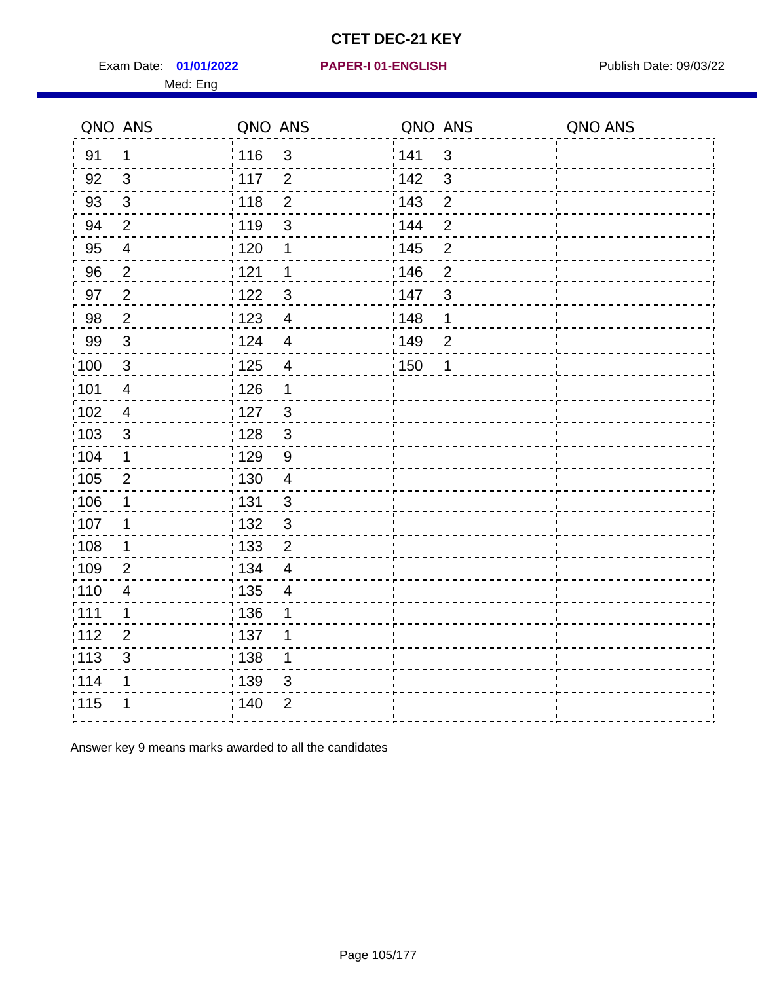Exam Date: 01/01/2022 PAPER-I 01-ENGLISH PREERENT Publish Date: 09/03/22 Med: Eng

#### **01/01/2022 PAPER-I 01-ENGLISH**

|                   | QNO ANS                  | QNO ANS           |                          | QNO ANS |                | QNO ANS |
|-------------------|--------------------------|-------------------|--------------------------|---------|----------------|---------|
| 91                | $\mathbf 1$              | : 116             | 3                        | 141     | $\mathbf{3}$   |         |
| 92                | $\mathbf{3}$             | 117               | $\overline{2}$           | 142     | $\mathbf{3}$   |         |
| 93                | $\sqrt{3}$               | 118               | $\overline{2}$           | 143     | $\overline{2}$ |         |
| 94                | $\overline{2}$           | : 119             | 3                        | 144     | $\overline{2}$ |         |
| 95                | $\overline{\mathcal{A}}$ | :120              | 1                        | : 145   | $\overline{2}$ |         |
| 96                | $\overline{2}$           | 121               | 1                        | 146     | $\overline{2}$ |         |
| 97                | $\overline{2}$           | 1122              | $\mathfrak{S}$           | 147     | $\mathfrak{S}$ |         |
| 98                | $\overline{2}$           | 1123              | $\overline{4}$           | 148     | 1              |         |
| 99                | $\sqrt{3}$               | 124               | $\overline{4}$           | 149     | $\overline{2}$ |         |
| 100               | $\sqrt{3}$               | $\frac{1}{1}$ 125 | $\overline{\mathbf{4}}$  | 150     | 1              |         |
| 101               | $\overline{\mathbf{4}}$  | : 126             | 1                        |         |                |         |
| :102              | $\overline{\mathbf{4}}$  | : 127             | $\mathbf{3}$             |         |                |         |
| $\frac{1}{1}$ 103 | $\mathfrak{B}$           | 128               | $\mathbf{3}$             |         |                |         |
| 104               | $\mathbf 1$              | : 129             | 9                        |         |                |         |
| :105              | $\mathbf{2}$             | : 130             | $\overline{4}$           |         |                |         |
| 106               | $\mathbf 1$              | : 131             | 3                        |         |                |         |
| 107               | 1                        | : 132             | $\mathbf{3}$             |         |                |         |
| :108              | $\mathbf 1$              | : 133             | $\overline{2}$           |         |                |         |
| :109              | $\overline{2}$           | : 134             | $\overline{\mathcal{A}}$ |         |                |         |
| :110              | $\overline{\mathbf{4}}$  | $\frac{1}{1}$ 135 | $\overline{4}$           |         |                |         |
| :111              | 1                        | : 136             | 1                        |         |                |         |
| 112               | $\overline{2}$           | : 137             | 1                        |         |                |         |
| $\frac{1}{1}$ 113 | 3                        | : 138             | $\mathbf 1$              |         |                |         |
| 114               | 1                        | : 139             | 3                        |         |                |         |
| 115               | 1                        | : 140             | $\overline{2}$           |         |                |         |
|                   |                          |                   |                          |         |                |         |

Answer key 9 means marks awarded to all the candidates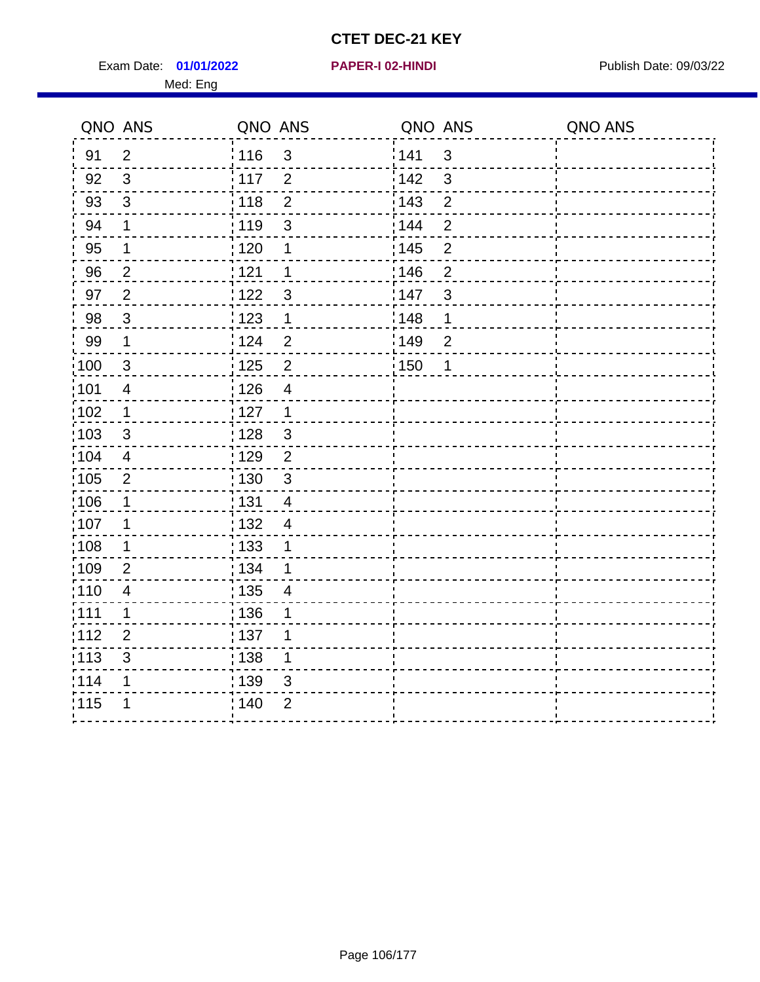Exam Date: 01/01/2022 **PAPER-I 02-HINDI Exam Date: 09/03/22** Med: Eng

#### **01/01/2022 PAPER-I 02-HINDI**

|                   | QNO ANS        | QNO ANS                           | QNO ANS |                | QNO ANS |
|-------------------|----------------|-----------------------------------|---------|----------------|---------|
| 91                | $\overline{2}$ | : 116<br>$\mathbf{3}$             | 141     | 3              |         |
| 92                | 3              | $\frac{1}{117}$<br>$\overline{2}$ | 142     | 3              |         |
| 93                | $\mathfrak{S}$ | $\overline{2}$<br>118             | 143     | $\overline{2}$ |         |
| 94                | 1              | 119<br>$\mathsf 3$                | 144     | $\overline{2}$ |         |
| 95                | $\mathbf 1$    | :120<br>1                         | : 145   | $\mathbf 2$    |         |
| 96                | $\overline{2}$ | 121<br>$\mathbf 1$                | 146     | $\overline{2}$ |         |
| 97                | $\overline{2}$ | 122<br>$\mathfrak{S}$             | 147     | $\mathfrak{3}$ |         |
| 98                | $\mathbf{3}$   | 123<br>1                          | 148     | 1              |         |
| 99                | $\mathbf 1$    | :124<br>$\overline{2}$            | :149    | $\overline{2}$ |         |
| $\frac{1}{100}$   | $\mathbf{3}$   | $\mathbf 2$<br>: 125              | : 150   | 1              |         |
| 101               | $\overline{4}$ | : 126<br>$\overline{4}$           |         |                |         |
| $\frac{1}{1}$ 102 | $\mathbf{1}$   | : 127<br>$\mathbf{1}$             |         |                |         |
| 103               | 3              | : 128<br>$\mathbf{3}$             |         |                |         |
| :104              | $\overline{4}$ | :129<br>2                         |         |                |         |
| $\frac{1}{1}$ 105 | $\overline{2}$ | 130<br>$\mathfrak{3}$             |         |                |         |
| $\frac{1}{1}$ 106 | $\mathbf 1$    | : 131<br>$\overline{4}$           |         |                |         |
| 107               | 1              | : 132<br>$\overline{4}$           |         |                |         |
| 108               | 1              | : 133<br>1                        |         |                |         |
| 109               | $\overline{2}$ | : 134<br>1                        |         |                |         |
| : 110             | $\overline{4}$ | : 135<br>$\overline{4}$           |         |                |         |
| :111              | 1              | : 136<br>1                        |         |                |         |
| :112              | $\overline{2}$ | :137<br>1                         |         |                |         |
| :113              | $\sqrt{3}$     | 138<br>1                          |         |                |         |
| 114               | 1              | : 139<br>$\mathfrak{S}$           |         |                |         |
| 115               |                | ; 140<br>$\overline{2}$           |         |                |         |
|                   |                |                                   |         |                |         |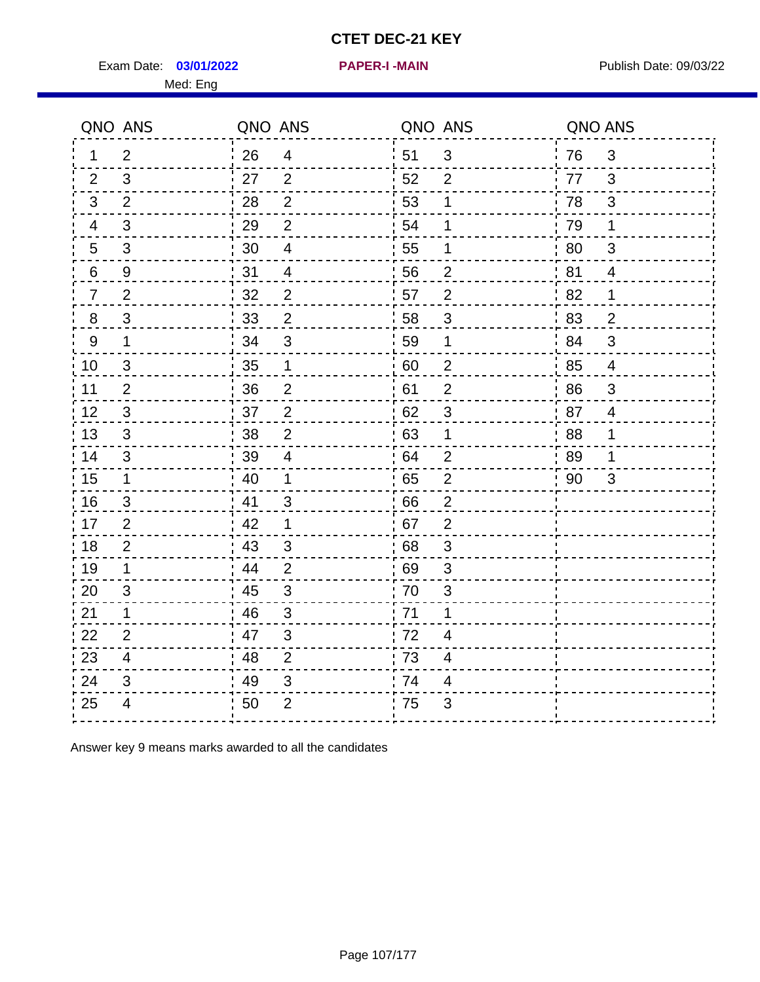Exam Date: 03/01/2022 **PAPER-I-MAIN Provided by Publish Date: 09/03/22** 

Med: Eng

| QNO ANS          |                         | QNO ANS |                           | QNO ANS |                           | QNO ANS |                |  |
|------------------|-------------------------|---------|---------------------------|---------|---------------------------|---------|----------------|--|
| $\mathbf{1}$     | $\overline{2}$          | 26      | 4                         | 51      | $\mathbf{3}$              | 76      | 3              |  |
| $\overline{2}$   | 3                       | 27      | $\overline{2}$            | 52      | $\overline{2}$            | 77      | 3              |  |
| $\mathfrak{B}$   | $\overline{2}$          | 28      | $\overline{2}$            | 53      | 1                         | 78      | 3              |  |
| 4                | 3                       | 29      | $\overline{2}$            | 54      | 1                         | 79      | $\mathbf 1$    |  |
| 5                | $\mathfrak{S}$          | 30      | 4                         | 55      | 1                         | 80      | 3              |  |
| $6\phantom{.}6$  | 9                       | 31      | $\overline{\mathcal{A}}$  | 56      | $\overline{\mathbf{c}}$   | 81      | 4              |  |
| $\overline{7}$   | $\overline{2}$          | 32      | $\overline{2}$            | 57      | $\mathbf 2$               | 82      | $\mathbf 1$    |  |
| $\bf 8$          | $\sqrt{3}$              | 33      | $\overline{2}$            | 58      | $\sqrt{3}$                | 83      | $\overline{2}$ |  |
| $\boldsymbol{9}$ | 1                       | 34      | $\mathsf 3$               | 59      | 1                         | 84      | 3              |  |
| 10               | 3                       | 35      | $\mathbf{1}$              | 60      | $\overline{2}$            | 85      | $\overline{4}$ |  |
| 11               | $\overline{2}$          | 36      | $\overline{2}$            | 61      | $\overline{2}$            | 86      | 3              |  |
| 12               | 3                       | 37      | $\overline{2}$            | 62      | $\sqrt{3}$                | 87      | $\overline{4}$ |  |
| 13               | $\sqrt{3}$              | 38      | $\overline{2}$            | 63      | 1                         | 88      | 1              |  |
| 14               | $\sqrt{3}$              | 39      | 4                         | 64      | $\mathbf 2$               | 89      | 1              |  |
| 15               | 1                       | 40      | 1                         | 65      | $\overline{2}$            | 90      | 3              |  |
| 16               | 3                       | 41      | 3                         | 66      | $\overline{c}$            |         |                |  |
| 17               | $\mathbf{2}$            | 42      | 1                         | 67      | $\overline{2}$            |         |                |  |
| 18               | $\overline{c}$          | 43      | $\mathfrak{S}$            | 68      | $\ensuremath{\mathsf{3}}$ |         |                |  |
| 19               | 1                       | 44      | $\overline{2}$            | 69      | 3                         |         |                |  |
| 20               | 3                       | 45      | 3                         | 70      | 3                         |         |                |  |
| 21               | 1                       | 46      | $\mathbf{3}$              | 71      | 1                         |         |                |  |
| 22               | $\mathbf{2}$            | 47      | $\ensuremath{\mathsf{3}}$ | 72      | $\overline{\mathcal{A}}$  |         |                |  |
| 23               | $\overline{\mathbf{4}}$ | 48      | $\mathbf 2$               | 73      | 4                         |         |                |  |
| 24               | 3                       | 49      | 3                         | 74      | 4                         |         |                |  |
| 25               | 4                       | 50      | $\overline{c}$            | 75      | 3                         |         |                |  |
|                  |                         |         |                           |         |                           |         |                |  |

Answer key 9 means marks awarded to all the candidates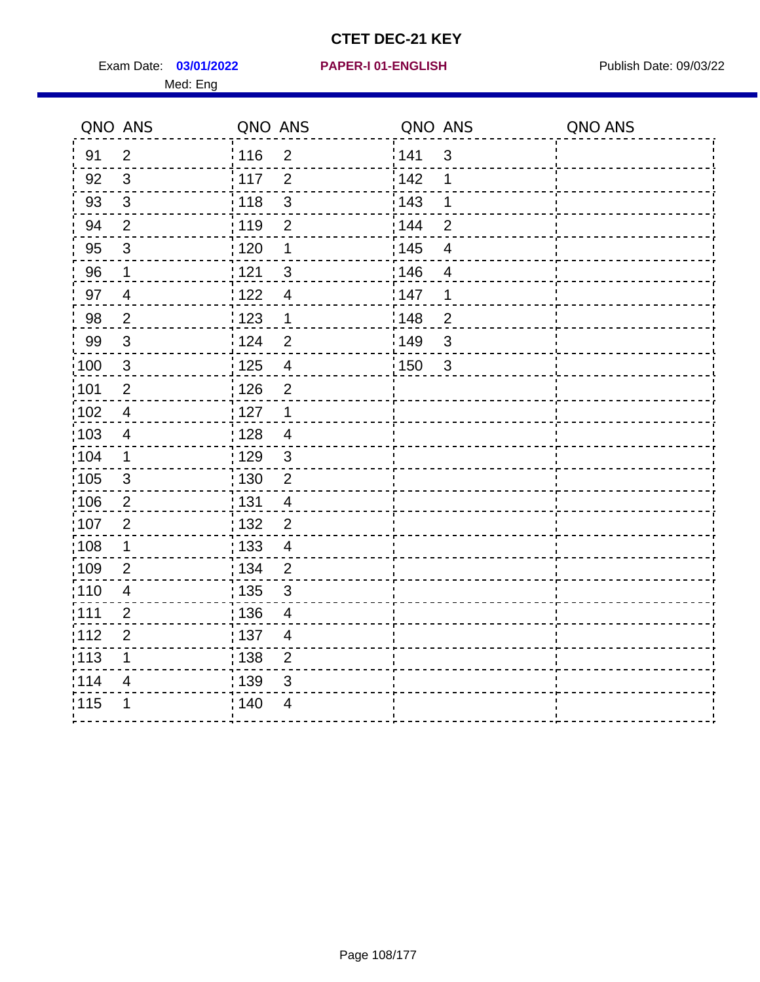Exam Date: 03/01/2022 PAPER-I 01-ENGLISH PREERENT Publish Date: 09/03/22 Med: Eng

#### **03/01/2022 PAPER-I 01-ENGLISH**

|                   | QNO ANS        | QNO ANS           |                         | QNO ANS |                          | QNO ANS |
|-------------------|----------------|-------------------|-------------------------|---------|--------------------------|---------|
| 91                | $\overline{2}$ | <sup>'</sup> 116  | $\overline{2}$          | 141     | $\mathbf{3}$             |         |
| 92                | $\mathbf{3}$   | 117               | $\overline{2}$          | 142     | 1                        |         |
| 93                | $\sqrt{3}$     | 118               | $\mathbf{3}$            | 143     | 1                        |         |
| 94                | $\overline{2}$ | : 119             | $\overline{2}$          | 144     | $\overline{2}$           |         |
| 95                | $\mathfrak{B}$ | :120              | 1                       | : 145   | $\overline{\mathcal{A}}$ |         |
| 96                | $\mathbf{1}$   | 121               | $\sqrt{3}$              | 146     | $\overline{4}$           |         |
| 97                | $\overline{4}$ | 122               | $\overline{4}$          | 147     | 1                        |         |
| 98                | $\overline{2}$ | 123               | $\mathbf 1$             | 148     | $\overline{2}$           |         |
| 99                | $\sqrt{3}$     | 124               | $\overline{2}$          | 149     | $\sqrt{3}$               |         |
| $\frac{1}{1}$ 100 | $\sqrt{3}$     | $\frac{1}{1}$ 125 | $\overline{\mathbf{4}}$ | 150     | $\mathbf{3}$             |         |
| :101              | $\overline{2}$ | : 126             | $\overline{2}$          |         |                          |         |
| $\frac{1}{1}$ 102 | $\overline{4}$ | 127               | $\mathbf 1$             |         |                          |         |
| 103               | 4              | : 128             | $\overline{4}$          |         |                          |         |
| 104               | $\mathbf{1}$   | : 129             | $\mathbf{3}$            |         |                          |         |
| 105               | $\sqrt{3}$     | : 130             | $\overline{2}$          |         |                          |         |
| :106              | 2              | : 131             | $\overline{4}$          |         |                          |         |
| ;107              | $\overline{2}$ | 132               | $\overline{2}$          |         |                          |         |
| 108               | $\mathbf 1$    | 133               | $\overline{4}$          |         |                          |         |
| :109              | $\overline{2}$ | : 134             | $\overline{2}$          |         |                          |         |
| :110              | $\overline{4}$ | : 135             | $\mathfrak{S}$          |         |                          |         |
| 111               | $\overline{2}$ | : 136             | $\overline{4}$          |         |                          |         |
| 112               | $\overline{2}$ | : 137             | $\overline{4}$          |         |                          |         |
| 113               | 1              | : 138             | $\overline{c}$          |         |                          |         |
| 114               | 4              | 139               | 3                       |         |                          |         |
| 115               | 1              | 140               | $\overline{4}$          |         |                          |         |
|                   |                |                   |                         |         |                          |         |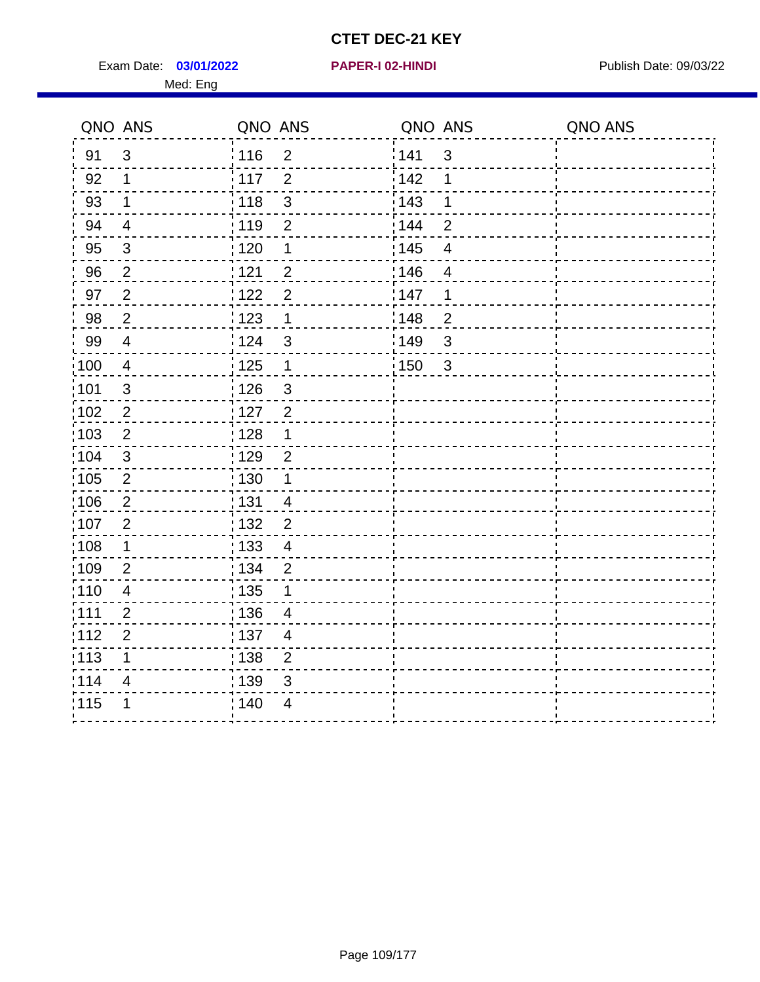Exam Date: 03/01/2022 **PAPER-I 02-HINDI** PUBLISH Date: 09/03/22 Med: Eng

|                   | QNO ANS        | QNO ANS           |                         | QNO ANS           |                          | QNO ANS |
|-------------------|----------------|-------------------|-------------------------|-------------------|--------------------------|---------|
| 91                | $\mathbf{3}$   | : 116             | $\overline{2}$          | 141               | $\mathbf{3}$             |         |
| 92                | $\mathbf{1}$   | 117               | $\overline{2}$          | 142               | 1                        |         |
| 93                | $\mathbf 1$    | 118               | $\mathfrak{S}$          | 143               | 1                        |         |
| 94                | $\overline{4}$ | : 119             | $\overline{2}$          | 144               | $\overline{2}$           |         |
| 95                | $\mathfrak{B}$ | :120              | 1                       | : 145             | $\overline{\mathcal{A}}$ |         |
| 96                | $\overline{2}$ | 121               | $\overline{2}$          | 146               | $\overline{4}$           |         |
| 97                | $\overline{2}$ | 122               | $\overline{2}$          | 147               | 1                        |         |
| 98                | $\overline{2}$ | 123               | $\mathbf 1$             | 148               | $\overline{2}$           |         |
| 99                | $\overline{4}$ | 124               | 3                       | 149               | $\mathsf 3$              |         |
| $\frac{1}{1}$ 100 | $\overline{4}$ | $\frac{1}{1}$ 125 | $\mathbf 1$             | $\frac{1}{2}$ 150 | $\mathbf{3}$             |         |
| :101              | $\sqrt{3}$     | : 126             | $\mathbf{3}$            |                   |                          |         |
| 102               | $\overline{2}$ | 127               | $\overline{2}$          |                   |                          |         |
| 103               | $\overline{2}$ | : 128             | $\mathbf 1$             |                   |                          |         |
| 104               | $\mathbf{3}$   | : 129             | $\overline{2}$          |                   |                          |         |
| 105               | $\overline{2}$ | : 130             | $\mathbf 1$             |                   |                          |         |
| :106              | 2              | : 131             | $\overline{4}$          |                   |                          |         |
| ;107              | $\overline{2}$ | 132               | $\overline{2}$          |                   |                          |         |
| 108               | $\mathbf 1$    | 133               | $\overline{\mathbf{4}}$ |                   |                          |         |
| :109              | $\overline{2}$ | : 134             | $\overline{2}$          |                   |                          |         |
| :110              | $\overline{4}$ | : 135             | 1                       |                   |                          |         |
| 111               | $\overline{2}$ | : 136             | $\overline{4}$          |                   |                          |         |
| 112               | $\overline{2}$ | : 137             | $\overline{4}$          |                   |                          |         |
| 113               | 1              | : 138             | $\overline{c}$          |                   |                          |         |
| 1114              | 4              | 139               | 3                       |                   |                          |         |
| 115               | 1              | 140               | $\overline{4}$          |                   |                          |         |
|                   |                |                   |                         |                   |                          |         |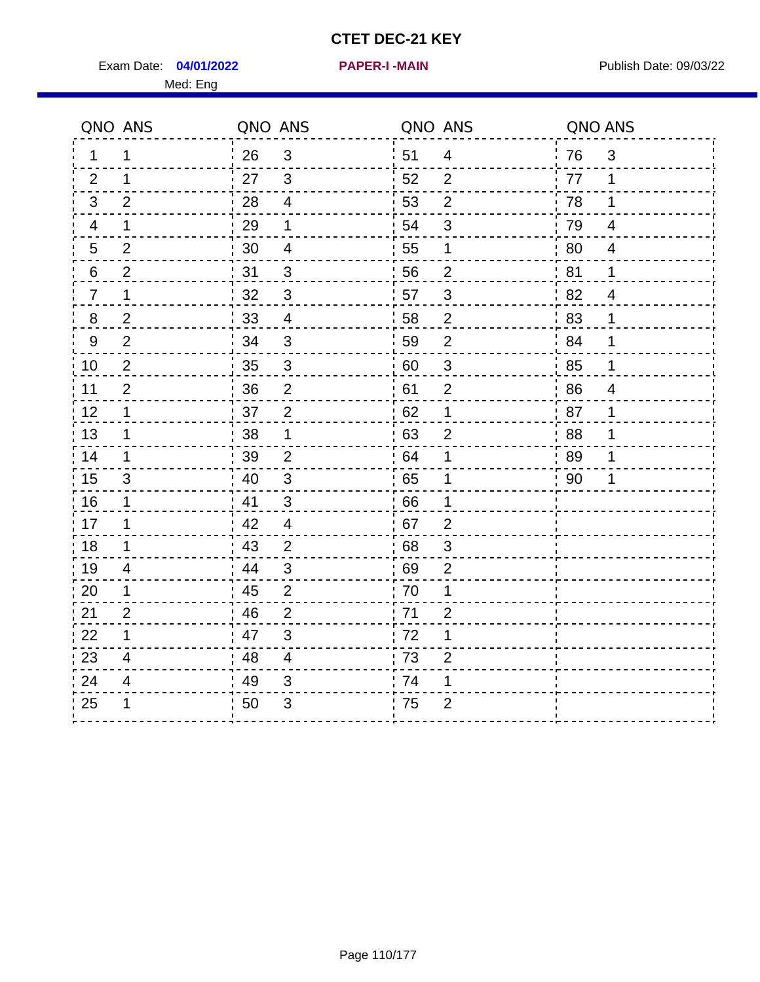Exam Date: 04/01/2022 **PAPER-I-MAIN Exam Date: 09/03/22** 

**04/01/2022 PAPER-I -MAIN**

Med: Eng

|                | QNO ANS                  | QNO ANS |                          | QNO ANS |                | QNO ANS |                          |
|----------------|--------------------------|---------|--------------------------|---------|----------------|---------|--------------------------|
| 1              | 1                        | 26      | 3                        | 51      | $\overline{4}$ | 76      | 3                        |
| 2              | $\mathbf 1$              | 27      | $\mathbf{3}$             | 52      | $\overline{2}$ | 77      | $\mathbf 1$              |
| 3 <sup>1</sup> | 2                        | 28      | $\overline{4}$           | 53      | $\overline{2}$ | 78      | $\mathbf 1$              |
| 4              | $\mathbf 1$              | 29      | 1                        | 54      | $\sqrt{3}$     | 79      | $\overline{4}$           |
| 5              | $\overline{2}$           | 30      | $\overline{4}$           | 55      | 1              | 80      | $\overline{\mathcal{A}}$ |
| 6              | $\overline{c}$           | 31      | $\frac{3}{5}$            | 56      | $\overline{c}$ | 81      | $\mathbf 1$              |
| $\overline{7}$ | $\mathbf 1$              | 32      | $\mathbf{3}$             | 57      | $\sqrt{3}$     | 82      | $\overline{4}$           |
| 8              | $\overline{2}$           | 33      | $\overline{4}$           | 58      | $\overline{2}$ | 83      | 1                        |
| 9              | $\overline{2}$           | 34      | $\mathbf{3}$             | 59      | $\overline{2}$ | 84      | 1                        |
| 10             | $\overline{2}$           | 35      | $\mathbf{3}$             | 60      | $\mathfrak{S}$ | 85      | 1                        |
| 11             | $\overline{2}$           | 36      | $\overline{2}$           | 61      | $\overline{2}$ | 86      | $\overline{4}$           |
| 12             | $\mathbf 1$              | 37      | $\overline{2}$           | 62      | 1              | 87      | 1                        |
| 13             | $\mathbf 1$              | $38\,$  | $\mathbf 1$              | 63      | $\overline{2}$ | 88      | 1                        |
| 14             | 1                        | 39      | $\overline{2}$           | 64      | 1              | 89      | 1                        |
| 15             | 3                        | 40      | 3                        | 65      | 1              | 90      | 1                        |
| 16             | 1                        | 41      | $\mathfrak{S}$           | 66      | 1              |         |                          |
| 17             | 1                        | 42      | $\overline{\mathcal{A}}$ | 67      | $\overline{2}$ |         |                          |
| 18             | $\mathbf 1$              | 43      | $\overline{2}$           | 68      | $\sqrt{3}$     |         |                          |
| 19             | 4                        | 44      | 3                        | 69      | $\overline{2}$ |         |                          |
| 20             | 1                        | 45      | 2                        | 70      | 1              |         |                          |
| 21             | $\overline{2}$           | 46      | $\overline{2}$           | 71      | $\overline{c}$ |         |                          |
| 22             | 1                        | 47      | $\sqrt{3}$               | 72      | 1              |         |                          |
| 23             | $\overline{\mathcal{A}}$ | 48      | $\overline{4}$           | 73      | $\overline{c}$ |         |                          |
| 24             | 4                        | 49      | 3                        | 74      | 1              |         |                          |
| 25             | 1                        | 50      | 3                        | 75      | $\overline{2}$ |         |                          |
|                |                          |         |                          |         |                |         |                          |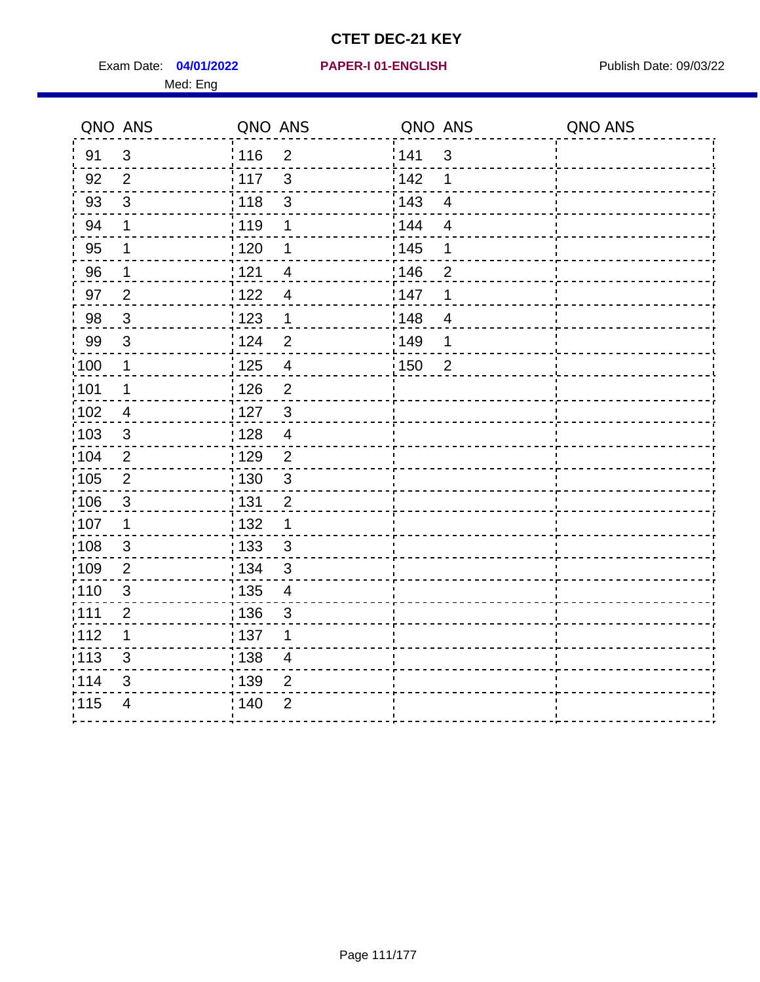Exam Date: 04/01/2022 PAPER-I 01-ENGLISH PREERENT Publish Date: 09/03/22 Med: Eng

## **04/01/2022 PAPER-I 01-ENGLISH**

|                   | QNO ANS        | QNO ANS           |                          | QNO ANS |                          | QNO ANS |
|-------------------|----------------|-------------------|--------------------------|---------|--------------------------|---------|
| 91                | 3              | 116               | $\overline{2}$           | 141     | $\mathbf{3}$             |         |
| 92                | $\overline{2}$ | 117               | $\mathfrak{S}$           | 142     | 1                        |         |
| 93                | $\mathfrak{S}$ | 118               | $\sqrt{3}$               | 143     | $\overline{4}$           |         |
| 94                | 1              | : 119             | 1                        | : 144   | $\overline{4}$           |         |
| 95                | 1              | $\frac{1}{1}$ 120 | 1                        | : 145   | 1                        |         |
| 96                | 1              | 121               | 4                        | 146     | 2                        |         |
| 97                | $\overline{2}$ | 122               | 4                        | 147     | 1                        |         |
| 98                | $\mathbf{3}$   | $\frac{1}{2}$ 123 | $\mathbf 1$              | : 148   | $\overline{\mathcal{A}}$ |         |
| 99                | $\sqrt{3}$     | 124               | $\overline{2}$           | :149    | 1                        |         |
| $\frac{1}{1}$ 100 | $\mathbf 1$    | $\frac{1}{1}$ 125 | $\overline{4}$           | 150     | $\overline{2}$           |         |
| :101              | 1              | : 126             | $\overline{2}$           |         |                          |         |
| 102               | $\overline{4}$ | : 127             | $\mathbf{3}$             |         |                          |         |
| :103              | 3              | : 128             | $\overline{4}$           |         |                          |         |
| 104               | $\overline{2}$ | 129               | $\overline{2}$           |         |                          |         |
| 105               | $\overline{2}$ | : 130             | $\mathfrak{S}$           |         |                          |         |
| :106              | $\mathfrak{S}$ | : 131             | $\overline{2}$           |         |                          |         |
| ;107              | $\mathbf{1}$   | 132               | $\mathbf 1$              |         |                          |         |
| 108               | $\sqrt{3}$     | : 133             | $\mathbf{3}$             |         |                          |         |
| :109              | $\overline{2}$ | : 134             | $\mathfrak{3}$           |         |                          |         |
| :110              | $\mathfrak{S}$ | : 135             | $\overline{\mathcal{A}}$ |         |                          |         |
| :111              | $\overline{2}$ | : 136             | $\mathsf 3$              |         |                          |         |
| 112               | 1              | : 137             | 1                        |         |                          |         |
| 113               | 3              | : 138             | $\overline{\mathcal{A}}$ |         |                          |         |
| 114               | 3              | : 139             | 2                        |         |                          |         |
| 115               | $\overline{4}$ | 140               | $\overline{2}$           |         |                          |         |
|                   |                |                   |                          |         |                          |         |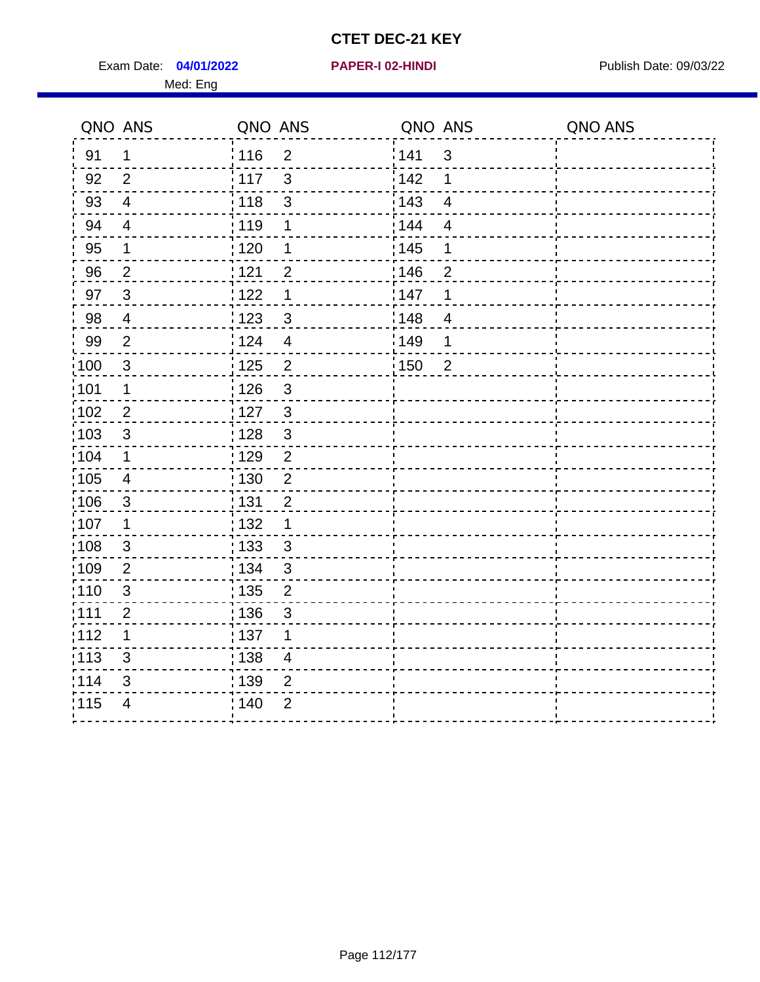Exam Date: 04/01/2022 **PAPER-I 02-HINDI** PUBLISH Date: 09/03/22 Med: Eng

|                   | QNO ANS                 | QNO ANS           |                          | QNO ANS |                         | QNO ANS |
|-------------------|-------------------------|-------------------|--------------------------|---------|-------------------------|---------|
| 91                | $\mathbf 1$             | : 116             | $\overline{2}$           | 141     | $\mathbf{3}$            |         |
| 92                | 2                       | 117               | 3                        | 142     | 1                       |         |
| 93                | $\overline{4}$          | : 118             | $\mathbf{3}$             | 143     | $\overline{\mathbf{4}}$ |         |
| 94                | $\overline{4}$          | : 119             | 1                        | 144     | $\overline{4}$          |         |
| 95                | $\mathbf 1$             | : 120             | 1                        | : 145   | 1                       |         |
| 96                | $\overline{2}$          | 121               | $\overline{2}$           | :146    | $\overline{2}$          |         |
| 97                | $\mathbf{3}$            | 122               | 1                        | 147     | 1                       |         |
| 98                | $\overline{4}$          | 123               | $\mathfrak{S}$           | 148     | $\overline{4}$          |         |
| 99                | 2                       | 124               | $\overline{4}$           | 149     | 1                       |         |
| $\frac{1}{1}$ 100 | $\mathfrak{3}$          | $\frac{1}{1}$ 125 | $\overline{2}$           | 150     | $\overline{2}$          |         |
| :101              | $\mathbf 1$             | : 126             | 3                        |         |                         |         |
| $\frac{1}{1}$ 102 | $\sqrt{2}$              | : 127             | $\mathbf{3}$             |         |                         |         |
| 103               | 3                       | : 128             | $\mathbf{3}$             |         |                         |         |
| :104              | $\mathbf 1$             | :129              | $\overline{2}$           |         |                         |         |
| $\frac{1}{1}$ 105 | $\overline{\mathbf{4}}$ | : 130             | $\overline{2}$           |         |                         |         |
| 106               | 3                       | : 131             | $\overline{2}$           |         |                         |         |
| 107               | 1                       | : 132             | 1                        |         |                         |         |
| :108              | $\mathfrak{S}$          | : 133             | $\mathbf{3}$             |         |                         |         |
| :109              | $\overline{2}$          | : 134             | $\mathfrak{S}$           |         |                         |         |
| :110              | $\sqrt{3}$              | : 135             | $\overline{2}$           |         |                         |         |
| :111              | $\overline{2}$          | : 136             | 3                        |         |                         |         |
| 112               | 1                       | :137              | 1                        |         |                         |         |
| $\frac{1}{1}$ 113 | 3                       | : 138             | $\overline{\mathcal{A}}$ |         |                         |         |
| 114               | 3                       | : 139             | $\overline{2}$           |         |                         |         |
| 115               | 4                       | ; 140             | $\overline{2}$           |         |                         |         |
|                   |                         |                   |                          |         |                         |         |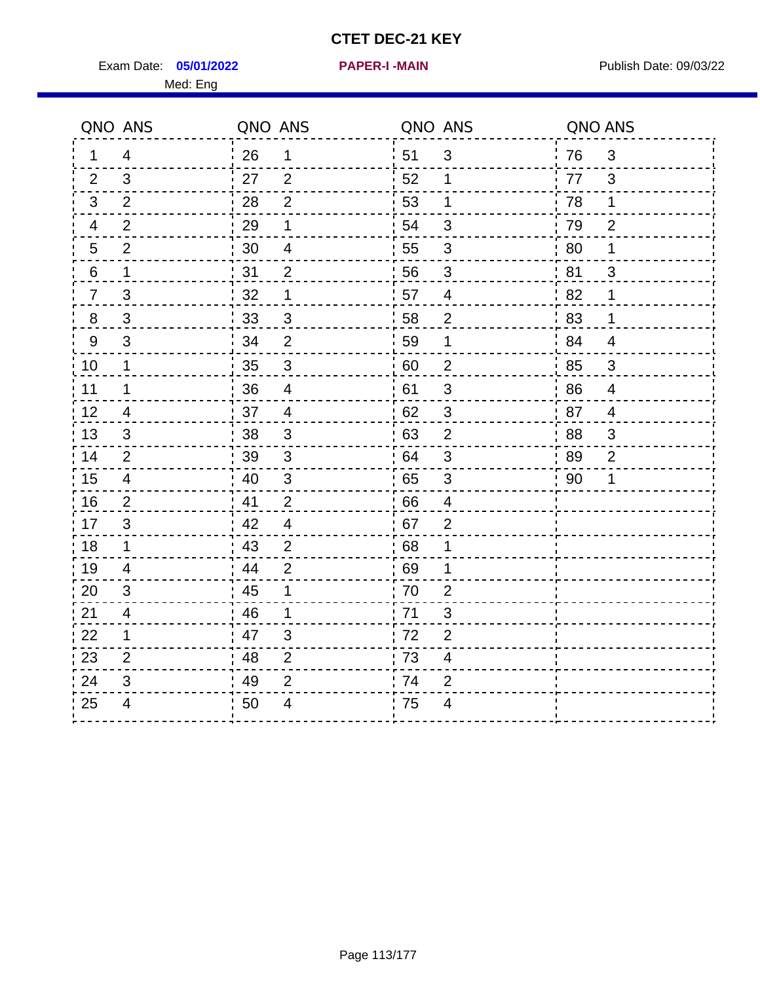Exam Date: 05/01/2022 **PAPER-I-MAIN Exam Date: 09/03/22** Med: Eng

**05/01/2022 PAPER-I -MAIN**

| QNO ANS                 | QNO ANS                 | QNO ANS        | QNO ANS        |
|-------------------------|-------------------------|----------------|----------------|
| $\overline{4}$          | 26                      | 51             | 3              |
| 1                       | 1                       | $\mathfrak{S}$ | 76             |
| 3                       | 27                      | 52             | 3              |
| 2                       | 2                       | 1              | 77             |
| $\overline{2}$          | 28                      | 53             | 78             |
| 3                       | $\overline{2}$          | $\mathbf{1}$   | $\mathbf{1}$   |
| $\overline{2}$          | 29                      | 54             | 79             |
| $\overline{4}$          | 1                       | 3              | $\overline{2}$ |
| $\overline{2}$          | 30                      | $\sqrt{3}$     | 80             |
| $5\phantom{.0}$         | $\overline{4}$          | 55             | 1              |
| 6                       | 31                      | 56             | 81             |
| $\mathbf 1$             | $\overline{2}$          | 3              | 3              |
| 3                       | 32                      | 57             | 82             |
| $\overline{7}$          | 1                       | $\overline{4}$ | 1              |
| $\mathsf 3$             | $\mathbf{3}$            | 58             | 83             |
| $\bf 8$                 | 33                      | $\mathbf 2$    | 1              |
| 3                       | 34                      | 59             | 84             |
| $9\,$                   | $\overline{2}$          | 1              | $\overline{4}$ |
| 10                      | $\overline{3}$          | 60             | $\mathfrak{B}$ |
| $\mathbf{1}$            | 35                      | $\overline{c}$ | 85             |
| $\mathbf 1$             | 36                      | 61             | 86             |
| 11                      | $\overline{\mathbf{4}}$ | $\sqrt{3}$     | $\overline{4}$ |
| 12                      | 37                      | 62             | 87             |
| $\overline{4}$          | $\overline{4}$          | $\mathfrak{S}$ | $\overline{4}$ |
| 13                      | 38                      | 63             | 88             |
| 3                       | 3                       | 2              | 3              |
| 14                      | 39                      | 64             | 89             |
| $\overline{2}$          | 3                       | 3              | $\overline{2}$ |
| 15                      | $\sqrt{3}$              | 65             | 90             |
| $\overline{4}$          | 40                      | $\mathfrak{B}$ | 1              |
| 16                      | 41                      | 66             |                |
| $\overline{2}$          | $\overline{2}$          | $\overline{4}$ |                |
| 3                       | 42                      | 67             |                |
| 17                      | $\overline{4}$          | $\overline{2}$ |                |
| 18                      | 43                      | 68             |                |
| $\mathbf 1$             | $\overline{2}$          | 1              |                |
| 19                      | 44                      | 69             |                |
| $\overline{\mathbf{4}}$ | $\overline{2}$          | 1              |                |
| 20                      | 45                      | 70             |                |
| 3                       | 1                       | $\overline{2}$ |                |
| 21                      | 46                      | 71             |                |
| 4                       | 1                       | 3              |                |
| 22                      | 47                      | 72             |                |
| $\mathbf 1$             | $\mathfrak{S}$          | $\overline{2}$ |                |
| 23                      | $\overline{2}$          | 73             |                |
| $\overline{2}$          | 48                      | 4              |                |
| 24                      | 49                      | 74             |                |
| 3                       | $\overline{2}$          | $\overline{2}$ |                |
| 25                      | 50                      | 75             |                |
| $\overline{\mathbf{4}}$ | 4                       | 4              |                |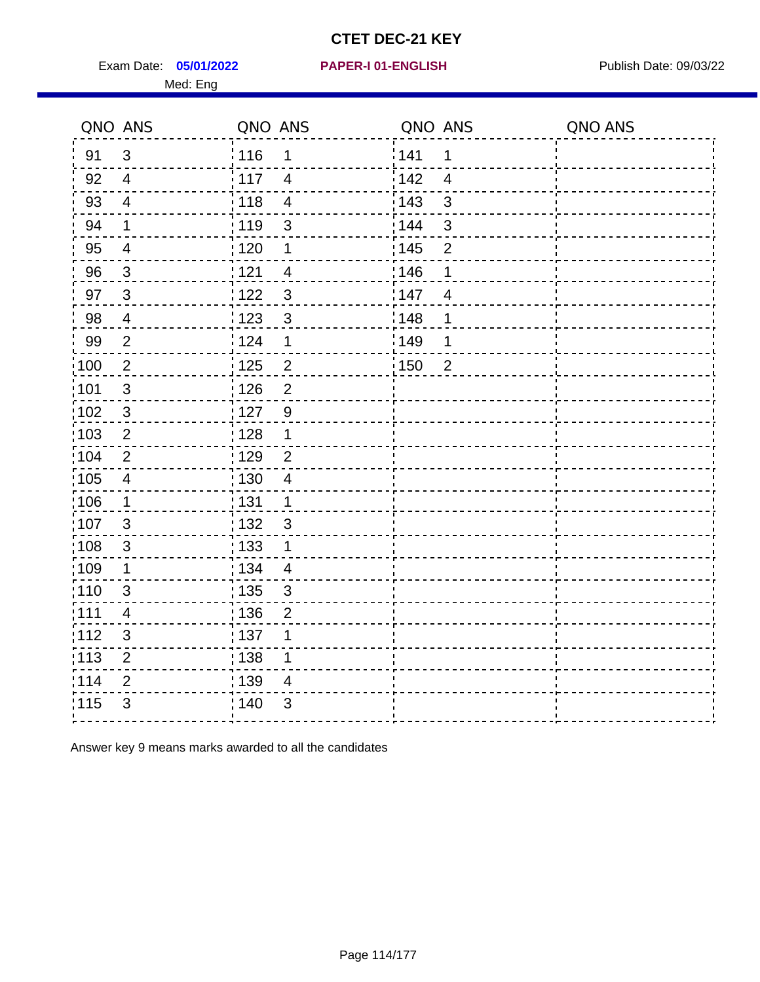Exam Date: 05/01/2022 PAPER-I 01-ENGLISH PARER FOR Publish Date: 09/03/22 Med: Eng

#### **05/01/2022 PAPER-I 01-ENGLISH**

|                   | QNO ANS                 | QNO ANS           |                          | QNO ANS |                | QNO ANS |
|-------------------|-------------------------|-------------------|--------------------------|---------|----------------|---------|
| 91                | $\mathfrak{S}$          | : 116             | 1                        | 141     | 1              |         |
| 92                | $\overline{4}$          | 117               | $\overline{4}$           | 142     | $\overline{4}$ |         |
| 93                | $\overline{4}$          | 118               | $\overline{\mathbf{4}}$  | 143     | 3              |         |
| 94                | 1                       | : 119             | 3                        | 144     | 3              |         |
| 95                | $\overline{\mathbf{4}}$ | $\frac{1}{1}$ 120 | 1                        | : 145   | $\overline{2}$ |         |
| 96                | $\mathbf{3}$            | 121               | $\overline{4}$           | 146     | 1              |         |
| 97                | $\mathbf{3}$            | 1122              | $\mathfrak{S}$           | 147     | $\overline{4}$ |         |
| 98                | $\overline{4}$          | 123               | $\mathfrak{B}$           | 148     | 1              |         |
| 99                | $\overline{2}$          | 124               | 1                        | 149     | 1              |         |
| $\frac{1}{1}$ 100 | $\sqrt{2}$              | $\frac{1}{1}$ 125 | $\overline{\mathbf{c}}$  | 150     | $\overline{2}$ |         |
| 101               | $\sqrt{3}$              | 126               | $\overline{2}$           |         |                |         |
| :102              | $\mathbf{3}$            | : 127             | 9                        |         |                |         |
| 103               | 2                       | : 128             | $\mathbf 1$              |         |                |         |
| 104               | 2                       | : 129             | $\overline{2}$           |         |                |         |
| :105              | $\overline{\mathbf{4}}$ | : 130             | $\overline{\mathcal{A}}$ |         |                |         |
| :106              | $\mathbf{1}$            | : 131             | $\mathbf{1}$             |         |                |         |
| 107               | 3                       | : 132             | $\mathbf{3}$             |         |                |         |
| 108               | $\mathbf{3}$            | $\frac{1}{1}$ 133 | $\mathbf 1$              |         |                |         |
| :109              | 1                       | : 134             | $\overline{4}$           |         |                |         |
| 110               | 3                       | : 135             | 3                        |         |                |         |
| :111              | $\overline{4}$          | : 136             | $\overline{2}$           |         |                |         |
| 112               | $\mathfrak{B}$          | : 137             | 1                        |         |                |         |
| $\frac{1}{1}$ 113 | $\overline{2}$          | $\frac{1}{1}$ 138 | 1                        |         |                |         |
| 114               | $\overline{2}$          | 139               | $\overline{4}$           |         |                |         |
| 115               | $\mathfrak{S}$          | : 140             | 3                        |         |                |         |
|                   |                         |                   |                          |         |                |         |

Answer key 9 means marks awarded to all the candidates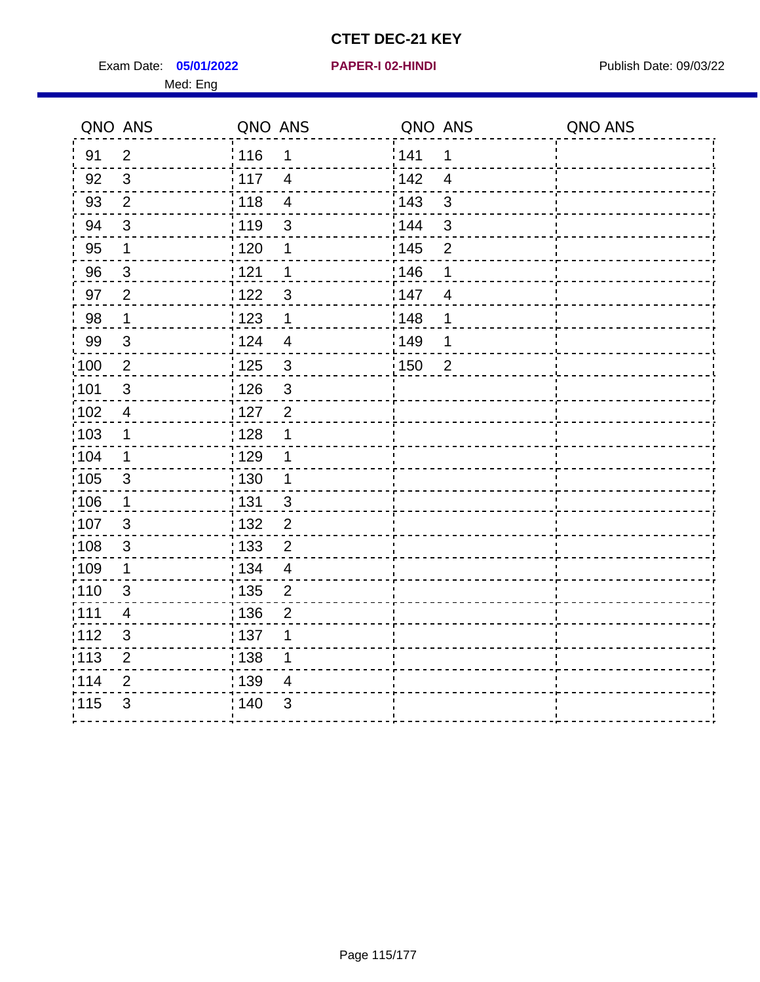Exam Date: 05/01/2022 **PAPER-I 02-HINDI Exam Date: 09/03/22** Med: Eng

|       | QNO ANS                  | QNO ANS |                | QNO ANS           |                | QNO ANS |
|-------|--------------------------|---------|----------------|-------------------|----------------|---------|
| 91    | $\overline{2}$           | 116     | 1              | 141               | 1              |         |
| 92    | $\mathbf{3}$             | 117     | $\overline{4}$ | 142               | $\overline{4}$ |         |
| 93    | 2                        | 118     | $\overline{4}$ | 143               | 3              |         |
| 94    | $\mathfrak{3}$           | : 119   | $\mathfrak{S}$ | : 144             | 3              |         |
| 95    | 1                        | : 120   | 1              | : 145             | $\overline{2}$ |         |
| 96    | $\mathbf{3}$             | 121     | 1              | 146               | 1              |         |
| 97    | $\overline{2}$           | 122     | $\mathbf{3}$   | 147               | $\overline{4}$ |         |
| 98    | $\mathbf{1}$             | 123     | $\mathbf{1}$   | 148               | 1              |         |
| 99    | $\mathfrak{S}$           | 124     | $\overline{4}$ | $\frac{1}{2}$ 149 | $\mathbf 1$    |         |
| 100   | $\overline{2}$           | 125     | $\sqrt{3}$     | $\frac{1}{1}$ 150 | $\overline{2}$ |         |
| :101  | $\mathfrak{S}$           | : 126   | $\mathfrak{S}$ |                   |                |         |
| 102   | $\overline{4}$           | : 127   | $\overline{2}$ |                   |                |         |
| :103  | 1                        | : 128   | 1              |                   |                |         |
| :104  | $\mathbf 1$              | : 129   | 1              |                   |                |         |
| :105  | $\mathfrak{3}$           | 130     | $\mathbf{1}$   |                   |                |         |
| :106  | 1                        | : 131   | $\mathbf{3}$   |                   |                |         |
| 107   | $\mathbf{3}$             | 132     | $\overline{2}$ |                   |                |         |
| :108  | $\sqrt{3}$               | : 133   | $\mathbf 2$    |                   |                |         |
| :109  | $\mathbf 1$              | : 134   | $\overline{4}$ |                   |                |         |
| :110  | 3                        | : 135   | $\overline{2}$ |                   |                |         |
| : 111 | $\overline{\mathcal{A}}$ | : 136   | $\overline{2}$ |                   |                |         |
| 112   | $\mathsf 3$              | 137     | 1              |                   |                |         |
| : 113 | $\overline{2}$           | : 138   | 1              |                   |                |         |
| 114   | 2                        | 139     | 4              |                   |                |         |
| 115   | 3                        | 140     | 3              |                   |                |         |
|       |                          |         |                |                   |                |         |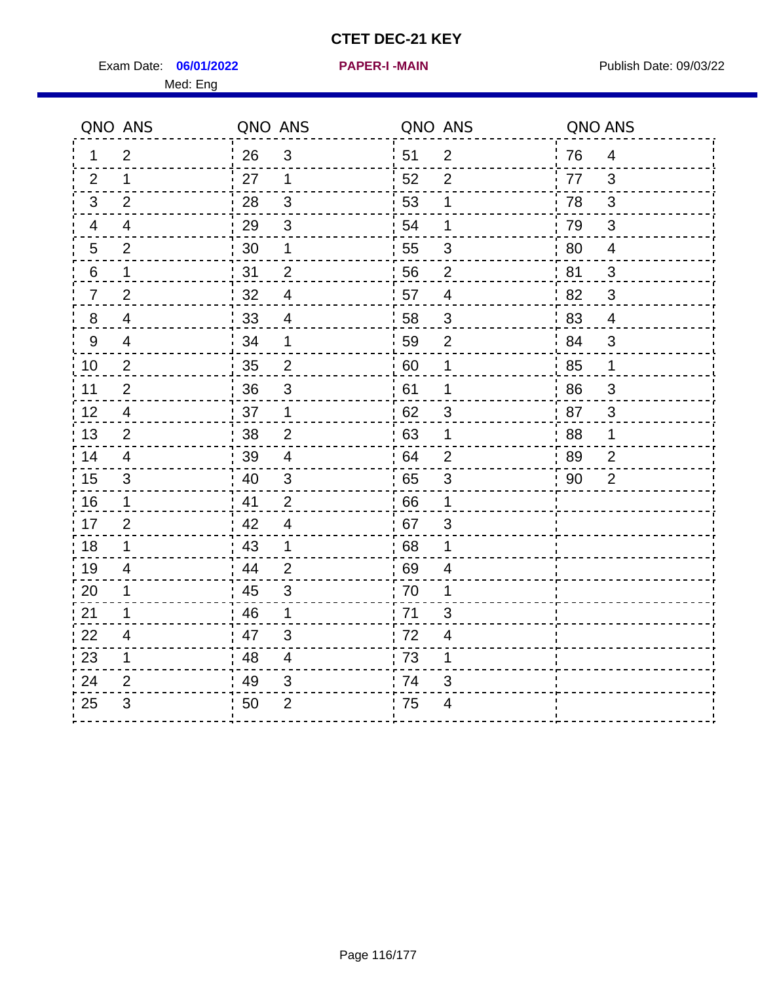Exam Date: 06/01/2022 **PAPER-I-MAIN Exam Date: 09/03/22** 

**06/01/2022 PAPER-I -MAIN**

Med: Eng

|                | QNO ANS        | QNO ANS |                           | QNO ANS          |                          | QNO ANS |                          |
|----------------|----------------|---------|---------------------------|------------------|--------------------------|---------|--------------------------|
| 1.             | $\overline{2}$ | 26      | $\mathbf{3}$              | 51               | $\overline{2}$           | 76      | $\overline{4}$           |
| 2              | $\mathbf 1$    | 27      | $\mathbf 1$               | 52               | 2                        | 77      | 3                        |
| $\mathbf{3}$   | 2              | 28      | 3                         | 53               | 1                        | 78      | 3                        |
| 4              | $\overline{4}$ | 29      | $\ensuremath{\mathsf{3}}$ | 54               | 1                        | 79      | $\mathfrak{S}$           |
| 5              | $\overline{2}$ | 30      | 1                         | 55               | 3                        | 80      | $\overline{\mathcal{A}}$ |
| 6              | $\mathbf{1}$   | 31      | $\overline{2}$            | 56               | $\overline{2}$           | 81      | 3                        |
| $\overline{7}$ | $\overline{2}$ | 32      | $\overline{4}$            | 57               | $\overline{4}$           | 82      | 3                        |
| 8              | 4              | 33      | 4                         | 58               | $\mathbf{3}$             | 83      | 4                        |
| 9              | 4              | 34      | $\mathbf 1$               | 59               | $\overline{2}$           | 84      | 3                        |
| 10             | 2              | 35      | $\overline{2}$            | $\frac{1}{2}$ 60 | 1                        | 85      | $\mathbf 1$              |
| 11             | $\overline{2}$ | 36      | 3                         | 61               | 1                        | 86      | 3                        |
| 12             | 4              | 37      | $\mathbf 1$               | 62               | 3                        | 87      | $\mathfrak{S}$           |
| 13             | $\overline{2}$ | 38      | $\overline{2}$            | 63               | 1                        | 88      | 1                        |
| 14             | 4              | 39      | 4                         | 64               | $\overline{2}$           | 89      | $\overline{2}$           |
| 15             | 3              | 40      | $\mathfrak{S}$            | 65               | $\mathfrak{S}$           | 90      | $\overline{2}$           |
| 16             | $\mathbf 1$    | 41      | 2                         | 66               | 1                        |         |                          |
| 17             | $\overline{2}$ | 42      | $\overline{4}$            | 67               | 3                        |         |                          |
| 18             | $\mathbf 1$    | 43      | $\mathbf{1}$              | 68               | $\mathbf 1$              |         |                          |
| 19             | 4              | 44      | $\overline{2}$            | 69               | 4                        |         |                          |
| 20             | 1              | 45      | 3                         | 70               | 1                        |         |                          |
| 21             | 1              | 46      | $\mathbf 1$               | 71               | 3                        |         |                          |
| 22             | 4              | 47      | $\mathfrak{S}$            | 72               | $\overline{\mathcal{A}}$ |         |                          |
| 23             | $\mathbf 1$    | 48      | 4                         | 73               | 1                        |         |                          |
| 24             | $\overline{2}$ | 49      | 3                         | 74               | $\mathfrak{S}$           |         |                          |
| 25             | 3              | 50      | $\overline{2}$            | 75               | 4                        |         |                          |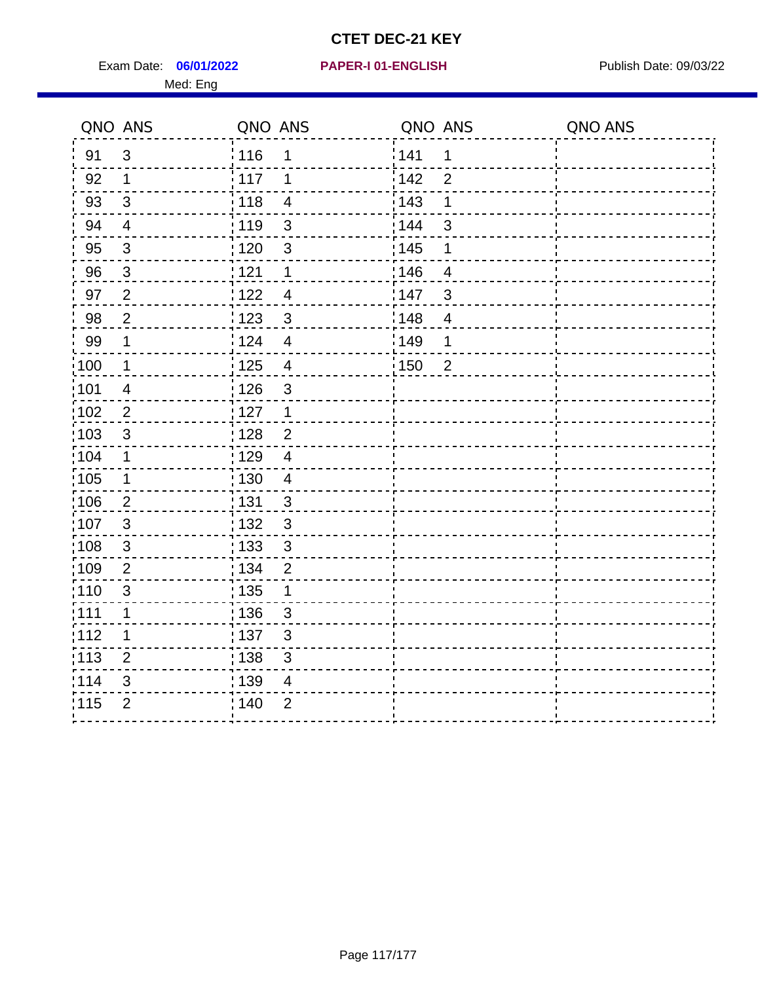Exam Date: 06/01/2022 PAPER-I 01-ENGLISH PREERENT Publish Date: 09/03/22 Med: Eng

## **06/01/2022 PAPER-I 01-ENGLISH**

|       | QNO ANS                  | QNO ANS           |                           | QNO ANS |                          | QNO ANS |
|-------|--------------------------|-------------------|---------------------------|---------|--------------------------|---------|
| 91    | $\mathfrak{S}$           | 116               | 1                         | 1141    | 1                        |         |
| 92    | $\mathbf 1$              | $\frac{1}{2}$ 117 | 1                         | 142     | $\overline{2}$           |         |
| 93    | $\mathbf{3}$             | 118               | $\overline{\mathcal{A}}$  | 143     | 1                        |         |
| 94    | $\overline{\mathbf{4}}$  | : 119             | $\mathbf{3}$              | : 144   | 3                        |         |
| 95    | $\mathfrak{S}$           | : 120             | 3                         | : 145   | 1                        |         |
| 96    | $\mathbf{3}$             | 121               | 1                         | :146    | $\overline{4}$           |         |
| 97    | $\overline{2}$           | 122               | $\overline{4}$            | 147     | $\mathfrak{B}$           |         |
| 98    | $\overline{2}$           | 1123              | $\mathbf{3}$              | 148     | $\overline{\mathcal{A}}$ |         |
| 99    | $\mathbf 1$              | 124               | $\overline{4}$            | 149     | 1                        |         |
| :100  | $\overline{1}$           | 125               | $\overline{\mathbf{4}}$   | 150     | $\overline{2}$           |         |
| :101  | $\overline{\mathcal{A}}$ | : 126             | $\mathsf 3$               |         |                          |         |
| 102   | $\overline{2}$           | : 127             | $\mathbf 1$               |         |                          |         |
| 103   | 3                        | :128              | $\overline{2}$            |         |                          |         |
| :104  | $\mathbf 1$              | : 129             | $\overline{4}$            |         |                          |         |
| :105  | $\mathbf 1$              | 130               | $\overline{\mathcal{A}}$  |         |                          |         |
| :106  | $\overline{2}$           | : 131             | 3                         |         |                          |         |
| 107   | 3                        | :132              | 3                         |         |                          |         |
| 108   | $\mathbf 3$              | : 133             | $\mathbf{3}$              |         |                          |         |
| :109  | $\mathbf{2}$             | : 134             | $\overline{2}$            |         |                          |         |
| : 110 | 3                        | : 135             | 1                         |         |                          |         |
| : 111 | $\mathbf 1$              | : 136             | $\mathfrak{S}$            |         |                          |         |
| 112   | 1                        | 137               | $\ensuremath{\mathsf{3}}$ |         |                          |         |
| 113   | $\overline{2}$           | 138               | 3                         |         |                          |         |
| 114   | 3                        | :139              | 4                         |         |                          |         |
| 115   | $\overline{2}$           | 140               | $\overline{2}$            |         |                          |         |
|       |                          |                   |                           |         |                          |         |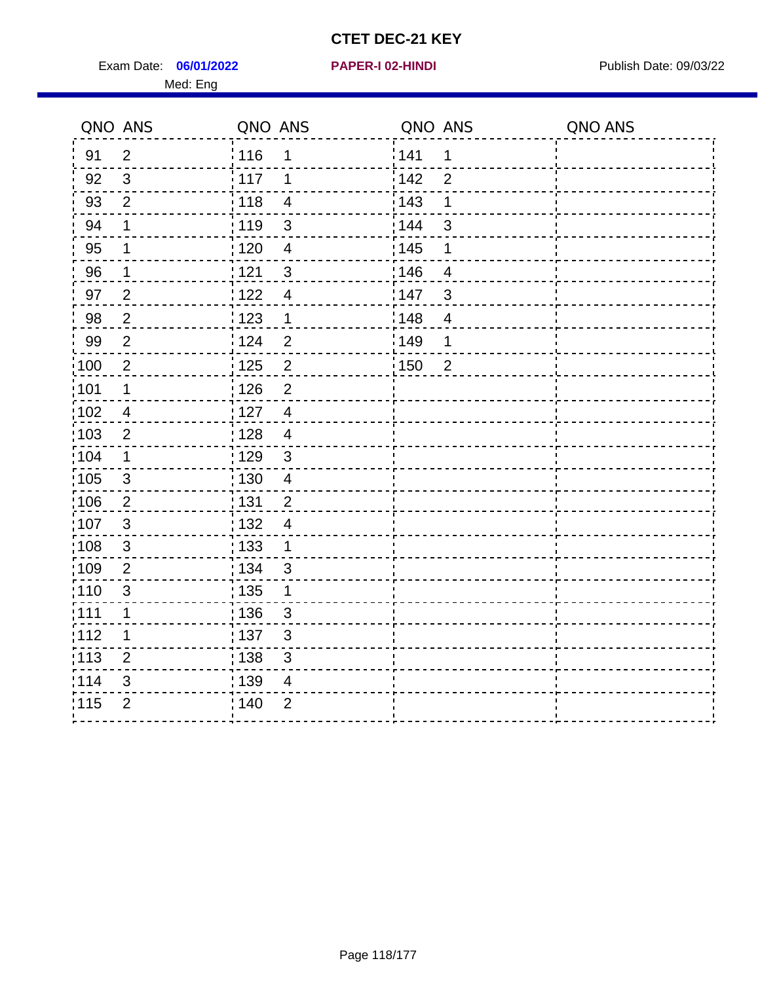Exam Date: 06/01/2022 **PAPER-I 02-HINDI Exam Date: 09/03/22** Med: Eng

|                   | QNO ANS        | QNO ANS           |                         | QNO ANS |                          | QNO ANS |
|-------------------|----------------|-------------------|-------------------------|---------|--------------------------|---------|
| 91                | $\overline{2}$ | ່ 116             | 1                       | 141     | 1                        |         |
| 92                | $\mathbf{3}$   | 117               | 1                       | 142     | $\overline{2}$           |         |
| 93                | $\overline{2}$ | 118               | $\overline{\mathbf{4}}$ | 143     | 1                        |         |
| 94                | 1              | : 119             | $\mathfrak{S}$          | 144     | $\mathbf{3}$             |         |
| 95                | 1              | 120               | $\overline{4}$          | : 145   | 1                        |         |
| 96                | $\mathbf 1$    | 121               | $\sqrt{3}$              | 146     | $\overline{\mathcal{A}}$ |         |
| 97                | $\overline{2}$ | 122               | $\overline{4}$          | 147     | $\mathfrak{B}$           |         |
| 98                | $\overline{2}$ | 123               | $\mathbf 1$             | 148     | $\overline{4}$           |         |
| 99                | $\overline{2}$ | 124               | $\overline{2}$          | 149     | 1                        |         |
| $\frac{1}{1}$ 100 | $\overline{2}$ | $\frac{1}{1}$ 125 | $\overline{2}$          | 150     | $\overline{2}$           |         |
| :101              | $\mathbf 1$    | : 126             | $\overline{2}$          |         |                          |         |
| 102               | $\overline{4}$ | 127               | $\overline{4}$          |         |                          |         |
| 103               | $\overline{2}$ | : 128             | $\overline{4}$          |         |                          |         |
| 104               | $\mathbf 1$    | : 129             | $\mathbf{3}$            |         |                          |         |
| 105               | $\sqrt{3}$     | : 130             | $\overline{\mathbf{4}}$ |         |                          |         |
| :106              | $\overline{2}$ | : 131             | $\overline{2}$          |         |                          |         |
| 107               | $\mathbf{3}$   | 132               | $\overline{4}$          |         |                          |         |
| 108               | $\sqrt{3}$     | 133               | $\mathbf{1}$            |         |                          |         |
| :109              | $\overline{2}$ | : 134             | $\mathbf{3}$            |         |                          |         |
| :110              | $\mathfrak{S}$ | : 135             | 1                       |         |                          |         |
| 111               | $\mathbf{1}$   | : 136             | $\mathbf{3}$            |         |                          |         |
| 112               | 1              | : 137             | $\mathfrak{B}$          |         |                          |         |
| 113               | $\overline{2}$ | : 138             | 3                       |         |                          |         |
| 114               | 3              | :139              | 4                       |         |                          |         |
| 115               | $\overline{2}$ | 140               | $\overline{2}$          |         |                          |         |
|                   |                |                   |                         |         |                          |         |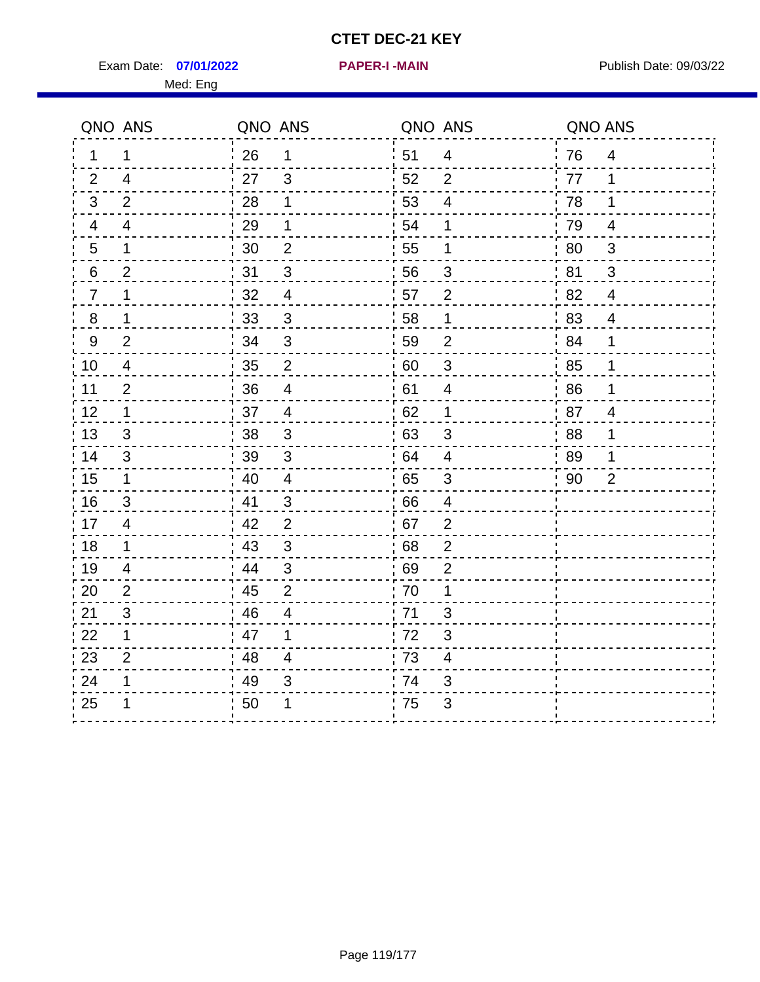Exam Date: 07/01/2022 PAPER-I-MAIN PUblish Date: 09/03/22 Med: Eng

**07/01/2022 PAPER-I -MAIN**

|                | QNO ANS        | QNO ANS |                          | QNO ANS |                          | QNO ANS |                          |
|----------------|----------------|---------|--------------------------|---------|--------------------------|---------|--------------------------|
| 1.             | 1              | 26      | $\mathbf 1$              | 51      | $\overline{4}$           | 76      | $\overline{\mathcal{A}}$ |
| 2              | $\overline{4}$ | 27      | 3                        | 52      | 2                        | 77      | 1                        |
| 3              | 2              | 28      | 1                        | 53      | $\overline{4}$           | 78      | 1                        |
| 4              | $\overline{4}$ | 29      | 1                        | 54      | 1                        | 79      | $\overline{4}$           |
| 5              | 1              | 30      | $\overline{2}$           | 55      | 1                        | 80      | $\mathbf{3}$             |
| 6              | $\overline{2}$ | 31      | 3                        | 56      | 3                        | 81      | 3                        |
| $\overline{7}$ | 1              | 32      | $\overline{4}$           | 57      | 2                        | 82      | 4                        |
| 8              | 1              | 33      | 3                        | 58      | $\mathbf 1$              | 83      | $\overline{4}$           |
| $9\,$          | 2              | 34      | $\mathbf{3}$             | 59      | $\overline{2}$           | 84      | $\mathbf 1$              |
| 10             | $\overline{4}$ | 35      | $\overline{2}$           | 60      | $\sqrt{3}$               | 85      | $\mathbf{1}$             |
| 11             | $\overline{2}$ | 36      | $\overline{\mathcal{A}}$ | 61      | $\overline{\mathcal{A}}$ | 86      | $\mathbf 1$              |
| 12             | 1              | 37      | $\overline{\mathbf{4}}$  | 62      | $\mathbf 1$              | 87      | $\overline{4}$           |
| 13             | 3              | 38      | 3                        | 63      | 3                        | 88      | 1                        |
| 14             | 3              | 39      | 3                        | 64      | 4                        | 89      | 1                        |
| 15             | $\mathbf 1$    | 40      | $\overline{4}$           | 65      | $\mathfrak{S}$           | 90      | $\overline{2}$           |
| 16             | 3              | 41      | $\mathbf{3}$             | 66      | 4                        |         |                          |
| 17             | $\overline{4}$ | 42      | 2                        | 67      | $\overline{2}$           |         |                          |
| 18             | 1              | 43      | $\mathbf{3}$             | 68      | $\overline{2}$           |         |                          |
| 19             | 4              | 44      | $\mathfrak{B}$           | 69      | $\overline{2}$           |         |                          |
| 20             | 2              | 45      | $\overline{2}$           | 70      | 1                        |         |                          |
| 21             | 3              | 46      | 4                        | 71      | 3                        |         |                          |
| 22             | 1              | 47      | 1                        | 72      | 3                        |         |                          |
| 23             | $\overline{2}$ | 48      | $\overline{4}$           | 73      | $\overline{\mathbf{4}}$  |         |                          |
| 24             | 1              | 49      | 3                        | 74      | 3                        |         |                          |
| 25             |                | 50      | 1                        | 75      | 3                        |         |                          |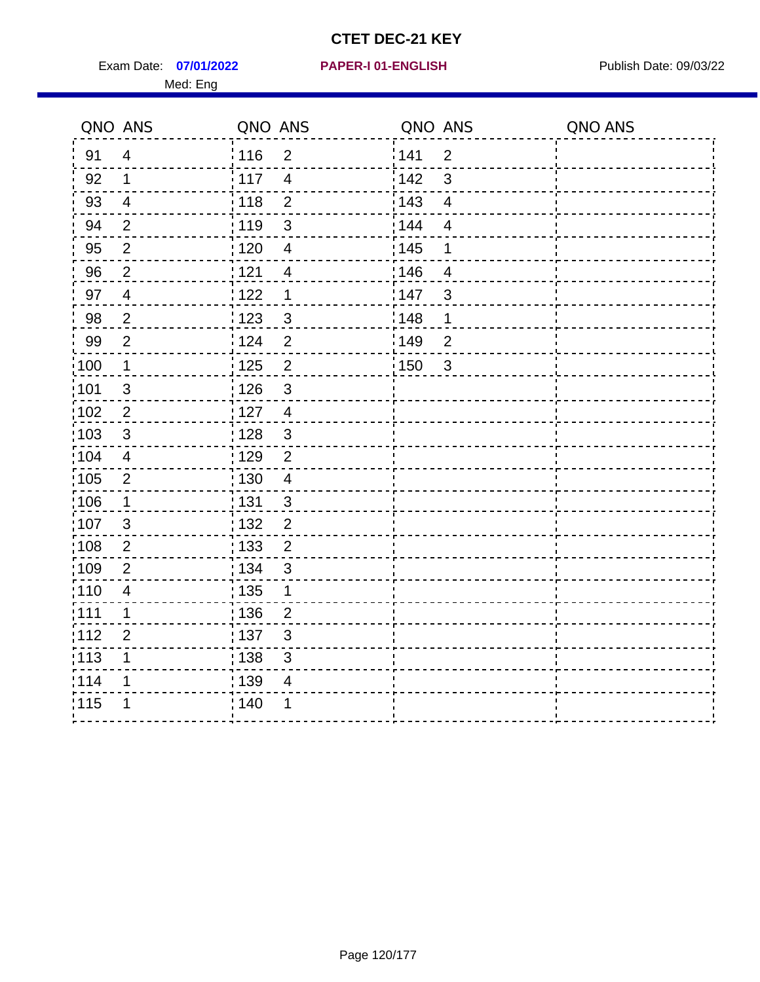Exam Date: 07/01/2022 PAPER-I 01-ENGLISH PREERENT Publish Date: 09/03/22 Med: Eng

## **07/01/2022 PAPER-I 01-ENGLISH**

|      | QNO ANS        | QNO ANS           |                          | QNO ANS           |                | QNO ANS |
|------|----------------|-------------------|--------------------------|-------------------|----------------|---------|
| 91   | $\overline{4}$ | 116               | $\overline{2}$           | 141               | $\overline{2}$ |         |
| 92   | $\mathbf{1}$   | 117               | $\overline{\mathcal{L}}$ | 142               | $\mathbf{3}$   |         |
| 93   | $\overline{4}$ | 118               | $\overline{2}$           | 143               | $\overline{4}$ |         |
| 94   | $\overline{2}$ | : 119             | $\mathbf{3}$             | 144               | $\overline{4}$ |         |
| 95   | $\overline{2}$ | : 120             | $\overline{\mathbf{4}}$  | : 145             | 1              |         |
| 96   | $\overline{2}$ | 121               | 4                        | :146              | 4              |         |
| 97   | $\overline{4}$ | 122               | 1                        | 147               | $\mathfrak{B}$ |         |
| 98   | $\overline{2}$ | 123               | $\mathbf{3}$             | :148              | 1              |         |
| 99   | $\overline{2}$ | 124               | $\overline{2}$           | :149              | $\overline{2}$ |         |
| :100 | $\mathbf{1}$   | $\frac{1}{1}$ 125 | $\mathbf 2$              | $\frac{1}{1}$ 150 | 3              |         |
| :101 | $\sqrt{3}$     | : 126             | $\mathfrak{S}$           |                   |                |         |
| 102  | $\overline{2}$ | : 127             | $\overline{4}$           |                   |                |         |
| :103 | $\mathbf{3}$   | : 128             | $\mathbf{3}$             |                   |                |         |
| 104  | $\overline{4}$ | : 129             | $\overline{2}$           |                   |                |         |
| 105  | $\sqrt{2}$     | $\frac{1}{1}$ 130 | $\overline{4}$           |                   |                |         |
| :106 | $\mathbf{1}$   | : 131             | 3                        |                   |                |         |
| 107  | $\mathbf{3}$   | :132              | $\overline{2}$           |                   |                |         |
| 108  | $\overline{2}$ | 133               | $\overline{2}$           |                   |                |         |
| :109 | $\overline{2}$ | : 134             | 3                        |                   |                |         |
| :110 | $\overline{4}$ | : 135             | 1                        |                   |                |         |
| :111 | 1              | : 136             | $\overline{2}$           |                   |                |         |
| 112  | $\overline{2}$ | $\frac{1}{1}$ 137 | $\sqrt{3}$               |                   |                |         |
| 113  | 1              | : 138             | 3                        |                   |                |         |
| 1114 | 1              | 139               | 4                        |                   |                |         |
| 115  | 1              | 140               | 1                        |                   |                |         |
|      |                |                   |                          |                   |                |         |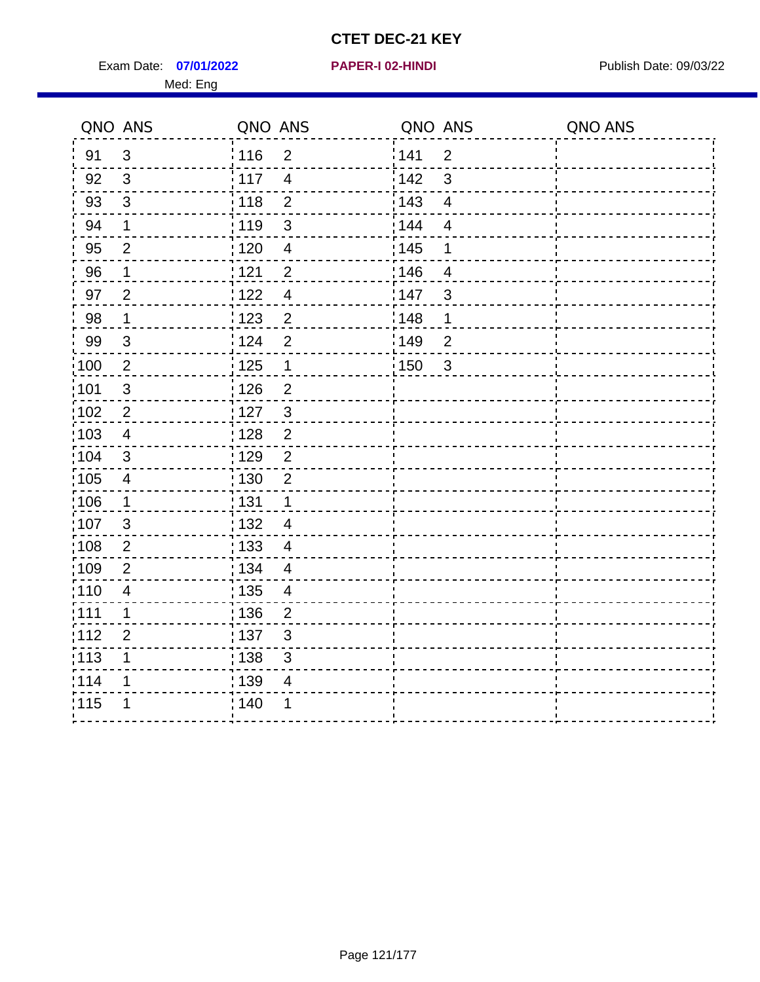Exam Date: 07/01/2022 **PAPER-I 02-HINDI Exam Date: 09/03/22** Med: Eng

|       | QNO ANS        | QNO ANS |                          | QNO ANS           |                | QNO ANS |
|-------|----------------|---------|--------------------------|-------------------|----------------|---------|
| 91    | $\mathbf{3}$   | 116     | $\overline{2}$           | 141               | $\overline{2}$ |         |
| 92    | $\mathbf{3}$   | : 117   | $\overline{4}$           | 142               | 3              |         |
| 93    | $\mathfrak{3}$ | 118     | $\overline{2}$           | 143               | $\overline{4}$ |         |
| 94    | 1              | : 119   | $\mathfrak{3}$           | : 144             | $\overline{4}$ |         |
| 95    | $\overline{2}$ | : 120   | $\overline{4}$           | : 145             | 1              |         |
| 96    | 1              | 121     | $\overline{2}$           | 146               | $\overline{4}$ |         |
| 97    | $\overline{2}$ | 122     | $\overline{4}$           | 147               | 3              |         |
| 98    | $\mathbf 1$    | 123     | $\overline{c}$           | 148               | 1              |         |
| 99    | $\mathfrak{S}$ | 124     | $\overline{2}$           | 149               | $\overline{c}$ |         |
| 100   | $\overline{2}$ | 125     | $\mathbf{1}$             | $\frac{1}{1}$ 150 | $\mathbf{3}$   |         |
| :101  | $\mathfrak{S}$ | : 126   | $\overline{2}$           |                   |                |         |
| 102   | $\overline{2}$ | : 127   | $\mathbf{3}$             |                   |                |         |
| :103  | $\overline{4}$ | : 128   | $\overline{2}$           |                   |                |         |
| :104  | $\mathbf{3}$   | : 129   | $\overline{2}$           |                   |                |         |
| 105   | $\overline{4}$ | : 130   | $\overline{2}$           |                   |                |         |
| :106  | 1              | : 131   | $\mathbf 1$              |                   |                |         |
| 107   | $\mathbf{3}$   | : 132   | $\overline{4}$           |                   |                |         |
| :108  | $\overline{2}$ | 133     | $\overline{4}$           |                   |                |         |
| :109  | $\overline{2}$ | : 134   | $\overline{4}$           |                   |                |         |
| :110  | $\overline{4}$ | : 135   | $\overline{\mathcal{A}}$ |                   |                |         |
| : 111 | 1              | : 136   | $\overline{2}$           |                   |                |         |
| 112   | $\overline{2}$ | : 137   | $\mathfrak{S}$           |                   |                |         |
| 113   | 1              | : 138   | $\mathfrak{B}$           |                   |                |         |
| 1114  | 1              | 139     | 4                        |                   |                |         |
| 115   | 1              | 140     | 1                        |                   |                |         |
|       |                |         |                          |                   |                |         |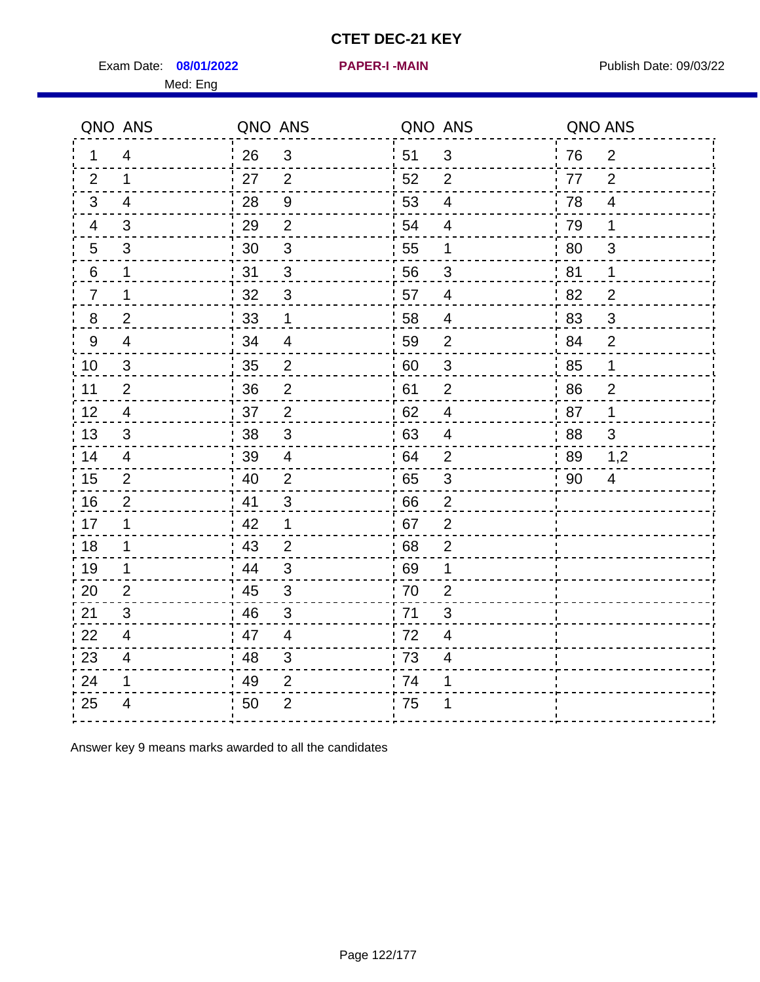Exam Date: 08/01/2022 **PAPER-I-MAIN Exam Date: 09/03/22** Med: Eng

|                | QNO ANS                 | QNO ANS |                | QNO ANS |                          | QNO ANS |                |
|----------------|-------------------------|---------|----------------|---------|--------------------------|---------|----------------|
| 1.             | $\overline{\mathbf{4}}$ | 26      | $\mathbf{3}$   | 51      | $\mathbf{3}$             | 76      | 2              |
| 2              | 1                       | 27      | 2              | 52      | $\overline{2}$           | 77      | 2              |
| 3              | 4                       | 28      | $9\,$          | 53      | $\overline{4}$           | 78      | 4              |
| 4              | 3                       | 29      | $\overline{2}$ | 54      | $\overline{4}$           | 79      | 1              |
| 5              | 3                       | 30      | $\sqrt{3}$     | 55      | $\mathbf 1$              | 80      | $\mathfrak{S}$ |
| 6              | $\mathbf 1$             | 31      | 3              | 56      | 3                        | 81      | 1              |
| $\overline{7}$ | 1                       | 32      | 3              | 57      | 4                        | 82      | $\overline{2}$ |
| 8              | $\overline{2}$          | 33      | 1              | 58      | $\overline{\mathcal{A}}$ | 83      | $\mathfrak{B}$ |
| 9              | $\overline{4}$          | 34      | $\overline{4}$ | 59      | $\overline{2}$           | 84      | $\overline{2}$ |
| 10             | 3                       | 35      | $\overline{2}$ | 60      | $\sqrt{3}$               | 85      | $\mathbf{1}$   |
| 11             | $\overline{2}$          | 36      | $\mathbf 2$    | 61      | $\overline{2}$           | 86      | $\overline{2}$ |
| 12             | $\overline{4}$          | 37      | $\overline{2}$ | 62      | $\overline{\mathbf{4}}$  | 87      | 1              |
| 13             | 3                       | 38      | 3              | 63      | $\overline{\mathbf{4}}$  | 88      | 3              |
| 14             | 4                       | 39      | 4              | 64      | 2                        | 89      | 1,2            |
| 15             | $\overline{2}$          | 40      | $\overline{2}$ | 65      | $\mathfrak{S}$           | 90      | $\overline{4}$ |
| 16             | $\overline{2}$          | 41      | 3              | 66      | $\overline{2}$           |         |                |
| 17             | 1                       | 42      | $\mathbf 1$    | 67      | $\overline{2}$           |         |                |
| 18             | $\mathbf 1$             | 43      | $\overline{2}$ | 68      | $\mathbf 2$              |         |                |
| 19             | 1                       | 44      | 3              | 69      | 1                        |         |                |
| 20             | 2                       | 45      | 3              | 70      | $\overline{2}$           |         |                |
| 21             | 3                       | 46      | 3              | 71      | 3                        |         |                |
| 22             | 4                       | 47      | $\overline{4}$ | 72      | 4                        |         |                |
| 23             | $\overline{4}$          | 48      | $\mathfrak{S}$ | 73      | 4                        |         |                |
| 24             | 1                       | 49      | $\overline{2}$ | 74      | 1                        |         |                |
| 25             | 4                       | 50      | $\overline{2}$ | 75      | 1                        |         |                |

Answer key 9 means marks awarded to all the candidates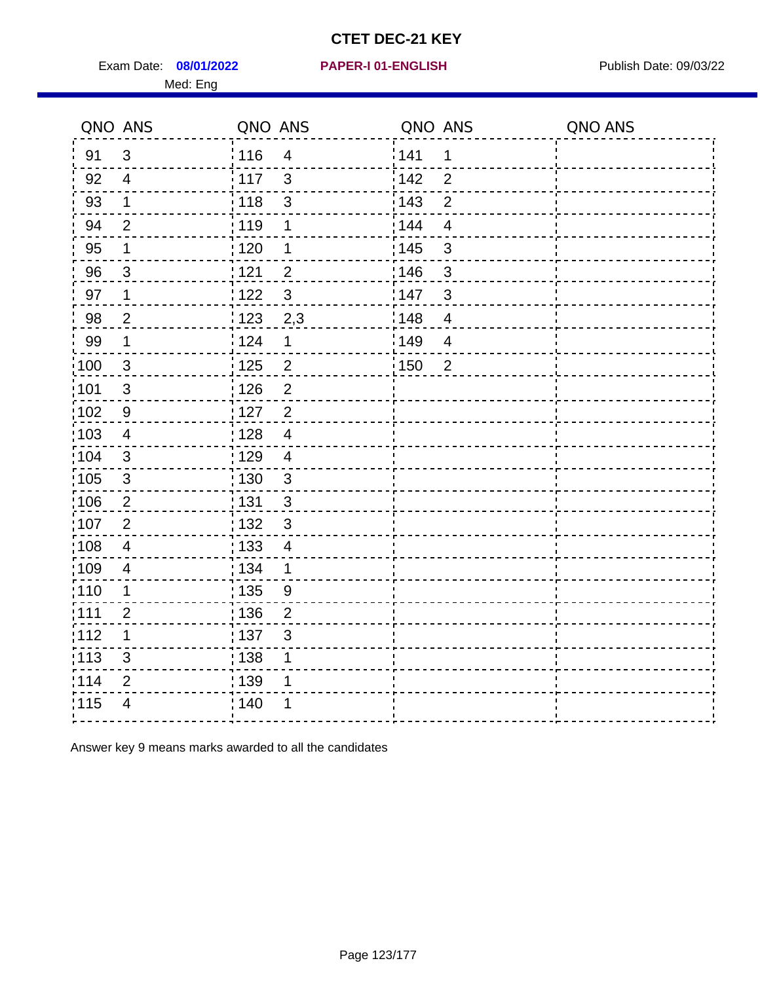Exam Date: 08/01/2022 PAPER-I 01-ENGLISH PREERENT Publish Date: 09/03/22 Med: Eng

|                   | QNO ANS                 | QNO ANS           |                         | QNO ANS |                | QNO ANS |
|-------------------|-------------------------|-------------------|-------------------------|---------|----------------|---------|
| 91                | 3                       | : 116             | $\overline{4}$          | 141     | 1              |         |
| 92                | $\overline{4}$          | 117               | $\mathfrak{S}$          | 142     | $\overline{2}$ |         |
| 93                | $\mathbf 1$             | 118               | 3                       | 143     | $\overline{2}$ |         |
| 94                | $\overline{2}$          | : 119             | 1                       | 144     | $\overline{4}$ |         |
| 95                | 1                       | :120              | 1                       | : 145   | 3              |         |
| 96                | 3                       | 121               | $\overline{2}$          | 146     | 3              |         |
| 97                | $\mathbf 1$             | 122               | 3                       | 147     | $\mathbf{3}$   |         |
| 98                | $\overline{2}$          | $\frac{1}{2}$ 123 | 2,3                     | 148     | $\overline{4}$ |         |
| 99                | $\mathbf 1$             | 124               | $\mathbf 1$             | 149     | $\overline{4}$ |         |
| 100               | $\mathbf{3}$            | $\frac{1}{1}$ 125 | $\overline{\mathbf{c}}$ | 150     | $\overline{2}$ |         |
| 101               | $\sqrt{3}$              | : 126             | $\overline{2}$          |         |                |         |
| :102              | 9                       | $\frac{1}{1}$ 127 | $\overline{2}$          |         |                |         |
| $\frac{1}{1}$ 103 | $\overline{4}$          | 128               | $\overline{4}$          |         |                |         |
| 104               | $\mathbf{3}$            | : 129             | $\overline{4}$          |         |                |         |
| :105              | $\sqrt{3}$              | : 130             | $\mathbf{3}$            |         |                |         |
| 106               | $\overline{2}$          | : 131             | $\mathbf{3}$            |         |                |         |
| 107               | $\overline{2}$          | : 132             | $\mathbf{3}$            |         |                |         |
| :108              | $\overline{\mathbf{4}}$ | : 133             | $\overline{4}$          |         |                |         |
| :109              | $\overline{\mathbf{4}}$ | : 134             | $\mathbf 1$             |         |                |         |
| 110               | 1                       | : 135             | 9                       |         |                |         |
| :111              | $\overline{2}$          | : 136             | $\overline{2}$          |         |                |         |
| 112               | 1                       | :137              | 3                       |         |                |         |
| $\frac{1}{1}$ 113 | $\mathsf 3$             | : 138             | 1                       |         |                |         |
| 114               | $\overline{2}$          | 139               | 1                       |         |                |         |
| 115               | 4                       | : 140             |                         |         |                |         |
|                   |                         |                   |                         |         |                |         |

Answer key 9 means marks awarded to all the candidates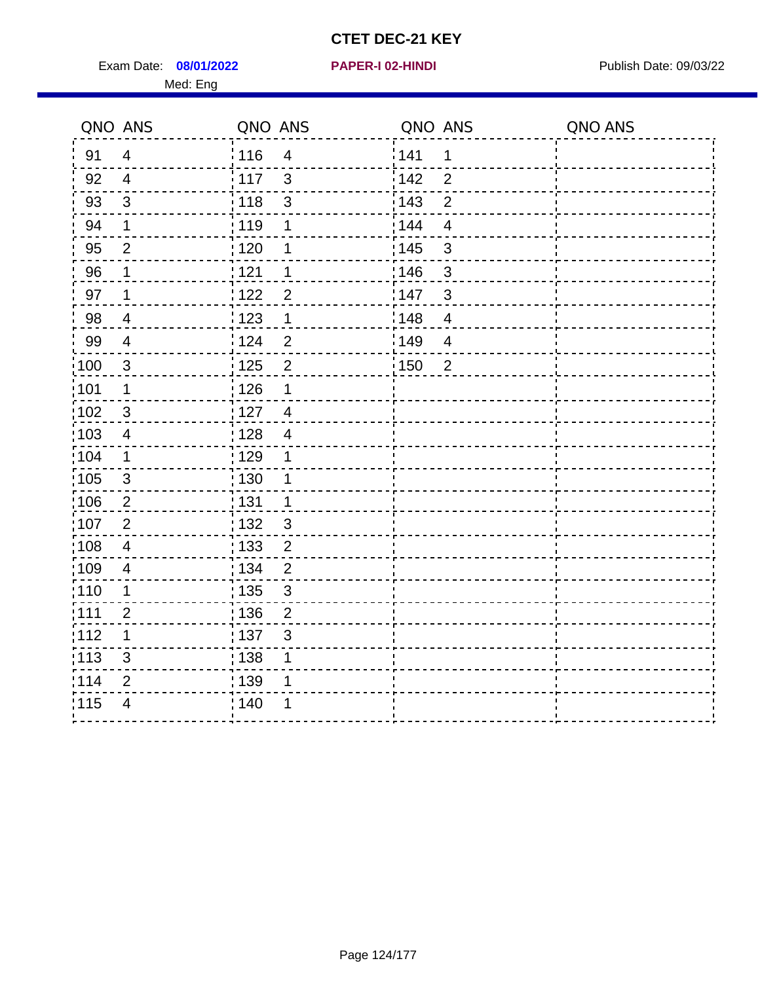Exam Date: 08/01/2022 **PAPER-I 02-HINDI Exam Date: 09/03/22** Publish Date: 09/03/22 Med: Eng

|                   | QNO ANS        | QNO ANS                             | QNO ANS                             | QNO ANS |
|-------------------|----------------|-------------------------------------|-------------------------------------|---------|
| 91                | $\overline{4}$ | : 116<br>$\overline{4}$             | 141<br>$\mathbf 1$                  |         |
| 92                | $\overline{4}$ | $\frac{1}{2}$ 117<br>$\mathfrak{S}$ | 142<br>$\overline{2}$               |         |
| 93                | $\mathbf{3}$   | 118<br>$\mathbf{3}$                 | 143<br>$\overline{2}$               |         |
| 94                | 1              | : 119<br>1                          | 144<br>$\overline{4}$               |         |
| 95                | $\overline{2}$ | : 120<br>1                          | : 145<br>3                          |         |
| 96                | 1              | : 121<br>1                          | 146<br>3                            |         |
| 97                | $\mathbf 1$    | 122<br>$\overline{2}$               | 147<br>3                            |         |
| 98                | $\overline{4}$ | 123<br>$\mathbf{1}$                 | 148<br>$\overline{\mathbf{4}}$      |         |
| 99                | $\overline{4}$ | 124<br>$\overline{2}$               | $\frac{1}{2}$ 149<br>$\overline{4}$ |         |
| 100               | $\mathbf{3}$   | 125<br>$\overline{2}$               | 150<br>$\overline{2}$               |         |
| $\frac{1}{1}$ 101 | 1              | 126<br>1                            |                                     |         |
| 102               | 3              | : 127<br>$\overline{4}$             |                                     |         |
| 103               | $\overline{4}$ | :128<br>$\overline{4}$              |                                     |         |
| :104              | $\mathbf 1$    | : 129<br>1                          |                                     |         |
| 105               | $\mathfrak{3}$ | 130<br>1                            |                                     |         |
| :106              | $\overline{2}$ | : 131<br>$\mathbf 1$                |                                     |         |
| 107               | $\overline{2}$ | : 132<br>$\mathbf{3}$               |                                     |         |
| 108               | $\overline{4}$ | 133<br>$\overline{2}$               |                                     |         |
| :109              | $\overline{4}$ | : 134<br>$\overline{2}$             |                                     |         |
| :110              | 1              | : 135<br>3                          |                                     |         |
| : 111             | $\overline{2}$ | : 136<br>$\overline{2}$             |                                     |         |
| 112               | 1              | $\frac{1}{1}$ 137<br>$\mathfrak{S}$ |                                     |         |
| : 113             | 3              | : 138<br>1                          |                                     |         |
| 1114              | 2              | :139<br>1                           |                                     |         |
| 115               | $\overline{4}$ | 140<br>1                            |                                     |         |
|                   |                |                                     |                                     |         |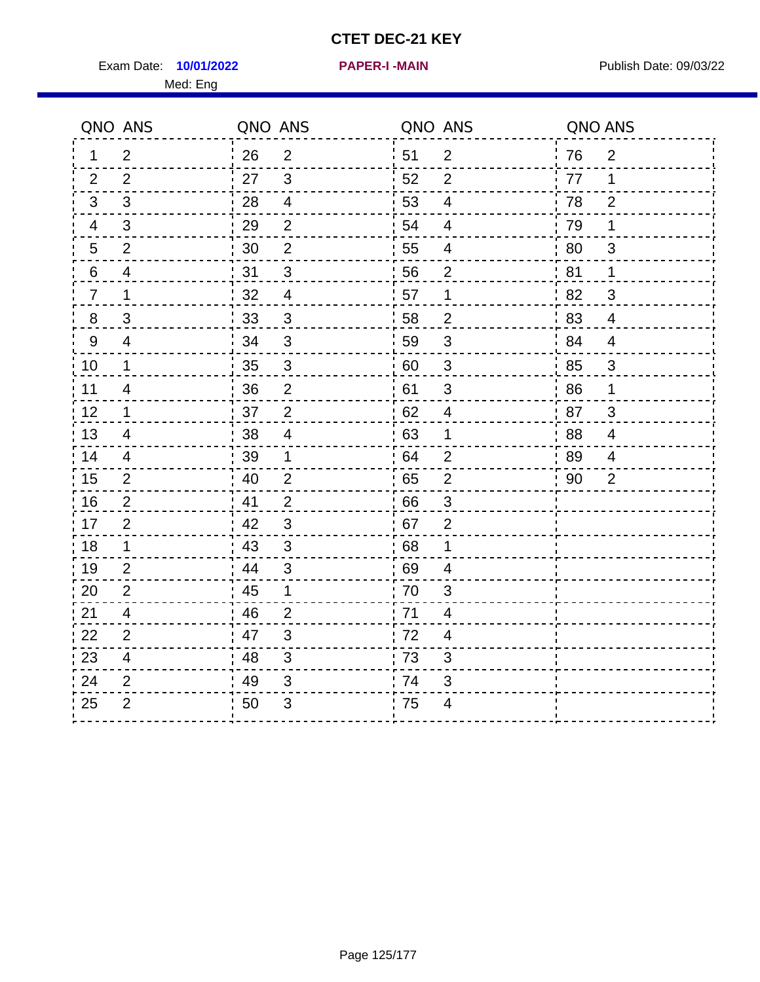Exam Date: 10/01/2022 **PAPER-I-MAIN Exam Date: 09/03/22** Med: Eng

**10/01/2022 PAPER-I -MAIN**

| QNO ANS          |                           | QNO ANS |                | QNO ANS |                          | QNO ANS |                |
|------------------|---------------------------|---------|----------------|---------|--------------------------|---------|----------------|
| 1                | $\overline{2}$            | 26      | $\overline{2}$ | 51      | 2                        | 76      | $\overline{2}$ |
| 2                | $\overline{2}$            | 27      | 3              | 52      | $\overline{2}$           | 77      | 1              |
| 3                | 3                         | 28      | $\overline{4}$ | 53      | $\overline{4}$           | 78      | $\overline{2}$ |
| $\overline{4}$   | $\mathfrak{S}$            | 29      | $\overline{2}$ | 54      | 4                        | 79      | 1              |
| $5\phantom{.0}$  | $\overline{2}$            | 30      | $\overline{2}$ | 55      | $\overline{\mathcal{A}}$ | 80      | 3              |
| 6                | 4                         | 31      | 3              | 56      | 2                        | 81      | 1              |
| $\overline{7}$   | $\mathbf 1$               | 32      | $\overline{4}$ | 57      | 1                        | 82      | 3              |
| $\,8\,$          | $\ensuremath{\mathsf{3}}$ | 33      | $\mathbf{3}$   | 58      | $\mathbf 2$              | 83      | $\overline{4}$ |
| $\boldsymbol{9}$ | $\overline{4}$            | 34      | $\mathfrak{3}$ | 59      | $\mathfrak{B}$           | 84      | $\overline{4}$ |
| 10               | $\mathbf 1$               | 35      | $\overline{3}$ | 60      | $\sqrt{3}$               | 85      | $\mathfrak{S}$ |
| 11               | $\overline{\mathbf{4}}$   | 36      | $\overline{2}$ | 61      | $\mathbf{3}$             | 86      | 1              |
| 12               | $\mathbf 1$               | 37      | $\overline{2}$ | 62      | $\overline{4}$           | 87      | 3              |
| 13               | $\overline{4}$            | 38      | $\overline{4}$ | 63      | 1                        | 88      | $\overline{4}$ |
| 14               | 4                         | 39      | 1              | 64      | $\overline{2}$           | 89      | 4              |
| 15               | $\overline{2}$            | 40      | $\overline{2}$ | 65      | $\overline{2}$           | 90      | $\overline{2}$ |
| 16               | $\overline{2}$            | 41      | $\overline{2}$ | 66      | 3                        |         |                |
| 17               | $\overline{2}$            | 42      | $\mathfrak{3}$ | 67      | $\overline{2}$           |         |                |
| 18               | $\mathbf 1$               | 43      | 3              | 68      | $\mathbf 1$              |         |                |
| 19               | $\overline{2}$            | .44     | $\sqrt{3}$     | 69      | $\overline{4}$           |         |                |
| 20               | $\overline{2}$            | 45      | 1              | 70      | $\mathbf{3}$             |         |                |
| 21               | $\overline{4}$            | 46      | 2              | 71      | $\overline{4}$           |         |                |
| 22               | $\overline{2}$            | 47      | $\sqrt{3}$     | 72      | 4                        |         |                |
| 23               | $\overline{4}$            | 48      | 3              | 73      | 3                        |         |                |
| 24               | $\overline{2}$            | 49      | 3              | 74      | 3                        |         |                |
| 25               | $\overline{2}$            | 50      | 3              | 75      | 4                        |         |                |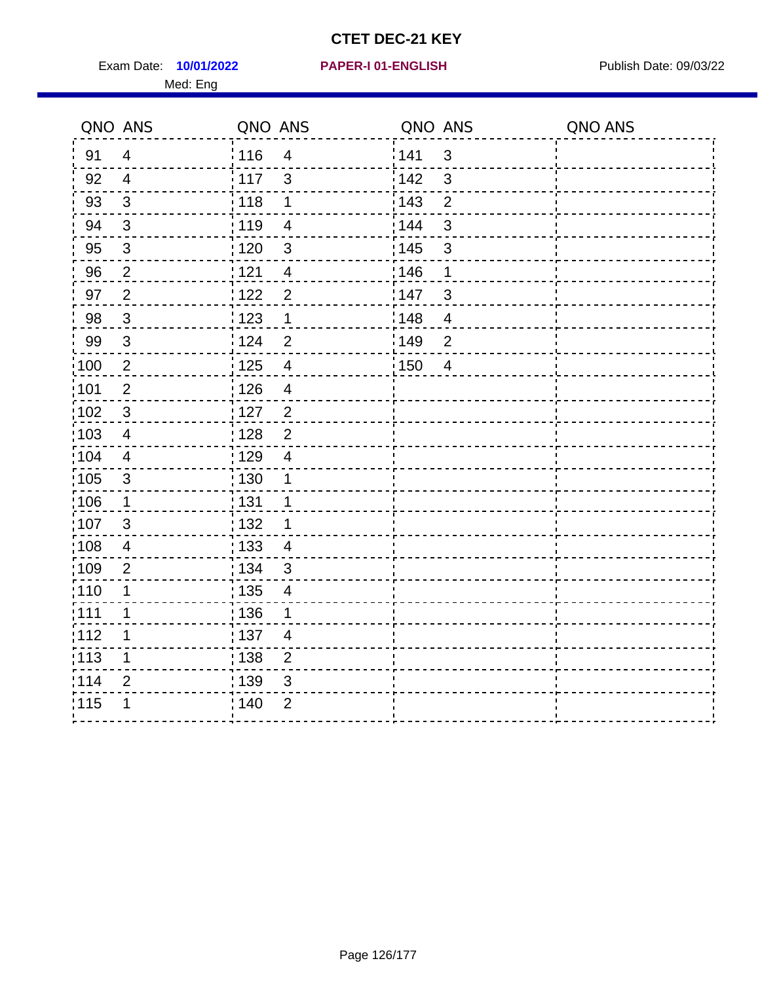Exam Date: 10/01/2022 **PAPER-I 01-ENGLISH Exam Date: 09/03/22** Med: Eng

|                   | QNO ANS                   | QNO ANS |                          | QNO ANS |                | QNO ANS |
|-------------------|---------------------------|---------|--------------------------|---------|----------------|---------|
| 91                | $\overline{4}$            | 116     | $\overline{4}$           | 1141    | $\mathbf{3}$   |         |
| 92                | $\overline{4}$            | 117     | 3                        | 142     | $\mathbf{3}$   |         |
| 93                | $\mathfrak{S}$            | 118     | $\mathbf 1$              | 143     | $\overline{2}$ |         |
| 94                | 3                         | : 119   | $\overline{\mathcal{A}}$ | : 144   | 3              |         |
| 95                | $\mathfrak{B}$            | : 120   | $\mathbf{3}$             | : 145   | $\mathfrak{B}$ |         |
| 96                | $\overline{2}$            | 121     | 4                        | 146     | 1              |         |
| 97                | $\sqrt{2}$                | 122     | $\overline{2}$           | 147     | $\mathfrak{B}$ |         |
| 98                | $\mathbf{3}$              | 123     | $\overline{1}$           | 148     | $\overline{4}$ |         |
| 99                | $\ensuremath{\mathsf{3}}$ | 124     | $\overline{2}$           | :149    | $\overline{2}$ |         |
| $\frac{1}{1}$ 100 | $\overline{2}$            | 125     | $\overline{\mathbf{4}}$  | 150     | $\overline{4}$ |         |
| :101              | $\mathbf 2$               | : 126   | $\overline{4}$           |         |                |         |
| 102               | $\mathfrak{3}$            | : 127   | 2                        |         |                |         |
| 103               | $\overline{4}$            | : 128   | $\overline{2}$           |         |                |         |
| 104               | $\overline{4}$            | : 129   | $\overline{\mathbf{4}}$  |         |                |         |
| 105               | $\sqrt{3}$                | 130     | $\mathbf 1$              |         |                |         |
| :106              | $\mathbf{1}$              | : 131   | 1                        |         |                |         |
| 107               | $\mathbf{3}$              | :132    | 1                        |         |                |         |
| 108               | $\overline{\mathbf{4}}$   | : 133   | $\overline{\mathcal{A}}$ |         |                |         |
| ;109              | $\mathbf 2$               | : 134   | $\mathbf{3}$             |         |                |         |
| :110              | 1                         | : 135   | 4                        |         |                |         |
| 111               | 1                         | : 136   | 1                        |         |                |         |
| 112               | 1                         | : 137   | $\overline{4}$           |         |                |         |
| 113               | 1                         | : 138   | $\overline{c}$           |         |                |         |
| 114               | 2                         | 139     | 3                        |         |                |         |
| 115               | 1                         | 140     | $\overline{2}$           |         |                |         |
|                   |                           |         |                          |         |                |         |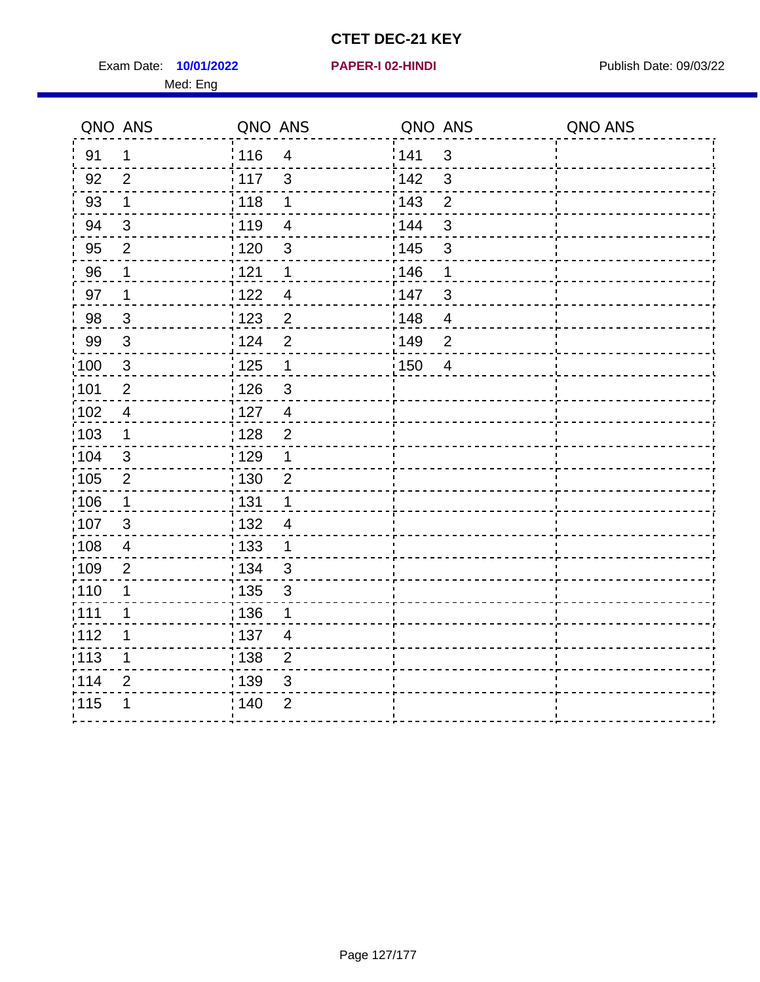Exam Date: 10/01/2022 **PAPER-I 02-HINDI Exam Date: 09/03/22** Med: Eng

|       | QNO ANS        | QNO ANS           |                | QNO ANS           |                | QNO ANS |
|-------|----------------|-------------------|----------------|-------------------|----------------|---------|
| 91    | 1              | : 116             | $\overline{4}$ | 141               | $\mathbf{3}$   |         |
| 92    | $\overline{2}$ | 117               | 3              | 142               | $\mathbf{3}$   |         |
| 93    | $\mathbf 1$    | 118               | 1              | 143               | $\overline{2}$ |         |
| 94    | $\mathfrak{3}$ | : 119             | $\overline{4}$ | 144               | $\mathbf{3}$   |         |
| 95    | $\overline{2}$ | : 120             | $\mathbf{3}$   | : 145             | $\sqrt{3}$     |         |
| 96    | 1              | 121               | 1              | 146               | 1              |         |
| 97    | $\mathbf 1$    | 1122              | $\overline{4}$ | 147               | $\sqrt{3}$     |         |
| 98    | $\mathbf{3}$   | : 123             | $\overline{2}$ | 148               | $\overline{4}$ |         |
| 99    | $\sqrt{3}$     | 124               | $\overline{2}$ | :149              | $\mathbf 2$    |         |
| 100   | $\sqrt{3}$     | $\frac{1}{1}$ 125 | $\mathbf 1$    | $\frac{1}{1}$ 150 | $\overline{4}$ |         |
| 101   | $\mathbf 2$    | 126               | $\mathfrak{S}$ |                   |                |         |
| 102   | $\overline{4}$ | : 127             | $\overline{4}$ |                   |                |         |
| 103   | $\mathbf 1$    | : 128             | $\overline{2}$ |                   |                |         |
| :104  | $\mathfrak{B}$ | : 129             | 1              |                   |                |         |
| 105   | $\sqrt{2}$     | $\frac{1}{1}$ 130 | $\overline{2}$ |                   |                |         |
| 106   | 1              | : 131             | 1              |                   |                |         |
| 107   | 3              | :132              | $\overline{4}$ |                   |                |         |
| :108  | $\overline{4}$ | $\frac{1}{1}$ 133 | $\mathbf{1}$   |                   |                |         |
| :109  | $\overline{2}$ | : 134             | $\mathbf{3}$   |                   |                |         |
| :110  | 1              | : 135             | 3              |                   |                |         |
| 111   | $\mathbf 1$    | : 136             | $\mathbf 1$    |                   |                |         |
| 112   | 1              | $\frac{1}{1}$ 137 | $\overline{4}$ |                   |                |         |
| : 113 | 1              | : 138             | $\overline{2}$ |                   |                |         |
| 114   | $\overline{2}$ | : 139             | 3              |                   |                |         |
| 115   | 1              | 140               | $\overline{2}$ |                   |                |         |
|       |                |                   |                |                   |                |         |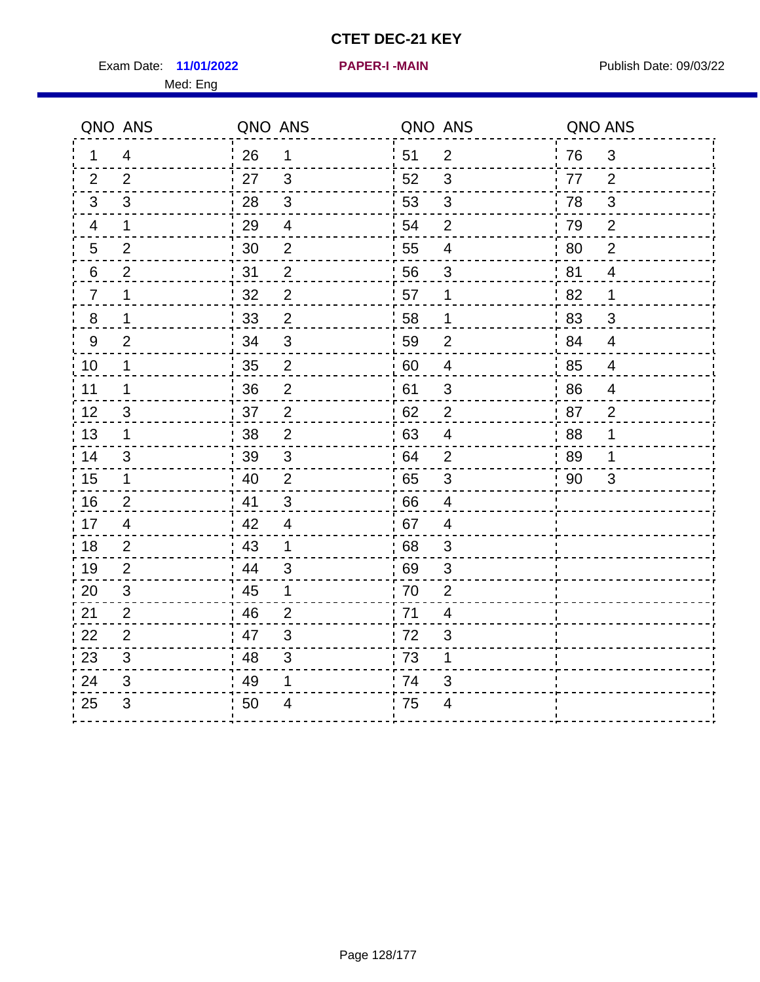Exam Date: 11/01/2022 **PAPER-I-MAIN Exam Date: 09/03/22** Med: Eng

**11/01/2022 PAPER-I -MAIN**

|                  | QNO ANS        | QNO ANS |                | QNO ANS |                          | QNO ANS |                |
|------------------|----------------|---------|----------------|---------|--------------------------|---------|----------------|
| 1                | $\overline{4}$ | 26      | $\mathbf 1$    | 51      | $\overline{2}$           | 76      | $\mathfrak{B}$ |
| 2                | 2              | 27      | 3              | 52      | 3                        | 77      | 2              |
| 3                | 3              | 28      | 3              | 53      | $\mathbf{3}$             | 78      | 3              |
| 4                | $\mathbf 1$    | 29      | $\overline{4}$ | 54      | $\overline{2}$           | 79      | 2              |
| 5                | $\overline{2}$ | 30      | $\mathbf{2}$   | 55      | $\overline{\mathcal{A}}$ | 80      | $\overline{2}$ |
| 6                | $\overline{2}$ | 31      | $\mathbf{2}$   | 56      | 3                        | 81      | $\overline{4}$ |
| $\overline{7}$   | 1              | 32      | $\overline{2}$ | 57      | 1                        | 82      | $\mathbf 1$    |
| 8                | 1              | 33      | $\overline{2}$ | 58      | $\mathbf 1$              | 83      | $\mathfrak{B}$ |
| $\boldsymbol{9}$ | $\overline{2}$ | 34      | 3              | 59      | $\overline{2}$           | 84      | $\overline{4}$ |
| 10               | 1              | 35      | $\overline{2}$ | 60      | $\overline{4}$           | 85      | $\overline{4}$ |
| 11               | 1              | 36      | $\overline{2}$ | 61      | $\sqrt{3}$               | 86      | 4              |
| 12               | $\mathfrak{S}$ | 37      | $\mathbf 2$    | 62      | $\mathbf{2}$             | 87      | $\overline{2}$ |
| 13               | 1              | 38      | $\overline{2}$ | 63      | $\overline{4}$           | 88      | 1              |
| 14               | 3              | 39      | 3              | 64      | $\overline{2}$           | 89      | 1              |
| 15               | $\mathbf 1$    | 40      | $\overline{2}$ | 65      | $\mathsf 3$              | 90      | 3              |
| 16               | $\overline{2}$ | 41      | 3              | 66      | 4                        |         |                |
| 17               | $\overline{4}$ | 42      | 4              | 67      | 4                        |         |                |
| 18               | $\overline{2}$ | 43      | $\mathbf 1$    | 68      | 3                        |         |                |
| 19               | $\overline{2}$ | 44      | 3              | 69      | 3                        |         |                |
| 20               | 3              | 45      | $\mathbf{1}$   | 70      | $\overline{2}$           |         |                |
| 21               | 2              | 46      | $\overline{2}$ | 71      | 4                        |         |                |
| 22               | $\overline{2}$ | 47      | 3              | 72      | 3                        |         |                |
| 23               | $\mathfrak{S}$ | 48      | 3              | 73      | 1                        |         |                |
| 24               | 3              | 49      | 1              | 74      | 3                        |         |                |
| 25               | $\mathfrak{B}$ | 50      | 4              | 75      | $\overline{4}$           |         |                |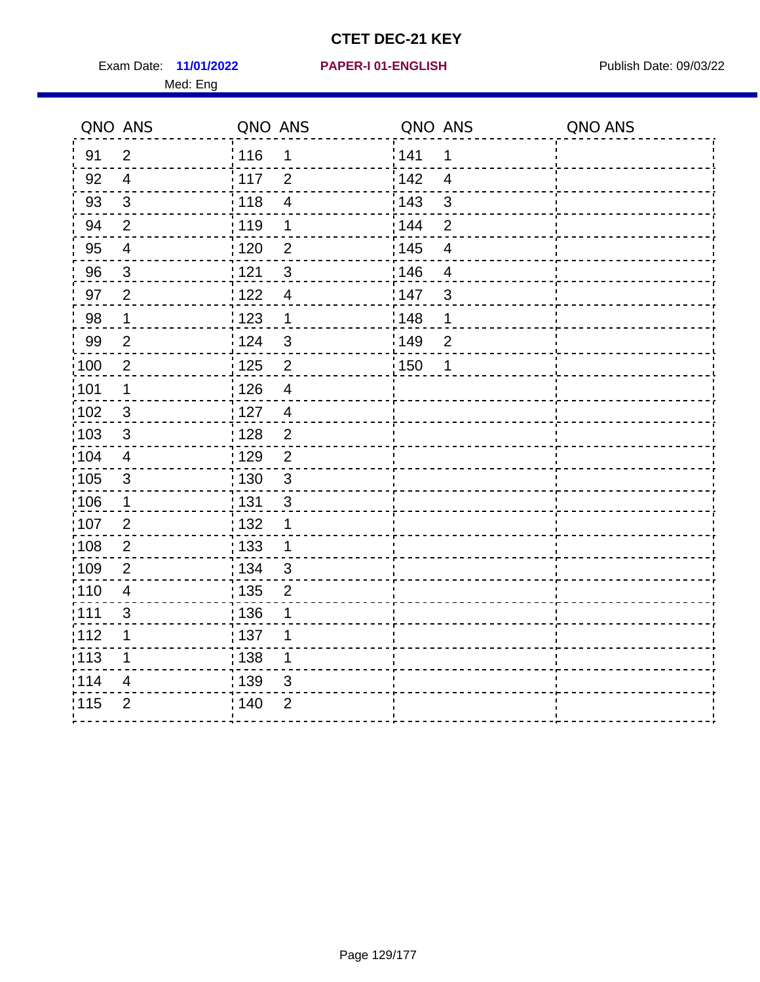Exam Date: 11/01/2022 **PAPER-I 01-ENGLISH Exam Date: 09/03/22** Med: Eng

## **11/01/2022 PAPER-I 01-ENGLISH**

|                   | QNO ANS          | QNO ANS           |                          | QNO ANS           |                          | QNO ANS |
|-------------------|------------------|-------------------|--------------------------|-------------------|--------------------------|---------|
| 91                | $\overline{2}$   | : 116             | 1                        | 141               | 1                        |         |
| 92                | $\overline{4}$   | 117               | $\overline{2}$           | 142               | $\overline{4}$           |         |
| 93                | $\sqrt{3}$       | 118               | $\overline{\mathbf{4}}$  | 143               | $\mathbf{3}$             |         |
| 94                | $\overline{2}$   | : 119             | 1                        | 144               | $\overline{2}$           |         |
| 95                | $\overline{4}$   | : 120             | $\overline{2}$           | 145               | $\overline{\mathcal{A}}$ |         |
| 96                | $\mathfrak{S}$   | 121               | $\mathfrak{S}$           | :146              | 4                        |         |
| 97                | $\overline{2}$   | 122               | $\overline{4}$           | 147               | $\sqrt{3}$               |         |
| 98                | $\mathbf{1}$     | 123               | $\mathbf 1$              | :148              | 1                        |         |
| 99                | $\overline{2}$   | 124               | $\mathbf{3}$             | 149               | $\mathbf 2$              |         |
| $\frac{1}{1}$ 100 | $\boldsymbol{2}$ | $\frac{1}{1}$ 125 | $\mathbf 2$              | $\frac{1}{1}$ 150 | 1                        |         |
| :101              | 1                | : 126             | $\overline{\mathcal{A}}$ |                   |                          |         |
| 102               | 3                | : 127             | $\overline{4}$           |                   |                          |         |
| :103              | 3                | : 128             | $\overline{2}$           |                   |                          |         |
| 104               | $\overline{4}$   | : 129             | $\overline{2}$           |                   |                          |         |
| 105               | $\sqrt{3}$       | 130               | $\mathfrak{S}$           |                   |                          |         |
| :106              | $\mathbf 1$      | : 131             | $\mathbf{3}$             |                   |                          |         |
| 107               | $\overline{2}$   | :132              | 1                        |                   |                          |         |
| 108               | $\overline{2}$   | 133               | $\mathbf{1}$             |                   |                          |         |
| :109              | $\overline{2}$   | : 134             | 3                        |                   |                          |         |
| :110              | $\overline{4}$   | : 135             | $\overline{2}$           |                   |                          |         |
| : 111             | $\sqrt{3}$       | : 136             | 1                        |                   |                          |         |
| 112               | 1                | $\frac{1}{1}$ 137 | 1                        |                   |                          |         |
| 113               | 1                | : 138             | 1                        |                   |                          |         |
| :114              | 4                | : 139             | 3                        |                   |                          |         |
| 115               | $\overline{2}$   | 140               | $\overline{2}$           |                   |                          |         |
|                   |                  |                   |                          |                   |                          |         |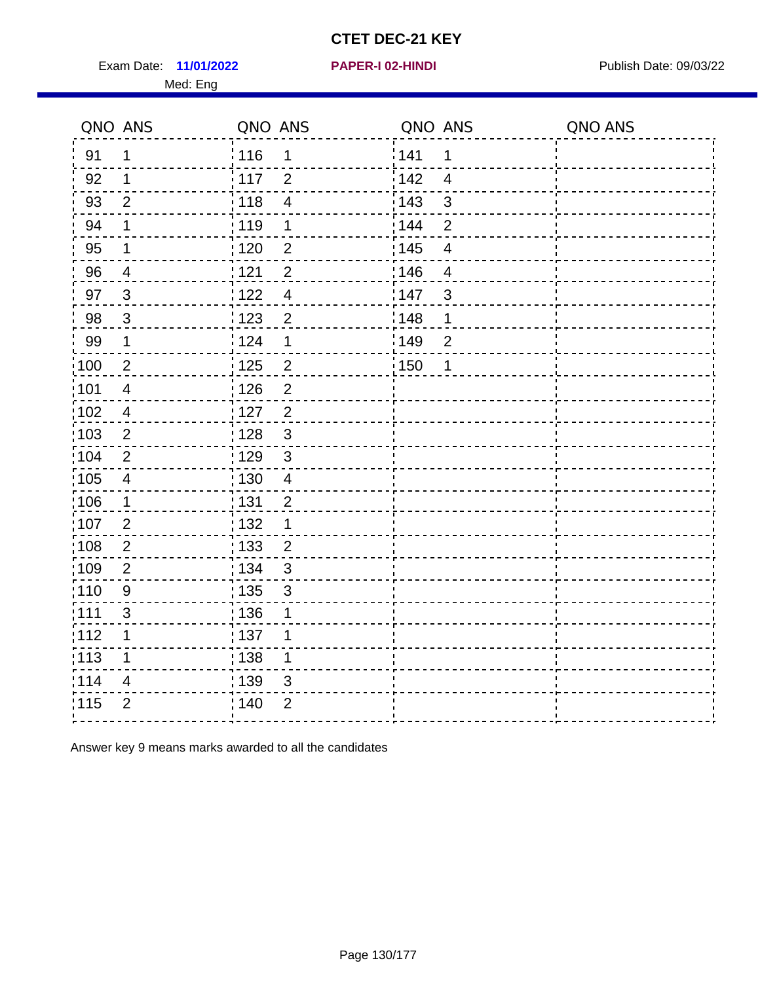Exam Date: 11/01/2022 **PAPER-I 02-HINDI Exam Date: 09/03/22** Med: Eng

#### **11/01/2022 PAPER-I 02-HINDI**

|                  |         |                                                                                                                                                                                                        |         |                                                            | QNO ANS |
|------------------|---------|--------------------------------------------------------------------------------------------------------------------------------------------------------------------------------------------------------|---------|------------------------------------------------------------|---------|
| 1                |         | 1                                                                                                                                                                                                      |         | 1                                                          |         |
| 1                |         | $\overline{2}$                                                                                                                                                                                         | 142     | $\overline{4}$                                             |         |
| $\overline{2}$   |         | $\overline{4}$                                                                                                                                                                                         | 143     | 3                                                          |         |
| 1                |         | 1                                                                                                                                                                                                      |         | $\overline{2}$                                             |         |
| $\mathbf 1$      |         | $\overline{2}$                                                                                                                                                                                         |         | $\overline{4}$                                             |         |
| $\overline{4}$   |         | $\overline{2}$                                                                                                                                                                                         |         | $\overline{4}$                                             |         |
| 3                |         | $\overline{4}$                                                                                                                                                                                         |         | 3                                                          |         |
| 3                |         | $\overline{2}$                                                                                                                                                                                         |         | 1                                                          |         |
| $\mathbf 1$      |         | 1                                                                                                                                                                                                      |         | $\overline{2}$                                             |         |
| $\overline{2}$   | 125     | $\overline{c}$                                                                                                                                                                                         |         | 1                                                          |         |
| $\overline{4}$   | 126     | $\overline{2}$                                                                                                                                                                                         |         |                                                            |         |
| $\overline{4}$   | 127     | $\overline{2}$                                                                                                                                                                                         |         |                                                            |         |
| $\overline{2}$   |         | $\mathfrak{S}$                                                                                                                                                                                         |         |                                                            |         |
| $\overline{2}$   |         | $\mathbf{3}$                                                                                                                                                                                           |         |                                                            |         |
| $\overline{4}$   |         | $\overline{4}$                                                                                                                                                                                         |         |                                                            |         |
| 1                |         | $\overline{2}$                                                                                                                                                                                         |         |                                                            |         |
| $\overline{2}$   |         | 1                                                                                                                                                                                                      |         |                                                            |         |
| $\overline{2}$   |         | $\overline{2}$                                                                                                                                                                                         |         |                                                            |         |
| $\overline{2}$   |         | $\mathbf{3}$                                                                                                                                                                                           |         |                                                            |         |
| $\boldsymbol{9}$ |         | $\mathfrak{S}$                                                                                                                                                                                         |         |                                                            |         |
| 3                |         | 1                                                                                                                                                                                                      |         |                                                            |         |
| 1                |         | 1                                                                                                                                                                                                      |         |                                                            |         |
| 1                |         | $\mathbf 1$                                                                                                                                                                                            |         |                                                            |         |
| 4                |         | $\mathfrak{S}$                                                                                                                                                                                         |         |                                                            |         |
| $\overline{2}$   |         | $\overline{2}$                                                                                                                                                                                         |         |                                                            |         |
|                  | QNO ANS | ່ 116<br>$\frac{1}{117}$<br>: 118<br>: 119<br>: 120<br>121<br>122<br>¦ 123<br>i 124<br>: 128<br>: 129<br>: 130<br>: 131<br>: 132<br>: 133<br>: 134<br>: 135<br>: 136<br>137<br>: 138<br>: 139<br>; 140 | QNO ANS | 141<br>: 144<br>: 145<br>146<br>147<br>148<br>149<br>: 150 | QNO ANS |

Answer key 9 means marks awarded to all the candidates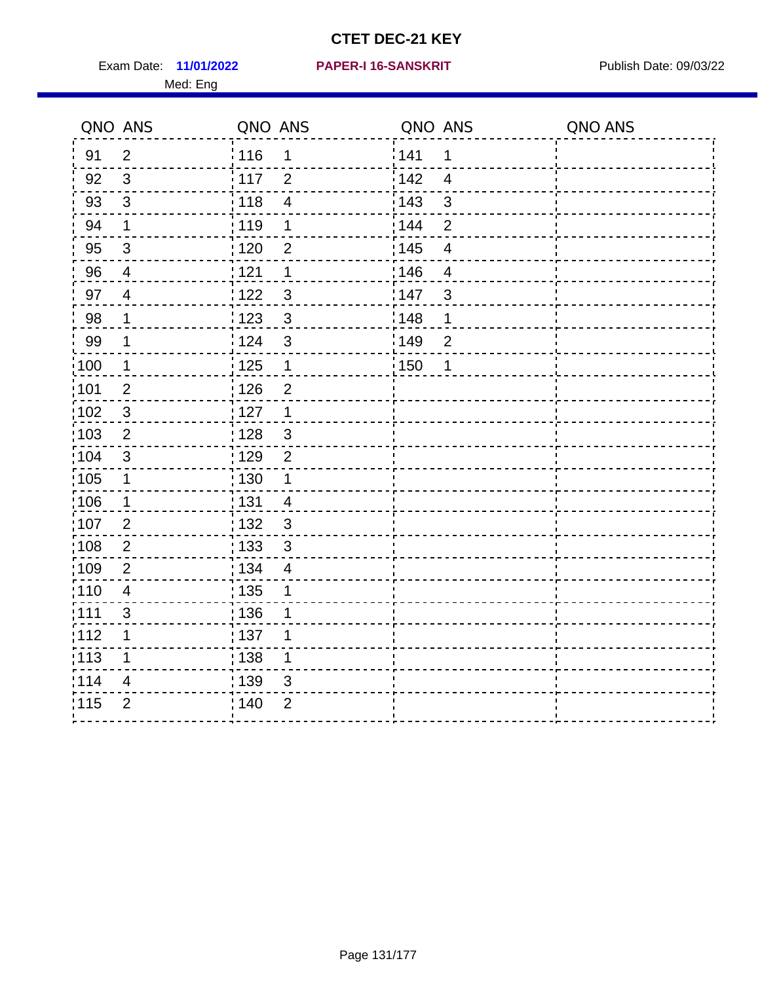Exam Date: 11/01/2022 PAPER-I 16-SANSKRIT Publish Date: 09/03/22 Med: Eng

#### **11/01/2022 PAPER-I 16-SANSKRIT**

|                   | QNO ANS                 | QNO ANS |                          | QNO ANS           |                         | QNO ANS |
|-------------------|-------------------------|---------|--------------------------|-------------------|-------------------------|---------|
| 91                | $\overline{2}$          | : 116   | 1                        | 141               | 1                       |         |
| 92                | $\mathbf{3}$            | 117     | $\overline{2}$           | 142               | $\overline{4}$          |         |
| 93                | $\mathsf 3$             | 118     | $\overline{\mathcal{A}}$ | 143               | 3                       |         |
| 94                | $\mathbf 1$             | :119    | 1                        | 144               | $\overline{2}$          |         |
| 95                | $\sqrt{3}$              | : 120   | $\overline{2}$           | : 145             | $\overline{\mathbf{4}}$ |         |
| 96                | 4                       | 1121    | 1                        | 146               | $\overline{4}$          |         |
| 97                | $\overline{4}$          | 122     | $\mathfrak{S}$           | 147               | $\mathfrak{S}$          |         |
| 98                | $\mathbf 1$             | 123     | $\mathbf{3}$             | 148               | 1                       |         |
| 99                | $\mathbf 1$             | 124     | $\mathfrak{S}$           | 149               | $\overline{c}$          |         |
| 100               | $\mathbf 1$             | 125     | $\mathbf{1}$             | $\frac{1}{1}$ 150 | 1                       |         |
| 101               | $\overline{2}$          | : 126   | $\overline{2}$           |                   |                         |         |
| :102              | $\sqrt{3}$              | : 127   | $\overline{1}$           |                   |                         |         |
| 103               | 2                       | : 128   | $\mathbf{3}$             |                   |                         |         |
| 104               | 3                       | : 129   | $\overline{2}$           |                   |                         |         |
| 105               | $\mathbf 1$             | 130     | $\mathbf{1}$             |                   |                         |         |
| :106              | $\mathbf 1$             | : 131   | $\overline{4}$           |                   |                         |         |
| 107               | $\overline{2}$          | : 132   | 3                        |                   |                         |         |
| 108               | $\overline{c}$          | : 133   | $\mathbf{3}$             |                   |                         |         |
| :109              | $\overline{2}$          | : 134   | $\overline{4}$           |                   |                         |         |
| : 110             | $\overline{\mathbf{4}}$ | 135     | 1                        |                   |                         |         |
| 1111              | $\mathfrak{S}$          | : 136   | 1                        |                   |                         |         |
| 112               | 1                       | : 137   | 1                        |                   |                         |         |
| $\frac{1}{1}$ 113 | $\mathbf 1$             | : 138   | 1                        |                   |                         |         |
| 114               | 4                       | 139     | 3                        |                   |                         |         |
| 115               | $\overline{2}$          | 140     | $\overline{2}$           |                   |                         |         |
|                   |                         |         |                          |                   |                         |         |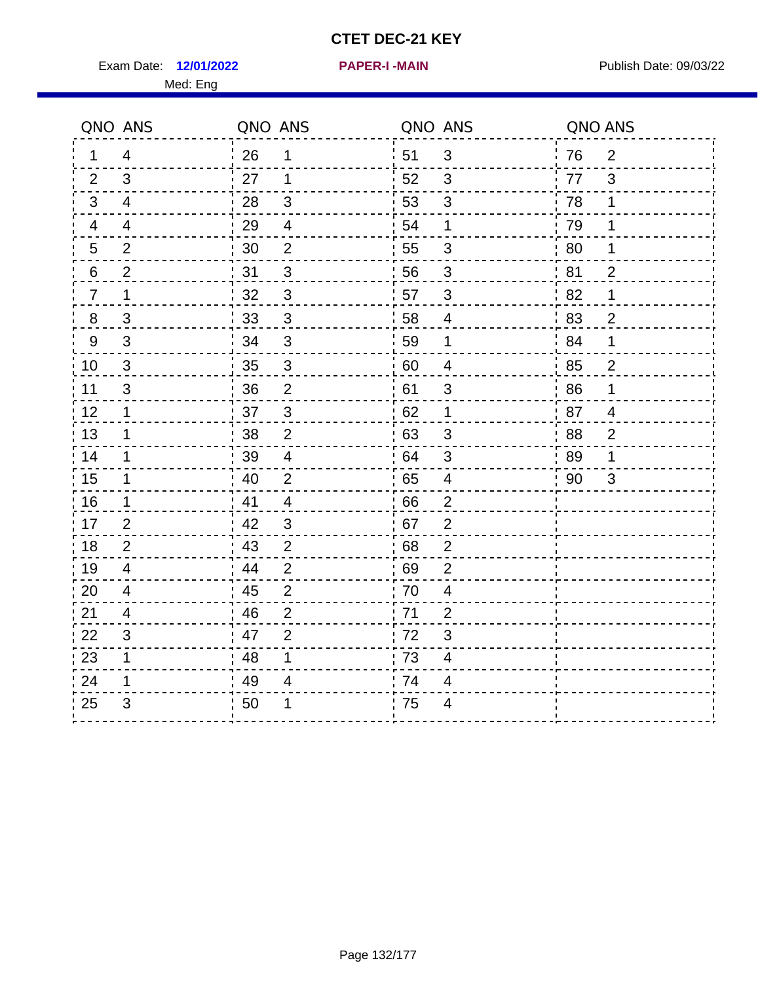Exam Date: 12/01/2022 **PAPER-I-MAIN Exam Date: 09/03/22** 

**12/01/2022 PAPER-I -MAIN**

Med: Eng

|                | QNO ANS        | QNO ANS        |                | QNO ANS |                          | QNO ANS |                |
|----------------|----------------|----------------|----------------|---------|--------------------------|---------|----------------|
| 1              | $\overline{4}$ | $\frac{1}{26}$ | $\mathbf 1$    | 51      | $\sqrt{3}$               | 76      | $\overline{2}$ |
| 2              | 3              | 27             | $\mathbf{1}$   | 52      | $\sqrt{3}$               | 77      | 3              |
| 3              | 4              | 28             | $\sqrt{3}$     | 53      | $\mathfrak{S}$           | 78      | 1              |
| 4              | 4              | 29             | $\overline{4}$ | 54      | 1                        | 79      | 1              |
| 5              | $\overline{2}$ | 30             | 2              | 55      | 3                        | 80      | 1              |
| 6              | 2              | 31             | 3              | 56      | 3                        | 81      | $\overline{2}$ |
| $\overline{7}$ | $\mathbf 1$    | 32             | 3              | 57      | $\mathfrak{S}$           | 82      | $\mathbf 1$    |
| $\, 8$         | $\sqrt{3}$     | 33             | $\mathsf 3$    | 58      | $\overline{4}$           | 83      | $\overline{c}$ |
| $9\,$          | $\mathfrak{S}$ | 34             | $\sqrt{3}$     | 59      | 1                        | 84      | $\mathbf 1$    |
| 10             | $\mathfrak{S}$ | 35             | $\mathfrak{S}$ | 60      | $\overline{4}$           | 85      | $\overline{c}$ |
| 11             | 3              | 36             | $\mathbf 2$    | 61      | $\mathsf 3$              | 86      | $\mathbf 1$    |
| 12             | $\mathbf 1$    | 37             | 3              | 62      | 1                        | 87      | 4              |
| 13             | $\mathbf 1$    | 38             | 2              | 63      | $\mathfrak{B}$           | 88      | $\overline{2}$ |
| 14             | $\mathbf 1$    | 39             | $\overline{4}$ | 64      | $\mathbf{3}$             | 89      | 1              |
| 15             | $\mathbf 1$    | 40             | $\mathbf{2}$   | 65      | $\overline{4}$           | 90      | 3              |
| 16             | $\mathbf 1$    | 41             | $\overline{4}$ | 66      | 2                        |         |                |
| 17             | 2              | 42             | 3              | 67      | $\overline{2}$           |         |                |
| 18             | $\overline{2}$ | 43             | $\overline{2}$ | 68      | $\boldsymbol{2}$         |         |                |
| 19             | 4              | 44             | $\overline{2}$ | 69      | $\overline{2}$           |         |                |
| 20             | 4              | 45             | 2              | 70      | 4                        |         |                |
| 21             | 4              | 46             | $\overline{2}$ | 71      | $\overline{2}$           |         |                |
| 22             | 3              | 47             | $\overline{2}$ | 72      | $\mathfrak{S}$           |         |                |
| 23             | 1              | 48             | 1              | 73      | $\overline{\mathcal{A}}$ |         |                |
| 24             | 1              | 49             | 4              | 74      | 4                        |         |                |
| 25             | 3              | 50             | 1              | 75      | 4                        |         |                |
|                |                |                |                |         |                          |         |                |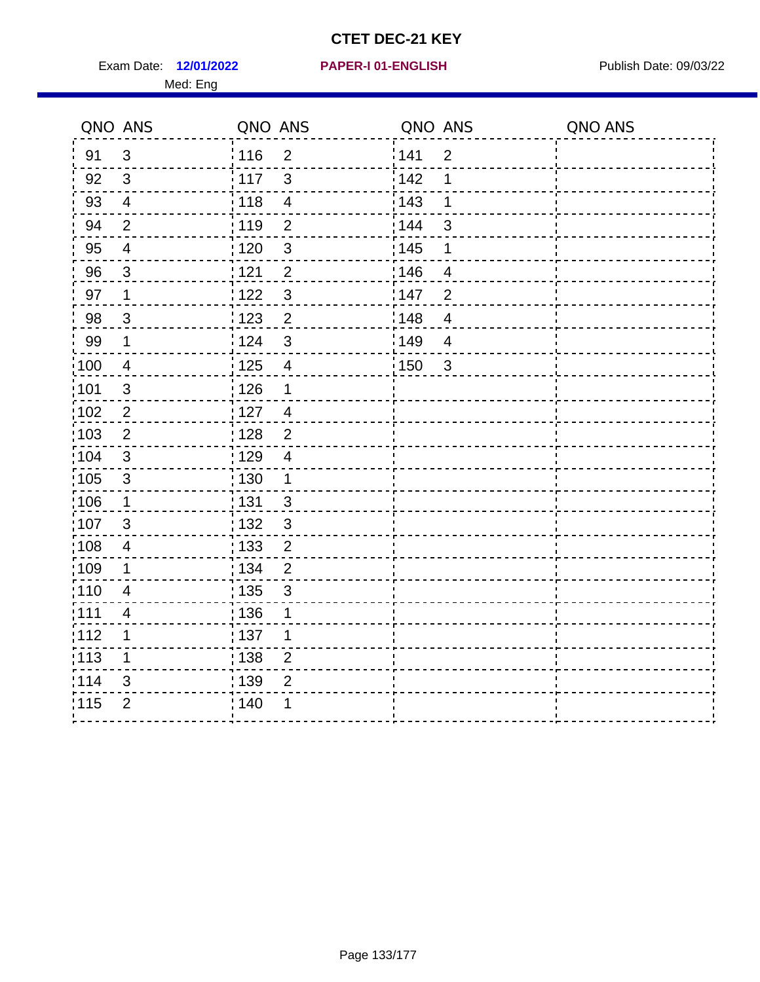Exam Date: 12/01/2022 **PAPER-I 01-ENGLISH Exam Date: 09/03/22** Med: Eng

## **12/01/2022 PAPER-I 01-ENGLISH**

|      | QNO ANS                 | QNO ANS           |                         | QNO ANS |                         | QNO ANS |
|------|-------------------------|-------------------|-------------------------|---------|-------------------------|---------|
| 91   | $\mathbf{3}$            | 116               | $\overline{2}$          | 141     | $\overline{2}$          |         |
| 92   | $\mathbf{3}$            | 117               | $\mathfrak{S}$          | 142     | 1                       |         |
| 93   | $\overline{4}$          | 118               | $\overline{\mathbf{4}}$ | 143     | 1                       |         |
| 94   | $\overline{2}$          | : 119             | $\overline{2}$          | : 144   | 3                       |         |
| 95   | $\overline{\mathbf{4}}$ | : 120             | $\sqrt{3}$              | : 145   | 1                       |         |
| 96   | 3                       | 121               | $\overline{2}$          | 146     | 4                       |         |
| 97   | $\mathbf 1$             | 122               | $\mathbf{3}$            | 147     | $\overline{2}$          |         |
| 98   | $\mathbf{3}$            | $\frac{1}{2}$ 123 | $\overline{2}$          | 148     | $\overline{\mathbf{4}}$ |         |
| 99   | $\mathbf 1$             | 124               | $\mathfrak{S}$          | :149    | $\overline{4}$          |         |
| 100  | $\overline{4}$          | $\frac{1}{1}$ 125 | $\overline{4}$          | 150     | $\mathbf{3}$            |         |
| :101 | $\sqrt{3}$              | : 126             | 1                       |         |                         |         |
| 102  | $\overline{2}$          | : 127             | $\overline{4}$          |         |                         |         |
| 103  | $\overline{2}$          | : 128             | $\overline{2}$          |         |                         |         |
| :104 | $\mathbf{3}$            | $\frac{1}{1}$ 129 | $\overline{4}$          |         |                         |         |
| 105  | $\mathsf 3$             | 130               | $\mathbf{1}$            |         |                         |         |
| :106 | $\mathbf{1}$            | : 131             | $\mathbf{3}$            |         |                         |         |
| 107  | $\mathfrak{B}$          | 132               | $\mathbf{3}$            |         |                         |         |
| 108  | $\overline{4}$          | : 133             | $\overline{2}$          |         |                         |         |
| :109 | 1                       | : 134             | $\overline{2}$          |         |                         |         |
| :110 | $\overline{4}$          | : 135             | 3                       |         |                         |         |
| :111 | 4                       | : 136             | 1                       |         |                         |         |
| 112  | 1                       | : 137             | 1                       |         |                         |         |
| 113  | 1                       | : 138             | $\overline{c}$          |         |                         |         |
| 114  | 3                       | 139               | $\overline{2}$          |         |                         |         |
| 115  | $\overline{2}$          | 140               | 1                       |         |                         |         |
|      |                         |                   |                         |         |                         |         |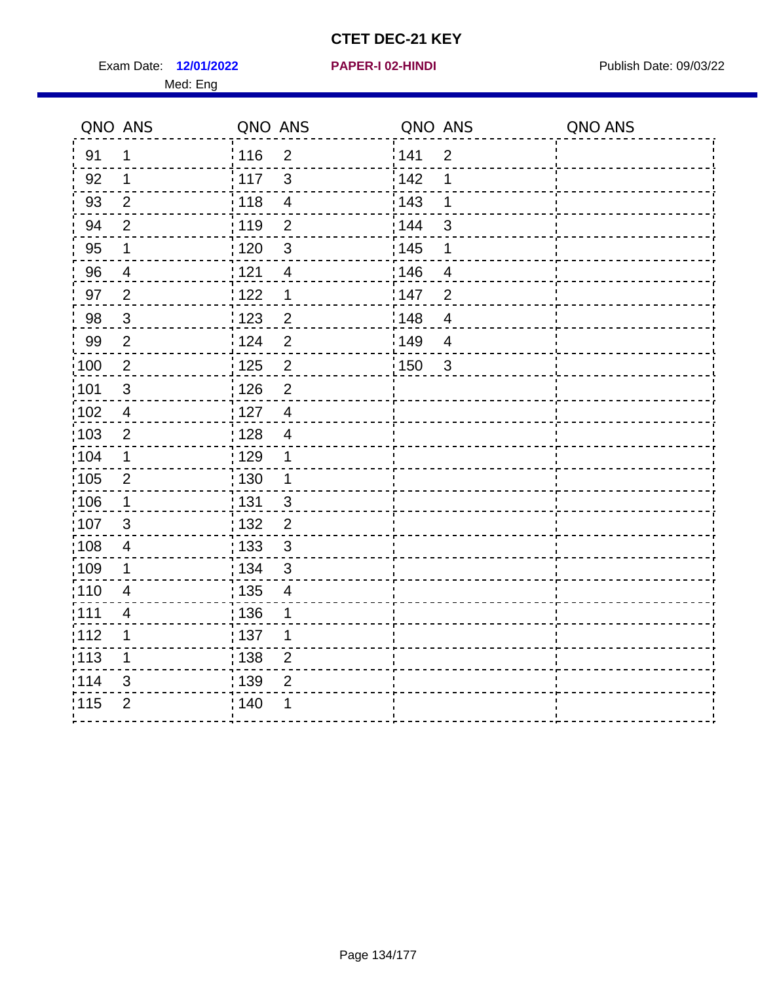Exam Date: 12/01/2022 **PAPER-I 02-HINDI Exam Date: 09/03/22** Med: Eng

| QNO ANS           |                | QNO ANS                             | QNO ANS               | QNO ANS |
|-------------------|----------------|-------------------------------------|-----------------------|---------|
| 91                | 1              | : 116<br>$\overline{2}$             | 141<br>$\overline{2}$ |         |
| 92                | 1              | 117<br>3                            | 142<br>1              |         |
| 93                | $\overline{2}$ | 118<br>$\overline{\mathbf{4}}$      | 143<br>1              |         |
| 94                | $\overline{2}$ | 119<br>$\overline{2}$               | 144<br>$\mathfrak{S}$ |         |
| 95                | $\mathbf 1$    | :120<br>$\mathfrak{S}$              | : 145<br>1            |         |
| 96                | $\overline{4}$ | 121<br>$\overline{4}$               | 146<br>4              |         |
| 97                | $\overline{2}$ | 122<br>$\mathbf 1$                  | 147<br>$\overline{2}$ |         |
| 98                | $\mathbf{3}$   | 123<br>$\overline{2}$               | 148<br>$\overline{4}$ |         |
| 99                | $\overline{2}$ | 124<br>$\overline{2}$               | 149<br>$\overline{4}$ |         |
| $\frac{1}{2}100$  | $\overline{2}$ | $\mathbf 2$<br>125                  | 150<br>$\mathbf{3}$   |         |
| 101               | $\sqrt{3}$     | : 126<br>$\overline{2}$             |                       |         |
| 102               | $\overline{4}$ | : 127<br>$\overline{4}$             |                       |         |
| 103               | $\overline{2}$ | : 128<br>$\overline{4}$             |                       |         |
| 104               | 1              | : 129<br>1                          |                       |         |
| 105               | $\overline{2}$ | : 130<br>$\mathbf 1$                |                       |         |
| $\frac{1}{1}$ 106 | $\mathbf 1$    | $\frac{1}{1}$ 131<br>$\mathfrak{S}$ |                       |         |
| 107               | $\mathfrak{S}$ | : 132<br>$\overline{2}$             |                       |         |
| 108               | 4              | : 133<br>3                          |                       |         |
| :109              | $\mathbf 1$    | : 134<br>3                          |                       |         |
| 110               | $\overline{4}$ | : 135<br>$\overline{4}$             |                       |         |
| :111              | $\overline{4}$ | : 136<br>1                          |                       |         |
| :112              | 1              | :137<br>1                           |                       |         |
| :113              | 1              | : 138<br>$\overline{2}$             |                       |         |
| 114               | 3              | : 139<br>$\overline{2}$             |                       |         |
| 115               | $\overline{2}$ | ; 140<br>1                          |                       |         |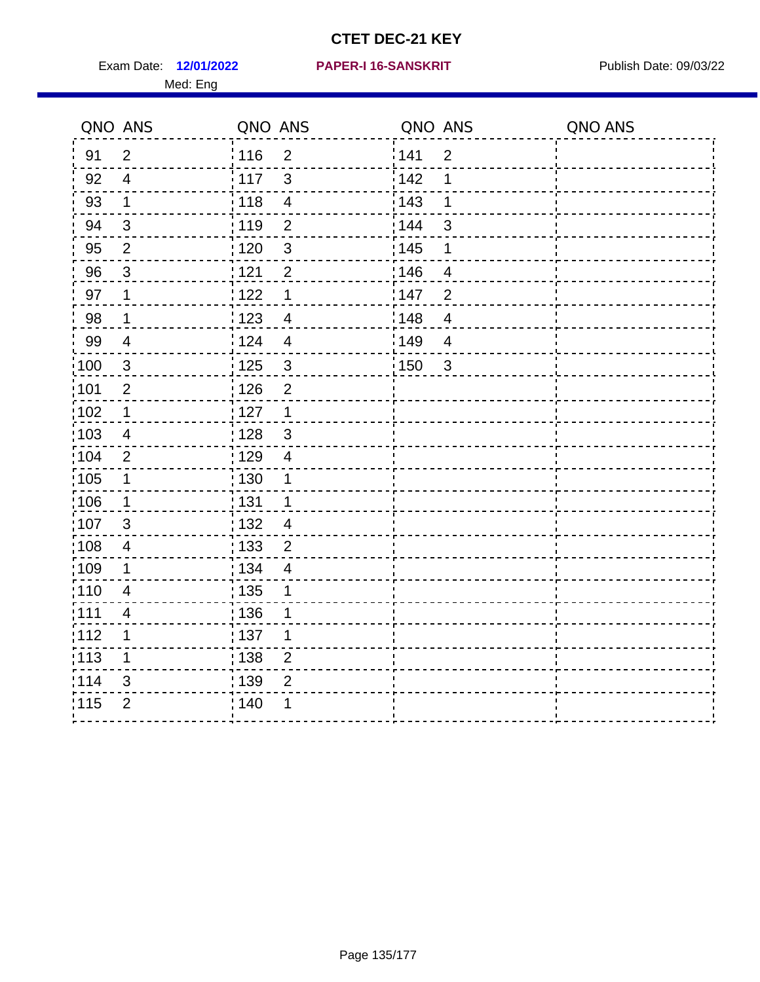Exam Date: 12/01/2022 PAPER-I 16-SANSKRIT Publish Date: 09/03/22 Med: Eng

#### **12/01/2022 PAPER-I 16-SANSKRIT**

| QNO ANS           |                | QNO ANS                             | QNO ANS           |                | QNO ANS |
|-------------------|----------------|-------------------------------------|-------------------|----------------|---------|
| 91                | 2              | $\frac{1}{116}$<br>$\overline{2}$   | 141               | $\overline{2}$ |         |
| 92                | $\overline{4}$ | $\mathbf{3}$<br>117                 | 142               | 1              |         |
| 93                | $\mathbf 1$    | 118<br>$\overline{\mathbf{4}}$      | 143               | 1              |         |
| 94                | $\mathbf{3}$   | : 119<br>$\overline{2}$             | : 144             | 3              |         |
| 95                | $\overline{2}$ | : 120<br>$\mathbf{3}$               | : 145             | 1              |         |
| 96                | $\mathbf{3}$   | 1121<br>$\overline{2}$              | 146               | $\overline{4}$ |         |
| 97                | $\mathbf 1$    | 122<br>$\mathbf 1$                  | 147               | $\overline{2}$ |         |
| 98                | $\mathbf{1}$   | $\frac{1}{2}$ 123<br>$\overline{4}$ | 148               | $\overline{4}$ |         |
| 99                | $\overline{4}$ | 124<br>$\overline{4}$               | 149               | $\overline{4}$ |         |
| $\frac{1}{1}$ 100 | $\sqrt{3}$     | $\frac{1}{1}$ 125<br>$\sqrt{3}$     | $\frac{1}{1}$ 150 | $\mathbf{3}$   |         |
| :101              | $\overline{2}$ | 126<br>$\overline{2}$               |                   |                |         |
| $\frac{1}{1}$ 102 | $\mathbf 1$    | 127<br>$\mathbf{1}$                 |                   |                |         |
| 103               | 4              | $\mathbf{3}$<br>: 128               |                   |                |         |
| 104               | $\overline{2}$ | 129<br>$\overline{4}$               |                   |                |         |
| :105              | $\mathbf{1}$   | $\frac{1}{1}$ 130<br>1              |                   |                |         |
| :106              | $\mathbf{1}$   | : 131<br>$\mathbf 1$                |                   |                |         |
| 107               | $\mathbf{3}$   | :132<br>$\overline{4}$              |                   |                |         |
| 108               | $\overline{4}$ | $\overline{2}$<br>: 133             |                   |                |         |
| :109              | $\mathbf 1$    | : 134<br>$\overline{4}$             |                   |                |         |
| :110              | $\overline{4}$ | 135<br>1                            |                   |                |         |
| 1111              | 4              | 136<br>1                            |                   |                |         |
| 112               | 1              | $\frac{1}{1}$ 137<br>1              |                   |                |         |
| 113               | 1              | $\frac{1}{1}$ 138<br>$\overline{2}$ |                   |                |         |
| 114               | 3              | : 139<br>$\overline{2}$             |                   |                |         |
| 115               | $\overline{2}$ | 140<br>1                            |                   |                |         |
|                   |                |                                     |                   |                |         |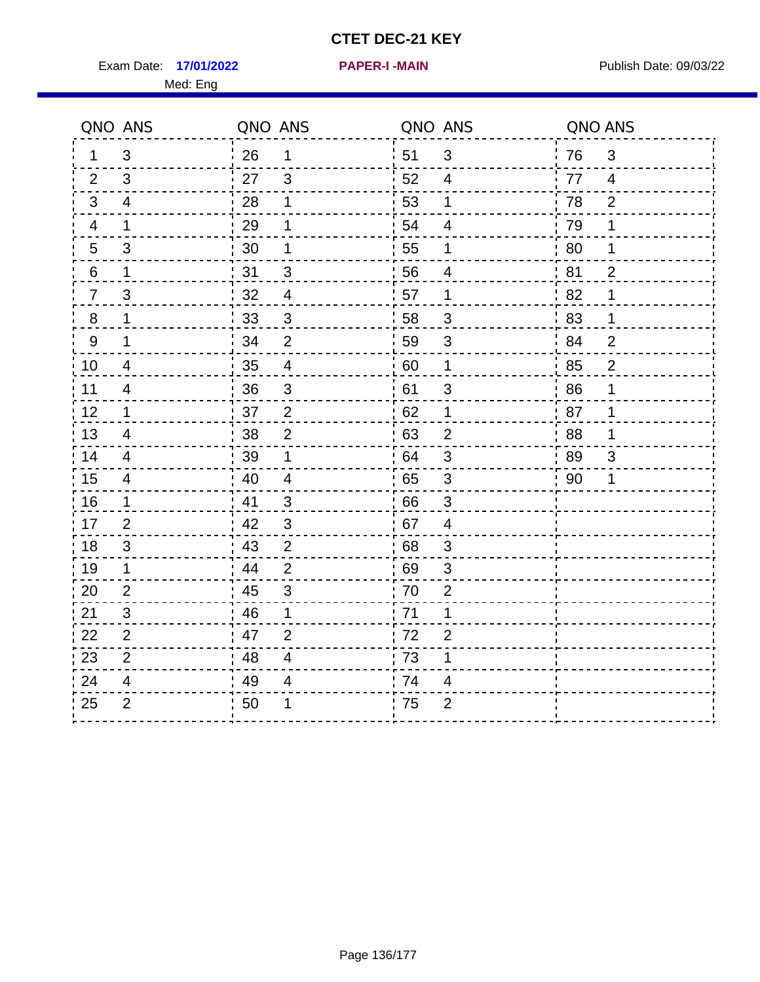Exam Date: 17/01/2022 **PAPER-I-MAIN Exam Date: 09/03/22** Med: Eng

**17/01/2022 PAPER-I -MAIN**

|                | QNO ANS        | QNO ANS |                          | QNO ANS |                | QNO ANS |                |
|----------------|----------------|---------|--------------------------|---------|----------------|---------|----------------|
| 1              | 3              | 26      | $\mathbf 1$              | 51      | 3              | 76      | 3              |
| 2              | 3              | 27      | 3                        | 52      | 4              | 77      | $\overline{4}$ |
| 3              | $\overline{4}$ | 28      | 1                        | 53      | 1              | 78      | $\overline{2}$ |
| 4              | 1              | 29      | 1                        | 54      | $\overline{4}$ | 79      | 1              |
| 5              | 3              | 30      | 1                        | 55      | 1              | 80      | 1              |
| 6              | 1              | 31      | 3                        | 56      | 4              | 81      | $\overline{2}$ |
| $\overline{7}$ | 3              | 32      | $\overline{4}$           | 57      | $\mathbf 1$    | 82      | 1              |
| 8              | 1              | 33      | 3                        | 58      | 3              | 83      | $\mathbf 1$    |
| 9              | 1              | 34      | $\overline{2}$           | 59      | 3              | 84      | $\overline{2}$ |
| 10             | 4              | 35      | $\overline{\mathcal{A}}$ | 60      | $\mathbf{1}$   | 85      | $\overline{2}$ |
| 11             | $\overline{4}$ | 36      | $\sqrt{3}$               | 61      | 3              | 86      | 1              |
| 12             | 1              | 37      | $\mathbf 2$              | 62      | $\mathbf 1$    | 87      | 1              |
| 13             | 4              | 38      | $\overline{2}$           | 63      | $\overline{2}$ | 88      | 1              |
| 14             | 4              | 39      | 1                        | 64      | 3              | 89      | 3              |
| 15             | $\overline{4}$ | 40      | $\overline{\mathbf{4}}$  | 65      | 3              | 90      | 1              |
| 16             | $\mathbf 1$    | 41      | $\sqrt{3}$               | 66      | 3              |         |                |
| 17             | $\overline{2}$ | 42      | 3                        | 67      | 4              |         |                |
| 18             | 3              | 43      | $\overline{2}$           | 68      | 3              |         |                |
| 19             | $\mathbf 1$    | 44      | $\overline{2}$           | 69      | $\sqrt{3}$     |         |                |
| 20             | $\overline{2}$ | 45      | $\sqrt{3}$               | 70      | $\overline{2}$ |         |                |
| 21             | 3              | 46      | 1                        | 71      | 1              |         |                |
| 22             | 2              | 47      | 2                        | 72      | $\overline{2}$ |         |                |
| 23             | 2              | 48      | $\overline{4}$           | 73      | 1              |         |                |
| 24             | 4              | 49      | 4                        | 74      | 4              |         |                |
| 25             | $\overline{2}$ | 50      | 1                        | 75      | $\overline{2}$ |         |                |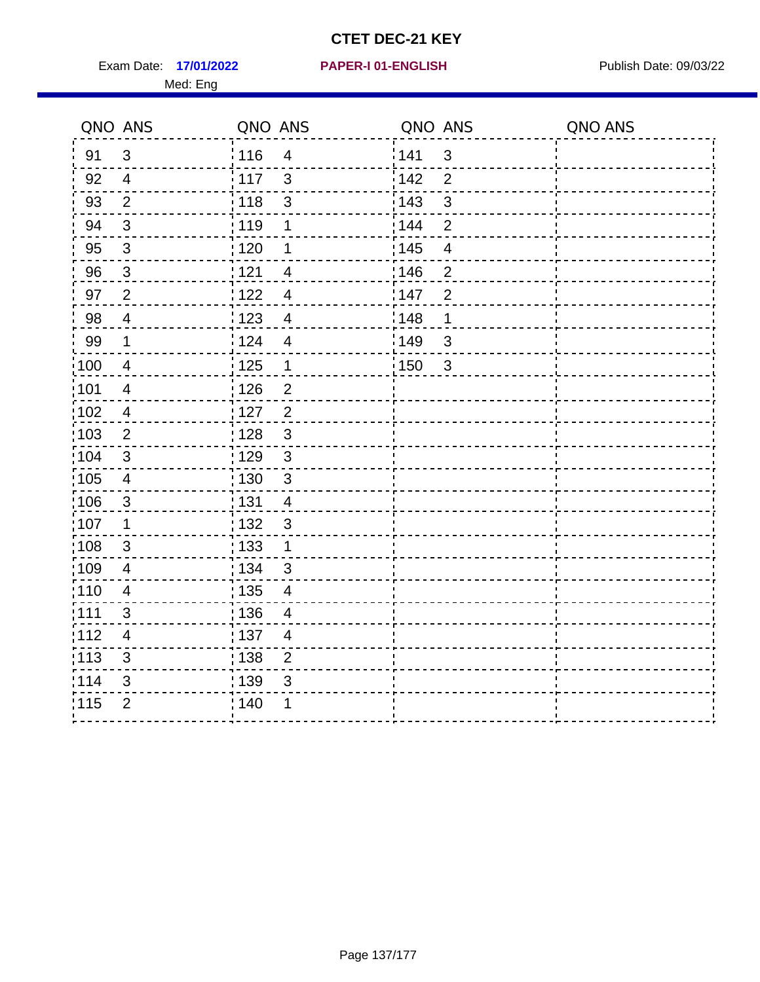Exam Date: 17/01/2022 **PAPER-I 01-ENGLISH Exam Date: 09/03/22** Med: Eng

## **17/01/2022 PAPER-I 01-ENGLISH**

|       | QNO ANS                  | QNO ANS           |                          | QNO ANS |                         | QNO ANS |
|-------|--------------------------|-------------------|--------------------------|---------|-------------------------|---------|
| 91    | $\mathbf{3}$             | 116               | $\overline{4}$           | 141     | $\mathbf{3}$            |         |
| 92    | $\overline{4}$           | 117               | $\mathbf{3}$             | 142     | $\overline{2}$          |         |
| 93    | $\overline{2}$           | 118               | $\sqrt{3}$               | 143     | $\mathfrak{S}$          |         |
| 94    | 3                        | : 119             | 1                        | 144     | $\overline{2}$          |         |
| 95    | $\mathfrak{S}$           | : 120             | 1                        | : 145   | $\overline{\mathbf{4}}$ |         |
| 96    | $\mathfrak{S}$           | 121               | 4                        | 146     | $\overline{2}$          |         |
| 97    | $\overline{2}$           | 122               | 4                        | 147     | $\overline{2}$          |         |
| 98    | $\overline{4}$           | $\frac{1}{2}$ 123 | $\overline{4}$           | : 148   | 1                       |         |
| 99    | $\mathbf 1$              | 124               | $\overline{\mathbf{4}}$  | 149     | $\mathfrak{S}$          |         |
| 100   | $\overline{4}$           | $\frac{1}{1}$ 125 | $\mathbf 1$              | 150     | $\mathbf{3}$            |         |
| :101  | $\overline{\mathcal{A}}$ | : 126             | $\overline{2}$           |         |                         |         |
| 102   | $\overline{4}$           | : 127             | $\overline{2}$           |         |                         |         |
| 103   | $\overline{2}$           | : 128             | $\mathbf{3}$             |         |                         |         |
| :104  | $\mathbf{3}$             | 129               | $\mathfrak{3}$           |         |                         |         |
| 105   | $\overline{\mathbf{4}}$  | : 130             | $\mathfrak{S}$           |         |                         |         |
| :106  | $\mathfrak{S}$           | : 131             | 4                        |         |                         |         |
| ;107  | $\mathbf{1}$             | : 132             | $\mathbf{3}$             |         |                         |         |
| 108   | $\sqrt{3}$               | : 133             | $\mathbf{1}$             |         |                         |         |
| :109  | $\overline{4}$           | : 134             | $\mathbf{3}$             |         |                         |         |
| :110  | $\overline{4}$           | : 135             | $\overline{\mathcal{A}}$ |         |                         |         |
| : 111 | 3                        | 136               | $\overline{4}$           |         |                         |         |
| 112   | $\overline{4}$           | : 137             | $\overline{4}$           |         |                         |         |
| 113   | $\mathbf{3}$             | : 138             | $\overline{c}$           |         |                         |         |
| 114   | 3                        | 139               | 3                        |         |                         |         |
| 115   | $\overline{2}$           | 140               | 1                        |         |                         |         |
|       |                          |                   |                          |         |                         |         |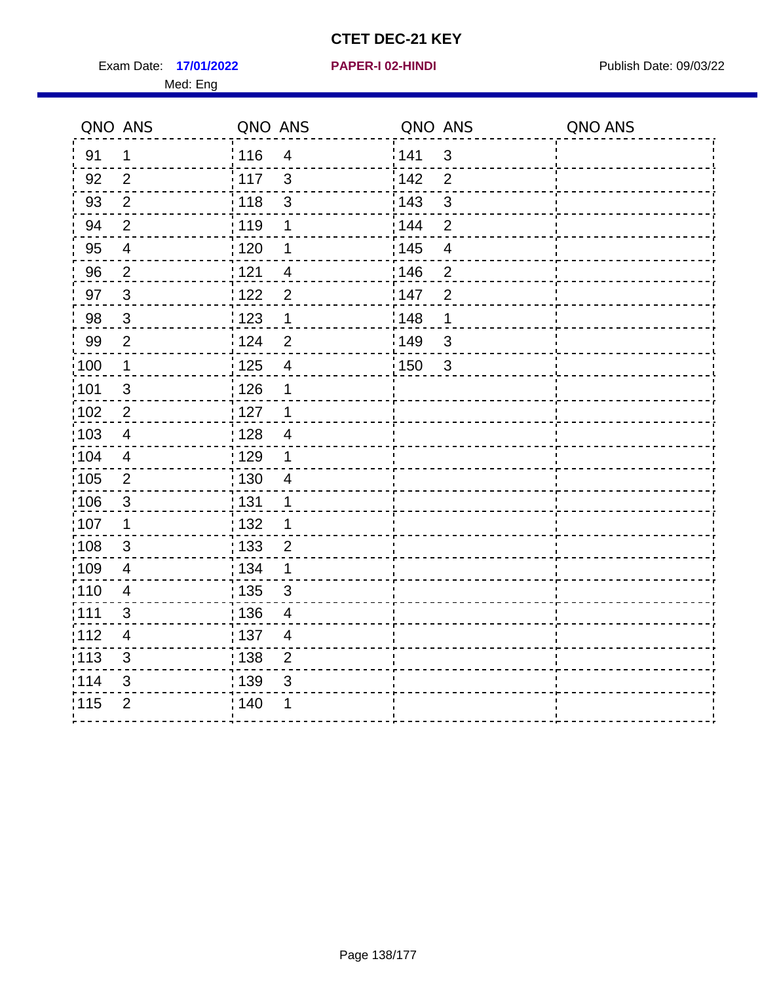Exam Date: 17/01/2022 **PAPER-I 02-HINDI Exam Date: 09/03/22** Med: Eng

| QNO ANS           |                          | QNO ANS           |                         | QNO ANS           |                           | QNO ANS |
|-------------------|--------------------------|-------------------|-------------------------|-------------------|---------------------------|---------|
| 91                | $\mathbf 1$              | 116               | $\overline{4}$          | 141               | $\mathfrak{S}$            |         |
| 92                | 2                        | 117               | 3                       | 142               | $\overline{2}$            |         |
| 93                | $\overline{2}$           | 118               | $\sqrt{3}$              | $\frac{1}{2}$ 143 | $\ensuremath{\mathsf{3}}$ |         |
| 94                | $\overline{2}$           | : 119             | 1                       | : 144             | $\overline{2}$            |         |
| 95                | $\overline{\mathcal{A}}$ | : 120             | 1                       | : 145             | $\overline{\mathbf{4}}$   |         |
| 96                | $\overline{2}$           | 121               | $\overline{4}$          | 146               | $\overline{2}$            |         |
| 97                | $\mathbf{3}$             | 122               | $\overline{2}$          | 147               | $\overline{2}$            |         |
| 98                | $\mathbf{3}$             | : 123             | 1                       | 148               | $\mathbf 1$               |         |
| 99                | $\overline{2}$           | 124               | $\overline{2}$          | $\frac{1}{2}$ 149 | $\sqrt{3}$                |         |
| $\frac{1}{1}$ 100 | $\mathbf 1$              | $\frac{1}{1}$ 125 | $\overline{\mathbf{4}}$ | $\frac{1}{1}$ 150 | $\mathbf{3}$              |         |
| :101              | $\sqrt{3}$               | 126               | 1                       |                   |                           |         |
| 102               | $\overline{2}$           | : 127             | $\mathbf 1$             |                   |                           |         |
| 103               | $\overline{4}$           | :128              | $\overline{4}$          |                   |                           |         |
| 104               | $\overline{4}$           | $\frac{1}{1}$ 129 | $\mathbf 1$             |                   |                           |         |
| 105               | $\sqrt{2}$               | : 130             | $\overline{4}$          |                   |                           |         |
| 106               | 3                        | : 131             | 1                       |                   |                           |         |
| 107               | $\mathbf 1$              | :132              | 1                       |                   |                           |         |
| $\frac{1}{1}$ 108 | $\sqrt{3}$               | 133               | $\overline{2}$          |                   |                           |         |
| :109              | $\overline{4}$           | : 134             | $\mathbf{1}$            |                   |                           |         |
| 110               | 4                        | : 135             | 3                       |                   |                           |         |
| :111              | 3                        | : 136             | $\overline{4}$          |                   |                           |         |
| 112               | 4                        | : 137             | $\overline{4}$          |                   |                           |         |
| : 113             | 3                        | 138               | $\overline{2}$          |                   |                           |         |
| 114               | 3                        | : 139             | 3                       |                   |                           |         |
| 115               | $\overline{2}$           | 140               | 1                       |                   |                           |         |
|                   |                          |                   |                         |                   |                           |         |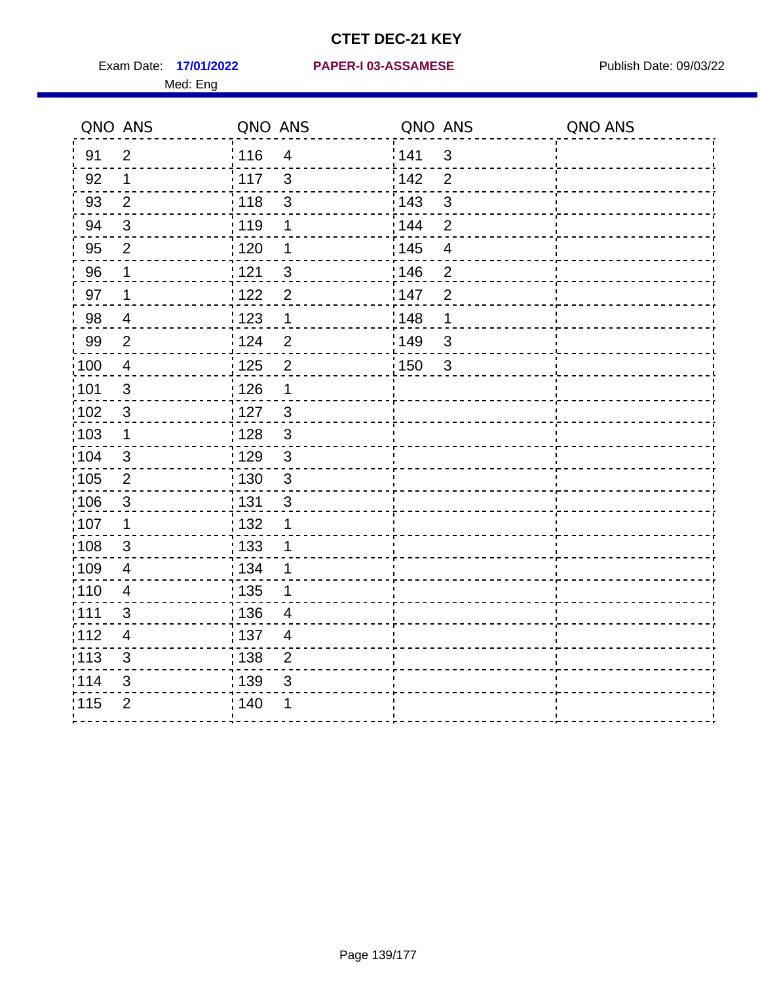Med: Eng

|                   | QNO ANS                  | QNO ANS           |                          | QNO ANS           |                         | QNO ANS |
|-------------------|--------------------------|-------------------|--------------------------|-------------------|-------------------------|---------|
| 91                | $\overline{2}$           | : 116             | $\overline{4}$           | 141               | $\mathbf{3}$            |         |
| 92                | $\mathbf 1$              | 117               | $\mathbf{3}$             | 142               | $\overline{2}$          |         |
| 93                | $\overline{2}$           | 118               | $\mathsf 3$              | 143               | 3                       |         |
| 94                | $\mathbf{3}$             | : 119             | 1                        | : 144             | $\overline{2}$          |         |
| 95                | $\overline{2}$           | 120               | 1                        | : 145             | $\overline{\mathbf{4}}$ |         |
| 96                | 1                        | : 121             | 3                        | 146               | $\overline{2}$          |         |
| 97                | $\mathbf 1$              | 122               | $\overline{2}$           | 147               | $\overline{2}$          |         |
| 98                | $\overline{4}$           | : 123             | $\mathbf 1$              | 148               | 1                       |         |
| 99                | $\mathbf{2}$             | ່ 124             | $\overline{2}$           | $\frac{1}{2}$ 149 | $\mathbf{3}$            |         |
| $\frac{1}{1}$ 100 | $\overline{4}$           | $\frac{1}{1}$ 125 | $\overline{2}$           | $\frac{1}{1}$ 150 | $\mathbf{3}$            |         |
| 101               | $\sqrt{3}$               | 126               | 1                        |                   |                         |         |
| 102               | $\mathbf{3}$             | : 127             | $\mathbf{3}$             |                   |                         |         |
| 103               | $\mathbf 1$              | : 128             | $\mathbf{3}$             |                   |                         |         |
| 104               | $\mathbf{3}$             | : 129             | $\mathfrak{3}$           |                   |                         |         |
| 105               | $\overline{2}$           | : 130             | $\mathfrak{S}$           |                   |                         |         |
| :106              | $\mathbf{3}$             | : 131             | 3                        |                   |                         |         |
| :107              | $\mathbf 1$              | : 132             | 1                        |                   |                         |         |
| 108               | $\sqrt{3}$               | 133               | 1                        |                   |                         |         |
| :109              | $\overline{4}$           | : 134             | 1                        |                   |                         |         |
| : 110             | $\overline{4}$           | 135               | 1                        |                   |                         |         |
| : 111             | 3                        | 136               | $\overline{4}$           |                   |                         |         |
| 112               | $\overline{\mathcal{A}}$ | : 137             | $\overline{\mathcal{A}}$ |                   |                         |         |
| 113               | $\mathbf{3}$             | : 138             | $\overline{2}$           |                   |                         |         |
| 114               | 3                        | : 139             | 3                        |                   |                         |         |
| 115               | $\overline{2}$           | 140               | 1                        |                   |                         |         |
|                   |                          |                   |                          |                   |                         |         |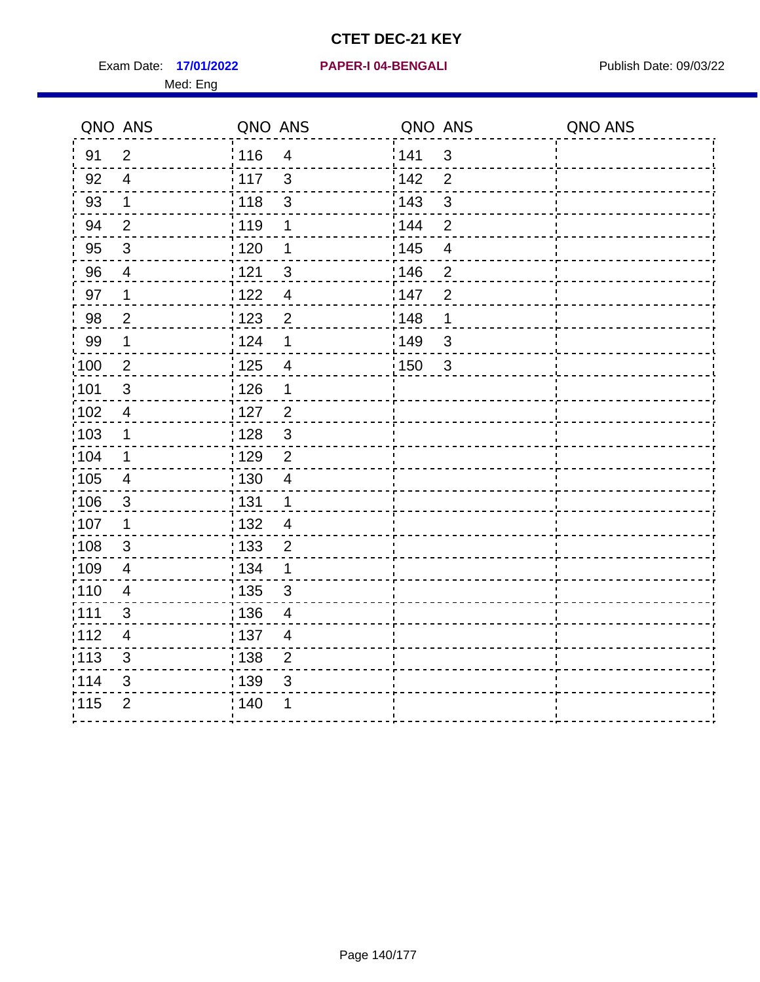Exam Date: 17/01/2022 PAPER-I 04-BENGALI PREREMENTED Publish Date: 09/03/22 Med: Eng

**17/01/2022 PAPER-I 04-BENGALI**

|                   | QNO ANS        | QNO ANS           |                         | QNO ANS |                         | QNO ANS |
|-------------------|----------------|-------------------|-------------------------|---------|-------------------------|---------|
| 91                | $\overline{2}$ | 116               | $\overline{4}$          | 141     | $\mathbf{3}$            |         |
| 92                | $\overline{4}$ | 117               | $\mathbf{3}$            | 142     | $\overline{2}$          |         |
| 93                | $\mathbf 1$    | 118               | $\sqrt{3}$              | 143     | $\mathfrak{S}$          |         |
| 94                | $\overline{2}$ | : 119             | 1                       | : 144   | $\overline{2}$          |         |
| 95                | $\mathfrak{S}$ | : 120             | 1                       | : 145   | $\overline{\mathbf{4}}$ |         |
| 96                | $\overline{4}$ | 121               | $\mathfrak{S}$          | 146     | $\overline{2}$          |         |
| 97                | 1              | 122               | $\overline{\mathbf{4}}$ | 147     | $\overline{2}$          |         |
| 98                | $\overline{2}$ | $\frac{1}{2}$ 123 | $\overline{2}$          | : 148   | 1                       |         |
| 99                | $\mathbf 1$    | 124               | 1                       | 149     | $\mathfrak{S}$          |         |
| $\frac{1}{1}$ 100 | $\overline{c}$ | $\frac{1}{1}$ 125 | $\overline{4}$          | 150     | $\mathbf{3}$            |         |
| :101              | $\sqrt{3}$     | : 126             | 1                       |         |                         |         |
| 102               | $\overline{4}$ | : 127             | $\overline{2}$          |         |                         |         |
| 103               | $\mathbf 1$    | : 128             | $\mathbf{3}$            |         |                         |         |
| :104              | $\mathbf 1$    | $\frac{1}{1}$ 129 | $\overline{2}$          |         |                         |         |
| 105               | $\overline{4}$ | : 130             | $\overline{4}$          |         |                         |         |
| :106              | $\mathfrak{S}$ | : 131             | $\mathbf 1$             |         |                         |         |
| ;107              | $\mathbf{1}$   | : 132             | $\overline{4}$          |         |                         |         |
| 108               | $\sqrt{3}$     | : 133             | $\overline{2}$          |         |                         |         |
| :109              | $\overline{4}$ | : 134             | $\mathbf 1$             |         |                         |         |
| :110              | $\overline{4}$ | : 135             | 3                       |         |                         |         |
| : 111             | 3              | : 136             | $\overline{4}$          |         |                         |         |
| 112               | $\overline{4}$ | 137               | $\overline{4}$          |         |                         |         |
| 113               | $\mathbf{3}$   | : 138             | $\overline{c}$          |         |                         |         |
| 114               | 3              | 139               | 3                       |         |                         |         |
| 115               | $\overline{2}$ | 140               | 1                       |         |                         |         |
|                   |                |                   |                         |         |                         |         |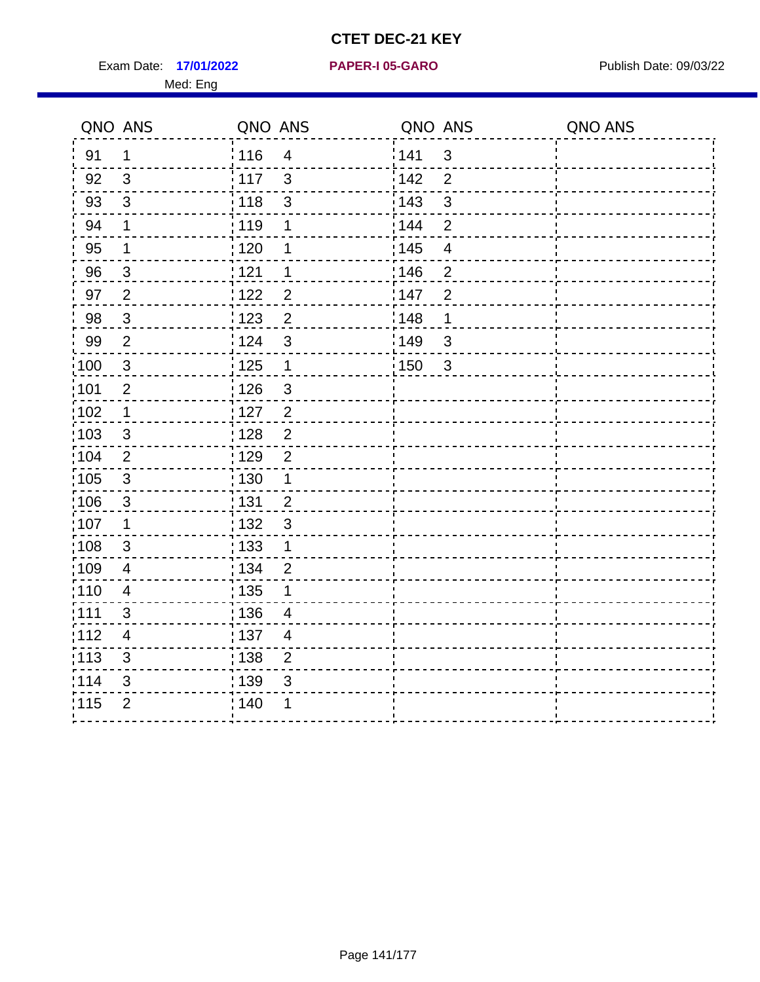Exam Date: 17/01/2022 **PAPER-I 05-GARO** Publish Date: 09/03/22 Med: Eng

#### **17/01/2022 PAPER-I 05-GARO**

|                   | QNO ANS        | QNO ANS           |                         | QNO ANS           |                         | QNO ANS |
|-------------------|----------------|-------------------|-------------------------|-------------------|-------------------------|---------|
| 91                | $\mathbf 1$    | 116               | $\overline{4}$          | 141               | $\mathfrak{S}$          |         |
| 92                | $\mathbf{3}$   | 117               | 3                       | 142               | $\overline{2}$          |         |
| 93                | $\mathbf{3}$   | 118               | $\mathfrak{S}$          | 143               | $\mathbf{3}$            |         |
| 94                | $\mathbf 1$    | 119               | 1                       | : 144             | $\overline{2}$          |         |
| 95                | $\mathbf 1$    | $\frac{1}{1}$ 120 | 1                       | $\frac{1}{1}$ 145 | $\overline{\mathbf{4}}$ |         |
| 96                | $\mathbf{3}$   | 121               | 1                       | 146               | $\overline{2}$          |         |
| 97                | $\overline{2}$ | 122               | $\overline{2}$          | 147               | $\overline{2}$          |         |
| 98                | $\mathbf{3}$   | 1123              | $\overline{2}$          | 148               | $\mathbf 1$             |         |
| 99                | $\overline{2}$ | 124               | $\mathbf{3}$            | $\frac{1}{2}$ 149 | $\mathfrak{S}$          |         |
| $\frac{1}{1}$ 100 | $\mathbf{3}$   | 125               | $\mathbf{1}$            | : 150             | $\mathbf{3}$            |         |
| :101              | $\overline{2}$ | : 126             | $\mathfrak{S}$          |                   |                         |         |
| :102              | $\mathbf{1}$   | 127               | $\frac{2}{\sqrt{2}}$    |                   |                         |         |
| 103               | 3              | : 128             | $\overline{2}$          |                   |                         |         |
| 104               | 2              | 129               | $\overline{2}$          |                   |                         |         |
| :105              | $\sqrt{3}$     | 130               | $\mathbf{1}$            |                   |                         |         |
| 106               | $\mathbf{3}$   | : 131             | $\overline{2}$          |                   |                         |         |
| 107               | $\mathbf 1$    | : 132             | $\overline{3}$          |                   |                         |         |
| 108               | 3              | : 133             | $\mathbf{1}$            |                   |                         |         |
| :109              | $\overline{4}$ | : 134             | $\overline{2}$          |                   |                         |         |
| 110               | $\overline{4}$ | : 135             | 1                       |                   |                         |         |
| : 111             | 3              | : 136             | 4                       |                   |                         |         |
| 112               | $\overline{4}$ | : 137             | $\overline{\mathbf{4}}$ |                   |                         |         |
| : 113             | $\mathfrak{S}$ | $\frac{1}{1}$ 138 | $\overline{2}$          |                   |                         |         |
| 114               | 3              | 139               | 3                       |                   |                         |         |
| 115               | $\overline{2}$ | 140               |                         |                   |                         |         |
|                   |                |                   |                         |                   |                         |         |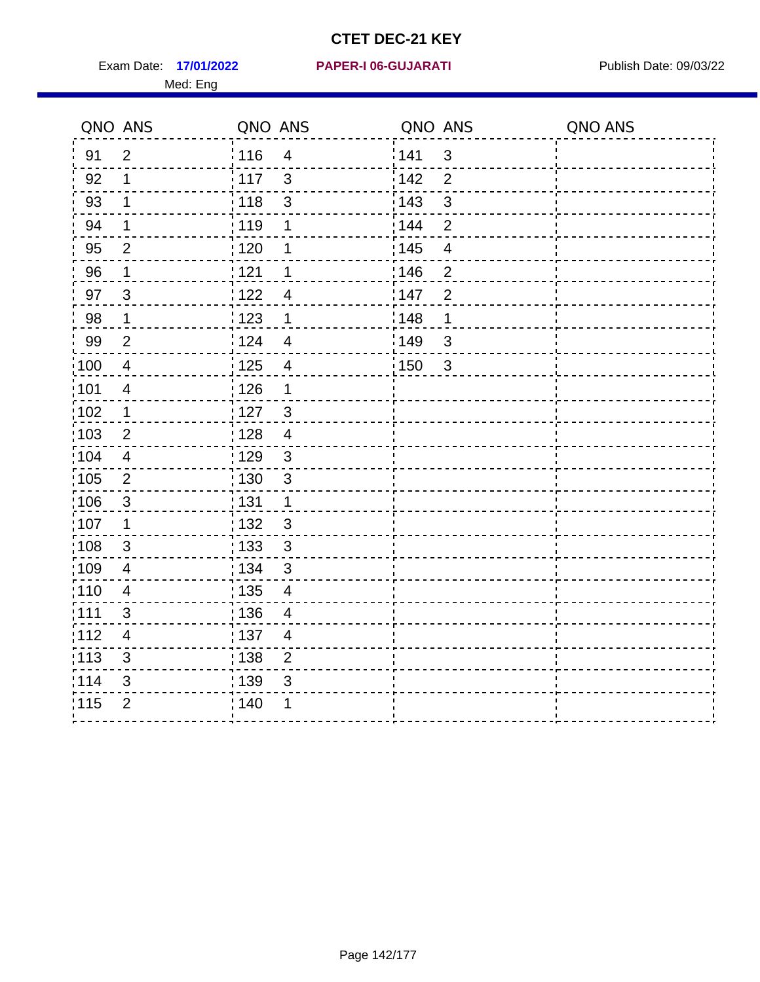Exam Date: 17/01/2022 PAPER-I 06-GUJARATI Publish Date: 09/03/22 Med: Eng

**17/01/2022 PAPER-I 06-GUJARATI**

|                   | QNO ANS                   | QNO ANS           |                          | QNO ANS           |                          | QNO ANS |
|-------------------|---------------------------|-------------------|--------------------------|-------------------|--------------------------|---------|
| 91                | $\overline{2}$            | 116               | $\overline{4}$           | 141               | $\mathfrak{S}$           |         |
| 92                | 1                         | 117               | 3                        | 142               | $\overline{2}$           |         |
| 93                | $\mathbf 1$               | 118               | $\mathsf 3$              | 143               | $\mathfrak{S}$           |         |
| 94                | 1                         | : 119             | 1                        | : 144             | $\overline{2}$           |         |
| 95                | 2                         | : 120             | 1                        | : 145             | $\overline{\mathcal{A}}$ |         |
| 96                | $\mathbf 1$               | 121               | 1                        | 146               | $\overline{2}$           |         |
| 97                | $\mathfrak{B}$            | : 122             | $\overline{\mathcal{A}}$ | 147               | $\overline{2}$           |         |
| 98                | $\mathbf{1}$              | 123               | $\mathbf 1$              | 148               | 1                        |         |
| 99                | $\overline{2}$            | ່ 124             | $\overline{\mathbf{4}}$  | $\frac{1}{2}$ 149 | $\mathfrak{S}$           |         |
| $\frac{1}{1}$ 100 | $\overline{4}$            | 125               | $\overline{\mathbf{4}}$  | 150               | $\mathfrak{S}$           |         |
| :101              | $\overline{\mathbf{4}}$   | $\frac{1}{1}$ 126 | 1                        |                   |                          |         |
| 102               | $\mathbf{1}$              | : 127             | 3                        |                   |                          |         |
| 103               | 2                         | :128              | $\overline{4}$           |                   |                          |         |
| 104               | $\overline{4}$            | : 129             | $\mathbf{3}$             |                   |                          |         |
| 105               | $\mathbf 2$               | $\frac{1}{1}$ 130 | $\mathbf{3}$             |                   |                          |         |
| :106              | $\mathfrak{S}$            | : 131             | $\mathbf 1$              |                   |                          |         |
| 107               | 1                         | :132              | $\mathfrak{B}$           |                   |                          |         |
| 108               | $\ensuremath{\mathsf{3}}$ | 133               | $\mathfrak{S}$           |                   |                          |         |
| :109              | $\overline{\mathbf{4}}$   | : 134             | $\mathfrak{S}$           |                   |                          |         |
| :110              | 4                         | : 135             | $\overline{4}$           |                   |                          |         |
| :111              | 3                         | : 136             | $\overline{4}$           |                   |                          |         |
| 112               | $\overline{4}$            | 137               | $\overline{4}$           |                   |                          |         |
| 113               | $\mathbf{3}$              | : 138             | $\overline{2}$           |                   |                          |         |
| 114               | 3                         | 139               | 3                        |                   |                          |         |
| 115               | $\overline{2}$            | 140               | 1                        |                   |                          |         |
|                   |                           |                   |                          |                   |                          |         |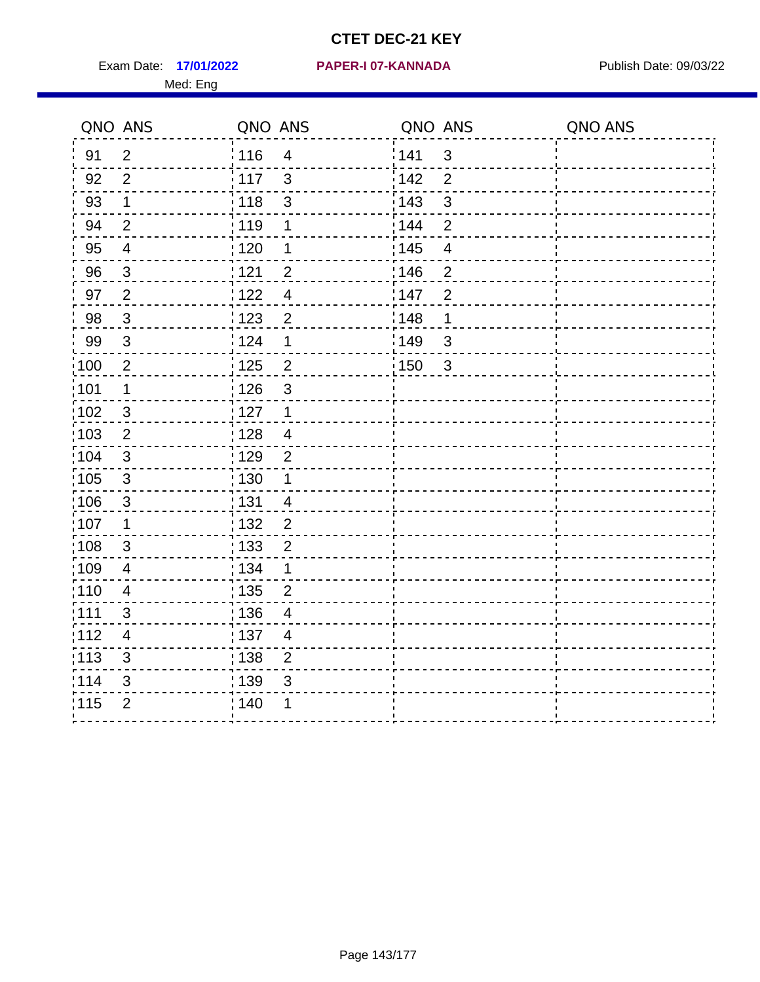Exam Date: 17/01/2022 PAPER-I 07-KANNADA Publish Date: 09/03/22 Med: Eng

|                   | QNO ANS        | QNO ANS           |                | QNO ANS           |                | QNO ANS |
|-------------------|----------------|-------------------|----------------|-------------------|----------------|---------|
| 91                | $\overline{2}$ | ່ 116             | $\overline{4}$ | 141               | $\mathfrak{S}$ |         |
| 92                | $\overline{2}$ | 117               | $\mathbf{3}$   | 142               | $\overline{2}$ |         |
| 93                | $\mathbf 1$    | 118               | $\sqrt{3}$     | 143               | 3              |         |
| 94                | $\overline{2}$ | : 119             | 1              | : 144             | $\overline{2}$ |         |
| 95                | $\overline{4}$ | : 120             | 1              | : 145             | $\overline{4}$ |         |
| 96                | $\mathfrak{S}$ | 121               | $\overline{2}$ | 146               | $\overline{2}$ |         |
| 97                | $\overline{2}$ | 122               | $\overline{4}$ | 147               | $\overline{2}$ |         |
| 98                | $\mathbf{3}$   | : 123             | $\overline{c}$ | 148               | $\mathbf 1$    |         |
| 99                | $\sqrt{3}$     | 124               | $\mathbf 1$    | 149               | 3              |         |
| $\frac{1}{1}$ 100 | $\overline{2}$ | $\frac{1}{1}$ 125 | $\overline{2}$ | $\frac{1}{2}$ 150 | $\mathbf{3}$   |         |
| :101              | $\mathbf 1$    | : 126             | $\mathbf{3}$   |                   |                |         |
| 102               | $\mathbf{3}$   | $\frac{1}{2}$ 127 | $\mathbf{1}$   |                   |                |         |
| 103               | $\overline{2}$ | : 128             | $\overline{4}$ |                   |                |         |
| 104               | $\mathbf{3}$   | : 129             | $\overline{2}$ |                   |                |         |
| 105               | $\mathbf{3}$   | : 130             | $\mathbf 1$    |                   |                |         |
| :106              | $\mathbf{3}$   | : 131             | $\overline{4}$ |                   |                |         |
| ;107              | $\mathbf 1$    | 132               | $\overline{2}$ |                   |                |         |
| 108               | $\mathfrak{S}$ | $\frac{1}{1}$ 133 | $\overline{2}$ |                   |                |         |
| :109              | $\overline{4}$ | : 134             | $\mathbf{1}$   |                   |                |         |
| 110               | $\overline{4}$ | 135               | $\overline{2}$ |                   |                |         |
| 111               | 3              | : 136             | $\overline{4}$ |                   |                |         |
| 112               | $\overline{4}$ | : 137             | $\overline{4}$ |                   |                |         |
| 113               | $\mathbf{3}$   | : 138             | $\overline{2}$ |                   |                |         |
| 114               | 3              | 139               | 3              |                   |                |         |
| 115               | $\overline{2}$ | 140               | 1              |                   |                |         |
|                   |                |                   |                |                   |                |         |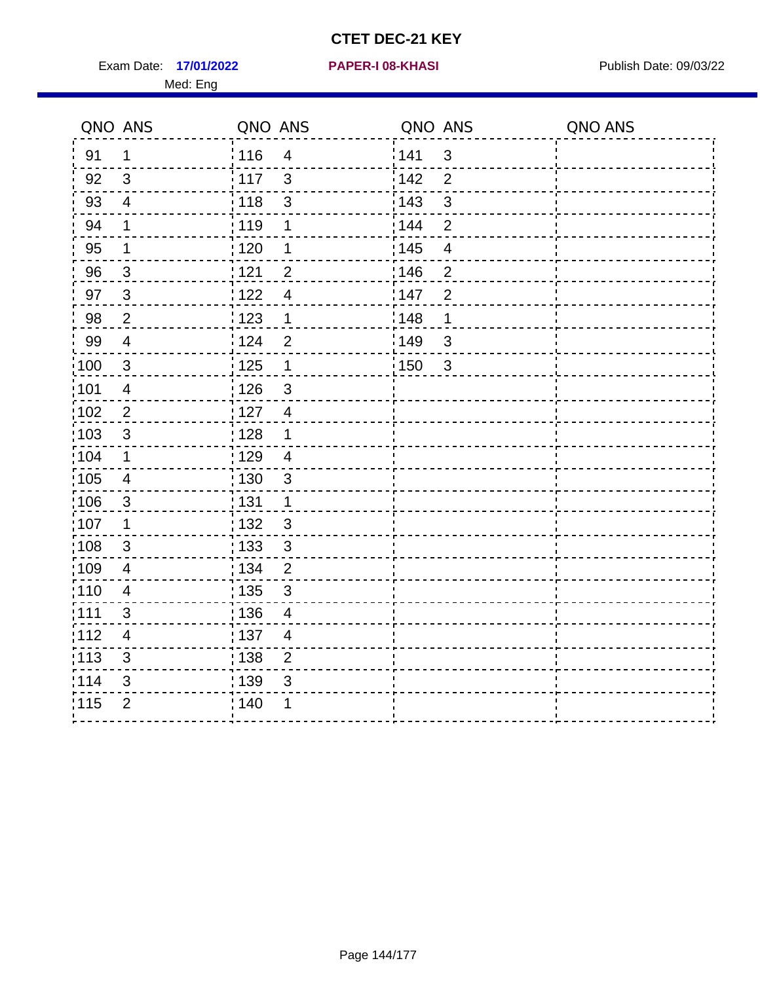Exam Date: 17/01/2022 **PAPER-I 08-KHASI** Publish Date: 09/03/22 Med: Eng

**17/01/2022 PAPER-I 08-KHASI**

|                   | QNO ANS        | QNO ANS           |                | QNO ANS |                         | QNO ANS |
|-------------------|----------------|-------------------|----------------|---------|-------------------------|---------|
| 91                | $\mathbf{1}$   | 116               | $\overline{4}$ | 141     | $\mathbf{3}$            |         |
| 92                | $\mathbf{3}$   | 117               | $\mathbf{3}$   | 142     | $\overline{2}$          |         |
| 93                | $\overline{4}$ | 118               | $\sqrt{3}$     | 143     | $\mathfrak{S}$          |         |
| 94                | $\mathbf 1$    | : 119             | 1              | : 144   | $\overline{2}$          |         |
| 95                | 1              | : 120             | 1              | : 145   | $\overline{\mathbf{4}}$ |         |
| 96                | $\mathbf{3}$   | 121               | $\overline{2}$ | 146     | $\overline{2}$          |         |
| 97                | $\mathbf{3}$   | 122               | $\overline{4}$ | 147     | $\overline{2}$          |         |
| 98                | $\overline{2}$ | $\frac{1}{2}$ 123 | $\mathbf{1}$   | : 148   | 1                       |         |
| 99                | $\overline{4}$ | 124               | $\overline{2}$ | 149     | $\mathfrak{S}$          |         |
| $\frac{1}{1}$ 100 | $\sqrt{3}$     | $\frac{1}{1}$ 125 | $\mathbf 1$    | 150     | $\mathbf{3}$            |         |
| :101              | $\overline{4}$ | : 126             | $\mathfrak{S}$ |         |                         |         |
| 102               | 2              | : 127             | $\overline{4}$ |         |                         |         |
| 103               | 3              | : 128             | $\mathbf 1$    |         |                         |         |
| :104              | $\mathbf{1}$   | : 129             | $\overline{4}$ |         |                         |         |
| 105               | $\overline{4}$ | : 130             | $\mathbf{3}$   |         |                         |         |
| :106              | $\mathfrak{S}$ | : 131             | $\mathbf 1$    |         |                         |         |
| ;107              | $\mathbf{1}$   | : 132             | $\sqrt{3}$     |         |                         |         |
| 108               | $\sqrt{3}$     | : 133             | $\mathbf{3}$   |         |                         |         |
| :109              | $\overline{4}$ | : 134             | $\overline{2}$ |         |                         |         |
| :110              | $\overline{4}$ | : 135             | $\mathfrak{S}$ |         |                         |         |
| : 111             | 3              | : 136             | $\overline{4}$ |         |                         |         |
| 112               | $\overline{4}$ | : 137             | $\overline{4}$ |         |                         |         |
| 113               | $\mathbf{3}$   | : 138             | $\overline{c}$ |         |                         |         |
| 114               | 3              | 139               | 3              |         |                         |         |
| 115               | $\overline{2}$ | 140               | 1              |         |                         |         |
|                   |                |                   |                |         |                         |         |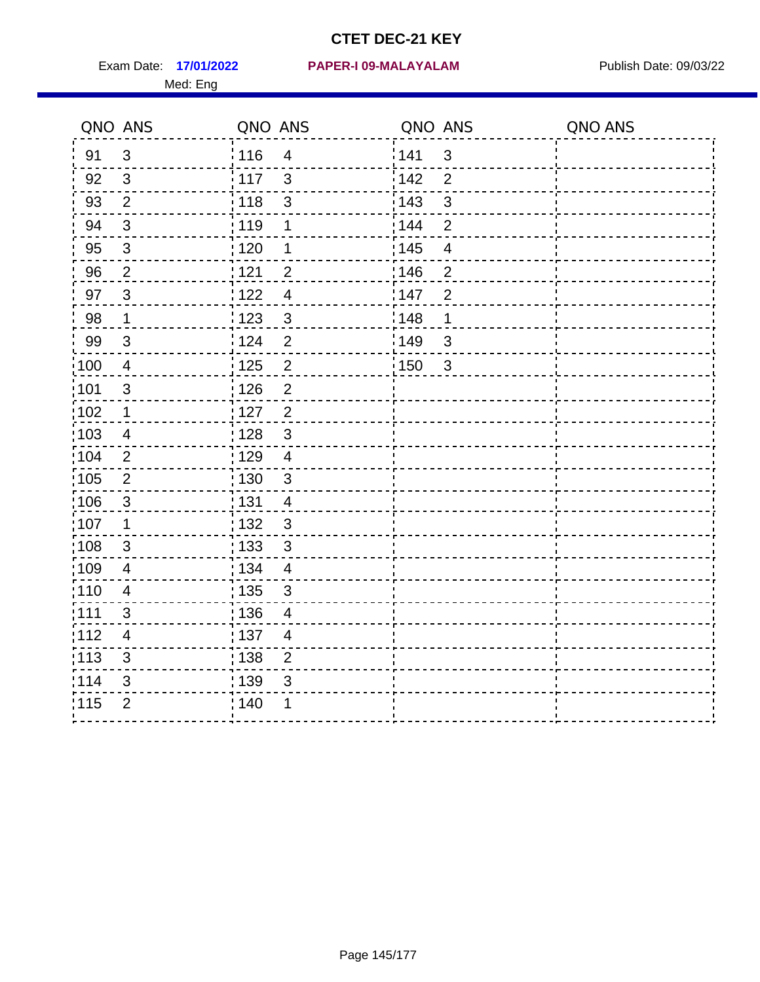Med: Eng

|                   | QNO ANS                 | QNO ANS           |                         | QNO ANS |                | QNO ANS |
|-------------------|-------------------------|-------------------|-------------------------|---------|----------------|---------|
| 91                | $\mathbf{3}$            | : 116             | $\overline{\mathbf{4}}$ | 1141    | $\mathbf{3}$   |         |
| 92                | 3                       | : 117             | 3                       | 142     | $\overline{2}$ |         |
| 93                | $\overline{2}$          | : 118             | $\mathsf 3$             | 143     | $\mathfrak{S}$ |         |
| 94                | 3                       | 119               | 1                       | : 144   | $\overline{2}$ |         |
| 95                | $\mathfrak{B}$          | : 120             | 1                       | : 145   | $\overline{4}$ |         |
| 96                | $\overline{2}$          | : 121             | $\overline{2}$          | 146     | $\overline{2}$ |         |
| 97                | $\mathbf{3}$            | 1122              | $\overline{4}$          | 147     | $\overline{2}$ |         |
| 98                | $\mathbf 1$             | 1123              | $\mathfrak{3}$          | 148     | 1              |         |
| 99                | $\sqrt{3}$              | 124               | $\overline{2}$          | :149    | $\mathsf 3$    |         |
| :100              | $\overline{4}$          | 125               | $\overline{2}$          | 150     | $\mathbf{3}$   |         |
| :101              | $\mathfrak{S}$          | : 126             | $\overline{2}$          |         |                |         |
| 102               | 1                       | : 127             | $\overline{2}$          |         |                |         |
| :103              | 4                       | : 128             | $\mathbf{3}$            |         |                |         |
| 104               | $\overline{2}$          | : 129             | $\overline{4}$          |         |                |         |
| 105               | $\mathbf 2$             | $\frac{1}{1}$ 130 | $\mathbf{3}$            |         |                |         |
| 106               | 3                       | : 131             | 4                       |         |                |         |
| 107               | $\mathbf 1$             | :132              | 3                       |         |                |         |
| $\frac{1}{1}$ 108 | $\sqrt{3}$              | : 133             | $\sqrt{3}$              |         |                |         |
| :109              | $\overline{\mathbf{4}}$ | : 134             | $\overline{4}$          |         |                |         |
| :110              | 4                       | : 135             | 3                       |         |                |         |
| 111               | 3                       | : 136             | $\overline{4}$          |         |                |         |
| 112               | $\overline{4}$          | : 137             | $\overline{4}$          |         |                |         |
| : 113             | $\mathfrak{S}$          | : 138             | $\overline{c}$          |         |                |         |
| 114               | 3                       | 139               | 3                       |         |                |         |
| 115               | $\overline{2}$          | : 140             | 1                       |         |                |         |
|                   |                         |                   |                         |         |                |         |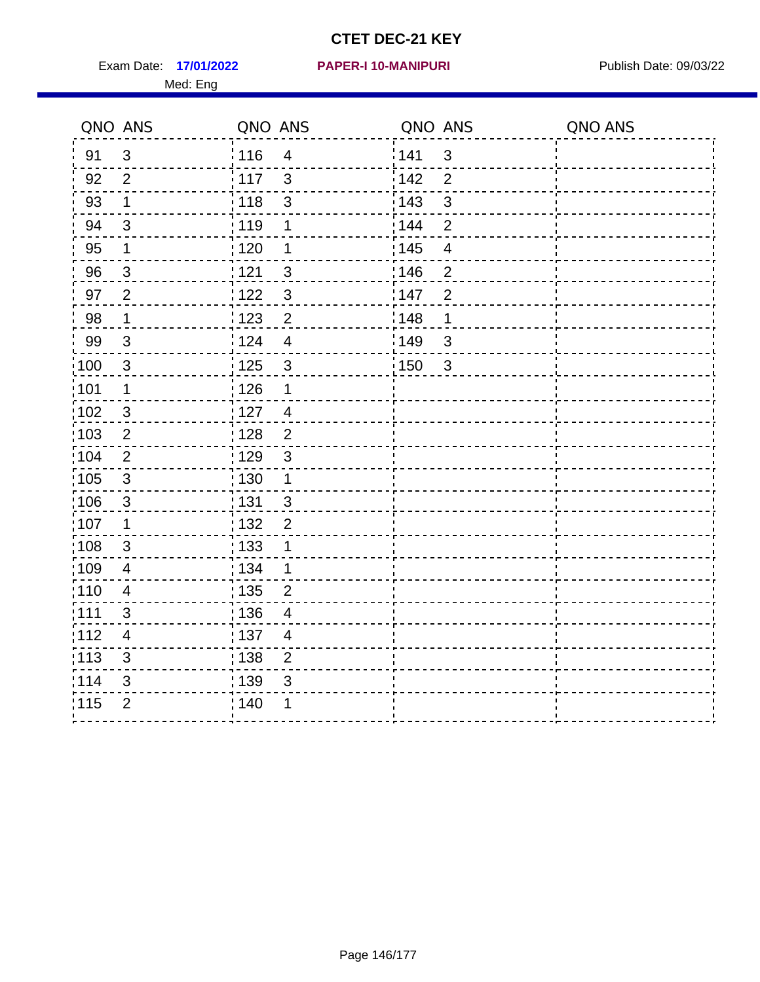Exam Date: 17/01/2022 PAPER-I 10-MANIPURI<br>
Publish Date: 09/03/22 Med: Eng

|       | QNO ANS        | QNO ANS           |                         | QNO ANS |                         | QNO ANS |
|-------|----------------|-------------------|-------------------------|---------|-------------------------|---------|
| 91    | $\mathbf{3}$   | 116               | $\overline{4}$          | 141     | $\mathbf{3}$            |         |
| 92    | $\overline{2}$ | 117               | $\mathbf{3}$            | 142     | $\overline{2}$          |         |
| 93    | $\mathbf 1$    | 118               | $\sqrt{3}$              | 143     | $\mathfrak{S}$          |         |
| 94    | 3              | : 119             | 1                       | 144     | $\overline{2}$          |         |
| 95    | 1              | : 120             | 1                       | : 145   | $\overline{\mathbf{4}}$ |         |
| 96    | 3              | 121               | $\mathfrak{S}$          | 146     | $\overline{2}$          |         |
| 97    | $\overline{2}$ | 122               | $\mathbf{3}$            | 147     | $\overline{2}$          |         |
| 98    | $\mathbf{1}$   | $\frac{1}{2}$ 123 | $\overline{2}$          | : 148   | 1                       |         |
| 99    | $\sqrt{3}$     | 124               | $\overline{\mathbf{4}}$ | 149     | $\mathfrak{S}$          |         |
| 100   | $\sqrt{3}$     | $\frac{1}{1}$ 125 | $\sqrt{3}$              | 150     | $\mathbf{3}$            |         |
| :101  | 1              | : 126             | 1                       |         |                         |         |
| 102   | 3              | : 127             | $\overline{4}$          |         |                         |         |
| :103  | $\overline{2}$ | : 128             | $\overline{2}$          |         |                         |         |
| 104   | $\overline{2}$ | : 129             | $\mathbf{3}$            |         |                         |         |
| 105   | $\mathsf 3$    | : 130             | $\mathbf{1}$            |         |                         |         |
| :106  | $\mathbf{3}$   | : 131             | $\mathbf{3}$            |         |                         |         |
| ;107  | $\mathbf{1}$   | : 132             | $\overline{2}$          |         |                         |         |
| 108   | $\sqrt{3}$     | : 133             | $\mathbf 1$             |         |                         |         |
| :109  | $\overline{4}$ | : 134             | $\mathbf 1$             |         |                         |         |
| :110  | $\overline{4}$ | : 135             | $\overline{2}$          |         |                         |         |
| : 111 | 3              | 136               | $\overline{4}$          |         |                         |         |
| 112   | $\overline{4}$ | : 137             | $\overline{4}$          |         |                         |         |
| 113   | $\mathfrak{S}$ | : 138             | $\overline{c}$          |         |                         |         |
| 114   | 3              | 139               | 3                       |         |                         |         |
| 115   | $\overline{2}$ | 140               | 1                       |         |                         |         |
|       |                |                   |                         |         |                         |         |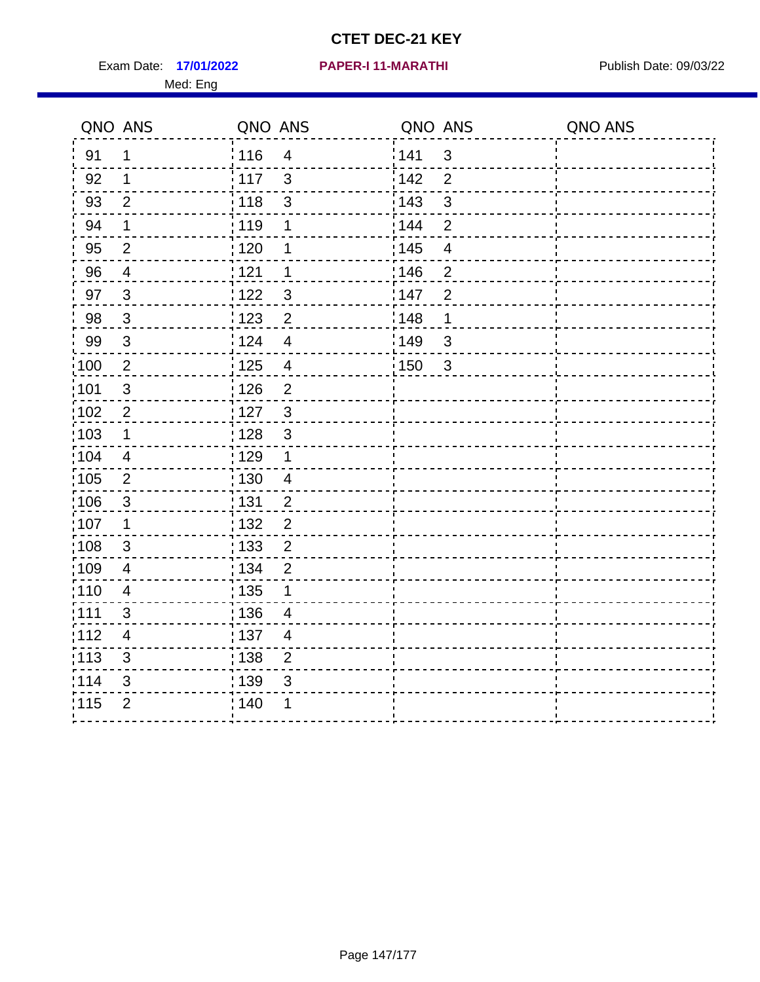Exam Date: 17/01/2022 PAPER-I 11-MARATHI Publish Date: 09/03/22 Med: Eng

|                   | QNO ANS                  | QNO ANS           |                           | QNO ANS |                         | QNO ANS |
|-------------------|--------------------------|-------------------|---------------------------|---------|-------------------------|---------|
| 91                | 1                        | : 116             | $\overline{4}$            | 141     | $\mathbf{3}$            |         |
| 92                | $\mathbf{1}$             | 117               | $\mathfrak{S}$            | 142     | $\overline{2}$          |         |
| 93                | $\overline{2}$           | 118               | $\ensuremath{\mathsf{3}}$ | 143     | $\mathfrak{S}$          |         |
| 94                | $\mathbf 1$              | : 119             | 1                         | : 144   | $\overline{2}$          |         |
| 95                | $\overline{2}$           | : 120             | 1                         | : 145   | $\overline{\mathbf{4}}$ |         |
| 96                | 4                        | : 121             | 1                         | :146    | $\overline{2}$          |         |
| 97                | $\overline{3}$           | 122               | $\mathbf{3}$              | 147     | $\overline{2}$          |         |
| 98                | $\mathbf{3}$             | : 123             | $\overline{2}$            | 148     | 1                       |         |
| 99                | $\sqrt{3}$               | 124               | $\overline{\mathbf{4}}$   | 149     | $\sqrt{3}$              |         |
| $\frac{1}{1}$ 100 | $\overline{2}$           | $\frac{1}{1}$ 125 | $\overline{\mathbf{4}}$   | 150     | 3                       |         |
| :101              | $\sqrt{3}$               | : 126             | $\overline{2}$            |         |                         |         |
| 102               | $\overline{2}$           | 127               | $\mathbf{3}$              |         |                         |         |
| 103               | $\mathbf 1$              | : 128             | $\mathbf{3}$              |         |                         |         |
| 104               | $\overline{4}$           | : 129             | $\mathbf 1$               |         |                         |         |
| 105               | $\sqrt{2}$               | : 130             | $\overline{4}$            |         |                         |         |
| :106              | $\mathbf{3}$             | : 131             | 2                         |         |                         |         |
| :107              | $\mathbf 1$              | : 132             | $\overline{2}$            |         |                         |         |
| 108               | $\sqrt{3}$               | : 133             | $\overline{2}$            |         |                         |         |
| :109              | $\overline{\mathbf{4}}$  | : 134             | $\overline{2}$            |         |                         |         |
| : 110             | $\overline{4}$           | : 135             | 1                         |         |                         |         |
| : 111             | 3                        | : 136             | 4                         |         |                         |         |
| 112               | $\overline{\mathcal{A}}$ | : 137             | $\overline{4}$            |         |                         |         |
| 113               | $\mathfrak{S}$           | $\frac{1}{1}$ 138 | $\overline{2}$            |         |                         |         |
| 114               | 3                        | : 139             | 3                         |         |                         |         |
| 115               | $\overline{2}$           | 140               | 1                         |         |                         |         |
|                   |                          |                   |                           |         |                         |         |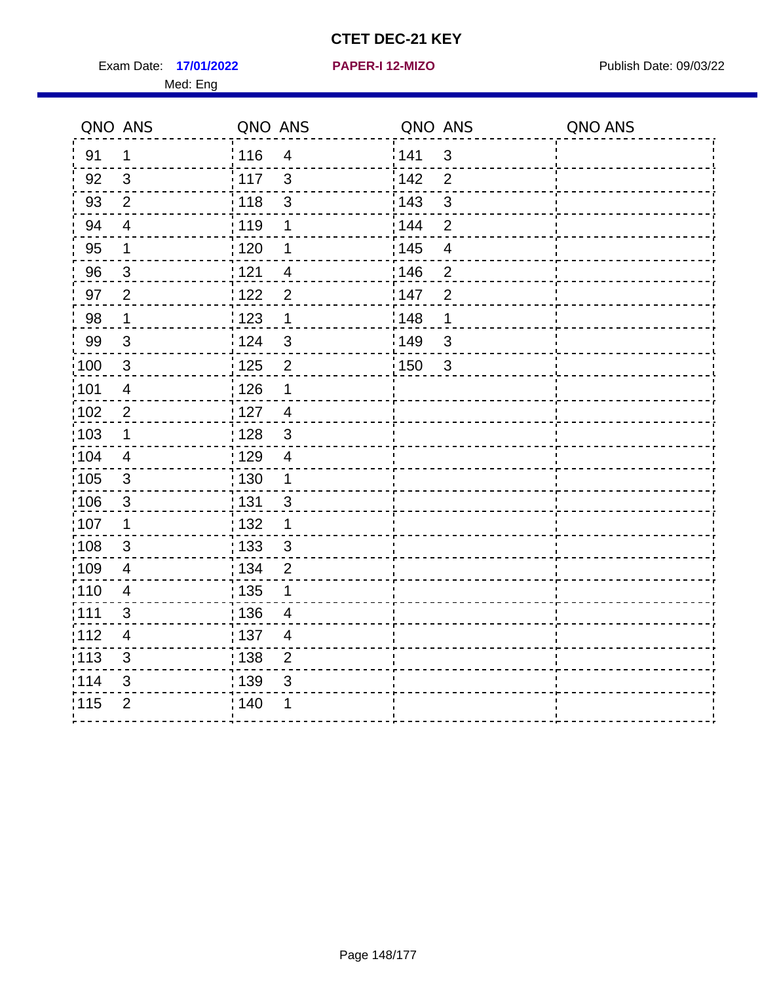Exam Date: 17/01/2022 **PAPER-I 12-MIZO** PAPER Publish Date: 09/03/22 Med: Eng

**17/01/2022 PAPER-I 12-MIZO**

|                   | QNO ANS                 | QNO ANS           |                         | QNO ANS           |                         | QNO ANS |
|-------------------|-------------------------|-------------------|-------------------------|-------------------|-------------------------|---------|
| 91                | $\mathbf 1$             | : 116             | $\overline{\mathbf{4}}$ | 141               | $\mathfrak{3}$          |         |
| 92                | 3                       | $\frac{1}{2}$ 117 | $\mathbf{3}$            | 142               | $\overline{2}$          |         |
| 93                | $\overline{2}$          | 118               | $\mathbf{3}$            | 143               | 3                       |         |
| 94                | $\overline{4}$          | : 119             | $\mathbf 1$             | 144               | $\overline{2}$          |         |
| 95                | $\mathbf 1$             | : 120             | 1                       | : 145             | $\overline{\mathbf{4}}$ |         |
| 96                | $\mathbf{3}$            | 121               | $\overline{4}$          | 146               | $\overline{2}$          |         |
| 97                | $\overline{2}$          | 122               | $\overline{2}$          | 147               | $\overline{2}$          |         |
| 98                | $\mathbf 1$             | 123               | 1                       | 148               | 1                       |         |
| 99                | 3                       | 124               | 3                       | 149               | $\mathbf{3}$            |         |
| $\frac{1}{1}$ 100 | $\mathfrak{3}$          | $\frac{1}{2}$ 125 | $\overline{2}$          | $\frac{1}{1}$ 150 | $\mathbf{3}$            |         |
| :101              | $\overline{\mathbf{4}}$ | : 126             | $\mathbf 1$             |                   |                         |         |
| $\frac{1}{1}$ 102 | $\sqrt{2}$              | : 127             | $\overline{4}$          |                   |                         |         |
| 103               | 1                       | : 128             | 3                       |                   |                         |         |
| :104              | $\overline{4}$          | :129              | $\overline{4}$          |                   |                         |         |
| $\frac{1}{1}$ 105 | $\mathbf{3}$            | : 130             | $\overline{1}$          |                   |                         |         |
| 106               | 3                       | : 131             | 3                       |                   |                         |         |
| 107               | $\mathbf 1$             | : 132             | $\mathbf 1$             |                   |                         |         |
| 108               | $\mathbf{3}$            | : 133             | $\mathbf{3}$            |                   |                         |         |
| :109              | $\overline{\mathbf{4}}$ | : 134             | $\overline{2}$          |                   |                         |         |
| : 110             | $\overline{4}$          | : 135             | 1                       |                   |                         |         |
| :111              | 3                       | : 136             | 4                       |                   |                         |         |
| 112               | $\overline{4}$          | :137              | $\overline{4}$          |                   |                         |         |
| :113              | 3                       | : 138             | $\overline{2}$          |                   |                         |         |
| 114               | $\sqrt{3}$              | : 139             | $\mathfrak{B}$          |                   |                         |         |
| 115               | $\overline{2}$          | ; 140             |                         |                   |                         |         |
|                   |                         |                   |                         |                   |                         |         |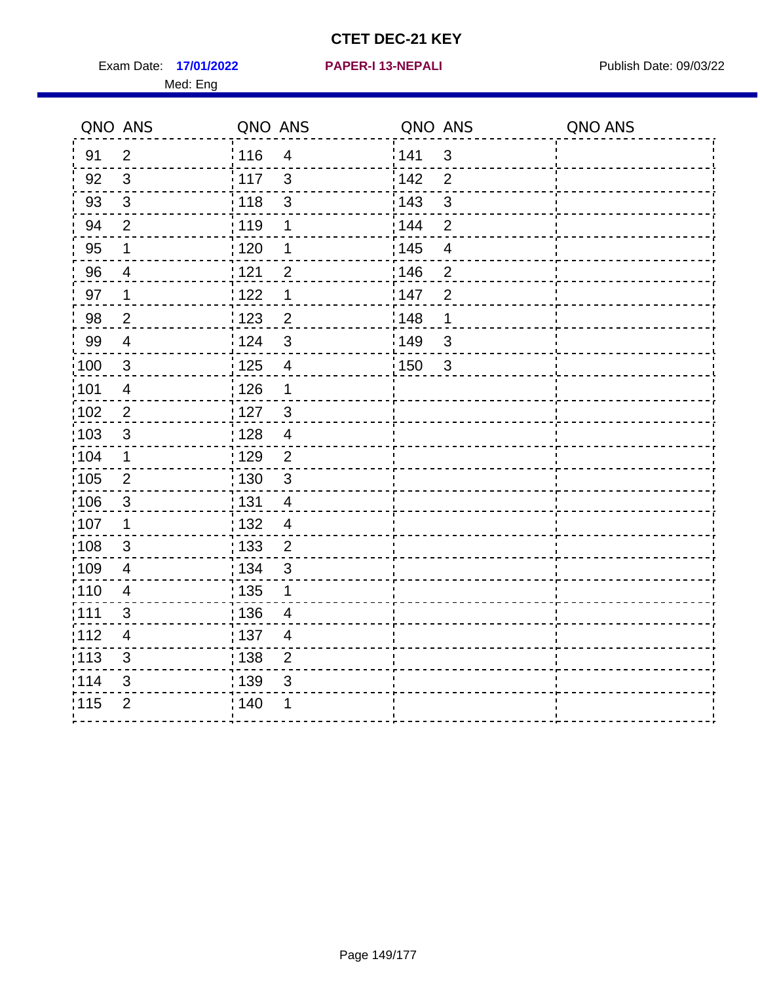Exam Date: 17/01/2022 **PAPER-I 13-NEPALI** Publish Date: 09/03/22 Med: Eng

**17/01/2022 PAPER-I 13-NEPALI**

|      | QNO ANS                  | QNO ANS |                          | QNO ANS |                         | QNO ANS |
|------|--------------------------|---------|--------------------------|---------|-------------------------|---------|
| 91   | $\overline{2}$           | 116     | $\overline{4}$           | 141     | $\mathbf{3}$            |         |
| 92   | $\mathfrak{S}$           | 117     | $\mathfrak{S}$           | 142     | 2                       |         |
| 93   | $\mathbf{3}$             | 118     | $\mathfrak{S}$           | 143     | $\sqrt{3}$              |         |
| 94   | $\overline{2}$           | : 119   | 1                        | 144     | 2                       |         |
| 95   | 1                        | : 120   | 1                        | : 145   | $\overline{\mathbf{4}}$ |         |
| 96   | 4                        | : 121   | $\overline{2}$           | 146     | 2                       |         |
| 97   | 1                        | : 122   | 1                        | 147     | $\overline{2}$          |         |
| 98   | $\overline{2}$           | 123     | $\overline{c}$           | 148     | $\mathbf 1$             |         |
| 99   | $\overline{4}$           | 124     | $\mathfrak{S}$           | 149     | 3                       |         |
| 100  | $\mathfrak{S}$           | 125     | $\overline{\mathbf{4}}$  | 150     | $\mathbf{3}$            |         |
| :101 | $\overline{4}$           | : 126   | 1                        |         |                         |         |
| 102  | $\overline{2}$           | : 127   | $\mathbf{3}$             |         |                         |         |
| :103 | $\mathfrak{B}$           | : 128   | $\overline{4}$           |         |                         |         |
| :104 | $\mathbf{1}$             | : 129   | $\overline{2}$           |         |                         |         |
| 105  | $\overline{2}$           | : 130   | $\mathfrak{S}$           |         |                         |         |
| :106 | 3                        | : 131   | $\overline{4}$           |         |                         |         |
| :107 | 1                        | : 132   | $\overline{4}$           |         |                         |         |
| :108 | $\mathfrak{S}$           | 133     | $\overline{2}$           |         |                         |         |
| :109 | $\overline{4}$           | : 134   | $\mathfrak{S}$           |         |                         |         |
| :110 | $\overline{4}$           | : 135   | 1                        |         |                         |         |
| :111 | $\mathbf{3}$             | : 136   | $\overline{\mathcal{A}}$ |         |                         |         |
| 112  | $\overline{\mathcal{A}}$ | : 137   | $\overline{4}$           |         |                         |         |
| 113  | 3                        | : 138   | $\overline{2}$           |         |                         |         |
| 114  | 3                        | 139     | 3                        |         |                         |         |
| 115  | $\overline{2}$           | : 140   | 1                        |         |                         |         |
|      |                          |         |                          |         |                         |         |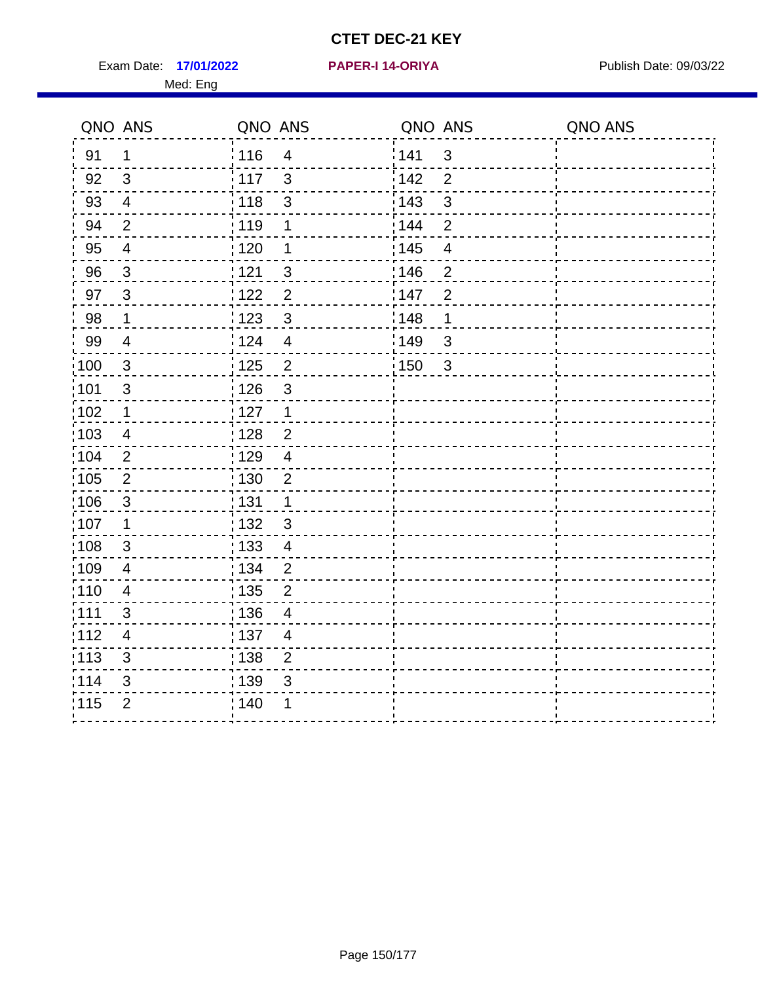Exam Date: 17/01/2022 **PAPER-I 14-ORIYA** Publish Date: 09/03/22 Med: Eng

**17/01/2022 PAPER-I 14-ORIYA**

|                   | QNO ANS                  | QNO ANS           |                         | QNO ANS |                | QNO ANS |
|-------------------|--------------------------|-------------------|-------------------------|---------|----------------|---------|
| 91                | $\mathbf 1$              | 116               | $\overline{\mathbf{4}}$ | 141     | $\mathfrak{S}$ |         |
| 92                | $\mathfrak{3}$           | 117               | 3                       | 142     | $\overline{2}$ |         |
| 93                | $\overline{4}$           | 118               | $\mathbf{3}$            | 143     | 3              |         |
| 94                | $\overline{2}$           | : 119             | 1                       | 144     | $\overline{2}$ |         |
| 95                | $\overline{4}$           | : 120             | 1                       | : 145   | $\overline{4}$ |         |
| 96                | $\mathbf{3}$             | 121               | 3                       | 146     | $\overline{2}$ |         |
| 97                | $\mathbf{3}$             | 122               | $\overline{c}$          | 147     | $\overline{2}$ |         |
| 98                | $\mathbf 1$              | 123               | $\mathbf{3}$            | 148     | 1              |         |
| 99                | $\overline{4}$           | 124               | $\overline{\mathbf{4}}$ | :149    | 3              |         |
| $\frac{1}{1}$ 100 | $\mathbf 3$              | $\frac{1}{1}$ 125 | $\mathbf 2$             | 150     | $\mathfrak{3}$ |         |
| :101              | $\sqrt{3}$               | : 126             | $\mathfrak{S}$          |         |                |         |
| :102              | $\mathbf 1$              | $\frac{1}{2}$ 127 | $\mathbf{1}$            |         |                |         |
| 103               | $\overline{4}$           | : 128             | $\overline{2}$          |         |                |         |
| 104               | $\overline{2}$           | :129              | $\overline{4}$          |         |                |         |
| 105               | $\overline{2}$           | : 130             | $\overline{2}$          |         |                |         |
| :106              | $\mathbf{3}$             | : 131             | $\mathbf{1}$            |         |                |         |
| :107              | 1                        | : 132             | $\overline{3}$          |         |                |         |
| 108               | $\mathbf{3}$             | : 133             | $\overline{4}$          |         |                |         |
| 109               | $\overline{4}$           | : 134             | $\overline{c}$          |         |                |         |
| :110              | $\overline{\mathbf{4}}$  | 135               | $\overline{2}$          |         |                |         |
| : 111             | $\mathfrak{S}$           | : 136             | 4                       |         |                |         |
| 112               | $\overline{\mathcal{A}}$ | : 137             | $\overline{4}$          |         |                |         |
| : 113             | $\mathfrak{S}$           | : 138             | $\mathbf 2$             |         |                |         |
| 114               | 3                        | : 139             | 3                       |         |                |         |
| 115               | $\overline{2}$           | 140               |                         |         |                |         |
|                   |                          |                   |                         |         |                |         |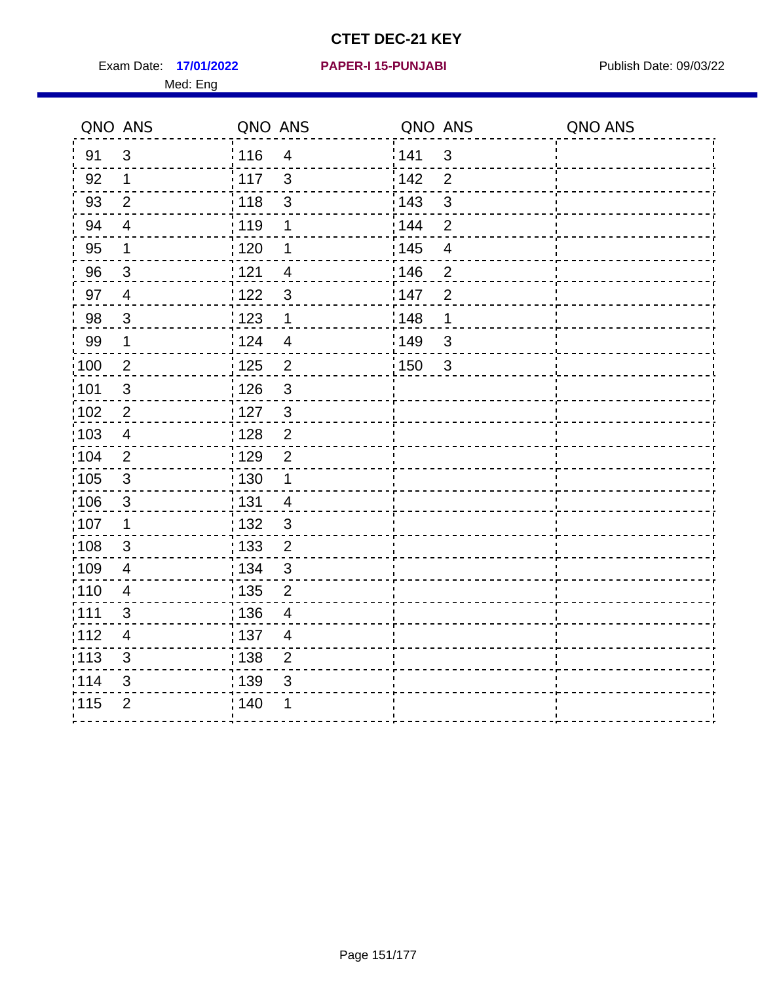Exam Date: 17/01/2022 **PAPER-I 15-PUNJABI** Publish Date: 09/03/22 Med: Eng

**17/01/2022 PAPER-I 15-PUNJABI**

|                   | QNO ANS        | QNO ANS           |                          | QNO ANS |                         | QNO ANS |
|-------------------|----------------|-------------------|--------------------------|---------|-------------------------|---------|
| 91                | $\mathbf{3}$   | 116               | $\overline{4}$           | 141     | $\mathbf{3}$            |         |
| 92                | $\mathbf 1$    | 117               | $\mathbf{3}$             | 142     | $\overline{2}$          |         |
| 93                | $\overline{2}$ | 118               | $\sqrt{3}$               | 143     | $\mathfrak{S}$          |         |
| 94                | $\overline{4}$ | : 119             | 1                        | 144     | $\overline{2}$          |         |
| 95                | 1              | : 120             | 1                        | : 145   | $\overline{\mathbf{4}}$ |         |
| 96                | 3              | 121               | 4                        | 146     | $\overline{2}$          |         |
| 97                | $\overline{4}$ | 122               | 3                        | 147     | $\overline{2}$          |         |
| 98                | $\mathbf{3}$   | $\frac{1}{2}$ 123 | $\mathbf 1$              | : 148   | 1                       |         |
| 99                | $\mathbf 1$    | 124               | $\overline{\mathcal{A}}$ | 149     | $\mathfrak{S}$          |         |
| $\frac{1}{1}$ 100 | $\overline{c}$ | $\frac{1}{1}$ 125 | $\mathbf 2$              | 150     | $\mathbf{3}$            |         |
| :101              | $\sqrt{3}$     | : 126             | $\mathfrak{S}$           |         |                         |         |
| 102               | $\overline{2}$ | : 127             | $\mathbf{3}$             |         |                         |         |
| :103              | $\overline{4}$ | : 128             | $\overline{2}$           |         |                         |         |
| 104               | $\overline{2}$ | 129               | $\overline{2}$           |         |                         |         |
| 105               | $\mathsf 3$    | : 130             | $\mathbf{1}$             |         |                         |         |
| :106              | $\mathbf{3}$   | : 131             | $\overline{4}$           |         |                         |         |
| ;107              | $\mathbf{1}$   | : 132             | $\mathbf{3}$             |         |                         |         |
| 108               | $\sqrt{3}$     | : 133             | $\overline{2}$           |         |                         |         |
| :109              | $\overline{4}$ | : 134             | $\mathfrak{3}$           |         |                         |         |
| :110              | $\overline{4}$ | : 135             | 2                        |         |                         |         |
| : 111             | 3              | 136               | $\overline{4}$           |         |                         |         |
| 112               | $\overline{4}$ | : 137             | $\overline{4}$           |         |                         |         |
| 113               | $\mathfrak{S}$ | : 138             | $\overline{c}$           |         |                         |         |
| 114               | 3              | 139               | 3                        |         |                         |         |
| 115               | $\overline{2}$ | 140               | 1                        |         |                         |         |
|                   |                |                   |                          |         |                         |         |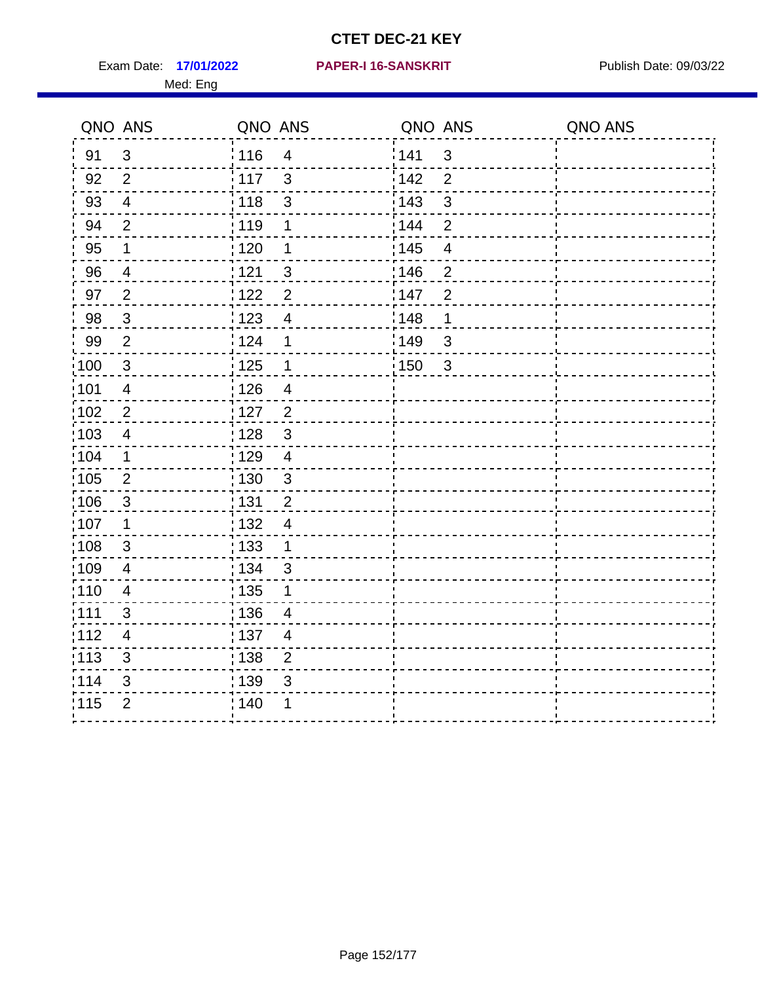Exam Date: 17/01/2022 PAPER-I 16-SANSKRIT Publish Date: 09/03/22 Med: Eng

### **17/01/2022 PAPER-I 16-SANSKRIT**

|                   | QNO ANS        | QNO ANS           |                | QNO ANS |                | QNO ANS |
|-------------------|----------------|-------------------|----------------|---------|----------------|---------|
| 91                | $\mathbf{3}$   | 116               | $\overline{4}$ | 141     | $\mathbf{3}$   |         |
| 92                | 2              | 117               | 3              | 142     | $\overline{2}$ |         |
| 93                | $\overline{4}$ | 118               | 3              | 143     | $\mathfrak{S}$ |         |
| 94                | $\overline{2}$ | : 119             | $\mathbf 1$    | 144     | $\overline{2}$ |         |
| 95                | 1              | : 120             | 1              | : 145   | $\overline{4}$ |         |
| 96                | 4              | 1121              | 3              | 146     | $\overline{2}$ |         |
| 97                | $\overline{2}$ | 122               | $\overline{2}$ | 147     | $\overline{2}$ |         |
| 98                | $\mathbf{3}$   | $\frac{1}{2}$ 123 | $\overline{4}$ | : 148   | 1              |         |
| 99                | $\overline{2}$ | 124               | 1              | 149     | $\mathfrak{S}$ |         |
| 100               | $\sqrt{3}$     | $\frac{1}{1}$ 125 | $\mathbf 1$    | 150     | $\mathbf{3}$   |         |
| 101               | $\overline{4}$ | : 126             | $\overline{4}$ |         |                |         |
| 102               | $\overline{2}$ | :127              | $\overline{2}$ |         |                |         |
| 103               | 4              | : 128             | $\mathbf{3}$   |         |                |         |
| 104               | $\mathbf 1$    | : 129             | 4              |         |                |         |
| 105               | $\sqrt{2}$     | $\frac{1}{1}$ 130 | $\mathbf{3}$   |         |                |         |
| :106              | $\mathbf{3}$   | : 131             | $\overline{2}$ |         |                |         |
| 107               | 1              | : 132             | $\overline{4}$ |         |                |         |
| 108               | $\mathbf{3}$   | : 133             | $\mathbf 1$    |         |                |         |
| :109              | $\overline{4}$ | : 134             | 3              |         |                |         |
| : 110             | $\overline{4}$ | : 135             | 1              |         |                |         |
| : 111             | 3              | : 136             | 4              |         |                |         |
| 112               | $\overline{4}$ | : 137             | $\overline{4}$ |         |                |         |
| $\frac{1}{1}$ 113 | $\mathfrak{S}$ | : 138             | $\overline{c}$ |         |                |         |
| 114               | 3              | 139               | 3              |         |                |         |
| 115               | $\overline{2}$ | 140               | 1              |         |                |         |
|                   |                |                   |                |         |                |         |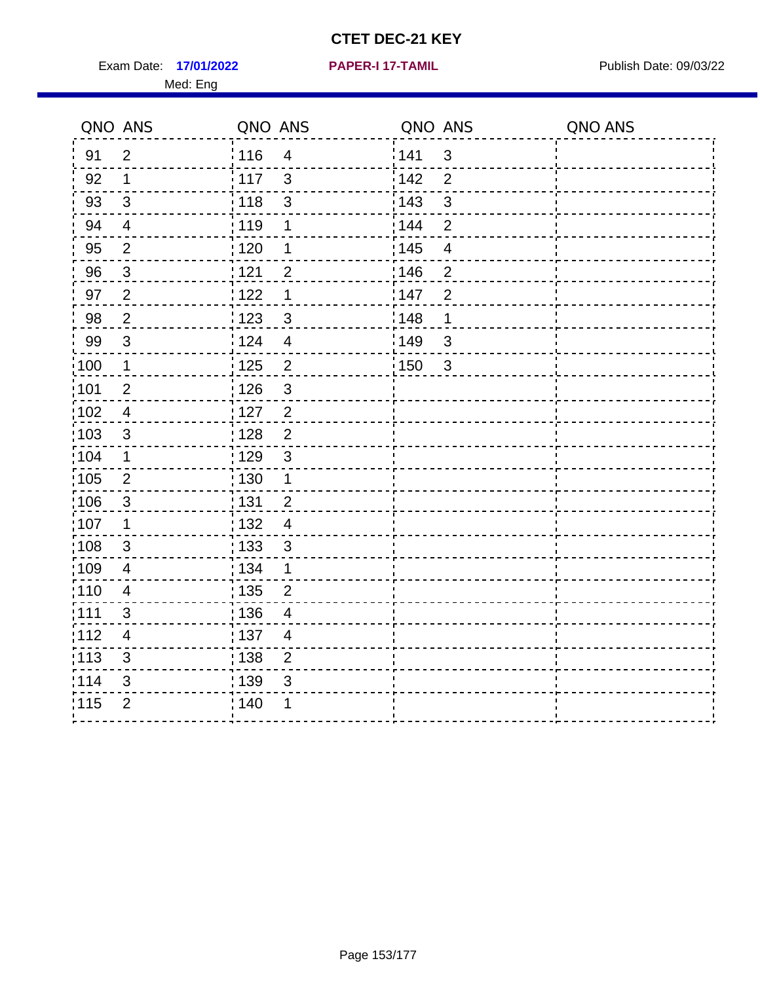Exam Date: 17/01/2022 **PAPER-I 17-TAMIL Exam Date: 09/03/22** Med: Eng

**17/01/2022 PAPER-I 17-TAMIL**

|                   | QNO ANS                   | QNO ANS           |                | QNO ANS           |                         | QNO ANS |
|-------------------|---------------------------|-------------------|----------------|-------------------|-------------------------|---------|
| 91                | $\overline{2}$            | 116               | $\overline{4}$ | 141               | $\mathbf{3}$            |         |
| 92                | $\mathbf 1$               | 117               | 3              | 142               | $\overline{2}$          |         |
| 93                | $\mathbf{3}$              | 118               | 3              | 143               | $\mathbf{3}$            |         |
| 94                | $\overline{4}$            | : 119             | 1              | 144               | $\overline{2}$          |         |
| 95                | $\overline{2}$            | $\frac{1}{1}$ 120 | $\mathbf 1$    | : 145             | $\overline{\mathbf{4}}$ |         |
| 96                | 3                         | 121               | $\overline{2}$ | 146               | $\overline{2}$          |         |
| 97                | $\overline{2}$            | 122               | $\mathbf 1$    | 147               | $\overline{2}$          |         |
| 98                | $\overline{2}$            | ¦ 123             | $\mathfrak{S}$ | 148               | 1                       |         |
| 99                | 3                         | 124               | $\overline{4}$ | 149               | 3                       |         |
| $\frac{1}{1}$ 100 | $\mathbf 1$               | 125               | $\overline{2}$ | $\frac{1}{2}$ 150 | $\mathbf{3}$            |         |
| :101              | $\overline{2}$            | : 126             | 3              |                   |                         |         |
| $\frac{1}{1}$ 102 | $\overline{4}$            | : 127             | $\overline{2}$ |                   |                         |         |
| 103               | 3                         | : 128             | 2              |                   |                         |         |
| :104              | $\mathbf 1$               | :129              | 3              |                   |                         |         |
| $\frac{1}{1}$ 105 | $\overline{2}$            | 130               | $\mathbf{1}$   |                   |                         |         |
| 106               | $\sqrt{3}$                | : 131             | $\overline{2}$ |                   |                         |         |
| 107               | 1                         | : 132             | $\overline{4}$ |                   |                         |         |
| 108               | 3                         | : 133             | $\mathbf{3}$   |                   |                         |         |
| $\frac{1}{1}$ 109 | $\overline{4}$            | : 134             | 1              |                   |                         |         |
| :110              | $\overline{4}$            | $\frac{1}{1}$ 135 | $\overline{2}$ |                   |                         |         |
| : 111             | 3                         | : 136             | 4              |                   |                         |         |
| 112               | $\overline{4}$            | :137              | $\overline{4}$ |                   |                         |         |
| : 113             | $\ensuremath{\mathsf{3}}$ | 138               | $\overline{2}$ |                   |                         |         |
| 114               | $\mathfrak{S}$            | : 139             | 3              |                   |                         |         |
| 115               | $\overline{2}$            | : 140             | 1              |                   |                         |         |
|                   |                           |                   |                |                   |                         |         |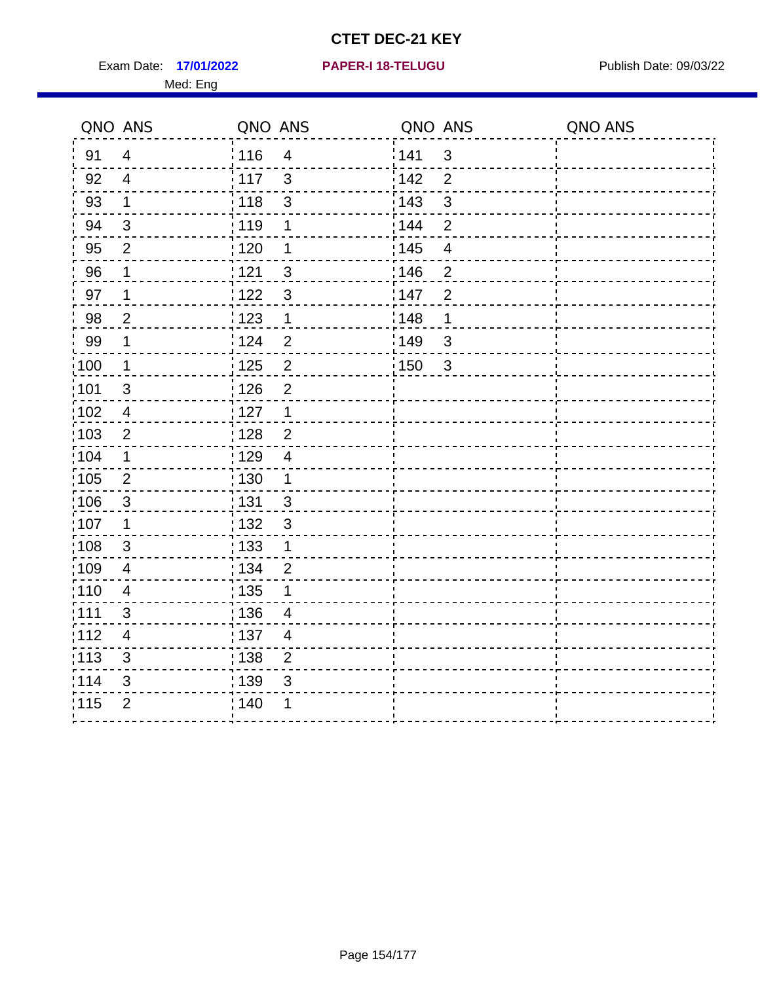Exam Date: 17/01/2022 **PAPER-I 18-TELUGU** PUBLISH Date: 09/03/22 Med: Eng

**17/01/2022 PAPER-I 18-TELUGU**

|                   | QNO ANS                 | QNO ANS                          | QNO ANS                 | QNO ANS |
|-------------------|-------------------------|----------------------------------|-------------------------|---------|
| 91                | $\overline{4}$          | 116<br>$\overline{\mathbf{4}}$   | 141<br>$\mathfrak{S}$   |         |
| 92                | $\overline{4}$          | 117<br>3                         | 142<br>$\overline{2}$   |         |
| 93                | 1                       | 118<br>$\mathbf{3}$              | 143<br>$\mathbf{3}$     |         |
| 94                | 3                       | : 119<br>1                       | 144<br>2                |         |
| 95                | $\overline{2}$          | :120<br>1                        | : 145<br>$\overline{4}$ |         |
| 96                | 1                       | 121<br>$\mathfrak{S}$            | :146<br>$\overline{2}$  |         |
| 97                | $\mathbf 1$             | : 122<br>$\mathbf{3}$            | 147<br>$\overline{2}$   |         |
| 98                | $\overline{2}$          | 123<br>$\mathbf{1}$              | 1148<br>1               |         |
| 99                | $\mathbf 1$             | 124<br>$\overline{2}$            | 149<br>$\sqrt{3}$       |         |
| $\frac{1}{1}$ 100 | $\overline{1}$          | $\overline{2}$<br>125            | 150<br>$\mathbf{3}$     |         |
| 101               | $\sqrt{3}$              | : 126<br>$\mathbf 2$             |                         |         |
| 102               | $\overline{4}$          | : 127<br>$\mathbf{1}$            |                         |         |
| :103              | 2                       | $\overline{2}$<br>: 128          |                         |         |
| 104               | $\mathbf 1$             | : 129<br>$\overline{4}$          |                         |         |
| 105               | $\overline{2}$          | : 130<br>$\mathbf{1}$            |                         |         |
| :106              | $\mathbf{3}$            | : 131<br>$\mathbf{3}$            |                         |         |
| :107              | $\mathbf 1$             | : 132<br>$\mathbf{3}$            |                         |         |
| 108               | $\mathbf{3}$            | : 133<br>$\mathbf{1}$            |                         |         |
| :109              | $\overline{\mathbf{4}}$ | : 134<br>$\overline{2}$          |                         |         |
| :110              | $\overline{4}$          | : 135<br>1                       |                         |         |
| :111              | $\mathfrak{S}$          | : 136<br>4                       |                         |         |
| 112               | $\overline{4}$          | : 137<br>$\overline{4}$          |                         |         |
| :113              | $\mathsf 3$             | $\frac{1}{1}$ 138<br>$\mathbf 2$ |                         |         |
| 114               | 3                       | 139<br>3                         |                         |         |
| 115               | $\overline{2}$          | 140                              |                         |         |
|                   |                         |                                  |                         |         |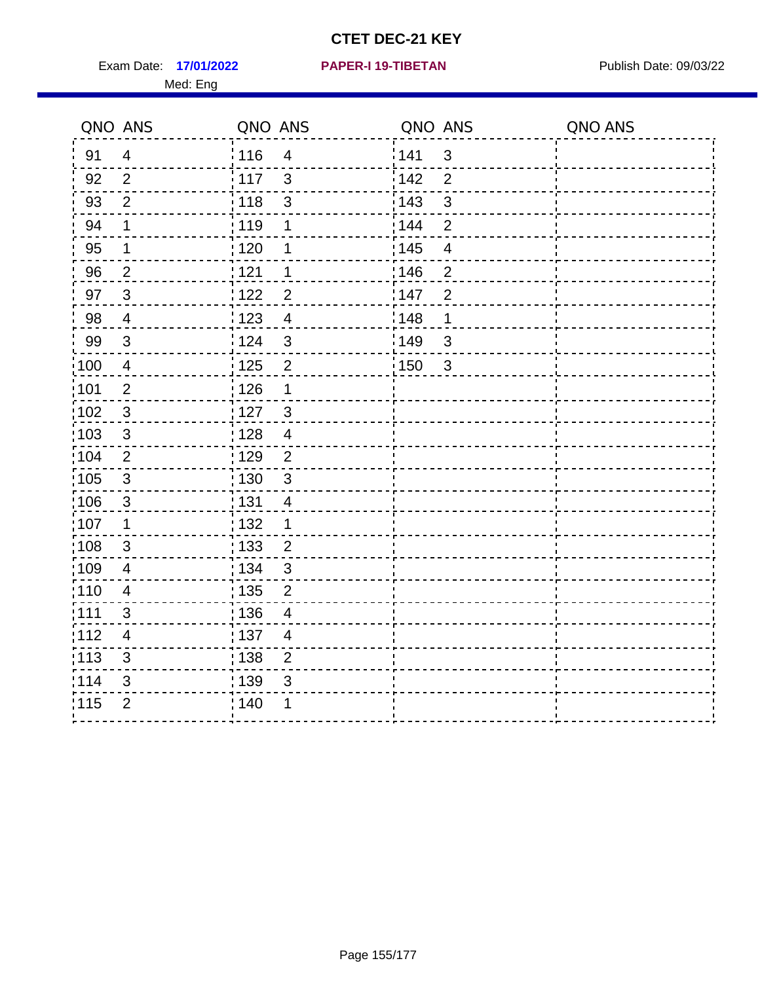Exam Date: 17/01/2022 **PAPER-I 19-TIBETAN** Publish Date: 09/03/22 Med: Eng

**17/01/2022 PAPER-I 19-TIBETAN**

|        | QNO ANS                   | QNO ANS           |                | QNO ANS |                | QNO ANS |
|--------|---------------------------|-------------------|----------------|---------|----------------|---------|
| 91     | $\overline{4}$            | 116               | $\overline{4}$ | 1141    | $\mathbf{3}$   |         |
| 92     | $\overline{2}$            | 117               | $\mathbf{3}$   | 142     | $\overline{2}$ |         |
| 93     | $\overline{2}$            | 118               | $\sqrt{3}$     | 143     | $\mathfrak{S}$ |         |
| 94     | 1                         | : 119             | 1              | 144     | $\overline{2}$ |         |
| 95     | 1                         | : 120             | 1              | : 145   | $\overline{4}$ |         |
| 96     | $\overline{2}$            | 121               | 1              | :146    | $\overline{2}$ |         |
| 97     | $\mathbf{3}$              | 122               | $\overline{2}$ | 147     | $\overline{2}$ |         |
| $98\,$ | $\overline{4}$            | 123               | $\overline{4}$ | 148     | 1              |         |
| 99     | $\ensuremath{\mathsf{3}}$ | 124               | $\sqrt{3}$     | 149     | $\mathfrak{S}$ |         |
| :100   | $\overline{4}$            | 125               | $\overline{2}$ | 150     | $\mathbf{3}$   |         |
| :101   | $\mathbf 2$               | $\frac{1}{1}$ 126 | 1              |         |                |         |
| 102    | $\mathfrak{3}$            | : 127             | $\mathbf{3}$   |         |                |         |
| 103    | 3                         | : 128             | $\overline{4}$ |         |                |         |
| 104    | $\overline{2}$            | : 129             | $\overline{2}$ |         |                |         |
| 105    | $\sqrt{3}$                | $\frac{1}{1}$ 130 | $\mathbf{3}$   |         |                |         |
| :106   | $\mathfrak{S}$            | : 131             | 4              |         |                |         |
| 107    | 1                         | :132              | $\mathbf 1$    |         |                |         |
| 108    | $\sqrt{3}$                | : 133             | $\overline{2}$ |         |                |         |
| :109   | $\overline{4}$            | : 134             | $\mathfrak{3}$ |         |                |         |
| :110   | 4                         | : 135             | $\overline{2}$ |         |                |         |
| 111    | 3                         | : 136             | $\overline{4}$ |         |                |         |
| 112    | $\overline{4}$            | 137               | $\overline{4}$ |         |                |         |
| 113    | $\mathbf{3}$              | : 138             | $\overline{c}$ |         |                |         |
| 114    | 3                         | 139               | 3              |         |                |         |
| 115    | $\overline{2}$            | 140               | 1              |         |                |         |
|        |                           |                   |                |         |                |         |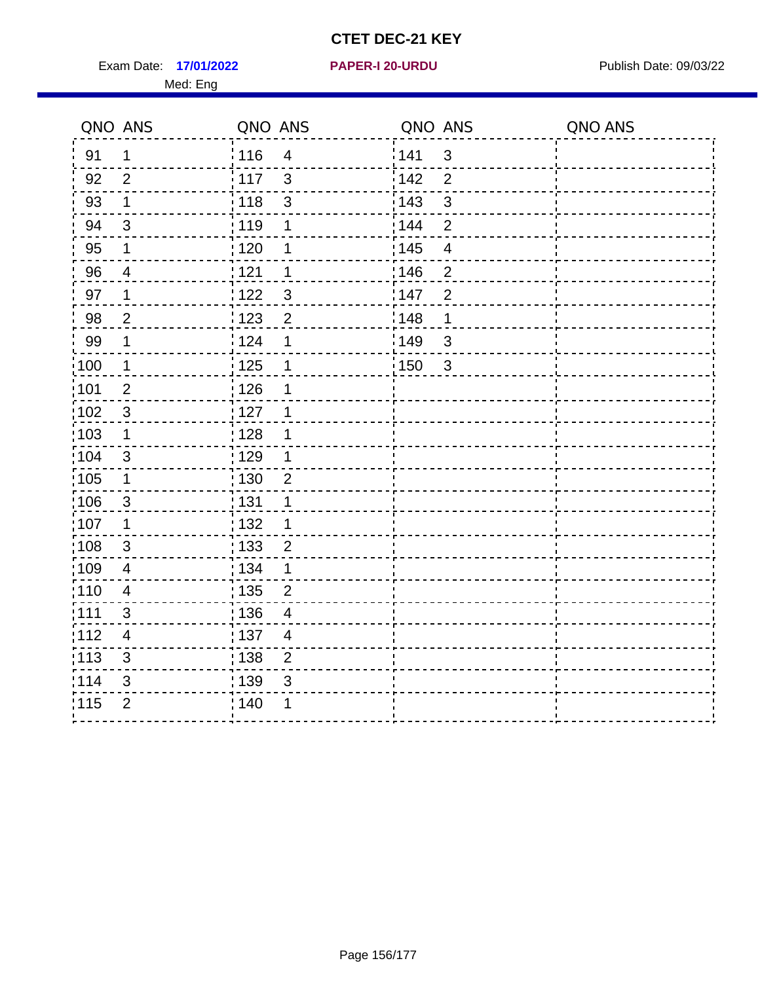Exam Date: 17/01/2022 **PAPER-I 20-URDU** PAPER 120-VERSITY Publish Date: 09/03/22 Med: Eng

**17/01/2022 PAPER-I 20-URDU**

|                   | QNO ANS                 | QNO ANS                                       | QNO ANS                             | QNO ANS |
|-------------------|-------------------------|-----------------------------------------------|-------------------------------------|---------|
| 91                | 1                       | : 116<br>$\overline{4}$                       | 141<br>$\mathfrak{3}$               |         |
| 92                | 2                       | $\mathbf{3}$<br>117                           | 142<br>$\overline{2}$               |         |
| 93                | $\mathbf 1$             | 118<br>$\mathsf 3$                            | 143<br>3                            |         |
| 94                | $\sqrt{3}$              | : 119<br>1                                    | 144<br>$\overline{2}$               |         |
| 95                | 1                       | 120<br>1                                      | : 145<br>$\overline{4}$             |         |
| 96                | $\overline{4}$          | 121<br>1                                      | 146<br>$\mathbf{2}$                 |         |
| 97                | $\mathbf 1$             | :122<br>3                                     | 147<br>$\overline{2}$               |         |
| 98                | $\overline{2}$          | $\frac{1}{2}$ 123<br>$\overline{2}$           | 148<br>$\mathbf 1$                  |         |
| 99                | $\mathbf 1$             | 124<br>1                                      | 149<br>$\mathfrak{S}$               |         |
| $\frac{1}{1}$ 100 | $\mathbf{1}$            | $\frac{1}{1}$ 125<br>$\mathbf 1$              | $\frac{1}{1}$ 150<br>$\mathfrak{S}$ |         |
| :101              | $\overline{2}$          | $\frac{1}{2}$ 126<br>1                        |                                     |         |
| $\frac{1}{1}$ 102 | $\mathbf{3}$            | 127<br>1                                      |                                     |         |
| 103               | $\mathbf 1$             | : 128<br>1                                    |                                     |         |
| 104               | 3                       | : 129<br>1                                    |                                     |         |
| 105               | $\mathbf 1$             | $\frac{1}{1}$ 130<br>$\overline{c}$           |                                     |         |
| :106              | $\mathbf{3}$            | : 131<br>$\mathbf 1$                          |                                     |         |
| :107              | 1                       | :132<br>$\mathbf 1$                           |                                     |         |
| 108               | $\mathbf{3}$            | : 133<br>$\overline{2}$                       |                                     |         |
| 109               | $\overline{4}$          | : 134<br>$\mathbf{1}$                         |                                     |         |
| :110              | $\overline{\mathbf{4}}$ | $\frac{1}{1}$ 135<br>$\overline{2}$           |                                     |         |
| : 111             | 3                       | : 136<br>4                                    |                                     |         |
| 112               | $\overline{4}$          | $\frac{1}{1}$ 137<br>$\overline{\mathcal{A}}$ |                                     |         |
| 113               | $\mathsf 3$             | : 138<br>$\mathbf 2$                          |                                     |         |
| 114               | 3                       | 139<br>3                                      |                                     |         |
| 115               | $\overline{2}$          | 140                                           |                                     |         |
|                   |                         |                                               |                                     |         |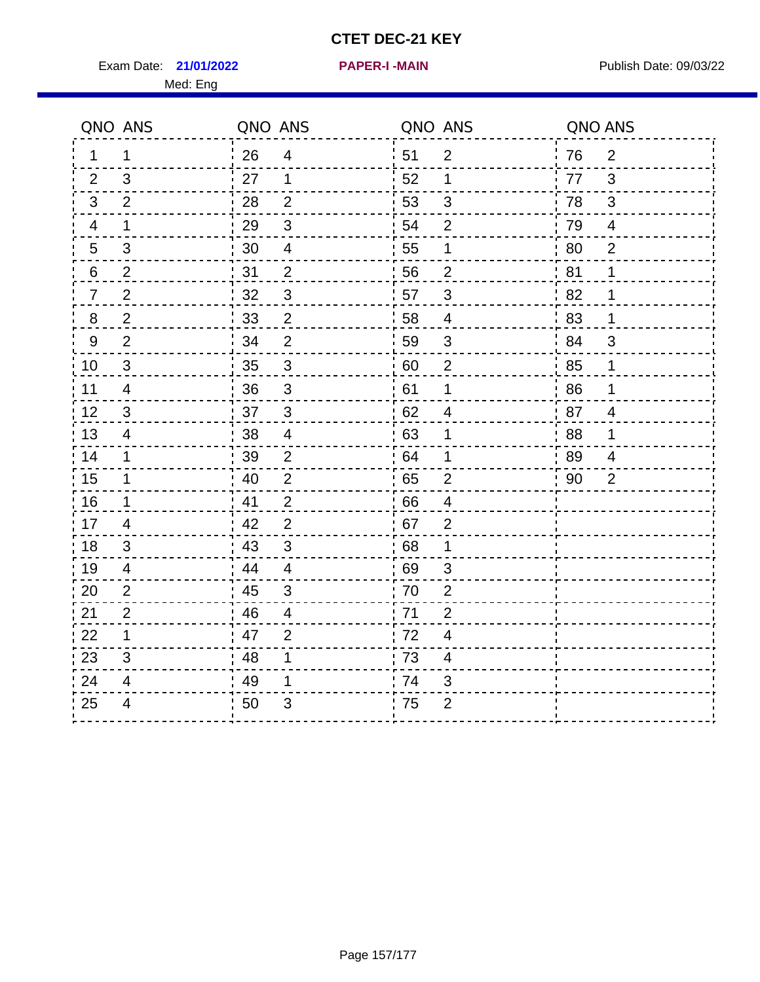Exam Date: 21/01/2022 **PAPER-I-MAIN Exam Date: 09/03/22** Med: Eng

|                | QNO ANS        | QNO ANS |                          | QNO ANS |                | QNO ANS |                |
|----------------|----------------|---------|--------------------------|---------|----------------|---------|----------------|
| 1.             | 1              | 26      | $\overline{4}$           | 51      | $\overline{2}$ | 76      | 2              |
| 2              | 3              | 27      | 1                        | 52      | 1              | 77      | 3              |
| 3              | 2              | 28      | $\overline{2}$           | 53      | 3              | 78      | 3              |
| 4              | $\mathbf 1$    | 29      | $\mathfrak{S}$           | 54      | 2              | 79      | 4              |
| 5              | 3              | 30      | $\overline{4}$           | 55      | $\mathbf 1$    | 80      | $\overline{2}$ |
| 6              | $\overline{2}$ | 31      | $\overline{2}$           | 56      | $\overline{2}$ | 81      | 1              |
| $\overline{7}$ | 2              | 32      | 3                        | 57      | 3              | .82     | 1              |
| 8              | $\mathbf 2$    | 33      | $\overline{2}$           | 58      | 4              | 83      | 1              |
| 9              | $\overline{2}$ | 34      | $\overline{2}$           | 59      | 3              | :84     | 3              |
| 10             | 3              | 35      | $\mathbf{3}$             | 60      | $\overline{2}$ | 85      | 1              |
| 11             | $\overline{4}$ | 36      | $\mathfrak{S}$           | 61      | $\mathbf 1$    | 86      | 1              |
| 12             | $\mathfrak{S}$ | 37      | $\mathsf 3$              | 62      | 4              | 87      | $\overline{4}$ |
| 13             | 4              | 38      | $\overline{\mathcal{A}}$ | 63      | 1              | 88      | 1              |
| 14             | 1              | 39      | $\overline{2}$           | 64      | 1              | 89      | $\overline{4}$ |
| 15             | 1              | 40      | $\overline{2}$           | 65      | $\overline{2}$ | 90      | $\overline{2}$ |
| 16             | $\mathbf 1$    | 41      | $\overline{2}$           | 66      | $\overline{4}$ |         |                |
| 17             | $\overline{4}$ | 42      | $\overline{2}$           | 67      | $\overline{2}$ |         |                |
| 18             | 3              | 43      | 3                        | 68      | 1              |         |                |
| 19             | 4              | 44      | $\overline{4}$           | 69      | 3              |         |                |
| 20             | $\overline{2}$ | 45      | $\mathfrak{S}$           | 70      | $\overline{2}$ |         |                |
| 21             | $\overline{2}$ | 46      | $\overline{4}$           | : 71    | $\overline{2}$ |         |                |
| 22             | 1              | 47      | 2                        | 72      | $\overline{4}$ |         |                |
| 23             | 3              | 48      | 1                        | 73      | 4              |         |                |
| 24             | 4              | 49      | 1                        | 74      | 3              |         |                |
| 25             | $\overline{4}$ | 50      | 3                        | 75      | $\overline{2}$ |         |                |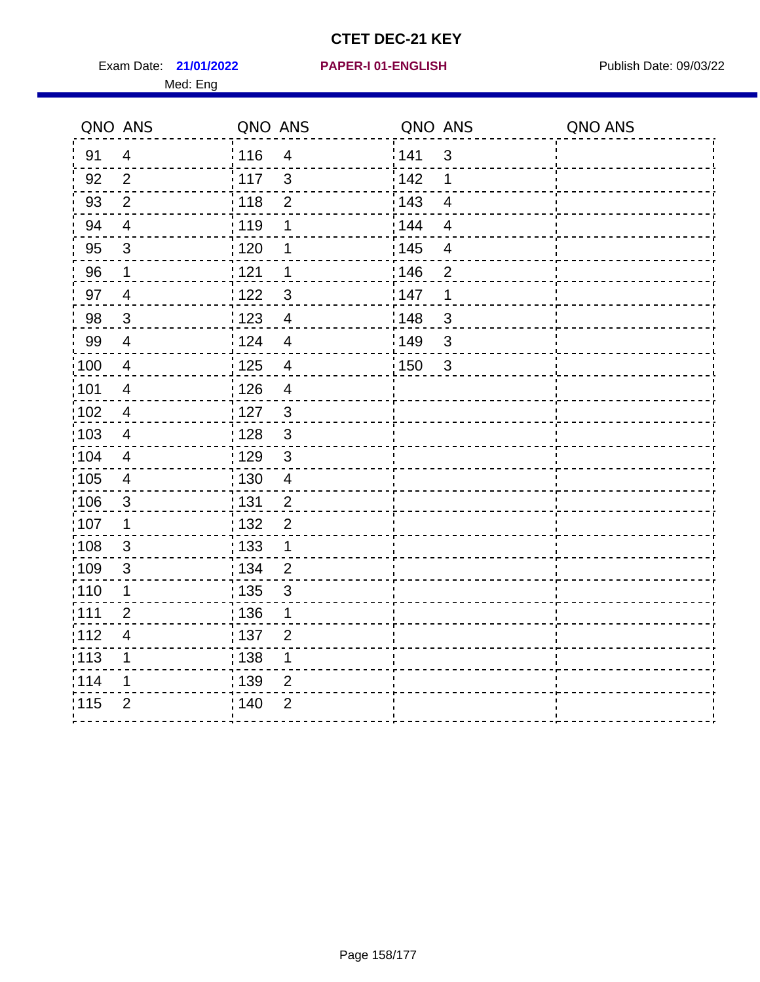Exam Date: 21/01/2022 PAPER-I 01-ENGLISH PREER FOR Publish Date: 09/03/22 Med: Eng

### **21/01/2022 PAPER-I 01-ENGLISH**

|                 | QNO ANS                  | QNO ANS           |                | QNO ANS |                         | QNO ANS |
|-----------------|--------------------------|-------------------|----------------|---------|-------------------------|---------|
| 91              | $\overline{4}$           | 116               | $\overline{4}$ | 141     | $\mathbf{3}$            |         |
| 92              | $\overline{2}$           | 117               | $\mathbf{3}$   | 142     | 1                       |         |
| 93              | $\mathbf{2}$             | 118               | $\overline{2}$ | 143     | $\overline{4}$          |         |
| 94              | $\overline{4}$           | : 119             | 1              | 144     | $\overline{4}$          |         |
| 95              | $\mathfrak{S}$           | : 120             | 1              | : 145   | $\overline{\mathbf{4}}$ |         |
| 96              | 1                        | 121               | 1              | 146     | $\overline{2}$          |         |
| 97              | $\overline{4}$           | 122               | 3              | 147     | 1                       |         |
| 98              | $\mathbf{3}$             | $\frac{1}{2}$ 123 | $\overline{4}$ | 148     | $\mathfrak{B}$          |         |
| 99              | $\overline{4}$           | 124               | $\overline{4}$ | :149    | $\mathsf 3$             |         |
| 100             | $\overline{4}$           | $\frac{1}{1}$ 125 | $\overline{4}$ | 150     | $\mathbf{3}$            |         |
| :101            | $\overline{\mathcal{A}}$ | : 126             | $\overline{4}$ |         |                         |         |
| 102             | $\overline{4}$           | : 127             | $\mathbf{3}$   |         |                         |         |
| 103             | $\overline{4}$           | : 128             | $\mathbf{3}$   |         |                         |         |
| $\frac{1}{104}$ | $\overline{4}$           | $\frac{1}{1}$ 129 | $\mathfrak{3}$ |         |                         |         |
| 105             | $\overline{\mathbf{4}}$  | : 130             | $\overline{4}$ |         |                         |         |
| :106            | $\mathfrak{S}$           | : 131             | $\overline{2}$ |         |                         |         |
| ;107            | $\mathbf{1}$             | : 132             | $\overline{2}$ |         |                         |         |
| 108             | $\mathbf{3}$             | $\frac{1}{1}$ 133 | $\mathbf{1}$   |         |                         |         |
| :109            | $\mathfrak{3}$           | : 134             | $\overline{2}$ |         |                         |         |
| :110            | 1                        | : 135             | 3              |         |                         |         |
| : 111           | $\overline{2}$           | 136               | 1              |         |                         |         |
| 112             | $\overline{\mathbf{4}}$  | : 137             | $\overline{2}$ |         |                         |         |
| 113             | 1                        | : 138             | 1              |         |                         |         |
| 114             | 1                        | :139              | 2              |         |                         |         |
| 115             | $\overline{2}$           | 140               | $\overline{2}$ |         |                         |         |
|                 |                          |                   |                |         |                         |         |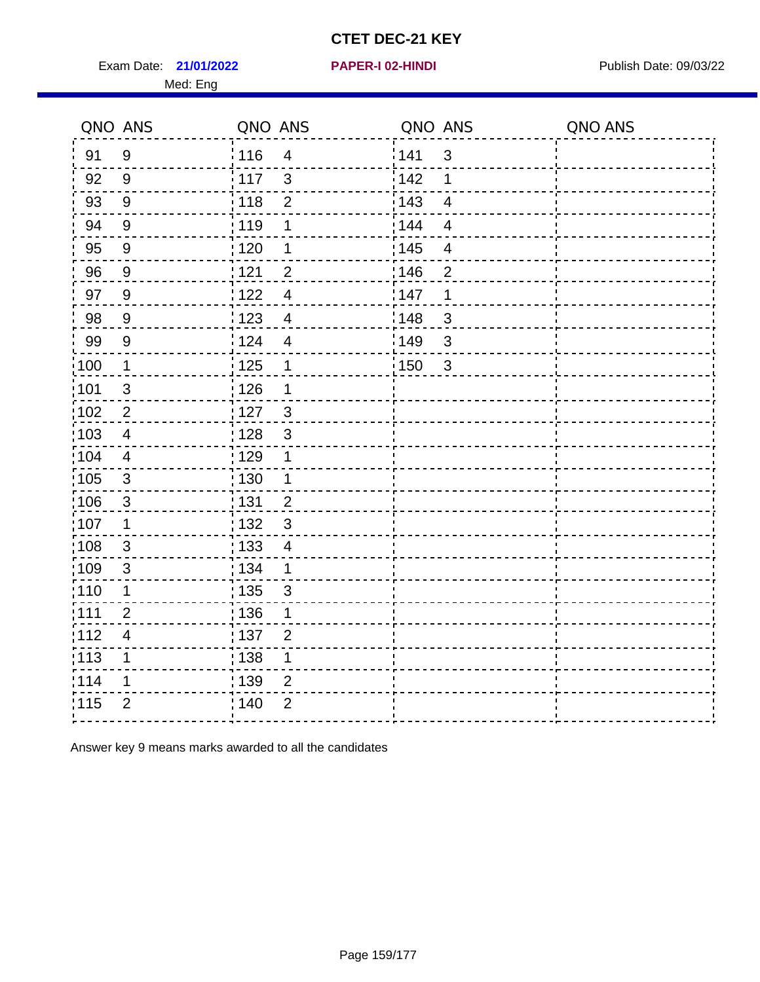Exam Date: 21/01/2022 **PAPER-I 02-HINDI** PUBLISH Date: 09/03/22 Med: Eng

### **21/01/2022 PAPER-I 02-HINDI**

|                   | QNO ANS        | QNO ANS           |                | QNO ANS |                | QNO ANS |
|-------------------|----------------|-------------------|----------------|---------|----------------|---------|
| 91                | 9              | : 116             | $\overline{4}$ | 141     | $\mathfrak{S}$ |         |
| 92                | 9              | $\frac{1}{117}$   | 3              | 142     | 1              |         |
| 93                | 9              | : 118             | $\overline{2}$ | 143     | $\overline{4}$ |         |
| 94                | 9              | : 119             | 1              | : 144   | $\overline{4}$ |         |
| 95                | $9\,$          | ;120              | 1              | : 145   | $\overline{4}$ |         |
| 96                | 9              | 121               | $\overline{2}$ | 146     | $\overline{2}$ |         |
| 97                | 9              | 1122              | $\overline{4}$ | 147     | 1              |         |
| 98                | 9              | : 123             | $\overline{4}$ | 148     | 3              |         |
| 99                | $9\,$          | 124               | $\overline{4}$ | 149     | 3              |         |
| $\frac{1}{1}$ 100 | $\mathbf 1$    | 125               | $\mathbf 1$    | 150     | $\mathbf{3}$   |         |
| 101               | $\mathfrak{S}$ | 126               | 1              |         |                |         |
| $\frac{1}{1}$ 102 | $\overline{2}$ | : 127             | $\mathbf{3}$   |         |                |         |
| 103               | 4              | : 128             | 3              |         |                |         |
| :104              | 4              | :129              | $\mathbf 1$    |         |                |         |
| 105               | $\mathbf{3}$   | : 130             | $\mathbf{1}$   |         |                |         |
| 106               | $\sqrt{3}$     | : 131             | $\overline{2}$ |         |                |         |
| 107               | $\mathbf 1$    | : 132             | 3              |         |                |         |
| :108              | 3              | : 133             | $\overline{4}$ |         |                |         |
| 109               | $\mathfrak{S}$ | : 134             | 1              |         |                |         |
| 110               | $\mathbf 1$    | $\frac{1}{1}$ 135 | $\mathbf{3}$   |         |                |         |
| : 111             | $\overline{2}$ | :136              | 1              |         |                |         |
| 112               | $\overline{4}$ | : 137             | $\overline{2}$ |         |                |         |
| :113              | 1              | : 138             | $\mathbf 1$    |         |                |         |
| 114               | 1              | : 139             | $\overline{2}$ |         |                |         |
| 115               | $\overline{2}$ | ; 140             | $\overline{2}$ |         |                |         |

Answer key 9 means marks awarded to all the candidates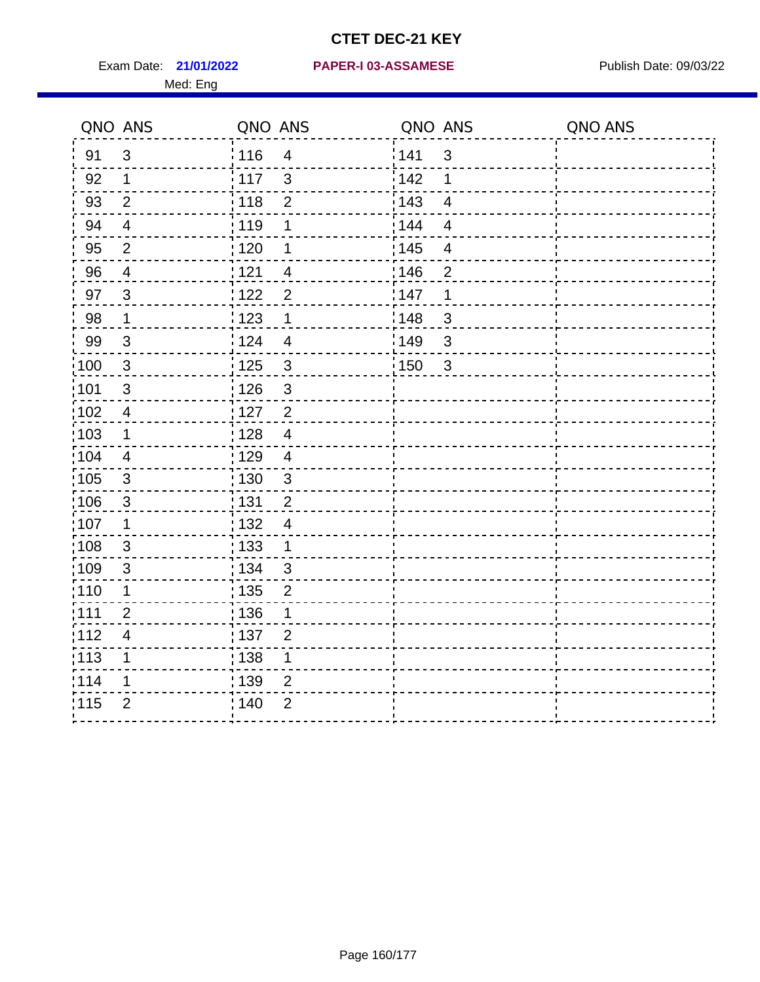Med: Eng

|                   | QNO ANS                 | QNO ANS           |                | QNO ANS           |                | QNO ANS |
|-------------------|-------------------------|-------------------|----------------|-------------------|----------------|---------|
| 91                | $\mathbf{3}$            | : 116             | $\overline{4}$ | 141               | $\mathfrak{3}$ |         |
| 92                | $\mathbf{1}$            | $\frac{1}{117}$   | $\mathbf{3}$   | 142               | 1              |         |
| 93                | $\overline{2}$          | 118               | $\overline{2}$ | 143               | $\overline{4}$ |         |
| 94                | $\overline{4}$          | : 119             | 1              | : 144             | $\overline{4}$ |         |
| 95                | $\overline{2}$          | : 120             | 1              | : 145             | 4              |         |
| 96                | $\overline{4}$          | 121               | $\overline{4}$ | 146               | $\overline{2}$ |         |
| 97                | $\mathbf{3}$            | 122               | $\overline{2}$ | 147               | 1              |         |
| 98                | $\mathbf{1}$            | $\frac{1}{2}$ 123 | 1              | 148               | 3              |         |
| 99                | $\sqrt{3}$              | 124               | $\overline{4}$ | 149               | $\mathfrak{S}$ |         |
| $\frac{1}{1}$ 100 | $\mathbf{3}$            | $\frac{1}{1}$ 125 | $\mathbf{3}$   | $\frac{1}{1}$ 150 | $\mathbf{3}$   |         |
| :101              | $\sqrt{3}$              | 126               | $\mathfrak{S}$ |                   |                |         |
| 102               | $\overline{4}$          | : 127             | $\overline{2}$ |                   |                |         |
| 103               | $\mathbf 1$             | : 128             | $\overline{4}$ |                   |                |         |
| :104              | $\overline{4}$          | : 129             | $\overline{4}$ |                   |                |         |
| 105               | $\mathbf{3}$            | : 130             | $\mathbf{3}$   |                   |                |         |
| :106              | $\mathfrak{S}$          | 131               | $\overline{2}$ |                   |                |         |
| ;107              | $\mathbf{1}$            | : 132             | $\overline{4}$ |                   |                |         |
| 108               | $\sqrt{3}$              | : 133             | $\mathbf{1}$   |                   |                |         |
| :109              | $\mathfrak{3}$          | : 134             | $\mathbf{3}$   |                   |                |         |
| :110              | 1                       | 135               | $\overline{2}$ |                   |                |         |
| :111              | $\overline{2}$          | 136               | 1              |                   |                |         |
| 112               | $\overline{\mathbf{4}}$ | 137               | $\overline{2}$ |                   |                |         |
| 113               | 1                       | : 138             | 1              |                   |                |         |
| 114               | 1                       | 139               | 2              |                   |                |         |
| 115               | $\overline{2}$          | 140               | $\overline{2}$ |                   |                |         |
|                   |                         |                   |                |                   |                |         |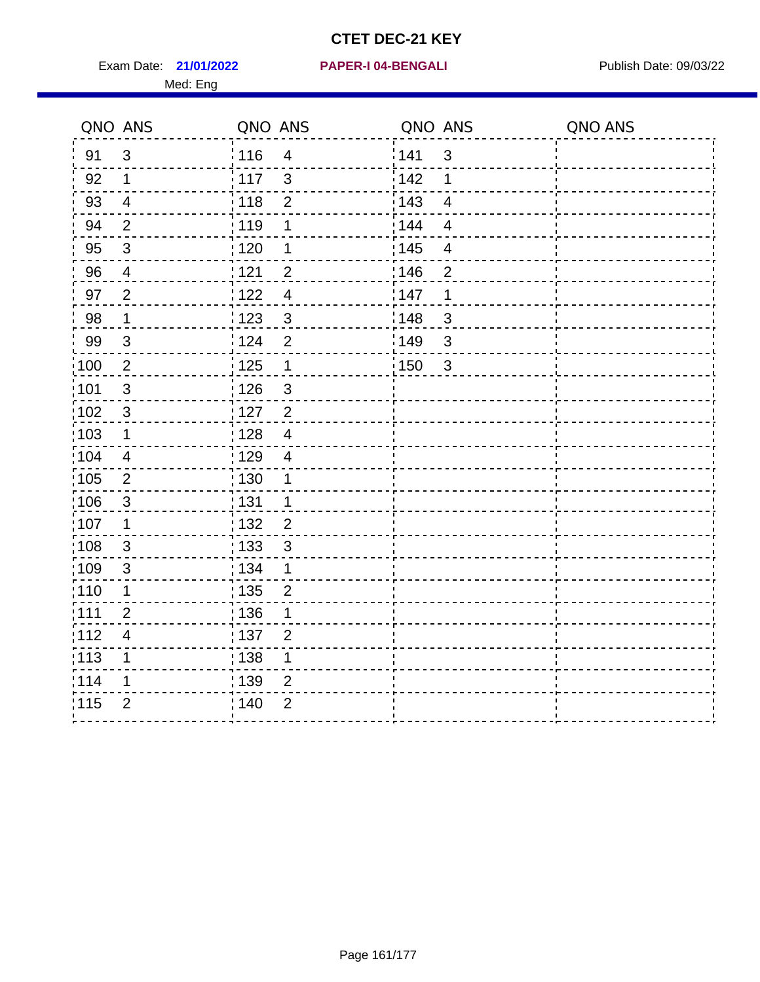Exam Date: 21/01/2022 PAPER-I 04-BENGALI PREREMENTED Publish Date: 09/03/22 Med: Eng

**21/01/2022 PAPER-I 04-BENGALI**

|                   | QNO ANS                  | QNO ANS           |                         | QNO ANS |                | QNO ANS |
|-------------------|--------------------------|-------------------|-------------------------|---------|----------------|---------|
| 91                | $\mathbf{3}$             | 116               | $\overline{\mathbf{4}}$ | 1141    | $\sqrt{3}$     |         |
| 92                | $\mathbf 1$              | 117               | $\mathfrak{3}$          | 142     | 1              |         |
| 93                | $\overline{4}$           | 118               | $\overline{2}$          | 143     | $\overline{4}$ |         |
| 94                | 2                        | : 119             | 1                       | : 144   | $\overline{4}$ |         |
| 95                | $\mathfrak{B}$           | :120              | 1                       | : 145   | $\overline{4}$ |         |
| 96                | 4                        | 121               | $\overline{2}$          | :146    | $\overline{2}$ |         |
| 97                | $\overline{2}$           | 122               | $\overline{4}$          | 147     | 1              |         |
| 98                | $\mathbf{1}$             | 123               | $\mathfrak{3}$          | 148     | $\sqrt{3}$     |         |
| 99                | $\sqrt{3}$               | 124               | $\overline{2}$          | :149    | $\mathfrak{S}$ |         |
| :100              | $\sqrt{2}$               | $\frac{1}{1}$ 125 | $\mathbf 1$             | 150     | $\mathbf{3}$   |         |
| :101              | $\sqrt{3}$               | : 126             | $\mathfrak{S}$          |         |                |         |
| 102               | $\mathbf{3}$             | : 127             | $\overline{2}$          |         |                |         |
| 103               | $\mathbf 1$              | : 128             | $\overline{4}$          |         |                |         |
| 104               | $\overline{4}$           | : 129             | $\overline{4}$          |         |                |         |
| $\frac{1}{1}$ 105 | $\sqrt{2}$               | : 130             | $\mathbf 1$             |         |                |         |
| :106              | 3                        | : 131             | $\mathbf 1$             |         |                |         |
| ;107              | $\mathbf{1}$             | 132               | $\overline{2}$          |         |                |         |
| 108               | $\sqrt{3}$               | 133               | $\mathbf{3}$            |         |                |         |
| :109              | $\sqrt{3}$               | : 134             | $\mathbf{1}$            |         |                |         |
| :110              | 1                        | : 135             | $\overline{2}$          |         |                |         |
| :111              | $\overline{2}$           | 136               | 1                       |         |                |         |
| 112               | $\overline{\mathcal{A}}$ | : 137             | $\mathbf{2}$            |         |                |         |
| 113               | 1                        | : 138             | 1                       |         |                |         |
| 114               | 1                        | : 139             | 2                       |         |                |         |
| 115               | $\overline{2}$           | 140               | $\overline{2}$          |         |                |         |
|                   |                          |                   |                         |         |                |         |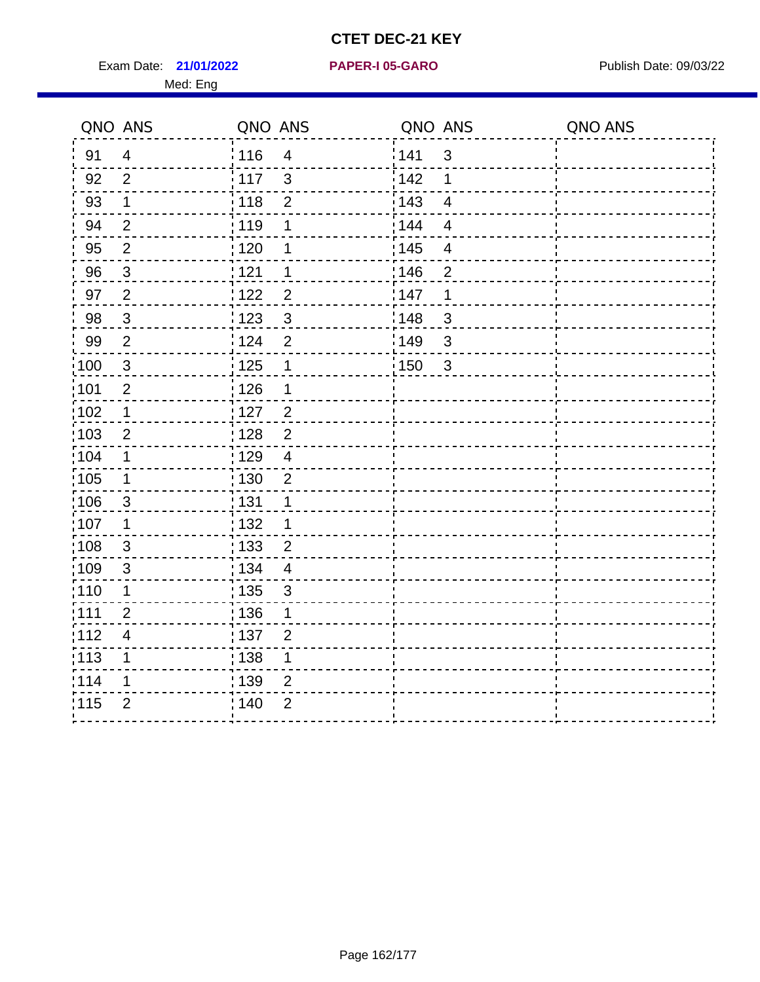Exam Date: 21/01/2022 PAPER-I 05-GARO Publish Date: 09/03/22 Med: Eng

#### **21/01/2022 PAPER-I 05-GARO**

|                   | QNO ANS                 | QNO ANS |                      | QNO ANS          |                         | QNO ANS |
|-------------------|-------------------------|---------|----------------------|------------------|-------------------------|---------|
| 91                | $\overline{4}$          | 116     | $\overline{4}$       | 141              | $\mathbf{3}$            |         |
| 92                | $\overline{2}$          | 117     | $\mathbf{3}$         | <sup>'</sup> 142 | $\mathbf 1$             |         |
| 93                | $\mathbf{1}$            | 118     | $\overline{2}$       | 143              | $\overline{4}$          |         |
| 94                | $\overline{2}$          | : 119   | 1                    | 144              | $\overline{\mathbf{4}}$ |         |
| 95                | $\overline{2}$          | :120    | 1                    | : 145            | $\overline{\mathbf{4}}$ |         |
| 96                | $\mathbf{3}$            | 121     | $\mathbf 1$          | 146              | $\overline{2}$          |         |
| 97                | $\overline{2}$          | 1122    | $\overline{2}$       | 147              | $\mathbf 1$             |         |
| 98                | $\mathfrak{S}$          | 123     | $\mathbf{3}$         | 148              | 3                       |         |
| 99                | $\overline{2}$          | 124     | $\overline{2}$       | 149              | $\mathbf{3}$            |         |
| $\frac{1}{1}$ 100 | $\mathbf{3}$            | 125     | $\mathbf 1$          | : 150            | $\mathbf{3}$            |         |
| :101              | $\mathbf{2}$            | : 126   | $\mathbf 1$          |                  |                         |         |
| $\frac{1}{1}$ 102 | $\mathbf 1$             | :127    | $\frac{2}{\sqrt{2}}$ |                  |                         |         |
| 103               | 2                       | : 128   | 2                    |                  |                         |         |
| :104              | 1                       | :129    | $\overline{4}$       |                  |                         |         |
| $\frac{1}{1}$ 105 | $\mathbf 1$             | : 130   | $\mathbf{2}$         |                  |                         |         |
| 106               | 3                       | : 131   | $\mathbf 1$          |                  |                         |         |
| :107              | 1                       | : 132   | 1                    |                  |                         |         |
| 108               | $\mathbf{3}$            | : 133   | $\overline{2}$       |                  |                         |         |
| :109              | $\sqrt{3}$              | : 134   | $\overline{4}$       |                  |                         |         |
| :110              | 1                       | ; 135   | $\mathfrak{B}$       |                  |                         |         |
| :111              | $\overline{2}$          | :136    | 1                    |                  |                         |         |
| 112               | $\overline{\mathbf{4}}$ | : 137   | $\overline{2}$       |                  |                         |         |
| : 113             | 1                       | : 138   | $\mathbf 1$          |                  |                         |         |
| 114               | 1                       | : 139   | $\overline{2}$       |                  |                         |         |
| 115               | $\overline{2}$          | : 140   | $\overline{2}$       |                  |                         |         |
|                   |                         |         |                      |                  |                         |         |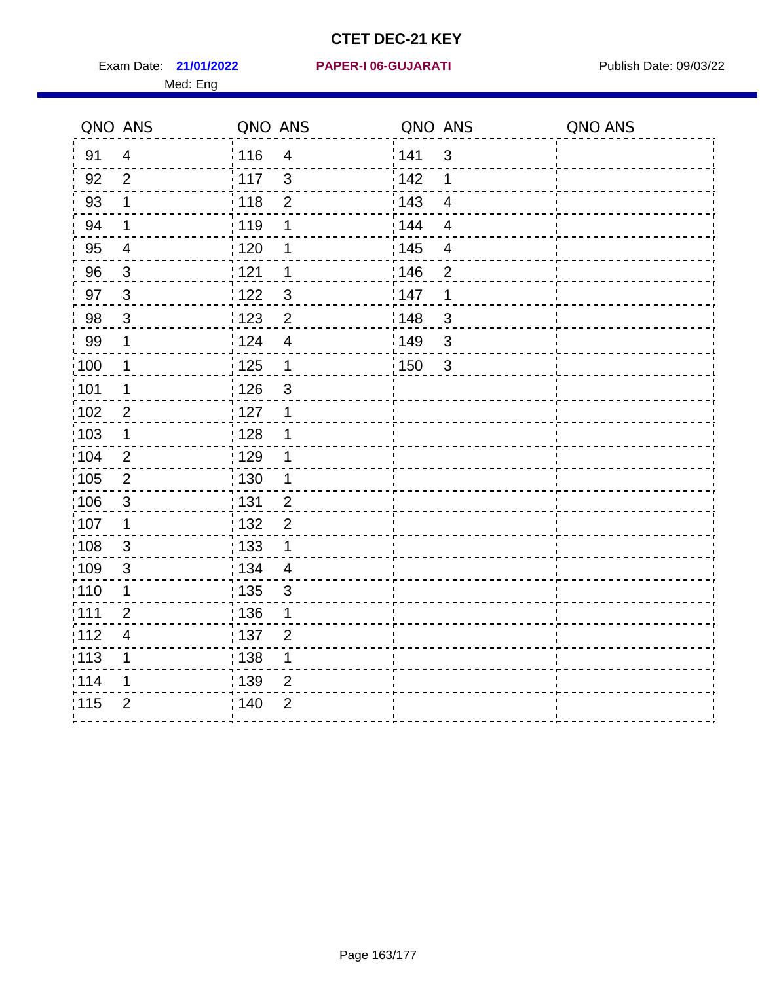Exam Date: 21/01/2022 PAPER-I 06-GUJARATI Publish Date: 09/03/22 Med: Eng

**21/01/2022 PAPER-I 06-GUJARATI**

|                   | QNO ANS                 | QNO ANS                             | QNO ANS                          | QNO ANS |
|-------------------|-------------------------|-------------------------------------|----------------------------------|---------|
| 91                | $\overline{4}$          | 116<br>$\overline{4}$               | 141<br>$\mathbf{3}$              |         |
| 92                | $\overline{2}$          | 117<br>$\mathbf{3}$                 | 142<br>1                         |         |
| 93                | $\mathbf 1$             | 118<br>$\overline{2}$               | 143<br>$\overline{4}$            |         |
| 94                | $\mathbf 1$             | : 119<br>1                          | : 144<br>$\overline{4}$          |         |
| 95                | $\overline{4}$          | : 120<br>1                          | : 145<br>$\overline{\mathbf{4}}$ |         |
| 96                | 3                       | 121<br>1                            | :146<br>$\overline{2}$           |         |
| 97                | $\mathbf{3}$            | 122<br>$\mathbf{3}$                 | 147<br>1                         |         |
| 98                | $\mathbf{3}$            | $\frac{1}{2}$ 123<br>$\overline{c}$ | 148<br>$\sqrt{3}$                |         |
| 99                | $\mathbf 1$             | 124<br>$\overline{\mathbf{4}}$      | :149<br>$\sqrt{3}$               |         |
| $\frac{1}{1}$ 100 | $\mathbf 1$             | $\frac{1}{1}$ 125<br>$\mathbf 1$    | 150<br>$\mathbf{3}$              |         |
| :101              | 1                       | 126<br>$\mathsf 3$                  |                                  |         |
| 102               | $\overline{2}$          | : 127<br>$\mathbf 1$                |                                  |         |
| 103               | $\mathbf 1$             | : 128<br>$\mathbf 1$                |                                  |         |
| 104               | $\overline{2}$          | $\frac{1}{1}$ 129<br>1              |                                  |         |
| 105               | $\overline{2}$          | 130<br>$\mathbf 1$                  |                                  |         |
| :106              | $\mathfrak{S}$          | : 131<br>$\overline{2}$             |                                  |         |
| ;107              | $\mathbf{1}$            | $\overline{2}$<br>132               |                                  |         |
| 108               | $\sqrt{3}$              | $\frac{1}{1}$ 133<br>$\mathbf 1$    |                                  |         |
| :109              | $\mathfrak{3}$          | : 134<br>$\overline{4}$             |                                  |         |
| :110              | 1                       | : 135<br>3                          |                                  |         |
| : 111             | $\overline{2}$          | : 136<br>1                          |                                  |         |
| 112               | $\overline{\mathbf{4}}$ | : 137<br>$\overline{2}$             |                                  |         |
| 113               | 1                       | : 138<br>1                          |                                  |         |
| 114               | 1                       | :139<br>2                           |                                  |         |
| 115               | $\overline{2}$          | 140<br>$\overline{2}$               |                                  |         |
|                   |                         |                                     |                                  |         |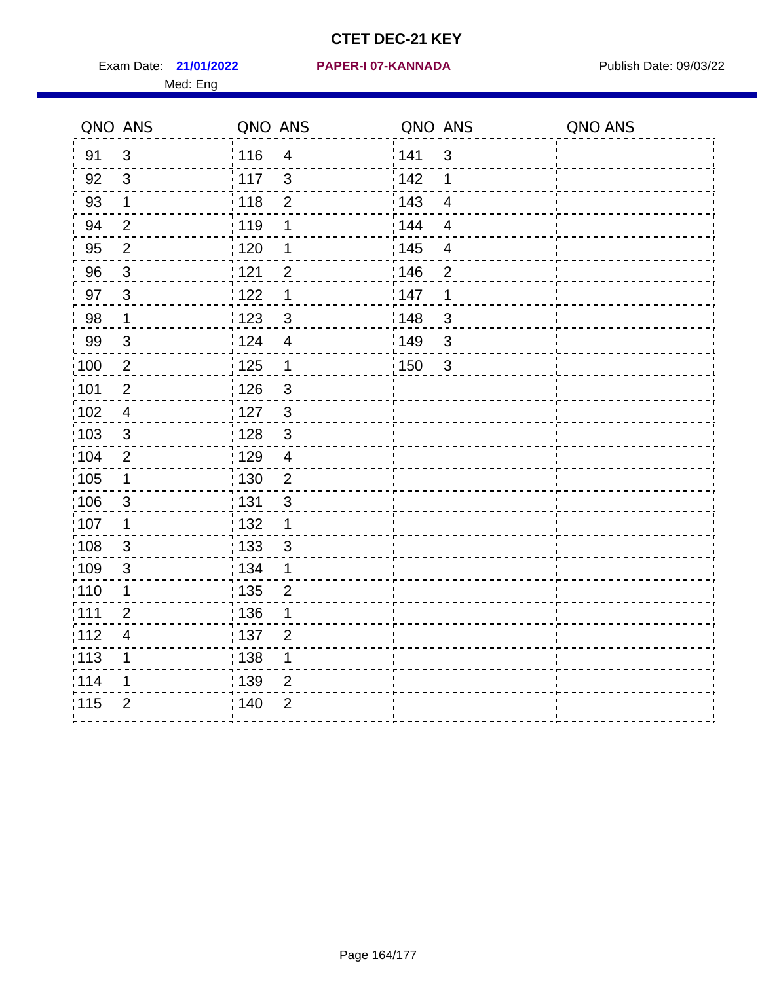Exam Date: 21/01/2022 PAPER-I 07-KANNADA Publish Date: 09/03/22 Med: Eng

### **21/01/2022 PAPER-I 07-KANNADA**

|                   | QNO ANS                   | QNO ANS           |                | QNO ANS           |                          | QNO ANS |
|-------------------|---------------------------|-------------------|----------------|-------------------|--------------------------|---------|
| 91                | $\mathfrak{S}$            | 116               | $\overline{4}$ | 141               | $\mathfrak{S}$           |         |
| 92                | $\mathfrak{B}$            | $\frac{1}{2}$ 117 | $\mathbf{3}$   | 142               | 1                        |         |
| 93                | $\mathbf 1$               | 118               | $\mathbf 2$    | 143               | $\overline{\mathbf{4}}$  |         |
| 94                | $\overline{2}$            | : 119             | 1              | : 144             | $\overline{4}$           |         |
| 95                | $\overline{2}$            | : 120             | 1              | : 145             | $\overline{\mathcal{A}}$ |         |
| 96                | $\mathbf{3}$              | 121               | $\overline{2}$ | 146               | $\overline{2}$           |         |
| 97                | $\mathbf{3}$              | : 122             | 1              | 147               | 1                        |         |
| 98                | $\mathbf{1}$              | 123               | $\mathfrak{S}$ | 148               | $\mathbf{3}$             |         |
| 99                | $\ensuremath{\mathsf{3}}$ | 124               | $\overline{4}$ | $\frac{1}{2}$ 149 | $\mathfrak{S}$           |         |
| $\frac{1}{1}$ 100 | $\sqrt{2}$                | $\frac{1}{2}$ 125 | $\mathbf{1}$   | 150               | $\mathfrak{S}$           |         |
| :101              | $\mathbf 2$               | : 126             | $\mathfrak{S}$ |                   |                          |         |
| 102               | $\overline{4}$            | : 127             | $\mathbf{3}$   |                   |                          |         |
| ;103              | 3                         | :128              | $\mathbf{3}$   |                   |                          |         |
| 104               | $\overline{2}$            | : 129             | $\overline{4}$ |                   |                          |         |
| 105               | $\mathbf{1}$              | $\frac{1}{1}$ 130 | $\overline{2}$ |                   |                          |         |
| :106              | $\mathbf{3}$              | : 131             | $\mathbf{3}$   |                   |                          |         |
| 107               | 1                         | :132              | $\mathbf{1}$   |                   |                          |         |
| 108               | $\sqrt{3}$                | 133               | $\mathbf{3}$   |                   |                          |         |
| :109              | $\mathsf 3$               | : 134             | $\mathbf{1}$   |                   |                          |         |
| :110              | 1                         | : 135             | $\overline{2}$ |                   |                          |         |
| 111               | $\overline{2}$            | : 136             | 1              |                   |                          |         |
| 112               | $\overline{\mathcal{A}}$  | 137               | $\overline{2}$ |                   |                          |         |
| 113               | 1                         | : 138             | 1              |                   |                          |         |
| 114               | 1                         | 139               | 2              |                   |                          |         |
| 115               | $\overline{2}$            | 140               | $\overline{2}$ |                   |                          |         |
|                   |                           |                   |                |                   |                          |         |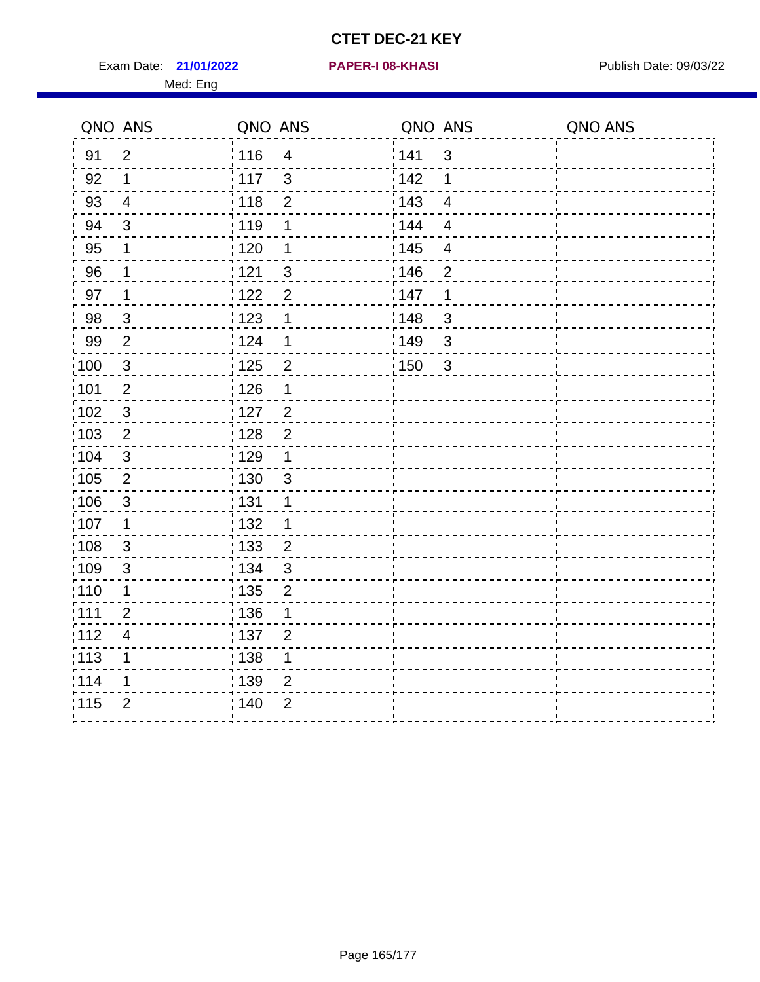Exam Date: 21/01/2022 PAPER-I 08-KHASI PHOTOS Publish Date: 09/03/22 Med: Eng

#### **21/01/2022 PAPER-I 08-KHASI**

| QNO ANS |                         | QNO ANS           |                | QNO ANS           |                         | QNO ANS |
|---------|-------------------------|-------------------|----------------|-------------------|-------------------------|---------|
| 91      | $\overline{2}$          | 116               | $\overline{4}$ | <sup>'</sup> 141  | 3                       |         |
| 92      | $\mathbf 1$             | 117               | $\mathbf{3}$   | 142               | 1                       |         |
| 93      | $\overline{4}$          | 118               | $\overline{2}$ | 143               | $\overline{\mathbf{4}}$ |         |
| 94      | $\mathfrak{B}$          | 119               | 1              | 144               | $\overline{4}$          |         |
| 95      | 1                       | $\frac{1}{1}$ 120 | 1              | $\frac{1}{1}$ 145 | $\overline{\mathbf{4}}$ |         |
| 96      | 1                       | 121               | $\sqrt{3}$     | 146               | $\overline{2}$          |         |
| 97      | $\mathbf 1$             | :122              | $\overline{2}$ | 147               | $\mathbf 1$             |         |
| 98      | $\mathbf{3}$            | 1123              | $\mathbf 1$    | 148               | 3                       |         |
| 99      | $\overline{2}$          | 124               | 1              | :149              | $\mathbf{3}$            |         |
| 100     | $\mathbf{3}$            | $125$             | $\overline{c}$ | : 150             | $\mathfrak{S}$          |         |
| 101     | $\mathbf 2$             | : 126             | $\mathbf 1$    |                   |                         |         |
| 102     | $\mathbf{3}$            | 127               | $\overline{2}$ |                   |                         |         |
| 103     | $\overline{2}$          | : 128             | $\overline{2}$ |                   |                         |         |
| 104     | $\mathbf{3}$            | : 129             | $\mathbf 1$    |                   |                         |         |
| 105     | $\overline{2}$          | : 130             | $\mathfrak{S}$ |                   |                         |         |
| 106     | $\mathbf{3}$            | : 131             | 1              |                   |                         |         |
| ;107    | $\mathbf 1$             | : 132             | 1              |                   |                         |         |
| 108     | $\sqrt{3}$              | $\frac{1}{1}$ 133 | $\overline{2}$ |                   |                         |         |
| :109    | $\mathfrak{B}$          | : 134             | $\mathfrak{S}$ |                   |                         |         |
| :110    | 1                       | : 135             | $\overline{2}$ |                   |                         |         |
| 111     | $\overline{2}$          | : 136             | 1              |                   |                         |         |
| 112     | $\overline{\mathbf{4}}$ | : 137             | $\overline{2}$ |                   |                         |         |
| : 113   | 1                       | : 138             | 1              |                   |                         |         |
| 114     | 1                       | : 139             | $\overline{2}$ |                   |                         |         |
| 115     | $\overline{2}$          | 140               | $\overline{2}$ |                   |                         |         |
|         |                         |                   |                |                   |                         |         |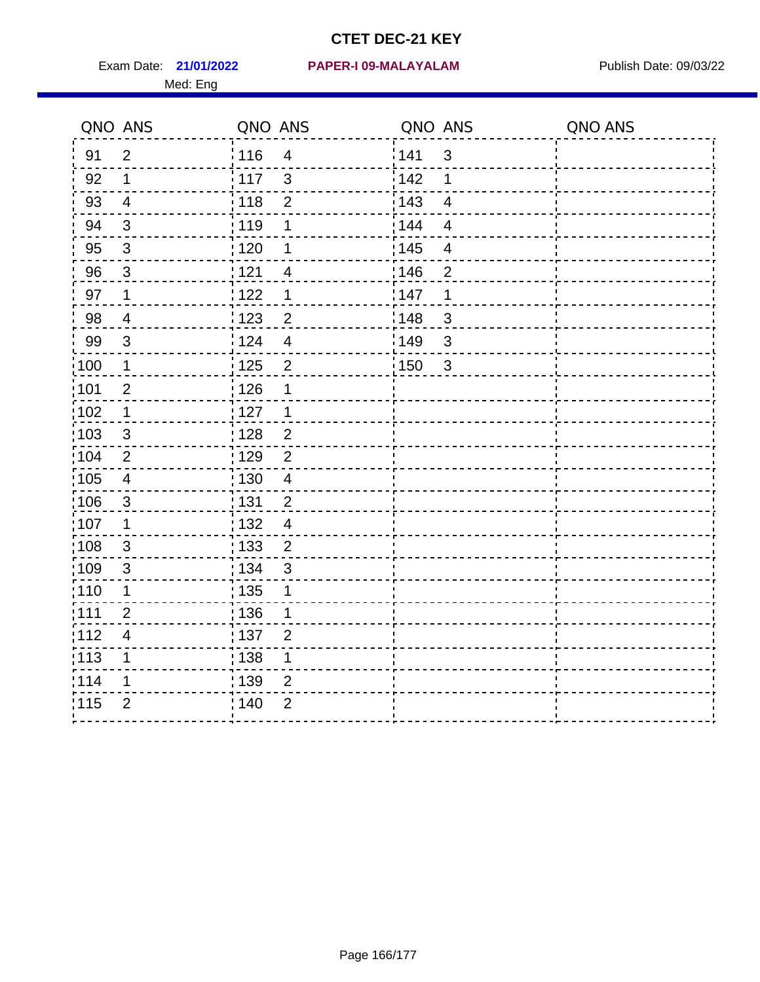Med: Eng

|                   | QNO ANS                   | QNO ANS         |                         | QNO ANS |                | QNO ANS |
|-------------------|---------------------------|-----------------|-------------------------|---------|----------------|---------|
| 91                | $\overline{2}$            | : 116           | $\overline{\mathbf{4}}$ | 1141    | $\sqrt{3}$     |         |
| 92                | $\mathbf 1$               | $\frac{1}{117}$ | $\mathfrak{S}$          | 142     | 1              |         |
| 93                | $\overline{4}$            | : 118           | $\overline{2}$          | 143     | $\overline{4}$ |         |
| 94                | 3                         | : 119           | 1                       | : 144   | $\overline{4}$ |         |
| 95                | $\mathfrak{B}$            | : 120           | 1                       | : 145   | 4              |         |
| 96                | $\mathfrak{S}$            | : 121           | 4                       | 146     | $\overline{2}$ |         |
| 97                | $\mathbf 1$               | 1122            | 1                       | 147     | 1              |         |
| 98                | $\overline{\mathcal{A}}$  | 1123            | $\overline{c}$          | 148     | $\sqrt{3}$     |         |
| 99                | $\sqrt{3}$                | 124             | $\overline{\mathbf{4}}$ | :149    | $\sqrt{3}$     |         |
| :100              | $\mathbf 1$               | 125             | $\overline{2}$          | 150     | $\mathbf{3}$   |         |
| :101              | $\overline{2}$            | : 126           | 1                       |         |                |         |
| 102               | $\mathbf 1$               | : 127           | $\mathbf 1$             |         |                |         |
| 103               | 3                         | :128            | $\overline{2}$          |         |                |         |
| 104               | $\overline{2}$            | : 129           | $\overline{2}$          |         |                |         |
| :105              | $\overline{\mathbf{4}}$   | : 130           | $\overline{4}$          |         |                |         |
| 106               | $\mathfrak{S}$            | : 131           | $\overline{2}$          |         |                |         |
| 107               | $\mathbf 1$               | :132            | $\overline{4}$          |         |                |         |
| $\frac{1}{1}$ 108 | $\ensuremath{\mathsf{3}}$ | : 133           | $\overline{2}$          |         |                |         |
| :109              | $\mathsf 3$               | : 134           | $\mathbf{3}$            |         |                |         |
| :110              | 1                         | : 135           | 1                       |         |                |         |
| 111               | $\overline{2}$            | : 136           | 1                       |         |                |         |
| 112               | $\overline{4}$            | : 137           | $\mathbf{2}$            |         |                |         |
| : 113             | 1                         | : 138           | 1                       |         |                |         |
| 114               | 1                         | : 139           | $\overline{2}$          |         |                |         |
| 115               | $\overline{2}$            | : 140           | $\overline{2}$          |         |                |         |
|                   |                           |                 |                         |         |                |         |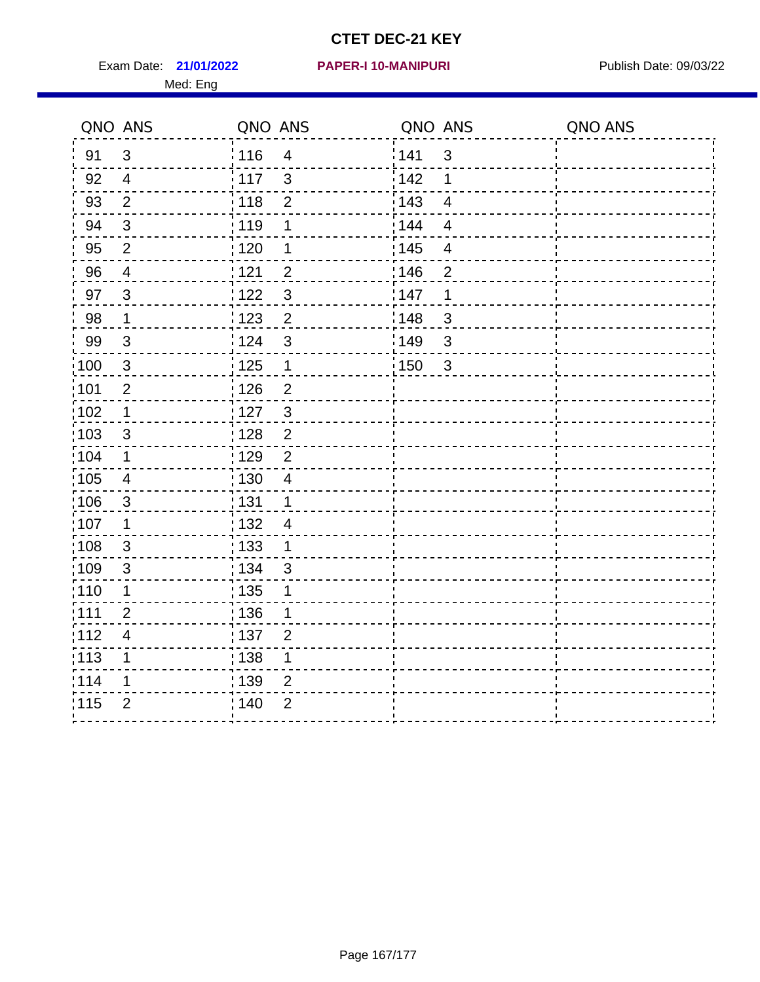Exam Date: 21/01/2022 PAPER-I 10-MANIPURI<br>
Publish Date: 09/03/22 Med: Eng

### **21/01/2022 PAPER-I 10-MANIPURI**

|                   | QNO ANS                  | QNO ANS           |                         | QNO ANS           |                          | QNO ANS |
|-------------------|--------------------------|-------------------|-------------------------|-------------------|--------------------------|---------|
| 91                | $\mathbf{3}$             | ່ 116             | $\overline{4}$          | 141               | $\mathfrak{S}$           |         |
| 92                | $\overline{4}$           | 117               | $\mathbf{3}$            | 142               | 1                        |         |
| 93                | $\overline{2}$           | 118               | $\overline{2}$          | 143               | $\overline{4}$           |         |
| 94                | $\sqrt{3}$               | : 119             | 1                       | : 144             | $\overline{4}$           |         |
| 95                | $\overline{2}$           | : 120             | 1                       | : 145             | $\overline{\mathcal{A}}$ |         |
| 96                | $\overline{4}$           | 121               | $\overline{2}$          | 146               | $\overline{2}$           |         |
| 97                | $\mathbf{3}$             | :122              | $\mathfrak{S}$          | 147               | 1                        |         |
| 98                | $\mathbf{1}$             | 123               | $\overline{2}$          | 148               | $\mathbf{3}$             |         |
| 99                | $\sqrt{3}$               | 124               | $\mathfrak{S}$          | 149               | $\mathfrak{S}$           |         |
| $\frac{1}{1}$ 100 | $\sqrt{3}$               | $\frac{1}{1}$ 125 | $\mathbf 1$             | $\frac{1}{1}$ 150 | $\mathbf{3}$             |         |
| :101              | $\overline{2}$           | : 126             | $\overline{2}$          |                   |                          |         |
| 102               | $\mathbf{1}$             | $\frac{1}{2}$ 127 | $\mathbf{3}$            |                   |                          |         |
| 103               | $\mathbf{3}$             | : 128             | $\overline{2}$          |                   |                          |         |
| 104               | $\mathbf 1$              | : 129             | $\overline{2}$          |                   |                          |         |
| 105               | $\overline{4}$           | : 130             | $\overline{\mathbf{4}}$ |                   |                          |         |
| :106              | $\mathbf{3}$             | : 131             | $\mathbf 1$             |                   |                          |         |
| ;107              | $\mathbf 1$              | 132               | $\overline{4}$          |                   |                          |         |
| 108               | $\mathbf{3}$             | 133               | $\mathbf{1}$            |                   |                          |         |
| :109              | $\sqrt{3}$               | : 134             | 3                       |                   |                          |         |
| :110              | 1                        | 135               | 1                       |                   |                          |         |
| 111               | $\overline{2}$           | : 136             | 1                       |                   |                          |         |
| 112               | $\overline{\mathcal{A}}$ | 137               | $\overline{2}$          |                   |                          |         |
| 113               | 1                        | : 138             | 1                       |                   |                          |         |
| 114               | 1                        | 139               | 2                       |                   |                          |         |
| 115               | $\overline{2}$           | 140               | $\overline{2}$          |                   |                          |         |
|                   |                          |                   |                         |                   |                          |         |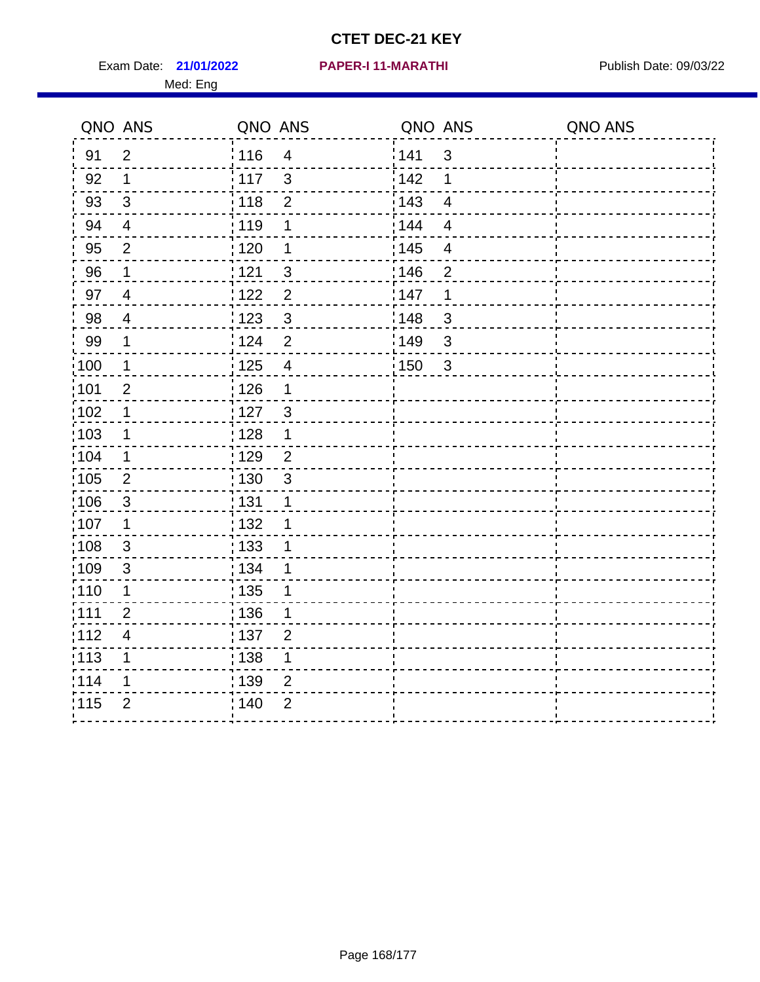Exam Date: 21/01/2022 PAPER-I 11-MARATHI Publish Date: 09/03/22 Med: Eng

#### **21/01/2022 PAPER-I 11-MARATHI**

|                   | QNO ANS                 | QNO ANS           |                           | QNO ANS           |                          | QNO ANS |
|-------------------|-------------------------|-------------------|---------------------------|-------------------|--------------------------|---------|
| 91                | $\overline{2}$          | : 116             | $\overline{4}$            | 141               | $\mathbf{3}$             |         |
| 92                | $\mathbf{1}$            | 117               | $\mathbf{3}$              | 142               | 1                        |         |
| 93                | $\mathfrak{S}$          | 118               | $\overline{2}$            | 143               | $\overline{4}$           |         |
| 94                | $\overline{4}$          | : 119             | 1                         | 144               | $\overline{4}$           |         |
| 95                | $\overline{2}$          | : 120             | 1                         | : 145             | $\overline{\mathcal{A}}$ |         |
| 96                | $\mathbf 1$             | 121               | $\sqrt{3}$                | 146               | $\overline{2}$           |         |
| 97                | $\overline{4}$          | 122               | $\overline{2}$            | 147               | 1                        |         |
| 98                | $\overline{4}$          | : 123             | $\mathbf{3}$              | 148               | $\sqrt{3}$               |         |
| 99                | $\mathbf 1$             | 124               | $\overline{2}$            | 149               | $\mathsf 3$              |         |
| $\frac{1}{1}$ 100 | $\overline{1}$          | $\frac{1}{1}$ 125 | $\overline{\mathbf{4}}$   | $\frac{1}{1}$ 150 | $\mathbf{3}$             |         |
| :101              | $\overline{2}$          | : 126             | $\mathbf 1$               |                   |                          |         |
| 102               | 1                       | 127               | 3                         |                   |                          |         |
| 103               | 1                       | : 128             | $\mathbf 1$               |                   |                          |         |
| 104               | $\mathbf 1$             | : 129             | $\overline{2}$            |                   |                          |         |
| 105               | $\overline{2}$          | : 130             | $\ensuremath{\mathsf{3}}$ |                   |                          |         |
| :106              | 3                       | : 131             | 1                         |                   |                          |         |
| ;107              | $\mathbf 1$             | 132               | 1                         |                   |                          |         |
| 108               | $\sqrt{3}$              | 133               | 1                         |                   |                          |         |
| :109              | $\sqrt{3}$              | : 134             | 1                         |                   |                          |         |
| :110              | 1                       | : 135             | 1                         |                   |                          |         |
| 111               | $\overline{2}$          | : 136             | 1                         |                   |                          |         |
| 112               | $\overline{\mathbf{4}}$ | : 137             | $\overline{2}$            |                   |                          |         |
| 113               | 1                       | : 138             | 1                         |                   |                          |         |
| 114               | 1                       | : 139             | 2                         |                   |                          |         |
| 115               | $\overline{2}$          | 140               | $\overline{2}$            |                   |                          |         |
|                   |                         |                   |                           |                   |                          |         |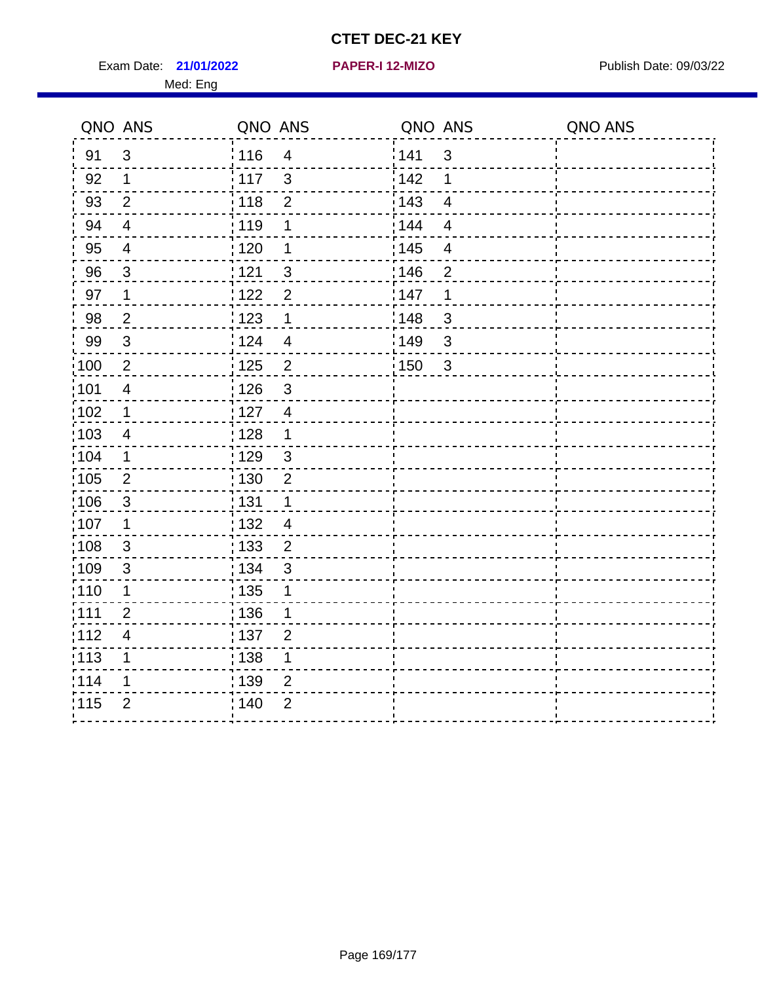Exam Date: 21/01/2022 **PAPER-I 12-MIZO** PAPER Publish Date: 09/03/22 Med: Eng

**21/01/2022 PAPER-I 12-MIZO**

|      | QNO ANS                 | QNO ANS |                          | QNO ANS |                         | QNO ANS |
|------|-------------------------|---------|--------------------------|---------|-------------------------|---------|
| 91   | $\mathbf{3}$            | 116     | $\overline{4}$           | 141     | 3                       |         |
| 92   | $\mathbf 1$             | : 117   | 3                        | 142     | 1                       |         |
| 93   | $\overline{2}$          | 118     | $\overline{2}$           | 143     | $\overline{4}$          |         |
| 94   | $\overline{\mathbf{4}}$ | 119     | 1                        | : 144   | $\overline{4}$          |         |
| 95   | $\overline{4}$          | : 120   | 1                        | : 145   | $\overline{\mathbf{4}}$ |         |
| 96   | 3                       | : 121   | $\mathbf{3}$             | 146     | $\overline{2}$          |         |
| 97   | 1                       | 1122    | $\overline{2}$           | 147     | 1                       |         |
| 98   | $\overline{2}$          | 123     | $\mathbf 1$              | 148     | $\mathbf{3}$            |         |
| 99   | $\sqrt{3}$              | 124     | $\overline{\mathcal{A}}$ | 149     | $\mathfrak{S}$          |         |
| 100  | $\overline{2}$          | 125     | $\overline{2}$           | 150     | $\sqrt{3}$              |         |
| :101 | $\overline{4}$          | : 126   | $\mathfrak{S}$           |         |                         |         |
| :102 | 1                       | : 127   | $\overline{4}$           |         |                         |         |
| 103  | $\overline{4}$          | :128    | $\mathbf 1$              |         |                         |         |
| 104  | $\mathbf 1$             | : 129   | $\sqrt{3}$               |         |                         |         |
| 105  | $\overline{2}$          | : 130   | $\overline{2}$           |         |                         |         |
| ;106 | $\mathfrak{S}$          | : 131   | 1                        |         |                         |         |
| :107 | 1                       | : 132   | $\overline{4}$           |         |                         |         |
| 108  | $\sqrt{3}$              | : 133   | $\overline{2}$           |         |                         |         |
| :109 | $\mathfrak{B}$          | : 134   | 3                        |         |                         |         |
| :110 | 1                       | : 135   | 1                        |         |                         |         |
| :111 | $\overline{2}$          | : 136   | $\mathbf{1}$             |         |                         |         |
| 112  | $\overline{4}$          | 137     | $\overline{2}$           |         |                         |         |
| 113  | 1                       | : 138   | 1                        |         |                         |         |
| 114  | 1                       | 139     | 2                        |         |                         |         |
| 115  | $\overline{2}$          | : 140   | $\overline{2}$           |         |                         |         |
|      |                         |         |                          |         |                         |         |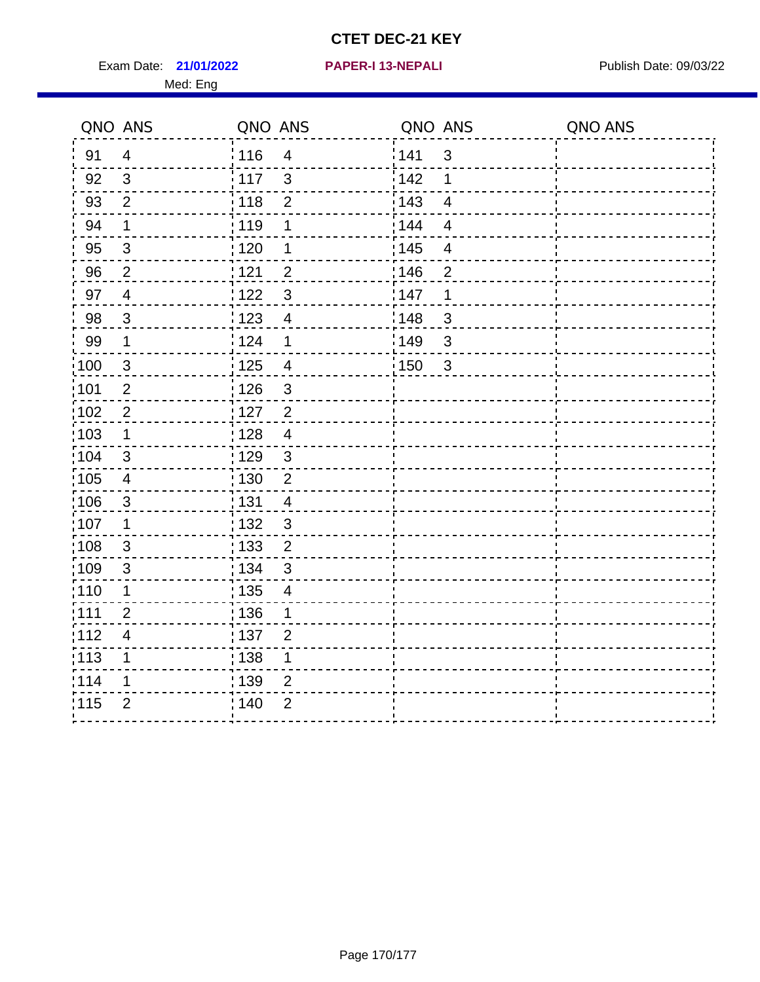Exam Date: 21/01/2022 **PAPER-I 13-NEPALI** Publish Date: 09/03/22 Med: Eng

**21/01/2022 PAPER-I 13-NEPALI**

|                   | QNO ANS                  | QNO ANS           |                         | QNO ANS           |                         | QNO ANS |
|-------------------|--------------------------|-------------------|-------------------------|-------------------|-------------------------|---------|
| 91                | $\overline{4}$           | : 116             | $\overline{4}$          | 141               | $\sqrt{3}$              |         |
| 92                | $\mathfrak{S}$           | 117               | $\mathbf{3}$            | 142               | 1                       |         |
| 93                | $\overline{2}$           | : 118             | $\mathbf 2$             | 143               | $\overline{4}$          |         |
| 94                | 1                        | : 119             | 1                       | 144               | $\overline{4}$          |         |
| 95                | $\mathfrak{B}$           | : 120             | 1                       | : 145             | $\overline{\mathbf{4}}$ |         |
| 96                | $\overline{2}$           | 121               | $\overline{2}$          | 146               | $\overline{2}$          |         |
| 97                | $\overline{4}$           | : 122             | $\mathbf{3}$            | 147               | 1                       |         |
| 98                | $\overline{3}$           | 123               | $\overline{4}$          | 148               | 3                       |         |
| 99                | $\mathbf{1}$             | 124               | $\mathbf 1$             | 149               | $\mathfrak{S}$          |         |
| $\frac{1}{1}$ 100 | $\mathbf{3}$             | 125               | $\overline{\mathbf{4}}$ | $\frac{1}{1}$ 150 | 3                       |         |
| :101              | $\mathbf 2$              | 126               | $\mathfrak{S}$          |                   |                         |         |
| 102               | $\overline{2}$           | : 127             | $\overline{2}$          |                   |                         |         |
| 103               | $\mathbf 1$              | :128              | $\overline{4}$          |                   |                         |         |
| :104              | $\mathbf{3}$             | : 129             | $\mathbf{3}$            |                   |                         |         |
| 105               | $\overline{4}$           | $\frac{1}{1}$ 130 | $\mathbf 2$             |                   |                         |         |
| :106              | $\mathbf{3}$             | : 131             | $\overline{4}$          |                   |                         |         |
| 107               | 1                        | : 132             | $\mathbf{3}$            |                   |                         |         |
| :108              | $\mathfrak{3}$           | 133               | $\overline{2}$          |                   |                         |         |
| :109              | $\mathfrak{3}$           | : 134             | $\mathfrak{S}$          |                   |                         |         |
| :110              | 1                        | : 135             | $\overline{4}$          |                   |                         |         |
| ;111              | $\overline{2}$           | : 136             | 1                       |                   |                         |         |
| 112               | $\overline{\mathcal{A}}$ | : 137             | $\overline{2}$          |                   |                         |         |
| : 113             | 1                        | : 138             | 1                       |                   |                         |         |
| 114               | 1                        | : 139             | $\overline{2}$          |                   |                         |         |
| 115               | $\overline{2}$           | 140               | $\overline{2}$          |                   |                         |         |
|                   |                          |                   |                         |                   |                         |         |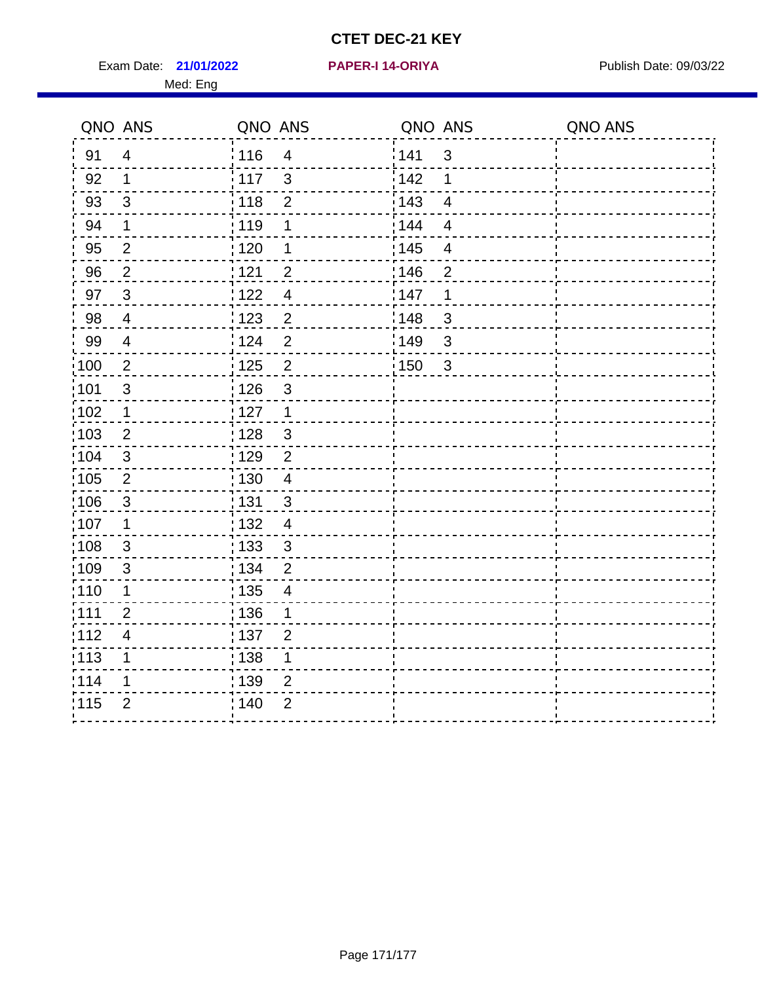Exam Date: 21/01/2022 PAPER-I 14-ORIYA Publish Date: 09/03/22 Med: Eng

#### **21/01/2022 PAPER-I 14-ORIYA**

| QNO ANS           |                | QNO ANS                                       | QNO ANS                          | QNO ANS |
|-------------------|----------------|-----------------------------------------------|----------------------------------|---------|
| 91                | $\overline{4}$ | 116<br>$\overline{4}$                         | 141<br>$\mathbf{3}$              |         |
| 92                | $\mathbf 1$    | $\frac{1}{117}$<br>3                          | 142<br>1                         |         |
| 93                | $\mathbf{3}$   | : 118<br>$\overline{2}$                       | 143<br>$\overline{4}$            |         |
| 94                | $\mathbf 1$    | : 119<br>1                                    | 144<br>$\overline{4}$            |         |
| 95                | $\overline{2}$ | : 120<br>1                                    | : 145<br>$\overline{\mathbf{4}}$ |         |
| 96                | $\overline{2}$ | 121<br>$\overline{2}$                         | 146<br>$\overline{2}$            |         |
| 97                | $\mathbf{3}$   | 122<br>$\overline{\mathbf{4}}$                | 147<br>1                         |         |
| 98                | $\overline{4}$ | $\overline{2}$<br>1123                        | ¦148<br>3                        |         |
| 99                | $\overline{4}$ | : 124<br>$\overline{2}$                       | 149¦<br>3                        |         |
| $\frac{1}{1}$ 100 | $\overline{2}$ | 125<br>$\overline{2}$                         | : 150<br>$\mathbf{3}$            |         |
| 101               | 3              | $\mathbf{3}$<br>126                           |                                  |         |
| $\frac{1}{1}$ 102 | $\mathbf 1$    | $\frac{1}{1}$ 127<br>$\mathbf{1}$             |                                  |         |
| :103              | $\overline{2}$ | : 128<br>$\mathbf{3}$                         |                                  |         |
| :104              | 3              | : 129<br>2                                    |                                  |         |
| 105               | $\overline{2}$ | : 130<br>$\overline{\mathbf{4}}$              |                                  |         |
| 106               | $\sqrt{3}$     | : 131<br>$\mathfrak{S}$                       |                                  |         |
| 107               | 1              | : 132<br>$\overline{4}$                       |                                  |         |
| :108              | 3              | : 133<br>3                                    |                                  |         |
| 109               | 3              | : 134<br>$\overline{2}$                       |                                  |         |
| : 110             | $\mathbf 1$    | $\frac{1}{1}$ 135<br>$\overline{\mathcal{A}}$ |                                  |         |
| :111              | 2              | : 136<br>1                                    |                                  |         |
| 112               | $\overline{4}$ | :137<br>$\overline{2}$                        |                                  |         |
| :113              | 1              | : 138<br>$\mathbf 1$                          |                                  |         |
| 114               | 1              | 139<br>$\overline{2}$                         |                                  |         |
| 115               | $\overline{2}$ | : 140<br>$\overline{2}$                       |                                  |         |
|                   |                |                                               |                                  |         |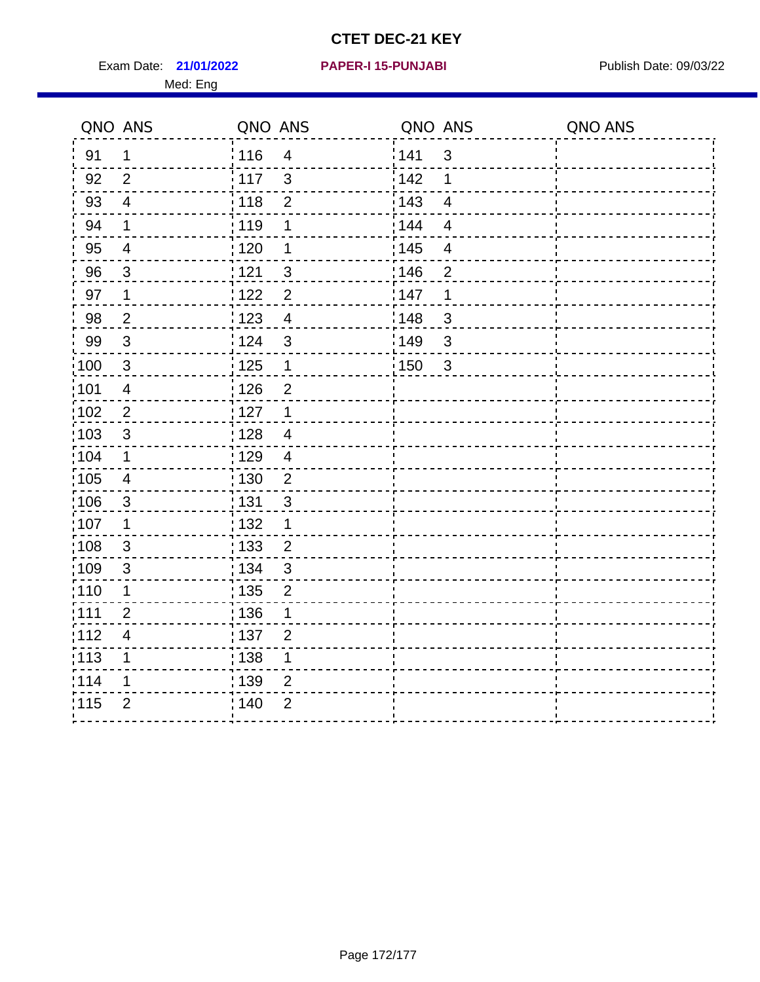Exam Date: 21/01/2022 PAPER-I 15-PUNJABI PUBLISH Date: 09/03/22 Med: Eng

**21/01/2022 PAPER-I 15-PUNJABI**

|                   | QNO ANS                 | QNO ANS           |                | QNO ANS |                         | QNO ANS |
|-------------------|-------------------------|-------------------|----------------|---------|-------------------------|---------|
| 91                | $\mathbf 1$             | 116               | $\overline{4}$ | 141     | $\mathbf{3}$            |         |
| 92                | $\overline{2}$          | 117               | $\mathbf{3}$   | 142     | 1                       |         |
| 93                | $\overline{4}$          | 118               | $\overline{2}$ | 143     | $\overline{4}$          |         |
| 94                | $\mathbf 1$             | : 119             | 1              | 144     | $\overline{4}$          |         |
| 95                | $\overline{4}$          | : 120             | 1              | : 145   | $\overline{\mathbf{4}}$ |         |
| 96                | 3                       | 121               | $\mathfrak{S}$ | 146     | $\overline{2}$          |         |
| 97                | $\mathbf 1$             | 122               | $\overline{2}$ | 147     | 1                       |         |
| 98                | $\overline{2}$          | $\frac{1}{2}$ 123 | $\overline{4}$ | 148     | $\mathbf{3}$            |         |
| 99                | $\sqrt{3}$              | 124               | $\sqrt{3}$     | 149     | $\mathsf 3$             |         |
| $\frac{1}{1}$ 100 | $\sqrt{3}$              | $\frac{1}{1}$ 125 | $\mathbf 1$    | 150     | $\mathbf{3}$            |         |
| :101              | $\overline{4}$          | : 126             | $\overline{2}$ |         |                         |         |
| 102               | 2                       | : 127             | $\mathbf 1$    |         |                         |         |
| 103               | $\mathbf{3}$            | : 128             | $\overline{4}$ |         |                         |         |
| :104              | $\mathbf{1}$            | : 129             | $\overline{4}$ |         |                         |         |
| 105               | $\overline{\mathbf{4}}$ | : 130             | $\overline{c}$ |         |                         |         |
| :106              | $\mathfrak{S}$          | : 131             | 3              |         |                         |         |
| ;107              | $\mathbf{1}$            | : 132             | $\mathbf 1$    |         |                         |         |
| 108               | $\mathbf{3}$            | : 133             | $\overline{2}$ |         |                         |         |
| :109              | $\mathfrak{3}$          | : 134             | $\mathfrak{3}$ |         |                         |         |
| :110              | 1                       | : 135             | $\overline{2}$ |         |                         |         |
| :111              | $\overline{2}$          | 136               | 1              |         |                         |         |
| 112               | $\overline{\mathbf{4}}$ | : 137             | $\overline{2}$ |         |                         |         |
| 113               | 1                       | : 138             | 1              |         |                         |         |
| 114               | 1                       | : 139             | 2              |         |                         |         |
| 115               | $\overline{2}$          | 140               | $\overline{2}$ |         |                         |         |
|                   |                         |                   |                |         |                         |         |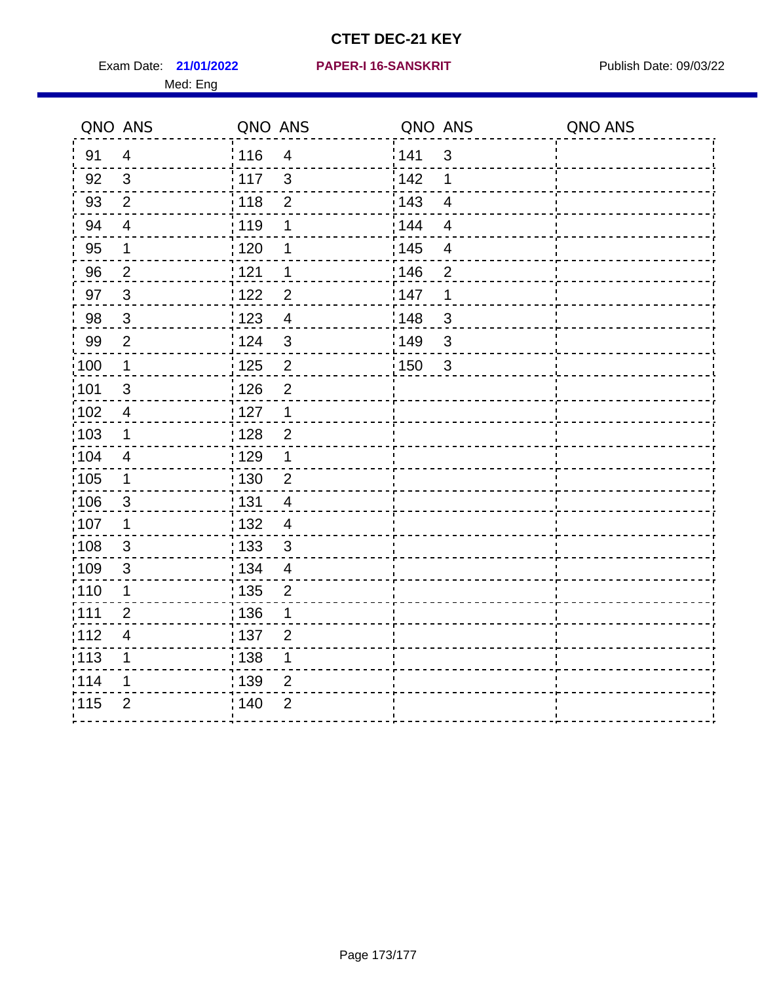Exam Date: 21/01/2022 PAPER-I 16-SANSKRIT Publish Date: 09/03/22 Med: Eng

### **21/01/2022 PAPER-I 16-SANSKRIT**

| QNO ANS           |                         | QNO ANS         |                          | QNO ANS           |                         | QNO ANS |
|-------------------|-------------------------|-----------------|--------------------------|-------------------|-------------------------|---------|
| 91                | $\overline{4}$          | : 116           | $\overline{\mathcal{A}}$ | 141               | $\mathbf{3}$            |         |
| 92                | $\mathbf{3}$            | $\frac{1}{117}$ | 3                        | 142               | 1                       |         |
| 93                | $\overline{2}$          | 118             | $\overline{2}$           | 143               | $\overline{4}$          |         |
| 94                | $\overline{4}$          | : 119           | 1                        | 144               | $\overline{4}$          |         |
| 95                | $\mathbf 1$             | : 120           | 1                        | : 145             | $\overline{\mathbf{4}}$ |         |
| 96                | $\overline{2}$          | 121             | 1                        | 146               | $\overline{2}$          |         |
| 97                | $\mathbf{3}$            | 122             | $\overline{2}$           | 147               | $\mathbf 1$             |         |
| 98                | $\mathbf{3}$            | 123             | $\overline{4}$           | 148               | $\mathbf{3}$            |         |
| 99                | $\overline{2}$          | 124             | $\mathbf{3}$             | 149               | $\mathbf{3}$            |         |
| 100               | $\mathbf 1$             | 125             | $\overline{2}$           | $\frac{1}{1}$ 150 | $\mathbf{3}$            |         |
| 101               | $\sqrt{3}$              | : 126           | $\overline{2}$           |                   |                         |         |
| $\frac{1}{1}$ 102 | $\overline{\mathbf{4}}$ | : 127           | $\mathbf 1$              |                   |                         |         |
| 103               | 1                       | : 128           | $\overline{2}$           |                   |                         |         |
| 104               | $\overline{4}$          | : 129           | $\mathbf 1$              |                   |                         |         |
| 105               | $\mathbf 1$             | 130             | $\overline{2}$           |                   |                         |         |
| :106              | $\mathbf{3}$            | : 131           | $\overline{4}$           |                   |                         |         |
| 107               | 1                       | : 132           | $\overline{4}$           |                   |                         |         |
| 108               | $\mathbf{3}$            | : 133           | $\mathfrak{3}$           |                   |                         |         |
| :109              | $\sqrt{3}$              | : 134           | $\overline{4}$           |                   |                         |         |
| : 110             | 1                       | 135             | $\overline{2}$           |                   |                         |         |
| :111              | $\overline{2}$          | : 136           | 1                        |                   |                         |         |
| 112               | $\overline{\mathbf{4}}$ | : 137           | $\overline{2}$           |                   |                         |         |
| $\frac{1}{1}$ 113 | 1                       | : 138           | 1                        |                   |                         |         |
| 114               | 1                       | : 139           | 2                        |                   |                         |         |
| 115               | $\overline{2}$          | : 140           | $\overline{2}$           |                   |                         |         |
|                   |                         |                 |                          |                   |                         |         |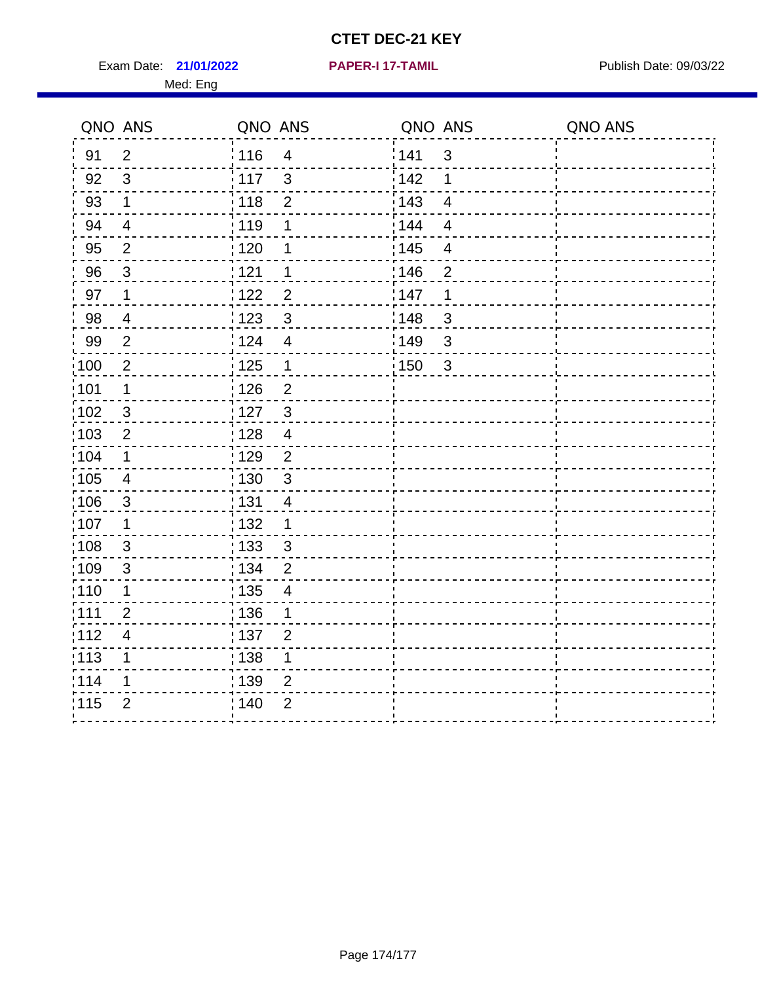Exam Date: 21/01/2022 PAPER-I 17-TAMIL Publish Date: 09/03/22 Med: Eng

**21/01/2022 PAPER-I 17-TAMIL**

| QNO ANS           |                         | QNO ANS           |                          | QNO ANS           |                         | QNO ANS |
|-------------------|-------------------------|-------------------|--------------------------|-------------------|-------------------------|---------|
| 91                | $\overline{2}$          | 116               | $\overline{4}$           | 141               | $\mathbf{3}$            |         |
| 92                | 3                       | 117               | 3                        | 142               | 1                       |         |
| 93                | $\mathbf 1$             | 118               | $\overline{2}$           | 143               | $\overline{\mathbf{4}}$ |         |
| 94                | $\overline{4}$          | : 119             | 1                        | 144               | $\overline{4}$          |         |
| 95                | $\overline{2}$          | : 120             | 1                        | : 145             | $\overline{\mathbf{4}}$ |         |
| 96                | 3                       | 121               | 1                        | 146               | $\overline{2}$          |         |
| 97                | $\mathbf 1$             | 122               | $\overline{2}$           | 147               | 1                       |         |
| 98                | $\overline{4}$          | ¦ 123             | $\mathbf{3}$             | :148              | $\mathfrak{S}$          |         |
| 99                | $\overline{2}$          | 124               | $\overline{4}$           | 149               | $\mathfrak{S}$          |         |
| $\frac{1}{1}$ 100 | $\overline{2}$          | $\frac{1}{2}$ 125 | $\mathbf 1$              | $\frac{1}{1}$ 150 | $\mathbf{3}$            |         |
| :101              | $\mathbf 1$             | 126               | $\overline{2}$           |                   |                         |         |
| 102               | $\sqrt{3}$              | : 127             | $\mathbf{3}$             |                   |                         |         |
| 103               | 2                       | : 128             | $\overline{4}$           |                   |                         |         |
| :104              | $\mathbf 1$             | : 129             | $\overline{2}$           |                   |                         |         |
| $\frac{1}{1}$ 105 | $\overline{\mathbf{4}}$ | : 130             | $\mathbf{3}$             |                   |                         |         |
| :106              | $\mathbf{3}$            | : 131             | $\overline{4}$           |                   |                         |         |
| 107               | 1                       | : 132             | 1                        |                   |                         |         |
| 108               | 3                       | : 133             | 3                        |                   |                         |         |
| $\frac{1}{1}$ 109 | $\mathsf 3$             | : 134             | $\overline{2}$           |                   |                         |         |
| : 110             | $\mathbf 1$             | : 135             | $\overline{\mathcal{A}}$ |                   |                         |         |
| :111              | $\overline{2}$          | :136              | 1                        |                   |                         |         |
| 112               | $\overline{4}$          | :137              | $\overline{2}$           |                   |                         |         |
| :113              | $\mathbf 1$             | : 138             | $\mathbf 1$              |                   |                         |         |
| 114               | 1                       | : 139             | $\overline{2}$           |                   |                         |         |
| 115               | $\overline{2}$          | 140               | $\overline{2}$           |                   |                         |         |
|                   |                         |                   |                          |                   |                         |         |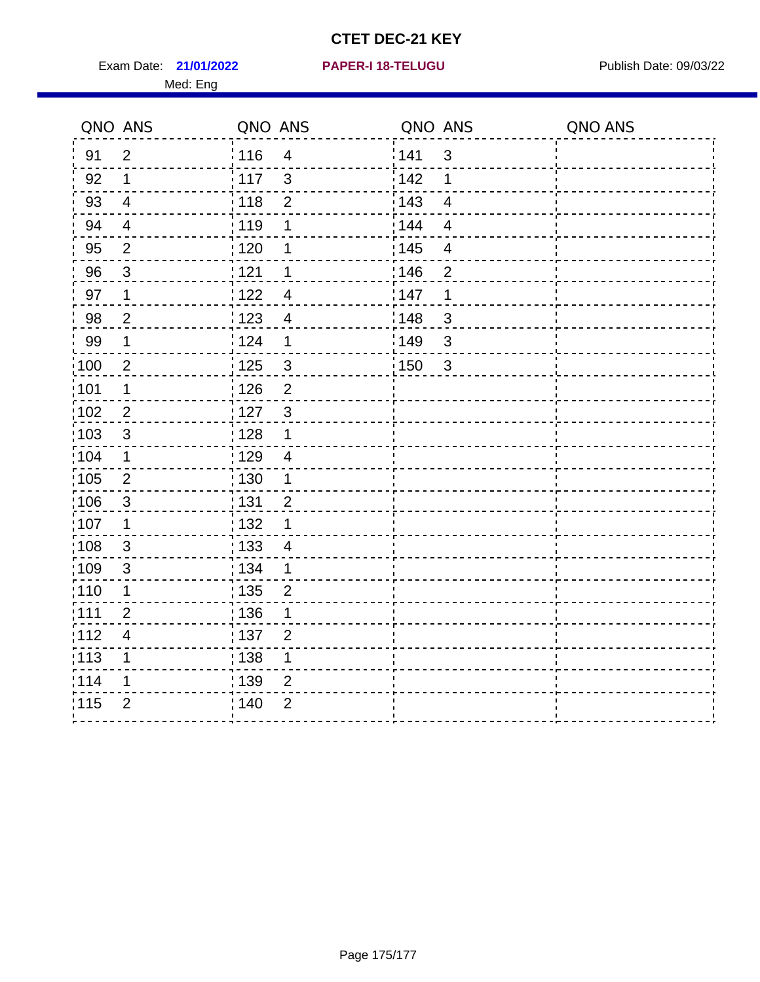Exam Date: 21/01/2022 PAPER-I 18-TELUGU PREER PUblish Date: 09/03/22 Med: Eng

**21/01/2022 PAPER-I 18-TELUGU**

|                   | QNO ANS                  | QNO ANS           |                | QNO ANS |                | QNO ANS |
|-------------------|--------------------------|-------------------|----------------|---------|----------------|---------|
| 91                | $\overline{2}$           | 116               | $\overline{4}$ | 141     | $\sqrt{3}$     |         |
| 92                | $\mathbf 1$              | 117               | 3              | 142     | 1              |         |
| 93                | $\overline{4}$           | 118               | $\overline{2}$ | 143     | $\overline{4}$ |         |
| 94                | $\overline{4}$           | 119               | 1              | 144     | $\overline{4}$ |         |
| 95                | $\overline{2}$           | : 120             | 1              | : 145   | 4              |         |
| 96                | $\mathbf{3}$             | 121               | 1              | 146     | $\overline{2}$ |         |
| 97                | $\mathbf{1}$             | 122               | $\overline{4}$ | :147    | 1              |         |
| 98                | $\overline{2}$           | 123               | $\overline{4}$ | 148     | $\sqrt{3}$     |         |
| 99                | $\mathbf 1$              | 124               | 1              | 149     | $\sqrt{3}$     |         |
| $\frac{1}{1}$ 100 | $\overline{2}$           | $\frac{1}{1}$ 125 | $\mathbf{3}$   | 150     | $\mathbf{3}$   |         |
| 101               | 1                        | : 126             | $\overline{2}$ |         |                |         |
| 102               | $\overline{2}$           | : 127             | $\mathbf{3}$   |         |                |         |
| 103               | $\mathbf{3}$             | : 128             | $\mathbf 1$    |         |                |         |
| 104               | $\mathbf 1$              | : 129             | $\overline{4}$ |         |                |         |
| 105               | $\sqrt{2}$               | : 130             | $\mathbf 1$    |         |                |         |
| :106              | $\mathbf{3}$             | : 131             | $\overline{2}$ |         |                |         |
| :107              | $\mathbf 1$              | : 132             | 1              |         |                |         |
| 108               | $\sqrt{3}$               | $\frac{1}{1}$ 133 | $\overline{4}$ |         |                |         |
| :109              | $\sqrt{3}$               | : 134             | $\mathbf 1$    |         |                |         |
| :110              | 1                        | : 135             | $\overline{2}$ |         |                |         |
| ;111              | $\overline{2}$           | : 136             | 1              |         |                |         |
| 112               | $\overline{\mathcal{A}}$ | : 137             | $\overline{2}$ |         |                |         |
| :113              | 1                        | 138               | 1              |         |                |         |
| 114               | 1                        | : 139             | $\overline{2}$ |         |                |         |
| 115               | $\overline{2}$           | 140               | $\overline{2}$ |         |                |         |
|                   |                          |                   |                |         |                |         |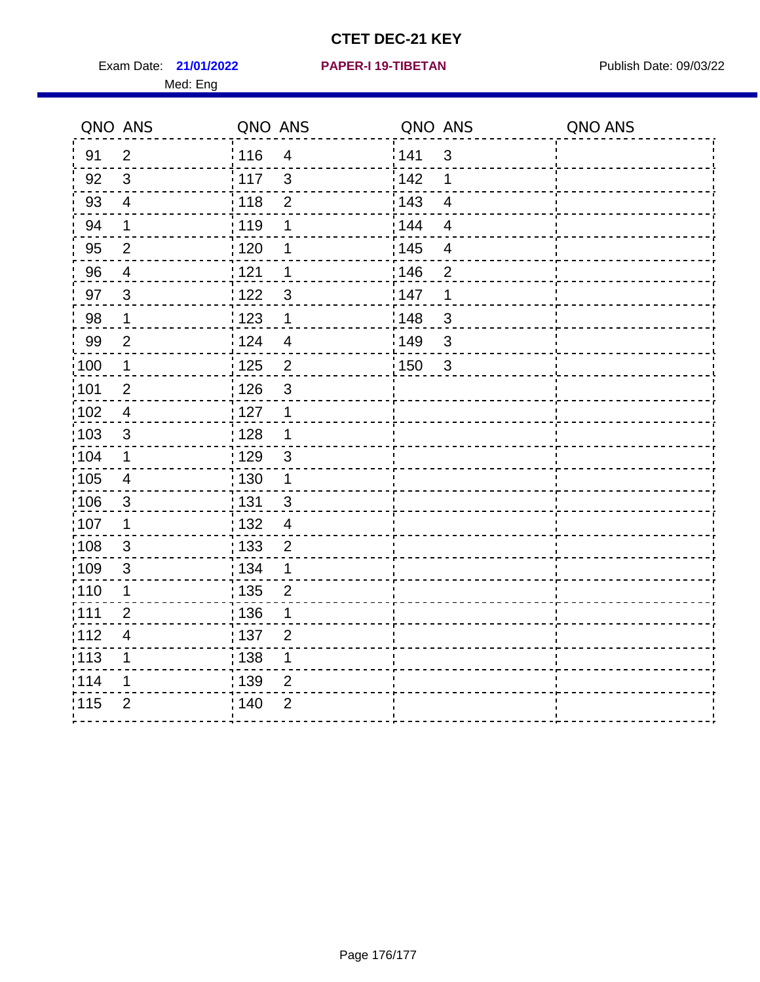Exam Date: 21/01/2022 PAPER-I 19-TIBETAN Publish Date: 09/03/22 Med: Eng

**21/01/2022 PAPER-I 19-TIBETAN**

|                   | QNO ANS                  | QNO ANS           |                         | QNO ANS |                | QNO ANS |
|-------------------|--------------------------|-------------------|-------------------------|---------|----------------|---------|
| 91                | $\overline{2}$           | 116               | $\overline{\mathbf{4}}$ | 141     | $\mathfrak{S}$ |         |
| 92                | $\mathfrak{S}$           | 117               | $\mathbf{3}$            | 142     | 1              |         |
| 93                | $\overline{4}$           | $\frac{1}{118}$   | $\mathbf 2$             | 143     | $\overline{4}$ |         |
| 94                | 1                        | : 119             | 1                       | 144     | $\overline{4}$ |         |
| 95                | $\overline{2}$           | : 120             | 1                       | : 145   | $\overline{4}$ |         |
| 96                | 4                        | 121               | 1                       | 146     | $\overline{2}$ |         |
| 97                | $\mathbf{3}$             | 122               | 3                       | 147     | 1              |         |
| 98                | $\mathbf{1}$             | 123               | $\mathbf{1}$            | 148     | $\mathbf{3}$   |         |
| 99                | $\overline{2}$           | 124               | $\overline{\mathbf{4}}$ | 149     | 3              |         |
| $\frac{1}{1}$ 100 | $\mathbf{1}$             | $\frac{1}{1}$ 125 | $\overline{c}$          | 150     | $\mathbf{3}$   |         |
| :101              | $\overline{2}$           | : 126             | 3                       |         |                |         |
| 102               | $\overline{4}$           | : 127             | $\mathbf{1}$            |         |                |         |
| 103               | $\mathbf{3}$             | : 128             | $\mathbf{1}$            |         |                |         |
| :104              | $\mathbf{1}$             | : 129             | $\mathfrak{3}$          |         |                |         |
| $\frac{1}{1}$ 105 | $\overline{4}$           | 130               | $\mathbf{1}$            |         |                |         |
| :106              | 3                        | : 131             | $\mathbf{3}$            |         |                |         |
| ;107              | $\mathbf 1$              | 132               | $\overline{4}$          |         |                |         |
| 108               | $\mathbf{3}$             | 133               | $\overline{2}$          |         |                |         |
| :109              | $\sqrt{3}$               | : 134             | $\mathbf{1}$            |         |                |         |
| :110              | 1                        | 135               | $\overline{2}$          |         |                |         |
| :111              | $\overline{2}$           | 136               | 1                       |         |                |         |
| 112               | $\overline{\mathcal{A}}$ | $\frac{1}{1}$ 137 | $\overline{2}$          |         |                |         |
| 113               | 1                        | : 138             | 1                       |         |                |         |
| 114               | 1                        | :139              | 2                       |         |                |         |
| 115               | $\overline{2}$           | 140               | $\overline{2}$          |         |                |         |
|                   |                          |                   |                         |         |                |         |